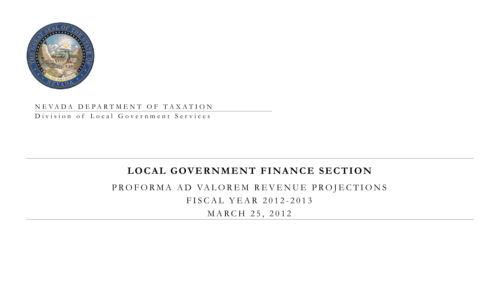

# NEV ADA DEPARTMENT OF TAXATION

Division of Local Government Services

# **LOCAL GOVERNMENT FINANCE SECTION**

PROFORMA AD VALOREM REVENUE PROJECTIONS FISCAL YEAR 2012-2013

MARCH 25, 2012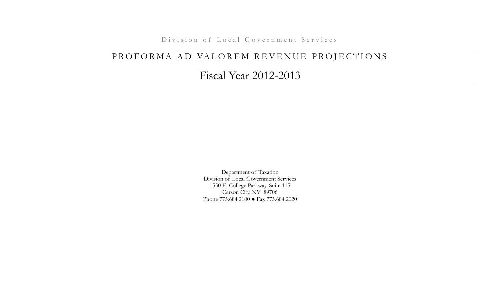Division of Local Government Services

# PROFORMA AD VALOREM REVENUE PROJECTIONS

Fiscal Year 2012-2013

Department of Taxation Division of Local Government Services 1550 E. College Parkway, Suite 115 Carson City, NV 89706 Phone 775.684.2100 ● Fax 775.684.2020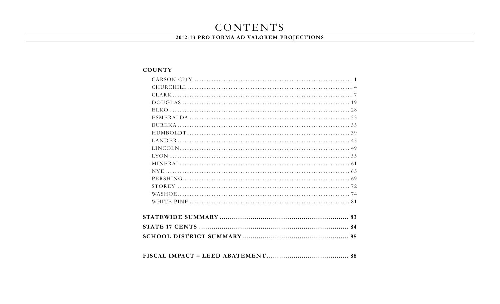# CONTENTS

# 2012-13 PRO FORMA AD VALOREM PROJECTIONS

# **COUNTY**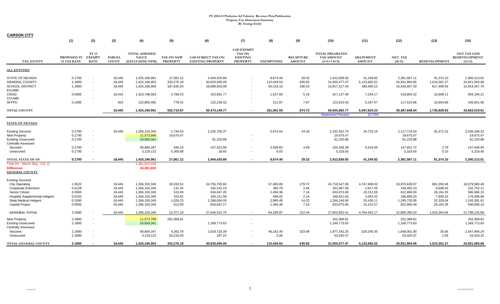| <b>CARSON CITY</b>                                                                                                                                                              |                                                          |                                       |                                                          |                                                                                                    |                                                               |                                                                                       |                                                                          |                                                                   |                                                 |                                                                                       |                                                                             |                                                                                       |                                                                           |                                                                                       |
|---------------------------------------------------------------------------------------------------------------------------------------------------------------------------------|----------------------------------------------------------|---------------------------------------|----------------------------------------------------------|----------------------------------------------------------------------------------------------------|---------------------------------------------------------------|---------------------------------------------------------------------------------------|--------------------------------------------------------------------------|-------------------------------------------------------------------|-------------------------------------------------|---------------------------------------------------------------------------------------|-----------------------------------------------------------------------------|---------------------------------------------------------------------------------------|---------------------------------------------------------------------------|---------------------------------------------------------------------------------------|
|                                                                                                                                                                                 | (1)                                                      | (2)                                   | (3)                                                      | (4)                                                                                                | (5)                                                           | (6)                                                                                   | (7)                                                                      | (8)                                                               | (9)                                             | (10)                                                                                  | (11)                                                                        | (12)                                                                                  | (13)                                                                      | (15)                                                                                  |
| TAX ENTITY                                                                                                                                                                      | PROPOSED FY<br><b>13 TAX RATE</b>                        | FY 13<br><b>EXEMPT</b><br><b>RATE</b> | <b>PARCEL</b><br><b>COUNT</b>                            | <b>TOTAL ASSESSED</b><br><b>VALUE</b><br>(EXCLUDING NPM)                                           | <b>TAX ON NEW</b><br><b>PROPERTY</b>                          | <b>CAP-SUBJECT TAX ON</b><br><b>EXISTING PROPERTY</b>                                 | <b>CAP-EXEMPT</b><br><b>TAX ON</b><br><b>EXISTING</b><br><b>PROPERTY</b> | <b>EXEMPTIONS</b>                                                 | <b>RECAPTURE</b><br><b>AMOUNT</b>               | <b>TOTAL PREABATED</b><br><b>TAX AMOUNT</b><br>$(5+6+7-8+9)$                          | <b>ABATEMENT</b><br><b>AMOUNT</b>                                           | NET_TAX<br>$(10-11)$                                                                  | <b>REDEVELOPMENT</b>                                                      | <b>NET TAX LESS</b><br><b>REDEVELOPMENT</b><br>$(12-13)$                              |
| <b>ALL ENTITIES</b>                                                                                                                                                             |                                                          |                                       |                                                          |                                                                                                    |                                                               |                                                                                       |                                                                          |                                                                   |                                                 |                                                                                       |                                                                             |                                                                                       |                                                                           |                                                                                       |
| STATE OF NEVADA<br><b>GENERAL COUNTY</b><br><b>SCHOOL DISTRICT</b><br><b>EVUWB</b>                                                                                              | 0.1700<br>2.1800<br>1.1800                               | $\sim$<br>$\sim$<br>$\sim$<br>$\sim$  | 18,445<br>18,445<br>18,445                               | 1,425,196,961<br>1,425,196,953<br>1,425,196,956<br>$\overline{\phantom{a}}$                        | 27,061.12<br>332,276.18<br>187,835.93                         | 2,404,420.89<br>30,833,095.00<br>16,689,503.08                                        | $\overline{\phantom{a}}$                                                 | 8,674.40<br>110,429.53<br>60,218.10                               | 29.32<br>635.82<br>196.53<br>$\sim$             | 2,422,836.93<br>31,055,577.47<br>16,817,317.44<br>$\sim$                              | 41,249.82<br>5,123,682.52<br>280,460.15<br>$\sim$                           | 2,381,587.11<br>25,931,894.95<br>16,536,857.29<br>$\sim$                              | 81,374.10<br>1,010,301.27<br>617,499.59<br>$\sim$                         | 2,300,213.01<br>24,921,593.68<br>15,919,357.70                                        |
| CWSD<br><b>CVUWB</b>                                                                                                                                                            | 0.0300                                                   | $\sim$                                | 18,442                                                   | 1,423,798,583                                                                                      | 4,768.23<br>$\sim$                                            | 423,891.77                                                                            |                                                                          | 1,527.69                                                          | 5.18                                            | 427,137.49                                                                            | 7,244.17                                                                    | 419,893.32                                                                            | 15,699.11                                                                 | 404,194.21                                                                            |
| <b>SFFPD</b>                                                                                                                                                                    | 0.1000                                                   |                                       | 923                                                      | 122,805,482                                                                                        | 778.41                                                        | 122,239.02                                                                            | $\sim$                                                                   | 211.87                                                            | 7.87                                            | 122,813.43                                                                            | 5,197.57                                                                    | 117,615.86                                                                            | 10,954.86                                                                 | 106,661.00                                                                            |
| <b>TOTAL COUNTY</b>                                                                                                                                                             |                                                          |                                       | 18,445                                                   | 1,425,196,961                                                                                      | 552,719.87                                                    | 50,473,149.77                                                                         | $\sim$                                                                   | 181,061.59                                                        | 874.72                                          | 50,845,682.77<br><b>Abatement Percent</b>                                             | 5,457,834.23<br>10.73%                                                      | 45,387,848.54                                                                         | 1,735,828.93                                                              | 43,652,019.61                                                                         |
| <b>STATE OF NEVADA</b>                                                                                                                                                          |                                                          |                                       |                                                          |                                                                                                    |                                                               |                                                                                       |                                                                          |                                                                   |                                                 |                                                                                       |                                                                             |                                                                                       |                                                                           |                                                                                       |
| <b>Existing Secured</b><br><b>New Property</b><br><b>Existing Unsecured</b>                                                                                                     | 0.1700<br>0.1700<br>0.1700                               | $\sim$<br>$\sim$<br>$\sim$            | 18,445                                                   | 1,266,150,345<br>11,573,806<br>53,659,341                                                          | 1,744.53<br>19,675.47                                         | 2,155,758.37<br>91,220.88                                                             | $\sim$                                                                   | 5,074.54                                                          | 24.34                                           | 2,152,452.70<br>19,675.47<br>91,220.88                                                | 34,733.16                                                                   | 2,117,719.54<br>19,675.47<br>91,220.88                                                | 81,371.22                                                                 | 2,036,348.32<br>19,675.47<br>91,220.88                                                |
| <b>Centrally Assessed</b><br>Secured<br>Unsecured                                                                                                                               | 0.1700<br>0.1700                                         | $\sim$<br>$\sim$                      |                                                          | 90,684,347<br>3,129,122                                                                            | 340.24<br>5,300.88                                            | 157,422.99<br>18.65                                                                   |                                                                          | 3,599.83<br>0.03                                                  | 4.98<br>$\sim$                                  | 154,168.38<br>5,319.50                                                                | 6,516.66                                                                    | 147,651.72<br>5,319.50                                                                | 2.78<br>0.10                                                              | 147,648.94<br>5,319.40                                                                |
| TOTAL STATE OF NV<br>Total AV - March Seg - Col. Q<br><b>Difference</b><br><b>GENERAL COUNTY</b>                                                                                | 0.1700                                                   |                                       | 18,445                                                   | 1,425,196,961<br>1,381,815,028<br>43,381,933                                                       | 27,061.12                                                     | 2,404,420.89                                                                          | $\overline{a}$                                                           | 8,674.40                                                          | 29.32                                           | 2,422,836.93                                                                          | 41,249.82                                                                   | 2,381,587.11                                                                          | 81,374.10                                                                 | 2,300,213.01                                                                          |
| <b>Existing Secured</b><br><b>City Operating</b><br>Cooperate Extension<br>Senior Citizen<br>Hospital Supplemental Indigent<br>State Medical Indigent<br><b>Capital Project</b> | 1.9522<br>0.0128<br>0.0500<br>0.0150<br>0.1000<br>0.0500 |                                       | 18,445<br>18,445<br>18,445<br>18,445<br>18,445<br>18,445 | 1,266,150,345<br>1,266,150,345<br>1,266,150,345<br>1,266,150,345<br>1,266,150,345<br>1,266,150,345 | 20,033.52<br>131.34<br>513.09<br>153.92<br>1,026.23<br>513.09 | 24,755,700.60<br>162,315.19<br>634,047.20<br>190,211.59<br>1,268,094.00<br>634,047.17 |                                                                          | 57,465.85<br>380.79<br>1,494.36<br>446.02<br>2,985.49<br>1,494.36 | 279.72<br>1.84<br>7.16<br>2.14<br>14.32<br>7.16 | 24,718,547.99<br>162,067.58<br>633,073.09<br>189,921.63<br>1,266,149.06<br>633,073.06 | 4,747,908.02<br>2.617.45<br>10,212.59<br>3,063.43<br>20,428.11<br>10,212.57 | 19,970,639.97<br>159,450.13<br>622,860.50<br>186,858.20<br>1,245,720.95<br>622,860.49 | 891,059.48<br>6,698.02<br>26,164.35<br>7,849.32<br>52,329.04<br>26,164.35 | 19,079,580.49<br>152,752.11<br>596,696.15<br>179,008.88<br>1,193,391.91<br>596,696.14 |
| <b>GENERAL TOTAL</b>                                                                                                                                                            | 2.1800                                                   |                                       | 18,445                                                   | 1,266,150,345                                                                                      | 22,371.19                                                     | 27,644,415.75                                                                         | $\sim$                                                                   | 64,266.87                                                         | 312.34                                          | 27,602,832.41                                                                         | 4,794,442.17                                                                | 22,808,390.24                                                                         | 1,010,264.56                                                              | 21,798,125.68                                                                         |
| <b>New Property</b><br><b>Existing Unsecured</b><br><b>Centrally Assessed</b>                                                                                                   | 2.1800<br>2.1800                                         | $\sim$<br>$\sim$                      |                                                          | 11,573,799<br>53,659,341                                                                           | 252,308.81                                                    | 1,169,773.63                                                                          | $\overline{\phantom{a}}$<br>$\blacksquare$                               |                                                                   |                                                 | 252,308.81<br>1,169,773.63                                                            |                                                                             | 252,308.81<br>1,169,773.63                                                            |                                                                           | 252,308.81<br>1,169,773.63                                                            |
| Secured<br>Unsecured                                                                                                                                                            | 2.1800<br>2.1800                                         | $\sim$                                |                                                          | 90,684,347<br>3,129,122                                                                            | 4,362.78<br>53,233.40                                         | 2,018,718.39<br>187.23                                                                |                                                                          | 46,162.40<br>0.26                                                 | 323.48<br>$\sim$                                | 1,977,242.25<br>53,420.37                                                             | 329,240.35<br>$\sim$                                                        | 1,648,001.90<br>53,420.37                                                             | 35.66<br>1.05                                                             | 1,647,966.24<br>53,419.32                                                             |
| TOTAL GENERAL COUNTY                                                                                                                                                            | 2.1800                                                   |                                       | 18,445                                                   | 1,425,196,953                                                                                      | 332,276.18                                                    | 30,833,095.00                                                                         |                                                                          | 110,429.53                                                        | 635.82                                          | 31,055,577.47                                                                         | 5,123,682.52                                                                | 25,931,894.95                                                                         | 1,010,301.27                                                              | 24,921,593.68                                                                         |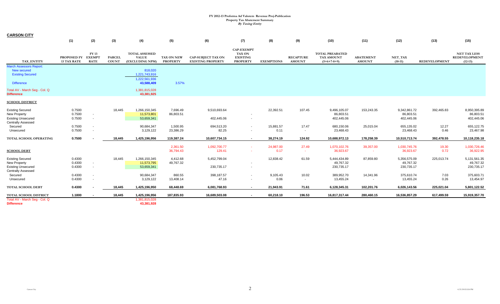**CARSON CITY**

|                                                                                               | (1)                               | (2)                                   | (3)                           | (4)                                                      | (5)                           | (6)                                                   | (7)                                                               | (8)               | (9)                               | (10)                                                         | (11)                              | (12)                                    | (13)                 | (15)                                                     |
|-----------------------------------------------------------------------------------------------|-----------------------------------|---------------------------------------|-------------------------------|----------------------------------------------------------|-------------------------------|-------------------------------------------------------|-------------------------------------------------------------------|-------------------|-----------------------------------|--------------------------------------------------------------|-----------------------------------|-----------------------------------------|----------------------|----------------------------------------------------------|
| TAX ENTITY                                                                                    | PROPOSED FY<br><b>13 TAX RATE</b> | FY 13<br><b>EXEMPT</b><br><b>RATE</b> | <b>PARCEL</b><br><b>COUNT</b> | <b>TOTAL ASSESSED</b><br><b>VALUE</b><br>(EXCLUDING NPM) | TAX ON NEW<br><b>PROPERTY</b> | <b>CAP-SUBJECT TAX ON</b><br><b>EXISTING PROPERTY</b> | <b>CAP-EXEMPT</b><br>TAX ON<br><b>EXISTING</b><br><b>PROPERTY</b> | <b>EXEMPTIONS</b> | <b>RECAPTURE</b><br><b>AMOUNT</b> | <b>TOTAL PREABATED</b><br><b>TAX AMOUNT</b><br>$(5+6+7-8+9)$ | <b>ABATEMENT</b><br><b>AMOUNT</b> | NET_TAX<br>$(10-11)$                    | <b>REDEVELOPMENT</b> | <b>NET TAX LESS</b><br><b>REDEVELOPMENT</b><br>$(12-13)$ |
| <b>March Assessors Report:</b><br>New secured<br><b>Existing Secured</b><br><b>Difference</b> |                                   |                                       |                               | 818,020<br>1,221,743,916<br>1,222,561,936<br>43,588,409  | 3.57%                         |                                                       |                                                                   |                   |                                   |                                                              |                                   |                                         |                      |                                                          |
| Total AV - March Seg - Col. Q<br><b>Difference</b>                                            |                                   |                                       |                               | 1,381,815,028<br>43,381,925                              |                               |                                                       |                                                                   |                   |                                   |                                                              |                                   |                                         |                      |                                                          |
| <b>SCHOOL DISTRICT</b>                                                                        |                                   |                                       |                               |                                                          |                               |                                                       |                                                                   |                   |                                   |                                                              |                                   |                                         |                      |                                                          |
| <b>Existing Secured</b><br>New Property<br><b>Existing Unsecured</b>                          | 0.7500<br>0.7500<br>0.7500        | $\sim$<br>$\sim$                      | 18,445                        | 1,266,150,345<br>11,573,801<br>53,659,341                | 7,696.49<br>86,803.51         | 9,510,693.64<br>402,445.06                            | $\sim$                                                            | 22,392.51         | 107.45                            | 9,496,105.07<br>86,803.51<br>402,445.06                      | 153,243.35                        | 9,342,861.72<br>86,803.51<br>402,445.06 | 392,465.83           | 8,950,395.89<br>86,803.51<br>402,445.06                  |
| <b>Centrally Assessed</b><br>Secured<br>Unsecured                                             | 0.7500<br>0.7500                  | $\sim$                                |                               | 90,684,347<br>3,129,122                                  | 1,500.95<br>23,386.29         | 694,513.20<br>82.25                                   | $\overline{\phantom{a}}$<br>$\sim$                                | 15,881.57<br>0.11 | 17.47<br>$\sim$                   | 680,150.06<br>23,468.43                                      | 25,015.04                         | 655,135.02<br>23,468.43                 | 12.27<br>0.46        | 655,122.75<br>23,467.98                                  |
| TOTAL SCHOOL OPERATING                                                                        | 0.7500                            |                                       | 18,445                        | 1,425,196,956                                            | 119,387.24                    | 10,607,734.15                                         | $\sim$                                                            | 38,274.19         | 124.92                            | 10,688,972.13                                                | 178,258.39                        | 10,510,713.74                           | 392,478.55           | 10,118,235.18                                            |
| <b>SCHOOL DEBT</b>                                                                            |                                   |                                       |                               |                                                          | 2,361.50<br>36,794.43         | 1,092,700.77<br>129.41                                | $\sim$                                                            | 24,987.00<br>0.17 | 27.49<br>$\sim$                   | 1,070,102.76<br>36,923.67                                    | 39,357.00                         | 1,030,745.76<br>36,923.67               | 19.30<br>0.72        | 1,030,726.46<br>36,922.95                                |
| <b>Existing Secured</b><br>New Property<br><b>Existing Unsecured</b>                          | 0.4300<br>0.4300<br>0.4300        | $\sim$<br>$\sim$                      | 18,445                        | 1,266,150,345<br>11,573,795<br>53,659,341                | 4,412.68<br>49,767.32         | 5,452,799.04<br>230,735.17                            | $\sim$                                                            | 12,838.42         | 61.59                             | 5,444,434.89<br>49,767.32<br>230,735.17                      | 87,859.80                         | 5,356,575.09<br>49,767.32<br>230,735.17 | 225,013.74           | 5,131,561.35<br>49,767.32<br>230,735.17                  |
| <b>Centrally Assessed</b><br>Secured<br>Unsecured                                             | 0.4300<br>0.4300                  |                                       |                               | 90,684,347<br>3,129,122                                  | 860.55<br>13,408.14           | 398,187.57<br>47.16                                   | $\sim$<br>$\sim$                                                  | 9,105.43<br>0.06  | 10.02<br>$\sim$                   | 389,952.70<br>13,455.24                                      | 14,341.96                         | 375,610.74<br>13,455.24                 | 7.03<br>0.26         | 375,603.71<br>13,454.97                                  |
| <b>TOTAL SCHOOL DEBT</b>                                                                      | 0.4300                            |                                       | 18.445                        | 1,425,196,950                                            | 68,448.69                     | 6,081,768.93                                          | $\sim$                                                            | 21,943.91         | 71.61                             | 6,128,345.31                                                 | 102,201.76                        | 6,026,143.56                            | 225,021.04           | 5,801,122.52                                             |
| TOTAL SCHOOL DISTRICT<br>Total AV - March Seg - Col. Q<br><b>Difference</b>                   | 1.1800                            |                                       | 18,445                        | 1,425,196,956<br>1,381,815,028<br>43,381,928             | 187,835.93                    | 16,689,503.08                                         | $\sim$                                                            | 60,218.10         | 196.53                            | 16,817,317.44                                                | 280,460.15                        | 16,536,857.29                           | 617,499.59           | 15,919,357.70                                            |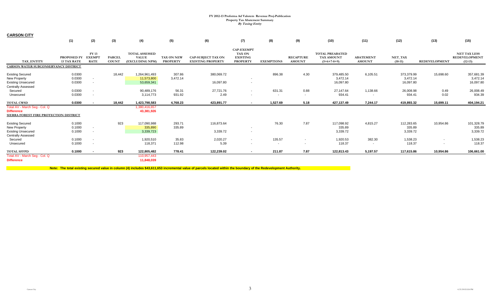**CARSON CITY**

|                                                                                                   | (1)                                      | (2)                                  | (3)                           | (4)                                                      | (5)                                  | (6)                                                   | (7)                                                               | (8)                                | (9)                                | (10)                                                  | (11)                               | (12)                                | (13)                 | (15)                                                     |
|---------------------------------------------------------------------------------------------------|------------------------------------------|--------------------------------------|-------------------------------|----------------------------------------------------------|--------------------------------------|-------------------------------------------------------|-------------------------------------------------------------------|------------------------------------|------------------------------------|-------------------------------------------------------|------------------------------------|-------------------------------------|----------------------|----------------------------------------------------------|
| <b>TAX ENTITY</b>                                                                                 | <b>PROPOSED FY</b><br><b>13 TAX RATE</b> | FY 13<br><b>EXEMP</b><br><b>RATE</b> | <b>PARCEL</b><br><b>COUNT</b> | <b>TOTAL ASSESSED</b><br><b>VALUE</b><br>(EXCLUDING NPM) | <b>TAX ON NEW</b><br><b>PROPERTY</b> | <b>CAP-SUBJECT TAX ON</b><br><b>EXISTING PROPERTY</b> | <b>CAP-EXEMPT</b><br>TAX ON<br><b>EXISTING</b><br><b>PROPERTY</b> | <b>EXEMPTIONS</b>                  | <b>RECAPTURE</b><br><b>AMOUNT</b>  | <b>TOTAL PREABATED</b><br>TAX AMOUNT<br>$(5+6+7-8+9)$ | <b>ABATEMENT</b><br><b>AMOUNT</b>  | NET_TAX<br>$(10-11)$                | <b>REDEVELOPMENT</b> | <b>NET TAX LESS</b><br><b>REDEVELOPMENT</b><br>$(12-13)$ |
| CARSON WATER SUBCONSERVANCY DISTRICT                                                              |                                          |                                      |                               |                                                          |                                      |                                                       |                                                                   |                                    |                                    |                                                       |                                    |                                     |                      |                                                          |
| <b>Existing Secured</b><br>New Property<br><b>Existing Unsecured</b><br><b>Centrally Assessed</b> | 0.0300<br>0.0300<br>0.0300               | $\sim$<br>$\sim$                     | 18,442                        | 1,264,961,493<br>11,573,800<br>53,659,341                | 307.86<br>3,472.14                   | 380,069.72<br>16,097.80                               | $\sim$                                                            | 896.38                             | 4.30                               | 379,485.50<br>3,472.14<br>16,097.80                   | 6,105.51                           | 373,379.99<br>3,472.14<br>16,097.80 | 15,698.60            | 357,681.39<br>3,472.14<br>16,097.80                      |
| Secured<br>Unsecured                                                                              | 0.0300<br>0.0300                         | $\sim$<br>$\sim$                     |                               | 90,489,176<br>3,114,773                                  | 56.31<br>931.92                      | 27,721.76<br>2.49                                     | $\sim$                                                            | 631.31<br>$\overline{\phantom{a}}$ | 0.88<br>$\sim$                     | 27,147.64<br>934.41                                   | 1,138.66                           | 26,008.98<br>934.41                 | 0.49<br>0.02         | 26,008.49<br>934.39                                      |
| <b>TOTAL CWSD</b>                                                                                 | 0.0300                                   | $\blacksquare$                       | 18,442                        | 1,423,798,583                                            | 4,768.23                             | 423,891.77                                            |                                                                   | 1,527.69                           | 5.18                               | 427,137.49                                            | 7,244.17                           | 419,893.32                          | 15,699.11            | 404,194.21                                               |
| Total AV - March Seg - Col. Q<br><b>Difference</b><br>SIERRA FOREST FIRE PROTECTION DISTRICT      |                                          |                                      |                               | 1,380,416,657<br>43,381,926                              |                                      |                                                       |                                                                   |                                    |                                    |                                                       |                                    |                                     |                      |                                                          |
| <b>Existing Secured</b><br>New Property<br><b>Existing Unsecured</b>                              | 0.1000<br>0.1000<br>0.1000               | $\sim$<br>$\sim$                     | 923                           | 117,090,988<br>335,890<br>3,339,723                      | 293.71<br>335.89                     | 116,873.64<br>3,339.72                                | $\sim$                                                            | 76.30                              | 7.87                               | 117,098.92<br>335.89<br>3,339.72                      | 4,815.27                           | 112,283.65<br>335.89<br>3,339.72    | 10,954.86            | 101,328.79<br>335.89<br>3,339.72                         |
| <b>Centrally Assessed</b><br>Secured<br>Unsecured                                                 | 0.1000<br>0.1000                         | $\sim$<br>$\sim$                     |                               | 1,920,510<br>118,371                                     | 35.83<br>112.98                      | 2,020.27<br>5.39                                      | $\sim$<br>$\sim$                                                  | 135.57<br>$\sim$                   | $\sim$<br>$\overline{\phantom{a}}$ | 1,920.53<br>118.37                                    | 382.30<br>$\overline{\phantom{a}}$ | 1,538.23<br>118.37                  |                      | 1,538.23<br>118.37                                       |
| <b>TOTAL SFFPD</b>                                                                                | 0.1000                                   | $\overline{\phantom{a}}$             | 923                           | 122,805,482                                              | 778.41                               | 122,239.02                                            | $\sim$                                                            | 211.87                             | 7.87                               | 122,813.43                                            | 5,197.57                           | 117,615.86                          | 10,954.86            | 106,661.00                                               |
| Total AV - March Seg - Col. Q<br><b>Difference</b>                                                |                                          |                                      |                               | 110,957,443<br>11,848,039                                |                                      |                                                       |                                                                   |                                    |                                    |                                                       |                                    |                                     |                      |                                                          |

**Note: The total existing secured value in column (4) includes \$43,611,653 incremental value of parcels located within the boundary of the Redevelopment Authority.**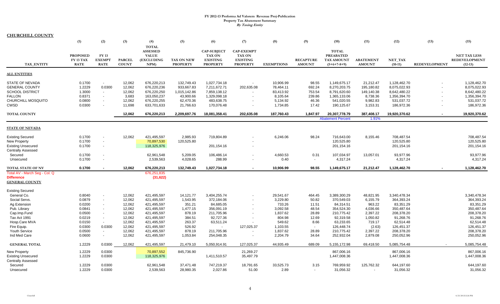| <u>CHURCHILL COUNTY</u>       |                 |                          |               |                   |                   |                          |                          |                   |                  |                          |                  |               |                      |                      |
|-------------------------------|-----------------|--------------------------|---------------|-------------------|-------------------|--------------------------|--------------------------|-------------------|------------------|--------------------------|------------------|---------------|----------------------|----------------------|
|                               | (1)             | (2)                      | (3)           | (4)               | (5)               | (6)                      | (7)                      | (8)               | (9)              | (10)                     | (11)             | (12)          | (13)                 | (15)                 |
|                               |                 |                          |               | <b>TOTAL</b>      |                   |                          |                          |                   |                  |                          |                  |               |                      |                      |
|                               |                 |                          |               | <b>ASSESSED</b>   |                   | <b>CAP-SUBJECT</b>       | <b>CAP-EXEMPT</b>        |                   |                  | <b>TOTAL</b>             |                  |               |                      |                      |
|                               | <b>PROPOSED</b> | <b>FY13</b>              |               | <b>VALUE</b>      |                   | <b>TAX ON</b>            | <b>TAX ON</b>            |                   |                  | <b>PREABATED</b>         |                  |               |                      | <b>NET TAX LESS</b>  |
|                               | FY 13 TAX       | <b>EXEMPT</b>            | <b>PARCEL</b> | <b>(EXCLUDING</b> | <b>TAX ON NEW</b> | <b>EXISTING</b>          | <b>EXISTING</b>          |                   | <b>RECAPTURE</b> | TAX AMOUNT               | <b>ABATEMENT</b> | NET TAX       |                      | <b>REDEVELOPMENT</b> |
| TAX_ENTITY                    | <b>RATE</b>     | <b>RATE</b>              | <b>COUNT</b>  | NPM)              | <b>PROPERTY</b>   | <b>PROPERTY</b>          | <b>PROPERTY</b>          | <b>EXEMPTIONS</b> | <b>AMOUNT</b>    | $(5+6+7-8+9)$            | <b>AMOUNT</b>    | $(10-11)$     | <b>REDEVELOPMENT</b> | $(12-13)$            |
| <b>ALL ENTITIES</b>           |                 |                          |               |                   |                   |                          |                          |                   |                  |                          |                  |               |                      |                      |
| <b>STATE OF NEVADA</b>        | 0.1700          | $\sim$                   | 12,062        | 676,220,213       | 132,749.43        | 1,027,734.18             |                          | 10,906.99         | 98.55            | 1,149,675.17             | 21,212.47        | 1,128,462.70  |                      | 1,128,462.70         |
| <b>GENERAL COUNTY</b>         | 1.2229          | 0.0300                   | 12,062        | 676,220,236       | 933,667.83        | 7,211,672.71             | 202,635.08               | 78,464.11         | 692.24           | 8,270,203.75             | 195,180.82       | 8,075,022.93  |                      | 8,075,022.93         |
| <b>SCHOOL DISTRICT</b>        | 1.3000          | $\overline{\phantom{a}}$ | 12,062        | 676,220,250       | 1,015,142.86      | 7,859,138.12             |                          | 83,413.92         | 753.54           | 8,791,620.60             | 149,140.38       | 8,642,480.22  |                      | 8,642,480.22         |
| <b>FALLON</b>                 | 0.8371          | $\overline{\phantom{a}}$ | 3,683         | 163,050,237       | 43,900.66         | 1,329,098.18             | $\overline{\phantom{a}}$ | 8,105.64          | 239.86           | 1,365,133.06             | 8,738.36         | 1,356,394.70  |                      | 1,356,394.70         |
| CHURCHILL MOSQUITO            | 0.0800          | $\blacksquare$           | 12,062        | 676,220,255       | 62,470.36         | 483,638.75               |                          | 5,134.92          | 46.36            | 541,020.55               | 9,982.83         | 531,037.72    |                      | 531,037.72           |
| <b>CWSD</b>                   | 0.0300          |                          | 11,698        | 633,701,633       | 21,766.63         | 170,076.48               | $\overline{\phantom{a}}$ | 1,734.85          | 17.42            | 190,125.67               | 3,153.31         | 186,972.36    |                      | 186,972.36           |
| <b>TOTAL COUNTY</b>           |                 |                          | 12,062        | 676,220,213       | 2,209,697.76      | 18,081,358.41            | 202,635.08               | 187,760.43        | 1,847.97         | 20,307,778.79            | 387,408.17       | 19,920,370.62 |                      | 19,920,370.62        |
|                               |                 |                          |               |                   |                   |                          |                          |                   |                  | <b>Abatement Percent</b> | 1.91%            |               |                      |                      |
|                               |                 |                          |               |                   |                   |                          |                          |                   |                  |                          |                  |               |                      |                      |
| <b>STATE OF NEVADA</b>        |                 |                          |               |                   |                   |                          |                          |                   |                  |                          |                  |               |                      |                      |
| <b>Existing Secured</b>       | 0.1700          |                          | 12,062        | 421,495,597       | 2,985.93          | 719,804.89               |                          | 6,246.06          | 98.24            | 716,643.00               | 8,155.46         | 708,487.54    |                      | 708,487.54           |
| New Property                  | 0.1700          |                          |               | 70,897,530        | 120,525.80        |                          |                          |                   |                  | 120,525.80               |                  | 120,525.80    |                      | 120,525.80           |
| <b>Existing Unsecured</b>     | 0.1700          | $\overline{\phantom{a}}$ |               | 118,325,976       |                   | 201,154.16               |                          |                   |                  | 201,154.16               |                  | 201,154.16    |                      | 201,154.16           |
| <b>Centrally Assessed</b>     |                 |                          |               |                   |                   |                          |                          |                   |                  |                          |                  |               |                      |                      |
| Secured                       | 0.1700          |                          |               | 62,961,548        | 5,209.05          | 106,486.14               |                          | 4,660.53          | 0.31             | 107,034.97               | 13,057.01        | 93,977.96     |                      | 93,977.96            |
| Unsecured                     | 0.1700          | $\blacksquare$           |               | 2,539,563         | 4,028.65          | 288.99                   | $\overline{\phantom{a}}$ | 0.40              | $\sim$           | 4,317.24                 | $\overline{a}$   | 4,317.24      |                      | 4,317.24             |
| <b>TOTAL STATE OF NV</b>      | 0.1700          |                          | 12,062        | 676,220,213       | 132,749.43        | 1,027,734.18             |                          | 10,906.99         | 98.55            | 1,149,675.17             | 21,212.47        | 1,128,462.70  |                      | 1,128,462.70         |
| Total AV - March Seg - Col. Q |                 |                          |               | 676,251,835       |                   |                          |                          |                   |                  |                          |                  |               |                      |                      |
| Difference                    |                 |                          |               | (31, 622)         |                   |                          |                          |                   |                  |                          |                  |               |                      |                      |
| <b>GENERAL COUNTY</b>         |                 |                          |               |                   |                   |                          |                          |                   |                  |                          |                  |               |                      |                      |
| <b>Existing Secured</b>       |                 |                          |               |                   |                   |                          |                          |                   |                  |                          |                  |               |                      |                      |
| General Co.                   | 0.8040          |                          | 12,062        | 421,495,597       | 14,121.77         | 3,404,255.74             |                          | 29,541.67         | 464.45           | 3,389,300.29             | 48,821.95        | 3,340,478.34  |                      | 3,340,478.34         |
| Social Servs.                 | 0.0879          | $\overline{\phantom{a}}$ | 12,062        | 421,495,597       | 1,543.95          | 372,184.06               |                          | 3,229.80          | 50.82            | 370,549.03               | 6,155.79         | 364,393.24    |                      | 364,393.24           |
| Ag Extension                  | 0.0200          | $\overline{\phantom{a}}$ | 12,062        | 421,495,597       | 351.21            | 84,685.05                |                          | 733.26            | 11.51            | 84,314.51                | 963.22           | 83,351.29     |                      | 83,351.29            |
| Pub. Library                  | 0.0841          |                          | 12,062        | 421,495,597       | 1,477.15          | 356,091.19               |                          | 3,092.58          | 48.54            | 354,524.30               | 4,036.66         | 350,487.64    |                      | 350,487.64           |
| Cap.Imp.Fund                  | 0.0500          | $\overline{\phantom{a}}$ | 12,062        | 421,495,597       | 878.19            | 211,705.96               |                          | 1,837.62          | 28.89            | 210,775.42               | 2,397.22         | 208,378.20    |                      | 208,378.20           |
| Tax Act 1991                  | 0.0219          | $\overline{\phantom{a}}$ | 12,062        | 421,495,597       | 384.51            | 92,727.36                |                          | 804.98            | 12.69            | 92,319.58                | 1,050.82         | 91,268.76     |                      | 91,268.76            |
| Hosp.Care MVA                 | 0.0150          | $\sim$                   | 12,062        | 421,495,597       | 263.37            | 63,511.24                |                          | 549.62            | 8.66             | 63,233.65                | 719.17           | 62,514.48     |                      | 62,514.48            |
| Fire Equip.                   | 0.0300          | 0.0300                   | 12,062        | 421,495,597       | 526.92            | $\overline{\phantom{a}}$ | 127,025.37               | 1,103.55          | $\sim$           | 126,448.74               | (2.63)           | 126,451.37    |                      | 126,451.37           |
| <b>Youth Service</b>          | 0.0500          | $\overline{\phantom{a}}$ | 12,062        | 421,495,597       | 878.19            | 211,705.96               |                          | 1,837.62          | 28.89            | 210,775.42               | 2,397.22         | 208,378.20    |                      | 208,378.20           |
| Ind Med Care                  | 0.0600          | $\sim$                   | 12,062        | 421,495,597       | 1,053.84          | 254,048.35               | $\overline{\phantom{a}}$ | 2,204.79          | 34.64            | 252,932.04               | 2,879.08         | 250,052.96    |                      | 250,052.96           |
|                               |                 |                          |               |                   |                   |                          |                          |                   |                  |                          |                  |               |                      |                      |
| <b>GENERAL TOTAL</b>          | 1.2229          | 0.0300                   | 12,062        | 421,495,597       | 21,479.10         | 5,050,914.91             | 127,025.37               | 44,935.49         | 689.09           | 5, 155, 172.98           | 69,418.50        | 5,085,754.48  |                      | 5,085,754.48         |
| <b>New Property</b>           | 1.2229          | 0.0300                   |               | 70,897,552        | 845,736.90        |                          | 21,269.27                |                   |                  | 867,006.16               |                  | 867,006.16    |                      | 867,006.16           |
| <b>Existing Unsecured</b>     | 1.2229          | 0.0300                   |               | 118,325,976       |                   | 1,411,510.57             | 35,497.79                |                   |                  | 1,447,008.36             |                  | 1,447,008.36  |                      | 1,447,008.36         |
| <b>Centrally Assessed</b>     |                 |                          |               |                   |                   |                          |                          |                   |                  |                          |                  |               |                      |                      |
| Secured                       | 1.2229          | 0.0300                   |               | 62,961,548        | 37,471.48         | 747,219.37               | 18,791.65                | 33,525.73         | 3.15             | 769,959.92               | 125,762.32       | 644,197.60    |                      | 644,197.60           |
| Unsecured                     | 1.2229          | 0.0300                   |               | 2,539,563         | 28,980.35         | 2,027.86                 | 51.00                    | 2.89              |                  | 31,056.32                |                  | 31,056.32     |                      | 31,056.32            |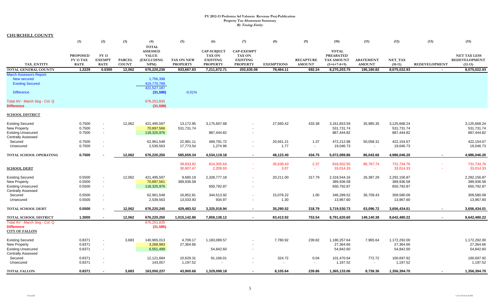| <b>CHURCHILL COUNTY</b>        |                                     |                          |               |                            |                       |                                  |                                  |                   |                                  |                                       |                          |                               |                      |                                             |
|--------------------------------|-------------------------------------|--------------------------|---------------|----------------------------|-----------------------|----------------------------------|----------------------------------|-------------------|----------------------------------|---------------------------------------|--------------------------|-------------------------------|----------------------|---------------------------------------------|
|                                | (1)                                 | (2)                      | (3)           | (4)                        | (5)                   | (6)                              | (7)                              | (8)               | (9)                              | (10)                                  | (11)                     | (12)                          | (13)                 | (15)                                        |
|                                |                                     |                          |               | <b>TOTAL</b>               |                       |                                  |                                  |                   |                                  |                                       |                          |                               |                      |                                             |
|                                |                                     |                          |               | <b>ASSESSED</b>            |                       | <b>CAP-SUBJECT</b>               | <b>CAP-EXEMPT</b>                |                   |                                  | <b>TOTAL</b>                          |                          |                               |                      |                                             |
|                                | <b>PROPOSED</b><br><b>FY 13 TAX</b> | FY 13<br><b>EXEMPT</b>   | <b>PARCEL</b> | <b>VALUE</b><br>(EXCLUDING | <b>TAX ON NEW</b>     | <b>TAX ON</b><br><b>EXISTING</b> | <b>TAX ON</b><br><b>EXISTING</b> |                   | <b>RECAPTURE</b>                 | <b>PREABATED</b><br><b>TAX AMOUNT</b> | <b>ABATEMENT</b>         | $\operatorname{\bf NET\_TAX}$ |                      | <b>NET TAX LESS</b><br><b>REDEVELOPMENT</b> |
| <b>TAX ENTITY</b>              | <b>RATE</b>                         | <b>RATE</b>              | <b>COUNT</b>  | NPM                        | <b>PROPERTY</b>       | <b>PROPERTY</b>                  | <b>PROPERTY</b>                  | <b>EXEMPTIONS</b> | <b>AMOUNT</b>                    | $(5+6+7-8+9)$                         | <b>AMOUNT</b>            | $(10-11)$                     | <b>REDEVELOPMENT</b> | $(12-13)$                                   |
| <b>TOTAL GENERAL COUNTY</b>    | 1.2229                              | 0.0300                   | 12,062        | 676,220,236                | 933,667.83            | 7,211,672.71                     | 202,635.08                       | 78,464.11         | 692.24                           | 8,270,203.75                          | 195,180.82               | 8,075,022.93                  | $\sim$               | 8,075,022.93                                |
| <b>March Assessors Report:</b> |                                     |                          |               |                            |                       |                                  |                                  |                   |                                  |                                       |                          |                               |                      |                                             |
| New secured                    |                                     |                          |               | 1,756,398                  |                       |                                  |                                  |                   |                                  |                                       |                          |                               |                      |                                             |
| <b>Existing Secured</b>        |                                     |                          |               | 419,770,789                |                       |                                  |                                  |                   |                                  |                                       |                          |                               |                      |                                             |
|                                |                                     |                          |               | 421,527,187                |                       |                                  |                                  |                   |                                  |                                       |                          |                               |                      |                                             |
| <b>Difference</b>              |                                     |                          |               | (31,590)                   | $-0.01%$              |                                  |                                  |                   |                                  |                                       |                          |                               |                      |                                             |
| Total AV - March Seg - Col. Q  |                                     |                          |               | 676,251,835                |                       |                                  |                                  |                   |                                  |                                       |                          |                               |                      |                                             |
| <b>Difference</b>              |                                     |                          |               | (31, 599)                  |                       |                                  |                                  |                   |                                  |                                       |                          |                               |                      |                                             |
| <b>SCHOOL DISTRICT</b>         |                                     |                          |               |                            |                       |                                  |                                  |                   |                                  |                                       |                          |                               |                      |                                             |
| <b>Existing Secured</b>        | 0.7500                              | $\overline{\phantom{a}}$ | 12,062        | 421,495,597                | 13,172.95             | 3,175,607.68                     | $\overline{\phantom{a}}$         | 27,560.42         | 433.38                           | 3,161,653.59                          | 35,985.35                | 3,125,668.24                  |                      | 3,125,668.24                                |
| New Property                   | 0.7500                              | $\blacksquare$           |               | 70,897,566                 | 531,731.74            |                                  |                                  |                   |                                  | 531,731.74                            |                          | 531,731.74                    |                      | 531,731.74                                  |
| <b>Existing Unsecured</b>      | 0.7500                              | $\overline{\phantom{a}}$ |               | 118,325,976                |                       | 887,444.82                       | $\overline{\phantom{a}}$         |                   |                                  | 887,444.82                            |                          | 887,444.82                    |                      | 887,444.82                                  |
| <b>Centrally Assessed</b>      |                                     |                          |               |                            |                       |                                  |                                  |                   |                                  |                                       |                          |                               |                      |                                             |
| Secured                        | 0.7500                              |                          |               | 62,961,548                 | 22,981.11             | 469,791.72                       | $\overline{\phantom{a}}$         | 20,561.21         | 1.37                             | 472,212.98                            | 50,058.31                | 422,154.67                    |                      | 422,154.67                                  |
| Unsecured                      | 0.7500                              |                          |               | 2,539,563                  | 17,773.54             | 1,274.96                         | $\overline{\phantom{a}}$         | 1.77              | $\sim$                           | 19,046.73                             | $\overline{\phantom{a}}$ | 19,046.73                     |                      | 19,046.73                                   |
| TOTAL SCHOOL OPERATING         | 0.7500                              |                          | 12,062        | 676,220,250                | 585,659.34            | 4,534,119.18                     | $\sim$                           | 48,123.40         | 434.75                           | 5,072,089.86                          | 86,043.66                | 4,986,046.20                  | $\sim$               | 4,986,046.20                                |
|                                |                                     |                          |               |                            | 39,833.92             | 814,305.64                       | $\sim$                           | 35,639.43         | 2.37                             | 818,502.50                            | 86,767.74                | 731,734.76                    |                      | 731,734.76                                  |
| <b>SCHOOL DEBT</b>             |                                     |                          |               |                            | 30,807.47             | 2,209.93                         | $\sim$                           | 3.07              | $\sim$                           | 33,014.33                             | $\sim$                   | 33,014.33                     |                      | 33,014.33                                   |
| <b>Existing Secured</b>        | 0.5500                              | $\overline{\phantom{a}}$ | 12,062        | 421,495,597                | 9,660.19              | 2,328,777.18                     | $\overline{\phantom{a}}$         | 20,211.00         | 317.79                           | 2,318,544.16                          | 26,387.29                | 2,292,156.87                  |                      | 2,292,156.87                                |
| New Property                   | 0.5500                              | $\overline{\phantom{a}}$ |               | 70,897,561                 | 389,936.58            |                                  |                                  |                   |                                  | 389,936.58                            |                          | 389,936.58                    |                      | 389,936.58                                  |
| <b>Existing Unsecured</b>      | 0.5500                              | $\sim$                   |               | 118,325,976                |                       | 650,792.87                       | $\blacksquare$                   |                   |                                  | 650,792.87                            |                          | 650,792.87                    |                      | 650,792.87                                  |
| <b>Centrally Assessed</b>      |                                     |                          |               |                            |                       |                                  |                                  |                   |                                  |                                       |                          |                               |                      |                                             |
| Secured                        | 0.5500                              | $\overline{\phantom{a}}$ |               | 62,961,548                 | 16,852.81             | 344,513.92                       | $\blacksquare$                   | 15,078.22         | 1.00                             | 346,289.52                            | 36,709.43                | 309,580.09                    |                      | 309,580.09                                  |
| Unsecured                      | 0.5500                              | $\overline{\phantom{a}}$ |               | 2,539,563                  | 13,033.93             | 934.97                           | $\overline{\phantom{a}}$         | 1.30              | $\sim$                           | 13,967.60                             | $\overline{\phantom{a}}$ | 13,967.60                     |                      | 13,967.60                                   |
| TOTAL SCHOOL DEBT              | 0.5500                              |                          | 12,062        | 676,220,245                | 429,483.52            | 3,325,018.94                     | $\sim$                           | 35,290.52         | 318.79                           | 3,719,530.73                          | 63,096.72                | 3,656,434.01                  |                      | 3,656,434.01                                |
| TOTAL SCHOOL DISTRICT          | 1.3000                              |                          | 12,062        | 676,220,250                | 1,015,142.86          | 7,859,138.12                     | $\sim$                           | 83,413.92         | 753.54                           | 8,791,620.60                          | 149,140.38               | 8,642,480.22                  |                      | 8,642,480.22                                |
| Total AV - March Seg - Col. Q  |                                     |                          |               | 676,251,835                |                       |                                  |                                  |                   |                                  |                                       |                          |                               |                      |                                             |
| <b>Difference</b>              |                                     |                          |               | (31, 585)                  |                       |                                  |                                  |                   |                                  |                                       |                          |                               |                      |                                             |
| <b>CITY OF FALLON</b>          |                                     |                          |               |                            |                       |                                  |                                  |                   |                                  |                                       |                          |                               |                      |                                             |
| <b>Existing Secured</b>        | 0.8371                              | $\overline{\phantom{a}}$ | 3,683         | 140,965,013                | 4,709.17              | 1,183,089.57                     | $\overline{\phantom{a}}$         | 7,780.92          | 239.82                           | 1,180,257.64                          | 7,965.64                 | 1,172,292.00                  |                      | 1,172,292.00                                |
| New Property                   | 0.8371                              |                          |               | 3,268,983                  | 27,364.66             |                                  |                                  |                   |                                  | 27,364.66                             |                          | 27,364.66                     |                      | 27,364.66                                   |
| <b>Existing Unsecured</b>      | 0.8371                              | $\overline{\phantom{a}}$ |               | 6,551,499                  |                       | 54,842.60                        | $\blacksquare$                   |                   |                                  | 54,842.60                             |                          | 54,842.60                     |                      | 54,842.60                                   |
| <b>Centrally Assessed</b>      |                                     |                          |               |                            |                       |                                  |                                  |                   |                                  |                                       | 772.72                   |                               |                      |                                             |
| Secured<br>Unsecured           | 0.8371<br>0.8371                    | $\overline{\phantom{a}}$ |               | 12,121,684<br>143,057      | 10,629.31<br>1,197.52 | 91,166.01                        | $\blacksquare$                   | 324.72            | 0.04<br>$\overline{\phantom{a}}$ | 101,470.64<br>1,197.52                | $\overline{\phantom{a}}$ | 100,697.92<br>1,197.52        |                      | 100,697.92<br>1,197.52                      |
|                                |                                     |                          |               |                            |                       |                                  |                                  |                   |                                  |                                       |                          |                               |                      |                                             |
| <b>TOTAL FALLON</b>            | 0.8371                              |                          | 3,683         | 163,050,237                | 43,900.66             | 1,329,098.18                     |                                  | 8,105.64          | 239.86                           | 1,365,133.06                          | 8,738.36                 | 1,356,394.70                  |                      | 1,356,394.70                                |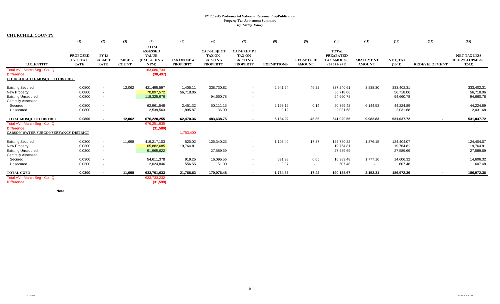**CHURCHILL COUNTY**

|                                      | (1)                      | (2)                          | (3)                           | (4)                                             | (5)                                  | (6)                                | (7)                                | (8)               | (9)                               | (10)                               | (11)                              | (12)                 | (13)                 | (15)                              |
|--------------------------------------|--------------------------|------------------------------|-------------------------------|-------------------------------------------------|--------------------------------------|------------------------------------|------------------------------------|-------------------|-----------------------------------|------------------------------------|-----------------------------------|----------------------|----------------------|-----------------------------------|
|                                      | <b>PROPOSED</b>          | <b>FY 13</b>                 |                               | <b>TOTAL</b><br><b>ASSESSED</b><br><b>VALUE</b> |                                      | CAP-SUBJECT<br><b>TAX ON</b>       | <b>CAP-EXEMPT</b><br><b>TAX ON</b> |                   |                                   | <b>TOTAL</b><br><b>PREABATED</b>   |                                   |                      |                      | <b>NET TAX LESS</b>               |
| TAX ENTITY                           | FY 13 TAX<br><b>RATE</b> | <b>EXEMPT</b><br><b>RATE</b> | <b>PARCEL</b><br><b>COUNT</b> | <b>(EXCLUDING</b><br>NPM                        | <b>TAX ON NEW</b><br><b>PROPERTY</b> | <b>EXISTING</b><br><b>PROPERTY</b> | <b>EXISTING</b><br><b>PROPERTY</b> | <b>EXEMPTIONS</b> | <b>RECAPTURE</b><br><b>AMOUNT</b> | <b>TAX AMOUNT</b><br>$(5+6+7-8+9)$ | <b>ABATEMENT</b><br><b>AMOUNT</b> | NET TAX<br>$(10-11)$ | <b>REDEVELOPMENT</b> | <b>REDEVELOPMENT</b><br>$(12-13)$ |
| Total AV - March Seg - Col. Q        |                          |                              |                               | 163,080,734                                     |                                      |                                    |                                    |                   |                                   |                                    |                                   |                      |                      |                                   |
| <b>Difference</b>                    |                          |                              |                               | (30, 497)                                       |                                      |                                    |                                    |                   |                                   |                                    |                                   |                      |                      |                                   |
| CHURCHILL CO. MOSQUITO DISTRICT      |                          |                              |                               |                                                 |                                      |                                    |                                    |                   |                                   |                                    |                                   |                      |                      |                                   |
| <b>Existing Secured</b>              | 0.0800                   | $\sim$                       | 12,062                        | 421,495,597                                     | 1,405.11                             | 338,730.82                         | $\overline{\phantom{0}}$           | 2,941.54          | 46.22                             | 337,240.61                         | 3,838.30                          | 333,402.31           |                      | 333,402.31                        |
| <b>New Property</b>                  | 0.0800                   | $\sim$                       |                               | 70,897,572                                      | 56,718.06                            |                                    | $\sim$                             |                   |                                   | 56,718.06                          |                                   | 56,718.06            |                      | 56,718.06                         |
| <b>Existing Unsecured</b>            | 0.0800                   | $\sim$                       |                               | 118,325,976                                     |                                      | 94,660.78                          | $\overline{\phantom{a}}$           |                   |                                   | 94,660.78                          |                                   | 94,660.78            |                      | 94,660.78                         |
| <b>Centrally Assessed</b>            |                          |                              |                               |                                                 |                                      |                                    |                                    |                   |                                   |                                    |                                   |                      |                      |                                   |
| Secured                              | 0.0800                   | $\sim$                       |                               | 62,961,548                                      | 2,451.32                             | 50,111.15                          | $\sim$                             | 2,193.19          | 0.14                              | 50,369.42                          | 6,144.53                          | 44,224.89            |                      | 44,224.89                         |
| Unsecured                            | 0.0800                   |                              |                               | 2,539,563                                       | 1,895.87                             | 136.00                             | $\overline{\phantom{a}}$           | 0.19              | $\overline{a}$                    | 2,031.68                           | $\overline{\phantom{a}}$          | 2,031.68             |                      | 2,031.68                          |
| TOTAL MOSQUITO DISTRICT              | 0.0800                   |                              | 12,062                        | 676,220,255                                     | 62,470.36                            | 483,638.75                         | $\sim$                             | 5,134.92          | 46.36                             | 541,020.55                         | 9,982.83                          | 531,037.72           |                      | 531,037.72                        |
| Total AV - March Seg - Col. Q        |                          |                              |                               | 676,251,835                                     |                                      |                                    |                                    |                   |                                   |                                    |                                   |                      |                      |                                   |
| <b>Difference</b>                    |                          |                              |                               | (31,580)                                        |                                      |                                    |                                    |                   |                                   |                                    |                                   |                      |                      |                                   |
| CARSON WATER SUBCONSERVANCY DISTRICT |                          |                              |                               |                                                 | 1,753,400                            |                                    |                                    |                   |                                   |                                    |                                   |                      |                      |                                   |
| <b>Existing Secured</b>              | 0.0300                   | $\sim$                       | 11,698                        | 419,217,103                                     | 526.02                               | 126,340.23                         | $\overline{\phantom{a}}$           | 1,103.40          | 17.37                             | 125,780.22                         | 1,376.15                          | 124,404.07           |                      | 124,404.07                        |
| <b>New Property</b>                  | 0.0300                   | $\sim$                       |                               | 65,882,685                                      | 19,764.81                            |                                    |                                    |                   |                                   | 19,764.81                          |                                   | 19,764.81            |                      | 19,764.81                         |
| <b>Existing Unsecured</b>            | 0.0300                   | $\overline{\phantom{a}}$     |                               | 91,965,622                                      |                                      | 27,589.69                          | $\overline{\phantom{a}}$           |                   |                                   | 27,589.69                          |                                   | 27,589.69            |                      | 27,589.69                         |
| <b>Centrally Assessed</b>            |                          |                              |                               |                                                 |                                      |                                    |                                    |                   |                                   |                                    |                                   |                      |                      |                                   |
| Secured                              | 0.0300                   | $\overline{\phantom{a}}$     |                               | 54,611,378                                      | 919.25                               | 16,095.56                          | $\sim$                             | 631.38            | 0.05                              | 16,383.48                          | 1,777.16                          | 14,606.32            |                      | 14,606.32                         |
| Unsecured                            | 0.0300                   | $\sim$                       |                               | 2,024,846                                       | 556.55                               | 51.00                              | $\overline{\phantom{a}}$           | 0.07              | $\sim$                            | 607.48                             | $\overline{\phantom{a}}$          | 607.48               |                      | 607.48                            |
| <b>TOTAL CWSD</b>                    | 0.0300                   |                              | 11,698                        | 633,701,633                                     | 21,766.63                            | 170,076.48                         | $\sim$                             | 1,734.85          | 17.42                             | 190,125.67                         | 3,153.31                          | 186,972.36           |                      | 186,972.36                        |
| Total AV - March Seg - Col. Q        |                          |                              |                               | 633,733,232                                     |                                      |                                    |                                    |                   |                                   |                                    |                                   |                      |                      |                                   |
| <b>Difference</b>                    |                          |                              |                               | (31, 599)                                       |                                      |                                    |                                    |                   |                                   |                                    |                                   |                      |                      |                                   |

**Note:**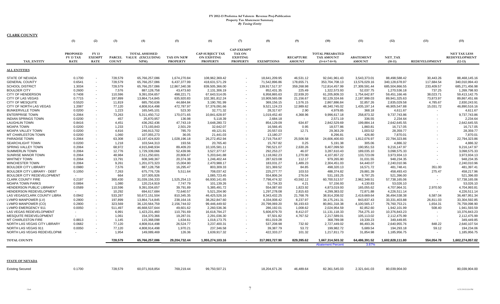| <b>CLARK COUNTY</b>                |                                             |                                             |                               |                                                          |                               |                                                                 |                                                                          |                   |                                   |                                                              |                                   |                      |                          |                                                   |
|------------------------------------|---------------------------------------------|---------------------------------------------|-------------------------------|----------------------------------------------------------|-------------------------------|-----------------------------------------------------------------|--------------------------------------------------------------------------|-------------------|-----------------------------------|--------------------------------------------------------------|-----------------------------------|----------------------|--------------------------|---------------------------------------------------|
|                                    | (1)                                         | (2)                                         | (3)                           | (4)                                                      | (5)                           | (6)                                                             | (7)                                                                      | (8)               | (9)                               | (10)                                                         | (11)                              | (12)                 | (13)                     | (15)                                              |
| TAX ENTITY                         | <b>PROPOSED</b><br>FY 13 TAX<br><b>RATE</b> | <b>FY13</b><br><b>EXEMPT</b><br><b>RATE</b> | <b>PARCEL</b><br><b>COUNT</b> | <b>TOTAL ASSESSED</b><br><b>VALUE (EXCLUDING</b><br>NPM) | TAX ON NEW<br><b>PROPERTY</b> | <b>CAP-SUBJECT TAX</b><br><b>ON EXISTING</b><br><b>PROPERTY</b> | <b>CAP-EXEMPT</b><br><b>TAX ON</b><br><b>EXISTING</b><br><b>PROPERTY</b> | <b>EXEMPTIONS</b> | <b>RECAPTURE</b><br><b>AMOUNT</b> | <b>TOTAL PREABATED</b><br><b>TAX AMOUNT</b><br>$(5+6+7-8+9)$ | <b>ABATEMENT</b><br><b>AMOUNT</b> | NET TAX<br>$(10-11)$ | <b>REDEVELOPMENT</b>     | <b>NET TAX LESS</b><br>REDEVELOPMENT<br>$(12-13)$ |
|                                    |                                             |                                             |                               |                                                          |                               |                                                                 |                                                                          |                   |                                   |                                                              |                                   |                      |                          |                                                   |
| <b>ALL ENTITIES</b>                |                                             |                                             |                               |                                                          |                               |                                                                 |                                                                          |                   |                                   |                                                              |                                   |                      |                          |                                                   |
| STATE OF NEVADA                    | 0.1700                                      |                                             | 728,579                       | 65,766,257,086                                           | 1,674,270.84                  | 108,962,369.42                                                  |                                                                          | 18,641,209.95     | 46,531.12                         | 92,041,961.43                                                | 3,543,373.01                      | 88,498,588.42        | 30,443.26                | 88,468,145.16                                     |
| <b>GENERAL COUNTY</b>              | 0.6541                                      |                                             | 728,579                       | 65,766,257,086                                           | 6,437,377.99                  | 418,631,571.29                                                  |                                                                          | 71,542,896.86     | 178,655.71                        | 353,704,708.13                                               | 13,576,029.16                     | 340,128,678.97       | 117,684.54               | 340,010,994.43                                    |
| <b>SCHOOL DISTRICT</b>             | 1.3034                                      | $\sim$                                      | 728,579                       | 65,766,257,086                                           | 12,867,340.38                 | 839,505,366.00                                                  |                                                                          | 139,917,517.37    | 359,268.98                        | 712,814,457.99                                               | 27,309,591.44                     | 685,504,866.55       | 233,409.57               | 685,271,456.98                                    |
| <b>BOULDER CITY</b>                | 0.2600                                      | $\sim$                                      | 7,576                         | 887,128,758                                              | 43,473.60                     | 2,131,306.19                                                    |                                                                          | 852,431.35        | 225.49                            | 1,322,573.93                                                 | 52,037.75                         | 1,270,536.18         | 737.25                   | 1,269,798.93                                      |
| <b>CITY OF HENDERSON</b>           | 0.7408                                      | $\sim$                                      | 110,596                       | 9,391,034,657                                            | 498,221.71                    | 67,643,514.05                                                   |                                                                          | 6,958,865.63      | 22,939.20                         | 61,205,809.33                                                | 1,754,642.87                      | 59,451,166.46        | 38,023.71                | 59,413,142.75                                     |
| CITY OF LAS VEGAS                  | 0.7715                                      | $\sim$                                      | 197,899                       | 13,864,714,845                                           | 635,920.83                    | 102,381,812.24                                                  |                                                                          | 10,909,565.08     | 21,156.67                         | 92,129,324.66                                                | 2,187,999.03                      | 89,941,325.63        | 73,873.97                | 89,867,451.66                                     |
| <b>CITY OF MESQUITE</b>            | 0.5520                                      | $\overline{\phantom{a}}$                    | 11,819                        | 685,750,636                                              | 44,684.84                     | 3,190,781.99                                                    |                                                                          | 369,156.15        | 1.576.15                          | 2,867,886.84                                                 | 32,857.26                         | 2,835,029.58         | 4,785.67                 | 2,830,243.91                                      |
| CITY OF NORTH LAS VEGAS            | 1.2087                                      | $\sim$                                      | 77,120                        | 4,808,914,498                                            | 472,787.97                    | 57,376,091.66                                                   |                                                                          | 9,521,124.23      | 12,989.62                         | 48,340,745.02                                                | 1,435,197.14                      | 46,905,547.88        | 15,031.72                | 46,890,516.16                                     |
| <b>BUNKERVILLE TOWN</b>            | 0.0200                                      | $\sim$                                      | 1,223                         | 165,545,101                                              | 523.30                        | 32,771.32                                                       |                                                                          | 28,317.67         | 2.90                              | 4,979.85                                                     | 368.18                            | 4,611.67             |                          | 4,611.67                                          |
| <b>ENTERPRISE TOWN</b>             | 0.2064                                      | $\sim$                                      | 73,263                        | 5,311,450,712                                            | 170,071.65                    | 10,841,628.97                                                   |                                                                          | 1,019,452.40      | 4,368.96                          | 9,996,617.18                                                 | 258,873.32                        | 9,737,743.86         |                          | 9,737,743.86                                      |
| <b>INDIAN SPRINGS TOWN</b>         | 0.0200                                      | $\sim$                                      | 457                           | 25,870,957                                               | 136.98                        | 5,118.39                                                        |                                                                          | 2,684.18          | $\sim$                            | 2,571.19                                                     | 336.55                            | 2,234.64             |                          | 2,234.64                                          |
| <b>LAUGHLIN TOWN</b>               | 0.8416                                      |                                             | 4.451                         | 436,262,436                                              | 47,743.19                     | 3,648,280.72                                                    |                                                                          | 854,129.09        | 634.87                            | 2,842,529.69                                                 | 199,884.14                        | 2,642,645.55         |                          | 2,642,645.55                                      |
| MOAPA TOWN                         | 0.0200                                      | $\sim$                                      | 1,233                         | 173,193,843                                              | 2,501.29                      | 32,642.07                                                       |                                                                          | 16,566.45         | 0.95                              | 18,577.86                                                    | 1,860.81                          | 16,717.05            |                          | 16,717.05                                         |
| MOAPA VALLEY TOWN                  | 0.0200                                      | $\sim$                                      | 4,816                         | 246,913,702                                              | 785.70                        | 49,121.91                                                       |                                                                          | 20,557.03         | 12.71                             | 29,363.29                                                    | 1,003.52                          | 28,359.77            |                          | 28,359.77                                         |
| MT CHARLESTON TOWN                 | 0.0200                                      | $\sim$                                      | 1,060                         | 107,055,273                                              | 36.05                         | 21,441.03                                                       |                                                                          | 13,180.27         |                                   | 8,296.81                                                     | 426.80                            | 7,870.01             |                          | 7,870.01                                          |
| PARADISE TOWN                      | 0.2064                                      | $\sim$                                      | 63,308                        | 13,197,424,820                                           | 1,028,196.18                  | 26,272,452.94                                                   |                                                                          | 2,719,754.87      | 25,506.58                         | 24,606,400.83                                                | 1,812,076.97                      | 22,794,323.86        |                          | 22,794,323.86                                     |
| <b>SEARCHLIGHT TOWN</b>            | 0.0200                                      | $\sim$                                      | 1,218                         | 103,544,313                                              | 193.56                        | 20,765.40                                                       |                                                                          | 15,767.82         | 0.25                              | 5,191.38                                                     | 305.06                            | 4,886.32             |                          | 4,886.32                                          |
| SPRING VALLEY TOWN                 | 0.2064                                      | $\sim$                                      | 68,972                        | 4,915,848,934                                            | 89,409.20                     | 10,105,581.11                                                   |                                                                          | 790,521.07        | 2,630.26                          | 9,407,099.50                                                 | 190,951.53                        | 9,216,147.97         |                          | 9,216,147.97                                      |
| <b>SUMMERLIN TOWN</b>              | 0.2064                                      | $\sim$                                      | 12,776                        | 1,729,339,066                                            | 52,439.96                     | 3,527,377.67                                                    |                                                                          | 292,253.27        | 46.07                             | 3,287,610.43                                                 | 189,035.10                        | 3,098,575.33         |                          | 3,098,575.33                                      |
| <b>SUNRISE MANOR TOWN</b>          | 0.2064                                      | $\sim$                                      | 48,984                        | 2,511,250,601                                            | 20,806.67                     | 5,203,641.88                                                    |                                                                          | 1,118,062.23      | 1.270.90                          | 4,107,657.22                                                 | 133,723.09                        | 3,973,934.13         |                          | 3,973,934.13                                      |
| <b>WHITNEY TOWN</b>                | 0.2064                                      |                                             | 13,791                        | 608,349,367                                              | 20,374.38                     | 1,246,402.44                                                    |                                                                          | 287,623.08        | 112.17                            | 979,265.90                                                   | 31,031.55                         | 948,234.35           |                          | 948,234.35                                        |
| <b>WINCHESTER TOWN</b>             | 0.2064                                      | $\overline{\phantom{a}}$                    | 9,261                         | 1,201,073,323                                            | 15,004.90                     | 2,470,988.17                                                    |                                                                          | 183,031.27        | 1,489.23                          | 2,304,451.03                                                 | 64,440.07                         | 2,240,010.96         | $\sim$                   | 2,240,010.96                                      |
| <b>BOULDER CITY LIBRARY</b>        | 0.0980                                      | $\sim$                                      | 7,576                         | 887,128,758                                              | 16,295.47                     | 803,309.33                                                      |                                                                          | 321,369.52        | 84.85                             | 498,320.13                                                   | 16,571.72                         | 481,748.41           | 351.00                   | 481,397.41                                        |
| <b>BOULDER CITY LIBRARY - DEBT</b> | 0.1050                                      |                                             | 7,263                         | 675,776,726                                              | 5,511.64                      | 708,037.42                                                      |                                                                          | 225,277.77        | 103.53                            | 488,374.82                                                   | 29,881.39                         | 458,493.43           | 275.47                   | 458,217.96                                        |
| BOULDER CITY REDEVELOPMENT         | $\sim$                                      |                                             | 664                           | 107,005,926                                              |                               | 1,085,723.45                                                    |                                                                          | 554,806.24        | 276.04                            | 531,193.25                                                   | 9,797.25                          | 521,396.00           |                          | 521,396.00                                        |
| <b>CLARK COUNTY FIRE</b>           | 0.2197                                      |                                             | 300,430                       | 31,039,156,333                                           | 1,525,254.13                  | 66,930,141.65                                                   |                                                                          | 7,798,474.32      | 43,592.12                         | 60,700,513.57                                                | 2,962,348.51                      | 57,738,165.06        |                          | 57,738,165.06                                     |
| <b>MOAPA TOWN PARKS</b>            | 0.0894                                      | $\sim$                                      | 1,080                         | 120,214,919                                              | 7,747.79                      | 101,139.26                                                      |                                                                          | 51,734.33         | 4.21                              | 57,156.93                                                    | 4,130.83                          | 53,026.10            | $\overline{\phantom{a}}$ | 53,026.10                                         |
| HENDERSON PUBLIC LIBRARY           | 0.0589                                      | $\sim$                                      | 110,596                       | 9,391,034,657                                            | 39,791.89                     | 5,385,491.72                                                    |                                                                          | 554,087.60        | 1,823.92                          | 4,873,019.93                                                 | 165,055.62                        | 4,707,964.31         | 2,970.50                 | 4,704,993.81                                      |
| HENDERSON REDEVELOPMENT            | $\sim$                                      |                                             | 10,292                        | 694,617,684                                              | 72,640.57                     | 5,521,204.90                                                    |                                                                          | 1,297,278.08      | 2,815.63                          | 4,299,383.02                                                 | 72,871.88                         | 4,226,511.14         |                          | 4,226,511.14                                      |
| LAS VEGAS/CLARK COUNTY LIBRA       | 0.0942                                      | $\overline{\phantom{a}}$                    | 533,287                       | 50,672,151,504                                           | 810,345.35                    | 46,425,526.16                                                   |                                                                          | 8,343,432.25      | 21,768.76                         | 38,914,208.02                                                | 2,419,669.64                      | 36,494,538.38        | 6,587.04                 | 36,487,951.34                                     |
| LVMPD MANPOWER (LV)                | 0.2800                                      |                                             | 197,899                       | 13,864,714,845                                           | 238,164.16                    | 38,262,847.60                                                   |                                                                          | 4,334,008.42      | 8,237.97                          | 34, 175, 241. 31                                             | 843,837.43                        | 33,331,403.88        | 26,811.03                | 33,304,592.85                                     |
| LVMPD MANPOWER (CO)                | 0.2800                                      | $\sim$                                      | 323,569                       | 36,120,564,759                                           | 2,156,744.02                  | 99,446,449.92                                                   |                                                                          | 20,798,069.20     | 56,193.63                         | 80,861,318.38                                                | 4,100,565.17                      | 76,760,753.21        | 1,654.31                 | 76,759,098.90                                     |
| LVMPD EMERGENCY 911                | 0.0050                                      | $\sim$                                      | 511,497                       | 46,668,537,644                                           | 49,601.62                     | 2,260,536.36                                                    |                                                                          | 286,192.01        | 1,008.62                          | 2,024,954.59                                                 | 82,852.60                         | 1,942,101.99         | 508.40                   | 1,941,593.59                                      |
| LAS VEGAS REDEVELOPMENT            | $\sim$                                      | $\sim$                                      | 6,991                         | 1,423,231,460                                            | 110,791.69                    | 16,618,794.27                                                   |                                                                          | 5,606,879.70      | 8,412.07                          | 11,131,118.33                                                | 754,275.10                        | 10,376,843.23        |                          | 10,376,843.23                                     |
| MESQUITE REDEVELOPMENT             |                                             |                                             | 1,061                         | 154,370,366                                              | 19,287.01                     | 2,291,036.30                                                    |                                                                          | 97,501.82         | 4,767.52                          | 2,217,589.01                                                 | 105,113.02                        | 2,112,475.99         |                          | 2,112,475.99                                      |
| <b>MT CHARLESTON FIRE</b>          | 0.8813                                      |                                             | 1,145                         | 115,368,098                                              | 1,634.61                      | 1,018,173.75                                                    |                                                                          | 651,019.28        | $\sim$                            | 368,789.08                                                   | 19,339.23                         | 349,449.85           |                          | 349,449.85                                        |
| NORTH LAS VEGAS CITY LIBRARY       | 0.0682                                      | $\sim$                                      | 77,120                        | 4,808,914,498                                            | 26,524.77                     | 3,237,400.31                                                    |                                                                          | 537,208.98        | 732.92                            | 2,727,449.02                                                 | 86,493.26                         | 2,640,955.76         | 848.22                   | 2,640,107.54                                      |
| NORTH LAS VEGAS 911                | 0.0050                                      |                                             | 77,120                        | 4,808,914,498                                            | 1,970.21                      | 237,346.58                                                      |                                                                          | 39,387.79         | 53.72                             | 199,982.72                                                   | 5,689.54                          | 194,293.18           | 59.12                    | 194,234.06                                        |
| NORTH LAS VEGAS REDEVELOPME        | $\sim$                                      |                                             | 1,954                         | 149,089,469                                              | 126.36                        | 1,639,917.32                                                    |                                                                          | 422,333.27        | 101.32                            | 1,217,811.73                                                 | 31,854.98                         | 1,185,956.75         | $\sim$                   | 1,185,956.75                                      |
| <b>TOTAL COUNTY</b>                |                                             |                                             | 728,579                       | 65,766,257,086                                           | 29,204,732.44                 | 1,955,274,103.16                                                |                                                                          | 317,993,727.90    | 829,395.62                        | 1,667,314,503.32                                             | 64,486,391.52                     | 1,602,828,111.80     | 554,054.78               | 1,602,274,057.02                                  |
|                                    |                                             |                                             |                               |                                                          |                               |                                                                 |                                                                          |                   |                                   | <b>Abatement Percent</b>                                     | 3.87%                             |                      |                          |                                                   |
|                                    |                                             |                                             |                               |                                                          |                               |                                                                 |                                                                          |                   |                                   |                                                              |                                   |                      |                          |                                                   |

**STATE OF NEVADA**

| <b>Existing Secured</b> | 0.1700 | 728,579 | 60,071,918,854 769,219.44 | 99,750,507.21 |  | 18,204,671.26  46,489.64  82,361,545.03  2,321,641.03  80,039,904.00 |  | 80,039,904.00 |
|-------------------------|--------|---------|---------------------------|---------------|--|----------------------------------------------------------------------|--|---------------|
|                         |        |         |                           |               |  |                                                                      |  |               |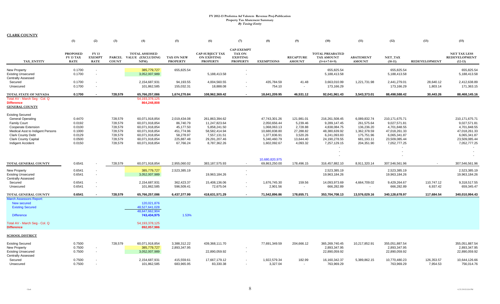|                                                                                                                                                                                                                       | (1)                                                                | (2)                                                  | (3)                                                                       | (4)                                                                                                                        | (5)                                                                                          | (6)                                                                                                               | (7)                                                                      | (8)                                                                                                            | (9)                                                                                  | (10)                                                                                                             | (11)                                                                                               | (12)                                                                                                                | (13)                   | (15)                                                                                                                |
|-----------------------------------------------------------------------------------------------------------------------------------------------------------------------------------------------------------------------|--------------------------------------------------------------------|------------------------------------------------------|---------------------------------------------------------------------------|----------------------------------------------------------------------------------------------------------------------------|----------------------------------------------------------------------------------------------|-------------------------------------------------------------------------------------------------------------------|--------------------------------------------------------------------------|----------------------------------------------------------------------------------------------------------------|--------------------------------------------------------------------------------------|------------------------------------------------------------------------------------------------------------------|----------------------------------------------------------------------------------------------------|---------------------------------------------------------------------------------------------------------------------|------------------------|---------------------------------------------------------------------------------------------------------------------|
| TAX_ENTITY                                                                                                                                                                                                            | <b>PROPOSED</b><br>FY 13 TAX<br><b>RATE</b>                        | FY 13<br><b>EXEMPT</b><br><b>RATE</b>                | <b>PARCEL</b><br><b>COUNT</b>                                             | <b>TOTAL ASSESSED</b><br><b>VALUE (EXCLUDING</b><br>NPM)                                                                   | <b>TAX ON NEW</b><br><b>PROPERTY</b>                                                         | <b>CAP-SUBJECT TAX</b><br><b>ON EXISTING</b><br><b>PROPERTY</b>                                                   | <b>CAP-EXEMPT</b><br><b>TAX ON</b><br><b>EXISTING</b><br><b>PROPERTY</b> | <b>EXEMPTIONS</b>                                                                                              | <b>RECAPTURE</b><br><b>AMOUNT</b>                                                    | <b>TOTAL PREABATED</b><br>TAX AMOUNT<br>$(5+6+7-8+9)$                                                            | <b>ABATEMENT</b><br><b>AMOUNT</b>                                                                  | <b>NET_TAX</b><br>$(10-11)$                                                                                         | <b>REDEVELOPMENT</b>   | <b>NET TAX LESS</b><br><b>REDEVELOPMENT</b><br>$(12-13)$                                                            |
| New Property<br><b>Existing Unsecured</b><br><b>Centrally Assessed</b>                                                                                                                                                | 0.1700<br>0.1700                                                   | $\sim$<br>$\sim$                                     |                                                                           | 385,779,727<br>3,052,007,989                                                                                               | 655,825.54                                                                                   | 5,188,413.58                                                                                                      |                                                                          |                                                                                                                |                                                                                      | 655.825.54<br>5,188,413.58                                                                                       |                                                                                                    | 655.825.54<br>5,188,413.58                                                                                          |                        | 655,825.54<br>5,188,413.58                                                                                          |
| Secured<br>Unsecured                                                                                                                                                                                                  | 0.1700<br>0.1700                                                   | $\sim$                                               |                                                                           | 2,154,687,931<br>101,862,585                                                                                               | 94,193.55<br>155,032.31                                                                      | 4,004,560.55<br>18,888.08                                                                                         | $\blacksquare$                                                           | 435,784.59<br>754.10                                                                                           | 41.48                                                                                | 3,663,010.99<br>173,166.29                                                                                       | 1,221,731.98                                                                                       | 2,441,279.01<br>173,166.29                                                                                          | 28,640.12<br>1,803.14  | 2,412,638.89<br>171,363.15                                                                                          |
| TOTAL STATE OF NEVADA                                                                                                                                                                                                 | 0.1700                                                             |                                                      | 728,579                                                                   | 65,766,257,086                                                                                                             | 1,674,270.84                                                                                 | 108,962,369.42                                                                                                    |                                                                          | 18,641,209.95                                                                                                  | 46,531.12                                                                            | 92,041,961.43                                                                                                    | 3,543,373.01                                                                                       | 88,498,588.42                                                                                                       | 30,443.26              | 88,468,145.16                                                                                                       |
| Total AV - March Seg - Col. Q<br><b>Difference</b><br><b>GENERAL COUNTY</b>                                                                                                                                           |                                                                    |                                                      |                                                                           | 54, 193, 378, 125<br>864,248,808                                                                                           |                                                                                              |                                                                                                                   |                                                                          |                                                                                                                |                                                                                      |                                                                                                                  |                                                                                                    |                                                                                                                     |                        |                                                                                                                     |
| <b>Existing Secured</b><br><b>General Operating</b><br><b>Family Court</b><br>Cooperate Extension<br>Medical Asst to Indigent Persons<br>Clark County Debt<br><b>Clark County Capital</b><br><b>Indigent Accident</b> | 0.4470<br>0.0192<br>0.0100<br>0.1000<br>0.0129<br>0.0500<br>0.0150 |                                                      | 728,579<br>728,579<br>728,579<br>728,579<br>728,579<br>728,579<br>728,579 | 60,071,918,854<br>60,071,918,854<br>60,071,918,854<br>60,071,918,854<br>60,071,918,854<br>60,071,918,854<br>60,071,918,854 | 2,019,434.08<br>86,740.79<br>45,177.50<br>451,774.96<br>58,278.97<br>225,887.48<br>67,766.24 | 261,863,394.62<br>11,247,823.64<br>5,858,241.50<br>58,582,414.94<br>7,557,131.51<br>29,291,207.46<br>8,787,362.26 |                                                                          | 47,743,301.26<br>2,050,656.44<br>1,068,063.13<br>10,680,838.80<br>1,377,836.91<br>5,340,460.79<br>1,602,092.67 | 121,981.01<br>5,239.46<br>2,728.88<br>27,288.82<br>3,520.26<br>13,644.40<br>4,093.32 | 216,261,508.45<br>9,289,147.45<br>4,838,084.75<br>48,380,639.92<br>6,241,093.83<br>24,190,278.55<br>7,257,129.15 | 6,089,832.74<br>261,575.64<br>136,236.20<br>1,362,378.59<br>175,751.96<br>681,193.11<br>204,351.90 | 210, 171, 675. 71<br>9,027,571.81<br>4,701,848.55<br>47,018,261.33<br>6,065,341.87<br>23,509,085.44<br>7,052,777.25 |                        | 210, 171, 675. 71<br>9,027,571.81<br>4,701,848.55<br>47,018,261.33<br>6,065,341.87<br>23,509,085.44<br>7,052,777.25 |
| TOTAL GENERAL COUNTY                                                                                                                                                                                                  | 0.6541                                                             |                                                      | 728,579                                                                   | 60,071,918,854                                                                                                             | 2,955,060.02                                                                                 | 383, 187, 575. 93                                                                                                 |                                                                          | 10,680,820,975<br>69,863,250.00                                                                                | 178,496.15                                                                           | 316,457,882.10                                                                                                   | 8,911,320.14                                                                                       | 307,546,561.96                                                                                                      |                        | 307,546,561.96                                                                                                      |
| New Property<br><b>Existing Unsecured</b><br><b>Centrally Assessed</b>                                                                                                                                                | 0.6541<br>0.6541                                                   | $\sim$<br>$\sim$                                     |                                                                           | 385,779,727<br>3,052,007,989                                                                                               | 2,523,385.19                                                                                 | 19,963,184.26                                                                                                     | $\overline{\phantom{a}}$<br>$\sim$                                       |                                                                                                                |                                                                                      | 2,523,385.19<br>19,963,184.26                                                                                    |                                                                                                    | 2,523,385.19<br>19,963,184.26                                                                                       |                        | 2,523,385.19<br>19,963,184.26                                                                                       |
| Secured<br>Unsecured                                                                                                                                                                                                  | 0.6541<br>0.6541                                                   | $\overline{\phantom{a}}$<br>$\overline{\phantom{a}}$ |                                                                           | 2,154,687,931<br>101,862,585                                                                                               | 362,423.37<br>596,509.41                                                                     | 15,408,136.06<br>72,675.04                                                                                        |                                                                          | 1,676,745.30<br>2,901.56                                                                                       | 159.56<br>$\sim$                                                                     | 14,093,973.69<br>666,282.89                                                                                      | 4,664,709.02                                                                                       | 9,429,264.67<br>666,282.89                                                                                          | 110,747.12<br>6,937.42 | 9,318,517.55<br>659,345.47                                                                                          |
| TOTAL GENERAL COUNTY                                                                                                                                                                                                  | 0.6541                                                             | $\blacksquare$                                       | 728,579                                                                   | 65,766,257,086                                                                                                             | 6,437,377.99                                                                                 | 418,631,571.29                                                                                                    |                                                                          | 71,542,896.86                                                                                                  | 178,655.71                                                                           | 353,704,708.13                                                                                                   | 13,576,029.16                                                                                      | 340,128,678.97                                                                                                      | 117,684.54             | 340,010,994.43                                                                                                      |
| <b>March Assessors Report:</b><br><b>New secured</b><br><b>Existing Secured</b><br><b>Difference</b><br>Total AV - March Seg - Col. Q                                                                                 |                                                                    |                                                      |                                                                           | 120,021,876<br>48.527.641.028<br>48,647,662,904<br>743,434,975<br>54, 193, 378, 125                                        | 1.53%                                                                                        |                                                                                                                   |                                                                          |                                                                                                                |                                                                                      |                                                                                                                  |                                                                                                    |                                                                                                                     |                        |                                                                                                                     |
| <b>Difference</b>                                                                                                                                                                                                     |                                                                    |                                                      |                                                                           | 892,057,986                                                                                                                |                                                                                              |                                                                                                                   |                                                                          |                                                                                                                |                                                                                      |                                                                                                                  |                                                                                                    |                                                                                                                     |                        |                                                                                                                     |
| <b>SCHOOL DISTRICT</b>                                                                                                                                                                                                |                                                                    |                                                      |                                                                           |                                                                                                                            |                                                                                              |                                                                                                                   |                                                                          |                                                                                                                |                                                                                      |                                                                                                                  |                                                                                                    |                                                                                                                     |                        |                                                                                                                     |
| <b>Existing Secured</b><br>New Property<br><b>Existing Unsecured</b><br><b>Centrally Assessed</b>                                                                                                                     | 0.7500<br>0.7500<br>0.7500                                         | $\sim$<br>$\sim$                                     | 728,579                                                                   | 60,071,918,854<br>385,779,727<br>3,052,007,989                                                                             | 3,388,312.22<br>2,893,347.95                                                                 | 439,368,111.70<br>22,890,059.92                                                                                   | $\blacksquare$                                                           | 77,691,349.59                                                                                                  | 204,666.12                                                                           | 365,269,740.45<br>2,893,347.95<br>22,890,059.92                                                                  | 10,217,852.91                                                                                      | 355,051,887.54<br>2,893,347.95<br>22,890,059.92                                                                     |                        | 355,051,887.54<br>2,893,347.95<br>22,890,059.92                                                                     |
| Secured<br>Unsecured                                                                                                                                                                                                  | 0.7500<br>0.7500                                                   |                                                      |                                                                           | 2,154,687,931<br>101,862,585                                                                                               | 415,559.61<br>683.965.95                                                                     | 17,667,179.12<br>83.330.38                                                                                        |                                                                          | 1,922,579.34<br>3,327.04                                                                                       | 182.99                                                                               | 16, 160, 342. 37<br>763,969.29                                                                                   | 5,389,862.15                                                                                       | 10,770,480.23<br>763.969.29                                                                                         | 126,353.57<br>7.954.53 | 10,644,126.66<br>756.014.76                                                                                         |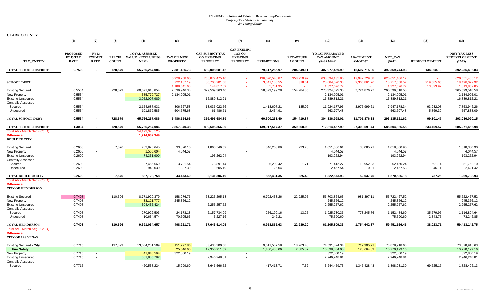|                                                                                | (1)                                                | (2)                                         | (3)                           | (4)                                                      | (5)                                        | (6)                                                             | (7)                                                                      | (8)                                        | (9)                               | (10)                                                  | (11)                                    | (12)                                            | (13)                                      | (15)                                                     |
|--------------------------------------------------------------------------------|----------------------------------------------------|---------------------------------------------|-------------------------------|----------------------------------------------------------|--------------------------------------------|-----------------------------------------------------------------|--------------------------------------------------------------------------|--------------------------------------------|-----------------------------------|-------------------------------------------------------|-----------------------------------------|-------------------------------------------------|-------------------------------------------|----------------------------------------------------------|
| <b>TAX ENTITY</b>                                                              | <b>PROPOSED</b><br><b>FY 13 TAX</b><br><b>RATE</b> | <b>FY13</b><br><b>EXEMPT</b><br><b>RATE</b> | <b>PARCEL</b><br><b>COUNT</b> | <b>TOTAL ASSESSED</b><br><b>VALUE (EXCLUDING</b><br>NPM) | <b>TAX ON NEW</b><br><b>PROPERTY</b>       | <b>CAP-SUBJECT TAX</b><br><b>ON EXISTING</b><br><b>PROPERTY</b> | <b>CAP-EXEMPT</b><br><b>TAX ON</b><br><b>EXISTING</b><br><b>PROPERTY</b> | <b>EXEMPTIONS</b>                          | <b>RECAPTURE</b><br><b>AMOUNT</b> | <b>TOTAL PREABATED</b><br>TAX AMOUNT<br>$(5+6+7-8+9)$ | <b>ABATEMENT</b><br><b>AMOUNT</b>       | NET TAX<br>$(10-11)$                            | <b>REDEVELOPMENT</b>                      | <b>NET TAX LESS</b><br><b>REDEVELOPMENT</b><br>$(12-13)$ |
| TOTAL SCHOOL DISTRICT                                                          | 0.7500                                             |                                             | 728,579                       | 65,766,257,086                                           | 7,381,185.73                               | 480,008,681.12                                                  |                                                                          | 79,617,255.97                              | 204.849.11                        | 407,977,459.99                                        | 15,607,715.06                           | 392.369.744.93                                  | 134.308.10                                | 392,235,436.83                                           |
| <b>SCHOOL DEBT</b>                                                             |                                                    |                                             |                               |                                                          | 5,928,258.60<br>722,187.19<br>1,188,641.63 | 768,877,475.10<br>30,703,201.68<br>144,817.09                   | х.<br>$\sim$                                                             | 136,570,548.87<br>3,341,186.55<br>5,781.95 | 358,950.97<br>318.01<br>$\sim$    | 638,594,135.80<br>28,084,520.33<br>1,327,676.77       | 17,942,729.68<br>9,366,861.76<br>$\sim$ | 620,651,406.12<br>18,717,658.57<br>1,327,676.77 | <b>Section</b><br>219,585.65<br>13,823.92 | 620,651,406.12<br>18,498,072.92<br>1,313,852.85          |
| <b>Existing Secured</b><br><b>New Property</b>                                 | 0.5534<br>0.5534                                   | $\sim$                                      | 728,579                       | 60,071,918,854<br>385,779,727                            | 2,539,946.38<br>2,134,905.01               | 329,509,363.40                                                  |                                                                          | 58,879,199.28                              | 154,284.85                        | 273,324,395.35<br>2,134,905.01                        | 7,724,876.77                            | 265,599,518.58<br>2,134,905.01                  |                                           | 265,599,518.58<br>2,134,905.01                           |
| <b>Existing Unsecured</b><br><b>Centrally Assessed</b>                         | 0.5534                                             | $\sim$                                      |                               | 3,052,007,989                                            |                                            | 16,889,812.21                                                   | $\blacksquare$                                                           |                                            |                                   | 16,889,812.21                                         |                                         | 16,889,812.21                                   |                                           | 16,889,812.21                                            |
| Secured<br>Unsecured                                                           | 0.5534<br>0.5534                                   | $\sim$<br>$\blacksquare$                    |                               | 2,154,687,931<br>101,862,585                             | 306,627.58<br>504,675.68                   | 13,036,022.56<br>61,486.71                                      | $\overline{\phantom{a}}$<br>$\blacksquare$                               | 1,418,607.21<br>2,454.91                   | 135.02<br>$\sim$                  | 11,924,177.96<br>563,707.48                           | 3,976,999.61                            | 7,947,178.34<br>563,707.48                      | 93,232.08<br>5,869.39                     | 7,853,946.26<br>557,838.09                               |
| TOTAL SCHOOL DEBT                                                              | 0.5534                                             | $\blacksquare$                              | 728,579                       | 65,766,257,086                                           | 5,486,154.65                               | 359.496.684.89                                                  | $\sim$                                                                   | 60.300.261.40                              | 154,419.87                        | 304,836,998.01                                        | 11,701,876.38                           | 293,135,121.62                                  | 99,101.47                                 | 293.036.020.15                                           |
| <b>TOTAL SCHOOL DISTRICT</b>                                                   | 1.3034                                             | $\blacksquare$                              | 728.579                       | 65,766,257,086                                           | 12.867.340.38                              | 839,505,366.00                                                  | $\sim$                                                                   | 139.917.517.37                             | 359.268.98                        | 712,814,457.99                                        | 27.309.591.44                           | 685.504.866.55                                  | 233,409.57                                | 685,271,456.98                                           |
| Total AV - March Seg - Col. Q<br><b>Difference</b><br><b>BOULDER CITY</b>      |                                                    |                                             |                               | 54, 193, 378, 125<br>1,214,032,349                       |                                            |                                                                 |                                                                          |                                            |                                   |                                                       |                                         |                                                 |                                           |                                                          |
| <b>Existing Secured</b><br>New Property                                        | 0.2600<br>0.2600                                   | $\sim$                                      | 7,576                         | 782,826,645<br>1,555,604                                 | 33,820.10<br>4.044.57                      | 1,863,546.62                                                    |                                                                          | 846,203.89                                 | 223.78                            | 1,051,386.61<br>4,044.57                              | 33,085.71                               | 1,018,300.90<br>4.044.57                        |                                           | 1,018,300.90<br>4,044.57                                 |
| <b>Existing Unsecured</b><br><b>Centrally Assessed</b>                         | 0.2600                                             | $\sim$                                      |                               | 74,331,900                                               |                                            | 193,262.94                                                      |                                                                          |                                            |                                   | 193,262.94                                            |                                         | 193,262.94                                      |                                           | 193,262.94                                               |
| Secured<br>Unsecured                                                           | 0.2600<br>0.2600                                   | $\sim$<br>$\sim$                            |                               | 27,465,569<br>949,039                                    | 3,721.54<br>1,887.39                       | 73,891.44<br>605.19                                             | $\sim$                                                                   | 6,202.42<br>25.04                          | 1.71<br>$\overline{\phantom{a}}$  | 71,412.27<br>2,467.54                                 | 18,952.03<br>0.01                       | 52,460.24<br>2,467.53                           | 691.14<br>46.11                           | 51,769.10<br>2,421.42                                    |
| <b>TOTAL BOULDER CITY</b>                                                      | 0.2600                                             | $\overline{a}$                              | 7.576                         | 887,128,758                                              | 43.473.60                                  | 2,131,306.19                                                    |                                                                          | 852.431.35                                 | 225.49                            | 1,322,573.93                                          | 52.037.75                               | 1.270.536.18                                    | 737.25                                    | 1,269,798.93                                             |
| Total AV - March Seg - Col. Q<br><b>Difference</b><br><b>CITY OF HENDERSON</b> |                                                    |                                             |                               |                                                          |                                            |                                                                 |                                                                          |                                            |                                   |                                                       |                                         |                                                 |                                           |                                                          |
| <b>Existing Secured</b><br>New Property                                        | 0.7408<br>0.7408                                   | $\sim$                                      | 110,596                       | 8,771,920,379<br>33,121,777                              | 158,076.76<br>245,366.12                   | 63,225,295.18                                                   |                                                                          | 6,702,433.26                               | 22,925.95                         | 56,703,864.63<br>245,366.12                           | 981,397.11                              | 55,722,467.52<br>245,366.12                     |                                           | 55,722,467.52<br>245,366.12                              |
| <b>Existing Unsecured</b><br><b>Centrally Assessed</b>                         | 0.7408                                             | $\sim$                                      |                               | 304,435,424                                              |                                            | 2,255,257.62                                                    | $\blacksquare$                                                           |                                            |                                   | 2,255,257.62                                          |                                         | 2,255,257.62                                    |                                           | 2,255,257.62                                             |
| Secured<br>Unsecured                                                           | 0.7408<br>0.7408                                   | $\sim$<br>$\sim$                            |                               | 270,922,503<br>10,634,574                                | 24,173.18<br>70,605.65                     | 2,157,734.09<br>5,227.16                                        | $\sim$                                                                   | 256,190.16<br>242.21                       | 13.25<br>$\sim$                   | 1,925,730.36<br>75,590.60                             | 773,245.76                              | 1,152,484.60<br>75,590.60                       | 35,679.96<br>2,343.75                     | 1,116,804.64<br>73,246.85                                |
| <b>TOTAL HENDERSON</b>                                                         | 0.7408                                             |                                             | 110.596                       | 9.391.034.657                                            | 498.221.71                                 | 67.643.514.05                                                   |                                                                          | 6.958.865.63                               | 22.939.20                         | 61.205.809.33                                         | 1.754.642.87                            | 59.451.166.46                                   | 38.023.71                                 | 59,413,142.75                                            |
| Total AV - March Seg - Col. Q<br><b>Difference</b><br><b>CITY OF LAS VEGAS</b> |                                                    |                                             |                               |                                                          |                                            |                                                                 |                                                                          |                                            |                                   |                                                       |                                         |                                                 |                                           |                                                          |
| <b>Existing Secured - City</b><br><b>Fire Safety</b>                           | 0.7715                                             |                                             | 197,899                       | 13,004,231,509                                           | 151,797.86<br>25,546.65                    | 83,433,300.58<br>12,350,911.59                                  |                                                                          | 9,011,537.58<br>1,480,480.06               | 18,263.48<br>2,885.87             | 74,591,824.34<br>10,898,864.05                        | 712,905.71<br>128,664.89                | 73,878,918.63<br>10,770,199.16                  |                                           | 73,878,918.63<br>10,770,199.16                           |
| <b>New Property</b><br><b>Existing Unsecured</b><br><b>Centrally Assessed</b>  | 0.7715<br>0.7715                                   | $\sim$<br>$\sim$                            |                               | 41,840,594<br>381,885,782                                | 322,800.19                                 | 2,946,248.81                                                    |                                                                          |                                            |                                   | 322,800.19<br>2,946,248.81                            |                                         | 322,800.19<br>2,946,248.81                      |                                           | 322,800.19<br>2,946,248.81                               |
| Secured                                                                        | 0.7715                                             |                                             |                               | 420.538.224                                              | 15.299.60                                  | 3,646,566.52                                                    |                                                                          | 417.413.71                                 | 7.32                              | 3.244.459.73                                          | 1,346,428.43                            | 1.898.031.30                                    | 69.625.17                                 | 1,828,406.13                                             |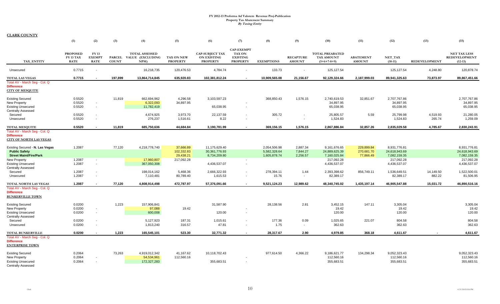|                                                                                      | (1)                                                | (2)                                   | (3)          | (4)                                                      | (5)                                  | (6)                                                             | (7)                                                               | (8)               | (9)                               | (10)                                                  | (11)                              | (12)                 | (13)                 | (15)                                                     |
|--------------------------------------------------------------------------------------|----------------------------------------------------|---------------------------------------|--------------|----------------------------------------------------------|--------------------------------------|-----------------------------------------------------------------|-------------------------------------------------------------------|-------------------|-----------------------------------|-------------------------------------------------------|-----------------------------------|----------------------|----------------------|----------------------------------------------------------|
| TAX_ENTITY                                                                           | <b>PROPOSED</b><br><b>FY 13 TAX</b><br><b>RATE</b> | FY 13<br><b>EXEMPT</b><br><b>RATE</b> | <b>COUNT</b> | <b>TOTAL ASSESSED</b><br>PARCEL VALUE (EXCLUDING<br>NPM) | <b>TAX ON NEW</b><br><b>PROPERTY</b> | <b>CAP-SUBJECT TAX</b><br><b>ON EXISTING</b><br><b>PROPERTY</b> | <b>CAP-EXEMPT</b><br>TAX ON<br><b>EXISTING</b><br><b>PROPERTY</b> | <b>EXEMPTIONS</b> | <b>RECAPTURE</b><br><b>AMOUNT</b> | <b>TOTAL PREABATED</b><br>TAX AMOUNT<br>$(5+6+7-8+9)$ | <b>ABATEMENT</b><br><b>AMOUNT</b> | NET TAX<br>$(10-11)$ | <b>REDEVELOPMENT</b> | <b>NET TAX LESS</b><br><b>REDEVELOPMENT</b><br>$(12-13)$ |
| Unsecured                                                                            | 0.7715                                             | $\blacksquare$                        |              | 16,218,735                                               | 120,476.53                           | 4,784.74                                                        |                                                                   | 133.73            |                                   | 125, 127.54                                           |                                   | 125,127.54           | 4,248.80             | 120,878.74                                               |
| <b>TOTAL LAS VEGAS</b>                                                               | 0.7715                                             |                                       | 197,899      | 13,864,714,845                                           | 635,920.83                           | 102,381,812.24                                                  |                                                                   | 10,909,565.08     | 21,156.67                         | 92,129,324.66                                         | 2,187,999.03                      | 89,941,325.63        | 73,873.97            | 89,867,451.66                                            |
| Total AV - March Seq - Col. Q<br><b>Difference</b><br><b>CITY OF MESQUITE</b>        |                                                    |                                       |              |                                                          |                                      |                                                                 |                                                                   |                   |                                   |                                                       |                                   |                      |                      |                                                          |
| <b>Existing Secured</b>                                                              | 0.5520                                             |                                       | 11,819       | 662,694,962                                              | 4,296.58                             | 3,103,597.23                                                    |                                                                   | 368,850.43        | 1,576.15                          | 2.740.619.53                                          | 32,851.67                         | 2.707.767.86         |                      | 2,707,767.86                                             |
| New Property                                                                         | 0.5520                                             | $\sim$                                |              | 6,322,093                                                | 34,897.95                            |                                                                 |                                                                   |                   |                                   | 34,897.95                                             |                                   | 34,897.95            |                      | 34,897.95                                                |
| <b>Existing Unsecured</b>                                                            | 0.5520                                             | $\sim$                                |              | 11,782,419                                               |                                      | 65,038.95                                                       | $\blacksquare$                                                    |                   |                                   | 65,038.95                                             |                                   | 65,038.95            |                      | 65,038.95                                                |
| <b>Centrally Assessed</b>                                                            |                                                    |                                       |              |                                                          |                                      |                                                                 |                                                                   |                   |                                   |                                                       |                                   |                      |                      |                                                          |
| Secured                                                                              | 0.5520                                             | $\sim$                                |              | 4,674,925                                                | 3,973.70                             | 22,137.59                                                       | $\sim$                                                            | 305.72            |                                   | 25,805.57                                             | 5.59                              | 25,799.98            | 4,519.93             | 21,280.05                                                |
| Unsecured                                                                            | 0.5520                                             | $\sim$                                |              | 276,237                                                  | 1,516.61                             | 8.22                                                            | $\sim$                                                            | $\sim$            |                                   | 1,524.83                                              |                                   | 1,524.83             | 265.74               | 1,259.09                                                 |
| <b>TOTAL MESQUITE</b>                                                                | 0.5520                                             | $\blacksquare$                        | 11,819       | 685,750,636                                              | 44.684.84                            | 3,190,781.99                                                    |                                                                   | 369,156.15        | 1,576.15                          | 2,867,886.84                                          | 32,857.26                         | 2,835,029.58         | 4.785.67             | 2,830,243.91                                             |
| Total AV - March Seq - Col. Q<br><b>Difference</b><br><b>CITY OF NORTH LAS VEGAS</b> |                                                    |                                       |              |                                                          |                                      |                                                                 |                                                                   |                   |                                   |                                                       |                                   |                      |                      |                                                          |
| Existing Secured - N. Las Vegas                                                      | 1.2087                                             |                                       | 77,120       | 4,218,778,740                                            | 37,666.89                            | 11,175,629.40                                                   |                                                                   | 2,054,506.98      | 2.887.34                          | 9,161,676.65                                          | 229,899.84                        | 8.931.776.81         |                      | 8.931.776.81                                             |
| <b>Public Safety</b>                                                                 |                                                    |                                       |              |                                                          | 102,332.83                           | 30, 361, 776.93                                                 |                                                                   | 5,582,328.64      | 7,844.27                          | 24,889,625.39                                         | 270,681.70                        | 24,618,943.69        |                      | 24,618,943.69                                            |
| <b>Street Maint/Fire/Park</b>                                                        |                                                    |                                       |              |                                                          | 29,438.21                            | 8,734,209.80                                                    |                                                                   | 1,605,878.74      | 2,256.57                          | 7,160,025.84                                          | 77,866.49                         | 7,082,159.35         |                      | 7,082,159.35                                             |
| New Property                                                                         | 1.2087                                             | $\sim$                                |              | 17,960,807                                               | 217,092.28                           |                                                                 |                                                                   |                   |                                   | 217,092.28                                            |                                   | 217,092.28           |                      | 217,092.28                                               |
| <b>Existing Unsecured</b>                                                            | 1.2087                                             | $\sim$                                |              | 367,050,308                                              |                                      | 4,436,537.07                                                    | $\overline{\phantom{a}}$                                          |                   |                                   | 4,436,537.07                                          |                                   | 4,436,537.07         |                      | 4,436,537.07                                             |
| <b>Centrally Assessed</b>                                                            |                                                    |                                       |              |                                                          |                                      |                                                                 |                                                                   |                   |                                   |                                                       |                                   |                      |                      |                                                          |
| Secured                                                                              | 1.2087                                             | $\overline{\phantom{a}}$              |              | 198,014,162                                              | 5,468.36                             | 2,666,322.93                                                    | $\sim$                                                            | 278,394.11        | 1.44                              | 2,393,398.62                                          | 856,749.11                        | 1,536,649.51         | 14,149.50            | 1,522,500.01                                             |
| Unsecured                                                                            | 1.2087                                             | $\overline{\phantom{a}}$              |              | 7,110,481                                                | 80,789.40                            | 1,615.53                                                        | $\sim$                                                            | 15.76             | $\sim$                            | 82,389.17                                             |                                   | 82,389.17            | 882.22               | 81,506.95                                                |
| TOTAL NORTH LAS VEGAS                                                                | 1.2087                                             | $\overline{\phantom{a}}$              | 77,120       | 4,808,914,498                                            | 472,787.97                           | 57,376,091.66                                                   | $\sim$                                                            | 9,521,124.23      | 12,989.62                         | 48,340,745.02                                         | 1,435,197.14                      | 46,905,547.88        | 15,031.72            | 46,890,516.16                                            |
| Total AV - March Seg - Col. Q<br><b>Difference</b><br><b>BUNKERVILLE TOWN</b>        |                                                    |                                       |              |                                                          |                                      |                                                                 |                                                                   |                   |                                   |                                                       |                                   |                      |                      |                                                          |
| <b>Existing Secured</b>                                                              | 0.0200                                             |                                       | 1,223        | 157,906,841                                              |                                      | 31,587.90                                                       |                                                                   | 28,138.56         | 2.81                              | 3,452.15                                              | 147.11                            | 3,305.04             |                      | 3,305.04                                                 |
| New Property                                                                         | 0.0200                                             | $\sim$                                |              | 97,088                                                   | 19.42                                |                                                                 |                                                                   |                   |                                   | 19.42                                                 |                                   | 19.42                |                      | 19.42                                                    |
| <b>Existing Unsecured</b><br><b>Centrally Assessed</b>                               | 0.0200                                             | $\sim$                                |              | 600,008                                                  |                                      | 120.00                                                          | $\blacksquare$                                                    |                   |                                   | 120.00                                                |                                   | 120.00               |                      | 120.00                                                   |
| Secured                                                                              | 0.0200                                             | $\overline{\phantom{a}}$              |              | 5,127,923                                                | 187.31                               | 1,015.61                                                        |                                                                   | 177.36            | 0.09                              | 1,025.65                                              | 221.07                            | 804.58               |                      | 804.58                                                   |
| Unsecured                                                                            | 0.0200                                             | $\sim$                                |              | 1,813,240                                                | 316.57                               | 47.81                                                           |                                                                   | 1.75              | $\sim$                            | 362.63                                                |                                   | 362.63               |                      | 362.63                                                   |
| <b>TOTAL BUNKERVILLE</b>                                                             | 0.0200                                             | $\overline{\phantom{a}}$              | 1.223        | 165,545,101                                              | 523.30                               | 32.771.32                                                       | $\sim$                                                            | 28.317.67         | 2.90                              | 4.979.85                                              | 368.18                            | 4.611.67             |                      | 4,611.67                                                 |
| Total AV - March Seg - Col. Q<br><b>Difference</b><br><b>ENTERPRISE TOWN</b>         |                                                    |                                       |              |                                                          |                                      |                                                                 |                                                                   |                   |                                   |                                                       |                                   |                      |                      |                                                          |
| <b>Existing Secured</b>                                                              | 0.2064                                             |                                       | 73,263       | 4,919,012,342                                            | 41,167.62                            | 10,118,702.43                                                   |                                                                   | 977,614.50        | 4,366.22                          | 9,186,621.77                                          | 134,298.34                        | 9,052,323.43         |                      | 9,052,323.43                                             |
| New Property                                                                         | 0.2064                                             | $\sim$                                |              | 54,534,961                                               | 112,560.16                           |                                                                 |                                                                   |                   |                                   | 112,560.16                                            |                                   | 112,560.16           |                      | 112,560.16                                               |
| <b>Existing Unsecured</b><br><b>Centrally Assessed</b>                               | 0.2064                                             | $\sim$                                |              | 172,327,283                                              |                                      | 355,683.51                                                      | $\sim$                                                            |                   |                                   | 355,683.51                                            |                                   | 355,683.51           |                      | 355,683.51                                               |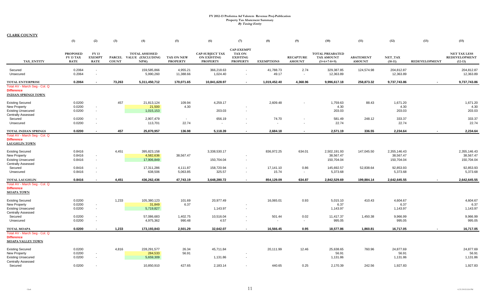|                                                                                  | (1)                                         | (2)                                   | (3)                           | (4)                                                     | (5)                           | (6)                                                             | (7)                                                                      | (8)                | (9)                               | (10)                                                         | (11)                              | (12)                           | (13)                 | (15)                                                     |
|----------------------------------------------------------------------------------|---------------------------------------------|---------------------------------------|-------------------------------|---------------------------------------------------------|-------------------------------|-----------------------------------------------------------------|--------------------------------------------------------------------------|--------------------|-----------------------------------|--------------------------------------------------------------|-----------------------------------|--------------------------------|----------------------|----------------------------------------------------------|
| TAX ENTITY                                                                       | <b>PROPOSED</b><br>FY 13 TAX<br><b>RATE</b> | FY 13<br><b>EXEMPT</b><br><b>RATE</b> | <b>PARCEL</b><br><b>COUNT</b> | <b>TOTAL ASSESSED</b><br><b>VALUE (EXCLUDING</b><br>NPM | TAX ON NEW<br><b>PROPERTY</b> | <b>CAP-SUBJECT TAX</b><br><b>ON EXISTING</b><br><b>PROPERTY</b> | <b>CAP-EXEMPT</b><br><b>TAX ON</b><br><b>EXISTING</b><br><b>PROPERTY</b> | <b>EXEMPTIONS</b>  | <b>RECAPTURE</b><br><b>AMOUNT</b> | <b>TOTAL PREABATED</b><br><b>TAX AMOUNT</b><br>$(5+6+7-8+9)$ | <b>ABATEMENT</b><br><b>AMOUNT</b> | NET_TAX<br>$(10-11)$           | <b>REDEVELOPMENT</b> | <b>NET TAX LESS</b><br><b>REDEVELOPMENT</b><br>$(12-13)$ |
| Secured<br>Unsecured                                                             | 0.2064<br>0.2064                            | $\sim$                                |                               | 159,585,866<br>5,990,260                                | 4,955.21<br>11,388.66         | 366,218.63<br>1,024.40                                          | $\overline{\phantom{a}}$<br>$\blacksquare$                               | 41,788.73<br>49.17 | 2.74<br>$\sim$                    | 329,387.85<br>12,363.89                                      | 124,574.98                        | 204,812.87<br>12,363.89        |                      | 204,812.87<br>12,363.89                                  |
| <b>TOTAL ENTERPRISE</b>                                                          | 0.2064                                      |                                       | 73,263                        | 5,311,450,712                                           | 170,071.65                    | 10,841,628.97                                                   | $\sim$                                                                   | 1,019,452.40       | 4,368.96                          | 9,996,617.18                                                 | 258,873.32                        | 9,737,743.86                   |                      | 9,737,743.86                                             |
| Total AV - March Seg - Col. Q<br><b>Difference</b><br><b>INDIAN SPRINGS TOWN</b> |                                             |                                       |                               |                                                         |                               |                                                                 |                                                                          |                    |                                   |                                                              |                                   |                                |                      |                                                          |
| <b>Existing Secured</b><br><b>New Property</b>                                   | 0.0200<br>0.0200                            |                                       | 457                           | 21,813,124<br>21,500                                    | 109.94<br>4.30                | 4,259.17                                                        |                                                                          | 2,609.48           |                                   | 1,759.63<br>4.30                                             | 88.43                             | 1,671.20<br>4.30               |                      | 1,671.20<br>4.30                                         |
| <b>Existing Unsecured</b><br><b>Centrally Assessed</b>                           | 0.0200                                      | $\sim$                                |                               | 1,015,153                                               |                               | 203.03                                                          | $\blacksquare$                                                           |                    |                                   | 203.03                                                       |                                   | 203.03                         |                      | 203.03                                                   |
| Secured<br>Unsecured                                                             | 0.0200<br>0.0200                            | $\sim$<br>$\sim$                      |                               | 2,907,479<br>113,701                                    | $\sim$<br>22.74               | 656.19                                                          | $\overline{\phantom{a}}$<br>$\overline{\phantom{a}}$                     | 74.70              |                                   | 581.49<br>22.74                                              | 248.12                            | 333.37<br>22.74                |                      | 333.37<br>22.74                                          |
| <b>TOTAL INDIAN SPRINGS</b>                                                      | 0.0200                                      | $\overline{\phantom{a}}$              | 457                           | 25,870,957                                              | 136.98                        | 5,118.39                                                        |                                                                          | 2,684.18           |                                   | 2,571.19                                                     | 336.55                            | 2,234.64                       |                      | 2,234.64                                                 |
| Total AV - March Seg - Col. Q<br><b>Difference</b><br><b>LAUGHLIN TOWN</b>       |                                             |                                       |                               |                                                         |                               |                                                                 |                                                                          |                    |                                   |                                                              |                                   |                                |                      |                                                          |
| <b>Existing Secured</b><br><b>New Property</b>                                   | 0.8416<br>0.8416                            |                                       | 4,451                         | 395,823,158<br>4,582,636                                | 38,567.47                     | 3,338,530.17                                                    |                                                                          | 836,972.25         | 634.01                            | 2,502,191.93<br>38,567.47                                    | 147,045.50                        | 2,355,146.43<br>38,567.47      |                      | 2,355,146.43<br>38,567.47                                |
| <b>Existing Unsecured</b><br><b>Centrally Assessed</b>                           | 0.8416                                      | $\sim$                                |                               | 17,906,849                                              |                               | 150,704.04                                                      | $\sim$                                                                   |                    |                                   | 150,704.04                                                   |                                   | 150,704.04                     |                      | 150,704.04                                               |
| Secured<br>Unsecured                                                             | 0.8416<br>0.8416                            | $\sim$                                |                               | 17,311,286<br>638,506                                   | 4,111.87<br>5,063.85          | 158,720.94<br>325.57                                            | $\sim$<br>$\sim$                                                         | 17.141.10<br>15.74 | 0.86<br>$\sim$                    | 145.692.57<br>5,373.68                                       | 52.838.64                         | 92.853.93<br>5,373.68          |                      | 92,853.93<br>5,373.68                                    |
| <b>TOTAL LAUGHLIN</b>                                                            | 0.8416                                      | $\overline{\phantom{a}}$              | 4,451                         | 436,262,436                                             | 47,743.19                     | 3,648,280.72                                                    | $\sim$                                                                   | 854,129.09         | 634.87                            | 2,842,529.69                                                 | 199,884.14                        | 2,642,645.55                   |                      | 2,642,645.55                                             |
| Total AV - March Seg - Col. Q<br><b>Difference</b><br><b>MOAPA TOWN</b>          |                                             |                                       |                               |                                                         |                               |                                                                 |                                                                          |                    |                                   |                                                              |                                   |                                |                      |                                                          |
| <b>Existing Secured</b><br>New Property                                          | 0.0200<br>0.0200                            | $\sim$                                | 1,233                         | 105,380,123<br>31,849                                   | 101.69<br>6.37                | 20,977.49                                                       |                                                                          | 16,065.01          | 0.93                              | 5,015.10<br>6.37                                             | 410.43                            | 4,604.67<br>6.37               |                      | 4,604.67<br>6.37                                         |
| <b>Existing Unsecured</b><br><b>Centrally Assessed</b>                           | 0.0200                                      | $\sim$                                |                               | 5,719,827                                               |                               | 1,143.97                                                        | $\sim$                                                                   |                    |                                   | 1,143.97                                                     |                                   | 1,143.97                       |                      | 1,143.97                                                 |
| Secured<br>Unsecured                                                             | 0.0200<br>0.0200                            | $\sim$<br>$\sim$                      |                               | 57,086,683<br>4,975,362                                 | 1,402.75<br>990.48            | 10,516.04<br>4.57                                               | $\blacksquare$<br>$\sim$                                                 | 501.44             | 0.02<br>$\sim$                    | 11,417.37<br>995.05                                          | 1,450.38                          | 9,966.99<br>995.05             |                      | 9,966.99<br>995.05                                       |
| <b>TOTAL MOAPA</b>                                                               | 0.0200                                      |                                       | 1.233                         | 173,193,843                                             | 2,501.29                      | 32.642.07                                                       | $\overline{\phantom{a}}$                                                 | 16.566.45          | 0.95                              | 18,577.86                                                    | 1.860.81                          | 16,717.05                      |                      | 16,717.05                                                |
| Total AV - March Seg - Col. Q<br><b>Difference</b><br><b>MOAPA VALLEY TOWN</b>   |                                             |                                       |                               |                                                         |                               |                                                                 |                                                                          |                    |                                   |                                                              |                                   |                                |                      |                                                          |
| <b>Existing Secured</b><br>New Property<br><b>Existing Unsecured</b>             | 0.0200<br>0.0200<br>0.0200                  | $\sim$                                | 4,816                         | 228,291,577<br>284,533<br>5,659,309                     | 26.34<br>56.91                | 45,711.84<br>1,131.86                                           | $\overline{\phantom{a}}$                                                 | 20,111.99          | 12.46                             | 25,638.65<br>56.91<br>1,131.86                               | 760.96                            | 24,877.69<br>56.91<br>1,131.86 |                      | 24,877.69<br>56.91<br>1,131.86                           |
| <b>Centrally Assessed</b><br>Secured                                             | 0.0200                                      |                                       |                               | 10.850.910                                              | 427.65                        | 2.183.14                                                        |                                                                          | 440.65             | 0.25                              | 2.170.39                                                     | 242.56                            | 1.927.83                       |                      | 1,927.83                                                 |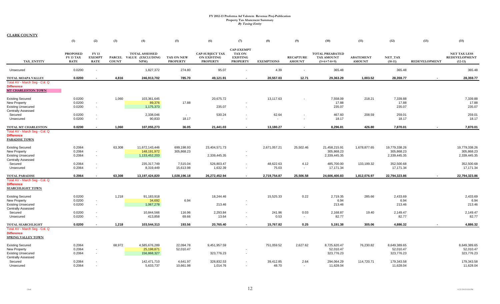|                                                                                                          | (1)                                         | (2)                                                  | (3)          | (4)                                                      | (5)                           | (6)                                                             | (7)                                                                      | (8)                | (9)                               | (10)                                                  | (11)                              | (12)                                        | (13)                 | (15)                                                     |
|----------------------------------------------------------------------------------------------------------|---------------------------------------------|------------------------------------------------------|--------------|----------------------------------------------------------|-------------------------------|-----------------------------------------------------------------|--------------------------------------------------------------------------|--------------------|-----------------------------------|-------------------------------------------------------|-----------------------------------|---------------------------------------------|----------------------|----------------------------------------------------------|
| TAX ENTITY                                                                                               | <b>PROPOSED</b><br>FY 13 TAX<br><b>RATE</b> | FY 13<br><b>EXEMPT</b><br><b>RATE</b>                | <b>COUNT</b> | <b>TOTAL ASSESSED</b><br>PARCEL VALUE (EXCLUDING<br>NPM) | TAX ON NEW<br><b>PROPERTY</b> | <b>CAP-SUBJECT TAX</b><br><b>ON EXISTING</b><br><b>PROPERTY</b> | <b>CAP-EXEMPT</b><br><b>TAX ON</b><br><b>EXISTING</b><br><b>PROPERTY</b> | <b>EXEMPTIONS</b>  | <b>RECAPTURE</b><br><b>AMOUNT</b> | <b>TOTAL PREABATED</b><br>TAX AMOUNT<br>$(5+6+7-8+9)$ | <b>ABATEMENT</b><br><b>AMOUNT</b> | NET TAX<br>$(10-11)$                        | <b>REDEVELOPMENT</b> | <b>NET TAX LESS</b><br><b>REDEVELOPMENT</b><br>$(12-13)$ |
| Unsecured                                                                                                | 0.0200                                      | $\blacksquare$                                       |              | 1,827,372                                                | 274.80                        | 95.07                                                           |                                                                          | 4.39               |                                   | 365.48                                                |                                   | 365.48                                      |                      | 365.48                                                   |
| <b>TOTAL MOAPA VALLEY</b>                                                                                | 0.0200                                      | $\sim$                                               | 4,816        | 246,913,702                                              | 785.70                        | 49,121.91                                                       | $\sim$                                                                   | 20,557.03          | 12.71                             | 29,363.29                                             | 1,003.52                          | 28,359.77                                   |                      | 28,359.77                                                |
| Total AV - March Seg - Col. Q<br><b>Difference</b><br><b>MT CHARLESTON TOWN</b>                          |                                             |                                                      |              |                                                          |                               |                                                                 |                                                                          |                    |                                   |                                                       |                                   |                                             |                      |                                                          |
| <b>Existing Secured</b><br><b>New Property</b><br><b>Existing Unsecured</b><br><b>Centrally Assessed</b> | 0.0200<br>0.0200<br>0.0200                  | $\sim$<br>$\sim$                                     | 1,060        | 103,361,645<br>89,376<br>1,175,373                       | 17.88                         | 20,675.72<br>235.07                                             |                                                                          | 13,117.63          |                                   | 7,558.09<br>17.88<br>235.07                           | 218.21                            | 7,339.88<br>17.88<br>235.07                 |                      | 7,339.88<br>17.88<br>235.07                              |
| Secured<br>Unsecured                                                                                     | 0.0200<br>0.0200                            | $\overline{\phantom{a}}$<br>$\sim$                   |              | 2,338,046<br>90,833                                      | $\blacksquare$<br>18.17       | 530.24                                                          | $\blacksquare$<br>$\blacksquare$                                         | 62.64<br>$\sim$    |                                   | 467.60<br>18.17                                       | 208.59                            | 259.01<br>18.17                             |                      | 259.01<br>18.17                                          |
| TOTAL MT CHARLESTON                                                                                      | 0.0200                                      | $\blacksquare$                                       | 1,060        | 107,055,273                                              | 36.05                         | 21,441.03                                                       | $\sim$                                                                   | 13,180.27          |                                   | 8,296.81                                              | 426.80                            | 7,870.01                                    |                      | 7,870.01                                                 |
| Total AV - March Seq - Col. Q<br><b>Difference</b><br><b>PARADISE TOWN</b>                               |                                             |                                                      |              |                                                          |                               |                                                                 |                                                                          |                    |                                   |                                                       |                                   |                                             |                      |                                                          |
| <b>Existing Secured</b><br><b>New Property</b><br><b>Existing Unsecured</b>                              | 0.2064<br>0.2064<br>0.2064                  | $\sim$<br>$\sim$                                     | 63,308       | 11,672,143,446<br>148,191,972<br>1,133,452,203           | 699,198.93<br>305,868.23      | 23,404,571.73<br>2,339,445.35                                   | $\overline{\phantom{a}}$                                                 | 2,671,057.21       | 25,502.46                         | 21,458,215.91<br>305,868.23<br>2,339,445.35           | 1,678,877.65                      | 19,779,338.26<br>305,868.23<br>2,339,445.35 |                      | 19,779,338.26<br>305,868.23<br>2,339,445.35              |
| <b>Centrally Assessed</b><br>Secured<br>Unsecured                                                        | 0.2064<br>0.2064                            | $\overline{\phantom{a}}$<br>$\overline{\phantom{a}}$ |              | 235,317,749<br>8,319,449                                 | 7,515.04<br>15,613.98         | 526,803.47<br>1,632.39                                          | $\overline{\phantom{a}}$                                                 | 48,622.63<br>75.03 | 4.12<br>$\sim$                    | 485,700.00<br>17,171.34                               | 133,199.32                        | 352,500.68<br>17,171.34                     |                      | 352,500.68<br>17,171.34                                  |
| <b>TOTAL PARADISE</b>                                                                                    | 0.2064                                      | $\blacksquare$                                       | 63,308       | 13,197,424,820                                           | 1,028,196.18                  | 26,272,452.94                                                   | $\sim$                                                                   | 2,719,754.87       | 25,506.58                         | 24,606,400.83                                         | 1,812,076.97                      | 22,794,323.86                               |                      | 22,794,323.86                                            |
| Total AV - March Seg - Col. Q<br><b>Difference</b><br><b>SEARCHLIGHT TOWN</b>                            |                                             |                                                      |              |                                                          |                               |                                                                 |                                                                          |                    |                                   |                                                       |                                   |                                             |                      |                                                          |
| <b>Existing Secured</b><br><b>New Property</b><br><b>Existing Unsecured</b>                              | 0.0200<br>0.0200<br>0.0200                  | $\sim$<br>$\sim$                                     | 1,218        | 91,183,918<br>34,692<br>1,067,278                        | 6.94                          | 18,244.46<br>213.46                                             | $\blacksquare$                                                           | 15,525.33          | 0.22                              | 2,719.35<br>6.94<br>213.46                            | 285.66                            | 2,433.69<br>6.94<br>213.46                  |                      | 2,433.69<br>6.94<br>213.46                               |
| <b>Centrally Assessed</b><br>Secured                                                                     | 0.0200                                      | $\sim$                                               |              | 10,844,566                                               | 116.96                        | 2,293.84                                                        | $\sim$                                                                   | 241.96             | 0.03                              | 2,168.87                                              | 19.40                             | 2,149.47                                    |                      | 2,149.47                                                 |
| Unsecured                                                                                                | 0.0200                                      | $\blacksquare$                                       |              | 413,858                                                  | 69.66                         | 13.64                                                           | $\blacksquare$                                                           | 0.53               | $\sim$                            | 82.77                                                 |                                   | 82.77                                       |                      | 82.77                                                    |
| <b>TOTAL SEARCHLIGHT</b><br>Total AV - March Seg - Col. Q                                                | 0.0200                                      | $\blacksquare$                                       | 1,218        | 103,544,313                                              | 193.56                        | 20,765.40                                                       | $\sim$                                                                   | 15,767.82          | 0.25                              | 5,191.38                                              | 305.06                            | 4,886.32                                    |                      | 4,886.32                                                 |
| <b>Difference</b><br><b>SPRING VALLEY TOWN</b>                                                           |                                             |                                                      |              |                                                          |                               |                                                                 |                                                                          |                    |                                   |                                                       |                                   |                                             |                      |                                                          |
| <b>Existing Secured</b><br><b>New Property</b><br><b>Existing Unsecured</b><br><b>Centrally Assessed</b> | 0.2064<br>0.2064<br>0.2064                  | $\sim$<br>$\sim$                                     | 68,972       | 4,585,676,289<br>25,198,871<br>156,868,327               | 22,094.78<br>52,010.47        | 9,451,957.59<br>323,776.23                                      | $\overline{\phantom{a}}$                                                 | 751,059.52         | 2,627.62                          | 8,725,620.47<br>52,010.47<br>323,776.23               | 76,230.82                         | 8,649,389.65<br>52,010.47<br>323,776.23     |                      | 8,649,389.65<br>52,010.47<br>323,776.23                  |
| Secured<br>Unsecured                                                                                     | 0.2064<br>0.2064                            | $\overline{\phantom{a}}$                             |              | 142,471,710<br>5,633,737                                 | 4,641.97<br>10.661.98         | 328,832.53<br>1.014.76                                          | $\sim$                                                                   | 39,412.85<br>48.70 | 2.64<br>$\sim$                    | 294,064.29<br>11,628.04                               | 114,720.71                        | 179,343.58<br>11,628.04                     |                      | 179,343.58<br>11,628.04                                  |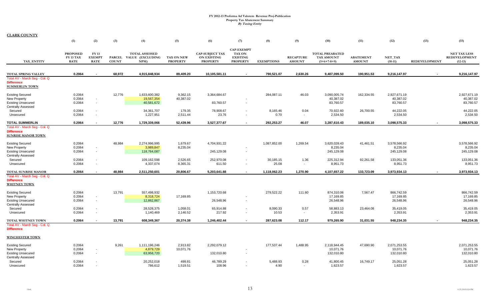|                                                                                                           | (1)                                                | (2)                                   | (3)          | (4)                                                     | (5)                           | (6)                                                             | (7)                                                                      | (8)                | (9)                               | (10)                                                         | (11)                              | (12)                      | (13)                 | (15)                                                     |
|-----------------------------------------------------------------------------------------------------------|----------------------------------------------------|---------------------------------------|--------------|---------------------------------------------------------|-------------------------------|-----------------------------------------------------------------|--------------------------------------------------------------------------|--------------------|-----------------------------------|--------------------------------------------------------------|-----------------------------------|---------------------------|----------------------|----------------------------------------------------------|
| TAX ENTITY                                                                                                | <b>PROPOSED</b><br><b>FY 13 TAX</b><br><b>RATE</b> | FY 13<br><b>EXEMPT</b><br><b>RATE</b> | <b>COUNT</b> | <b>TOTAL ASSESSED</b><br>PARCEL VALUE (EXCLUDING<br>NPM | TAX ON NEW<br><b>PROPERTY</b> | <b>CAP-SUBJECT TAX</b><br><b>ON EXISTING</b><br><b>PROPERTY</b> | <b>CAP-EXEMPT</b><br><b>TAX ON</b><br><b>EXISTING</b><br><b>PROPERTY</b> | <b>EXEMPTIONS</b>  | <b>RECAPTURE</b><br><b>AMOUNT</b> | <b>TOTAL PREABATED</b><br><b>TAX AMOUNT</b><br>$(5+6+7-8+9)$ | <b>ABATEMENT</b><br><b>AMOUNT</b> | NET_TAX<br>$(10-11)$      | <b>REDEVELOPMENT</b> | <b>NET TAX LESS</b><br><b>REDEVELOPMENT</b><br>$(12-13)$ |
|                                                                                                           |                                                    |                                       |              |                                                         |                               |                                                                 |                                                                          |                    |                                   |                                                              |                                   |                           |                      |                                                          |
| <b>TOTAL SPRING VALLEY</b><br>Total AV - March Seg - Col. Q<br><b>Difference</b><br><b>SUMMERLIN TOWN</b> | 0.2064                                             |                                       | 68,972       | 4,915,848,934                                           | 89,409.20                     | 10,105,581.11                                                   |                                                                          | 790,521.07         | 2,630.26                          | 9,407,099.50                                                 | 190,951.53                        | 9,216,147.97              |                      | 9,216,147.97                                             |
| <b>Existing Secured</b><br>New Property                                                                   | 0.2064<br>0.2064                                   | $\sim$                                | 12,776       | 1,633,600,382<br>19,567,354                             | 9,362.15<br>40,387.02         | 3,364,684.67                                                    |                                                                          | 284,087.11         | 46.03                             | 3,090,005.74<br>40,387.02                                    | 162,334.55                        | 2,927,671.19<br>40,387.02 |                      | 2,927,671.19<br>40,387.02                                |
| <b>Existing Unsecured</b><br><b>Centrally Assessed</b>                                                    | 0.2064                                             | $\sim$                                |              | 40,581,672                                              |                               | 83,760.57                                                       |                                                                          |                    |                                   | 83,760.57                                                    |                                   | 83,760.57                 |                      | 83,760.57                                                |
| Secured<br>Unsecured                                                                                      | 0.2064<br>0.2064                                   | $\sim$<br>$\sim$                      |              | 34,361,707<br>1,227,951                                 | 179.35<br>2,511.44            | 78,908.67<br>23.76                                              | $\overline{\phantom{a}}$                                                 | 8,165.46<br>0.70   | 0.04<br>$\sim$                    | 70,922.60<br>2,534.50                                        | 26,700.55                         | 44,222.05<br>2,534.50     |                      | 44,222.05<br>2,534.50                                    |
| <b>TOTAL SUMMERLIN</b>                                                                                    | 0.2064                                             | $\overline{a}$                        | 12,776       | 1,729,339,066                                           | 52,439.96                     | 3,527,377.67                                                    | $\sim$                                                                   | 292,253.27         | 46.07                             | 3,287,610.43                                                 | 189,035.10                        | 3,098,575.33              | $\sim$               | 3,098,575.33                                             |
| Total AV - March Seg - Col. Q<br><b>Difference</b><br><b>SUNRISE MANOR TOWN</b>                           |                                                    |                                       |              |                                                         |                               |                                                                 |                                                                          |                    |                                   |                                                              |                                   |                           |                      |                                                          |
| <b>Existing Secured</b>                                                                                   | 0.2064                                             |                                       | 48,984       | 2,274,996,995                                           | 1,679.67                      | 4,704,931.22                                                    |                                                                          | 1,087,852.00       | 1,269.54                          | 3,620,028.43                                                 | 41,461.51                         | 3,578,566.92              |                      | 3,578,566.92                                             |
| New Property<br><b>Existing Unsecured</b><br><b>Centrally Assessed</b>                                    | 0.2064<br>0.2064                                   | $\sim$<br>$\sim$                      |              | 3,989,847<br>118,764,087                                | 8,235.04                      | 245,129.08                                                      | $\blacksquare$                                                           |                    |                                   | 8,235.04<br>245,129.08                                       |                                   | 8,235.04<br>245,129.08    |                      | 8,235.04<br>245,129.08                                   |
| Secured<br>Unsecured                                                                                      | 0.2064<br>0.2064                                   | $\overline{\phantom{a}}$<br>$\sim$    |              | 109,162,598<br>4,337,074                                | 2,526.65<br>8,365.31          | 252,970.08<br>611.50                                            | $\overline{\phantom{a}}$<br>$\overline{\phantom{a}}$                     | 30,185.15<br>25.08 | 1.36<br>$\sim$                    | 225,312.94<br>8,951.73                                       | 92,261.58                         | 133,051.36<br>8,951.73    |                      | 133,051.36<br>8,951.73                                   |
| <b>TOTAL SUNRISE MANOR</b>                                                                                | 0.2064                                             | $\blacksquare$                        | 48,984       | 2,511,250,601                                           | 20,806.67                     | 5,203,641.88                                                    | $\blacksquare$                                                           | 1,118,062.23       | 1,270.90                          | 4,107,657.22                                                 | 133,723.09                        | 3,973,934.13              |                      | 3,973,934.13                                             |
| Total AV - March Seg - Col. Q<br><b>Difference</b><br><b>WHITNEY TOWN</b>                                 |                                                    |                                       |              |                                                         |                               |                                                                 |                                                                          |                    |                                   |                                                              |                                   |                           |                      |                                                          |
| <b>Existing Secured</b>                                                                                   | 0.2064                                             |                                       | 13,791       | 557,498,932                                             |                               | 1,153,720.68                                                    |                                                                          | 279,522.22         | 111.60                            | 874,310.06                                                   | 7,567.47                          | 866.742.59                |                      | 866,742.59                                               |
| New Property<br><b>Existing Unsecured</b><br><b>Centrally Assessed</b>                                    | 0.2064<br>0.2064                                   | $\sim$<br>$\sim$                      |              | 8,318,724<br>12,862,867                                 | 17,169.85                     | 26,548.96                                                       | $\overline{\phantom{a}}$                                                 |                    |                                   | 17,169.85<br>26,548.96                                       |                                   | 17,169.85<br>26,548.96    |                      | 17,169.85<br>26,548.96                                   |
| Secured<br>Unsecured                                                                                      | 0.2064<br>0.2064                                   | $\sim$<br>$\sim$                      |              | 28,528,375<br>1,140,469                                 | 1,058.01<br>2,146.52          | 65,914.88<br>217.92                                             | $\blacksquare$<br>$\overline{\phantom{a}}$                               | 8,090.33<br>10.53  | 0.57<br>$\sim$                    | 58,883.13<br>2,353.91                                        | 23,464.08                         | 35,419.05<br>2,353.91     |                      | 35,419.05<br>2,353.91                                    |
| TOTAL WHITNEY TOWN                                                                                        | 0.2064                                             | $\sim$                                | 13,791       | 608,349,367                                             | 20,374.38                     | 1,246,402.44                                                    | $\sim$                                                                   | 287,623.08         | 112.17                            | 979,265.90                                                   | 31,031.55                         | 948,234.35                |                      | 948,234.35                                               |
| Total AV - March Seg - Col. Q<br><b>Difference</b>                                                        |                                                    |                                       |              |                                                         |                               |                                                                 |                                                                          |                    |                                   |                                                              |                                   |                           |                      |                                                          |
| <b>WINCHESTER TOWN</b>                                                                                    |                                                    |                                       |              |                                                         |                               |                                                                 |                                                                          |                    |                                   |                                                              |                                   |                           |                      |                                                          |
| <b>Existing Secured</b><br>New Property                                                                   | 0.2064<br>0.2064                                   | $\sim$                                | 9,261        | 1,111,196,246<br>4,879,729                              | 2,913.82<br>10,071.76         | 2,292,079.12                                                    |                                                                          | 177,537.44         | 1,488.95                          | 2,118,944.45<br>10,071.76                                    | 47,690.90                         | 2,071,253.55<br>10,071.76 |                      | 2,071,253.55<br>10,071.76                                |
| <b>Existing Unsecured</b><br><b>Centrally Assessed</b>                                                    | 0.2064                                             | $\sim$                                |              | 63,958,720                                              |                               | 132,010.80                                                      | $\blacksquare$                                                           |                    |                                   | 132,010.80                                                   |                                   | 132,010.80                |                      | 132,010.80                                               |
| Secured<br>Unsecured                                                                                      | 0.2064<br>0.2064                                   | $\sim$                                |              | 20,252,018<br>786,612                                   | 499.81<br>1,519.51            | 46,789.29<br>108.96                                             | $\sim$                                                                   | 5,488.93<br>4.90   | 0.28                              | 41,800.45<br>1,623.57                                        | 16,749.17                         | 25,051.28<br>1,623.57     |                      | 25,051.28<br>1,623.57                                    |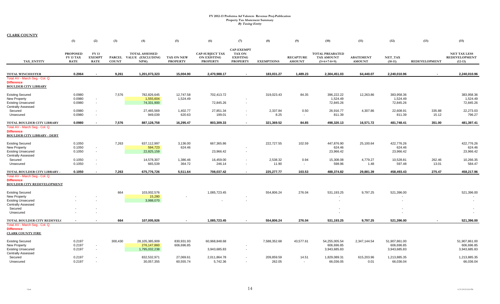|                                                                                          | (1)                                                | (2)                                         | (3)                           | (4)                                                      | (5)                           | (6)                                                             | (7)                                                                      | (8)               | (9)                               | (10)                                                         | (11)                              | (12)                 | (13)                 | (15)                                                     |
|------------------------------------------------------------------------------------------|----------------------------------------------------|---------------------------------------------|-------------------------------|----------------------------------------------------------|-------------------------------|-----------------------------------------------------------------|--------------------------------------------------------------------------|-------------------|-----------------------------------|--------------------------------------------------------------|-----------------------------------|----------------------|----------------------|----------------------------------------------------------|
| TAX ENTITY                                                                               | <b>PROPOSED</b><br><b>FY 13 TAX</b><br><b>RATE</b> | <b>FY13</b><br><b>EXEMPT</b><br><b>RATE</b> | <b>PARCEL</b><br><b>COUNT</b> | <b>TOTAL ASSESSED</b><br><b>VALUE (EXCLUDING</b><br>NPM) | TAX ON NEW<br><b>PROPERTY</b> | <b>CAP-SUBJECT TAX</b><br><b>ON EXISTING</b><br><b>PROPERTY</b> | <b>CAP-EXEMPT</b><br><b>TAX ON</b><br><b>EXISTING</b><br><b>PROPERTY</b> | <b>EXEMPTIONS</b> | <b>RECAPTURE</b><br><b>AMOUNT</b> | <b>TOTAL PREABATED</b><br><b>TAX AMOUNT</b><br>$(5+6+7-8+9)$ | <b>ABATEMENT</b><br><b>AMOUNT</b> | NET_TAX<br>$(10-11)$ | <b>REDEVELOPMENT</b> | <b>NET TAX LESS</b><br><b>REDEVELOPMENT</b><br>$(12-13)$ |
|                                                                                          |                                                    |                                             |                               |                                                          |                               |                                                                 |                                                                          |                   |                                   |                                                              |                                   |                      |                      |                                                          |
| <b>TOTAL WINCHESTER</b>                                                                  | 0.2064                                             |                                             | 9,261                         | 1,201,073,323                                            | 15,004.90                     | 2,470,988.17                                                    |                                                                          | 183,031.27        | 1,489.23                          | 2,304,451.03                                                 | 64,440.07                         | 2,240,010.96         |                      | 2,240,010.96                                             |
| Total AV - March Seg - Col. Q<br><b>Difference</b><br><b>BOULDER CITY LIBRARY</b>        |                                                    |                                             |                               |                                                          |                               |                                                                 |                                                                          |                   |                                   |                                                              |                                   |                      |                      |                                                          |
| <b>Existing Secured</b>                                                                  | 0.0980                                             |                                             | 7,576                         | 782,826,645                                              | 12,747.58                     | 702,413.72                                                      |                                                                          | 319,023.43        | 84.35                             | 396,222.22                                                   | 12,263.86                         | 383,958.36           |                      | 383,958.36                                               |
| New Property                                                                             | 0.0980                                             | $\sim$                                      |                               | 1,555,604                                                | 1,524.49                      |                                                                 |                                                                          |                   |                                   | 1,524.49                                                     |                                   | 1,524.49             |                      | 1,524.49                                                 |
| <b>Existing Unsecured</b>                                                                | 0.0980                                             | $\sim$                                      |                               | 74,331,900                                               |                               | 72,845.26                                                       | $\sim$                                                                   |                   |                                   | 72,845.26                                                    |                                   | 72,845.26            |                      | 72,845.26                                                |
| <b>Centrally Assessed</b>                                                                |                                                    |                                             |                               |                                                          |                               |                                                                 |                                                                          |                   |                                   |                                                              |                                   |                      |                      |                                                          |
| Secured                                                                                  | 0.0980                                             | $\sim$                                      |                               | 27,465,569                                               | 1,402.77                      | 27,851.34                                                       |                                                                          | 2,337.84          | 0.50                              | 26,916.77                                                    | 4,307.86                          | 22,608.91            | 335.88               | 22,273.03                                                |
| Unsecured                                                                                | 0.0980                                             | $\sim$                                      |                               | 949,039                                                  | 620.63                        | 199.01                                                          | $\sim$                                                                   | 8.25              | $\sim$                            | 811.39                                                       |                                   | 811.39               | 15.12                | 796.27                                                   |
| TOTAL BOULDER CITY LIBRARY                                                               | 0.0980                                             | $\overline{\phantom{a}}$                    | 7,576                         | 887,128,758                                              | 16,295.47                     | 803,309.33                                                      | $\sim$                                                                   | 321.369.52        | 84.85                             | 498,320.13                                                   | 16,571.72                         | 481,748.41           | 351.00               | 481,397.41                                               |
| Total AV - March Seg - Col. Q<br><b>Difference</b><br><b>BOULDER CITY LIBRARY - DEBT</b> |                                                    |                                             |                               |                                                          |                               |                                                                 |                                                                          |                   |                                   |                                                              |                                   |                      |                      |                                                          |
| <b>Existing Secured</b>                                                                  | 0.1050                                             |                                             | 7,263                         | 637,112,997                                              | 3,136.00                      | 667,365.86                                                      |                                                                          | 222,727.55        | 102.59                            | 447,876.90                                                   | 25,100.64                         | 422,776.26           |                      | 422,776.26                                               |
| New Property                                                                             | 0.1050                                             | $\sim$                                      |                               | 594,723                                                  | 624.46                        |                                                                 |                                                                          |                   |                                   | 624.46                                                       |                                   | 624.46               |                      | 624.46                                                   |
| <b>Existing Unsecured</b>                                                                | 0.1050                                             | $\sim$                                      |                               | 22,825,159                                               |                               | 23,966.42                                                       | $\blacksquare$                                                           |                   |                                   | 23,966.42                                                    |                                   | 23,966.42            |                      | 23,966.42                                                |
| <b>Centrally Assessed</b>                                                                |                                                    |                                             |                               |                                                          |                               |                                                                 |                                                                          |                   |                                   |                                                              |                                   |                      |                      |                                                          |
| Secured                                                                                  | 0.1050                                             | $\sim$                                      |                               | 14,578,307                                               | 1,386.46                      | 16,459.00                                                       | $\overline{\phantom{a}}$                                                 | 2,538.32          | 0.94                              | 15,308.08                                                    | 4,779.27                          | 10,528.81            | 262.46               | 10,266.35                                                |
| Unsecured                                                                                | 0.1050                                             | $\sim$                                      |                               | 665,539                                                  | 364.72                        | 246.14                                                          | $\blacksquare$                                                           | 11.90             | $\sim$                            | 598.96                                                       | 1.48                              | 597.48               | 13.01                | 584.47                                                   |
| TOTAL BOULDER CITY LIBRARY -                                                             | 0.1050                                             |                                             | 7,263                         | 675,776,726                                              | 5,511.64                      | 708,037.42                                                      | $\blacksquare$                                                           | 225,277.77        | 103.53                            | 488,374.82                                                   | 29,881.39                         | 458,493.43           | 275.47               | 458,217.96                                               |
| Total AV - March Seg - Col. Q<br><b>Difference</b><br><b>BOULDER CITY REDEVELOPMENT</b>  |                                                    |                                             |                               |                                                          |                               |                                                                 |                                                                          |                   |                                   |                                                              |                                   |                      |                      |                                                          |
| <b>Existing Secured</b>                                                                  |                                                    |                                             | 664                           | 103,002,576                                              |                               | 1,085,723.45                                                    |                                                                          | 554,806.24        | 276.04                            | 531,193.25                                                   | 9,797.25                          | 521,396.00           |                      | 521,396.00                                               |
| New Property                                                                             |                                                    |                                             |                               | 15,280                                                   | $\overline{\phantom{a}}$      |                                                                 |                                                                          |                   |                                   |                                                              |                                   |                      |                      |                                                          |
| <b>Existing Unsecured</b><br><b>Centrally Assessed</b>                                   |                                                    |                                             |                               | 3,988,070                                                |                               |                                                                 |                                                                          |                   |                                   |                                                              |                                   |                      |                      |                                                          |
| Secured                                                                                  |                                                    |                                             |                               |                                                          |                               |                                                                 |                                                                          |                   |                                   |                                                              |                                   |                      |                      | $\overline{\phantom{a}}$                                 |
| Unsecured                                                                                |                                                    |                                             |                               |                                                          |                               |                                                                 |                                                                          |                   |                                   |                                                              |                                   |                      |                      |                                                          |
| TOTAL BOULDER CITY REDEVEL(                                                              | $\blacksquare$                                     |                                             | 664                           | 107,005,926                                              | $\overline{\phantom{a}}$      | 1,085,723.45                                                    | $\blacksquare$                                                           | 554,806.24        | 276.04                            | 531,193.25                                                   | 9,797.25                          | 521,396.00           |                      | 521,396.00                                               |
| Total AV - March Seq - Col. Q<br><b>Difference</b><br><b>CLARK COUNTY FIRE</b>           |                                                    |                                             |                               |                                                          |                               |                                                                 |                                                                          |                   |                                   |                                                              |                                   |                      |                      |                                                          |
| <b>Existing Secured</b>                                                                  | 0.2197                                             |                                             | 300,430                       | 28,105,385,909                                           | 830,931.93                    | 60,968,848.68                                                   |                                                                          | 7,588,352.68      | 43,577.61                         | 54,255,005.54                                                | 2,347,144.54                      | 51,907,861.00        |                      | 51,907,861.00                                            |
| New Property                                                                             | 0.2197                                             | $\sim$                                      |                               | 276,147,860                                              | 606,696.85                    |                                                                 |                                                                          |                   |                                   | 606,696.85                                                   |                                   | 606,696.85           |                      | 606,696.85                                               |
| <b>Existing Unsecured</b>                                                                | 0.2197                                             | $\sim$                                      |                               | 1,795,032,238                                            |                               | 3,943,685.83                                                    |                                                                          |                   |                                   | 3,943,685.83                                                 |                                   | 3,943,685.83         |                      | 3,943,685.83                                             |
| <b>Centrally Assessed</b>                                                                |                                                    |                                             |                               |                                                          |                               |                                                                 |                                                                          |                   |                                   |                                                              |                                   |                      |                      |                                                          |
| Secured                                                                                  | 0.2197                                             | $\overline{\phantom{a}}$                    |                               | 832,532,971                                              | 27,069.61                     | 2,011,864.78                                                    | $\overline{\phantom{a}}$                                                 | 209,859.59        | 14.51                             | 1,829,089.31                                                 | 615,203.96                        | 1,213,885.35         |                      | 1,213,885.35                                             |
| Unsecured                                                                                | 0.2197                                             |                                             |                               | 30,057,355                                               | 60,555.74                     | 5,742.36                                                        | $\sim$                                                                   | 262.05            | $\sim$                            | 66,036.05                                                    | 0.01                              | 66,036.04            |                      | 66,036.04                                                |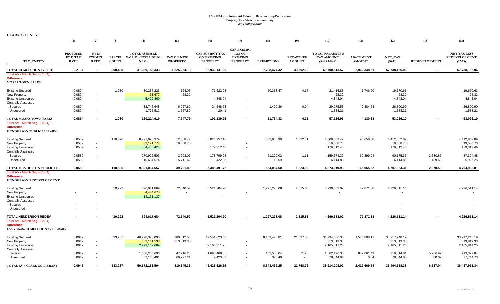|                                                                                       | (1)                                                | (2)                                   | (3)                           | (4)                                                      | (5)                           | (6)                                                             | (7)                                                                      | (8)                | (9)                               | (10)                                                  | (11)                              | (12)                  | (13)                 | (15)                                                     |
|---------------------------------------------------------------------------------------|----------------------------------------------------|---------------------------------------|-------------------------------|----------------------------------------------------------|-------------------------------|-----------------------------------------------------------------|--------------------------------------------------------------------------|--------------------|-----------------------------------|-------------------------------------------------------|-----------------------------------|-----------------------|----------------------|----------------------------------------------------------|
| TAX ENTITY                                                                            | <b>PROPOSED</b><br><b>FY 13 TAX</b><br><b>RATE</b> | FY 13<br><b>EXEMPT</b><br><b>RATE</b> | <b>PARCEL</b><br><b>COUNT</b> | <b>TOTAL ASSESSED</b><br><b>VALUE (EXCLUDING</b><br>NPM) | TAX ON NEW<br><b>PROPERTY</b> | <b>CAP-SUBJECT TAX</b><br><b>ON EXISTING</b><br><b>PROPERTY</b> | <b>CAP-EXEMPT</b><br><b>TAX ON</b><br><b>EXISTING</b><br><b>PROPERTY</b> | <b>EXEMPTIONS</b>  | <b>RECAPTURE</b><br><b>AMOUNT</b> | <b>TOTAL PREABATED</b><br>TAX AMOUNT<br>$(5+6+7-8+9)$ | <b>ABATEMENT</b><br><b>AMOUNT</b> | NET TAX<br>$(10-11)$  | <b>REDEVELOPMENT</b> | <b>NET TAX LESS</b><br><b>REDEVELOPMENT</b><br>$(12-13)$ |
| TOTAL CLARK COUNTY FIRE                                                               | 0.2197                                             | $\sim$                                | 300,430                       | 31,039,156,333                                           | 1,525,254.13                  | 66,930,141.65                                                   |                                                                          | 7,798,474.32       | 43,592.12                         | 60,700,513.57                                         | 2,962,348.51                      | 57,738,165.06         | $\sim$               | 57,738,165.06                                            |
| Total AV - March Seg - Col. Q<br><b>Difference</b><br><b>MOAPA TOWN PARKS</b>         |                                                    |                                       |                               |                                                          |                               |                                                                 |                                                                          |                    |                                   |                                                       |                                   |                       |                      |                                                          |
| <b>Existing Secured</b>                                                               | 0.0894                                             |                                       | 1,080                         | 80,237,223                                               | 124.05                        | 71,622.08                                                       |                                                                          | 50,333.47          | 4.17                              | 21,416.83                                             | 1,746.20                          | 19,670.63             |                      | 19,670.63                                                |
| New Property                                                                          | 0.0894                                             | $\sim$                                |                               | 31,677                                                   | 28.32                         |                                                                 |                                                                          |                    |                                   | 28.32                                                 |                                   | 28.32                 |                      | 28.32                                                    |
| <b>Existing Unsecured</b>                                                             | 0.0894                                             | $\sim$                                |                               | 5,422,860                                                |                               | 4,848.04                                                        |                                                                          |                    |                                   | 4,848.04                                              |                                   | 4,848.04              |                      | 4,848.04                                                 |
| <b>Centrally Assessed</b>                                                             |                                                    |                                       |                               |                                                          | 6,027.62                      | 24,648.73                                                       |                                                                          |                    |                                   |                                                       |                                   |                       |                      | 26,890.90                                                |
| Secured<br>Unsecured                                                                  | 0.0894<br>0.0894                                   | $\sim$<br>$\sim$                      |                               | 32,746,648<br>1,776,512                                  | 1,567.80                      | 20.41                                                           |                                                                          | 1,400.86           | 0.04<br>$\sim$                    | 29,275.53<br>1,588.21                                 | 2,384.63                          | 26,890.90<br>1,588.21 |                      | 1,588.21                                                 |
|                                                                                       |                                                    |                                       |                               |                                                          |                               |                                                                 |                                                                          |                    |                                   |                                                       |                                   |                       |                      |                                                          |
| TOTAL MOAPA TOWN PARKS                                                                | 0.0894                                             |                                       | 1,080                         | 120,214,919                                              | 7,747.79                      | 101,139.26                                                      | $\sim$                                                                   | 51,734.33          | 4.21                              | 57,156.93                                             | 4,130.83                          | 53,026.10             |                      | 53,026.10                                                |
| Total AV - March Seg - Col. Q<br><b>Difference</b><br><b>HENDERSON PUBLIC LIBRARY</b> |                                                    |                                       |                               |                                                          |                               |                                                                 |                                                                          |                    |                                   |                                                       |                                   |                       |                      |                                                          |
| <b>Existing Secured</b>                                                               | 0.0589                                             |                                       | 110,596                       | 8,771,920,379                                            | 12,568.47                     | 5,026,957.18                                                    |                                                                          | 532,838.99         | 1,822.81                          | 4,508,509.47                                          | 95,656.58                         | 4,412,852.89          |                      | 4,412,852.89                                             |
| New Property                                                                          | 0.0589                                             | $\sim$                                |                               | 33, 121, 777                                             | 19,508.73                     |                                                                 |                                                                          |                    |                                   | 19,508.73                                             |                                   | 19,508.73             |                      | 19,508.73                                                |
| <b>Existing Unsecured</b>                                                             | 0.0589                                             | $\sim$                                |                               | 304,435,424                                              |                               | 179,312.46                                                      |                                                                          |                    |                                   | 179,312.46                                            |                                   | 179,312.46            |                      | 179,312.46                                               |
| <b>Centrally Assessed</b>                                                             |                                                    |                                       |                               |                                                          |                               |                                                                 |                                                                          |                    |                                   |                                                       |                                   |                       |                      |                                                          |
| Secured                                                                               | 0.0589<br>0.0589                                   | $\sim$<br>$\overline{\phantom{a}}$    |                               | 270,922,503<br>10,634,574                                | 2,003.07<br>5,711.62          | 178,799.23<br>422.85                                            | $\sim$                                                                   | 21,229.02<br>19.59 | 1.11<br>$\sim$                    | 159,574.39<br>6,114.88                                | 69,399.04                         | 90,175.35<br>6,114.88 | 2,780.87<br>189.63   | 87,394.48<br>5,925.25                                    |
| Unsecured                                                                             |                                                    |                                       |                               |                                                          |                               |                                                                 |                                                                          |                    |                                   |                                                       |                                   |                       |                      |                                                          |
| TOTAL HENDERSON PUBLIC LIB                                                            | 0.0589                                             | $\sim$                                | 110,596                       | 9,391,034,657                                            | 39,791.89                     | 5,385,491.72                                                    | $\overline{\phantom{a}}$                                                 | 554,087.60         | 1,823.92                          | 4,873,019.93                                          | 165,055.62                        | 4,707,964.31          | 2,970.50             | 4,704,993.81                                             |
| Total AV - March Seg - Col. Q<br><b>Difference</b><br><b>HENDERSON REDEVELOPMENT</b>  |                                                    |                                       |                               |                                                          |                               |                                                                 |                                                                          |                    |                                   |                                                       |                                   |                       |                      |                                                          |
| <b>Existing Secured</b>                                                               |                                                    |                                       | 10,292                        | 676,041,869                                              | 72,640.57                     | 5,521,204.90                                                    |                                                                          | 1,297,278.08       | 2,815.63                          | 4,299,383.02                                          | 72,871.88                         | 4,226,511.14          |                      | 4,226,511.14                                             |
| <b>New Property</b>                                                                   |                                                    |                                       |                               | 4,444,678                                                |                               |                                                                 |                                                                          |                    |                                   |                                                       |                                   |                       |                      |                                                          |
| <b>Existing Unsecured</b>                                                             |                                                    |                                       |                               | 14, 131, 137                                             |                               |                                                                 |                                                                          |                    |                                   |                                                       |                                   |                       |                      | $\sim$                                                   |
| <b>Centrally Assessed</b>                                                             |                                                    |                                       |                               |                                                          |                               |                                                                 |                                                                          |                    |                                   |                                                       |                                   |                       |                      |                                                          |
| Secured<br>Unsecured                                                                  |                                                    |                                       |                               |                                                          |                               |                                                                 |                                                                          |                    |                                   |                                                       |                                   |                       |                      | $\sim$<br>$\sim$                                         |
|                                                                                       |                                                    |                                       |                               |                                                          |                               |                                                                 |                                                                          |                    |                                   |                                                       |                                   |                       |                      |                                                          |
| <b>TOTAL HENDERSON REDEV</b>                                                          |                                                    |                                       | 10,292                        | 694,617,684                                              | 72,640.57                     | 5,521,204.90                                                    |                                                                          | 1,297,278.08       | 2,815.63                          | 4,299,383.02                                          | 72,871.88                         | 4,226,511.14          |                      | 4,226,511.14                                             |
| Total AV - March Seg - Col. Q<br><b>Difference</b><br>LAS VEGAS/CLARK COUNTY LIBRARY  |                                                    |                                       |                               |                                                          |                               |                                                                 |                                                                          |                    |                                   |                                                       |                                   |                       |                      |                                                          |
| <b>Existing Secured</b>                                                               | 0.0942                                             |                                       | 533,287                       | 46,298,393,090                                           | 380,012.58                    | 42,551,823.03                                                   |                                                                          | 8,159,476.81       | 21,697.50                         | 34,794,056.30                                         | 1,576,808.11                      | 33,217,248.19         |                      | 33,217,248.19                                            |
| <b>New Property</b>                                                                   | 0.0942                                             | $\sim$                                |                               | 333,141,538                                              | 313,819.33                    |                                                                 |                                                                          |                    |                                   | 313,819.33                                            |                                   | 313,819.33            |                      | 313,819.33                                               |
| <b>Existing Unsecured</b>                                                             | 0.0942                                             | $\sim$                                |                               | 2,299,162,689                                            |                               | 2,165,811.25                                                    | $\sim$                                                                   |                    |                                   | 2,165,811.25                                          |                                   | 2,165,811.25          |                      | 2,165,811.25                                             |
| <b>Centrally Assessed</b>                                                             |                                                    |                                       |                               |                                                          |                               |                                                                 |                                                                          |                    |                                   |                                                       |                                   |                       |                      |                                                          |
| Secured                                                                               | 0.0942                                             | $\sim$                                |                               | 1,658,285,696                                            | 47,216.23                     | 1,698,468.85                                                    |                                                                          | 183,580.04         | 71.26                             | 1,562,176.30                                          | 842,861.49                        | 719,314.81            | 5,986.97             | 713,327.84                                               |
| Unsecured                                                                             | 0.0942                                             | $\sim$                                |                               | 83,168,491                                               | 69,297.21                     | 9,423.03                                                        |                                                                          | 375.40             | $\sim$                            | 78,344.84                                             | 0.04                              | 78,344.80             | 600.07               | 77,744.73                                                |
| TOTAL LV / CLARK CO LIBRARY                                                           | 0.0942                                             |                                       | 533.287                       | 50,672,151,504                                           | 810.345.35                    | 46,425,526.16                                                   |                                                                          | 8.343.432.25       | 21.768.76                         | 38.914.208.02                                         | 2.419.669.64                      | 36.494.538.38         | 6.587.04             | 36,487,951.34                                            |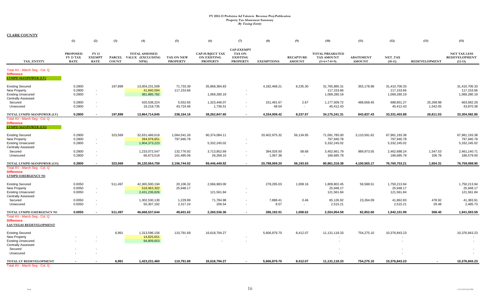|                                                                                                   | (1)                                                | (2)                                   | (3)          | (4)                                                      | (5)                           | (6)                                                             | (7)                                                                      | (8)                    | (9)                               | (10)                                                         | (11)                              | (12)                                        | (13)                  | (15)                                                     |
|---------------------------------------------------------------------------------------------------|----------------------------------------------------|---------------------------------------|--------------|----------------------------------------------------------|-------------------------------|-----------------------------------------------------------------|--------------------------------------------------------------------------|------------------------|-----------------------------------|--------------------------------------------------------------|-----------------------------------|---------------------------------------------|-----------------------|----------------------------------------------------------|
| TAX_ENTITY                                                                                        | <b>PROPOSED</b><br><b>FY 13 TAX</b><br><b>RATE</b> | FY 13<br><b>EXEMPT</b><br><b>RATE</b> | <b>COUNT</b> | <b>TOTAL ASSESSED</b><br>PARCEL VALUE (EXCLUDING<br>NPM) | TAX ON NEW<br><b>PROPERTY</b> | <b>CAP-SUBJECT TAX</b><br><b>ON EXISTING</b><br><b>PROPERTY</b> | <b>CAP-EXEMPT</b><br><b>TAX ON</b><br><b>EXISTING</b><br><b>PROPERTY</b> | <b>EXEMPTIONS</b>      | <b>RECAPTURE</b><br><b>AMOUNT</b> | <b>TOTAL PREABATED</b><br><b>TAX AMOUNT</b><br>$(5+6+7-8+9)$ | <b>ABATEMENT</b><br><b>AMOUNT</b> | NET_TAX<br>$(10-11)$                        | <b>REDEVELOPMENT</b>  | <b>NET TAX LESS</b><br><b>REDEVELOPMENT</b><br>$(12-13)$ |
| Total AV - March Seg - Col. Q<br><b>Difference</b><br><b>LVMPD MANPOWER (LV)</b>                  |                                                    |                                       |              |                                                          |                               |                                                                 |                                                                          |                        |                                   |                                                              |                                   |                                             |                       |                                                          |
| <b>Existing Secured</b><br>New Property<br><b>Existing Unsecured</b><br><b>Centrally Assessed</b> | 0.2800<br>0.2800<br>0.2800                         | $\sim$<br>$\sim$                      | 197,899      | 13,004,231,509<br>41,840,594<br>381,885,782              | 71,733.39<br>117,153.66       | 35,868,384.83<br>1,069,280.19                                   | $\sim$                                                                   | 4,182,468.21           | 8,235.30                          | 31,765,885.31<br>117,153.66<br>1,069,280.19                  | 355,178.98                        | 31,410,706.33<br>117,153.66<br>1,069,280.19 |                       | 31,410,706.33<br>117,153.66<br>1,069,280.19              |
| Secured<br>Unsecured                                                                              | 0.2800<br>0.2800                                   | $\sim$<br>$\sim$                      |              | 420,538,224<br>16,218,735                                | 5,552.65<br>43,724.46         | 1,323,446.07<br>1,736.51                                        | $\overline{\phantom{a}}$                                                 | 151,491.67<br>48.54    | 2.67<br>$\sim$                    | 1,177,509.72<br>45,412.43                                    | 488,658.45                        | 688,851.27<br>45,412.43                     | 25,268.98<br>1,542.05 | 663,582.29<br>43,870.38                                  |
| TOTAL LVMPD MANPOWER (LV)                                                                         | 0.2800                                             | $\overline{\phantom{a}}$              | 197,899      | 13,864,714,845                                           | 238,164.16                    | 38,262,847.60                                                   | $\blacksquare$                                                           | 4,334,008.42           | 8,237.97                          | 34,175,241.31                                                | 843,837.43                        | 33,331,403.88                               | 26,811.03             | 33,304,592.85                                            |
| Total AV - March Seg - Col. Q<br><b>Difference</b><br><b>LVMPD MANPOWER (CO)</b>                  |                                                    |                                       |              |                                                          |                               |                                                                 |                                                                          |                        |                                   |                                                              |                                   |                                             |                       |                                                          |
| <b>Existing Secured</b><br>New Property<br><b>Existing Unsecured</b><br><b>Centrally Assessed</b> | 0.2800<br>0.2800<br>0.2800                         | $\sim$<br>$\sim$                      | 323,569      | 32,631,466,619<br>284,978,851<br>1,904,373,223           | 1,064,541.26<br>797,940.78    | 90,374,084.11<br>5,332,245.02                                   | $\overline{\phantom{a}}$                                                 | 20,402,975.32          | 56,134.95                         | 71,091,785.00<br>797,940.78<br>5,332,245.02                  | 3,110,591.62                      | 67,981,193.38<br>797,940.78<br>5,332,245.02 |                       | 67,981,193.38<br>797,940.78<br>5,332,245.02              |
| Secured<br>Unsecured                                                                              | 0.2800<br>0.2800                                   | $\sim$<br>$\sim$                      |              | 1,233,072,547<br>66,673,519                              | 132,776.92<br>161,485.06      | 3,713,852.69<br>26,268.10                                       | $\sim$                                                                   | 394,026.50<br>1,067.38 | 58.68<br>$\sim$                   | 3,452,661.79<br>186,685.78                                   | 989,973.55                        | 2,462,688.24<br>186,685.78                  | 1,547.53<br>106.78    | 2,461,140.71<br>186,579.00                               |
| TOTAL LVMPD MANPOWER (CO)                                                                         | 0.2800                                             | $\sim$                                | 323,569      | 36,120,564,759                                           | 2,156,744.02                  | 99,446,449.92                                                   |                                                                          | 20,798,069.20          | 56,193.63                         | 80,861,318.38                                                | 4,100,565.17                      | 76,760,753.21                               | 1,654.31              | 76,759,098.90                                            |
| Total AV - March Seg - Col. Q<br><b>Difference</b><br><b>LVMPD EMERGENCY 911</b>                  |                                                    |                                       |              |                                                          |                               |                                                                 |                                                                          |                        |                                   |                                                              |                                   |                                             |                       |                                                          |
| <b>Existing Secured</b><br>New Property<br><b>Existing Unsecured</b><br><b>Centrally Assessed</b> | 0.0050<br>0.0050<br>0.0050                         | $\sim$<br>$\sim$                      | 511.497      | 42,365,500,194<br>518,963,302<br>2,431,236,826           | 20,106.32<br>25,948.17        | 2,066,983.00<br>121,561.84                                      | $\sim$                                                                   | 278,295.03             | 1,008.16                          | 1,809,802.45<br>25,948.17<br>121,561.84                      | 59,588.51                         | 1,750,213.94<br>25,948.17<br>121,561.84     |                       | 1,750,213.94<br>25,948.17<br>121,561.84                  |
| Secured<br>Unsecured                                                                              | 0.0050<br>0.0050                                   | $\sim$<br>$\sim$                      |              | 1,302,530,130<br>50,307,192                              | 1,229.89<br>2,317.24          | 71,784.98<br>206.54                                             | $\sim$<br>$\overline{\phantom{a}}$                                       | 7,888.41<br>8.57       | 0.46<br>$\sim$                    | 65,126.92<br>2,515.21                                        | 23,264.09                         | 41,862.83<br>2,515.21                       | 478.92<br>29.48       | 41,383.91<br>2,485.73                                    |
| TOTAL LVMPD EMERGENCY 911                                                                         | 0.0050                                             | $\overline{\phantom{a}}$              | 511.497      | 46,668,537,644                                           | 49,601.62                     | 2,260,536.36                                                    |                                                                          | 286.192.01             | 1.008.62                          | 2,024,954.59                                                 | 82,852.60                         | 1,942,101.99                                | 508.40                | 1,941,593.59                                             |
| Total AV - March Seg - Col. Q<br><b>Difference</b><br>LAS VEGAS REDEVELOPMENT                     |                                                    |                                       |              |                                                          |                               |                                                                 |                                                                          |                        |                                   |                                                              |                                   |                                             |                       |                                                          |
| <b>Existing Secured</b><br>New Property<br><b>Existing Unsecured</b>                              |                                                    |                                       | 6,991        | 1,313,596,156<br>14,825,651<br>94,809,653                | 110,791.69                    | 16,618,794.27                                                   | $\sim$                                                                   | 5,606,879.70           | 8,412.07                          | 11, 131, 118.33                                              | 754,275.10                        | 10,376,843.23<br>$\overline{\phantom{a}}$   |                       | 10,376,843.23                                            |
| <b>Centrally Assessed</b><br>Secured<br>Unsecured                                                 |                                                    |                                       |              |                                                          |                               |                                                                 |                                                                          |                        |                                   |                                                              |                                   |                                             |                       |                                                          |
| TOTAL LV REDEVELOPMENT<br>Total AV - March Seg -<br>- Col. Q                                      |                                                    |                                       | 6,991        | 1,423,231,460                                            | 110,791.69                    | 16,618,794.27                                                   |                                                                          | 5,606,879.70           | 8,412.07                          | 11,131,118.33                                                | 754,275.10                        | 10,376,843.23                               |                       | 10,376,843.23                                            |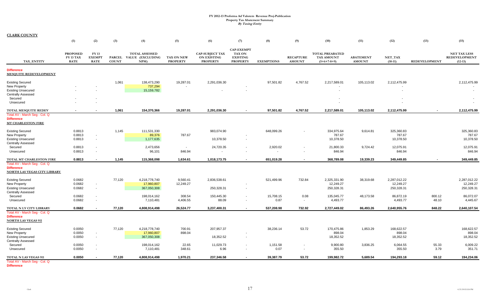**CLARK COUNTY**

|                                                                                                                | (1)                                                | (2)                                                  | (3)          | (4)                                                     | (5)                           | (6)                                                             | (7)                                                                      | (8)                                  | (9)                               | (10)                                                         | (11)                              | (12)                                     | (13)                 | (15)                                              |
|----------------------------------------------------------------------------------------------------------------|----------------------------------------------------|------------------------------------------------------|--------------|---------------------------------------------------------|-------------------------------|-----------------------------------------------------------------|--------------------------------------------------------------------------|--------------------------------------|-----------------------------------|--------------------------------------------------------------|-----------------------------------|------------------------------------------|----------------------|---------------------------------------------------|
| TAX_ENTITY                                                                                                     | <b>PROPOSED</b><br><b>FY 13 TAX</b><br><b>RATE</b> | FY 13<br><b>EXEMPT</b><br><b>RATE</b>                | <b>COUNT</b> | <b>TOTAL ASSESSED</b><br>PARCEL VALUE (EXCLUDING<br>NPM | TAX ON NEW<br><b>PROPERTY</b> | <b>CAP-SUBJECT TAX</b><br><b>ON EXISTING</b><br><b>PROPERTY</b> | <b>CAP-EXEMPT</b><br><b>TAX ON</b><br><b>EXISTING</b><br><b>PROPERTY</b> | <b>EXEMPTIONS</b>                    | <b>RECAPTURE</b><br><b>AMOUNT</b> | <b>TOTAL PREABATED</b><br><b>TAX AMOUNT</b><br>$(5+6+7-8+9)$ | <b>ABATEMENT</b><br><b>AMOUNT</b> | NET_TAX<br>$(10-11)$                     | <b>REDEVELOPMENT</b> | <b>NET TAX LESS</b><br>REDEVELOPMENT<br>$(12-13)$ |
| <b>Difference</b><br>MESQUITE REDEVELOPMENT                                                                    |                                                    |                                                      |              |                                                         |                               |                                                                 |                                                                          |                                      |                                   |                                                              |                                   |                                          |                      |                                                   |
| <b>Existing Secured</b><br>New Property<br><b>Existing Unsecured</b><br><b>Centrally Assessed</b>              |                                                    |                                                      | 1,061        | 138,473,290<br>737,294<br>15,159,782                    | 19,287.01                     | 2,291,036.30                                                    |                                                                          | 97,501.82                            | 4,767.52                          | 2,217,589.01<br>$\sim$                                       | 105,113.02                        | 2,112,475.99<br>$\overline{\phantom{a}}$ |                      | 2,112,475.99                                      |
| Secured<br>Unsecured                                                                                           |                                                    |                                                      |              |                                                         |                               |                                                                 |                                                                          |                                      |                                   |                                                              |                                   |                                          |                      |                                                   |
| <b>TOTAL MESQUITE REDEV</b><br>Total AV - March Seg - Col. Q<br><b>Difference</b><br><b>MT CHARLESTON FIRE</b> |                                                    |                                                      | 1,061        | 154,370,366                                             | 19,287.01                     | 2,291,036.30                                                    |                                                                          | 97,501.82                            | 4,767.52                          | 2,217,589.01                                                 | 105,113.02                        | 2,112,475.99                             |                      | 2,112,475.99                                      |
| <b>Existing Secured</b><br><b>New Property</b><br><b>Existing Unsecured</b><br><b>Centrally Assessed</b>       | 0.8813<br>0.8813<br>0.8813                         | $\blacksquare$<br>$\sim$                             | 1,145        | 111,531,330<br>89,376<br>1,177,635                      | 787.67                        | 983,074.90<br>10,378.50                                         |                                                                          | 648,099.26                           |                                   | 334,975.64<br>787.67<br>10,378.50                            | 9,614.81                          | 325,360.83<br>787.67<br>10,378.50        |                      | 325,360.83<br>787.67<br>10,378.50                 |
| Secured<br>Unsecured                                                                                           | 0.8813<br>0.8813                                   | $\overline{\phantom{a}}$<br>$\overline{\phantom{a}}$ |              | 2,473,656<br>96,101                                     | $\sim$<br>846.94              | 24,720.35<br>$\sim$                                             |                                                                          | 2,920.02<br>$\overline{\phantom{a}}$ | $\sim$<br>$\sim$                  | 21,800.33<br>846.94                                          | 9,724.42                          | 12,075.91<br>846.94                      |                      | 12,075.91<br>846.94                               |
| TOTAL MT CHARLESTON FIRE                                                                                       | 0.8813                                             |                                                      | 1,145        | 115,368,098                                             | 1,634.61                      | 1,018,173.75                                                    |                                                                          | 651,019.28                           |                                   | 368,789.08                                                   | 19,339.23                         | 349,449.85                               |                      | 349,449.85                                        |
| Total AV - March Seg - Col. Q<br><b>Difference</b><br>NORTH LAS VEGAS CITY LIBRARY                             |                                                    |                                                      |              |                                                         |                               |                                                                 |                                                                          |                                      |                                   |                                                              |                                   |                                          |                      |                                                   |
| <b>Existing Secured</b><br>New Property<br><b>Existing Unsecured</b><br><b>Centrally Assessed</b>              | 0.0682<br>0.0682<br>0.0682                         | $\sim$<br>$\blacksquare$                             | 77,120       | 4,218,778,740<br>17,960,807<br>367,050,308              | 9,560.41<br>12,249.27         | 2,836,538.61<br>250,328.31                                      |                                                                          | 521,499.96                           | 732.84                            | 2,325,331.90<br>12,249.27<br>250,328.31                      | 38,319.68                         | 2,287,012.22<br>12,249.27<br>250,328.31  |                      | 2,287,012.22<br>12,249.27<br>250,328.31           |
| Secured<br>Unsecured                                                                                           | 0.0682<br>0.0682                                   | $\overline{\phantom{a}}$<br>$\overline{\phantom{a}}$ |              | 198,014,162<br>7,110,481                                | 308.54<br>4,406.55            | 150,445.30<br>88.09                                             | $\sim$                                                                   | 15,708.15<br>0.87                    | 0.08<br>$\sim$                    | 135,045.77<br>4,493.77                                       | 48,173.58                         | 86,872.19<br>4,493.77                    | 800.12<br>48.10      | 86,072.07<br>4,445.67                             |
| TOTAL N LV CITY LIBRARY<br>Total AV - March Seg - Col. Q<br><b>Difference</b><br><b>NORTH LAS VEGAS 911</b>    | 0.0682                                             | $\overline{\phantom{a}}$                             | 77,120       | 4,808,914,498                                           | 26,524.77                     | 3,237,400.31                                                    | $\sim$                                                                   | 537,208.98                           | 732.92                            | 2,727,449.02                                                 | 86,493.26                         | 2,640,955.76                             | 848.22               | 2,640,107.54                                      |
| <b>Existing Secured</b><br><b>New Property</b><br><b>Existing Unsecured</b><br><b>Centrally Assessed</b>       | 0.0050<br>0.0050<br>0.0050                         | $\blacksquare$<br>$\sim$                             | 77,120       | 4,218,778,740<br>17,960,807<br>367,050,308              | 700.91<br>898.04              | 207,957.37<br>18,352.52                                         |                                                                          | 38,236.14                            | 53.72                             | 170,475.86<br>898.04<br>18,352.52                            | 1,853.29                          | 168,622.57<br>898.04<br>18,352.52        |                      | 168,622.57<br>898.04<br>18,352.52                 |
| Secured<br>Unsecured                                                                                           | 0.0050<br>0.0050                                   | $\blacksquare$<br>$\overline{\phantom{a}}$           |              | 198,014,162<br>7,110,481                                | 22.65<br>348.61               | 11,029.73<br>6.96                                               |                                                                          | 1,151.58<br>0.07                     | $\sim$                            | 9,900.80<br>355.50                                           | 3.836.25                          | 6,064.55<br>355.50                       | 55.33<br>3.79        | 6,009.22<br>351.71                                |
| TOTAL N LAS VEGAS 911<br>Total AV - March Seg - Col. Q                                                         | 0.0050                                             | $\sim$                                               | 77,120       | 4,808,914,498                                           | 1,970.21                      | 237,346.58                                                      | $\sim$                                                                   | 39,387.79                            | 53.72                             | 199,982.72                                                   | 5,689.54                          | 194,293.18                               | 59.12                | 194,234.06                                        |

**Difference**

Clark

4/23/201212:26 PM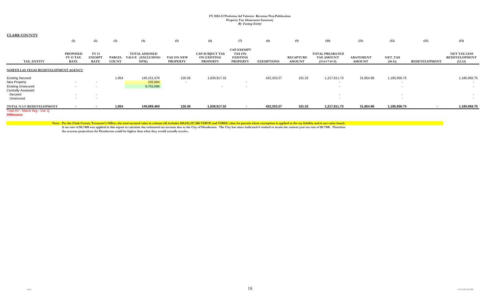#### **CLARK COUNTY**

|                                                                                                                                  | (1)                                                | (2)                                          | (3)                           | (4)                                              | (5)                           | (6)                                                      | (7)                                                                      | (8)               | (9)                               | (10)                                                         | (11)                              | (12)                        | (13)                 | (15)                                                     |
|----------------------------------------------------------------------------------------------------------------------------------|----------------------------------------------------|----------------------------------------------|-------------------------------|--------------------------------------------------|-------------------------------|----------------------------------------------------------|--------------------------------------------------------------------------|-------------------|-----------------------------------|--------------------------------------------------------------|-----------------------------------|-----------------------------|----------------------|----------------------------------------------------------|
| TAX ENTITY                                                                                                                       | <b>PROPOSED</b><br><b>FY 13 TAX</b><br><b>RATE</b> | <b>FY 13</b><br><b>EXEMPT</b><br><b>RATE</b> | <b>PARCEL</b><br><b>COUNT</b> | <b>TOTAL ASSESSED</b><br>VALUE (EXCLUDING<br>NPM | TAX ON NEW<br><b>PROPERTY</b> | <b>CAP-SUBJECT TAX</b><br>ON EXISTING<br><b>PROPERTY</b> | <b>CAP-EXEMPT</b><br><b>TAX ON</b><br><b>EXISTING</b><br><b>PROPERTY</b> | <b>EXEMPTIONS</b> | <b>RECAPTURE</b><br><b>AMOUNT</b> | <b>TOTAL PREABATED</b><br><b>TAX AMOUNT</b><br>$(5+6+7-8+9)$ | <b>ABATEMENT</b><br><b>AMOUNT</b> | <b>NET_TAX</b><br>$(10-11)$ | <b>REDEVELOPMENT</b> | <b>NET TAX LESS</b><br><b>REDEVELOPMENT</b><br>$(12-13)$ |
| NORTH LAS VEGAS REDEVELOPMENT AGENCY                                                                                             |                                                    |                                              |                               |                                                  |                               |                                                          |                                                                          |                   |                                   |                                                              |                                   |                             |                      |                                                          |
| <b>Existing Secured</b><br><b>New Property</b><br><b>Existing Unsecured</b><br><b>Centrally Assessed</b><br>Secured<br>Unsecured | $\sim$                                             | $\sim$                                       | 1,954                         | 140,151,679<br>235,694<br>8,702,096              | 126.36<br>$\sim$              | 1,639,917.32<br>$\overline{\phantom{a}}$                 |                                                                          | 422,333.27        | 101.32                            | 1,217,811.73<br>$\sim$                                       | 31,854.98                         | 1,185,956.75<br>$\sim$      |                      | 1,185,956.75                                             |
| TOTAL N LV REDEVELOPMENT                                                                                                         |                                                    |                                              | 1,954                         | 149,089,469                                      | 126.36                        | 1,639,917.32                                             |                                                                          | 422,333.27        | 101.32                            | 1,217,811.73                                                 | 31,854.98                         | 1,185,956.75                |                      | 1,185,956.75                                             |
| Total AV - March Seg - Col. Q                                                                                                    |                                                    |                                              |                               |                                                  |                               |                                                          |                                                                          |                   |                                   |                                                              |                                   |                             |                      |                                                          |

**Difference**

Note: Per the Clark County Treasurer's Office, the total secured value in column (4) includes \$10,612,317,986 VSBTE and VSBSE value for parcels where exemption is applied to the tax liability and is not value based.

**A tax rate of \$0.7408 was applied in this report to calculate the estimated tax revenue due to the City of Henderson. The City has since indicated it wished to retain the current year tax rate of \$0.7108. Therefore the revenue projections for Henderson could be higher than what they would actually receive.**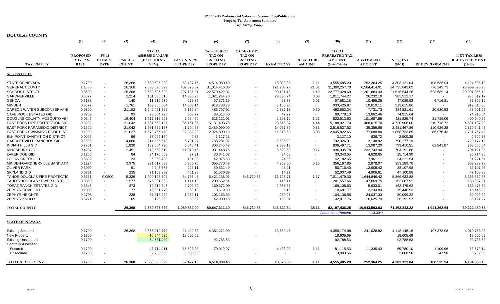|                                     | (1)                                                | (2)                                          | (3)                           | (4)                                                         | (5)                                  | (6)                                                                       | (7)                                                                      | (8)                      | (9)                               | (10)                                                            | (11)                              | (12)                 | (13)          | (15)                                                     |
|-------------------------------------|----------------------------------------------------|----------------------------------------------|-------------------------------|-------------------------------------------------------------|--------------------------------------|---------------------------------------------------------------------------|--------------------------------------------------------------------------|--------------------------|-----------------------------------|-----------------------------------------------------------------|-----------------------------------|----------------------|---------------|----------------------------------------------------------|
| TAX ENTITY                          | <b>PROPOSED</b><br><b>FY 13 TAX</b><br><b>RATE</b> | <b>FY 13</b><br><b>EXEMPT</b><br><b>RATE</b> | <b>PARCEL</b><br><b>COUNT</b> | <b>TOTAL</b><br><b>ASSESSED VALUE</b><br>(EXCLUDING<br>NPM) | <b>TAX ON NEW</b><br><b>PROPERTY</b> | <b>CAP-SUBJECT</b><br><b>TAX ON</b><br><b>EXISTING</b><br><b>PROPERTY</b> | <b>CAP-EXEMPT</b><br><b>TAX ON</b><br><b>EXISTING</b><br><b>PROPERTY</b> | <b>EXEMPTIONS</b>        | <b>RECAPTURE</b><br><b>AMOUNT</b> | <b>TOTAL</b><br>PREABATED TAX<br><b>AMOUNT</b><br>$(5+6+7-8+9)$ | <b>ABATEMENT</b><br><b>AMOUNT</b> | NET TAX<br>$(10-11)$ | REDEVELOPMENT | <b>NET TAX LESS</b><br><b>REDEVELOPMENT</b><br>$(12-13)$ |
| <b>ALL ENTITIES</b>                 |                                                    |                                              |                               |                                                             |                                      |                                                                           |                                                                          |                          |                                   |                                                                 |                                   |                      |               |                                                          |
| <b>STATE OF NEVADA</b>              | 0.1700                                             |                                              | 26,368                        | 2,680,695,829                                               | 59,427.16                            | 4,514,080.40                                                              |                                                                          | 18,023.38                | 1.11                              | 4,555,485.29                                                    | 252,364.25                        | 4,303,121.04         | 108,535.94    | 4,194,585.10                                             |
| <b>GENERAL COUNTY</b>               | 1.1680                                             | $\overline{\phantom{a}}$                     | 26,368                        | 2,680,695,829                                               | 407,528.52                           | 31,014,416.30                                                             |                                                                          | 121,708.73               | 21.61                             | 31,300,257.70                                                   | 6,564,414.01                      | 24,735,843.69        | 776,249.73    | 23,959,593.96                                            |
| <b>SCHOOL DISTRICT</b>              | 0.8500                                             | $\overline{\phantom{a}}$                     | 26,368                        | 2,680,695,829                                               | 297.136.01                           | 22,570,422.32                                                             | $\overline{\phantom{a}}$                                                 | 90.131.12                | 1.49                              | 22,777,428.69                                                   | 1,261,884.43                      | 21,515,544.26        | 523,689.14    | 20,991,855.12                                            |
| <b>GARDNERVILLE</b>                 | 0.6677                                             | $\overline{\phantom{a}}$                     | 2,214                         | 151,535,516                                                 | 14,335.28                            | 1,021,244.70                                                              | $\overline{\phantom{a}}$                                                 | 23,835.74                | 0.03                              | 1,011,744.27                                                    | 26,232.10                         | 985,512.17           |               | 985,512.17                                               |
| <b>GENOA</b>                        | 0.5133                                             | $\sim$                                       | 140                           | 11,219,539                                                  | 273.75                               | 57,371.19                                                                 | $\overline{\phantom{a}}$                                                 | 63.77                    | 0.01                              | 57,581.18                                                       | 10,495.25                         | 47,085.93            | 9,716.81      | 37,369.12                                                |
| <b>MINDEN</b>                       | 0.6677                                             | $\overline{\phantom{a}}$                     | 1,761                         | 139,366,584                                                 | 14,853.14                            | 918,738.73                                                                | $\overline{\phantom{a}}$                                                 | 3,165.90                 | $\overline{\phantom{a}}$          | 930,425.97                                                      | 10,810.11                         | 919,615.86           |               | 919,615.86                                               |
| CARSON WATER SUBCONSERVAN           | 0.0300                                             | $\overline{\phantom{a}}$                     | 21,152                        | 1,642,421,769                                               | 8,132.24                             | 486,757.92                                                                | $\overline{\phantom{a}}$                                                 | 2,337.13                 | 0.30                              | 492,553.34                                                      | 7,731.73                          | 484,821.61           | 20,920.53     | 463,901.08                                               |
| <b>CAVE ROCK ESTATES GID</b>        | 0.3769                                             | $\overline{\phantom{a}}$                     | 93                            | 23,554,725                                                  | 308.77                               | 88,516.60                                                                 |                                                                          | 47.27                    | $\overline{\phantom{a}}$          | 88,778.10                                                       | 13,862.46                         | 74,915.64            |               | 74,915.64                                                |
| DOUGLAS COUNTY MOSQUITO AB/         | 0.0345                                             | $\blacksquare$                               | 19,404                        | 1,517,718,298                                               | 7,984.50                             | 518,121.03                                                                | $\overline{\phantom{a}}$                                                 | 2,593.16                 | 1.26                              | 523,513.63                                                      | 101,687.89                        | 421,825.74           | 21,785.09     | 400,040.65                                               |
| EAST FORK FIRE PROTECTION DIS       | 0.3282                                             | $\overline{\phantom{a}}$                     | 21,042                        | 1,581,569,127                                               | 86,161.85                            | 5,131,403.78                                                              | $\overline{\phantom{a}}$                                                 | 28,648.37                | 4.44                              | 5,188,921.70                                                    | 468,015.70                        | 4,720,906.00         | 219,718.72    | 4,501,187.28                                             |
| <b>EAST FORK PARAMEDIC DISTRICT</b> | 0.1592                                             | $\overline{\phantom{a}}$                     | 21,042                        | 1,581,569,127                                               | 41,794.58                            | 2,489,090.00                                                              | $\overline{\phantom{a}}$                                                 | 14,057.39                | 0.33                              | 2,516,827.52                                                    | 35,359.66                         | 2,481,467.86         | 110,926.38    | 2,370,541.48                                             |
| EAST FORK SWIMMING POOL DIST        | 0.1300                                             | $\overline{\phantom{a}}$                     | 21,027                        | 1,573,765,473                                               | 32,332.93                            | 2,024,800.19                                                              | $\overline{\phantom{a}}$                                                 | 11,313.50                | 3.03                              | 2,045,822.65                                                    | 177,088.80                        | 1,868,733.85         | 86,976.43     | 1,781,757.42                                             |
| ELK POINT SANITATION DISTRICT       | 0.0095                                             | $\overline{\phantom{a}}$                     | 96                            | 33,022,154                                                  | 9.85                                 | 3,127.25                                                                  | $\overline{\phantom{a}}$                                                 | $\overline{\phantom{a}}$ |                                   | 3,137.10                                                        | 636.72                            | 2,500.38             |               | 2,500.38                                                 |
| <b>GARDNERVILLE RANCHOS GID</b>     | 0.3686                                             | $\overline{\phantom{a}}$                     | 4,066                         | 214,955,673                                                 | 6,731.97                             | 788,281.02                                                                |                                                                          | 2,686.98                 |                                   | 792,326.01                                                      | 2,148.82                          | 790,177.19           |               | 790,177.19                                               |
| <b>INDIAN HILLS GID</b>             | 0.7901                                             | $\overline{\phantom{a}}$                     | 1,830                         | 102,064,790                                                 | 5,640.41                             | 803,745.48                                                                | $\overline{\phantom{a}}$                                                 | 2,888.18                 | $\overline{\phantom{a}}$          | 806,497.71                                                      | 13,087.20                         | 793,410.51           | 62,843.87     | 730,566.64                                               |
| <b>KINGSBURY GID</b>                | 0.4287                                             | $\blacksquare$                               | 2,451                         | 218,562,519                                                 | 11.010.46                            | 931,448.75                                                                | $\blacksquare$                                                           | 5,523.60                 | 0.17                              | 936.935.78                                                      | 232,743.90                        | 704,191.88           |               | 704,191.88                                               |
| <b>LAKERIDGE GID</b>                | 0.1255                                             | $\overline{\phantom{a}}$                     | 84                            | 24,175,559                                                  | 97.21                                | 30,341.02                                                                 | $\blacksquare$                                                           | 94.68                    | $\overline{\phantom{a}}$          | 30,343.55                                                       | 4,628.65                          | 25,714.90            |               | 25,714.90                                                |
| LOGAN CREEK GID                     | 0.6632                                             | $\overline{\phantom{a}}$                     | 23                            | 6,360,438                                                   | 131.88                               | 42,075.63                                                                 |                                                                          | 24.86                    | $\overline{\phantom{a}}$          | 42,182.65                                                       | 7,961.11                          | 34,221.54            |               | 34,221.54                                                |
| MINDEN-GARDNERVILLE SANITATI(       | 0.1224                                             | $\overline{\phantom{a}}$                     | 3.975                         | 291,017,089                                                 | 5,350.70                             | 355,770.49                                                                |                                                                          | 4,953.50                 | 0.16                              | 356,167.85                                                      | 2,878.07                          | 353,289.78           |               | 353,289.78                                               |
| <b>OLIVER PARK</b>                  | 0.5099                                             | $\overline{\phantom{a}}$                     | 91                            | 9,946,673                                                   | 228.11                               | 50,531.49                                                                 |                                                                          | 43.21                    | $\overline{\phantom{a}}$          | 50,716.40                                                       | 12,608.42                         | 38,107.98            |               | 38,107.98                                                |
| SKYLAND GID                         | 0.0731                                             | $\overline{\phantom{a}}$                     | 235                           | 71,153,382                                                  | 451.38                               | 51,570.39                                                                 |                                                                          | 14.27                    | $\overline{\phantom{a}}$          | 52,007.49                                                       | 4,906.61                          | 47,100.88            |               | 47,100.88                                                |
| TAHOE-DOUGLAS FIRE PROTECTIC        | 0.6381                                             | 0.0500                                       | 5,326                         | 1,099,126,702                                               | 54,736.45                            | 6,421,138.01                                                              | 546,730.38                                                               | 11,126.71                | 1.17                              | 7,011,479.30                                                    | 1,644,846.42                      | 5,366,632.88         |               | 5,366,632.88                                             |
| TAHOE-DOUGLAS SEWER DISTRIC         | 0.0350                                             | $\overline{\phantom{a}}$                     | 1,577                         | 575,881,682                                                 | 1,111.13                             | 200,562.64                                                                |                                                                          | 116.11                   |                                   | 201,557.66                                                      | 47,669.75                         | 153,887.91           |               | 153,887.91                                               |
| TOPAZ RANCH ESTATES GID             | 0.8546                                             | $\blacksquare$                               | 873                           | 19,819,647                                                  | 2,702.89                             | 169,372.09                                                                |                                                                          | 2,966.36                 |                                   | 169,108.63                                                      | 5,633.01                          | 163,475.62           |               | 163,475.62                                               |
| ZEPHYR COVE GID                     | 0.1000                                             | $\blacksquare$                               | 77                            | 18,681,770                                                  | 68.13                                | 18,619.80                                                                 |                                                                          | 6.16                     |                                   | 18.681.77                                                       | 3,234.84                          | 15,446.93            |               | 15,446.93                                                |
| <b>ZEPHYR HEIGHTS</b>               | 0.2798                                             |                                              | 228                           | 37,218,229                                                  | 1,262.11                             | 103,163.69                                                                |                                                                          | 289.25                   |                                   | 104,136.55                                                      | 24,037.33                         | 80,099.22            |               | 80,099.22                                                |
| <b>ZEPHYR KNOLLS</b>                | 0.5224                                             |                                              | 65                            | 8,196,263                                                   | 80.59                                | 42,900.18                                                                 |                                                                          | 163.01                   |                                   | 42,817.76                                                       | 6,625.79                          | 36,191.97            |               | 36,191.97                                                |
| <b>TOTAL COUNTY</b>                 |                                                    |                                              | 26,368                        | 2,680,695,829                                               | 1,059,882.00                         | 80,847,611.10                                                             | 546,730.38                                                               | 346,822.34               | 35.11                             | 82,107,436.25                                                   | 10,943,593.03                     | 71,163,843.22        | 1,941,362.64  | 69,222,480.58                                            |
|                                     |                                                    |                                              |                               |                                                             |                                      |                                                                           |                                                                          |                          |                                   | <b>Abatement Percent</b>                                        | 13.33%                            |                      |               |                                                          |
| <b>STATE OF NEVADA</b>              |                                                    |                                              |                               |                                                             |                                      |                                                                           |                                                                          |                          |                                   |                                                                 |                                   |                      |               |                                                          |
| <b>Existing Secured</b>             | 0.1700                                             |                                              | 26,368                        | 2,565,219,770                                               | 21,492.53                            | 4,351,271.90                                                              |                                                                          | 13,589.45                |                                   | 4,359,174.98                                                    | 241,028.82                        | 4,118,146.16         | 107,378.08    | 4,010,768.08                                             |
| <b>New Property</b>                 | 0.1700                                             |                                              |                               | 10,944,525                                                  | 18,605.69                            |                                                                           |                                                                          |                          |                                   | 18,605.69                                                       |                                   | 18,605.69            |               | 18,605.69                                                |
| <b>Existing Unsecured</b>           | 0.1700                                             | $\overline{\phantom{a}}$                     |                               | 54,581,490                                                  |                                      | 92,788.53                                                                 | $\overline{\phantom{a}}$                                                 |                          |                                   | 92,788.53                                                       |                                   | 92,788.53            |               | 92,788.53                                                |
| <b>Centrally Assessed</b>           |                                                    |                                              |                               |                                                             |                                      |                                                                           |                                                                          |                          |                                   |                                                                 |                                   |                      |               |                                                          |
| Secured                             | 0.1700                                             |                                              |                               | 47,714,411                                                  | 15.528.38                            | 70,019.97                                                                 |                                                                          | 4,433.93                 | 1.11                              | 81,115.53                                                       | 11.335.43                         | 69,780.10            | 1,109.96      | 68,670.14                                                |
| Unsecured                           | 0.1700                                             |                                              |                               | 2,235,633                                                   | 3,800.56                             |                                                                           |                                                                          |                          |                                   | 3,800.56                                                        |                                   | 3,800.56             | 47.90         | 3,752.66                                                 |
| <b>TOTAL STATE OF NV</b>            | 0.1700                                             |                                              | 26,368                        | 2,680,695,829                                               | 59,427.16                            | 4,514,080.40                                                              |                                                                          | 18,023.38                | 1.11                              | 4.555.485.29                                                    | 252.364.25                        | 4,303,121.04         | 108,535.94    | 4,194,585.10                                             |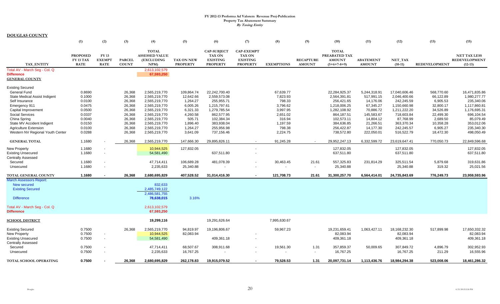|                                            | (1)                                                | (2)                                          | (3)                           | (4)                                                               | (5)                                  | (6)                                                                       | (7)                                                                      | (8)               | (9)                               | (10)                                                            | (11)                              | (12)                 | (13)                 | (15)                                              |
|--------------------------------------------|----------------------------------------------------|----------------------------------------------|-------------------------------|-------------------------------------------------------------------|--------------------------------------|---------------------------------------------------------------------------|--------------------------------------------------------------------------|-------------------|-----------------------------------|-----------------------------------------------------------------|-----------------------------------|----------------------|----------------------|---------------------------------------------------|
| <b>TAX ENTITY</b>                          | <b>PROPOSED</b><br><b>FY 13 TAX</b><br><b>RATE</b> | <b>FY 13</b><br><b>EXEMPT</b><br><b>RATE</b> | <b>PARCEL</b><br><b>COUNT</b> | <b>TOTAL</b><br><b>ASSESSED VALUE</b><br><b>(EXCLUDING</b><br>NPM | <b>TAX ON NEW</b><br><b>PROPERTY</b> | <b>CAP-SUBJECT</b><br><b>TAX ON</b><br><b>EXISTING</b><br><b>PROPERTY</b> | <b>CAP-EXEMPT</b><br><b>TAX ON</b><br><b>EXISTING</b><br><b>PROPERTY</b> | <b>EXEMPTIONS</b> | <b>RECAPTURE</b><br><b>AMOUNT</b> | <b>TOTAL</b><br>PREABATED TAX<br><b>AMOUNT</b><br>$(5+6+7-8+9)$ | <b>ABATEMENT</b><br><b>AMOUNT</b> | NET_TAX<br>$(10-11)$ | <b>REDEVELOPMENT</b> | <b>NET TAX LESS</b><br>REDEVELOPMENT<br>$(12-13)$ |
| Total AV - March Seg - Col. Q              |                                                    |                                              |                               | 2,613,102,579                                                     |                                      |                                                                           |                                                                          |                   |                                   |                                                                 |                                   |                      |                      |                                                   |
| <b>Difference</b><br><b>GENERAL COUNTY</b> |                                                    |                                              |                               | 67,593,250                                                        |                                      |                                                                           |                                                                          |                   |                                   |                                                                 |                                   |                      |                      |                                                   |
| <b>Existing Secured</b>                    |                                                    |                                              |                               |                                                                   |                                      |                                                                           |                                                                          |                   |                                   |                                                                 |                                   |                      |                      |                                                   |
| <b>General Fund</b>                        | 0.8690                                             |                                              | 26,368                        | 2,565,219,770                                                     | 109,864.74                           | 22,242,700.40                                                             |                                                                          | 67,639.77         |                                   | 22,284,925.37                                                   | 5,244,318.91                      | 17,040,606.46        | 568,770.60           | 16,471,835.86                                     |
| <b>State Medical Assist Indigent</b>       | 0.1000                                             |                                              | 26,368                        | 2,565,219,770                                                     | 12,642.66                            | 2,559,573.08                                                              |                                                                          | 7,823.93          |                                   | 2,564,391.81                                                    | 517,991.15                        | 2,046,400.66         | 66,122.89            | 1,980,277.77                                      |
| Self Insurance                             | 0.0100                                             |                                              | 26,368                        | 2,565,219,770                                                     | 1,264.27                             | 255,955.71                                                                |                                                                          | 798.33            |                                   | 256,421.65                                                      | 14,176.06                         | 242,245.59           | 6,905.53             | 235,340.06                                        |
| Emergency 911                              | 0.0475                                             |                                              | 26,368                        | 2,565,219,770                                                     | 6,005.26                             | 1,215,797.61                                                              |                                                                          | 3,796.62          |                                   | 1,218,006.25                                                    | 67,345.27                         | 1,150,660.98         | 32,800.17            | 1,117,860.81                                      |
| Capital Improvement                        | 0.0500                                             |                                              | 26,368                        | 2,565,219,770                                                     | 6,321.33                             | 1,279,785.54                                                              |                                                                          | 3,997.95          |                                   | 1,282,108.92                                                    | 70,886.72                         | 1,211,222.20         | 34,526.89            | 1,176,695.31                                      |
| <b>Social Services</b>                     | 0.0337                                             |                                              | 26,368                        | 2,565,219,770                                                     | 4,260.58                             | 862,577.95                                                                |                                                                          | 2,651.02          |                                   | 864,187.51                                                      | 145,583.67                        | 718,603.84           | 22,499.30            | 696,104.54                                        |
| China Spring                               | 0.0040                                             |                                              | 26,368                        | 2,565,219,770                                                     | 505.71                               | 102,384.34                                                                |                                                                          | 316.94            |                                   | 102,573.11                                                      | 14,804.12                         | 87,768.99            | 2,689.50             | 85,079.49                                         |
| State MV Accident Indigent                 | 0.0150                                             |                                              | 26,368                        | 2,565,219,770                                                     | 1,896.40                             | 383,938.04                                                                |                                                                          | 1,197.59          |                                   | 384,636.85                                                      | 21,266.51                         | 363,370.34           | 10,358.28            | 353,012.06                                        |
| <b>Agriculture Extension</b>               | 0.0100                                             |                                              | 26,368                        | 2,565,219,770                                                     | 1,264.27                             | 255,956.98                                                                |                                                                          | 798.38            |                                   | 256,422.87                                                      | 14,177.30                         | 242,245.57           | 6,905.27             | 235,340.30                                        |
| Western NV Regional Youth Center           | 0.0288                                             |                                              | 26,368                        | 2,565,219,770                                                     | 3,641.09                             | 737,156.46                                                                |                                                                          | 2,224.75          |                                   | 738,572.80                                                      | 222,050.01                        | 516,522.79           | 18,472.30            | 498,050.49                                        |
| <b>GENERAL TOTAL</b>                       | 1.1680                                             |                                              | 26,368                        | 2,565,219,770                                                     | 147,666.30                           | 29,895,826.11                                                             | $\overline{\phantom{a}}$                                                 | 91,245.28         |                                   | 29,952,247.13                                                   | 6,332,599.72                      | 23,619,647.41        | 770,050.73           | 22,849,596.68                                     |
| <b>New Property</b>                        | 1.1680                                             |                                              |                               | 10,944,525                                                        | 127,832.05                           |                                                                           | $\overline{\phantom{a}}$                                                 |                   |                                   | 127,832.05                                                      |                                   | 127,832.05           |                      | 127,832.05                                        |
| <b>Existing Unsecured</b>                  | 1.1680                                             | $\overline{\phantom{a}}$                     |                               | 54,581,490                                                        |                                      | 637,511.80                                                                |                                                                          |                   |                                   | 637,511.80                                                      |                                   | 637,511.80           |                      | 637,511.80                                        |
| <b>Centrally Assessed</b>                  |                                                    |                                              |                               |                                                                   |                                      |                                                                           |                                                                          |                   |                                   |                                                                 |                                   |                      |                      |                                                   |
| Secured                                    | 1.1680                                             | $\overline{\phantom{a}}$                     |                               | 47,714,411                                                        | 106,689.28                           | 481,078.39                                                                |                                                                          | 30,463.45         | 21.61                             | 557,325.83                                                      | 231,814.29                        | 325,511.54           | 5,879.68             | 319,631.86                                        |
| Unsecured                                  | 1.1680                                             |                                              |                               | 2,235,633                                                         | 25,340.88                            |                                                                           |                                                                          | $\blacksquare$    | $\overline{\phantom{a}}$          | 25,340.88                                                       |                                   | 25,340.88            | 319.32               | 25,021.56                                         |
| TOTAL GENERAL COUNTY                       | 1.1680                                             | $\blacksquare$                               | 26,368                        | 2,680,695,829                                                     | 407,528.52                           | 31,014,416.30                                                             |                                                                          | 121,708.73        | 21.61                             | 31,300,257.70                                                   | 6,564,414.01                      | 24,735,843.69        | 776,249.73           | 23,959,593.96                                     |
| <b>March Assessors Report:</b>             |                                                    |                                              |                               |                                                                   |                                      |                                                                           |                                                                          |                   |                                   |                                                                 |                                   |                      |                      |                                                   |
| New secured                                |                                                    |                                              |                               | 832.633                                                           |                                      |                                                                           |                                                                          |                   |                                   |                                                                 |                                   |                      |                      |                                                   |
| <b>Existing Secured</b>                    |                                                    |                                              |                               | 2,485,749,122                                                     |                                      |                                                                           |                                                                          |                   |                                   |                                                                 |                                   |                      |                      |                                                   |
|                                            |                                                    |                                              |                               | 2.486.581.755                                                     |                                      |                                                                           |                                                                          |                   |                                   |                                                                 |                                   |                      |                      |                                                   |
| <b>Difference</b>                          |                                                    |                                              |                               | 78,638,015                                                        | 3.16%                                |                                                                           |                                                                          |                   |                                   |                                                                 |                                   |                      |                      |                                                   |
| Total AV - March Seg - Col. Q              |                                                    |                                              |                               | 2,613,102,579                                                     |                                      |                                                                           |                                                                          |                   |                                   |                                                                 |                                   |                      |                      |                                                   |
| <b>Difference</b>                          |                                                    |                                              |                               | 67,593,250                                                        |                                      |                                                                           |                                                                          |                   |                                   |                                                                 |                                   |                      |                      |                                                   |
| <b>SCHOOL DISTRICT</b>                     |                                                    |                                              |                               | 19,299,116                                                        |                                      | 19,291,626.64                                                             |                                                                          | 7,995,630.67      |                                   |                                                                 |                                   |                      |                      |                                                   |
| <b>Existing Secured</b>                    | 0.7500                                             |                                              | 26,368                        | 2,565,219,770                                                     | 94,819.97                            | 19,196,806.67                                                             |                                                                          | 59,967.23         |                                   | 19,231,659.41                                                   | 1,063,427.11                      | 18,168,232.30        | 517,899.98           | 17,650,332.32                                     |
| <b>New Property</b>                        | 0.7500                                             |                                              |                               | 10,944,525                                                        | 82,083.94                            |                                                                           |                                                                          |                   |                                   | 82,083.94                                                       |                                   | 82,083.94            |                      | 82,083.94                                         |
| <b>Existing Unsecured</b>                  | 0.7500                                             | $\blacksquare$                               |                               | 54,581,490                                                        |                                      | 409,361.18                                                                | $\overline{\phantom{a}}$                                                 |                   |                                   | 409,361.18                                                      |                                   | 409,361.18           |                      | 409,361.18                                        |
| <b>Centrally Assessed</b>                  |                                                    |                                              |                               |                                                                   |                                      |                                                                           |                                                                          |                   |                                   |                                                                 |                                   |                      |                      |                                                   |
| Secured                                    | 0.7500                                             | $\blacksquare$                               |                               | 47,714,411                                                        | 68,507.67                            | 308,911.68                                                                | $\overline{\phantom{a}}$                                                 | 19,561.30         | 1.31                              | 357,859.37                                                      | 50,009.65                         | 307,849.72           | 4,896.79             | 302,952.93                                        |
| Unsecured                                  | 0.7500                                             |                                              |                               | 2,235,633                                                         | 16,767.25                            |                                                                           |                                                                          |                   | $\overline{\phantom{a}}$          | 16,767.25                                                       |                                   | 16,767.25            | 211.29               | 16,555.96                                         |
|                                            |                                                    |                                              |                               |                                                                   |                                      |                                                                           |                                                                          |                   |                                   |                                                                 |                                   |                      |                      |                                                   |
| TOTAL SCHOOL OPERATING                     | 0.7500                                             |                                              | 26.368                        | 2.680.695.829                                                     | 262.178.83                           | 19.915.079.52                                                             |                                                                          | 79.528.53         | 1.31                              | 20.097.731.14                                                   | 1.113.436.76                      | 18.984.294.38        | 523.008.06           | 18.461.286.32                                     |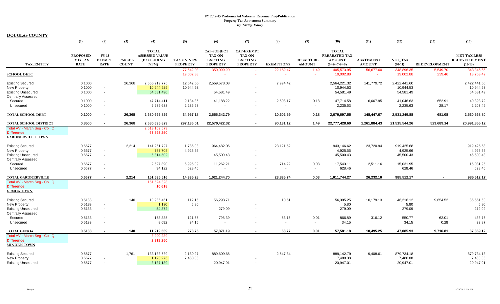|                               | (1)                      | (2)                          | (3)                           | (4)                                   | (5)                           | (6)                                 | (7)                                | (8)                      | (9)                               | (10)                           | (11)                              | (12)                 | (13)                 | (15)                              |
|-------------------------------|--------------------------|------------------------------|-------------------------------|---------------------------------------|-------------------------------|-------------------------------------|------------------------------------|--------------------------|-----------------------------------|--------------------------------|-----------------------------------|----------------------|----------------------|-----------------------------------|
|                               | <b>PROPOSED</b>          | <b>FY 13</b>                 |                               | <b>TOTAL</b><br><b>ASSESSED VALUE</b> |                               | <b>CAP-SUBJECT</b><br><b>TAX ON</b> | <b>CAP-EXEMPT</b><br><b>TAX ON</b> |                          |                                   | <b>TOTAL</b><br>PREABATED TAX  |                                   |                      |                      | <b>NET TAX LESS</b>               |
| <b>TAX ENTITY</b>             | FY 13 TAX<br><b>RATE</b> | <b>EXEMPT</b><br><b>RATE</b> | <b>PARCEL</b><br><b>COUNT</b> | (EXCLUDING<br>NPM                     | TAX ON NEW<br><b>PROPERTY</b> | <b>EXISTING</b><br><b>PROPERTY</b>  | <b>EXISTING</b><br><b>PROPERTY</b> | <b>EXEMPTIONS</b>        | <b>RECAPTURE</b><br><b>AMOUNT</b> | <b>AMOUNT</b><br>$(5+6+7-8+9)$ | <b>ABATEMENT</b><br><b>AMOUNT</b> | NET TAX<br>$(10-11)$ | <b>REDEVELOPMENT</b> | <b>REDEVELOPMENT</b><br>$(12-13)$ |
|                               |                          |                              |                               |                                       | 77,642.03                     | 350,099.90                          |                                    | 22,169.47                | 1.49                              | 405,573.95                     | 56,677.60                         | 348,896.35           | 5,549.70             | 343,346.65                        |
| <b>SCHOOL DEBT</b>            |                          |                              |                               |                                       | 19,002.88                     |                                     |                                    |                          | ÷                                 | 19,002.88                      | $\sim$                            | 19,002.88            | 239.46               | 18,763.42                         |
| <b>Existing Secured</b>       | 0.1000                   |                              | 26,368                        | 2,565,219,770                         | 12,642.66                     | 2,559,573.08                        |                                    | 7,994.42                 |                                   | 2,564,221.32                   | 141,779.72                        | 2,422,441.60         |                      | 2,422,441.60                      |
| <b>New Property</b>           | 0.1000                   | $\overline{\phantom{a}}$     |                               | 10,944,525                            | 10,944.53                     |                                     |                                    |                          |                                   | 10,944.53                      |                                   | 10,944.53            |                      | 10,944.53                         |
| <b>Existing Unsecured</b>     | 0.1000                   | $\overline{\phantom{a}}$     |                               | 54,581,490                            |                               | 54,581.49                           | $\overline{\phantom{a}}$           |                          |                                   | 54,581.49                      |                                   | 54,581.49            |                      | 54,581.49                         |
| <b>Centrally Assessed</b>     |                          |                              |                               |                                       |                               |                                     |                                    |                          |                                   |                                |                                   |                      |                      |                                   |
| Secured                       | 0.1000                   | $\overline{\phantom{a}}$     |                               | 47,714,411                            | 9,134.36                      | 41,188.22                           | $\overline{\phantom{a}}$           | 2,608.17                 | 0.18                              | 47,714.58                      | 6,667.95                          | 41,046.63            | 652.91               | 40,393.72                         |
| Unsecured                     | 0.1000                   | $\overline{\phantom{a}}$     |                               | 2,235,633                             | 2,235.63                      |                                     |                                    | $\overline{\phantom{a}}$ | $\overline{\phantom{a}}$          | 2,235.63                       |                                   | 2,235.63             | 28.17                | 2,207.46                          |
| <b>TOTAL SCHOOL DEBT</b>      | 0.1000                   |                              | 26,368                        | 2,680,695,829                         | 34,957.18                     | 2,655,342.79                        | $\sim$                             | 10,602.59                | 0.18                              | 2,679,697.55                   | 148,447.67                        | 2,531,249.88         | 681.08               | 2,530,568.80                      |
| TOTAL SCHOOL DISTRICT         | 0.8500                   |                              | 26,368                        | 2,680,695,829                         | 297,136.01                    | 22,570,422.32                       | $\sim$                             | 90,131.12                | 1.49                              | 22,777,428.69                  | 1,261,884.43                      | 21,515,544.26        | 523,689.14           | 20,991,855.12                     |
| Total AV - March Seg - Col. Q |                          |                              |                               | 2,613,102,579                         |                               |                                     |                                    |                          |                                   |                                |                                   |                      |                      |                                   |
| <b>Difference</b>             |                          |                              |                               | 67,593,250                            |                               |                                     |                                    |                          |                                   |                                |                                   |                      |                      |                                   |
| <b>GARDNERVILLE TOWN</b>      |                          |                              |                               |                                       |                               |                                     |                                    |                          |                                   |                                |                                   |                      |                      |                                   |
|                               |                          |                              |                               |                                       |                               |                                     |                                    |                          |                                   |                                |                                   |                      |                      |                                   |
| <b>Existing Secured</b>       | 0.6677                   |                              | 2,214                         | 141,261,797                           | 1,786.08                      | 964,482.06                          |                                    | 23,121.52                |                                   | 943,146.62                     | 23,720.94                         | 919,425.68           |                      | 919,425.68                        |
| <b>New Property</b>           | 0.6677                   | $\overline{\phantom{a}}$     |                               | 737,705                               | 4,925.66                      |                                     |                                    |                          |                                   | 4,925.66                       |                                   | 4,925.66             |                      | 4,925.66                          |
| <b>Existing Unsecured</b>     | 0.6677                   | $\overline{\phantom{a}}$     |                               | 6,814,502                             |                               | 45,500.43                           |                                    |                          |                                   | 45,500.43                      |                                   | 45,500.43            |                      | 45,500.43                         |
| <b>Centrally Assessed</b>     |                          |                              |                               |                                       |                               |                                     |                                    |                          |                                   |                                |                                   |                      |                      |                                   |
| Secured                       | 0.6677                   | $\sim$                       |                               | 2,627,390                             | 6,995.09                      | 11,262.21                           |                                    | 714.22                   | 0.03                              | 17,543.11                      | 2,511.16                          | 15,031.95            |                      | 15,031.95                         |
| Unsecured                     | 0.6677                   | $\sim$                       |                               | 94,122                                | 628.46                        | $\blacksquare$                      |                                    | $\overline{\phantom{a}}$ | $\overline{\phantom{a}}$          | 628.46                         |                                   | 628.46               |                      | 628.46                            |
| TOTAL GARDNERVILLE            | 0.6677                   | $\blacksquare$               | 2,214                         | 151,535,516                           | 14,335.28                     | 1,021,244.70                        | $\sim$                             | 23,835.74                | 0.03                              | 1,011,744.27                   | 26,232.10                         | 985,512.17           | $\blacksquare$       | 985,512.17                        |
| Total AV - March Seg - Col. Q |                          |                              |                               | 151,524,898                           |                               |                                     |                                    |                          |                                   |                                |                                   |                      |                      |                                   |
| <b>Difference</b>             |                          |                              |                               | 10,618                                |                               |                                     |                                    |                          |                                   |                                |                                   |                      |                      |                                   |
| <b>GENOA TOWN</b>             |                          |                              |                               |                                       |                               |                                     |                                    |                          |                                   |                                |                                   |                      |                      |                                   |
| <b>Existing Secured</b>       | 0.5133                   |                              | 140                           | 10,986,461                            | 112.15                        | 56,293.71                           |                                    | 10.61                    |                                   | 56,395.25                      | 10,179.13                         | 46,216.12            | 9,654.52             | 36,561.60                         |
| <b>New Property</b>           | 0.5133                   | $\overline{\phantom{a}}$     |                               | 1,130                                 | 5.80                          |                                     |                                    |                          |                                   | 5.80                           |                                   | 5.80                 |                      | 5.80                              |
| <b>Existing Unsecured</b>     | 0.5133                   | $\sim$                       |                               | 54,372                                |                               | 279.09                              |                                    |                          |                                   | 279.09                         |                                   | 279.09               |                      | 279.09                            |
| <b>Centrally Assessed</b>     |                          |                              |                               |                                       |                               |                                     |                                    |                          |                                   |                                |                                   |                      |                      |                                   |
| Secured                       | 0.5133                   | $\overline{\phantom{a}}$     |                               | 168,885                               | 121.65                        | 798.39                              |                                    | 53.16                    | 0.01                              | 866.89                         | 316.12                            | 550.77               | 62.01                | 488.76                            |
| Unsecured                     | 0.5133                   | $\overline{\phantom{a}}$     |                               | 8,692                                 | 34.15                         | $\blacksquare$                      |                                    | $\sim$                   | $\overline{\phantom{a}}$          | 34.15                          |                                   | 34.15                | 0.28                 | 33.87                             |
|                               |                          |                              |                               |                                       |                               |                                     |                                    |                          |                                   |                                |                                   |                      |                      |                                   |
| <b>TOTAL GENOA</b>            | 0.5133                   | $\sim$                       | 140                           | 11,219,539                            | 273.75                        | 57,371.19                           | $\sim$                             | 63.77                    | 0.01                              | 57,581.18                      | 10,495.25                         | 47,085.93            | 9,716.81             | 37,369.12                         |
| Total AV - March Seg - Col. Q |                          |                              |                               | 8,900,289                             |                               |                                     |                                    |                          |                                   |                                |                                   |                      |                      |                                   |
| <b>Difference</b>             |                          |                              |                               | 2,319,250                             |                               |                                     |                                    |                          |                                   |                                |                                   |                      |                      |                                   |
| <b>MINDEN TOWN</b>            |                          |                              |                               |                                       |                               |                                     |                                    |                          |                                   |                                |                                   |                      |                      |                                   |
| <b>Existing Secured</b>       | 0.6677                   |                              | 1,761                         | 133,183,689                           | 2,180.97                      | 889,609.66                          |                                    | 2,647.84                 |                                   | 889,142.79                     | 9,408.61                          | 879,734.18           |                      | 879,734.18                        |
| <b>New Property</b>           | 0.6677                   | $\overline{\phantom{a}}$     |                               | 1,120,276                             | 7,480.08                      |                                     |                                    |                          |                                   | 7,480.08                       |                                   | 7,480.08             |                      | 7,480.08                          |
| <b>Existing Unsecured</b>     | 0.6677                   | $\overline{\phantom{a}}$     |                               | 3,137,189                             |                               | 20.947.01                           | $\blacksquare$                     |                          |                                   | 20.947.01                      |                                   | 20.947.01            |                      | 20,947.01                         |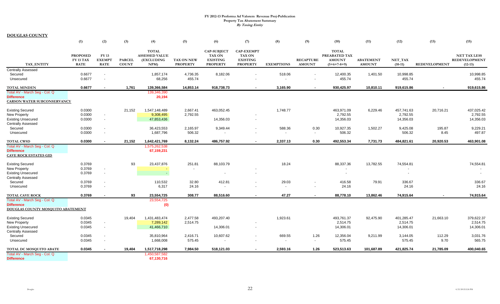|                                                                                                   | (1)                                         | (2)                                          | (3)                           | (4)                                                         | (5)                                  | (6)                                                                       | (7)                                                                      | (8)                      | (9)                               | (10)                                                            | (11)                              | (12)                                  | (13)                 | (15)                                                     |
|---------------------------------------------------------------------------------------------------|---------------------------------------------|----------------------------------------------|-------------------------------|-------------------------------------------------------------|--------------------------------------|---------------------------------------------------------------------------|--------------------------------------------------------------------------|--------------------------|-----------------------------------|-----------------------------------------------------------------|-----------------------------------|---------------------------------------|----------------------|----------------------------------------------------------|
| <b>TAX ENTITY</b>                                                                                 | <b>PROPOSED</b><br>FY 13 TAX<br><b>RATE</b> | <b>FY 13</b><br><b>EXEMPT</b><br><b>RATE</b> | <b>PARCEL</b><br><b>COUNT</b> | <b>TOTAL</b><br><b>ASSESSED VALUE</b><br>(EXCLUDING<br>NPM) | <b>TAX ON NEW</b><br><b>PROPERTY</b> | <b>CAP-SUBJECT</b><br><b>TAX ON</b><br><b>EXISTING</b><br><b>PROPERTY</b> | <b>CAP-EXEMPT</b><br><b>TAX ON</b><br><b>EXISTING</b><br><b>PROPERTY</b> | <b>EXEMPTIONS</b>        | <b>RECAPTURE</b><br><b>AMOUNT</b> | <b>TOTAL</b><br>PREABATED TAX<br><b>AMOUNT</b><br>$(5+6+7-8+9)$ | <b>ABATEMENT</b><br><b>AMOUNT</b> | NET_TAX<br>$(10-11)$                  | <b>REDEVELOPMENT</b> | <b>NET TAX LESS</b><br><b>REDEVELOPMENT</b><br>$(12-13)$ |
| <b>Centrally Assessed</b>                                                                         | 0.6677                                      |                                              |                               | 1,857,174                                                   |                                      | 8,182.06                                                                  |                                                                          | 518.06                   |                                   | 12,400.35                                                       |                                   | 10,998.85                             |                      |                                                          |
| Secured<br>Unsecured                                                                              | 0.6677                                      | $\overline{\phantom{a}}$                     |                               | 68,256                                                      | 4,736.35<br>455.74                   |                                                                           |                                                                          | $\blacksquare$           | $\overline{\phantom{a}}$          | 455.74                                                          | 1,401.50                          | 455.74                                |                      | 10,998.85<br>455.74                                      |
| <b>TOTAL MINDEN</b>                                                                               | 0.6677                                      |                                              | 1,761                         | 139,366,584                                                 | 14,853.14                            | 918,738.73                                                                | $\sim$                                                                   | 3,165.90                 | $\sim$                            | 930,425.97                                                      | 10,810.11                         | 919,615.86                            |                      | 919,615.86                                               |
| Total AV - March Seg - Col. Q<br><b>Difference</b><br><b>CARSON WATER SUBCONSERVANCY</b>          |                                             |                                              |                               | 139,346,390<br>20,194                                       |                                      |                                                                           |                                                                          |                          |                                   |                                                                 |                                   |                                       |                      |                                                          |
| <b>Existing Secured</b>                                                                           | 0.0300                                      |                                              | 21,152                        | 1,547,148,489                                               | 2,667.41                             | 463,052.45                                                                |                                                                          | 1,748.77                 |                                   | 463,971.09                                                      | 6,229.46                          | 457,741.63                            | 20,716.21            | 437,025.42                                               |
| <b>New Property</b><br><b>Existing Unsecured</b><br><b>Centrally Assessed</b>                     | 0.0300<br>0.0300                            | $\sim$<br>$\sim$                             |                               | 9,308,495<br>47,853,436                                     | 2,792.55                             | 14,356.03                                                                 | $\overline{\phantom{a}}$                                                 |                          |                                   | 2,792.55<br>14,356.03                                           |                                   | 2,792.55<br>14,356.03                 |                      | 2,792.55<br>14,356.03                                    |
| Secured                                                                                           | 0.0300                                      | $\sim$                                       |                               | 36,423,553                                                  | 2,165.97                             | 9,349.44                                                                  |                                                                          | 588.36                   | 0.30                              | 10,927.35                                                       | 1,502.27                          | 9,425.08                              | 195.87               | 9,229.21                                                 |
| Unsecured                                                                                         | 0.0300                                      |                                              |                               | 1,687,796                                                   | 506.32                               | $\overline{\phantom{a}}$                                                  |                                                                          | $\overline{\phantom{a}}$ | $\overline{\phantom{a}}$          | 506.32                                                          |                                   | 506.32                                | 8.45                 | 497.87                                                   |
| <b>TOTAL CWSD</b>                                                                                 | 0.0300                                      | $\sim$                                       | 21.152                        | 1,642,421,769                                               | 8,132.24                             | 486,757.92                                                                | $\sim$                                                                   | 2,337.13                 | 0.30                              | 492,553.34                                                      | 7,731.73                          | 484,821.61                            | 20,920.53            | 463,901.08                                               |
| Total AV - March Seg - Col. Q<br><b>Difference</b><br><b>CAVE ROCK ESTATES GID</b>                |                                             |                                              |                               | 1,575,262,538<br>67,159,231                                 |                                      |                                                                           |                                                                          |                          |                                   |                                                                 |                                   |                                       |                      |                                                          |
| <b>Existing Secured</b><br>New Property<br><b>Existing Unsecured</b><br><b>Centrally Assessed</b> | 0.3769<br>0.3769<br>0.3769                  | $\overline{\phantom{a}}$<br>$\overline{a}$   | 93                            | 23,437,876<br>$\overline{\phantom{a}}$                      | 251.81                               | 88,103.79<br>$\overline{\phantom{a}}$                                     |                                                                          | 18.24                    |                                   | 88,337.36                                                       | 13,782.55                         | 74,554.81<br>$\overline{\phantom{a}}$ |                      | 74,554.81<br>$\overline{\phantom{a}}$                    |
| Secured                                                                                           | 0.3769                                      | $\sim$                                       |                               | 110,532                                                     | 32.80                                | 412.81                                                                    |                                                                          | 29.03                    |                                   | 416.58                                                          | 79.91                             | 336.67                                |                      | 336.67                                                   |
| Unsecured                                                                                         | 0.3769                                      | $\sim$                                       |                               | 6,317                                                       | 24.16                                | $\overline{\phantom{a}}$                                                  |                                                                          | $\sim$                   | $\overline{\phantom{a}}$          | 24.16                                                           |                                   | 24.16                                 |                      | 24.16                                                    |
| <b>TOTAL CAVE ROCK</b>                                                                            | 0.3769                                      |                                              | 93                            | 23,554,725                                                  | 308.77                               | 88,516.60                                                                 | $\sim$                                                                   | 47.27                    | $\sim$                            | 88,778.10                                                       | 13,862.46                         | 74,915.64                             |                      | 74,915.64                                                |
| Total AV - March Seg - Col. Q<br><b>Difference</b><br>DOUGLAS COUNTY MOSQUITO ABATEMENT           |                                             |                                              |                               | 23,554,725<br>(0)                                           |                                      |                                                                           |                                                                          |                          |                                   |                                                                 |                                   |                                       |                      |                                                          |
| <b>Existing Secured</b>                                                                           | 0.0345                                      |                                              | 19,404                        | 1,431,483,474                                               | 2,477.58                             | 493,207.40                                                                |                                                                          | 1,923.61                 |                                   | 493,761.37                                                      | 92,475.90                         | 401,285.47                            | 21,663.10            | 379,622.37                                               |
| New Property                                                                                      | 0.0345                                      | $\sim$                                       |                               | 7,289,142                                                   | 2,514.75                             |                                                                           |                                                                          |                          |                                   | 2,514.75                                                        |                                   | 2,514.75                              |                      | 2,514.75                                                 |
| <b>Existing Unsecured</b><br><b>Centrally Assessed</b>                                            | 0.0345                                      | $\overline{\phantom{a}}$                     |                               | 41,466,710                                                  |                                      | 14,306.01                                                                 | $\overline{\phantom{a}}$                                                 |                          |                                   | 14,306.01                                                       |                                   | 14,306.01                             |                      | 14,306.01                                                |
| Secured                                                                                           | 0.0345                                      | $\overline{\phantom{a}}$                     |                               | 35,810,964                                                  | 2,416.71                             | 10,607.62                                                                 |                                                                          | 669.55                   | 1.26                              | 12,356.04                                                       | 9,211.99                          | 3,144.05                              | 112.29               | 3,031.76                                                 |
| Unsecured                                                                                         | 0.0345                                      | $\overline{a}$                               |                               | 1,668,008                                                   | 575.45                               |                                                                           |                                                                          | $\overline{\phantom{a}}$ | $\overline{\phantom{a}}$          | 575.45                                                          |                                   | 575.45                                | 9.70                 | 565.75                                                   |
| TOTAL DC MOSQUITO ABATE                                                                           | 0.0345                                      |                                              | 19,404                        | 1,517,718,298                                               | 7,984.50                             | 518,121.03                                                                | $\sim$                                                                   | 2,593.16                 | 1.26                              | 523,513.63                                                      | 101,687.89                        | 421,825.74                            | 21,785.09            | 400,040.65                                               |
| Total AV - March Seg - Col. Q<br><b>Difference</b>                                                |                                             |                                              |                               | 1,450,587,582<br>67,130,716                                 |                                      |                                                                           |                                                                          |                          |                                   |                                                                 |                                   |                                       |                      |                                                          |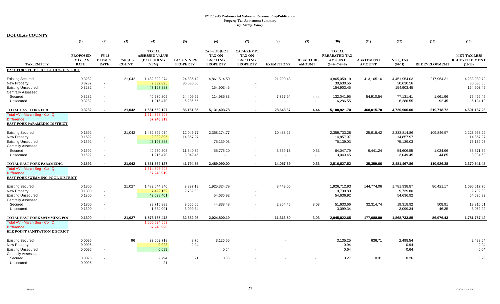|                                                                                                                            | (1)                                                | (2)                                                                              | (3)                           | (4)                                                               | (5)                                  | (6)                                                                       | (7)                                                                      | (8)                  | (9)                               | (10)                                                            | (11)                              | (12)                                               | (13)                 | (15)                                                     |
|----------------------------------------------------------------------------------------------------------------------------|----------------------------------------------------|----------------------------------------------------------------------------------|-------------------------------|-------------------------------------------------------------------|--------------------------------------|---------------------------------------------------------------------------|--------------------------------------------------------------------------|----------------------|-----------------------------------|-----------------------------------------------------------------|-----------------------------------|----------------------------------------------------|----------------------|----------------------------------------------------------|
| <b>TAX ENTITY</b>                                                                                                          | <b>PROPOSED</b><br><b>FY 13 TAX</b><br><b>RATE</b> | FY 13<br><b>EXEMPT</b><br><b>RATE</b>                                            | <b>PARCEL</b><br><b>COUNT</b> | <b>TOTAL</b><br><b>ASSESSED VALUE</b><br><b>(EXCLUDING</b><br>NPM | <b>TAX ON NEW</b><br><b>PROPERTY</b> | <b>CAP-SUBJECT</b><br><b>TAX ON</b><br><b>EXISTING</b><br><b>PROPERTY</b> | <b>CAP-EXEMPT</b><br><b>TAX ON</b><br><b>EXISTING</b><br><b>PROPERTY</b> | <b>EXEMPTIONS</b>    | <b>RECAPTURE</b><br><b>AMOUNT</b> | <b>TOTAL</b><br>PREABATED TAX<br><b>AMOUNT</b><br>$(5+6+7-8+9)$ | <b>ABATEMENT</b><br><b>AMOUNT</b> | NET TAX<br>$(10-11)$                               | <b>REDEVELOPMENT</b> | <b>NET TAX LESS</b><br><b>REDEVELOPMENT</b><br>$(12-13)$ |
| EAST FORK FIRE PROTECTION DISTRICT                                                                                         |                                                    |                                                                                  |                               |                                                                   |                                      |                                                                           |                                                                          |                      |                                   |                                                                 |                                   |                                                    |                      |                                                          |
| <b>Existing Secured</b><br>New Property<br><b>Existing Unsecured</b><br><b>Centrally Assessed</b>                          | 0.3282<br>0.3282<br>0.3282                         | $\sim$<br>$\sim$                                                                 | 21,042                        | 1,482,892,074<br>9,332,895<br>47,197,883                          | 24,835.12<br>30,630.56               | 4,861,514.50<br>154,903.45                                                | $\overline{\phantom{a}}$                                                 | 21,290.43            |                                   | 4,865,059.19<br>30,630.56<br>154,903.45                         | 413,105.16                        | 4,451,954.03<br>30,630.56<br>154,903.45            | 217,964.31           | 4,233,989.72<br>30,630.56<br>154,903.45                  |
| Secured<br>Unsecured                                                                                                       | 0.3282<br>0.3282                                   | $\overline{\phantom{a}}$<br>$\overline{\phantom{a}}$                             |                               | 40,230,805<br>1,915,470                                           | 24,409.62<br>6,286.55                | 114,985.83                                                                | $\overline{\phantom{a}}$<br>$\overline{\phantom{a}}$                     | 7,357.94             | 4.44<br>$\overline{\phantom{a}}$  | 132,041.95<br>6,286.55                                          | 54,910.54                         | 77,131.41<br>6,286.55                              | 1,661.96<br>92.45    | 75,469.45<br>6,194.10                                    |
| <b>TOTAL EAST FORK FIRE</b>                                                                                                | 0.3282                                             | $\blacksquare$                                                                   | 21.042                        | 1,581,569,127                                                     | 86,161.85                            | 5,131,403.78                                                              | $\sim$                                                                   | 28,648.37            | 4.44                              | 5,188,921.70                                                    | 468,015.70                        | 4,720,906.00                                       | 219,718.72           | 4,501,187.28                                             |
| Total AV - March Seg - Col. Q<br><b>Difference</b><br>EAST FORK PARAMEDIC DISTRICT                                         |                                                    |                                                                                  |                               | 1,514,328,208<br>67,240,919                                       |                                      |                                                                           |                                                                          |                      |                                   |                                                                 |                                   |                                                    |                      |                                                          |
| <b>Existing Secured</b><br>New Property<br><b>Existing Unsecured</b><br><b>Centrally Assessed</b>                          | 0.1592<br>0.1592<br>0.1592                         | $\overline{\phantom{a}}$<br>$\sim$                                               | 21,042                        | 1,482,892,074<br>9,332,895<br>47,197,883                          | 12,046.77<br>14,857.97               | 2,358,174.77<br>75,139.03                                                 | $\blacksquare$<br>$\overline{\phantom{a}}$                               | 10,488.26            |                                   | 2,359,733.28<br>14,857.97<br>75,139.03                          | 25,918.42                         | 2,333,814.86<br>14,857.97<br>75,139.03             | 109,846.57           | 2,223,968.29<br>14,857.97<br>75,139.03                   |
| Secured<br>Unsecured                                                                                                       | 0.1592<br>0.1592                                   | $\sim$<br>$\overline{\phantom{a}}$                                               |                               | 40,230,805<br>1,915,470                                           | 11,840.39<br>3,049.45                | 55,776.20                                                                 | $\blacksquare$                                                           | 3,569.13             | 0.33<br>$\sim$                    | 64,047.79<br>3,049.45                                           | 9,441.24                          | 54,606.55<br>3,049.45                              | 1,034.96<br>44.85    | 53,571.59<br>3,004.60                                    |
| TOTAL EAST FORK PARAMEDIC<br>Total AV - March Seg - Col. Q<br><b>Difference</b><br><b>EAST FORK SWIMMING POOL DISTRICT</b> | 0.1592                                             |                                                                                  | 21.042                        | 1,581,569,127<br>1,514,328,208<br>67,240,919                      | 41,794.58                            | 2,489,090.00                                                              | $\sim$                                                                   | 14,057.39            | 0.33                              | 2,516,827.52                                                    | 35,359.66                         | 2,481,467.86                                       | 110,926.38           | 2,370,541.48                                             |
| <b>Existing Secured</b><br>New Property<br><b>Existing Unsecured</b><br><b>Centrally Assessed</b>                          | 0.1300<br>0.1300<br>0.1300<br>0.1300               | $\overline{\phantom{a}}$<br>$\overline{\phantom{a}}$<br>$\overline{\phantom{a}}$ | 21,027                        | 1,482,644,940<br>7,492,152<br>42,028,401<br>39,715,889            | 9,837.19<br>9,739.80<br>9,656.60     | 1,925,324.79<br>54,636.92<br>44,838.48                                    | ٠<br>$\overline{\phantom{a}}$<br>$\blacksquare$                          | 8,449.05<br>2,864.45 | 3.03                              | 1,926,712.93<br>9,739.80<br>54,636.92<br>51,633.66              | 144,774.06<br>32,314.74           | 1,781,938.87<br>9,739.80<br>54,636.92<br>19,318.92 | 86,421.17<br>508.91  | 1,695,517.70<br>9,739.80<br>54,636.92<br>18,810.01       |
| Secured<br>Unsecured                                                                                                       | 0.1300                                             | $\overline{\phantom{a}}$                                                         |                               | 1,884,091                                                         | 3,099.34                             |                                                                           |                                                                          |                      | $\overline{\phantom{a}}$          | 3,099.34                                                        |                                   | 3,099.34                                           | 46.35                | 3,052.99                                                 |
| TOTAL EAST FORK SWIMMING POO                                                                                               | 0.1300                                             |                                                                                  | 21,027                        | 1,573,765,473                                                     | 32,332.93                            | 2,024,800.19                                                              |                                                                          | 11,313.50            | 3.03                              | 2,045,822.65                                                    | 177,088.80                        | 1,868,733.85                                       | 86,976.43            | 1,781,757.42                                             |
| Total AV - March Seq - Col. Q<br><b>Difference</b><br><b>ELK POINT SANITATION DISTRICT</b>                                 |                                                    |                                                                                  |                               | 1,506,524,553<br>67,240,920                                       |                                      |                                                                           |                                                                          |                      |                                   |                                                                 |                                   |                                                    |                      |                                                          |
| <b>Existing Secured</b><br><b>New Property</b><br><b>Existing Unsecured</b>                                                | 0.0095<br>0.0095<br>0.0095                         | $\overline{\phantom{a}}$<br>$\overline{\phantom{a}}$                             | 96                            | 33,002,718<br>9,922<br>6,699                                      | 8.70<br>0.94                         | 3,126.55<br>0.64                                                          | $\overline{\phantom{a}}$                                                 |                      |                                   | 3,135.25<br>0.94<br>0.64                                        | 636.71                            | 2,498.54<br>0.94<br>0.64                           |                      | 2,498.54<br>0.94<br>0.64                                 |
| Centrally Assessed<br>Secured<br>Unsecured                                                                                 | 0.0095<br>0.0095                                   |                                                                                  |                               | 2,794<br>21                                                       | 0.21<br>$\sim$                       | 0.06<br>$\sim$                                                            |                                                                          |                      |                                   | 0.27                                                            | 0.01                              | 0.26<br>$\overline{a}$                             |                      | 0.26<br>$\overline{a}$                                   |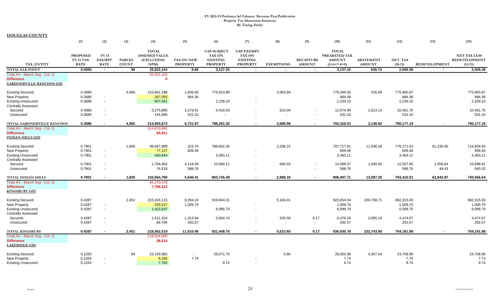| <b>TOTAL</b><br><b>CAP-SUBJECT</b><br><b>CAP-EXEMPT</b><br><b>TOTAL</b><br>PREABATED TAX<br><b>NET TAX LESS</b><br>FY 13<br><b>PROPOSED</b><br><b>ASSESSED VALUE</b><br><b>TAX ON</b><br><b>TAX ON</b><br><b>RECAPTURE</b><br><b>REDEVELOPMENT</b><br>FY 13 TAX<br><b>EXEMPT</b><br><b>TAX ON NEW</b><br><b>EXISTING</b><br><b>EXISTING</b><br><b>AMOUNT</b><br><b>ABATEMENT</b><br>NET_TAX<br><b>PARCEL</b><br>(EXCLUDING<br><b>TAX ENTITY</b><br><b>RATE</b><br><b>COUNT</b><br><b>PROPERTY</b><br><b>RATE</b><br>NPM)<br><b>PROPERTY</b><br><b>PROPERTY</b><br><b>EXEMPTIONS</b><br><b>AMOUNT</b><br>$(5+6+7-8+9)$<br><b>AMOUNT</b><br>$(10-11)$<br><b>REDEVELOPMENT</b><br>$(12-13)$<br>0.0095<br>$\overline{96}$<br>9.85<br>3,137.10<br>636.72<br>2,500.38<br>2,500.38<br>33,022,154<br>3,127.25<br>$\sim$<br>$\sim$<br>$\sim$<br>$\blacksquare$<br>$\sim$<br>33,022,154<br>$\Omega$<br><b>Existing Secured</b><br>0.3686<br>4,066<br>210,661,188<br>1,936.60<br>776,623.89<br>2,063.94<br>776,496.55<br>535.68<br>775,960.87<br>775,960.87<br>984.36<br>984.36<br>984.36<br>0.3686<br>267,055<br>984.36<br>0.3686<br>607,461<br>2,239.10<br>2,239.10<br>2,239.10<br>2,239.10<br>$\overline{\phantom{a}}$<br>$\overline{\phantom{a}}$<br>623.04<br>Secured<br>0.3686<br>3,275,885<br>3,279.91<br>9,418.03<br>12,074.90<br>1,613.14<br>10,461.76<br>10,461.76<br>$\overline{\phantom{a}}$<br>144,085<br>531.10<br>531.10<br>531.10<br>531.10<br>0.3686<br>Unsecured<br>$\overline{\phantom{a}}$<br>0.3686<br>214,955,673<br>788,281.02<br>2,686.98<br>792,326.01<br>2,148.82<br>790,177.19<br>790,177.19<br>4,066<br>6,731.97<br>TOTAL GARDNERVILLE RANCHOS<br>214,870,862<br>84,811<br>1,830<br>0.7901<br>99,687,889<br>323.70<br>789,602.26<br>2,208.15<br>787,717.81<br>11,546.28<br>776,171.53<br>61,236.60<br>714,934.93<br>609.46<br>609.46<br>609.46<br>0.7901<br>77,137<br>609.46<br>$\sim$<br>0.7901<br>440,844<br>3,483.11<br>3,483.11<br>3,483.11<br>3,483.11<br>$\sim$<br>$\overline{\phantom{a}}$<br>680.03<br>10,998.81<br>Secured<br>0.7901<br>1,784,402<br>4,118.49<br>10,660.11<br>14,098.57<br>1,540.92<br>12,557.65<br>1,558.84<br>$\overline{\phantom{a}}$<br>588.76<br>48.43<br>540.33<br>Unsecured<br>0.7901<br>74,518<br>588.76<br>588.76<br>$\overline{\phantom{a}}$<br>$\overline{\phantom{a}}$<br>0.7901<br>1,830<br>102,064,790<br>5,640.41<br>803,745.48<br>2,888.18<br>806,497.71<br>13,087.20<br>793,410.51<br>62,843.87<br>730,566.64<br>TOTAL INDIAN HILLS<br>$\sim$<br>$\blacksquare$<br>Total AV - March Seg - Col. Q<br>94,270,478<br>7,794,312<br><b>Existing Secured</b><br>0.4287<br>2,451<br>215,324,115<br>8,394.24<br>919,844.31<br>5,184.01<br>923,054.54<br>230,738.71<br>692,315.83<br>692,315.83<br>1,009.70<br>1,009.70<br>1,009.70<br>0.4287<br>235,527<br>1,009.70<br>0.4287<br>1,422,837<br>6,099.70<br>6,099.70<br>6,099.70<br>6,099.70<br>$\overline{\phantom{a}}$<br>339.59<br>0.17<br>2,005.19<br>4,474.07<br>Secured<br>0.4287<br>1,511,334<br>1,313.94<br>5,504.74<br>6,479.26<br>4,474.07<br>292.57<br>68,706<br>292.57<br>292.57<br>292.57<br>Unsecured<br>0.4287<br>$\sim$<br>$\overline{\phantom{a}}$<br>0.4287<br>5,523.60<br>0.17<br>2,451<br>218,562,519<br>11,010.46<br>931,448.75<br>936,935.78<br>232,743.90<br>704,191.88<br>704,191.88<br><b>TOTAL KINGSBURY</b><br>218,534,005<br>28,514<br>84<br>5.80<br>24,708.95<br>24,708.95<br>0.1255<br>23,159,982<br>29.071.79<br>29,065.99<br>4,357.04<br>$\sim$<br>7.74<br>0.1255<br>7.74<br>6,166<br>7.74<br>7.74<br>0.1255<br>7,763<br>9.74<br>9.74<br>9.74<br>9.74<br>$\overline{a}$<br>$\overline{\phantom{a}}$ |                                 | (1) | (2) | (3) | (4) | (5) | (6) | (7) | (8) | (9) | (10) | (11) | (12) | (13) | (15) |
|--------------------------------------------------------------------------------------------------------------------------------------------------------------------------------------------------------------------------------------------------------------------------------------------------------------------------------------------------------------------------------------------------------------------------------------------------------------------------------------------------------------------------------------------------------------------------------------------------------------------------------------------------------------------------------------------------------------------------------------------------------------------------------------------------------------------------------------------------------------------------------------------------------------------------------------------------------------------------------------------------------------------------------------------------------------------------------------------------------------------------------------------------------------------------------------------------------------------------------------------------------------------------------------------------------------------------------------------------------------------------------------------------------------------------------------------------------------------------------------------------------------------------------------------------------------------------------------------------------------------------------------------------------------------------------------------------------------------------------------------------------------------------------------------------------------------------------------------------------------------------------------------------------------------------------------------------------------------------------------------------------------------------------------------------------------------------------------------------------------------------------------------------------------------------------------------------------------------------------------------------------------------------------------------------------------------------------------------------------------------------------------------------------------------------------------------------------------------------------------------------------------------------------------------------------------------------------------------------------------------------------------------------------------------------------------------------------------------------------------------------------------------------------------------------------------------------------------------------------------------------------------------------------------------------------------------------------------------------------------------------------------------------------------------------------------------------------------------------------------------------------------------------------------------------------------------------------------------------------------------------------------------------------------------------------------------------------------------------------------------------------------------------------------------------------------------------------------------------------------------------------------------------------------------------------------------------------------------------------------------------------------|---------------------------------|-----|-----|-----|-----|-----|-----|-----|-----|-----|------|------|------|------|------|
|                                                                                                                                                                                                                                                                                                                                                                                                                                                                                                                                                                                                                                                                                                                                                                                                                                                                                                                                                                                                                                                                                                                                                                                                                                                                                                                                                                                                                                                                                                                                                                                                                                                                                                                                                                                                                                                                                                                                                                                                                                                                                                                                                                                                                                                                                                                                                                                                                                                                                                                                                                                                                                                                                                                                                                                                                                                                                                                                                                                                                                                                                                                                                                                                                                                                                                                                                                                                                                                                                                                                                                                                                                      |                                 |     |     |     |     |     |     |     |     |     |      |      |      |      |      |
|                                                                                                                                                                                                                                                                                                                                                                                                                                                                                                                                                                                                                                                                                                                                                                                                                                                                                                                                                                                                                                                                                                                                                                                                                                                                                                                                                                                                                                                                                                                                                                                                                                                                                                                                                                                                                                                                                                                                                                                                                                                                                                                                                                                                                                                                                                                                                                                                                                                                                                                                                                                                                                                                                                                                                                                                                                                                                                                                                                                                                                                                                                                                                                                                                                                                                                                                                                                                                                                                                                                                                                                                                                      |                                 |     |     |     |     |     |     |     |     |     |      |      |      |      |      |
|                                                                                                                                                                                                                                                                                                                                                                                                                                                                                                                                                                                                                                                                                                                                                                                                                                                                                                                                                                                                                                                                                                                                                                                                                                                                                                                                                                                                                                                                                                                                                                                                                                                                                                                                                                                                                                                                                                                                                                                                                                                                                                                                                                                                                                                                                                                                                                                                                                                                                                                                                                                                                                                                                                                                                                                                                                                                                                                                                                                                                                                                                                                                                                                                                                                                                                                                                                                                                                                                                                                                                                                                                                      |                                 |     |     |     |     |     |     |     |     |     |      |      |      |      |      |
|                                                                                                                                                                                                                                                                                                                                                                                                                                                                                                                                                                                                                                                                                                                                                                                                                                                                                                                                                                                                                                                                                                                                                                                                                                                                                                                                                                                                                                                                                                                                                                                                                                                                                                                                                                                                                                                                                                                                                                                                                                                                                                                                                                                                                                                                                                                                                                                                                                                                                                                                                                                                                                                                                                                                                                                                                                                                                                                                                                                                                                                                                                                                                                                                                                                                                                                                                                                                                                                                                                                                                                                                                                      |                                 |     |     |     |     |     |     |     |     |     |      |      |      |      |      |
|                                                                                                                                                                                                                                                                                                                                                                                                                                                                                                                                                                                                                                                                                                                                                                                                                                                                                                                                                                                                                                                                                                                                                                                                                                                                                                                                                                                                                                                                                                                                                                                                                                                                                                                                                                                                                                                                                                                                                                                                                                                                                                                                                                                                                                                                                                                                                                                                                                                                                                                                                                                                                                                                                                                                                                                                                                                                                                                                                                                                                                                                                                                                                                                                                                                                                                                                                                                                                                                                                                                                                                                                                                      | <b>TOTAL ELK POINT</b>          |     |     |     |     |     |     |     |     |     |      |      |      |      |      |
|                                                                                                                                                                                                                                                                                                                                                                                                                                                                                                                                                                                                                                                                                                                                                                                                                                                                                                                                                                                                                                                                                                                                                                                                                                                                                                                                                                                                                                                                                                                                                                                                                                                                                                                                                                                                                                                                                                                                                                                                                                                                                                                                                                                                                                                                                                                                                                                                                                                                                                                                                                                                                                                                                                                                                                                                                                                                                                                                                                                                                                                                                                                                                                                                                                                                                                                                                                                                                                                                                                                                                                                                                                      | Total AV - March Seg - Col. Q   |     |     |     |     |     |     |     |     |     |      |      |      |      |      |
|                                                                                                                                                                                                                                                                                                                                                                                                                                                                                                                                                                                                                                                                                                                                                                                                                                                                                                                                                                                                                                                                                                                                                                                                                                                                                                                                                                                                                                                                                                                                                                                                                                                                                                                                                                                                                                                                                                                                                                                                                                                                                                                                                                                                                                                                                                                                                                                                                                                                                                                                                                                                                                                                                                                                                                                                                                                                                                                                                                                                                                                                                                                                                                                                                                                                                                                                                                                                                                                                                                                                                                                                                                      | <b>Difference</b>               |     |     |     |     |     |     |     |     |     |      |      |      |      |      |
|                                                                                                                                                                                                                                                                                                                                                                                                                                                                                                                                                                                                                                                                                                                                                                                                                                                                                                                                                                                                                                                                                                                                                                                                                                                                                                                                                                                                                                                                                                                                                                                                                                                                                                                                                                                                                                                                                                                                                                                                                                                                                                                                                                                                                                                                                                                                                                                                                                                                                                                                                                                                                                                                                                                                                                                                                                                                                                                                                                                                                                                                                                                                                                                                                                                                                                                                                                                                                                                                                                                                                                                                                                      | <b>GARDNERVILLE RANCHOS GID</b> |     |     |     |     |     |     |     |     |     |      |      |      |      |      |
|                                                                                                                                                                                                                                                                                                                                                                                                                                                                                                                                                                                                                                                                                                                                                                                                                                                                                                                                                                                                                                                                                                                                                                                                                                                                                                                                                                                                                                                                                                                                                                                                                                                                                                                                                                                                                                                                                                                                                                                                                                                                                                                                                                                                                                                                                                                                                                                                                                                                                                                                                                                                                                                                                                                                                                                                                                                                                                                                                                                                                                                                                                                                                                                                                                                                                                                                                                                                                                                                                                                                                                                                                                      |                                 |     |     |     |     |     |     |     |     |     |      |      |      |      |      |
|                                                                                                                                                                                                                                                                                                                                                                                                                                                                                                                                                                                                                                                                                                                                                                                                                                                                                                                                                                                                                                                                                                                                                                                                                                                                                                                                                                                                                                                                                                                                                                                                                                                                                                                                                                                                                                                                                                                                                                                                                                                                                                                                                                                                                                                                                                                                                                                                                                                                                                                                                                                                                                                                                                                                                                                                                                                                                                                                                                                                                                                                                                                                                                                                                                                                                                                                                                                                                                                                                                                                                                                                                                      | New Property                    |     |     |     |     |     |     |     |     |     |      |      |      |      |      |
|                                                                                                                                                                                                                                                                                                                                                                                                                                                                                                                                                                                                                                                                                                                                                                                                                                                                                                                                                                                                                                                                                                                                                                                                                                                                                                                                                                                                                                                                                                                                                                                                                                                                                                                                                                                                                                                                                                                                                                                                                                                                                                                                                                                                                                                                                                                                                                                                                                                                                                                                                                                                                                                                                                                                                                                                                                                                                                                                                                                                                                                                                                                                                                                                                                                                                                                                                                                                                                                                                                                                                                                                                                      | <b>Existing Unsecured</b>       |     |     |     |     |     |     |     |     |     |      |      |      |      |      |
|                                                                                                                                                                                                                                                                                                                                                                                                                                                                                                                                                                                                                                                                                                                                                                                                                                                                                                                                                                                                                                                                                                                                                                                                                                                                                                                                                                                                                                                                                                                                                                                                                                                                                                                                                                                                                                                                                                                                                                                                                                                                                                                                                                                                                                                                                                                                                                                                                                                                                                                                                                                                                                                                                                                                                                                                                                                                                                                                                                                                                                                                                                                                                                                                                                                                                                                                                                                                                                                                                                                                                                                                                                      | <b>Centrally Assessed</b>       |     |     |     |     |     |     |     |     |     |      |      |      |      |      |
|                                                                                                                                                                                                                                                                                                                                                                                                                                                                                                                                                                                                                                                                                                                                                                                                                                                                                                                                                                                                                                                                                                                                                                                                                                                                                                                                                                                                                                                                                                                                                                                                                                                                                                                                                                                                                                                                                                                                                                                                                                                                                                                                                                                                                                                                                                                                                                                                                                                                                                                                                                                                                                                                                                                                                                                                                                                                                                                                                                                                                                                                                                                                                                                                                                                                                                                                                                                                                                                                                                                                                                                                                                      |                                 |     |     |     |     |     |     |     |     |     |      |      |      |      |      |
|                                                                                                                                                                                                                                                                                                                                                                                                                                                                                                                                                                                                                                                                                                                                                                                                                                                                                                                                                                                                                                                                                                                                                                                                                                                                                                                                                                                                                                                                                                                                                                                                                                                                                                                                                                                                                                                                                                                                                                                                                                                                                                                                                                                                                                                                                                                                                                                                                                                                                                                                                                                                                                                                                                                                                                                                                                                                                                                                                                                                                                                                                                                                                                                                                                                                                                                                                                                                                                                                                                                                                                                                                                      |                                 |     |     |     |     |     |     |     |     |     |      |      |      |      |      |
|                                                                                                                                                                                                                                                                                                                                                                                                                                                                                                                                                                                                                                                                                                                                                                                                                                                                                                                                                                                                                                                                                                                                                                                                                                                                                                                                                                                                                                                                                                                                                                                                                                                                                                                                                                                                                                                                                                                                                                                                                                                                                                                                                                                                                                                                                                                                                                                                                                                                                                                                                                                                                                                                                                                                                                                                                                                                                                                                                                                                                                                                                                                                                                                                                                                                                                                                                                                                                                                                                                                                                                                                                                      |                                 |     |     |     |     |     |     |     |     |     |      |      |      |      |      |
|                                                                                                                                                                                                                                                                                                                                                                                                                                                                                                                                                                                                                                                                                                                                                                                                                                                                                                                                                                                                                                                                                                                                                                                                                                                                                                                                                                                                                                                                                                                                                                                                                                                                                                                                                                                                                                                                                                                                                                                                                                                                                                                                                                                                                                                                                                                                                                                                                                                                                                                                                                                                                                                                                                                                                                                                                                                                                                                                                                                                                                                                                                                                                                                                                                                                                                                                                                                                                                                                                                                                                                                                                                      | Total AV - March Seg - Col. Q   |     |     |     |     |     |     |     |     |     |      |      |      |      |      |
|                                                                                                                                                                                                                                                                                                                                                                                                                                                                                                                                                                                                                                                                                                                                                                                                                                                                                                                                                                                                                                                                                                                                                                                                                                                                                                                                                                                                                                                                                                                                                                                                                                                                                                                                                                                                                                                                                                                                                                                                                                                                                                                                                                                                                                                                                                                                                                                                                                                                                                                                                                                                                                                                                                                                                                                                                                                                                                                                                                                                                                                                                                                                                                                                                                                                                                                                                                                                                                                                                                                                                                                                                                      | <b>Difference</b>               |     |     |     |     |     |     |     |     |     |      |      |      |      |      |
|                                                                                                                                                                                                                                                                                                                                                                                                                                                                                                                                                                                                                                                                                                                                                                                                                                                                                                                                                                                                                                                                                                                                                                                                                                                                                                                                                                                                                                                                                                                                                                                                                                                                                                                                                                                                                                                                                                                                                                                                                                                                                                                                                                                                                                                                                                                                                                                                                                                                                                                                                                                                                                                                                                                                                                                                                                                                                                                                                                                                                                                                                                                                                                                                                                                                                                                                                                                                                                                                                                                                                                                                                                      | <b>INDIAN HILLS GID</b>         |     |     |     |     |     |     |     |     |     |      |      |      |      |      |
|                                                                                                                                                                                                                                                                                                                                                                                                                                                                                                                                                                                                                                                                                                                                                                                                                                                                                                                                                                                                                                                                                                                                                                                                                                                                                                                                                                                                                                                                                                                                                                                                                                                                                                                                                                                                                                                                                                                                                                                                                                                                                                                                                                                                                                                                                                                                                                                                                                                                                                                                                                                                                                                                                                                                                                                                                                                                                                                                                                                                                                                                                                                                                                                                                                                                                                                                                                                                                                                                                                                                                                                                                                      |                                 |     |     |     |     |     |     |     |     |     |      |      |      |      |      |
|                                                                                                                                                                                                                                                                                                                                                                                                                                                                                                                                                                                                                                                                                                                                                                                                                                                                                                                                                                                                                                                                                                                                                                                                                                                                                                                                                                                                                                                                                                                                                                                                                                                                                                                                                                                                                                                                                                                                                                                                                                                                                                                                                                                                                                                                                                                                                                                                                                                                                                                                                                                                                                                                                                                                                                                                                                                                                                                                                                                                                                                                                                                                                                                                                                                                                                                                                                                                                                                                                                                                                                                                                                      | <b>Existing Secured</b>         |     |     |     |     |     |     |     |     |     |      |      |      |      |      |
|                                                                                                                                                                                                                                                                                                                                                                                                                                                                                                                                                                                                                                                                                                                                                                                                                                                                                                                                                                                                                                                                                                                                                                                                                                                                                                                                                                                                                                                                                                                                                                                                                                                                                                                                                                                                                                                                                                                                                                                                                                                                                                                                                                                                                                                                                                                                                                                                                                                                                                                                                                                                                                                                                                                                                                                                                                                                                                                                                                                                                                                                                                                                                                                                                                                                                                                                                                                                                                                                                                                                                                                                                                      | New Property                    |     |     |     |     |     |     |     |     |     |      |      |      |      |      |
|                                                                                                                                                                                                                                                                                                                                                                                                                                                                                                                                                                                                                                                                                                                                                                                                                                                                                                                                                                                                                                                                                                                                                                                                                                                                                                                                                                                                                                                                                                                                                                                                                                                                                                                                                                                                                                                                                                                                                                                                                                                                                                                                                                                                                                                                                                                                                                                                                                                                                                                                                                                                                                                                                                                                                                                                                                                                                                                                                                                                                                                                                                                                                                                                                                                                                                                                                                                                                                                                                                                                                                                                                                      | <b>Existing Unsecured</b>       |     |     |     |     |     |     |     |     |     |      |      |      |      |      |
|                                                                                                                                                                                                                                                                                                                                                                                                                                                                                                                                                                                                                                                                                                                                                                                                                                                                                                                                                                                                                                                                                                                                                                                                                                                                                                                                                                                                                                                                                                                                                                                                                                                                                                                                                                                                                                                                                                                                                                                                                                                                                                                                                                                                                                                                                                                                                                                                                                                                                                                                                                                                                                                                                                                                                                                                                                                                                                                                                                                                                                                                                                                                                                                                                                                                                                                                                                                                                                                                                                                                                                                                                                      | <b>Centrally Assessed</b>       |     |     |     |     |     |     |     |     |     |      |      |      |      |      |
|                                                                                                                                                                                                                                                                                                                                                                                                                                                                                                                                                                                                                                                                                                                                                                                                                                                                                                                                                                                                                                                                                                                                                                                                                                                                                                                                                                                                                                                                                                                                                                                                                                                                                                                                                                                                                                                                                                                                                                                                                                                                                                                                                                                                                                                                                                                                                                                                                                                                                                                                                                                                                                                                                                                                                                                                                                                                                                                                                                                                                                                                                                                                                                                                                                                                                                                                                                                                                                                                                                                                                                                                                                      |                                 |     |     |     |     |     |     |     |     |     |      |      |      |      |      |
|                                                                                                                                                                                                                                                                                                                                                                                                                                                                                                                                                                                                                                                                                                                                                                                                                                                                                                                                                                                                                                                                                                                                                                                                                                                                                                                                                                                                                                                                                                                                                                                                                                                                                                                                                                                                                                                                                                                                                                                                                                                                                                                                                                                                                                                                                                                                                                                                                                                                                                                                                                                                                                                                                                                                                                                                                                                                                                                                                                                                                                                                                                                                                                                                                                                                                                                                                                                                                                                                                                                                                                                                                                      |                                 |     |     |     |     |     |     |     |     |     |      |      |      |      |      |
|                                                                                                                                                                                                                                                                                                                                                                                                                                                                                                                                                                                                                                                                                                                                                                                                                                                                                                                                                                                                                                                                                                                                                                                                                                                                                                                                                                                                                                                                                                                                                                                                                                                                                                                                                                                                                                                                                                                                                                                                                                                                                                                                                                                                                                                                                                                                                                                                                                                                                                                                                                                                                                                                                                                                                                                                                                                                                                                                                                                                                                                                                                                                                                                                                                                                                                                                                                                                                                                                                                                                                                                                                                      |                                 |     |     |     |     |     |     |     |     |     |      |      |      |      |      |
|                                                                                                                                                                                                                                                                                                                                                                                                                                                                                                                                                                                                                                                                                                                                                                                                                                                                                                                                                                                                                                                                                                                                                                                                                                                                                                                                                                                                                                                                                                                                                                                                                                                                                                                                                                                                                                                                                                                                                                                                                                                                                                                                                                                                                                                                                                                                                                                                                                                                                                                                                                                                                                                                                                                                                                                                                                                                                                                                                                                                                                                                                                                                                                                                                                                                                                                                                                                                                                                                                                                                                                                                                                      |                                 |     |     |     |     |     |     |     |     |     |      |      |      |      |      |
|                                                                                                                                                                                                                                                                                                                                                                                                                                                                                                                                                                                                                                                                                                                                                                                                                                                                                                                                                                                                                                                                                                                                                                                                                                                                                                                                                                                                                                                                                                                                                                                                                                                                                                                                                                                                                                                                                                                                                                                                                                                                                                                                                                                                                                                                                                                                                                                                                                                                                                                                                                                                                                                                                                                                                                                                                                                                                                                                                                                                                                                                                                                                                                                                                                                                                                                                                                                                                                                                                                                                                                                                                                      | <b>Difference</b>               |     |     |     |     |     |     |     |     |     |      |      |      |      |      |
|                                                                                                                                                                                                                                                                                                                                                                                                                                                                                                                                                                                                                                                                                                                                                                                                                                                                                                                                                                                                                                                                                                                                                                                                                                                                                                                                                                                                                                                                                                                                                                                                                                                                                                                                                                                                                                                                                                                                                                                                                                                                                                                                                                                                                                                                                                                                                                                                                                                                                                                                                                                                                                                                                                                                                                                                                                                                                                                                                                                                                                                                                                                                                                                                                                                                                                                                                                                                                                                                                                                                                                                                                                      | <b>KINGSBURY GID</b>            |     |     |     |     |     |     |     |     |     |      |      |      |      |      |
|                                                                                                                                                                                                                                                                                                                                                                                                                                                                                                                                                                                                                                                                                                                                                                                                                                                                                                                                                                                                                                                                                                                                                                                                                                                                                                                                                                                                                                                                                                                                                                                                                                                                                                                                                                                                                                                                                                                                                                                                                                                                                                                                                                                                                                                                                                                                                                                                                                                                                                                                                                                                                                                                                                                                                                                                                                                                                                                                                                                                                                                                                                                                                                                                                                                                                                                                                                                                                                                                                                                                                                                                                                      |                                 |     |     |     |     |     |     |     |     |     |      |      |      |      |      |
|                                                                                                                                                                                                                                                                                                                                                                                                                                                                                                                                                                                                                                                                                                                                                                                                                                                                                                                                                                                                                                                                                                                                                                                                                                                                                                                                                                                                                                                                                                                                                                                                                                                                                                                                                                                                                                                                                                                                                                                                                                                                                                                                                                                                                                                                                                                                                                                                                                                                                                                                                                                                                                                                                                                                                                                                                                                                                                                                                                                                                                                                                                                                                                                                                                                                                                                                                                                                                                                                                                                                                                                                                                      | New Property                    |     |     |     |     |     |     |     |     |     |      |      |      |      |      |
|                                                                                                                                                                                                                                                                                                                                                                                                                                                                                                                                                                                                                                                                                                                                                                                                                                                                                                                                                                                                                                                                                                                                                                                                                                                                                                                                                                                                                                                                                                                                                                                                                                                                                                                                                                                                                                                                                                                                                                                                                                                                                                                                                                                                                                                                                                                                                                                                                                                                                                                                                                                                                                                                                                                                                                                                                                                                                                                                                                                                                                                                                                                                                                                                                                                                                                                                                                                                                                                                                                                                                                                                                                      | <b>Existing Unsecured</b>       |     |     |     |     |     |     |     |     |     |      |      |      |      |      |
|                                                                                                                                                                                                                                                                                                                                                                                                                                                                                                                                                                                                                                                                                                                                                                                                                                                                                                                                                                                                                                                                                                                                                                                                                                                                                                                                                                                                                                                                                                                                                                                                                                                                                                                                                                                                                                                                                                                                                                                                                                                                                                                                                                                                                                                                                                                                                                                                                                                                                                                                                                                                                                                                                                                                                                                                                                                                                                                                                                                                                                                                                                                                                                                                                                                                                                                                                                                                                                                                                                                                                                                                                                      | <b>Centrally Assessed</b>       |     |     |     |     |     |     |     |     |     |      |      |      |      |      |
|                                                                                                                                                                                                                                                                                                                                                                                                                                                                                                                                                                                                                                                                                                                                                                                                                                                                                                                                                                                                                                                                                                                                                                                                                                                                                                                                                                                                                                                                                                                                                                                                                                                                                                                                                                                                                                                                                                                                                                                                                                                                                                                                                                                                                                                                                                                                                                                                                                                                                                                                                                                                                                                                                                                                                                                                                                                                                                                                                                                                                                                                                                                                                                                                                                                                                                                                                                                                                                                                                                                                                                                                                                      |                                 |     |     |     |     |     |     |     |     |     |      |      |      |      |      |
|                                                                                                                                                                                                                                                                                                                                                                                                                                                                                                                                                                                                                                                                                                                                                                                                                                                                                                                                                                                                                                                                                                                                                                                                                                                                                                                                                                                                                                                                                                                                                                                                                                                                                                                                                                                                                                                                                                                                                                                                                                                                                                                                                                                                                                                                                                                                                                                                                                                                                                                                                                                                                                                                                                                                                                                                                                                                                                                                                                                                                                                                                                                                                                                                                                                                                                                                                                                                                                                                                                                                                                                                                                      |                                 |     |     |     |     |     |     |     |     |     |      |      |      |      |      |
|                                                                                                                                                                                                                                                                                                                                                                                                                                                                                                                                                                                                                                                                                                                                                                                                                                                                                                                                                                                                                                                                                                                                                                                                                                                                                                                                                                                                                                                                                                                                                                                                                                                                                                                                                                                                                                                                                                                                                                                                                                                                                                                                                                                                                                                                                                                                                                                                                                                                                                                                                                                                                                                                                                                                                                                                                                                                                                                                                                                                                                                                                                                                                                                                                                                                                                                                                                                                                                                                                                                                                                                                                                      |                                 |     |     |     |     |     |     |     |     |     |      |      |      |      |      |
|                                                                                                                                                                                                                                                                                                                                                                                                                                                                                                                                                                                                                                                                                                                                                                                                                                                                                                                                                                                                                                                                                                                                                                                                                                                                                                                                                                                                                                                                                                                                                                                                                                                                                                                                                                                                                                                                                                                                                                                                                                                                                                                                                                                                                                                                                                                                                                                                                                                                                                                                                                                                                                                                                                                                                                                                                                                                                                                                                                                                                                                                                                                                                                                                                                                                                                                                                                                                                                                                                                                                                                                                                                      | Total AV - March Seg - Col. Q   |     |     |     |     |     |     |     |     |     |      |      |      |      |      |
|                                                                                                                                                                                                                                                                                                                                                                                                                                                                                                                                                                                                                                                                                                                                                                                                                                                                                                                                                                                                                                                                                                                                                                                                                                                                                                                                                                                                                                                                                                                                                                                                                                                                                                                                                                                                                                                                                                                                                                                                                                                                                                                                                                                                                                                                                                                                                                                                                                                                                                                                                                                                                                                                                                                                                                                                                                                                                                                                                                                                                                                                                                                                                                                                                                                                                                                                                                                                                                                                                                                                                                                                                                      | <b>Difference</b>               |     |     |     |     |     |     |     |     |     |      |      |      |      |      |
|                                                                                                                                                                                                                                                                                                                                                                                                                                                                                                                                                                                                                                                                                                                                                                                                                                                                                                                                                                                                                                                                                                                                                                                                                                                                                                                                                                                                                                                                                                                                                                                                                                                                                                                                                                                                                                                                                                                                                                                                                                                                                                                                                                                                                                                                                                                                                                                                                                                                                                                                                                                                                                                                                                                                                                                                                                                                                                                                                                                                                                                                                                                                                                                                                                                                                                                                                                                                                                                                                                                                                                                                                                      | <b>LAKERIDGE GID</b>            |     |     |     |     |     |     |     |     |     |      |      |      |      |      |
|                                                                                                                                                                                                                                                                                                                                                                                                                                                                                                                                                                                                                                                                                                                                                                                                                                                                                                                                                                                                                                                                                                                                                                                                                                                                                                                                                                                                                                                                                                                                                                                                                                                                                                                                                                                                                                                                                                                                                                                                                                                                                                                                                                                                                                                                                                                                                                                                                                                                                                                                                                                                                                                                                                                                                                                                                                                                                                                                                                                                                                                                                                                                                                                                                                                                                                                                                                                                                                                                                                                                                                                                                                      | <b>Existing Secured</b>         |     |     |     |     |     |     |     |     |     |      |      |      |      |      |
|                                                                                                                                                                                                                                                                                                                                                                                                                                                                                                                                                                                                                                                                                                                                                                                                                                                                                                                                                                                                                                                                                                                                                                                                                                                                                                                                                                                                                                                                                                                                                                                                                                                                                                                                                                                                                                                                                                                                                                                                                                                                                                                                                                                                                                                                                                                                                                                                                                                                                                                                                                                                                                                                                                                                                                                                                                                                                                                                                                                                                                                                                                                                                                                                                                                                                                                                                                                                                                                                                                                                                                                                                                      | New Property                    |     |     |     |     |     |     |     |     |     |      |      |      |      |      |
|                                                                                                                                                                                                                                                                                                                                                                                                                                                                                                                                                                                                                                                                                                                                                                                                                                                                                                                                                                                                                                                                                                                                                                                                                                                                                                                                                                                                                                                                                                                                                                                                                                                                                                                                                                                                                                                                                                                                                                                                                                                                                                                                                                                                                                                                                                                                                                                                                                                                                                                                                                                                                                                                                                                                                                                                                                                                                                                                                                                                                                                                                                                                                                                                                                                                                                                                                                                                                                                                                                                                                                                                                                      | <b>Existing Unsecured</b>       |     |     |     |     |     |     |     |     |     |      |      |      |      |      |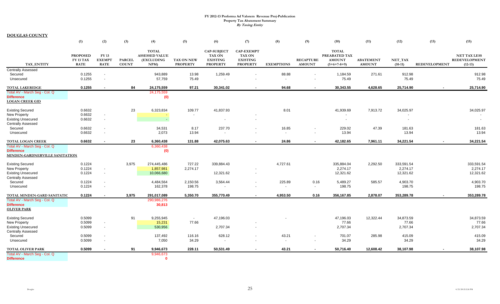|                                                                              | (1)                                         | (2)                                                  | (3)                           | (4)                                                         | (5)                                  | (6)                                                                       | (7)                                                                      | (8)                               | (9)                               | (10)                                                            | (11)                              | (12)                 | (13)                 | (15)                                                     |
|------------------------------------------------------------------------------|---------------------------------------------|------------------------------------------------------|-------------------------------|-------------------------------------------------------------|--------------------------------------|---------------------------------------------------------------------------|--------------------------------------------------------------------------|-----------------------------------|-----------------------------------|-----------------------------------------------------------------|-----------------------------------|----------------------|----------------------|----------------------------------------------------------|
| <b>TAX ENTITY</b>                                                            | <b>PROPOSED</b><br>FY 13 TAX<br><b>RATE</b> | <b>FY 13</b><br><b>EXEMPT</b><br><b>RATE</b>         | <b>PARCEL</b><br><b>COUNT</b> | <b>TOTAL</b><br><b>ASSESSED VALUE</b><br>(EXCLUDING<br>NPM) | <b>TAX ON NEW</b><br><b>PROPERTY</b> | <b>CAP-SUBJECT</b><br><b>TAX ON</b><br><b>EXISTING</b><br><b>PROPERTY</b> | <b>CAP-EXEMPT</b><br><b>TAX ON</b><br><b>EXISTING</b><br><b>PROPERTY</b> | <b>EXEMPTIONS</b>                 | <b>RECAPTURE</b><br><b>AMOUNT</b> | <b>TOTAL</b><br>PREABATED TAX<br><b>AMOUNT</b><br>$(5+6+7-8+9)$ | <b>ABATEMENT</b><br><b>AMOUNT</b> | NET_TAX<br>$(10-11)$ | <b>REDEVELOPMENT</b> | <b>NET TAX LESS</b><br><b>REDEVELOPMENT</b><br>$(12-13)$ |
| <b>Centrally Assessed</b>                                                    |                                             |                                                      |                               |                                                             |                                      |                                                                           |                                                                          |                                   |                                   |                                                                 |                                   |                      |                      |                                                          |
| Secured<br>Unsecured                                                         | 0.1255<br>0.1255                            | $\overline{\phantom{a}}$<br>$\overline{\phantom{a}}$ |                               | 943,889<br>57,759                                           | 13.98<br>75.49                       | 1,259.49                                                                  |                                                                          | 88.88<br>$\overline{\phantom{a}}$ | $\blacksquare$                    | 1,184.59<br>75.49                                               | 271.61                            | 912.98<br>75.49      |                      | 912.98<br>75.49                                          |
|                                                                              |                                             |                                                      |                               |                                                             |                                      |                                                                           |                                                                          |                                   |                                   |                                                                 |                                   |                      |                      |                                                          |
| <b>TOTAL LAKERIDGE</b>                                                       | 0.1255                                      |                                                      | 84                            | 24,175,559                                                  | 97.21                                | 30,341.02                                                                 | $\sim$                                                                   | 94.68                             | $\sim$                            | 30,343.55                                                       | 4,628.65                          | 25,714.90            |                      | 25,714.90                                                |
| Total AV - March Seg - Col. Q<br><b>Difference</b><br><b>LOGAN CREEK GID</b> |                                             |                                                      |                               | 24,175,559<br>(0)                                           |                                      |                                                                           |                                                                          |                                   |                                   |                                                                 |                                   |                      |                      |                                                          |
| <b>Existing Secured</b>                                                      | 0.6632                                      |                                                      | 23                            | 6,323,834                                                   | 109.77                               | 41,837.93                                                                 |                                                                          | 8.01                              |                                   | 41,939.69                                                       | 7,913.72                          | 34,025.97            |                      | 34,025.97                                                |
| <b>New Property</b>                                                          | 0.6632                                      | $\sim$                                               |                               |                                                             | $\overline{\phantom{a}}$             |                                                                           |                                                                          |                                   |                                   |                                                                 |                                   |                      |                      |                                                          |
| <b>Existing Unsecured</b><br><b>Centrally Assessed</b>                       | 0.6632                                      | $\sim$                                               |                               |                                                             |                                      |                                                                           | $\overline{\phantom{a}}$                                                 |                                   |                                   |                                                                 |                                   | $\blacksquare$       |                      | $\sim$                                                   |
| Secured                                                                      | 0.6632                                      | $\sim$                                               |                               | 34,531                                                      | 8.17                                 | 237.70                                                                    |                                                                          | 16.85                             |                                   | 229.02                                                          | 47.39                             | 181.63               |                      | 181.63                                                   |
| Unsecured                                                                    | 0.6632                                      | $\sim$                                               |                               | 2,073                                                       | 13.94                                |                                                                           |                                                                          | $\overline{\phantom{a}}$          | $\overline{\phantom{a}}$          | 13.94                                                           |                                   | 13.94                |                      | 13.94                                                    |
| TOTAL LOGAN CREEK                                                            | 0.6632                                      | $\blacksquare$                                       | 23                            | 6,360,438                                                   | 131.88                               | 42,075.63                                                                 | $\blacksquare$                                                           | 24.86                             | $\sim$                            | 42,182.65                                                       | 7,961.11                          | 34,221.54            |                      | 34,221.54                                                |
| Total AV - March Seg - Col. Q                                                |                                             |                                                      |                               | 6,360,438                                                   |                                      |                                                                           |                                                                          |                                   |                                   |                                                                 |                                   |                      |                      |                                                          |
| <b>Difference</b><br>MINDEN-GARDNERVILLE SANITATION                          |                                             |                                                      |                               | (0)                                                         |                                      |                                                                           |                                                                          |                                   |                                   |                                                                 |                                   |                      |                      |                                                          |
| <b>Existing Secured</b>                                                      | 0.1224                                      |                                                      | 3,975                         | 274,445,486                                                 | 727.22                               | 339,884.43                                                                |                                                                          | 4,727.61                          |                                   | 335,884.04                                                      | 2,292.50                          | 333,591.54           |                      | 333,591.54                                               |
| New Property                                                                 | 0.1224                                      | $\sim$                                               |                               | 1,857,981                                                   | 2,274.17                             |                                                                           |                                                                          |                                   |                                   | 2,274.17                                                        |                                   | 2,274.17             |                      | 2,274.17                                                 |
| <b>Existing Unsecured</b>                                                    | 0.1224                                      | $\overline{\phantom{a}}$                             |                               | 10,066,680                                                  |                                      | 12,321.62                                                                 |                                                                          |                                   |                                   | 12,321.62                                                       |                                   | 12,321.62            |                      | 12,321.62                                                |
| <b>Centrally Assessed</b>                                                    |                                             |                                                      |                               |                                                             |                                      |                                                                           |                                                                          |                                   |                                   |                                                                 |                                   |                      |                      |                                                          |
| Secured                                                                      | 0.1224                                      |                                                      |                               | 4,484,564                                                   | 2,150.56                             | 3,564.44                                                                  | $\overline{\phantom{a}}$                                                 | 225.89                            | 0.16                              | 5,489.27                                                        | 585.57                            | 4,903.70             |                      | 4,903.70                                                 |
| Unsecured                                                                    | 0.1224                                      | $\sim$                                               |                               | 162,378                                                     | 198.75                               | $\overline{\phantom{a}}$                                                  |                                                                          | $\overline{\phantom{a}}$          | $\overline{\phantom{a}}$          | 198.75                                                          |                                   | 198.75               |                      | 198.75                                                   |
| TOTAL MINDEN-GARD SANITATIC                                                  | 0.1224                                      | $\sim$                                               | 3,975                         | 291,017,089                                                 | 5,350.70                             | 355,770.49                                                                | $\sim$                                                                   | 4,953.50                          | 0.16                              | 356,167.85                                                      | 2,878.07                          | 353,289.78           |                      | 353,289.78                                               |
| Total AV - March Seg - Col. Q<br><b>Difference</b><br><b>OLIVER PARK</b>     |                                             |                                                      |                               | 290,986,276<br>30,813                                       |                                      |                                                                           |                                                                          |                                   |                                   |                                                                 |                                   |                      |                      |                                                          |
| <b>Existing Secured</b>                                                      | 0.5099                                      |                                                      | 91                            | 9,255,945                                                   | $\sim$                               | 47,196.03                                                                 |                                                                          |                                   |                                   | 47,196.03                                                       | 12,322.44                         | 34,873.59            |                      | 34,873.59                                                |
| New Property                                                                 | 0.5099                                      | $\sim$                                               |                               | 15,231                                                      | 77.66                                |                                                                           |                                                                          |                                   |                                   | 77.66                                                           |                                   | 77.66                |                      | 77.66                                                    |
| <b>Existing Unsecured</b><br><b>Centrally Assessed</b>                       | 0.5099                                      | $\overline{\phantom{a}}$                             |                               | 530,956                                                     |                                      | 2,707.34                                                                  | $\overline{\phantom{a}}$                                                 |                                   |                                   | 2,707.34                                                        |                                   | 2,707.34             |                      | 2,707.34                                                 |
| Secured                                                                      | 0.5099                                      | $\sim$                                               |                               | 137,492                                                     | 116.16                               | 628.12                                                                    |                                                                          | 43.21                             |                                   | 701.07                                                          | 285.98                            | 415.09               |                      | 415.09                                                   |
| Unsecured                                                                    | 0.5099                                      | $\sim$                                               |                               | 7,050                                                       | 34.29                                |                                                                           |                                                                          | $\overline{\phantom{a}}$          | $\blacksquare$                    | 34.29                                                           |                                   | 34.29                |                      | 34.29                                                    |
| <b>TOTAL OLIVER PARK</b>                                                     | 0.5099                                      |                                                      | 91                            | 9,946,673                                                   | 228.11                               | 50,531.49                                                                 |                                                                          | 43.21                             |                                   | 50,716.40                                                       | 12,608.42                         | 38,107.98            |                      | 38,107.98                                                |
| Total AV - March Seg - Col. Q<br><b>Difference</b>                           |                                             |                                                      |                               | 9,946,673<br>$\mathbf{0}$                                   |                                      |                                                                           |                                                                          |                                   |                                   |                                                                 |                                   |                      |                      |                                                          |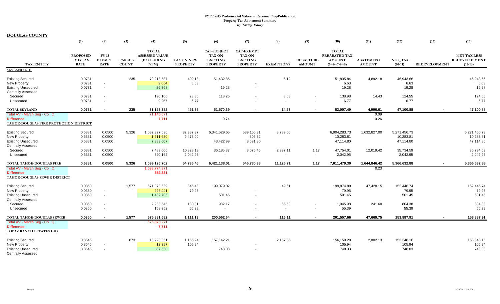|                                                                                                                                  | (1)                                                | (2)                                                                                                          | (3)                           | (4)                                                         | (5)                                | (6)                                                                       | (7)                                                                      | (8)                                        | (9)                               | (10)                                                            | (11)                              | (12)                                             | (13)                 | (15)                                                     |
|----------------------------------------------------------------------------------------------------------------------------------|----------------------------------------------------|--------------------------------------------------------------------------------------------------------------|-------------------------------|-------------------------------------------------------------|------------------------------------|---------------------------------------------------------------------------|--------------------------------------------------------------------------|--------------------------------------------|-----------------------------------|-----------------------------------------------------------------|-----------------------------------|--------------------------------------------------|----------------------|----------------------------------------------------------|
| <b>TAX ENTITY</b>                                                                                                                | <b>PROPOSED</b><br><b>FY 13 TAX</b><br><b>RATE</b> | <b>FY 13</b><br><b>EXEMPT</b><br><b>RATE</b>                                                                 | <b>PARCEL</b><br><b>COUNT</b> | <b>TOTAL</b><br><b>ASSESSED VALUE</b><br>(EXCLUDING<br>NPM  | TAX ON NEW<br><b>PROPERTY</b>      | <b>CAP-SUBJECT</b><br><b>TAX ON</b><br><b>EXISTING</b><br><b>PROPERTY</b> | <b>CAP-EXEMPT</b><br><b>TAX ON</b><br><b>EXISTING</b><br><b>PROPERTY</b> | <b>EXEMPTIONS</b>                          | <b>RECAPTURE</b><br><b>AMOUNT</b> | <b>TOTAL</b><br>PREABATED TAX<br><b>AMOUNT</b><br>$(5+6+7-8+9)$ | <b>ABATEMENT</b><br><b>AMOUNT</b> | NET_TAX<br>$(10-11)$                             | <b>REDEVELOPMENT</b> | <b>NET TAX LESS</b><br><b>REDEVELOPMENT</b><br>$(12-13)$ |
| <b>SKYLAND GID</b>                                                                                                               |                                                    |                                                                                                              |                               |                                                             |                                    |                                                                           |                                                                          |                                            |                                   |                                                                 |                                   |                                                  |                      |                                                          |
| <b>Existing Secured</b><br><b>New Property</b><br><b>Existing Unsecured</b><br><b>Centrally Assessed</b><br>Secured              | 0.0731<br>0.0731<br>0.0731<br>0.0731               | $\overline{\phantom{a}}$<br>$\blacksquare$<br>$\overline{\phantom{a}}$                                       | 235                           | 70,918,587<br>9,064<br>26,368<br>190,106                    | 409.18<br>6.63<br>28.80            | 51,432.85<br>19.28<br>118.26                                              | $\overline{a}$                                                           | 6.19<br>8.08                               |                                   | 51,835.84<br>6.63<br>19.28<br>138.98                            | 4,892.18<br>14.43                 | 46,943.66<br>6.63<br>19.28<br>124.55             |                      | 46,943.66<br>6.63<br>19.28<br>124.55                     |
| Unsecured                                                                                                                        | 0.0731                                             | $\blacksquare$                                                                                               |                               | 9,257                                                       | 6.77                               |                                                                           |                                                                          | $\sim$                                     |                                   | 6.77                                                            |                                   | 6.77                                             |                      | 6.77                                                     |
| <b>TOTAL SKYLAND</b>                                                                                                             | 0.0731                                             |                                                                                                              | 235                           | 71,153,382                                                  | 451.38                             | 51,570.39                                                                 |                                                                          | 14.27                                      |                                   | 52,007.49                                                       | 4,906.61                          | 47,100.88                                        |                      | 47,100.88                                                |
| Total AV - March Seg - Col. Q<br><b>Difference</b><br>TAHOE-DOUGLAS FIRE PROTECTION DISTRICT                                     |                                                    |                                                                                                              |                               | 71,145,671<br>7,711                                         |                                    | 0.74                                                                      |                                                                          |                                            |                                   |                                                                 | 0.09<br>0.26                      |                                                  |                      |                                                          |
| <b>Existing Secured</b><br><b>New Property</b><br><b>Existing Unsecured</b><br><b>Centrally Assessed</b>                         | 0.6381<br>0.6381<br>0.6381                         | 0.0500<br>0.0500<br>0.0500                                                                                   | 5,326                         | 1,082,327,696<br>1,611,630<br>7,383,607                     | 32,387.37<br>9,478.00              | 6,341,529.65<br>43,422.99                                                 | 539,156.31<br>805.82<br>3,691.80                                         | 8,789.60                                   |                                   | 6,904,283.73<br>10,283.81<br>47,114.80                          | 1,632,827.00                      | 5,271,456.73<br>10,283.81<br>47,114.80           |                      | 5,271,456.73<br>10,283.81<br>47,114.80                   |
| Secured<br>Unsecured                                                                                                             | 0.6381<br>0.6381                                   | 0.0500<br>0.0500                                                                                             |                               | 7,483,606<br>320,162                                        | 10,828.13<br>2,042.95              | 36,185.37                                                                 | 3,076.45<br>$\overline{\phantom{a}}$                                     | 2,337.11<br>$\overline{\phantom{a}}$       | 1.17<br>$\overline{\phantom{a}}$  | 47,754.01<br>2,042.95                                           | 12,019.42                         | 35,734.59<br>2,042.95                            |                      | 35,734.59<br>2,042.95                                    |
| TOTAL TAHOE-DOUGLAS FIRE<br>Total AV - March Seg - Col. Q<br><b>Difference</b><br>TAHOE-DOUGLAS SEWER DISTRICT                   | 0.6381                                             | 0.0500                                                                                                       | 5,326                         | 1,099,126,702<br>1,098,774,371<br>352,331                   | 54,736.45                          | 6,421,138.01                                                              | 546,730.38                                                               | 11,126.71                                  | 1.17                              | 7,011,479.30                                                    | 1,644,846.42<br>0.23              | 5,366,632.88                                     |                      | 5,366,632.88                                             |
| <b>Existing Secured</b><br><b>New Property</b><br><b>Existing Unsecured</b><br><b>Centrally Assessed</b><br>Secured<br>Unsecured | 0.0350<br>0.0350<br>0.0350<br>0.0350<br>0.0350     | $\overline{\phantom{a}}$<br>$\overline{\phantom{a}}$<br>$\overline{\phantom{a}}$<br>$\overline{\phantom{a}}$ | 1,577                         | 571,073,639<br>228,441<br>1,432,705<br>2,988,545<br>158,352 | 845.48<br>79.95<br>130.31<br>55.39 | 199,079.02<br>501.45<br>982.17                                            | $\overline{a}$                                                           | 49.61<br>66.50<br>$\overline{\phantom{a}}$ |                                   | 199.874.89<br>79.95<br>501.45<br>1,045.98<br>55.39              | 47,428.15<br>241.60               | 152,446.74<br>79.95<br>501.45<br>804.38<br>55.39 |                      | 152,446.74<br>79.95<br>501.45<br>804.38<br>55.39         |
| TOTAL TAHOE-DOUGLAS SEWER<br>Total AV - March Seg - Col. Q<br><b>Difference</b><br>TOPAZ RANCH ESTATES GID                       | 0.0350                                             | $\sim$                                                                                                       | 1,577                         | 575,881,682<br>575,873,971<br>7,711                         | 1,111.13                           | 200,562.64                                                                | $\sim$                                                                   | 116.11                                     | $\sim$                            | 201,557.66                                                      | 47,669.75                         | 153,887.91                                       | $\blacksquare$       | 153,887.91                                               |
| <b>Existing Secured</b><br><b>New Property</b><br><b>Existing Unsecured</b><br><b>Centrally Assessed</b>                         | 0.8546<br>0.8546<br>0.8546                         | $\overline{\phantom{a}}$<br>$\overline{\phantom{a}}$                                                         | 873                           | 18,290,351<br>12,397<br>87,530                              | 1,165.94<br>105.94                 | 157,142.21<br>748.03                                                      | $\overline{\phantom{a}}$                                                 | 2,157.86                                   |                                   | 156,150.29<br>105.94<br>748.03                                  | 2,802.13                          | 153,348.16<br>105.94<br>748.03                   |                      | 153,348.16<br>105.94<br>748.03                           |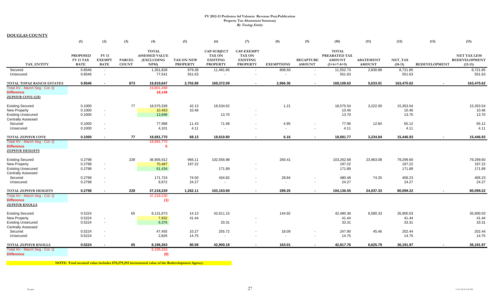**DOUGLAS COUNTY**

|                                                                             | (1)                                                | (2)                                   | (3)                           | (4)                                                        | (5)                           | (6)                                                                       | (7)                                                                      | (8)                      | (9)                                | (10)                                                            | (11)                              | (12)                 | (13)                 | (15)                                                     |
|-----------------------------------------------------------------------------|----------------------------------------------------|---------------------------------------|-------------------------------|------------------------------------------------------------|-------------------------------|---------------------------------------------------------------------------|--------------------------------------------------------------------------|--------------------------|------------------------------------|-----------------------------------------------------------------|-----------------------------------|----------------------|----------------------|----------------------------------------------------------|
| <b>TAX ENTITY</b>                                                           | <b>PROPOSED</b><br><b>FY 13 TAX</b><br><b>RATE</b> | FY 13<br><b>EXEMPT</b><br><b>RATE</b> | <b>PARCEL</b><br><b>COUNT</b> | <b>TOTAL</b><br><b>ASSESSED VALUE</b><br>(EXCLUDING<br>NPM | TAX ON NEW<br><b>PROPERTY</b> | <b>CAP-SUBJECT</b><br><b>TAX ON</b><br><b>EXISTING</b><br><b>PROPERTY</b> | <b>CAP-EXEMPT</b><br><b>TAX ON</b><br><b>EXISTING</b><br><b>PROPERTY</b> | <b>EXEMPTIONS</b>        | <b>RECAPTURE</b><br><b>AMOUNT</b>  | <b>TOTAL</b><br>PREABATED TAX<br><b>AMOUNT</b><br>$(5+6+7-8+9)$ | <b>ABATEMENT</b><br><b>AMOUNT</b> | NET_TAX<br>$(10-11)$ | <b>REDEVELOPMENT</b> | <b>NET TAX LESS</b><br><b>REDEVELOPMENT</b><br>$(12-13)$ |
| Secured<br>Unsecured                                                        | 0.8546<br>0.8546                                   | $\sim$<br>$\blacksquare$              |                               | 1,351,828<br>77,541                                        | 879.38<br>551.63              | 11,481.85                                                                 | $\overline{\phantom{a}}$                                                 | 808.50<br>$\overline{a}$ | $\sim$<br>$\overline{\phantom{a}}$ | 11,552.73<br>551.63                                             | 2,830.88                          | 8,721.85<br>551.63   |                      | 8,721.85<br>551.63                                       |
| TOTAL TOPAZ RANCH ESTATES                                                   | 0.8546                                             |                                       | 873                           | 19,819,647                                                 | 2,702.89                      | 169,372.09                                                                | $\blacksquare$                                                           | 2,966.36                 |                                    | 169,108.63                                                      | 5,633.01                          | 163,475.62           |                      | 163,475.62                                               |
| Total AV - March Seg - Col. Q<br><b>Difference</b><br>ZEPHYR COVE GID       |                                                    |                                       |                               | 19,801,498<br>18,149                                       |                               |                                                                           |                                                                          |                          |                                    |                                                                 |                                   |                      |                      |                                                          |
| <b>Existing Secured</b>                                                     | 0.1000                                             |                                       | 77                            | 18,575,539                                                 | 42.13                         | 18,534.62                                                                 |                                                                          | 1.21                     |                                    | 18,575.54                                                       | 3,222.00                          | 15,353.54            |                      | 15,353.54                                                |
| New Property                                                                | 0.1000                                             | $\overline{\phantom{a}}$              |                               | 10,463                                                     | 10.46                         |                                                                           |                                                                          |                          |                                    | 10.46                                                           |                                   | 10.46                |                      | 10.46                                                    |
| <b>Existing Unsecured</b><br><b>Centrally Assessed</b>                      | 0.1000                                             | $\blacksquare$                        |                               | 13,699                                                     |                               | 13.70                                                                     | $\blacksquare$                                                           |                          |                                    | 13.70                                                           |                                   | 13.70                |                      | 13.70                                                    |
| Secured                                                                     | 0.1000                                             | $\overline{a}$                        |                               | 77,968                                                     | 11.43                         | 71.48                                                                     |                                                                          | 4.95                     |                                    | 77.96                                                           | 12.84                             | 65.12                |                      | 65.12                                                    |
| Unsecured                                                                   | 0.1000                                             | $\overline{\phantom{a}}$              |                               | 4,101                                                      | 4.11                          | $\overline{\phantom{a}}$                                                  |                                                                          | $\overline{\phantom{a}}$ |                                    | 4.11                                                            |                                   | 4.11                 |                      | 4.11                                                     |
| <b>TOTAL ZEPHYR COVE</b>                                                    | 0.1000                                             |                                       | 77                            | 18,681,770                                                 | 68.13                         | 18,619.80                                                                 |                                                                          | 6.16                     |                                    | 18,681.77                                                       | 3,234.84                          | 15,446.93            |                      | 15,446.93                                                |
| Total AV - March Seg - Col. Q<br><b>Difference</b><br><b>ZEPHYR HEIGHTS</b> |                                                    |                                       |                               | 18,681,770<br>$\mathbf{0}$                                 |                               |                                                                           |                                                                          |                          |                                    |                                                                 |                                   |                      |                      |                                                          |
| <b>Existing Secured</b>                                                     | 0.2798                                             |                                       | 228                           | 36,905,912                                                 | 966.11                        | 102,556.98                                                                |                                                                          | 260.41                   |                                    | 103,262.68                                                      | 23,963.08                         | 79,299.60            |                      | 79,299.60                                                |
| <b>New Property</b>                                                         | 0.2798                                             | $\overline{\phantom{a}}$              |                               | 70,487                                                     | 197.22                        |                                                                           |                                                                          |                          |                                    | 197.22                                                          |                                   | 197.22               |                      | 197.22                                                   |
| <b>Existing Unsecured</b><br><b>Centrally Assessed</b>                      | 0.2798                                             | $\overline{\phantom{a}}$              |                               | 61,434                                                     |                               | 171.89                                                                    | $\overline{\phantom{a}}$                                                 |                          |                                    | 171.89                                                          |                                   | 171.89               |                      | 171.89                                                   |
| Secured                                                                     | 0.2798                                             | $\overline{\phantom{a}}$              |                               | 171,724                                                    | 74.50                         | 434.82                                                                    |                                                                          | 28.84                    |                                    | 480.48                                                          | 74.25                             | 406.23               |                      | 406.23                                                   |
| Unsecured                                                                   | 0.2798                                             | $\overline{\phantom{a}}$              |                               | 8,672                                                      | 24.27                         | $\overline{\phantom{a}}$                                                  |                                                                          | $\overline{\phantom{a}}$ | $\overline{\phantom{a}}$           | 24.27                                                           |                                   | 24.27                |                      | 24.27                                                    |
| TOTAL ZEPHYR HEIGHTS                                                        | 0.2798                                             | $\overline{\phantom{a}}$              | 228                           | 37,218,229                                                 | 1,262.11                      | 103,163.69                                                                | $\sim$                                                                   | 289.25                   | $\sim$                             | 104,136.55                                                      | 24,037.33                         | 80,099.22            |                      | 80,099.22                                                |
| Total AV - March Seg - Col. Q<br><b>Difference</b><br><b>ZEPHYR KNOLLS</b>  |                                                    |                                       |                               | 37,218,230<br>(1)                                          |                               |                                                                           |                                                                          |                          |                                    |                                                                 |                                   |                      |                      |                                                          |
| <b>Existing Secured</b>                                                     | 0.5224                                             |                                       | 65                            | 8,131,673                                                  | 14.13                         | 42,611.15                                                                 |                                                                          | 144.92                   |                                    | 42,480.36                                                       | 6,580.33                          | 35,900.03            |                      | 35,900.03                                                |
| New Property                                                                | 0.5224                                             | $\overline{\phantom{a}}$              |                               | 7,932                                                      | 41.44                         |                                                                           |                                                                          |                          |                                    | 41.44                                                           |                                   | 41.44                |                      | 41.44                                                    |
| <b>Existing Unsecured</b><br><b>Centrally Assessed</b>                      | 0.5224                                             | $\overline{\phantom{a}}$              |                               | 6,376                                                      |                               | 33.31                                                                     | $\overline{\phantom{a}}$                                                 |                          |                                    | 33.31                                                           |                                   | 33.31                |                      | 33.31                                                    |
| Secured                                                                     | 0.5224                                             | $\overline{\phantom{a}}$              |                               | 47,455                                                     | 10.27                         | 255.72                                                                    | $\overline{\phantom{a}}$                                                 | 18.09                    |                                    | 247.90                                                          | 45.46                             | 202.44               |                      | 202.44                                                   |
| Unsecured                                                                   | 0.5224                                             | $\overline{\phantom{a}}$              |                               | 2,826                                                      | 14.75                         |                                                                           |                                                                          | $\overline{\phantom{a}}$ |                                    | 14.75                                                           |                                   | 14.75                |                      | 14.75                                                    |
| TOTAL ZEPHYR KNOLLS                                                         | 0.5224                                             |                                       | 65                            | 8,196,263                                                  | 80.59                         | 42,900.18                                                                 | $\overline{\phantom{a}}$                                                 | 163.01                   |                                    | 42,817.76                                                       | 6,625.79                          | 36,191.97            |                      | 36,191.97                                                |
| Total AV - March Seg - Col. Q                                               |                                                    |                                       |                               | 8,196,263                                                  |                               |                                                                           |                                                                          |                          |                                    |                                                                 |                                   |                      |                      |                                                          |
| <b>Difference</b>                                                           |                                                    |                                       |                               | (0)                                                        |                               |                                                                           |                                                                          |                          |                                    |                                                                 |                                   |                      |                      |                                                          |

*NOTE:* **Total secured value includes \$70,279,293 incremental value of the Redevelopment Agency.**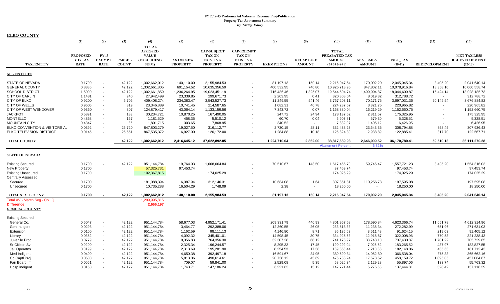| <b>ELKO COUNTY</b>                     |                  |                                  |               |                 |                   |                    |                          |                       |                          |                          |                         |               |                          |                      |
|----------------------------------------|------------------|----------------------------------|---------------|-----------------|-------------------|--------------------|--------------------------|-----------------------|--------------------------|--------------------------|-------------------------|---------------|--------------------------|----------------------|
|                                        | (1)              | (2)                              | (3)           | (4)             | (5)               | (6)                | (7)                      | (8)                   | (9)                      | (10)                     | (11)                    | (12)          | (13)                     | (15)                 |
|                                        |                  |                                  |               | <b>TOTAL</b>    |                   |                    |                          |                       |                          |                          |                         |               |                          |                      |
|                                        |                  |                                  |               | <b>ASSESSED</b> |                   | <b>CAP-SUBJECT</b> | <b>CAP-EXEMPT</b>        |                       |                          | <b>TOTAL</b>             |                         |               |                          |                      |
|                                        | <b>PROPOSED</b>  | FY 13                            |               | <b>VALUE</b>    |                   | <b>TAX ON</b>      | <b>TAX ON</b>            |                       |                          | PREABATED TAX            |                         |               |                          | <b>NET TAX LESS</b>  |
|                                        | <b>FY 13 TAX</b> | <b>EXEMPT</b>                    | <b>PARCEL</b> | (EXCLUDING      | <b>TAX ON NEW</b> | <b>EXISTING</b>    | <b>EXISTING</b>          |                       | <b>RECAPTURE</b>         | <b>AMOUNT</b>            | <b>ABATEMENT</b>        | NET_TAX       |                          | <b>REDEVELOPMENT</b> |
| <b>TAX ENTITY</b>                      | <b>RATE</b>      | <b>RATE</b>                      | <b>COUNT</b>  | NPM)            | <b>PROPERTY</b>   | <b>PROPERTY</b>    | <b>PROPERTY</b>          | <b>EXEMPTIONS</b>     | <b>AMOUNT</b>            | $(5+6+7-8+9)$            | <b>AMOUNT</b>           | $(10-11)$     | <b>REDEVELOPMENT</b>     | $(12-13)$            |
| <b>ALL ENTITIES</b>                    |                  |                                  |               |                 |                   |                    |                          |                       |                          |                          |                         |               |                          |                      |
| STATE OF NEVADA                        | 0.1700           |                                  | 42,122        | 1,302,662,012   | 140,110.00        | 2,155,984.53       |                          | 81,197.13             | 150.14                   | 2,215,047.54             | 170,002.20              | 2,045,045.34  | 3,405.20                 | 2,041,640.14         |
| <b>GENERAL COUNTY</b>                  | 0.8386           | $\overline{\phantom{a}}$         | 42,122        | 1,302,661,805   | 691,154.52        | 10,635,356.59      |                          | 400,532.95            | 740.80                   | 10,926,718.95            | 847,802.11              | 10,078,916.84 | 18,358.10                | 10,060,558.74        |
| <b>SCHOOL DISTRICT</b>                 | 1.5000           | $\overline{\phantom{a}}$         | 42,122        | 1,302,661,859   | 1,236,264.95      | 19,023,451.19      | $\sim$                   | 716,436.46            | 1,325.07                 | 19,544,604.74            | 1,499,994.87            | 18,044,609.87 | 16,424.14                | 18,028,185.73        |
| <b>CITY OF CARLIN</b>                  | 1.1481           | $\overline{\phantom{a}}$         | 940           | 27,942,499      | 23,339.85         | 299,671.73         |                          | 2,203.95              | 0.41                     | 320,808.04               | 8,019.32                | 312,788.72    | $\sim$                   | 312,788.72           |
| <b>CITY OF ELKO</b>                    | 0.9200           |                                  | 5,706         | 409,408,274     | 234,383.47        | 3,543,527.73       |                          | 11,249.55             | 541.46                   | 3,767,203.11             | 70,171.75               | 3,697,031.36  | 20,146.54                | 3,676,884.82         |
| <b>CITY OF WELLS</b>                   | 0.9605           |                                  | 819           | 23,346,889      | 10,741.45         | 214,587.65         | $\sim$                   | 1,082.31              | 40.78                    | 224,287.57               | 3,321.75                | 220,965.82    |                          | 220,965.82           |
| CITY OF WEST WENDOVER                  | 0.9360           |                                  | 807           | 124,879,417     | 43,064.14         | 1,133,159.56       |                          | 7,343.72              | 0.07                     | 1,168,880.04             | 16,219.29               | 1,152,660.75  |                          | 1,152,660.75         |
| <b>JACKPOT</b>                         | 0.5891           |                                  | 183           | 30,234,721      | 10,870.25         | 167,490.05         | $\sim$                   | 247.72                | 24.94                    | 178,137.52               | 2,811.57                | 175,325.95    | $\overline{\phantom{a}}$ | 175,325.95           |
| <b>MONTELLO</b>                        | 0.4858           |                                  | 167           | 1,181,529       | 458.35            | 5,510.12           |                          | 60.70                 | 0.04                     | 5,907.81                 | 579.30                  | 5,328.51      | $\overline{\phantom{a}}$ | 5,328.51             |
| <b>MOUNTAIN CITY</b>                   | 0.4347           |                                  | 86            | 1,801,715       | 303.65            | 7,868.95           |                          | 340.52                | $\sim$                   | 7,832.07                 | 1,405.12                | 6,426.95      |                          | 6,426.95             |
| ELKO CONVENTION & VISITORS AL          | 0.0392           |                                  | 25,720        | 847,803,279     | 19,027.50         | 316,112.77         | $\overline{\phantom{a}}$ | 2,730.15              | 28.11                    | 332,438.23               | 23,643.35               | 308,794.88    | 858.45                   | 307,936.43           |
| <b>ELKO TELEVISION DISTRICT</b>        | 0.0145           |                                  | 25,551        | 867,535,372     | 6,927.00          | 120,172.00         |                          | 1,284.88              | 10.18                    | 125,824.30               | 2,938.89                | 122,885.41    | 317.70                   | 122,567.71           |
|                                        |                  |                                  |               |                 |                   |                    |                          |                       |                          |                          |                         |               |                          |                      |
| <b>TOTAL COUNTY</b>                    |                  |                                  | 42,122        | 1,302,662,012   | 2,416,645.12      | 37,622,892.85      | $\sim$                   | 1,224,710.04          | 2,862.00                 | 38,817,689.93            | 2,646,909.52            | 36,170,780.41 | 59,510.13                | 36,111,270.28        |
|                                        |                  |                                  |               |                 |                   |                    |                          |                       |                          | <b>Abatement Percent</b> | 6.82%                   |               |                          |                      |
| <b>STATE OF NEVADA</b>                 |                  |                                  |               |                 |                   |                    |                          |                       |                          |                          |                         |               |                          |                      |
| <b>Existing Secured</b>                | 0.1700           |                                  | 42,122        | 951,144,784     | 19,764.03         | 1,668,064.84       |                          | 70,510.67             | 148.50                   | 1,617,466.70             | 59,745.47               | 1,557,721.23  | 3,405.20                 | 1,554,316.03         |
| New Property                           | 0.1700           |                                  |               | 57,325,731      | 97,453.74         |                    |                          |                       |                          | 97,453.74                |                         | 97,453.74     |                          | 97,453.74            |
| <b>Existing Unsecured</b>              | 0.1700           |                                  |               | 102,367,815     |                   | 174,025.29         |                          |                       |                          | 174,025.29               |                         | 174,025.29    |                          | 174,025.29           |
| <b>Centrally Assessed</b>              |                  |                                  |               |                 |                   |                    |                          |                       |                          |                          |                         |               |                          |                      |
| Secured                                | 0.1700           |                                  |               | 181,088,394     | 6,387.94          | 312,146.31         | $\overline{\phantom{a}}$ | 10,684.08             | 1.64                     | 307,851.81               | 110,256.73              | 197,595.08    |                          | 197,595.08           |
| Unsecured                              | 0.1700           |                                  |               | 10,735,288      | 16,504.29         | 1,748.09           |                          | 2.38                  | $\overline{\phantom{a}}$ | 18,250.00                | $\sim$                  | 18,250.00     |                          | 18,250.00            |
|                                        |                  |                                  |               |                 |                   |                    |                          |                       |                          |                          |                         |               |                          |                      |
| <b>TOTAL STATE OF NV</b>               | 0.1700           |                                  | 42,122        | 1,302,662,012   | 140,110.00        | 2,155,984.53       |                          | 81,197.13             | 150.14                   | 2,215,047.54             | 170,002.20              | 2,045,045.34  | 3,405.20                 | 2,041,640.14         |
| Total AV - March Seg - Col. Q          |                  |                                  |               | 1,299,995,815   |                   |                    |                          |                       |                          |                          |                         |               |                          |                      |
| <b>Difference</b>                      |                  |                                  |               | 2,666,197       |                   |                    |                          |                       |                          |                          |                         |               |                          |                      |
| <b>GENERAL COUNTY</b>                  |                  |                                  |               |                 |                   |                    |                          |                       |                          |                          |                         |               |                          |                      |
|                                        |                  |                                  |               |                 |                   |                    |                          |                       |                          |                          |                         |               |                          |                      |
| <b>Existing Secured</b><br>General Co. | 0.5047           |                                  | 42,122        | 951,144,784     | 58,677.03         | 4,952,171.41       |                          | 209,331.79            | 440.93                   | 4,801,957.58             |                         |               | 11,051.78                | 4,612,314.96         |
|                                        |                  | $\overline{\phantom{a}}$         | 42,122        |                 |                   |                    |                          |                       |                          |                          | 178,590.84<br>11,235.34 | 4,623,366.74  | 651.96                   | 271,631.03           |
| Gen Indigent                           | 0.0298           | $\overline{\phantom{a}}$         | 42,122        | 951,144,784     | 3,464.77          | 292,388.06         |                          | 12,360.55<br>4,146.80 | 26.05                    | 283,518.33<br>95,135.63  | 3,511.48                | 272,282.99    |                          |                      |
| Extension                              | 0.0100           |                                  |               | 951,144,784     | 1,162.59          | 98,111.13          |                          |                       | 8.71                     |                          |                         | 91,624.15     | 219.03                   | 91,405.12            |
| Library                                | 0.0352           | $\overline{a}$<br>$\overline{a}$ | 42,122        | 951,144,784     | 4,092.32          | 345,401.01         |                          | 14,598.45             | 30.75                    | 334,925.63               | 12,916.67               | 322,008.96    | 770.53                   | 321,238.43           |
| Juvenile Prob                          | 0.0779           |                                  | 42,122        | 951,144,784     | 9,056.83          | 764,356.30         | $\sim$                   | 32,307.28             | 68.12                    | 741,173.97               | 33,743.10               | 707,430.87    | 1,701.22                 | 705,729.65           |
| Sr Citizen Sv                          | 0.0200           | $\overline{\phantom{a}}$         | 42,122        | 951,144,784     | 2,325.34          | 196,244.57         |                          | 8,295.32              | 17.45                    | 190,292.04               | 7,026.52                | 183,265.52    | 437.97                   | 182,827.55           |
| Jail Operatns                          | 0.0199           | $\overline{\phantom{a}}$         | 42,122        | 951,144,784     | 2,313.69          | 195,281.90         | $\sim$                   | 8,254.53              | 17.38                    | 189,358.44               | 7,210.38                | 182,148.06    | 435.63                   | 181,712.43           |
| Med Indigent                           | 0.0400           | $\overline{\phantom{a}}$         | 42,122        | 951,144,784     | 4,650.38          | 392,497.18         |                          | 16,591.67             | 34.95                    | 380,590.84               | 14,052.80               | 366,538.04    | 875.88                   | 365,662.16           |
| Co Captl Proj                          | 0.0500           |                                  | 42,122        | 951,144,784     | 5,813.06          | 490,614.61         |                          | 20,738.12             | 43.69                    | 475,733.24               | 17,573.52               | 458,159.72    | 1,095.05                 | 457,064.67           |
| Fair Board Im                          | 0.0061           |                                  | 42,122        | 951,144,784     | 709.07            | 59,841.00          |                          | 2,529.08              | 5.35                     | 58,026.34                | 2,129.28                | 55,897.06     | 133.74                   | 55,763.32            |
| Hosp Indigent                          | 0.0150           |                                  | 42,122        | 951,144,784     | 1,743.71          | 147,186.24         |                          | 6,221.63              | 13.12                    | 142,721.44               | 5,276.63                | 137,444.81    | 328.42                   | 137,116.39           |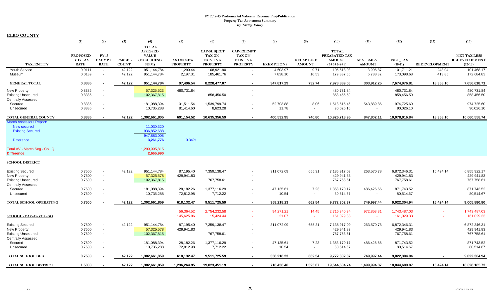|                                | (1)             | (2)                      | (3)           | (4)               | (5)               | (6)                | (7)                      | (8)               | (9)                      | (10)          | (11)                     | (12)          | (13)                 | (15)                 |
|--------------------------------|-----------------|--------------------------|---------------|-------------------|-------------------|--------------------|--------------------------|-------------------|--------------------------|---------------|--------------------------|---------------|----------------------|----------------------|
|                                |                 |                          |               | <b>TOTAL</b>      |                   |                    |                          |                   |                          |               |                          |               |                      |                      |
|                                |                 |                          |               | <b>ASSESSED</b>   |                   | <b>CAP-SUBJECT</b> | <b>CAP-EXEMPT</b>        |                   |                          | <b>TOTAL</b>  |                          |               |                      |                      |
|                                | <b>PROPOSED</b> | FY 13                    |               | <b>VALUE</b>      |                   | <b>TAX ON</b>      | <b>TAX ON</b>            |                   |                          | PREABATED TAX |                          |               |                      | <b>NET TAX LESS</b>  |
|                                | FY 13 TAX       | <b>EXEMPT</b>            | <b>PARCEL</b> | <b>(EXCLUDING</b> | <b>TAX ON NEW</b> | <b>EXISTING</b>    | <b>EXISTING</b>          |                   | <b>RECAPTURE</b>         | <b>AMOUNT</b> | <b>ABATEMENT</b>         | NET TAX       |                      | <b>REDEVELOPMENT</b> |
| TAX ENTITY                     | <b>RATE</b>     | <b>RATE</b>              | <b>COUNT</b>  | NPM               | <b>PROPERTY</b>   | <b>PROPERTY</b>    | <b>PROPERTY</b>          | <b>EXEMPTIONS</b> | <b>AMOUNT</b>            | $(5+6+7-8+9)$ | <b>AMOUNT</b>            | $(10-11)$     | <b>REDEVELOPMENT</b> | $(12-13)$            |
| <b>Youth Service</b>           | 0.0111          | $\sim$                   | 42,122        | 951,144,784       | 1,290.44          | 108,921.90         | $\overline{\phantom{a}}$ | 4,603.97          | 9.71                     | 105,618.08    | 3,906.87                 | 101,711.21    | 243.04               | 101,468.17           |
| Museum                         | 0.0189          | $\overline{\phantom{a}}$ | 42,122        | 951,144,784       | 2,197.31          | 185,461.76         |                          | 7,838.10          | 16.53                    | 179,837.50    | 6,738.82                 | 173,098.68    | 413.85               | 172,684.83           |
| <b>GENERAL TOTAL</b>           | 0.8386          |                          | 42,122        | 951,144,784       | 97,496.54         | 8,228,477.07       | $\sim$                   | 347,817.29        | 732.74                   | 7,978,889.06  | 303,912.25               | 7,674,976.81  | 18,358.10            | 7,656,618.71         |
| <b>New Property</b>            | 0.8386          |                          |               | 57,325,523        | 480,731.84        |                    | $\overline{\phantom{a}}$ |                   |                          | 480,731.84    |                          | 480,731.84    |                      | 480,731.84           |
| <b>Existing Unsecured</b>      | 0.8386          | $\sim$                   |               | 102,367,815       |                   | 858,456.50         | $\overline{\phantom{a}}$ |                   |                          | 858,456.50    |                          | 858,456.50    |                      | 858,456.50           |
| <b>Centrally Assessed</b>      |                 |                          |               |                   |                   |                    |                          |                   |                          |               |                          |               |                      |                      |
| Secured                        | 0.8386          | $\overline{\phantom{a}}$ |               | 181,088,394       | 31,511.54         | 1,539,799.74       | $\overline{\phantom{a}}$ | 52,703.88         | 8.06                     | 1,518,615.46  | 543,889.86               | 974,725.60    |                      | 974,725.60           |
| Unsecured                      | 0.8386          | $\overline{\phantom{a}}$ |               | 10,735,288        | 81,414.60         | 8,623.28           | $\overline{\phantom{a}}$ | 11.78             | $\blacksquare$           | 90,026.10     | $\sim$                   | 90,026.10     |                      | 90,026.10            |
| TOTAL GENERAL COUNTY           | 0.8386          |                          | 42.122        | 1,302,661,805     | 691,154.52        | 10,635,356.59      | $\sim$                   | 400,532.95        | 740.80                   | 10,926,718.95 | 847,802.11               | 10,078,916.84 | 18,358.10            | 10,060,558.74        |
| <b>March Assessors Report:</b> |                 |                          |               |                   |                   |                    |                          |                   |                          |               |                          |               |                      |                      |
| <b>New secured</b>             |                 |                          |               | 11,030,320        |                   |                    |                          |                   |                          |               |                          |               |                      |                      |
| <b>Existing Secured</b>        |                 |                          |               | 936,852,688       |                   |                    |                          |                   |                          |               |                          |               |                      |                      |
|                                |                 |                          |               | 947,883,008       |                   |                    |                          |                   |                          |               |                          |               |                      |                      |
| <b>Difference</b>              |                 |                          |               | 3,261,776         | 0.34%             |                    |                          |                   |                          |               |                          |               |                      |                      |
|                                |                 |                          |               |                   |                   |                    |                          |                   |                          |               |                          |               |                      |                      |
| Total AV - March Seg - Col. Q  |                 |                          |               | 1,299,995,815     |                   |                    |                          |                   |                          |               |                          |               |                      |                      |
| <b>Difference</b>              |                 |                          |               | 2,665,990         |                   |                    |                          |                   |                          |               |                          |               |                      |                      |
|                                |                 |                          |               |                   |                   |                    |                          |                   |                          |               |                          |               |                      |                      |
| <b>SCHOOL DISTRICT</b>         |                 |                          |               |                   |                   |                    |                          |                   |                          |               |                          |               |                      |                      |
|                                |                 |                          |               |                   |                   |                    |                          |                   |                          |               |                          |               |                      |                      |
| <b>Existing Secured</b>        | 0.7500          | $\sim$                   | 42,122        | 951,144,784       | 87,195.40         | 7,359,138.47       |                          | 311,072.09        | 655.31                   | 7,135,917.09  | 263,570.78               | 6,872,346.31  | 16,424.14            | 6,855,922.17         |
| <b>New Property</b>            | 0.7500          | $\sim$                   |               | 57,325,578        | 429,941.83        |                    |                          |                   |                          | 429,941.83    |                          | 429,941.83    |                      | 429,941.83           |
| <b>Existing Unsecured</b>      | 0.7500          | $\sim$                   |               | 102,367,815       |                   | 767,758.61         | $\overline{\phantom{a}}$ |                   |                          | 767,758.61    |                          | 767,758.61    |                      | 767,758.61           |
| <b>Centrally Assessed</b>      |                 |                          |               |                   |                   |                    |                          |                   |                          |               |                          |               |                      |                      |
| Secured                        | 0.7500          | $\overline{\phantom{a}}$ |               | 181,088,394       | 28,182.26         | 1,377,116.29       | $\overline{\phantom{a}}$ | 47,135.61         | 7.23                     | 1,358,170.17  | 486,426.66               | 871,743.52    |                      | 871,743.52           |
| Unsecured                      | 0.7500          | $\sim$                   |               | 10,735,288        | 72,812.98         | 7,712.22           | $\overline{\phantom{a}}$ | 10.54             |                          | 80,514.67     | $\overline{\phantom{a}}$ | 80,514.67     |                      | 80,514.67            |
| TOTAL SCHOOL OPERATING         | 0.7500          |                          | 42,122        | 1,302,661,859     | 618,132.47        | 9,511,725.59       | $\sim$                   | 358,218.23        | 662.54                   | 9,772,302.37  | 749,997.44               | 9,022,304.94  | 16,424.14            | 9,005,880.80         |
|                                |                 |                          |               |                   |                   |                    |                          |                   |                          |               |                          |               |                      |                      |
|                                |                 |                          |               |                   | 56,364.52         | 2,754,232.58       | $\sim$                   | 94,271.21         | 14.45                    | 2,716,340.34  | 972,853.31               | 1,743,487.03  |                      | 1,743,487.03         |
| SCHOOL - PAY-AS-YOU-GO         |                 |                          |               |                   | 145,625.96        | 15,424.44          | $\sim$                   | 21.07             | $\sim$                   | 161,029.33    | $\sim$                   | 161,029.33    | $\sim$               | 161,029.33           |
|                                |                 |                          |               |                   |                   |                    |                          |                   |                          |               |                          |               |                      |                      |
| <b>Existing Secured</b>        | 0.7500          |                          | 42.122        | 951,144,784       | 87,195.40         | 7,359,138.47       |                          | 311.072.09        | 655.31                   | 7,135,917.09  | 263,570.78               | 6,872,346.31  |                      | 6,872,346.31         |
| <b>New Property</b>            | 0.7500          | $\sim$                   |               | 57,325,578        | 429,941.83        |                    |                          |                   |                          | 429,941.83    |                          | 429,941.83    |                      | 429,941.83           |
| <b>Existing Unsecured</b>      | 0.7500          | $\overline{\phantom{a}}$ |               | 102,367,815       |                   | 767,758.61         | $\overline{\phantom{a}}$ |                   |                          | 767,758.61    |                          | 767,758.61    |                      | 767,758.61           |
| <b>Centrally Assessed</b>      |                 |                          |               |                   |                   |                    |                          |                   |                          |               |                          |               |                      |                      |
| Secured                        | 0.7500          |                          |               | 181,088,394       | 28,182.26         | 1,377,116.29       | $\overline{\phantom{a}}$ | 47,135.61         | 7.23                     | 1,358,170.17  | 486,426.66               | 871,743.52    |                      | 871,743.52           |
| Unsecured                      | 0.7500          | $\overline{\phantom{a}}$ |               | 10,735,288        | 72,812.98         | 7,712.22           | $\overline{\phantom{a}}$ | 10.54             | $\overline{\phantom{a}}$ | 80,514.67     |                          | 80,514.67     |                      | 80,514.67            |
|                                |                 |                          |               |                   |                   |                    |                          |                   |                          |               |                          |               |                      |                      |
| TOTAL SCHOOL DEBT              | 0.7500          |                          | 42,122        | 1,302,661,859     | 618,132.47        | 9,511,725.59       | $\sim$                   | 358,218.23        | 662.54                   | 9,772,302.37  | 749,997.44               | 9,022,304.94  |                      | 9,022,304.94         |
| TOTAL SCHOOL DISTRICT          | 1.5000          |                          | 42,122        | 1,302,661,859     | 1,236,264.95      | 19,023,451.19      | $\sim$                   | 716,436.46        | 1,325.07                 | 19,544,604.74 | 1,499,994.87             | 18,044,609.87 | 16,424.14            | 18,028,185.73        |
|                                |                 |                          |               |                   |                   |                    |                          |                   |                          |               |                          |               |                      |                      |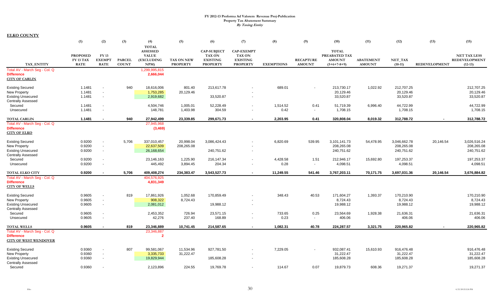|                                                     | (1)              | (2)                      | (3)           | (4)                             | (5)                  | (6)                                 | (7)                              | (8)               | (9)                      | (10)                          | (11)             | (12)         | (13)                 | (15)                 |
|-----------------------------------------------------|------------------|--------------------------|---------------|---------------------------------|----------------------|-------------------------------------|----------------------------------|-------------------|--------------------------|-------------------------------|------------------|--------------|----------------------|----------------------|
|                                                     |                  |                          |               | <b>TOTAL</b>                    |                      |                                     |                                  |                   |                          |                               |                  |              |                      |                      |
|                                                     | <b>PROPOSED</b>  | FY 13                    |               | <b>ASSESSED</b><br><b>VALUE</b> |                      | <b>CAP-SUBJECT</b><br><b>TAX ON</b> | <b>CAP-EXEMPT</b>                |                   |                          | <b>TOTAL</b><br>PREABATED TAX |                  |              |                      | <b>NET TAX LESS</b>  |
|                                                     | FY 13 TAX        | <b>EXEMPT</b>            | <b>PARCEL</b> | (EXCLUDING                      | TAX ON NEW           | <b>EXISTING</b>                     | <b>TAX ON</b><br><b>EXISTING</b> |                   | <b>RECAPTURE</b>         | <b>AMOUNT</b>                 | <b>ABATEMENT</b> | NET TAX      |                      | <b>REDEVELOPMENT</b> |
| TAX ENTITY                                          | <b>RATE</b>      | <b>RATE</b>              | <b>COUNT</b>  | NPM                             | <b>PROPERTY</b>      | <b>PROPERTY</b>                     | <b>PROPERTY</b>                  | <b>EXEMPTIONS</b> | <b>AMOUNT</b>            | $(5+6+7-8+9)$                 | <b>AMOUNT</b>    | $(10-11)$    | <b>REDEVELOPMENT</b> | $(12-13)$            |
| Total AV - March Seg - Col. Q                       |                  |                          |               | 1,299,995,815                   |                      |                                     |                                  |                   |                          |                               |                  |              |                      |                      |
| <b>Difference</b>                                   |                  |                          |               | 2,666,044                       |                      |                                     |                                  |                   |                          |                               |                  |              |                      |                      |
| <b>CITY OF CARLIN</b>                               |                  |                          |               |                                 |                      |                                     |                                  |                   |                          |                               |                  |              |                      |                      |
| <b>Existing Secured</b>                             | 1.1481           |                          | 940           | 18,616,006                      | 801.40               | 213,617.78                          |                                  | 689.01            |                          | 213,730.17                    | 1,022.92         | 212,707.25   |                      | 212,707.25           |
| <b>New Property</b>                                 | 1.1481           | $\overline{\phantom{a}}$ |               | 1,753,285                       | 20,129.46            |                                     |                                  |                   |                          | 20,129.46                     |                  | 20,129.46    |                      | 20,129.46            |
| <b>Existing Unsecured</b>                           | 1.1481           | $\sim$                   |               | 2,919,682                       |                      | 33,520.87                           | $\overline{\phantom{a}}$         |                   |                          | 33,520.87                     |                  | 33,520.87    |                      | 33,520.87            |
| <b>Centrally Assessed</b>                           |                  |                          |               |                                 |                      |                                     |                                  |                   |                          |                               |                  |              |                      |                      |
| Secured                                             | 1.1481           | $\sim$                   |               | 4,504,746                       | 1,005.01             | 52,228.49                           | $\overline{\phantom{a}}$         | 1,514.52          | 0.41                     | 51,719.39                     | 6,996.40         | 44,722.99    |                      | 44,722.99            |
| Unsecured                                           | 1.1481           | $\sim$                   |               | 148,781                         | 1,403.98             | 304.59                              | $\overline{\phantom{a}}$         | 0.42              | $\overline{\phantom{a}}$ | 1,708.15                      |                  | 1,708.15     |                      | 1,708.15             |
|                                                     |                  |                          |               |                                 |                      |                                     |                                  |                   |                          |                               |                  |              |                      |                      |
| <b>TOTAL CARLIN</b>                                 | 1.1481           |                          | 940           | 27,942,499                      | 23,339.85            | 299,671.73                          | $\sim$                           | 2,203.95          | 0.41                     | 320,808.04                    | 8,019.32         | 312,788.72   |                      | 312,788.72           |
| Total AV - March Seg - Col. Q                       |                  |                          |               | 27,945,968                      |                      |                                     |                                  |                   |                          |                               |                  |              |                      |                      |
| <b>Difference</b>                                   |                  |                          |               | (3, 469)                        |                      |                                     |                                  |                   |                          |                               |                  |              |                      |                      |
| <b>CITY OF ELKO</b>                                 |                  |                          |               |                                 |                      |                                     |                                  |                   |                          |                               |                  |              |                      |                      |
| <b>Existing Secured</b>                             | 0.9200           | $\sim$                   | 5,706         | 337,010,457                     | 20,998.04            | 3,086,424.43                        |                                  | 6,820.69          | 539.95                   | 3,101,141.73                  | 54,478.95        | 3,046,662.78 | 20,146.54            | 3,026,516.24         |
| <b>New Property</b>                                 | 0.9200           | $\sim$                   |               | 22,637,509                      | 208,265.08           |                                     |                                  |                   |                          | 208,265.08                    |                  | 208,265.08   |                      | 208,265.08           |
| <b>Existing Unsecured</b>                           | 0.9200           | $\sim$                   |               | 26,168,654                      |                      | 240,751.62                          | $\overline{\phantom{a}}$         |                   |                          | 240,751.62                    |                  | 240,751.62   |                      | 240,751.62           |
| <b>Centrally Assessed</b>                           |                  |                          |               |                                 |                      |                                     |                                  |                   |                          |                               |                  |              |                      |                      |
| Secured                                             | 0.9200           | $\sim$                   |               | 23,146,163                      | 1,225.90             | 216,147.34                          | $\overline{\phantom{a}}$         | 4,428.58          | 1.51                     | 212,946.17                    | 15,692.80        | 197,253.37   |                      | 197,253.37           |
| Unsecured                                           | 0.9200           | $\overline{\phantom{a}}$ |               | 445,492                         | 3,894.45             | 204.34                              |                                  | 0.28              | $\overline{\phantom{a}}$ | 4,098.51                      |                  | 4,098.51     |                      | 4,098.51             |
| <b>TOTAL ELKO CITY</b>                              | 0.9200           |                          | 5,706         | 409,408,274                     | 234,383.47           | 3,543,527.73                        | $\sim$                           | 11,249.55         | 541.46                   | 3,767,203.11                  | 70,171.75        | 3,697,031.36 | 20,146.54            | 3,676,884.82         |
| Total AV - March Seg - Col. Q                       |                  |                          |               | 404,576,925                     |                      |                                     |                                  |                   |                          |                               |                  |              |                      |                      |
| <b>Difference</b>                                   |                  |                          |               | 4,831,349                       |                      |                                     |                                  |                   |                          |                               |                  |              |                      |                      |
| <b>CITY OF WELLS</b>                                |                  |                          |               |                                 |                      |                                     |                                  |                   |                          |                               |                  |              |                      |                      |
|                                                     |                  | $\overline{\phantom{a}}$ | 819           |                                 |                      |                                     |                                  | 348.43            | 40.53                    | 171,604.27                    |                  | 170,210.90   |                      | 170,210.90           |
| <b>Existing Secured</b><br><b>New Property</b>      | 0.9605<br>0.9605 | $\overline{\phantom{a}}$ |               | 17,861,926<br>908,322           | 1,052.68<br>8,724.43 | 170,859.49                          |                                  |                   |                          | 8,724.43                      | 1,393.37         | 8,724.43     |                      | 8,724.43             |
| <b>Existing Unsecured</b>                           | 0.9605           | $\sim$                   |               | 2,081,012                       |                      | 19,988.12                           | $\overline{\phantom{a}}$         |                   |                          | 19,988.12                     |                  | 19,988.12    |                      | 19,988.12            |
| <b>Centrally Assessed</b>                           |                  |                          |               |                                 |                      |                                     |                                  |                   |                          |                               |                  |              |                      |                      |
| Secured                                             | 0.9605           | $\overline{\phantom{a}}$ |               | 2,453,352                       | 726.94               | 23,571.15                           | $\overline{\phantom{a}}$         | 733.65            | 0.25                     | 23,564.69                     | 1,928.38         | 21,636.31    |                      | 21,636.31            |
| Unsecured                                           | 0.9605           | $\blacksquare$           |               | 42,276                          | 237.40               | 168.89                              | $\overline{\phantom{a}}$         | 0.23              | $\overline{\phantom{a}}$ | 406.06                        |                  | 406.06       |                      | 406.06               |
|                                                     |                  |                          |               |                                 |                      |                                     |                                  |                   |                          |                               |                  |              |                      |                      |
| <b>TOTAL WELLS</b><br>Total AV - March Seg - Col. Q | 0.9605           | $\sim$                   | 819           | 23,346,889<br>23,346,887        | 10,741.45            | 214,587.65                          | $\sim$                           | 1,082.31          | 40.78                    | 224,287.57                    | 3,321.75         | 220,965.82   |                      | 220,965.82           |
| <b>Difference</b>                                   |                  |                          |               | $\overline{2}$                  |                      |                                     |                                  |                   |                          |                               |                  |              |                      |                      |
| <b>CITY OF WEST WENDOVER</b>                        |                  |                          |               |                                 |                      |                                     |                                  |                   |                          |                               |                  |              |                      |                      |
|                                                     |                  |                          |               |                                 |                      |                                     |                                  |                   |                          |                               |                  |              |                      |                      |
| <b>Existing Secured</b>                             | 0.9360           | $\sim$                   | 807           | 99,581,067                      | 11,534.96            | 927,781.50                          | $\overline{\phantom{a}}$         | 7,229.05          |                          | 932,087.41                    | 15,610.93        | 916,476.48   |                      | 916,476.48           |
| <b>New Property</b>                                 | 0.9360           | $\sim$                   |               | 3,335,733                       | 31,222.47            |                                     |                                  |                   |                          | 31,222.47                     |                  | 31,222.47    |                      | 31,222.47            |
| <b>Existing Unsecured</b>                           | 0.9360           | $\sim$                   |               | 19,829,944                      |                      | 185,608.28                          | $\overline{\phantom{a}}$         |                   |                          | 185,608.28                    |                  | 185,608.28   |                      | 185,608.28           |
| <b>Centrally Assessed</b><br>Secured                | 0.9360           |                          |               |                                 | 224.55               | 19,769.78                           |                                  | 114.67            | 0.07                     | 19,879.73                     | 608.36           | 19,271.37    |                      | 19,271.37            |
|                                                     |                  |                          |               | 2,123,896                       |                      |                                     |                                  |                   |                          |                               |                  |              |                      |                      |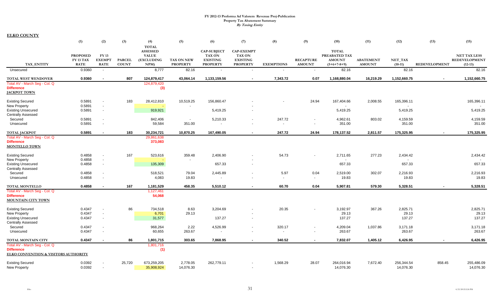|                                                           | (1)                          | (2)                      | (3)           | (4)                        | (5)               | (6)                              | (7)                              | (8)                      | (9)                              | (10)                           | (11)             | (12)              | (13)                 | (15)                                        |
|-----------------------------------------------------------|------------------------------|--------------------------|---------------|----------------------------|-------------------|----------------------------------|----------------------------------|--------------------------|----------------------------------|--------------------------------|------------------|-------------------|----------------------|---------------------------------------------|
|                                                           |                              |                          |               | <b>TOTAL</b>               |                   |                                  |                                  |                          |                                  |                                |                  |                   |                      |                                             |
|                                                           |                              |                          |               | <b>ASSESSED</b>            |                   | <b>CAP-SUBJECT</b>               | <b>CAP-EXEMPT</b>                |                          |                                  | <b>TOTAL</b>                   |                  |                   |                      |                                             |
|                                                           | <b>PROPOSED</b><br>FY 13 TAX | FY 13<br><b>EXEMPT</b>   | <b>PARCEL</b> | <b>VALUE</b><br>(EXCLUDING | <b>TAX ON NEW</b> | <b>TAX ON</b><br><b>EXISTING</b> | <b>TAX ON</b><br><b>EXISTING</b> |                          | <b>RECAPTURE</b>                 | PREABATED TAX<br><b>AMOUNT</b> | <b>ABATEMENT</b> | NET TAX           |                      | <b>NET TAX LESS</b><br><b>REDEVELOPMENT</b> |
| <b>TAX ENTITY</b>                                         | <b>RATE</b>                  | <b>RATE</b>              | <b>COUNT</b>  | NPM)                       | <b>PROPERTY</b>   | <b>PROPERTY</b>                  | <b>PROPERTY</b>                  | <b>EXEMPTIONS</b>        | <b>AMOUNT</b>                    | $(5+6+7-8+9)$                  | <b>AMOUNT</b>    | $(10-11)$         | <b>REDEVELOPMENT</b> | $(12-13)$                                   |
| Unsecured                                                 | 0.9360                       | $\sim$                   |               | 8,777                      | 82.16             | $\sim$                           | $\overline{\phantom{a}}$         |                          | $\overline{\phantom{a}}$         | 82.16                          |                  | 82.16             |                      | 82.16                                       |
| TOTAL WEST WENDOVER                                       | 0.9360                       | $\sim$                   | 807           | 124,879,417                | 43.064.14         | 1,133,159.56                     | $\sim$                           | 7,343.72                 | 0.07                             | 1,168,880.04                   | 16,219.29        | 1,152,660.75      |                      | 1,152,660.75                                |
| Total AV - March Seg - Col. Q                             |                              |                          |               | 124,879,420                |                   |                                  |                                  |                          |                                  |                                |                  |                   |                      |                                             |
| <b>Difference</b>                                         |                              |                          |               | (3)                        |                   |                                  |                                  |                          |                                  |                                |                  |                   |                      |                                             |
| <b>JACKPOT TOWN</b>                                       |                              |                          |               |                            |                   |                                  |                                  |                          |                                  |                                |                  |                   |                      |                                             |
| <b>Existing Secured</b>                                   | 0.5891                       |                          | 183           | 28,412,810                 | 10,519.25         | 156,860.47                       |                                  |                          | 24.94                            | 167,404.66                     | 2,008.55         | 165,396.11        |                      | 165,396.11                                  |
| <b>New Property</b>                                       | 0.5891                       | $\overline{\phantom{a}}$ |               |                            |                   |                                  |                                  |                          |                                  |                                |                  |                   |                      |                                             |
| <b>Existing Unsecured</b>                                 | 0.5891                       | $\sim$                   |               | 919,921                    |                   | 5,419.25                         | $\overline{\phantom{a}}$         |                          |                                  | 5,419.25                       |                  | 5,419.25          |                      | 5,419.25                                    |
| <b>Centrally Assessed</b>                                 |                              |                          |               |                            |                   |                                  |                                  |                          |                                  |                                |                  |                   |                      |                                             |
| Secured                                                   | 0.5891                       | $\overline{\phantom{a}}$ |               | 842,406                    | $\sim$            | 5,210.33                         | $\sim$                           | 247.72                   |                                  | 4,962.61                       | 803.02           | 4,159.59          |                      | 4,159.59                                    |
| Unsecured                                                 | 0.5891                       |                          |               | 59,584                     | 351.00            | $\overline{\phantom{a}}$         |                                  | $\overline{\phantom{a}}$ | $\overline{\phantom{a}}$         | 351.00                         |                  | 351.00            |                      | 351.00                                      |
| <b>TOTAL JACKPOT</b>                                      | 0.5891                       |                          | 183           | 30,234,721                 | 10,870.25         | 167,490.05                       | $\blacksquare$                   | 247.72                   | 24.94                            | 178,137.52                     | 2,811.57         | 175,325.95        |                      | 175,325.95                                  |
| Total AV - March Seg - Col. Q                             |                              |                          |               | 29,861,638                 |                   |                                  |                                  |                          |                                  |                                |                  |                   |                      |                                             |
| <b>Difference</b>                                         |                              |                          |               | 373,083                    |                   |                                  |                                  |                          |                                  |                                |                  |                   |                      |                                             |
| <b>MONTELLO TOWN</b>                                      |                              |                          |               |                            |                   |                                  |                                  |                          |                                  |                                |                  |                   |                      |                                             |
| <b>Existing Secured</b>                                   | 0.4858                       |                          | 167           | 523,616                    | 359.48            | 2,406.90                         |                                  | 54.73                    | $\overline{\phantom{a}}$         | 2,711.65                       | 277.23           | 2,434.42          |                      | 2,434.42                                    |
| New Property                                              | 0.4858                       | $\sim$                   |               |                            | $\sim$            |                                  |                                  |                          |                                  |                                |                  |                   |                      |                                             |
| <b>Existing Unsecured</b>                                 | 0.4858                       | $\overline{\phantom{a}}$ |               | 135,309                    |                   | 657.33                           | $\overline{\phantom{a}}$         |                          |                                  | 657.33                         |                  | 657.33            |                      | 657.33                                      |
| <b>Centrally Assessed</b>                                 | 0.4858                       | $\overline{\phantom{a}}$ |               |                            |                   |                                  |                                  | 5.97                     |                                  |                                | 302.07           |                   |                      | 2,216.93                                    |
| Secured<br>Unsecured                                      | 0.4858                       | $\overline{\phantom{a}}$ |               | 518,521<br>4,083           | 79.04<br>19.83    | 2,445.89<br>$\blacksquare$       |                                  | $\sim$                   | 0.04<br>$\overline{\phantom{a}}$ | 2,519.00<br>19.83              |                  | 2,216.93<br>19.83 |                      | 19.83                                       |
|                                                           |                              |                          |               |                            |                   |                                  |                                  |                          |                                  |                                |                  |                   |                      |                                             |
| <b>TOTAL MONTELLO</b>                                     | 0.4858                       |                          | 167           | 1,181,529                  | 458.35            | 5,510.12                         | $\sim$                           | 60.70                    | 0.04                             | 5,907.81                       | 579.30           | 5.328.51          |                      | 5,328.51                                    |
| Total AV - March Seq - Col. Q<br><b>Difference</b>        |                              |                          |               | 1,127,461<br>54,068        |                   |                                  |                                  |                          |                                  |                                |                  |                   |                      |                                             |
| <b>MOUNTAIN CITY TOWN</b>                                 |                              |                          |               |                            |                   |                                  |                                  |                          |                                  |                                |                  |                   |                      |                                             |
| <b>Existing Secured</b>                                   | 0.4347                       | $\overline{\phantom{a}}$ | 86            | 734,518                    | 8.63              | 3,204.69                         |                                  | 20.35                    |                                  | 3,192.97                       | 367.26           | 2,825.71          |                      | 2,825.71                                    |
| <b>New Property</b>                                       | 0.4347                       | $\overline{\phantom{a}}$ |               | 6,701                      | 29.13             |                                  |                                  |                          |                                  | 29.13                          |                  | 29.13             |                      | 29.13                                       |
| <b>Existing Unsecured</b>                                 | 0.4347                       | $\sim$                   |               | 31,577                     |                   | 137.27                           | $\overline{\phantom{a}}$         |                          |                                  | 137.27                         |                  | 137.27            |                      | 137.27                                      |
| <b>Centrally Assessed</b>                                 |                              |                          |               |                            |                   |                                  |                                  |                          |                                  |                                |                  |                   |                      |                                             |
| Secured                                                   | 0.4347                       |                          |               | 968,264                    | 2.22              | 4,526.99                         | $\overline{\phantom{a}}$         | 320.17                   |                                  | 4,209.04                       | 1,037.86         | 3,171.18          |                      | 3,171.18                                    |
| Unsecured                                                 | 0.4347                       |                          |               | 60,655                     | 263.67            | $\overline{\phantom{a}}$         |                                  | $\overline{\phantom{a}}$ |                                  | 263.67                         |                  | 263.67            |                      | 263.67                                      |
| TOTAL MONTAIN CITY                                        | 0.4347                       |                          | 86            | 1,801,715                  | 303.65            | 7,868.95                         | $\sim$                           | 340.52                   | $\sim$                           | 7,832.07                       | 1,405.12         | 6,426.95          | $\sim$               | 6,426.95                                    |
| Total AV - March Seg - Col. Q                             |                              |                          |               | 1,801,716                  |                   |                                  |                                  |                          |                                  |                                |                  |                   |                      |                                             |
| <b>Difference</b><br>ELKO CONVENTION & VISITORS AUTHORITY |                              |                          |               | (1)                        |                   |                                  |                                  |                          |                                  |                                |                  |                   |                      |                                             |
| <b>Existing Secured</b>                                   | 0.0392                       |                          | 25,720        | 673,259,205                | 2,778.05          | 262,779.11                       |                                  | 1.568.29                 | 28.07                            | 264,016.94                     | 7.672.40         | 256,344.54        | 858.45               | 255,486.09                                  |
| New Property                                              | 0.0392                       | $\overline{\phantom{a}}$ |               | 35,908,924                 | 14,076.30         |                                  |                                  |                          |                                  | 14,076.30                      |                  | 14,076.30         |                      | 14,076.30                                   |
|                                                           |                              |                          |               |                            |                   |                                  |                                  |                          |                                  |                                |                  |                   |                      |                                             |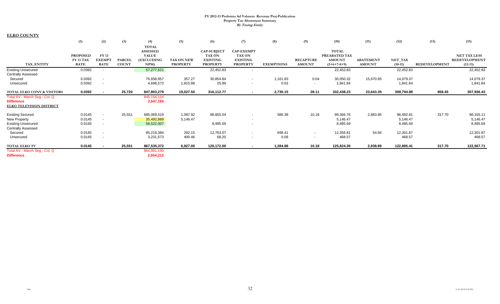|                                                                                                          | (1)                                         | (2)                                                  | (3)                           | (4)                                                                  | (5)                                  | (6)                                                                       | (7)                                                                      | (8)               | (9)                                | (10)                                                            | (11)                              | (12)                              | (13)                 | (15)                                                     |
|----------------------------------------------------------------------------------------------------------|---------------------------------------------|------------------------------------------------------|-------------------------------|----------------------------------------------------------------------|--------------------------------------|---------------------------------------------------------------------------|--------------------------------------------------------------------------|-------------------|------------------------------------|-----------------------------------------------------------------|-----------------------------------|-----------------------------------|----------------------|----------------------------------------------------------|
| TAX ENTITY                                                                                               | <b>PROPOSED</b><br>FY 13 TAX<br><b>RATE</b> | <b>FY13</b><br><b>EXEMP</b><br><b>RATE</b>           | <b>PARCEL</b><br><b>COUNT</b> | <b>TOTAL</b><br><b>ASSESSED</b><br><b>VALUE</b><br>(EXCLUDING<br>NPM | <b>TAX ON NEW</b><br><b>PROPERTY</b> | <b>CAP-SUBJECT</b><br><b>TAX ON</b><br><b>EXISTING</b><br><b>PROPERTY</b> | <b>CAP-EXEMPT</b><br><b>TAX ON</b><br><b>EXISTING</b><br><b>PROPERTY</b> | <b>EXEMPTIONS</b> | <b>RECAPTURE</b><br><b>AMOUNT</b>  | <b>TOTAL</b><br>PREABATED TAX<br><b>AMOUNT</b><br>$(5+6+7-8+9)$ | <b>ABATEMENT</b><br><b>AMOUNT</b> | NET_TAX<br>$(10-11)$              | <b>REDEVELOPMENT</b> | <b>NET TAX LESS</b><br><b>REDEVELOPMENT</b><br>$(12-13)$ |
| <b>Existing Unsecured</b>                                                                                | 0.0392                                      | $\overline{\phantom{0}}$                             |                               | 57,277,621                                                           |                                      | 22,452.83                                                                 | $\sim$                                                                   |                   |                                    | 22,452.83                                                       |                                   | 22,452.83                         |                      | 22,452.83                                                |
| <b>Centrally Assessed</b><br>Secured<br>Unsecured                                                        | 0.0392<br>0.0392                            | $\overline{\phantom{a}}$                             |                               | 76,658,957<br>4,698,573                                              | 357.27<br>1,815.88                   | 30,854.84<br>25.99                                                        | $\sim$<br>$\overline{\phantom{a}}$                                       | 1,161.83<br>0.03  | 0.04<br>$\overline{\phantom{a}}$   | 30,050.32<br>1,841.84                                           | 15,970.95                         | 14,079.37<br>1,841.84             |                      | 14,079.37<br>1,841.84                                    |
| TOTAL ELKO CONV & VISITORS                                                                               | 0.0392                                      |                                                      | 25,720                        | 847,803,279                                                          | 19,027.50                            | 316,112.77                                                                | $\sim$                                                                   | 2,730.15          | 28.11                              | 332,438.23                                                      | 23,643.35                         | 308,794.88                        | 858.45               | 307,936.43                                               |
| Total AV - March Seg - Col. Q<br><b>Difference</b><br><b>ELKO TELEVISION DISTRICT</b>                    |                                             |                                                      |                               | 845, 156, 114<br>2,647,165                                           |                                      |                                                                           |                                                                          |                   |                                    |                                                                 |                                   |                                   |                      |                                                          |
| <b>Existing Secured</b><br><b>New Property</b><br><b>Existing Unsecured</b><br><b>Centrally Assessed</b> | 0.0145<br>0.0145<br>0.0145                  | $\overline{\phantom{a}}$<br>$\overline{\phantom{a}}$ | 25,551                        | 685,069,519<br>35,492,889<br>58,522,007                              | 1,087.92<br>5,146.47                 | 98,855.04<br>8,485.69                                                     | $\overline{\phantom{a}}$<br>$\sim$<br>$\overline{\phantom{a}}$           | 586.38            | 10.18                              | 99,366.76<br>5,146.47<br>8,485.69                               | 2,883.95                          | 96,482.81<br>5,146.47<br>8,485.69 | 317.70               | 96,165.11<br>5,146.47<br>8,485.69                        |
| Secured<br>Unsecured                                                                                     | 0.0145<br>0.0145                            | $\overline{\phantom{a}}$<br>$\overline{\phantom{a}}$ |                               | 85,219,384<br>3,231,573                                              | 292.15<br>400.46                     | 12,763.07<br>68.20                                                        | $\overline{\phantom{a}}$<br>$\overline{\phantom{a}}$                     | 698.41<br>0.09    | $\sim$<br>$\overline{\phantom{a}}$ | 12,356.81<br>468.57                                             | 54.94                             | 12,301.87<br>468.57               |                      | 12,301.87<br>468.57                                      |
| <b>TOTAL ELKO TV</b>                                                                                     | 0.0145                                      |                                                      | 25,551                        | 867,535,372                                                          | 6,927.00                             | 120,172.00                                                                | $\sim$                                                                   | 1,284.88          | 10.18                              | 125,824.30                                                      | 2,938.89                          | 122,885.41                        | 317.70               | 122,567.71                                               |
| Total AV - March Seg - Col. Q<br><b>Difference</b>                                                       |                                             |                                                      |                               | 864,881,159<br>2,654,213                                             |                                      |                                                                           |                                                                          |                   |                                    |                                                                 |                                   |                                   |                      |                                                          |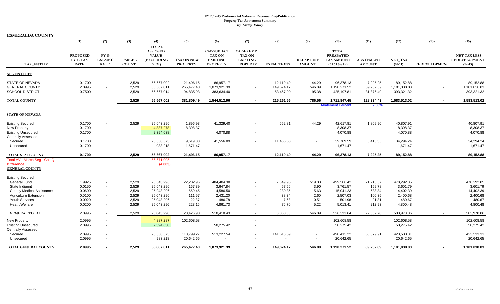**ESMERALDA COUNTY**

|                                                                               | (1)                                         | (2)                                                                              | (3)                           | (4)<br><b>TOTAL</b>                                          | (5)                                  | (6)                                                                       | (7)                                                                              | (8)                                   | (9)                                                  | (10)                                                                   | (11)                               | (12)                                    | (13)          | (15)                                                     |
|-------------------------------------------------------------------------------|---------------------------------------------|----------------------------------------------------------------------------------|-------------------------------|--------------------------------------------------------------|--------------------------------------|---------------------------------------------------------------------------|----------------------------------------------------------------------------------|---------------------------------------|------------------------------------------------------|------------------------------------------------------------------------|------------------------------------|-----------------------------------------|---------------|----------------------------------------------------------|
| TAX_ENTITY                                                                    | <b>PROPOSED</b><br>FY 13 TAX<br><b>RATE</b> | <b>FY13</b><br><b>EXEMPT</b><br><b>RATE</b>                                      | <b>PARCEL</b><br><b>COUNT</b> | <b>ASSESSED</b><br><b>VALUE</b><br><b>(EXCLUDING</b><br>NPM) | TAX ON NEW<br><b>PROPERTY</b>        | <b>CAP-SUBJECT</b><br><b>TAX ON</b><br><b>EXISTING</b><br><b>PROPERTY</b> | <b>CAP-EXEMPT</b><br><b>TAX ON</b><br><b>EXISTING</b><br><b>PROPERTY</b>         | <b>EXEMPTIONS</b>                     | <b>RECAPTURE</b><br><b>AMOUNT</b>                    | <b>TOTAL</b><br><b>PREABATED</b><br><b>TAX AMOUNT</b><br>$(5+6+7-8+9)$ | <b>ABATEMENT</b><br><b>AMOUNT</b>  | NET_TAX<br>$(10-11)$                    | REDEVELOPMENT | <b>NET TAX LESS</b><br><b>REDEVELOPMENT</b><br>$(12-13)$ |
| <b>ALL ENTITIES</b>                                                           |                                             |                                                                                  |                               |                                                              |                                      |                                                                           |                                                                                  |                                       |                                                      |                                                                        |                                    |                                         |               |                                                          |
| <b>STATE OF NEVADA</b><br><b>GENERAL COUNTY</b><br><b>SCHOOL DISTRICT</b>     | 0.1700<br>2.0995<br>0.7500                  | $\overline{\phantom{a}}$<br>$\overline{\phantom{a}}$<br>$\overline{\phantom{a}}$ | 2,529<br>2,529<br>2,529       | 56,667,002<br>56,667,011<br>56,667,014                       | 21,496.15<br>265,477.40<br>94,835.93 | 86,957.17<br>1,073,921.39<br>383,634.40                                   | $\overline{\phantom{a}}$<br>$\overline{\phantom{a}}$<br>$\overline{\phantom{a}}$ | 12,119.49<br>149,674.17<br>53,467.90  | 44.29<br>546.89<br>195.38                            | 96,378.13<br>1,190,271.52<br>425,197.81                                | 7,225.25<br>89,232.69<br>31,876.49 | 89,152.88<br>1,101,038.83<br>393,321.32 |               | 89,152.88<br>1,101,038.83<br>393,321.32                  |
| <b>TOTAL COUNTY</b>                                                           |                                             |                                                                                  | 2.529                         | 56,667,002                                                   | 381,809.49                           | 1,544,512.96                                                              |                                                                                  | 215,261.56                            | 786.56                                               | 1,711,847.45<br><b>Abatement Percent</b>                               | 128,334.43<br>7.50%                | 1,583,513.02                            |               | 1,583,513.02                                             |
| <b>STATE OF NEVADA</b>                                                        |                                             |                                                                                  |                               |                                                              |                                      |                                                                           |                                                                                  |                                       |                                                      |                                                                        |                                    |                                         |               |                                                          |
| <b>Existing Secured</b><br><b>New Property</b><br><b>Existing Unsecured</b>   | 0.1700<br>0.1700<br>0.1700                  |                                                                                  | 2,529                         | 25,043,296<br>4,887,278<br>2,394,638                         | 1,896.93<br>8,308.37                 | 41,329.40<br>4,070.88                                                     |                                                                                  | 652.81                                | 44.29                                                | 42,617.81<br>8,308.37<br>4,070.88                                      | 1,809.90                           | 40,807.91<br>8,308.37<br>4,070.88       |               | 40,807.91<br>8,308.37<br>4,070.88                        |
| <b>Centrally Assessed</b><br>Secured<br>Unsecured                             | 0.1700<br>0.1700                            |                                                                                  |                               | 23,358,573<br>983,218                                        | 9,619.38<br>1,671.47                 | 41,556.89                                                                 | $\overline{\phantom{a}}$                                                         | 11,466.68<br>$\overline{\phantom{a}}$ | $\overline{\phantom{a}}$<br>$\overline{\phantom{a}}$ | 39,709.59<br>1,671.47                                                  | 5,415.35                           | 34,294.24<br>1,671.47                   |               | 34,294.24<br>1,671.47                                    |
| TOTAL STATE OF NV                                                             | 0.1700                                      |                                                                                  | 2,529                         | 56,667,002                                                   | 21,496.15                            | 86,957.17                                                                 | $\sim$                                                                           | 12,119.49                             | 44.29                                                | 96,378.13                                                              | 7,225.25                           | 89,152.88                               |               | 89,152.88                                                |
| Total AV - March Seg - Col. Q<br><b>Difference</b><br><b>GENERAL COUNTY</b>   |                                             |                                                                                  |                               | 56,671,005<br>(4,003)                                        |                                      |                                                                           |                                                                                  |                                       |                                                      |                                                                        |                                    |                                         |               |                                                          |
| <b>Existing Secured</b><br><b>General Fund</b>                                | 1.9925                                      | $\overline{\phantom{a}}$                                                         | 2,529                         | 25,043,296                                                   | 22,232.96                            | 484,404.38                                                                |                                                                                  | 7,649.95                              | 519.03                                               | 499,506.42                                                             | 21,213.57                          | 478,292.85                              |               | 478,292.85                                               |
| State Indigent<br><b>County Medical Assistance</b>                            | 0.0150<br>0.0600                            | $\overline{\phantom{a}}$<br>$\sim$                                               | 2,529<br>2,529                | 25,043,296<br>25,043,296                                     | 167.39<br>669.45                     | 3,647.84<br>14,586.50                                                     |                                                                                  | 57.56<br>230.35                       | 3.90<br>15.63                                        | 3,761.57<br>15,041.23                                                  | 159.78<br>638.84                   | 3,601.79<br>14,402.39                   |               | 3,601.79<br>14,402.39                                    |
| <b>Agriculture Extension</b><br><b>Youth Services</b>                         | 0.0100<br>0.0020                            | $\sim$<br>$\blacksquare$                                                         | 2,529<br>2,529                | 25,043,296<br>25,043,296                                     | 111.57<br>22.37                      | 2,431.20<br>486.78                                                        | $\overline{\phantom{a}}$                                                         | 38.34<br>7.68                         | 2.60<br>0.51                                         | 2,507.03<br>501.98                                                     | 106.35<br>21.31                    | 2,400.68<br>480.67                      |               | 2,400.68<br>480.67                                       |
| Heath/Welfare                                                                 | 0.0200                                      | $\blacksquare$                                                                   | 2,529                         | 25,043,296                                                   | 223.16                               | 4,861.73                                                                  | $\overline{\phantom{a}}$                                                         | 76.70                                 | 5.22                                                 | 5,013.41                                                               | 212.93                             | 4,800.48                                |               | 4,800.48                                                 |
| <b>GENERAL TOTAL</b>                                                          | 2.0995                                      |                                                                                  | 2,529                         | 25,043,296                                                   | 23.426.90                            | 510,418.43                                                                | $\overline{\phantom{a}}$                                                         | 8.060.58                              | 546.89                                               | 526.331.64                                                             | 22.352.78                          | 503.978.86                              |               | 503.978.86                                               |
| <b>New Property</b><br><b>Existing Unsecured</b><br><b>Centrally Assessed</b> | 2.0995<br>2.0995                            | $\overline{\phantom{a}}$                                                         |                               | 4,887,287<br>2,394,638                                       | 102,608.58                           | 50,275.42                                                                 |                                                                                  |                                       |                                                      | 102,608.58<br>50,275.42                                                |                                    | 102,608.58<br>50,275.42                 |               | 102,608.58<br>50,275.42                                  |
| Secured<br>Unsecured                                                          | 2.0995<br>2.0995                            | $\overline{\phantom{a}}$                                                         |                               | 23,358,573<br>983,218                                        | 118,799.27<br>20,642.65              | 513,227.54                                                                | $\blacksquare$                                                                   | 141,613.59<br>$\blacksquare$          | $\overline{\phantom{a}}$<br>$\overline{\phantom{a}}$ | 490,413.22<br>20,642.65                                                | 66,879.91                          | 423,533.31<br>20,642.65                 |               | 423,533.31<br>20,642.65                                  |
| <b>TOTAL GENERAL COUNTY</b>                                                   | 2.0995                                      |                                                                                  | 2,529                         | 56,667,011                                                   | 265,477.40                           | 1,073,921.39                                                              |                                                                                  | 149,674.17                            | 546.89                                               | 1,190,271.52                                                           | 89.232.69                          | 1,101,038.83                            |               | 1,101,038.83                                             |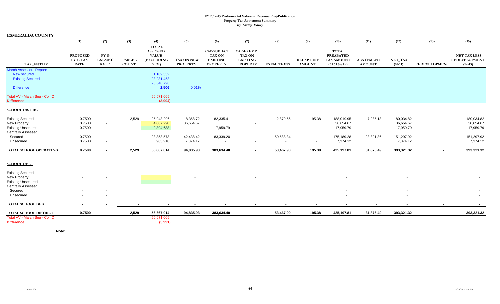| <b>ESMERALDA COUNTY</b>                                                     |                              |                                                                                  |               |                                                                      |                       |                                                        |                                                       |                   |                  |                                                |                  |                                                      |                      |                                             |
|-----------------------------------------------------------------------------|------------------------------|----------------------------------------------------------------------------------|---------------|----------------------------------------------------------------------|-----------------------|--------------------------------------------------------|-------------------------------------------------------|-------------------|------------------|------------------------------------------------|------------------|------------------------------------------------------|----------------------|---------------------------------------------|
|                                                                             | (1)                          | (2)                                                                              | (3)           | (4)                                                                  | (5)                   | (6)                                                    | (7)                                                   | (8)               | (9)              | (10)                                           | (11)             | (12)                                                 | (13)                 | (15)                                        |
|                                                                             | <b>PROPOSED</b><br>FY 13 TAX | <b>FY 13</b><br><b>EXEMPT</b>                                                    | <b>PARCEL</b> | <b>TOTAL</b><br><b>ASSESSED</b><br><b>VALUE</b><br><b>(EXCLUDING</b> | TAX ON NEW            | <b>CAP-SUBJECT</b><br><b>TAX ON</b><br><b>EXISTING</b> | <b>CAP-EXEMPT</b><br><b>TAX ON</b><br><b>EXISTING</b> |                   | <b>RECAPTURE</b> | <b>TOTAL</b><br><b>PREABATED</b><br>TAX AMOUNT | <b>ABATEMENT</b> | NET_TAX                                              |                      | <b>NET TAX LESS</b><br><b>REDEVELOPMENT</b> |
| TAX_ENTITY                                                                  | <b>RATE</b>                  | <b>RATE</b>                                                                      | <b>COUNT</b>  | NPM                                                                  | <b>PROPERTY</b>       | <b>PROPERTY</b>                                        | <b>PROPERTY</b>                                       | <b>EXEMPTIONS</b> | <b>AMOUNT</b>    | $(5+6+7-8+9)$                                  | <b>AMOUNT</b>    | $(10-11)$                                            | <b>REDEVELOPMENT</b> | $(12-13)$                                   |
| <b>March Assessors Report:</b><br>New secured<br><b>Existing Secured</b>    |                              |                                                                                  |               | 1,109,332<br>23,931,458<br>25,040,790                                |                       |                                                        |                                                       |                   |                  |                                                |                  |                                                      |                      |                                             |
| <b>Difference</b>                                                           |                              |                                                                                  |               | 2,506                                                                | 0.01%                 |                                                        |                                                       |                   |                  |                                                |                  |                                                      |                      |                                             |
| Total AV - March Seg - Col. Q<br><b>Difference</b>                          |                              |                                                                                  |               | 56,671,005<br>(3,994)                                                |                       |                                                        |                                                       |                   |                  |                                                |                  |                                                      |                      |                                             |
| <b>SCHOOL DISTRICT</b>                                                      |                              |                                                                                  |               |                                                                      |                       |                                                        |                                                       |                   |                  |                                                |                  |                                                      |                      |                                             |
| <b>Existing Secured</b><br><b>New Property</b><br><b>Existing Unsecured</b> | 0.7500<br>0.7500<br>0.7500   | $\overline{\phantom{a}}$<br>$\overline{\phantom{a}}$<br>$\overline{\phantom{a}}$ | 2,529         | 25,043,296<br>4,887,290<br>2,394,638                                 | 8,368.72<br>36,654.67 | 182,335.41<br>17,959.79                                | $\sim$                                                | 2,879.56          | 195.38           | 188,019.95<br>36,654.67<br>17,959.79           | 7,985.13         | 180,034.82<br>36,654.67<br>17,959.79                 |                      | 180,034.82<br>36,654.67<br>17,959.79        |
| <b>Centrally Assessed</b><br>Secured<br>Unsecured                           | 0.7500<br>0.7500             | $\overline{\phantom{a}}$<br>$\overline{\phantom{a}}$                             |               | 23,358,573<br>983,218                                                | 42,438.42<br>7,374.12 | 183,339.20                                             | $\overline{\phantom{a}}$<br>$\blacksquare$            | 50,588.34         | $\sim$<br>$\sim$ | 175,189.28<br>7,374.12                         | 23,891.36        | 151,297.92<br>7,374.12                               |                      | 151,297.92<br>7,374.12                      |
| TOTAL SCHOOL OPERATING                                                      | 0.7500                       |                                                                                  | 2,529         | 56,667,014                                                           | 94,835.93             | 383,634.40                                             | $\sim$                                                | 53,467.90         | 195.38           | 425,197.81                                     | 31,876.49        | 393,321.32                                           | $\sim$               | 393,321.32                                  |
| <b>SCHOOL DEBT</b>                                                          |                              |                                                                                  |               |                                                                      |                       |                                                        |                                                       |                   |                  |                                                |                  |                                                      |                      |                                             |
| <b>Existing Secured</b>                                                     |                              |                                                                                  |               |                                                                      |                       |                                                        |                                                       |                   |                  |                                                |                  |                                                      |                      |                                             |
| <b>New Property</b><br><b>Existing Unsecured</b>                            |                              |                                                                                  |               |                                                                      |                       |                                                        |                                                       |                   |                  |                                                |                  |                                                      |                      |                                             |
| <b>Centrally Assessed</b>                                                   |                              |                                                                                  |               |                                                                      |                       |                                                        |                                                       |                   |                  |                                                |                  |                                                      |                      |                                             |
| Secured<br>Unsecured                                                        |                              |                                                                                  |               |                                                                      |                       |                                                        |                                                       |                   |                  |                                                |                  | $\overline{\phantom{a}}$<br>$\overline{\phantom{a}}$ |                      | $\overline{\phantom{a}}$                    |
| TOTAL SCHOOL DEBT                                                           |                              |                                                                                  |               |                                                                      |                       |                                                        |                                                       |                   |                  |                                                |                  | $\blacksquare$                                       |                      |                                             |
| TOTAL SCHOOL DISTRICT                                                       | 0.7500                       | $\sim$                                                                           | 2,529         | 56,667,014                                                           | 94,835.93             | 383,634.40                                             | $\sim$                                                | 53,467.90         | 195.38           | 425,197.81                                     | 31,876.49        | 393,321.32                                           | $\sim$               | 393,321.32                                  |
| Total AV - March Seg - Col. Q<br><b>Difference</b>                          |                              |                                                                                  |               | 56,671,005<br>(3,991)                                                |                       |                                                        |                                                       |                   |                  |                                                |                  |                                                      |                      |                                             |

**Note:**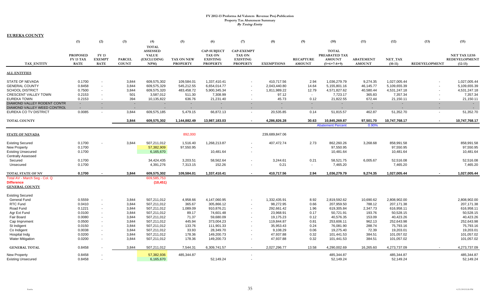| <b>EUREKA COUNTY</b>                               |                  |                  |                          |                            |                 |                         |                   |                         |                  |                          |                  |                         |                      |                         |
|----------------------------------------------------|------------------|------------------|--------------------------|----------------------------|-----------------|-------------------------|-------------------|-------------------------|------------------|--------------------------|------------------|-------------------------|----------------------|-------------------------|
|                                                    | (1)              | (2)              | (3)                      | (4)                        | (5)             | (6)                     | (7)               | (8)                     | (9)              | (10)                     | (11)             | (12)                    | (13)                 | (15)                    |
|                                                    |                  |                  |                          | <b>TOTAL</b>               |                 |                         |                   |                         |                  |                          |                  |                         |                      |                         |
|                                                    |                  |                  |                          | <b>ASSESSED</b>            |                 | <b>CAP-SUBJECT</b>      | <b>CAP-EXEMPT</b> |                         |                  | <b>TOTAL</b>             |                  |                         |                      |                         |
|                                                    | <b>PROPOSED</b>  | <b>FY13</b>      |                          | <b>VALUE</b>               |                 | TAX ON                  | <b>TAX ON</b>     |                         |                  | PREABATED TAX            |                  |                         |                      | <b>NET TAX LESS</b>     |
|                                                    | <b>FY 13 TAX</b> | <b>EXEMPT</b>    | <b>PARCEL</b>            | (EXCLUDING                 | TAX ON NEW      | <b>EXISTING</b>         | <b>EXISTING</b>   |                         | <b>RECAPTURE</b> | <b>AMOUNT</b>            | <b>ABATEMENT</b> | NET_TAX                 |                      | REDEVELOPMENT           |
| TAX ENTITY                                         | <b>RATE</b>      | <b>RATE</b>      | <b>COUNT</b>             | NPM                        | <b>PROPERTY</b> | <b>PROPERTY</b>         | <b>PROPERTY</b>   | <b>EXEMPTIONS</b>       | <b>AMOUNT</b>    | $(5+6+7-8+9)$            | <b>AMOUNT</b>    | $(10-11)$               | <b>REDEVELOPMENT</b> | $(12-13)$               |
| <b>ALL ENTITIES</b>                                |                  |                  |                          |                            |                 |                         |                   |                         |                  |                          |                  |                         |                      |                         |
| <b>STATE OF NEVADA</b>                             | 0.1700           |                  | 3,844                    | 609,575,302                | 109,584.01      | 1,337,410.41            |                   | 410.717.56              | 2.94             | 1,036,279.79             | 9,274.35         | 1,027,005.44            |                      | 1,027,005.44            |
| <b>GENERAL COUNTY</b>                              | 0.8458           | $\sim$           | 3,844                    | 609,575,329                | 545,212.55      | 6,654,014.77            |                   | 2,043,440.80            | 14.64            | 5,155,801.16             | 46,145.77        | 5,109,655.39            |                      | 5,109,655.39            |
| <b>SCHOOL DISTRICT</b>                             | 0.7500           | $\sim$           | 3,844                    | 609,575,320                | 483,458.72      | 5,900,345.34            |                   | 1,811,989.22            | 12.79            | 4,571,827.62             | 40,580.44        | 4,531,247.18            | $\sim$               | 4,531,247.18            |
| CRESCENT VALLEY TOWN                               | 0.2153           | $\sim$           | 501                      | 3,587,012                  | 511.30          | 7,308.99                |                   | 97.12                   | $\sim$           | 7,723.17                 | 365.83           | 7,357.34                | $\blacksquare$       | 7,357.34                |
| <b>EUREKA TOWN</b>                                 | 0.2153           |                  | 394                      | 10,135,822                 | 636.76          | 21,231.40               |                   | 45.73                   | 0.12             | 21,822.55                | 672.44           | 21,150.11               | $\blacksquare$       | 21,150.11               |
| DIAMOND VALLEY RODENT CONTR                        | $\sim$           | $\sim$           | $\sim$                   | $\sim$                     | $\sim$          | $\sim$                  | $\sim$            |                         | $\sim$           | $\sim$                   | $\sim$           | $\sim$                  | $\sim$               | $\sim$                  |
| DIAMOND VALLEY WEED CONTROL                        | $\sim$           |                  | $\overline{\phantom{a}}$ |                            | $\sim$          |                         |                   |                         |                  | $\sim$                   |                  |                         |                      |                         |
| EUREKA CO TV DISTRICT                              | 0.0085           | $\sim$           | 3,844                    | 609,575,185                | 5,479.15        | 66,872.13               | $\sim$            | 20,535.85               | 0.14             | 51,815.57                | 462.87           | 51,352.70               | $\blacksquare$       | 51,352.70               |
| <b>TOTAL COUNTY</b>                                |                  |                  | 3.844                    | 609,575,302                | 1,144,882.49    | 13,987,183.03           |                   | 4,286,826.28            | 30.63            | 10,845,269.87            | 97,501.70        | 10,747,768.17           | $\blacksquare$       | 10,747,768.17           |
|                                                    |                  |                  |                          |                            |                 |                         |                   |                         |                  | <b>Abatement Percent</b> | 0.90%            |                         |                      |                         |
| <b>STATE OF NEVADA</b>                             |                  |                  |                          |                            | 892,000         |                         |                   | 239,689,847.06          |                  |                          |                  |                         |                      |                         |
| <b>Existing Secured</b>                            | 0.1700           |                  | 3,844                    | 507,211,012                | 1,516.40        | 1,268,213.87            |                   | 407,472.74              | 2.73             | 862,260.26               | 3,268.68         | 858,991.58              |                      | 858,991.58              |
| <b>New Property</b>                                | 0.1700           |                  |                          | 57,382,909                 | 97,550.95       |                         |                   |                         |                  | 97,550.95                |                  | 97,550.95               |                      | 97,550.95               |
| <b>Existing Unsecured</b>                          | 0.1700           |                  |                          | 6,165,670                  |                 | 10,481.64               |                   |                         |                  | 10,481.64                |                  | 10,481.64               |                      | 10,481.64               |
| <b>Centrally Assessed</b>                          |                  |                  |                          |                            |                 |                         |                   |                         |                  |                          |                  |                         |                      |                         |
| Secured                                            | 0.1700           |                  |                          | 34,424,435                 | 3,203.51        | 58,562.64               |                   | 3,244.61                | 0.21             | 58,521.75                | 6,005.67         | 52,516.08               |                      | 52,516.08               |
| Unsecured                                          | 0.1700           |                  |                          | 4,391,276                  | 7,313.15        | 152.26                  |                   | 0.21                    | $\sim$           | 7,465.20                 |                  | 7,465.20                |                      | 7,465.20                |
|                                                    | 0.1700           |                  | 3.844                    | 609,575,302                | 109,584.01      | 1,337,410.41            |                   | 410,717.56              | 2.94             | 1,036,279.79             | 9,274.35         | 1,027,005.44            |                      | 1,027,005.44            |
| TOTAL STATE OF NV<br>Total AV - March Seg - Col. Q |                  |                  |                          | 609,585,753                |                 |                         |                   |                         |                  |                          |                  |                         |                      |                         |
| <b>Difference</b>                                  |                  |                  |                          | (10, 451)                  |                 |                         |                   |                         |                  |                          |                  |                         |                      |                         |
| <b>GENERAL COUNTY</b>                              |                  |                  |                          |                            |                 |                         |                   |                         |                  |                          |                  |                         |                      |                         |
|                                                    |                  |                  |                          |                            |                 |                         |                   |                         |                  |                          |                  |                         |                      |                         |
| <b>Existing Secured</b>                            |                  |                  |                          |                            |                 |                         |                   |                         |                  |                          |                  |                         |                      |                         |
| <b>General Fund</b>                                | 0.5559           | $\sim$           | 3,844                    | 507,211,012                | 4,958.66        | 4,147,060.95            |                   | 1,332,435.91            | 8.92             | 2.819.592.62             | 10,690.62        | 2,808,902.00            |                      | 2,808,902.00            |
| <b>RTC Fund</b>                                    | 0.0410           |                  | 3,844                    | 507,211,012                | 365.67          | 305,866.12              |                   | 98,272.95               | 0.66             | 207,959.50               | 788.12           | 207,171.38              |                      | 207,171.38              |
| Road Fund                                          | 0.1221           | $\sim$           | 3,844                    | 507,211,012                | 1,089.09        | 910,876.21              |                   | 292,661.42              | 1.96             | 619,305.84               | 2,347.73         | 616,958.11              |                      | 616,958.11              |
| Agr Ext Fund                                       | 0.0100           | $\sim$           | 3,844                    | 507,211,012                | 89.17           | 74,601.48<br>59,680.09  |                   | 23,968.91               | 0.17             | 50,721.91<br>40,576.35   | 193.76           | 50,528.15<br>40,423.26  |                      | 50,528.15<br>40,423.26  |
| Fair Board                                         | 0.0080<br>0.0500 | $\sim$<br>$\sim$ | 3,844<br>3,844           | 507,211,012<br>507,211,012 | 71.37<br>445.94 |                         |                   | 19,175.23<br>119,844.87 | 0.12<br>0.81     | 253,606.11               | 153.09<br>962.13 | 252,643.98              |                      | 252,643.98              |
| Cap Imprvment                                      |                  |                  |                          |                            |                 | 373,004.23              |                   |                         |                  |                          |                  |                         |                      |                         |
| St Indigent                                        | 0.0150           | $\sim$           | 3,844                    | 507,211,012                | 133.76          | 111,901.33              |                   | 35,953.43               | 0.24             | 76,081.90                | 288.74           | 75,793.16               |                      | 75,793.16               |
| Co Indigent<br>Hospital Indq                       | 0.0038<br>0.0200 | $\sim$<br>$\sim$ | 3,844<br>3,844           | 507,211,012<br>507,211,012 | 33.93<br>178.36 | 28,349.70<br>149,200.73 |                   | 9,108.29<br>47,937.88   | 0.06<br>0.32     | 19,275.40<br>101,441.53  | 72.39<br>384.51  | 19,203.01<br>101,057.02 |                      | 19,203.01<br>101,057.02 |
| <b>Water Mitigation</b>                            | 0.0200           |                  | 3,844                    | 507,211,012                | 178.36          | 149,200.73              |                   | 47,937.88               | 0.32             | 101,441.53               | 384.51           | 101,057.02              |                      | 101,057.02              |
|                                                    |                  |                  | 3.844                    |                            |                 |                         |                   |                         | 13.58            |                          |                  |                         | $\sim$               |                         |
| <b>GENERAL TOTAL</b>                               | 0.8458           |                  |                          | 507,211,012                | 7,544.31        | 6,309,741.57            |                   | 2,027,296.77            |                  | 4,290,002.69             | 16,265.60        | 4,273,737.09            |                      | 4,273,737.09            |
| New Property                                       | 0.8458           |                  |                          | 57,382,936                 | 485,344.87      |                         |                   |                         |                  | 485,344.87               |                  | 485,344.87              |                      | 485,344.87              |
| <b>Existing Unsecured</b>                          | 0.8458           |                  |                          | 6,165,670                  |                 | 52.149.24               |                   |                         |                  | 52.149.24                |                  | 52,149.24               |                      | 52,149.24               |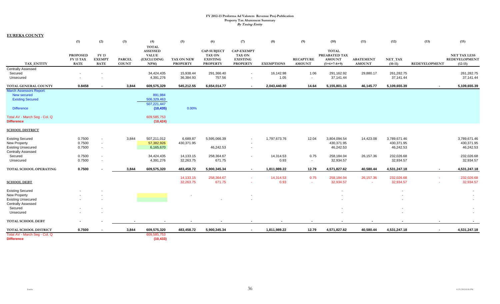| <b>EUREKA COUNTY</b> |  |
|----------------------|--|
|----------------------|--|

|                                                                        | (1)                                                | (2)                                          | (3)                           | (4)                                                                   | (5)                           | (6)                                                                       | (7)                                                                      | (8)               | (9)                               | (10)                                                            | (11)                              | (12)                    | (13)           | (15)                                                     |
|------------------------------------------------------------------------|----------------------------------------------------|----------------------------------------------|-------------------------------|-----------------------------------------------------------------------|-------------------------------|---------------------------------------------------------------------------|--------------------------------------------------------------------------|-------------------|-----------------------------------|-----------------------------------------------------------------|-----------------------------------|-------------------------|----------------|----------------------------------------------------------|
| TAX ENTITY                                                             | <b>PROPOSED</b><br><b>FY 13 TAX</b><br><b>RATE</b> | <b>FY 13</b><br><b>EXEMPT</b><br><b>RATE</b> | <b>PARCEL</b><br><b>COUNT</b> | <b>TOTAL</b><br><b>ASSESSED</b><br><b>VALUE</b><br>(EXCLUDING<br>NPM) | TAX ON NEW<br><b>PROPERTY</b> | <b>CAP-SUBJECT</b><br><b>TAX ON</b><br><b>EXISTING</b><br><b>PROPERTY</b> | <b>CAP-EXEMPT</b><br><b>TAX ON</b><br><b>EXISTING</b><br><b>PROPERTY</b> | <b>EXEMPTIONS</b> | <b>RECAPTURE</b><br><b>AMOUNT</b> | <b>TOTAL</b><br>PREABATED TAX<br><b>AMOUNT</b><br>$(5+6+7-8+9)$ | <b>ABATEMENT</b><br><b>AMOUNT</b> | NET_TAX<br>$(10-11)$    | REDEVELOPMENT  | <b>NET TAX LESS</b><br><b>REDEVELOPMENT</b><br>$(12-13)$ |
| <b>Centrally Assessed</b>                                              |                                                    |                                              |                               |                                                                       |                               |                                                                           |                                                                          |                   |                                   |                                                                 |                                   |                         |                |                                                          |
| Secured<br>Unsecured                                                   |                                                    |                                              |                               | 34,424,435<br>4,391,276                                               | 15,938.44<br>36,384.93        | 291,366.40<br>757.56                                                      | $\sim$                                                                   | 16,142.98<br>1.05 | 1.06<br>$\sim$                    | 291,162.92<br>37,141.44                                         | 29,880.17                         | 261,282.75<br>37,141.44 |                | 261,282.75<br>37,141.44                                  |
| TOTAL GENERAL COUNTY                                                   | 0.8458                                             |                                              | 3,844                         | 609,575,329                                                           | 545,212.55                    | 6,654,014.77                                                              | $\sim$                                                                   | 2,043,440.80      | 14.64                             | 5,155,801.16                                                    | 46,145.77                         | 5,109,655.39            | $\blacksquare$ | 5,109,655.39                                             |
| <b>March Assessors Report:</b><br>New secured                          |                                                    |                                              |                               | 891,984                                                               |                               |                                                                           |                                                                          |                   |                                   |                                                                 |                                   |                         |                |                                                          |
| <b>Existing Secured</b>                                                |                                                    |                                              |                               | 506,329,463                                                           |                               |                                                                           |                                                                          |                   |                                   |                                                                 |                                   |                         |                |                                                          |
| <b>Difference</b>                                                      |                                                    |                                              |                               | 507,221,447<br>(10, 435)                                              | 0.00%                         |                                                                           |                                                                          |                   |                                   |                                                                 |                                   |                         |                |                                                          |
| Total AV - March Seg - Col. Q<br><b>Difference</b>                     |                                                    |                                              |                               | 609,585,753<br>(10, 424)                                              |                               |                                                                           |                                                                          |                   |                                   |                                                                 |                                   |                         |                |                                                          |
| <b>SCHOOL DISTRICT</b>                                                 |                                                    |                                              |                               |                                                                       |                               |                                                                           |                                                                          |                   |                                   |                                                                 |                                   |                         |                |                                                          |
| <b>Existing Secured</b>                                                | 0.7500                                             |                                              | 3,844                         | 507,211,012                                                           | 6,689.87                      | 5,595,066.39                                                              | $\overline{\phantom{a}}$                                                 | 1,797,673.76      | 12.04                             | 3,804,094.54                                                    | 14,423.08                         | 3,789,671.46            |                | 3,789,671.46                                             |
| New Property<br><b>Existing Unsecured</b><br><b>Centrally Assessed</b> | 0.7500<br>0.7500                                   | $\sim$                                       |                               | 57,382,926<br>6,165,670                                               | 430,371.95                    | 46,242.53                                                                 |                                                                          |                   |                                   | 430,371.95<br>46,242.53                                         |                                   | 430,371.95<br>46,242.53 |                | 430,371.95<br>46,242.53                                  |
| Secured                                                                | 0.7500                                             |                                              |                               | 34,424,435                                                            | 14,133.15                     | 258,364.67                                                                | $\sim$                                                                   | 14,314.53         | 0.75                              | 258,184.04                                                      | 26,157.36                         | 232,026.68              |                | 232,026.68                                               |
| Unsecured                                                              | 0.7500                                             |                                              |                               | 4,391,276                                                             | 32,263.75                     | 671.75                                                                    |                                                                          | 0.93              | $\sim$                            | 32,934.57                                                       |                                   | 32,934.57               |                | 32,934.57                                                |
| TOTAL SCHOOL OPERATING                                                 | 0.7500                                             |                                              | 3.844                         | 609,575,320                                                           | 483,458.72                    | 5,900,345.34                                                              | $\blacksquare$                                                           | 1,811,989.22      | 12.79                             | 4,571,827.62                                                    | 40,580.44                         | 4,531,247.18            | $\blacksquare$ | 4,531,247.18                                             |
| <b>SCHOOL DEBT</b>                                                     |                                                    |                                              |                               |                                                                       | 14,133.15<br>32,263.75        | 258,364.67<br>671.75                                                      |                                                                          | 14,314.53<br>0.93 | 0.75<br>$\sim$                    | 258,184.04<br>32,934.57                                         | 26, 157.36<br>$\sim$              | 232,026.68<br>32,934.57 |                | 232,026.68<br>32,934.57                                  |
| <b>Existing Secured</b>                                                |                                                    |                                              |                               |                                                                       |                               |                                                                           |                                                                          |                   |                                   |                                                                 |                                   |                         |                |                                                          |
| New Property<br><b>Existing Unsecured</b>                              |                                                    |                                              |                               |                                                                       |                               |                                                                           |                                                                          |                   |                                   |                                                                 |                                   |                         |                |                                                          |
| <b>Centrally Assessed</b><br>Secured                                   |                                                    |                                              |                               |                                                                       |                               |                                                                           |                                                                          |                   |                                   |                                                                 |                                   |                         |                |                                                          |
| Unsecured                                                              |                                                    |                                              |                               |                                                                       |                               |                                                                           |                                                                          |                   |                                   |                                                                 |                                   |                         |                |                                                          |
| <b>TOTAL SCHOOL DEBT</b>                                               |                                                    |                                              |                               |                                                                       |                               |                                                                           |                                                                          |                   |                                   |                                                                 |                                   |                         |                |                                                          |
| TOTAL SCHOOL DISTRICT                                                  | 0.7500                                             |                                              | 3,844                         | 609,575,320                                                           | 483,458.72                    | 5,900,345.34                                                              | $\sim$                                                                   | 1,811,989.22      | 12.79                             | 4,571,827.62                                                    | 40,580.44                         | 4,531,247.18            | $\blacksquare$ | 4,531,247.18                                             |
| Total AV - March Seg - Col. Q<br><b>Difference</b>                     |                                                    |                                              |                               | 609,585,753<br>(10, 433)                                              |                               |                                                                           |                                                                          |                   |                                   |                                                                 |                                   |                         |                |                                                          |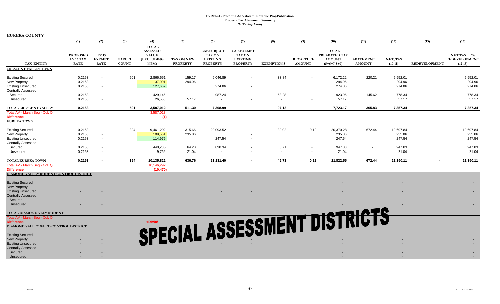**EUREKA COUNTY**

|                                                                                                                                                                                                                   | (1)                                         | (2)                                   | (3)                           | (4)                                                                   | (5)                           | (6)                                                                | (7)                                                                      | (8)                     | (9)                               | (10)                                                            | (11)                              | (12)                          | (13)                 | (15)                                              |
|-------------------------------------------------------------------------------------------------------------------------------------------------------------------------------------------------------------------|---------------------------------------------|---------------------------------------|-------------------------------|-----------------------------------------------------------------------|-------------------------------|--------------------------------------------------------------------|--------------------------------------------------------------------------|-------------------------|-----------------------------------|-----------------------------------------------------------------|-----------------------------------|-------------------------------|----------------------|---------------------------------------------------|
| TAX ENTITY                                                                                                                                                                                                        | <b>PROPOSED</b><br>FY 13 TAX<br><b>RATE</b> | FY 13<br><b>EXEMPT</b><br><b>RATE</b> | <b>PARCEL</b><br><b>COUNT</b> | <b>TOTAL</b><br><b>ASSESSED</b><br><b>VALUE</b><br>(EXCLUDING<br>NPM) | TAX ON NEW<br><b>PROPERTY</b> | <b>CAP-SUBJECT</b><br>TAX ON<br><b>EXISTING</b><br><b>PROPERTY</b> | <b>CAP-EXEMPT</b><br><b>TAX ON</b><br><b>EXISTING</b><br><b>PROPERTY</b> | <b>EXEMPTIONS</b>       | <b>RECAPTURE</b><br><b>AMOUNT</b> | <b>TOTAL</b><br>PREABATED TAX<br><b>AMOUNT</b><br>$(5+6+7-8+9)$ | <b>ABATEMENT</b><br><b>AMOUNT</b> | NET_TAX<br>$(10-11)$          | <b>REDEVELOPMENT</b> | <b>NET TAX LESS</b><br>REDEVELOPMENT<br>$(12-13)$ |
| <b>CRESCENT VALLEY TOWN</b>                                                                                                                                                                                       |                                             |                                       |                               |                                                                       |                               |                                                                    |                                                                          |                         |                                   |                                                                 |                                   |                               |                      |                                                   |
| <b>Existing Secured</b><br>New Property<br><b>Existing Unsecured</b><br><b>Centrally Assessed</b>                                                                                                                 | 0.2153<br>0.2153<br>0.2153                  | $\sim$<br>$\sim$<br>$\sim$            | 501                           | 2,866,651<br>137,001<br>127,662                                       | 159.17<br>294.96              | 6,046.89<br>274.86                                                 |                                                                          | 33.84                   |                                   | 6,172.22<br>294.96<br>274.86                                    | 220.21                            | 5,952.01<br>294.96<br>274.86  |                      | 5,952.01<br>294.96<br>274.86                      |
| Secured<br>Unsecured                                                                                                                                                                                              | 0.2153<br>0.2153                            | $\sim$<br>$\sim$                      |                               | 429,145<br>26,553                                                     | $\sim$<br>57.17               | 987.24<br>$\sim$                                                   |                                                                          | 63.28<br>$\sim$         | $\sim$                            | 923.96<br>57.17                                                 | 145.62                            | 778.34<br>57.17               |                      | 778.34<br>57.17                                   |
| TOTAL CRESCENT VALLEY                                                                                                                                                                                             | 0.2153                                      | $\blacksquare$                        | 501                           | 3,587,012                                                             | 511.30                        | 7,308.99                                                           |                                                                          | 97.12                   | $\blacksquare$                    | 7,723.17                                                        | 365.83                            | 7,357.34                      |                      | 7,357.34                                          |
| Total AV - March Seq - Col. Q<br><b>Difference</b><br><b>EUREKA TOWN</b>                                                                                                                                          |                                             |                                       |                               | 3,587,013<br>(1)                                                      |                               |                                                                    |                                                                          |                         |                                   |                                                                 |                                   |                               |                      |                                                   |
| <b>Existing Secured</b><br>New Property<br><b>Existing Unsecured</b><br><b>Centrally Assessed</b>                                                                                                                 | 0.2153<br>0.2153<br>0.2153                  | $\sim$<br>$\sim$<br>$\sim$            | 394                           | 9,461,292<br>109,551<br>114,975                                       | 315.66<br>235.86              | 20,093.52<br>247.54                                                |                                                                          | 39.02                   | 0.12                              | 20,370.28<br>235.86<br>247.54                                   | 672.44                            | 19,697.84<br>235.86<br>247.54 |                      | 19,697.84<br>235.86<br>247.54                     |
| Secured<br>Unsecured                                                                                                                                                                                              | 0.2153<br>0.2153                            | $\sim$<br>$\sim$                      |                               | 440,235<br>9,769                                                      | 64.20<br>21.04                | 890.34                                                             |                                                                          | 6.71<br>$\sim$          | $\sim$<br>$\sim$                  | 947.83<br>21.04                                                 |                                   | 947.83<br>21.04               |                      | 947.83<br>21.04                                   |
| <b>TOTAL EUREKA TOWN</b>                                                                                                                                                                                          | 0.2153                                      | $\sim$                                | 394                           | 10,135,822                                                            | 636.76                        | 21,231.40                                                          | . .                                                                      | 45.73                   | 0.12                              | 21,822.55                                                       | 672.44                            | 21,150.11                     |                      | 21,150.11                                         |
| Total AV - March Seq - Col. Q<br><b>Difference</b><br>DIAMOND VALLEY RODENT CONTROL DISTRICT                                                                                                                      |                                             |                                       |                               | 10,146,292<br>(10, 470)                                               |                               |                                                                    |                                                                          |                         |                                   |                                                                 |                                   |                               |                      |                                                   |
| <b>Existing Secured</b>                                                                                                                                                                                           |                                             |                                       |                               |                                                                       |                               |                                                                    |                                                                          |                         |                                   |                                                                 |                                   |                               |                      |                                                   |
| <b>New Property</b><br><b>Existing Unsecured</b><br><b>Centrally Assessed</b>                                                                                                                                     |                                             |                                       |                               |                                                                       |                               |                                                                    |                                                                          |                         |                                   |                                                                 |                                   |                               |                      |                                                   |
| Secured<br>Unsecured                                                                                                                                                                                              |                                             |                                       |                               |                                                                       |                               |                                                                    |                                                                          |                         |                                   |                                                                 |                                   |                               |                      |                                                   |
| TOTAL DIAMOND VLLY RODENT                                                                                                                                                                                         |                                             |                                       |                               |                                                                       |                               |                                                                    |                                                                          |                         |                                   |                                                                 |                                   |                               |                      |                                                   |
| Total AV - March Seg - Col. Q<br><b>Difference</b><br>DIAMOND VALLEY WEED CONTROL DISTRICT<br><b>Existing Secured</b><br><b>New Property</b><br><b>Existing Unsecured</b><br><b>Centrally Assessed</b><br>Secured |                                             |                                       |                               |                                                                       |                               |                                                                    |                                                                          | SPECIAL ASSESSMENT DIST |                                   |                                                                 |                                   |                               |                      |                                                   |
| Unsecured                                                                                                                                                                                                         |                                             | $\sim$                                |                               |                                                                       |                               |                                                                    |                                                                          |                         |                                   |                                                                 |                                   |                               |                      |                                                   |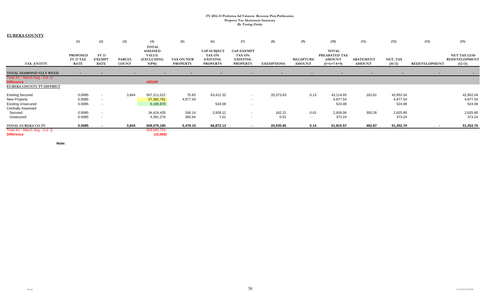| <b>EUREKA COUNTY</b>                                                 |                                             |                                              |                               |                                                                       |                               |                                                                           |                                                                          |                   |                                   |                                                                 |                                   |                                 |                |                                                          |
|----------------------------------------------------------------------|---------------------------------------------|----------------------------------------------|-------------------------------|-----------------------------------------------------------------------|-------------------------------|---------------------------------------------------------------------------|--------------------------------------------------------------------------|-------------------|-----------------------------------|-----------------------------------------------------------------|-----------------------------------|---------------------------------|----------------|----------------------------------------------------------|
|                                                                      | (1)                                         | (2)                                          | (3)                           | (4)                                                                   | (5)                           | (6)                                                                       | (7)                                                                      | (8)               | (9)                               | (10)                                                            | (11)                              | (12)                            | (13)           | (15)                                                     |
| TAX ENTITY                                                           | <b>PROPOSED</b><br>FY 13 TAX<br><b>RATE</b> | <b>FY 13</b><br><b>EXEMPT</b><br><b>RATE</b> | <b>PARCEL</b><br><b>COUNT</b> | <b>TOTAL</b><br><b>ASSESSED</b><br><b>VALUE</b><br>(EXCLUDING<br>NPM) | TAX ON NEW<br><b>PROPERTY</b> | <b>CAP-SUBJECT</b><br><b>TAX ON</b><br><b>EXISTING</b><br><b>PROPERTY</b> | <b>CAP-EXEMPT</b><br><b>TAX ON</b><br><b>EXISTING</b><br><b>PROPERTY</b> | <b>EXEMPTIONS</b> | <b>RECAPTURE</b><br><b>AMOUNT</b> | <b>TOTAL</b><br>PREABATED TAX<br><b>AMOUNT</b><br>$(5+6+7-8+9)$ | <b>ABATEMENT</b><br><b>AMOUNT</b> | NET_TAX<br>$(10-11)$            | REDEVELOPMENT  | <b>NET TAX LESS</b><br><b>REDEVELOPMENT</b><br>$(12-13)$ |
| TOTAL DIAMOND VLLY WEED                                              | $\overline{\phantom{a}}$                    |                                              | $\blacksquare$                |                                                                       | $\blacksquare$                |                                                                           | $\overline{\phantom{a}}$                                                 | $\sim$            | $\sim$                            |                                                                 |                                   |                                 | $\blacksquare$ |                                                          |
| Total AV - March Seg - Col. Q<br><b>Difference</b>                   |                                             |                                              |                               | #DIV/0!                                                               |                               |                                                                           |                                                                          |                   |                                   |                                                                 |                                   |                                 |                |                                                          |
| <b>EUREKA COUNTY TV DISTRICT</b>                                     |                                             |                                              |                               |                                                                       |                               |                                                                           |                                                                          |                   |                                   |                                                                 |                                   |                                 |                |                                                          |
| <b>Existing Secured</b><br>New Property<br><b>Existing Unsecured</b> | 0.0085<br>0.0085<br>0.0085                  | $\sim$<br>$\sim$<br>$\sim$                   | 3,844                         | 507,211,012<br>57,382,791<br>6,165,670                                | 75.83<br>4,877.54             | 63,412.32<br>524.08                                                       | $\sim$<br>$\sim$<br>$\sim$                                               | 20,373.63         | 0.13                              | 43,114.65<br>4,877.54<br>524.08                                 | 162.61                            | 42,952.04<br>4,877.54<br>524.08 |                | 42,952.04<br>4,877.54<br>524.08                          |
| <b>Centrally Assessed</b><br>Secured<br>Unsecured                    | 0.0085<br>0.0085                            | $\sim$                                       |                               | 34,424,435<br>4,391,276                                               | 160.14<br>365.64              | 2,928.12<br>7.61                                                          | $\sim$<br>$\sim$                                                         | 162.21<br>0.01    | 0.01<br>$\sim$                    | 2,926.06<br>373.24                                              | 300.26                            | 2,625.80<br>373.24              |                | 2,625.80<br>373.24                                       |
| TOTAL EUREKA CO TV                                                   | 0.0085                                      |                                              | 3,844                         | 609,575,185                                                           | 5,479.15                      | 66,872.13                                                                 |                                                                          | 20,535.85         | 0.14                              | 51,815.57                                                       | 462.87                            | 51,352.70                       |                | 51,352.70                                                |
| Total AV - March Seg - Col. Q<br><b>Difference</b>                   |                                             |                                              |                               | 609,585,753<br>(10, 568)                                              |                               |                                                                           |                                                                          |                   |                                   |                                                                 |                                   |                                 |                |                                                          |

**Note:**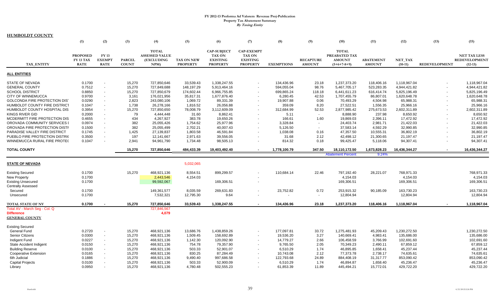|                                                                                                                                                                   | (1)                                            | (2)                                                                                    | (3)                                            | (4)                                                                     | (5)                                                    | (6)                                                                       | (7)                                                                      | (8)                                                          | (9)                                                                | (10)                                                               | (11)                                                       | (12)                                                               | (13)                                                 | (15)                                                               |
|-------------------------------------------------------------------------------------------------------------------------------------------------------------------|------------------------------------------------|----------------------------------------------------------------------------------------|------------------------------------------------|-------------------------------------------------------------------------|--------------------------------------------------------|---------------------------------------------------------------------------|--------------------------------------------------------------------------|--------------------------------------------------------------|--------------------------------------------------------------------|--------------------------------------------------------------------|------------------------------------------------------------|--------------------------------------------------------------------|------------------------------------------------------|--------------------------------------------------------------------|
| TAX ENTITY                                                                                                                                                        | <b>PROPOSED</b><br>FY 13 TAX<br><b>RATE</b>    | <b>FY13</b><br><b>EXEMPT</b><br><b>RATE</b>                                            | <b>PARCEL</b><br><b>COUNT</b>                  | <b>TOTAL</b><br><b>ASSESSED VALUE</b><br>(EXCLUDING<br>NPM)             | <b>TAX ON NEW</b><br><b>PROPERTY</b>                   | <b>CAP-SUBJECT</b><br><b>TAX ON</b><br><b>EXISTING</b><br><b>PROPERTY</b> | <b>CAP-EXEMPT</b><br><b>TAX ON</b><br><b>EXISTING</b><br><b>PROPERTY</b> | <b>EXEMPTIONS</b>                                            | <b>RECAPTURE</b><br><b>AMOUNT</b>                                  | <b>TOTAL</b><br>PREABATED TAX<br><b>AMOUNT</b><br>$(5+6+7-8+9)$    | <b>ABATEMENT</b><br><b>AMOUNT</b>                          | NET TAX<br>$(10-11)$                                               | <b>REDEVELOPMENT</b>                                 | <b>NET TAX LESS</b><br><b>REDEVELOPMENT</b><br>$(12-13)$           |
| <b>ALL ENTITIES</b>                                                                                                                                               |                                                |                                                                                        |                                                |                                                                         |                                                        |                                                                           |                                                                          |                                                              |                                                                    |                                                                    |                                                            |                                                                    |                                                      |                                                                    |
| <b>STATE OF NEVADA</b><br><b>GENERAL COUNTY</b><br><b>SCHOOL DISTRICT</b><br><b>CITY OF WINNEMUCCA</b>                                                            | 0.1700<br>0.7512<br>0.8850<br>0.9700           | $\sim$<br>$\sim$<br>$\overline{\phantom{a}}$<br>$\overline{\phantom{a}}$               | 15.270<br>15,270<br>15,270<br>3,161            | 727.850.646<br>727,849,688<br>727,850,679<br>176,021,956                | 33.539.43<br>148,197.29<br>174,602.44<br>35,817.31     | 1.338.247.55<br>5,913,464.16<br>6,966,755.85<br>1,677,876.40              |                                                                          | 134.436.96<br>594.055.04<br>699,865.24<br>6,280.45           | 23.18<br>98.76<br>118.18<br>42.53                                  | 1.237.373.20<br>5.467.705.17<br>6,441,611.23<br>1,707,455.79       | 118.406.16<br>523.283.35<br>616,414.74<br>86,807.01        | 1.118.967.04<br>4,944,421.82<br>5,825,196.49<br>1,620,648.78       | $\overline{\phantom{a}}$                             | 1.118.967.04<br>4,944,421.82<br>5,825,196.49<br>1,620,648.78       |
| GOLCONDA FIRE PROTECTION DIST<br>HUMBOLDT COUNTY FIRE DISTRICT<br>HUMBOLDT COUNTY HOSPITAL DIS<br><b>KINGS RIVER GID</b>                                          | 0.0290<br>0.1047<br>0.3954<br>0.2000           | $\blacksquare$<br>$\blacksquare$<br>$\sim$<br>$\sim$                                   | 2,823<br>1,738<br>15,270<br>79                 | 243,080,106<br>26,278,166<br>727,850,650<br>4,444,448                   | 1,069.72<br>1,816.52<br>78,008.79<br>31.60             | 89,331.39<br>26,056.88<br>3,112,609.09<br>8.862.41                        |                                                                          | 19,907.88<br>359.09<br>312,684.99<br>5.11                    | 0.06<br>8.20<br>52.53<br>$\sim$                                    | 70,493.29<br>27,522.51<br>2,877,985.42<br>8,888.90                 | 4,504.98<br>1,556.35<br>275,673.53<br>237.98               | 65,988.31<br>25,966.16<br>2,602,311.89<br>8,650.92                 | $\overline{\phantom{a}}$<br>$\overline{\phantom{a}}$ | 65,988.31<br>25,966.16<br>2,602,311.89<br>8,650.92                 |
| MCDERMITT FIRE PROTECTION DIS<br>OROVADA COMMUNITY SERVICES I<br>OROVADA FIRE PROTECTION DISTF<br>PARADISE VALLEY FIRE DISTRICT<br>PUEBLO FIRE PROTECTION DISTRIC | 0.4655<br>0.0974<br>0.1500<br>0.1745<br>0.3500 | $\blacksquare$<br>$\blacksquare$<br>$\blacksquare$<br>$\blacksquare$<br>$\blacksquare$ | 434<br>382<br>382<br>1,425<br>197              | 4,267,927<br>25,055,426<br>25,055,499<br>27,139,837<br>12,141,667       | 383.78<br>1,754.62<br>2,702.21<br>1,803.58<br>2,971.63 | 19.650.26<br>25.977.96<br>40,007.43<br>46,591.84<br>39,556.05             |                                                                          | 166.61<br>3.328.84<br>5,126.50<br>1,038.08<br>31.68          | 1.60<br>$\overline{\phantom{a}}$<br>$\blacksquare$<br>0.16<br>2.12 | 19,869.03<br>24,403.74<br>37,583.14<br>47,357.50<br>42,498.12      | 2.396.11<br>2.981.71<br>4,592.29<br>10,555.31<br>21,300.65 | 17,472.92<br>21,422.03<br>32,990.85<br>36,802.19<br>21,197.47      | $\blacksquare$<br>$\overline{\phantom{a}}$           | 17,472.92<br>21,422.03<br>32,990.85<br>36,802.19<br>21,197.47      |
| WINNEMUCCA RURAL FIRE PROTE(<br><b>TOTAL COUNTY</b>                                                                                                               | 0.1047                                         | $\blacksquare$                                                                         | 2.941<br>15,270                                | 94.961.790<br>727,850,646                                               | 1,734.48<br>484,433.39                                 | 98.505.13<br>19,403,492.40                                                |                                                                          | 814.32<br>1,778,100.79                                       | 0.18<br>347.50                                                     | 99,425.47<br>18,110,172.50<br><b>Abatement Percent</b>             | 5.118.06<br>1,673,828.23<br>9.24%                          | 94,307.41<br>16,436,344.27                                         | $\blacksquare$<br>$\sim$                             | 94,307.41<br>16,436,344.27                                         |
| <b>STATE OF NEVADA</b>                                                                                                                                            |                                                |                                                                                        |                                                |                                                                         | 5,032,065                                              |                                                                           |                                                                          |                                                              |                                                                    |                                                                    |                                                            |                                                                    |                                                      |                                                                    |
| <b>Existing Secured</b><br><b>New Property</b><br><b>Existing Unsecured</b><br><b>Centrally Assessed</b>                                                          | 0.1700<br>0.1700<br>0.1700                     |                                                                                        | 15,270                                         | 468,921,136<br>2,443,546<br>99,592,067                                  | 8,554.51<br>4,154.03                                   | 899,299.57<br>169,306.51                                                  |                                                                          | 110,684.14                                                   | 22.46                                                              | 797,192.40<br>4,154.03<br>169,306.51                               | 28,221.07                                                  | 768,971.33<br>4,154.03<br>169,306.51                               |                                                      | 768,971.33<br>4,154.03<br>169,306.51                               |
| Secured<br>Unsecured                                                                                                                                              | 0.1700<br>0.1700                               |                                                                                        |                                                | 149,361,577<br>7,532,321                                                | 8,035.59<br>12,795.30                                  | 269,631.83<br>9.64                                                        |                                                                          | 23,752.82                                                    | 0.72<br>$\overline{\phantom{a}}$                                   | 253,915.32<br>12,804.94                                            | 90,185.09                                                  | 163,730.23<br>12,804.94                                            |                                                      | 163,730.23<br>12,804.94                                            |
| <b>TOTAL STATE OF NV</b><br>Total AV - March Seg - Col. Q<br><b>Difference</b><br><b>GENERAL COUNTY</b>                                                           | 0.1700                                         |                                                                                        | 15.270                                         | 727.850.646<br>727.846.567<br>4,079                                     | 33.539.43                                              | 1,338,247.55                                                              |                                                                          | 134,436.96                                                   | 23.18                                                              | 1,237,373.20                                                       | 118,406.16                                                 | 1,118,967.04                                                       |                                                      | 1,118,967.04                                                       |
| <b>Existing Secured</b><br><b>General Fund</b><br><b>Senior Citizens</b><br>Indigent Fund<br><b>State Accident Indigent</b><br><b>Building Reserve</b>            | 0.2720<br>0.0300<br>0.0227<br>0.0150<br>0.0100 | $\blacksquare$<br>$\blacksquare$<br>$\blacksquare$<br>$\blacksquare$<br>$\blacksquare$ | 15,270<br>15,270<br>15,270<br>15,270<br>15,270 | 468,921,136<br>468,921,136<br>468,921,136<br>468,921,136<br>468,921,136 | 13,686.76<br>1,509.45<br>1,142.30<br>754.78<br>503.33  | 1,438,859.26<br>158.692.89<br>120,092.90<br>79,357.90<br>52,901.07        |                                                                          | 177,097.81<br>19,536.20<br>14,779.27<br>9,765.50<br>6,510.29 | 33.72<br>3.27<br>2.66<br>2.05<br>1.74                              | 1,275,481.93<br>140.669.41<br>106,458.59<br>70,349.23<br>46,895.85 | 45,209.43<br>4,983.41<br>3,766.99<br>2,490.11<br>1,658.41  | 1,230,272.50<br>135.686.00<br>102,691.60<br>67,859.12<br>45,237.44 |                                                      | 1,230,272.50<br>135,686.00<br>102,691.60<br>67,859.12<br>45,237.44 |
| <b>Cooperative Extension</b><br>6th Judicial<br><b>Capital Projects</b><br>Library                                                                                | 0.0165<br>0.1886<br>0.0100<br>0.0950           | $\blacksquare$<br>$\overline{\phantom{a}}$<br>$\sim$                                   | 15,270<br>15,270<br>15,270<br>15,270           | 468,921,136<br>468,921,136<br>468,921,136<br>468,921,136                | 830.25<br>9,490.40<br>503.33<br>4,780.48               | 87,284.49<br>997,686.58<br>52,900.09<br>502.555.23                        |                                                                          | 10,743.08<br>122,793.68<br>6,510.29<br>61,853.39             | 2.12<br>24.89<br>1.74<br>11.89                                     | 77,373.78<br>884,408.19<br>46,894.87<br>445.494.21                 | 2,738.17<br>31,317.77<br>1,658.40<br>15.772.01             | 74,635.61<br>853,090.42<br>45,236.47<br>429,722.20                 |                                                      | 74,635.61<br>853,090.42<br>45,236.47<br>429,722.20                 |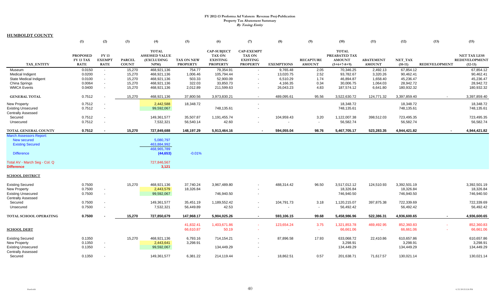|                                | (1)                                         | (2)                                         | (3)                           | (4)                                                         | (5)                                  | (6)                                                                       | (7)                                                                      | (8)               | (9)                               | (10)                                                            | (11)                              | (12)                 | (13)                 | (15)                                              |
|--------------------------------|---------------------------------------------|---------------------------------------------|-------------------------------|-------------------------------------------------------------|--------------------------------------|---------------------------------------------------------------------------|--------------------------------------------------------------------------|-------------------|-----------------------------------|-----------------------------------------------------------------|-----------------------------------|----------------------|----------------------|---------------------------------------------------|
| <b>TAX ENTITY</b>              | <b>PROPOSED</b><br>FY 13 TAX<br><b>RATE</b> | <b>FY13</b><br><b>EXEMPT</b><br><b>RATE</b> | <b>PARCEL</b><br><b>COUNT</b> | <b>TOTAL</b><br><b>ASSESSED VALUE</b><br>(EXCLUDING<br>NPM) | <b>TAX ON NEW</b><br><b>PROPERTY</b> | <b>CAP-SUBJECT</b><br><b>TAX ON</b><br><b>EXISTING</b><br><b>PROPERTY</b> | <b>CAP-EXEMPT</b><br><b>TAX ON</b><br><b>EXISTING</b><br><b>PROPERTY</b> | <b>EXEMPTIONS</b> | <b>RECAPTURE</b><br><b>AMOUNT</b> | <b>TOTAL</b><br>PREABATED TAX<br><b>AMOUNT</b><br>$(5+6+7-8+9)$ | <b>ABATEMENT</b><br><b>AMOUNT</b> | NET TAX<br>$(10-11)$ | <b>REDEVELOPMENT</b> | <b>NET TAX LESS</b><br>REDEVELOPMENT<br>$(12-13)$ |
| Museum                         | 0.0150                                      |                                             | 15,270                        | 468,921,136                                                 | 754.77                               | 79,354.91                                                                 |                                                                          | 9,765.48          | 2.05                              | 70,346.25                                                       | 2,492.13                          | 67,854.12            |                      | 67,854.12                                         |
| <b>Medical Indigent</b>        |                                             | $\sim$                                      |                               | 468,921,136                                                 | 1,006.46                             | 105,794.44                                                                |                                                                          | 13,020.75         |                                   | 93,782.67                                                       | 3,320.26                          | 90,462.41            |                      |                                                   |
| <b>State Medical Indigent</b>  | 0.0200<br>0.0100                            | $\sim$<br>$\sim$                            | 15,270<br>15,270              | 468,921,136                                                 | 503.33                               | 52,900.09                                                                 |                                                                          | 6,510.29          | 2.52<br>1.74                      | 46,894.87                                                       | 1,658.40                          | 45,236.47            |                      | 90,462.41<br>45,236.47                            |
| China Springs                  | 0.0064                                      |                                             | 15,270                        | 468,921,136                                                 | 322.03                               | 33,850.73                                                                 |                                                                          | 4,166.35          | 0.34                              | 30,006.75                                                       | 1,064.03                          | 28,942.72            |                      | 28,942.72                                         |
| <b>WMCA Events</b>             | 0.0400                                      | $\overline{\phantom{a}}$                    | 15,270                        | 468,921,136                                                 | 2,012.89                             | 211,599.63                                                                |                                                                          | 26,043.23         | 4.83                              | 187,574.12                                                      | 6,641.80                          | 180,932.32           |                      | 180,932.32                                        |
|                                |                                             |                                             |                               |                                                             |                                      |                                                                           |                                                                          |                   |                                   |                                                                 |                                   |                      |                      |                                                   |
| <b>GENERAL TOTAL</b>           | 0.7512                                      |                                             | 15,270                        | 468,921,136                                                 | 37,800.56                            | 3,973,830.21                                                              | $\sim$                                                                   | 489,095.61        | 95.56                             | 3,522,630.72                                                    | 124,771.32                        | 3,397,859.40         | $\sim$               | 3,397,859.40                                      |
| <b>New Property</b>            | 0.7512                                      |                                             |                               | 2,442,588                                                   | 18,348.72                            |                                                                           |                                                                          |                   |                                   | 18,348.72                                                       |                                   | 18,348.72            |                      | 18,348.72                                         |
| <b>Existing Unsecured</b>      | 0.7512                                      |                                             |                               | 99,592,067                                                  |                                      | 748,135.61                                                                |                                                                          |                   |                                   | 748,135.61                                                      |                                   | 748,135.61           |                      | 748,135.61                                        |
| <b>Centrally Assessed</b>      |                                             |                                             |                               |                                                             |                                      |                                                                           |                                                                          |                   |                                   |                                                                 |                                   |                      |                      |                                                   |
| Secured                        | 0.7512                                      |                                             |                               | 149,361,577                                                 | 35.507.87                            | 1,191,455.74                                                              |                                                                          | 104,959.43        | 3.20                              | 1,122,007.38                                                    | 398,512.03                        | 723,495.35           |                      | 723,495.35                                        |
| Unsecured                      | 0.7512                                      |                                             |                               | 7,532,321                                                   | 56,540.14                            | 42.60                                                                     |                                                                          |                   | $\blacksquare$                    | 56,582.74                                                       |                                   | 56,582.74            |                      | 56,582.74                                         |
| <b>TOTAL GENERAL COUNTY</b>    | 0.7512                                      |                                             | 15.270                        | 727,849,688                                                 | 148,197.29                           | 5,913,464.16                                                              |                                                                          | 594,055.04        | 98.76                             | 5,467,705.17                                                    | 523,283.35                        | 4,944,421.82         |                      | 4,944,421.82                                      |
| <b>March Assessors Report:</b> |                                             |                                             |                               |                                                             |                                      |                                                                           |                                                                          |                   |                                   |                                                                 |                                   |                      |                      |                                                   |
| <b>New secured</b>             |                                             |                                             |                               | 5,080,797                                                   |                                      |                                                                           |                                                                          |                   |                                   |                                                                 |                                   |                      |                      |                                                   |
| <b>Existing Secured</b>        |                                             |                                             |                               | 463.884.992                                                 |                                      |                                                                           |                                                                          |                   |                                   |                                                                 |                                   |                      |                      |                                                   |
|                                |                                             |                                             |                               | 468,965,789                                                 |                                      |                                                                           |                                                                          |                   |                                   |                                                                 |                                   |                      |                      |                                                   |
| <b>Difference</b>              |                                             |                                             |                               | (44, 653)                                                   | $-0.01%$                             |                                                                           |                                                                          |                   |                                   |                                                                 |                                   |                      |                      |                                                   |
| Total AV - March Seg - Col. Q  |                                             |                                             |                               | 727,846,567                                                 |                                      |                                                                           |                                                                          |                   |                                   |                                                                 |                                   |                      |                      |                                                   |
| <b>Difference</b>              |                                             |                                             |                               | 3,121                                                       |                                      |                                                                           |                                                                          |                   |                                   |                                                                 |                                   |                      |                      |                                                   |
| <u>SCHOOL DISTRICT</u>         |                                             |                                             |                               |                                                             |                                      |                                                                           |                                                                          |                   |                                   |                                                                 |                                   |                      |                      |                                                   |
| <b>Existing Secured</b>        | 0.7500                                      |                                             | 15,270                        | 468,921,136                                                 | 37,740.24                            | 3,967,489.80                                                              |                                                                          | 488,314.42        | 96.50                             | 3,517,012.12                                                    | 124,510.93                        | 3,392,501.19         |                      | 3,392,501.19                                      |
| New Property                   | 0.7500                                      |                                             |                               | 2,443,579                                                   | 18,326.84                            |                                                                           |                                                                          |                   |                                   | 18,326.84                                                       |                                   | 18,326.84            |                      | 18,326.84                                         |
| <b>Existing Unsecured</b>      | 0.7500                                      | $\overline{\phantom{a}}$                    |                               | 99,592,067                                                  |                                      | 746,940.50                                                                |                                                                          |                   |                                   | 746,940.50                                                      |                                   | 746.940.50           |                      | 746,940.50                                        |
| <b>Centrally Assessed</b>      |                                             |                                             |                               |                                                             |                                      |                                                                           |                                                                          |                   |                                   |                                                                 |                                   |                      |                      |                                                   |
| Secured                        | 0.7500                                      |                                             |                               | 149,361,577                                                 | 35,451.19                            | 1,189,552.42                                                              |                                                                          | 104,791.73        | 3.18                              | 1,120,215.07                                                    | 397,875.38                        | 722,339.69           |                      | 722,339.69                                        |
| Unsecured                      | 0.7500                                      |                                             |                               | 7,532,321                                                   | 56,449.89                            | 42.53                                                                     |                                                                          |                   | $\overline{\phantom{a}}$          | 56,492.42                                                       |                                   | 56,492.42            |                      | 56,492.42                                         |
|                                |                                             |                                             |                               |                                                             |                                      |                                                                           |                                                                          |                   |                                   |                                                                 |                                   |                      |                      |                                                   |
| TOTAL SCHOOL OPERATING         | 0.7500                                      |                                             | 15,270                        | 727,850,679                                                 | 147,968.17                           | 5,904,025.26                                                              | $\sim$                                                                   | 593,106.15        | 99.68                             | 5,458,986.96                                                    | 522,386.31                        | 4,936,600.65         |                      | 4,936,600.65                                      |
|                                |                                             |                                             |                               |                                                             | 41,832.41                            | 1,403,671.86                                                              |                                                                          | 123,654.24        | 3.75                              | 1,321,853.78                                                    | 469,492.95                        | 852,360.83           |                      | 852,360.83                                        |
| <b>SCHOOL DEBT</b>             |                                             |                                             |                               |                                                             | 66,610.87                            | 50.19                                                                     |                                                                          |                   | $\sim$                            | 66,661.06                                                       | $\sim$                            | 66,661.06            |                      | 66,661.06                                         |
|                                |                                             |                                             |                               |                                                             |                                      |                                                                           |                                                                          |                   |                                   |                                                                 |                                   |                      |                      |                                                   |
| <b>Existing Secured</b>        | 0.1350                                      |                                             | 15,270                        | 468,921,136                                                 | 6,793.16                             | 714,154.21                                                                |                                                                          | 87,896.58         | 17.93                             | 633,068.72                                                      | 22,410.86                         | 610,657.86           |                      | 610,657.86                                        |
| <b>New Property</b>            | 0.1350                                      |                                             |                               | 2,443,641                                                   | 3,298.91                             |                                                                           |                                                                          |                   |                                   | 3,298.91                                                        |                                   | 3,298.91             |                      | 3,298.91                                          |
| <b>Existing Unsecured</b>      | 0.1350                                      |                                             |                               | 99,592,067                                                  |                                      | 134,449.29                                                                |                                                                          |                   |                                   | 134,449.29                                                      |                                   | 134,449.29           |                      | 134,449.29                                        |
| <b>Centrally Assessed</b>      |                                             |                                             |                               |                                                             |                                      |                                                                           |                                                                          |                   |                                   |                                                                 |                                   |                      |                      |                                                   |
| Secured                        | 0.1350                                      |                                             |                               | 149,361,577                                                 | 6,381.22                             | 214,119.44                                                                |                                                                          | 18,862.51         | 0.57                              | 201,638.71                                                      | 71,617.57                         | 130,021.14           |                      | 130,021.14                                        |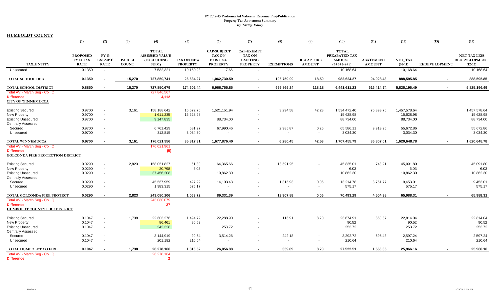|                                                                                                | (1)                                                | (2)                                   | (3)                           | (4)                                                                | (5)                                  | (6)                                                                       | (7)                                                                      | (8)                      | (9)                               | (10)                                                            | (11)                              | (12)                 | (13)                 | (15)                                                     |
|------------------------------------------------------------------------------------------------|----------------------------------------------------|---------------------------------------|-------------------------------|--------------------------------------------------------------------|--------------------------------------|---------------------------------------------------------------------------|--------------------------------------------------------------------------|--------------------------|-----------------------------------|-----------------------------------------------------------------|-----------------------------------|----------------------|----------------------|----------------------------------------------------------|
| <b>TAX ENTITY</b>                                                                              | <b>PROPOSED</b><br><b>FY 13 TAX</b><br><b>RATE</b> | FY 13<br><b>EXEMPT</b><br><b>RATE</b> | <b>PARCEL</b><br><b>COUNT</b> | <b>TOTAL</b><br><b>ASSESSED VALUE</b><br><b>(EXCLUDING</b><br>NPM) | <b>TAX ON NEW</b><br><b>PROPERTY</b> | <b>CAP-SUBJECT</b><br><b>TAX ON</b><br><b>EXISTING</b><br><b>PROPERTY</b> | <b>CAP-EXEMPT</b><br><b>TAX ON</b><br><b>EXISTING</b><br><b>PROPERTY</b> | <b>EXEMPTIONS</b>        | <b>RECAPTURE</b><br><b>AMOUNT</b> | <b>TOTAL</b><br>PREABATED TAX<br><b>AMOUNT</b><br>$(5+6+7-8+9)$ | <b>ABATEMENT</b><br><b>AMOUNT</b> | NET TAX<br>$(10-11)$ | <b>REDEVELOPMENT</b> | <b>NET TAX LESS</b><br><b>REDEVELOPMENT</b><br>$(12-13)$ |
| Unsecured                                                                                      | 0.1350                                             | $\sim$                                |                               | 7,532,321                                                          | 10,160.98                            | 7.66                                                                      |                                                                          | $\overline{\phantom{a}}$ | $\overline{\phantom{a}}$          | 10,168.64                                                       |                                   | 10,168.64            |                      | 10,168.64                                                |
|                                                                                                |                                                    |                                       |                               |                                                                    |                                      |                                                                           |                                                                          |                          |                                   |                                                                 |                                   |                      |                      |                                                          |
| <b>TOTAL SCHOOL DEBT</b>                                                                       | 0.1350                                             |                                       | 15,270                        | 727,850,741                                                        | 26,634.27                            | 1,062,730.59                                                              | $\sim$                                                                   | 106,759.09               | 18.50                             | 982,624.27                                                      | 94,028.43                         | 888,595.85           | $\sim$               | 888,595.85                                               |
| <b>TOTAL SCHOOL DISTRICT</b>                                                                   | 0.8850                                             | ٠                                     | 15,270                        | 727,850,679                                                        | 174,602.44                           | 6,966,755.85                                                              | $\sim$                                                                   | 699,865.24               | 118.18                            | 6,441,611.23                                                    | 616,414.74                        | 5,825,196.49         | $\sim$               | 5,825,196.49                                             |
| Total AV - March Seg - Col. Q                                                                  |                                                    |                                       |                               | 727,846,567                                                        |                                      |                                                                           |                                                                          |                          |                                   |                                                                 |                                   |                      |                      |                                                          |
| <b>Difference</b><br><b>CITY OF WINNEMUCCA</b>                                                 |                                                    |                                       |                               | 4,112                                                              |                                      |                                                                           |                                                                          |                          |                                   |                                                                 |                                   |                      |                      |                                                          |
| <b>Existing Secured</b>                                                                        | 0.9700                                             | $\overline{\phantom{a}}$              | 3,161                         | 158,188,642                                                        | 16,572.76                            | 1,521,151.94                                                              |                                                                          | 3,294.58                 | 42.28                             | 1,534,472.40                                                    | 76,893.76                         | 1,457,578.64         |                      | 1,457,578.64                                             |
| <b>New Property</b>                                                                            | 0.9700                                             | $\overline{\phantom{a}}$              |                               | 1,611,235                                                          | 15,628.98                            |                                                                           |                                                                          |                          |                                   | 15,628.98                                                       |                                   | 15,628.98            |                      | 15,628.98                                                |
| <b>Existing Unsecured</b><br><b>Centrally Assessed</b>                                         | 0.9700                                             | $\overline{\phantom{a}}$              |                               | 9,147,835                                                          |                                      | 88,734.00                                                                 |                                                                          |                          |                                   | 88,734.00                                                       |                                   | 88,734.00            |                      | 88,734.00                                                |
| Secured                                                                                        | 0.9700                                             | $\overline{\phantom{a}}$              |                               | 6,761,429                                                          | 581.27                               | 67,990.46                                                                 |                                                                          | 2,985.87                 | 0.25                              | 65,586.11                                                       | 9,913.25                          | 55,672.86            |                      | 55,672.86                                                |
| Unsecured                                                                                      | 0.9700                                             | $\overline{\phantom{a}}$              |                               | 312,815                                                            | 3,034.30                             |                                                                           | $\sim$                                                                   | $\overline{\phantom{a}}$ | $\overline{\phantom{a}}$          | 3,034.30                                                        |                                   | 3,034.30             |                      | 3,034.30                                                 |
| TOTAL WINNEMUCCA                                                                               | 0.9700                                             | $\sim$                                | 3,161                         | 176,021,956                                                        | 35,817.31                            | 1,677,876.40                                                              | $\sim$                                                                   | 6.280.45                 | 42.53                             | 1,707,455.79                                                    | 86.807.01                         | 1,620,648.78         | $\sim$               | 1,620,648.78                                             |
| Total AV - March Seg - Col. Q<br><b>Difference</b><br><b>GOLCONDA FIRE PROTECTION DISTRICT</b> |                                                    |                                       |                               | 176,021,961<br>(5)                                                 |                                      |                                                                           |                                                                          |                          |                                   |                                                                 |                                   |                      |                      |                                                          |
| <b>Existing Secured</b>                                                                        | 0.0290                                             | $\blacksquare$                        | 2,823                         | 158,051,827                                                        | 61.30                                | 64,365.66                                                                 |                                                                          | 18,591.95                |                                   | 45,835.01                                                       | 743.21                            | 45,091.80            |                      | 45,091.80                                                |
| <b>New Property</b>                                                                            | 0.0290                                             | $\blacksquare$                        |                               | 20,798                                                             | 6.03                                 |                                                                           |                                                                          |                          |                                   | 6.03                                                            |                                   | 6.03                 |                      | 6.03                                                     |
| <b>Existing Unsecured</b><br><b>Centrally Assessed</b>                                         | 0.0290                                             | $\sim$                                |                               | 37,456,208                                                         |                                      | 10,862.30                                                                 |                                                                          |                          |                                   | 10,862.30                                                       |                                   | 10,862.30            |                      | 10,862.30                                                |
| Secured                                                                                        | 0.0290                                             | $\overline{\phantom{a}}$              |                               | 45,567,959                                                         | 427.22                               | 14,103.43                                                                 |                                                                          | 1,315.93                 | 0.06                              | 13,214.78                                                       | 3,761.77                          | 9,453.01             |                      | 9,453.01                                                 |
| Unsecured                                                                                      | 0.0290                                             | $\overline{\phantom{a}}$              |                               | 1,983,315                                                          | 575.17                               |                                                                           |                                                                          | $\overline{\phantom{a}}$ | $\sim$                            | 575.17                                                          |                                   | 575.17               |                      | 575.17                                                   |
| TOTAL GOLCONDA FIRE PROTECT                                                                    | 0.0290                                             | $\sim$                                | 2,823                         | 243,080,106                                                        | 1,069.72                             | 89,331.39                                                                 | $\sim$                                                                   | 19,907.88                | 0.06                              | 70,493.29                                                       | 4,504.98                          | 65,988.31            |                      | 65,988.31                                                |
| Total AV - March Seq - Col. Q                                                                  |                                                    |                                       |                               | 243,080,079                                                        |                                      |                                                                           |                                                                          |                          |                                   |                                                                 |                                   |                      |                      |                                                          |
| <b>Difference</b><br><b>HUMBOLDT COUNTY FIRE DISTRICT</b>                                      |                                                    |                                       |                               | 27                                                                 |                                      |                                                                           |                                                                          |                          |                                   |                                                                 |                                   |                      |                      |                                                          |
| <b>Existing Secured</b>                                                                        | 0.1047                                             | $\overline{\phantom{a}}$              | 1,738                         | 22,603,276                                                         | 1,494.72                             | 22,288.90                                                                 |                                                                          | 116.91                   | 8.20                              | 23,674.91                                                       | 860.87                            | 22,814.04            |                      | 22,814.04                                                |
| New Property                                                                                   | 0.1047                                             | $\overline{\phantom{a}}$              |                               | 86,461                                                             | 90.52                                |                                                                           |                                                                          |                          |                                   | 90.52                                                           |                                   | 90.52                |                      | 90.52                                                    |
| <b>Existing Unsecured</b><br><b>Centrally Assessed</b>                                         | 0.1047                                             | $\overline{\phantom{a}}$              |                               | 242,328                                                            |                                      | 253.72                                                                    |                                                                          |                          |                                   | 253.72                                                          |                                   | 253.72               |                      | 253.72                                                   |
| Secured                                                                                        | 0.1047                                             | $\blacksquare$                        |                               | 3,144,919                                                          | 20.64                                | 3,514.26                                                                  |                                                                          | 242.18                   | $\overline{\phantom{a}}$          | 3,292.72                                                        | 695.48                            | 2,597.24             |                      | 2,597.24                                                 |
| Unsecured                                                                                      | 0.1047                                             | $\blacksquare$                        |                               | 201,182                                                            | 210.64                               |                                                                           |                                                                          | $\overline{\phantom{a}}$ |                                   | 210.64                                                          |                                   | 210.64               |                      | 210.64                                                   |
| TOTAL HUMBOLDT CO FIRE                                                                         | 0.1047                                             |                                       | 1,738                         | 26,278,166                                                         | 1,816.52                             | 26,056.88                                                                 |                                                                          | 359.09                   | 8.20                              | 27,522.51                                                       | 1,556.35                          | 25,966.16            |                      | 25,966.16                                                |
| Total AV - March Seg - Col. Q<br><b>Difference</b>                                             |                                                    |                                       |                               | 26,278,164<br>$\overline{2}$                                       |                                      |                                                                           |                                                                          |                          |                                   |                                                                 |                                   |                      |                      |                                                          |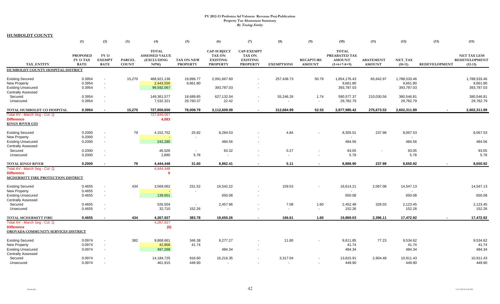|                                                                                           | (1)                                         | (2)                                                  | (3)                           | (4)                                                        | (5)                                  | (6)                                                                       | (7)                                                                      | (8)                                  | (9)                               | (10)                                                            | (11)                              | (12)                                   | (13)                 | (15)                                                     |
|-------------------------------------------------------------------------------------------|---------------------------------------------|------------------------------------------------------|-------------------------------|------------------------------------------------------------|--------------------------------------|---------------------------------------------------------------------------|--------------------------------------------------------------------------|--------------------------------------|-----------------------------------|-----------------------------------------------------------------|-----------------------------------|----------------------------------------|----------------------|----------------------------------------------------------|
| <b>TAX ENTITY</b>                                                                         | <b>PROPOSED</b><br>FY 13 TAX<br><b>RATE</b> | <b>FY13</b><br><b>EXEMPT</b><br><b>RATE</b>          | <b>PARCEL</b><br><b>COUNT</b> | <b>TOTAL</b><br><b>ASSESSED VALUE</b><br>(EXCLUDING<br>NPM | <b>TAX ON NEW</b><br><b>PROPERTY</b> | <b>CAP-SUBJECT</b><br><b>TAX ON</b><br><b>EXISTING</b><br><b>PROPERTY</b> | <b>CAP-EXEMPT</b><br><b>TAX ON</b><br><b>EXISTING</b><br><b>PROPERTY</b> | <b>EXEMPTIONS</b>                    | <b>RECAPTURE</b><br><b>AMOUNT</b> | <b>TOTAL</b><br>PREABATED TAX<br><b>AMOUNT</b><br>$(5+6+7-8+9)$ | <b>ABATEMENT</b><br><b>AMOUNT</b> | NET_TAX<br>$(10-11)$                   | <b>REDEVELOPMENT</b> | <b>NET TAX LESS</b><br><b>REDEVELOPMENT</b><br>$(12-13)$ |
| HUMBOLDT COUNTY HOSPITAL DISTRICT                                                         |                                             |                                                      |                               |                                                            |                                      |                                                                           |                                                                          |                                      |                                   |                                                                 |                                   |                                        |                      |                                                          |
| <b>Existing Secured</b><br>New Property<br><b>Existing Unsecured</b>                      | 0.3954<br>0.3954<br>0.3954                  | $\overline{\phantom{a}}$<br>$\overline{\phantom{a}}$ | 15,270                        | 468,921,136<br>2,443,550<br>99,592,067                     | 19,896.77<br>9,661.80                | 2,091,667.60<br>393,787.03                                                |                                                                          | 257,438.73                           | 50.79                             | 1,854,176.43<br>9,661.80<br>393,787.03                          | 65,642.97                         | 1,788,533.46<br>9,661.80<br>393,787.03 |                      | 1,788,533.46<br>9,661.80<br>393,787.03                   |
| <b>Centrally Assessed</b><br>Secured<br>Unsecured                                         | 0.3954<br>0.3954                            |                                                      |                               | 149,361,577<br>7,532,321                                   | 18,689.85<br>29,760.37               | 627,132.04<br>22.42                                                       |                                                                          | 55,246.26                            | 1.74<br>$\sim$                    | 590,577.37<br>29,782.79                                         | 210,030.56                        | 380,546.81<br>29,782.79                |                      | 380,546.81<br>29,782.79                                  |
| TOTAL HUMBOLDT CO HOSPITAL                                                                | 0.3954                                      |                                                      | 15,270                        | 727,850,650                                                | 78,008.79                            | 3,112,609.09                                                              | $\sim$                                                                   | 312,684.99                           | 52.53                             | 2,877,985.42                                                    | 275,673.53                        | 2,602,311.89                           | $\sim$               | 2,602,311.89                                             |
| Total AV - March Seg - Col. Q<br><b>Difference</b><br><b>KINGS RIVER GID</b>              |                                             |                                                      |                               | 727,846,567<br>4,083                                       |                                      |                                                                           |                                                                          |                                      |                                   |                                                                 |                                   |                                        |                      |                                                          |
| <b>Existing Secured</b><br>New Property                                                   | 0.2000<br>0.2000                            | $\overline{\phantom{a}}$                             | 79                            | 4,152,752                                                  | 25.82<br>$\overline{\phantom{a}}$    | 8,284.53                                                                  |                                                                          | 4.84                                 |                                   | 8,305.51<br>$\sim$                                              | 237.98                            | 8,067.53                               |                      | 8,067.53                                                 |
| <b>Existing Unsecured</b><br><b>Centrally Assessed</b>                                    | 0.2000                                      | $\overline{\phantom{a}}$                             |                               | 242,280                                                    |                                      | 484.56                                                                    |                                                                          |                                      |                                   | 484.56                                                          |                                   | 484.56                                 |                      | 484.56                                                   |
| Secured<br>Unsecured                                                                      | 0.2000<br>0.2000                            | $\overline{\phantom{a}}$                             |                               | 46,526<br>2,890                                            | $\overline{\phantom{a}}$<br>5.78     | 93.32                                                                     |                                                                          | 0.27<br>$\overline{\phantom{a}}$     |                                   | 93.05<br>5.78                                                   |                                   | 93.05<br>5.78                          |                      | 93.05<br>5.78                                            |
| <b>TOTAL KINGS RIVER</b>                                                                  | 0.2000                                      |                                                      | 79                            | 4,444,448                                                  | 31.60                                | 8.862.41                                                                  |                                                                          | 5.11                                 |                                   | 8.888.90                                                        | 237.98                            | 8.650.92                               |                      | 8,650.92                                                 |
| Total AV - March Seg - Col. Q<br><b>Difference</b><br>MCDERMITT FIRE PROTECTION DISTRICT  |                                             |                                                      |                               | 4,444,448<br>$\Omega$                                      |                                      |                                                                           |                                                                          |                                      |                                   |                                                                 |                                   |                                        |                      |                                                          |
| <b>Existing Secured</b><br><b>New Property</b>                                            | 0.4655<br>0.4655                            | $\overline{\phantom{a}}$                             | 434                           | 3,569,062                                                  | 231.52                               | 16,542.22                                                                 |                                                                          | 159.53                               |                                   | 16,614.21                                                       | 2,067.08                          | 14,547.13                              |                      | 14,547.13                                                |
| <b>Existing Unsecured</b><br><b>Centrally Assessed</b>                                    | 0.4655                                      | $\overline{\phantom{a}}$                             |                               | 139,651                                                    |                                      | 650.08                                                                    |                                                                          |                                      |                                   | 650.08                                                          |                                   | 650.08                                 |                      | 650.08                                                   |
| Secured<br>Unsecured                                                                      | 0.4655<br>0.4655                            |                                                      |                               | 526,504<br>32,710                                          | $\sim$<br>152.26                     | 2,457.96                                                                  |                                                                          | 7.08<br>$\overline{\phantom{a}}$     | 1.60<br>$\sim$                    | 2,452.48<br>152.26                                              | 329.03                            | 2,123.45<br>152.26                     |                      | 2,123.45<br>152.26                                       |
| <b>TOTAL MCDERMITT FIRE</b>                                                               | 0.4655                                      |                                                      | 434                           | 4,267,927                                                  | 383.78                               | 19,650.26                                                                 |                                                                          | 166.61                               | 1.60                              | 19,869.03                                                       | 2,396.11                          | 17,472.92                              |                      | 17,472.92                                                |
| Total AV - March Seg - Col. Q<br><b>Difference</b><br>OROVADA COMMUNITY SERVICES DISTRICT |                                             |                                                      |                               | 4,267,927<br>(0)                                           |                                      |                                                                           |                                                                          |                                      |                                   |                                                                 |                                   |                                        |                      |                                                          |
| <b>Existing Secured</b><br><b>New Property</b><br><b>Existing Unsecured</b>               | 0.0974<br>0.0974<br>0.0974                  | $\overline{\phantom{a}}$<br>$\overline{\phantom{a}}$ | 382                           | 9,868,661<br>42,858<br>497,268                             | 346.38<br>41.74                      | 9,277.27<br>484.34                                                        |                                                                          | 11.80                                |                                   | 9,611.85<br>41.74<br>484.34                                     | 77.23                             | 9,534.62<br>41.74<br>484.34            |                      | 9,534.62<br>41.74<br>484.34                              |
| <b>Centrally Assessed</b><br>Secured<br>Unsecured                                         | 0.0974<br>0.0974                            |                                                      |                               | 14,184,725<br>461,915                                      | 916.60<br>449.90                     | 16,216.35<br>$\overline{\phantom{a}}$                                     |                                                                          | 3,317.04<br>$\overline{\phantom{0}}$ |                                   | 13,815.91<br>449.90                                             | 2,904.48                          | 10,911.43<br>449.90                    |                      | 10,911.43<br>449.90                                      |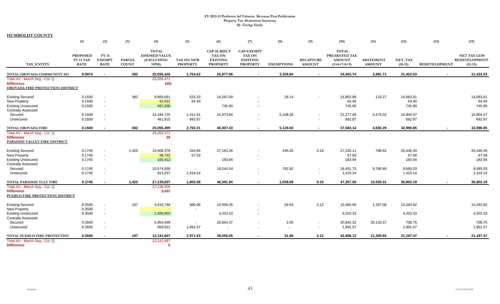|                                                    | (1)                                                | (2)                                          | (3)                           | (4)                                                        | (5)                                  | (6)                                                                       | (7)                                                                      | (8)                      | (9)                               | (10)                                                            | (11)                              | (12)                 | (13)                 | (15)                                                     |
|----------------------------------------------------|----------------------------------------------------|----------------------------------------------|-------------------------------|------------------------------------------------------------|--------------------------------------|---------------------------------------------------------------------------|--------------------------------------------------------------------------|--------------------------|-----------------------------------|-----------------------------------------------------------------|-----------------------------------|----------------------|----------------------|----------------------------------------------------------|
| TAX_ENTITY                                         | <b>PROPOSED</b><br><b>FY 13 TAX</b><br><b>RATE</b> | <b>FY 13</b><br><b>EXEMPT</b><br><b>RATE</b> | <b>PARCEL</b><br><b>COUNT</b> | <b>TOTAL</b><br><b>ASSESSED VALUE</b><br>(EXCLUDING<br>NPM | <b>TAX ON NEW</b><br><b>PROPERTY</b> | <b>CAP-SUBJECT</b><br><b>TAX ON</b><br><b>EXISTING</b><br><b>PROPERTY</b> | <b>CAP-EXEMPT</b><br><b>TAX ON</b><br><b>EXISTING</b><br><b>PROPERTY</b> | <b>EXEMPTIONS</b>        | <b>RECAPTURE</b><br><b>AMOUNT</b> | <b>TOTAL</b><br>PREABATED TAX<br><b>AMOUNT</b><br>$(5+6+7-8+9)$ | <b>ABATEMENT</b><br><b>AMOUNT</b> | NET TAX<br>$(10-11)$ | <b>REDEVELOPMENT</b> | <b>NET TAX LESS</b><br><b>REDEVELOPMENT</b><br>$(12-13)$ |
| TOTAL OROVADA COMMUNITY SEI                        | 0.0974                                             | $\sim$                                       | 382                           | 25,055,426                                                 | 1,754.62                             | 25,977.96                                                                 |                                                                          | 3,328.84                 | $\sim$                            | 24,403.74                                                       | 2,981.71                          | 21,422.03            |                      | 21,422.03                                                |
| Total AV - March Seg - Col. Q                      |                                                    |                                              |                               | 25,055,471                                                 |                                      |                                                                           |                                                                          |                          |                                   |                                                                 |                                   |                      |                      |                                                          |
| <b>Difference</b>                                  |                                                    |                                              |                               | (45)                                                       |                                      |                                                                           |                                                                          |                          |                                   |                                                                 |                                   |                      |                      |                                                          |
| OROVADA FIRE PROTECTION DISTRICT                   |                                                    |                                              |                               |                                                            |                                      |                                                                           |                                                                          |                          |                                   |                                                                 |                                   |                      |                      |                                                          |
| <b>Existing Secured</b>                            | 0.1500                                             | $\overline{\phantom{a}}$                     | 382                           | 9,868,661                                                  | 533.33                               | 14,287.69                                                                 |                                                                          | 18.14                    |                                   | 14,802.88                                                       | 119.27                            | 14,683.61            |                      | 14,683.61                                                |
| <b>New Property</b>                                | 0.1500                                             | $\overline{\phantom{a}}$                     |                               | 42,931                                                     | 64.40                                |                                                                           |                                                                          |                          |                                   | 64.40                                                           |                                   | 64.40                |                      | 64.40                                                    |
| <b>Existing Unsecured</b>                          | 0.1500                                             | $\overline{\phantom{a}}$                     |                               | 497,268                                                    |                                      | 745.90                                                                    |                                                                          |                          |                                   | 745.90                                                          |                                   | 745.90               |                      | 745.90                                                   |
| <b>Centrally Assessed</b>                          |                                                    |                                              |                               |                                                            |                                      |                                                                           |                                                                          |                          |                                   |                                                                 |                                   |                      |                      |                                                          |
| Secured                                            | 0.1500                                             | $\overline{\phantom{a}}$                     |                               | 14, 184, 725                                               | 1,411.61                             | 24,973.84                                                                 |                                                                          | 5,108.36                 | $\overline{\phantom{a}}$          | 21,277.09                                                       | 4,473.02                          | 16,804.07            |                      | 16,804.07                                                |
| Unsecured                                          | 0.1500                                             | $\overline{\phantom{a}}$                     |                               | 461,915                                                    | 692.87                               |                                                                           |                                                                          | $\blacksquare$           |                                   | 692.87                                                          |                                   | 692.87               |                      | 692.87                                                   |
| <b>TOTAL OROVADA FIRE</b>                          | 0.1500                                             |                                              | 382                           | 25,055,499                                                 | 2,702.21                             | 40,007.43                                                                 |                                                                          | 5,126.50                 | $\sim$                            | 37,583.14                                                       | 4,592.29                          | 32,990.85            |                      | 32,990.85                                                |
| Total AV - March Seg - Col. Q                      |                                                    |                                              |                               | 25,055,471                                                 |                                      |                                                                           |                                                                          |                          |                                   |                                                                 |                                   |                      |                      |                                                          |
| <b>Difference</b>                                  |                                                    |                                              |                               | 28                                                         |                                      |                                                                           |                                                                          |                          |                                   |                                                                 |                                   |                      |                      |                                                          |
| PARADISE VALLEY FIRE DISTRICT                      |                                                    |                                              |                               |                                                            |                                      |                                                                           |                                                                          |                          |                                   |                                                                 |                                   |                      |                      |                                                          |
| <b>Existing Secured</b>                            | 0.1745                                             | $\overline{\phantom{a}}$                     | 1,425                         | 15,608,378                                                 | 316.85                               | 27,163.36                                                                 |                                                                          | 245.26                   | 0.16                              | 27,235.11                                                       | 788.62                            | 26,446.49            |                      | 26,446.49                                                |
| <b>New Property</b>                                | 0.1745                                             | $\blacksquare$                               |                               | 38,732                                                     | 67.59                                |                                                                           |                                                                          |                          |                                   | 67.59                                                           |                                   | 67.59                |                      | 67.59                                                    |
| <b>Existing Unsecured</b>                          | 0.1745                                             | $\overline{\phantom{a}}$                     |                               | 105,412                                                    |                                      | 183.94                                                                    |                                                                          |                          |                                   | 183.94                                                          |                                   | 183.94               |                      | 183.94                                                   |
| <b>Centrally Assessed</b>                          |                                                    |                                              |                               |                                                            |                                      |                                                                           |                                                                          |                          |                                   |                                                                 |                                   |                      |                      |                                                          |
| Secured                                            | 0.1745                                             | $\overline{\phantom{a}}$                     |                               | 10,574,058                                                 | $\sim$                               | 19,244.54                                                                 |                                                                          | 792.82                   | $\overline{\phantom{a}}$          | 18,451.72                                                       | 9,766.69                          | 8,685.03             |                      | 8,685.03                                                 |
| Unsecured                                          | 0.1745                                             | $\overline{\phantom{a}}$                     |                               | 813,257                                                    | 1,419.14                             |                                                                           |                                                                          | $\overline{\phantom{a}}$ | $\overline{\phantom{a}}$          | 1,419.14                                                        |                                   | 1,419.14             |                      | 1,419.14                                                 |
| TOTAL PARADISE VLLY FIRE                           | 0.1745                                             | $\sim$                                       | 1,425                         | 27,139,837                                                 | 1,803.58                             | 46,591.84                                                                 |                                                                          | 1,038.08                 | 0.16                              | 47,357.50                                                       | 10,555.31                         | 36,802.19            | $\sim$               | 36,802.19                                                |
| Total AV - March Seq - Col. Q                      |                                                    |                                              |                               | 27,136,406                                                 |                                      |                                                                           |                                                                          |                          |                                   |                                                                 |                                   |                      |                      |                                                          |
| <b>Difference</b>                                  |                                                    |                                              |                               | 3,431                                                      |                                      |                                                                           |                                                                          |                          |                                   |                                                                 |                                   |                      |                      |                                                          |
| PUEBLO FIRE PROTECTION DISTRICT                    |                                                    |                                              |                               |                                                            |                                      |                                                                           |                                                                          |                          |                                   |                                                                 |                                   |                      |                      |                                                          |
| <b>Existing Secured</b>                            | 0.3500                                             | $\overline{\phantom{a}}$                     | 197                           | 4,416,748                                                  | 980.06                               | 14,508.35                                                                 |                                                                          | 29.63                    | 2.12                              | 15,460.90                                                       | 1,167.08                          | 14,293.82            |                      | 14,293.82                                                |
| <b>New Property</b>                                | 0.3500                                             | $\overline{\phantom{a}}$                     |                               |                                                            |                                      |                                                                           |                                                                          |                          |                                   |                                                                 |                                   |                      |                      |                                                          |
| <b>Existing Unsecured</b>                          | 0.3500                                             | $\overline{\phantom{a}}$                     |                               | 1,200,950                                                  |                                      | 4,203.33                                                                  | $\overline{\phantom{a}}$                                                 |                          |                                   | 4,203.33                                                        |                                   | 4,203.33             |                      | 4,203.33                                                 |
| <b>Centrally Assessed</b>                          |                                                    |                                              |                               |                                                            |                                      |                                                                           |                                                                          |                          |                                   |                                                                 |                                   |                      |                      |                                                          |
| Secured                                            | 0.3500                                             | $\overline{\phantom{a}}$                     |                               | 5,954,948                                                  | $\overline{\phantom{a}}$             | 20,844.37                                                                 |                                                                          | 2.05                     | $\overline{\phantom{a}}$          | 20,842.32                                                       | 20,133.57                         | 708.75               |                      | 708.75                                                   |
| Unsecured                                          | 0.3500                                             | $\overline{\phantom{a}}$                     |                               | 569,021                                                    | 1,991.57                             |                                                                           | $\overline{\phantom{a}}$                                                 | $\overline{\phantom{a}}$ | $\overline{\phantom{a}}$          | 1,991.57                                                        |                                   | 1,991.57             |                      | 1,991.57                                                 |
| TOTAL PUEBLO FIRE PROTECTION                       | 0.3500                                             | $\sim$                                       | 197                           | 12,141,667                                                 | 2,971.63                             | 39,556.05                                                                 |                                                                          | 31.68                    | 2.12                              | 42,498.12                                                       | 21,300.65                         | 21,197.47            | $\sim$               | 21,197.47                                                |
| Total AV - March Seg - Col. Q<br><b>Difference</b> |                                                    |                                              |                               | 12,141,667<br>$\mathbf{0}$                                 |                                      |                                                                           |                                                                          |                          |                                   |                                                                 |                                   |                      |                      |                                                          |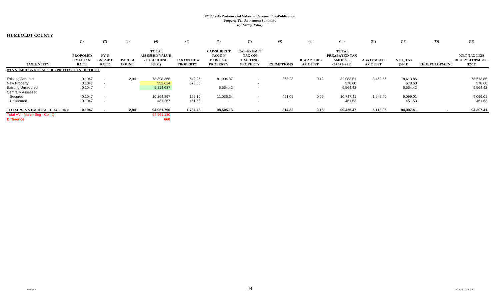|                                                                                                          | (1)                                                | (2)                                                                              | (3)                           | (4)                                                               | (5)                                  | (6)                                                                       | (7)                                                                      | (8)               | (9)                               | (10)                                                            | (11)                              | (12)                            | (13)          | (15)                                                     |
|----------------------------------------------------------------------------------------------------------|----------------------------------------------------|----------------------------------------------------------------------------------|-------------------------------|-------------------------------------------------------------------|--------------------------------------|---------------------------------------------------------------------------|--------------------------------------------------------------------------|-------------------|-----------------------------------|-----------------------------------------------------------------|-----------------------------------|---------------------------------|---------------|----------------------------------------------------------|
| TAX ENTITY                                                                                               | <b>PROPOSED</b><br><b>FY 13 TAX</b><br><b>RATE</b> | <b>FY13</b><br><b>EXEMPT</b><br><b>RATE</b>                                      | <b>PARCEL</b><br><b>COUNT</b> | <b>TOTAL</b><br><b>ASSESSED VALUE</b><br><b>(EXCLUDING</b><br>NPM | <b>TAX ON NEW</b><br><b>PROPERTY</b> | <b>CAP-SUBJECT</b><br><b>TAX ON</b><br><b>EXISTING</b><br><b>PROPERTY</b> | <b>CAP-EXEMPT</b><br><b>TAX ON</b><br><b>EXISTING</b><br><b>PROPERTY</b> | <b>EXEMPTIONS</b> | <b>RECAPTURE</b><br><b>AMOUNT</b> | <b>TOTAL</b><br>PREABATED TAX<br><b>AMOUNT</b><br>$(5+6+7-8+9)$ | <b>ABATEMENT</b><br><b>AMOUNT</b> | NET_TAX<br>$(10-11)$            | REDEVELOPMENT | <b>NET TAX LESS</b><br><b>REDEVELOPMENT</b><br>$(12-13)$ |
| WINNEMUCCA RURAL FIRE PROTECTION DISTRICT                                                                |                                                    |                                                                                  |                               |                                                                   |                                      |                                                                           |                                                                          |                   |                                   |                                                                 |                                   |                                 |               |                                                          |
| <b>Existing Secured</b><br><b>New Property</b><br><b>Existing Unsecured</b><br><b>Centrally Assessed</b> | 0.1047<br>0.1047<br>0.1047                         | $\overline{\phantom{a}}$<br>$\overline{\phantom{a}}$<br>$\overline{\phantom{0}}$ | 2,941                         | 78,398,365<br>552,624<br>5,314,637                                | 542.25<br>578.60                     | 81,904.37<br>5,564.42                                                     |                                                                          | 363.23            | 0.12                              | 82,083.51<br>578.60<br>5,564.42                                 | 3,469.66                          | 78,613.85<br>578.60<br>5,564.42 |               | 78,613.85<br>578.60<br>5,564.42                          |
| Secured<br>Unsecured                                                                                     | 0.1047<br>0.1047                                   | $\overline{\phantom{a}}$<br>$\overline{\phantom{a}}$                             |                               | 10,264,897<br>431,267                                             | 162.10<br>451.53                     | 11,036.34<br>$\overline{\phantom{a}}$                                     | $\sim$                                                                   | 451.09<br>$\sim$  | 0.06<br>$\overline{\phantom{a}}$  | 10,747.41<br>451.53                                             | 1,648.40                          | 9,099.01<br>451.53              |               | 9,099.01<br>451.53                                       |
| TOTAL WINNEMUCCA RURAL FIRE                                                                              | 0.1047                                             |                                                                                  | 2,941                         | 94,961,790                                                        | 1,734.48                             | 98,505.13                                                                 |                                                                          | 814.32            | 0.18                              | 99,425.47                                                       | 5,118.06                          | 94,307.41                       |               | 94,307.41                                                |
| Total AV - March Seg - Col. Q<br><b>Difference</b>                                                       |                                                    |                                                                                  |                               | 94,961,130<br>660                                                 |                                      |                                                                           |                                                                          |                   |                                   |                                                                 |                                   |                                 |               |                                                          |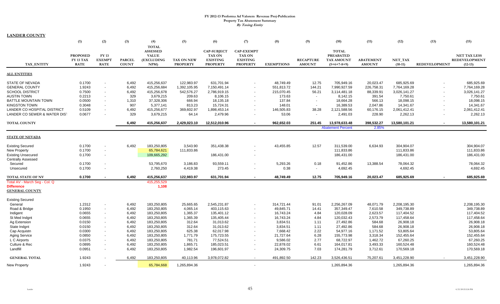**LANDER COUNTY**

|                               | (1)             | (2)            | (3)           | (4)                             | (5)               | (6)                | (7)                      | (8)               | (9)                      | (10)                     | (11)             | (12)          | (13)                     | (15)                 |
|-------------------------------|-----------------|----------------|---------------|---------------------------------|-------------------|--------------------|--------------------------|-------------------|--------------------------|--------------------------|------------------|---------------|--------------------------|----------------------|
|                               |                 |                |               | <b>TOTAL</b><br><b>ASSESSED</b> |                   | <b>CAP-SUBJECT</b> | <b>CAP-EXEMPT</b>        |                   |                          | <b>TOTAL</b>             |                  |               |                          |                      |
|                               | <b>PROPOSED</b> | <b>FY 13</b>   |               | <b>VALUE</b>                    |                   | <b>TAX ON</b>      | <b>TAX ON</b>            |                   |                          | <b>PREABATED</b>         |                  |               |                          | <b>NET TAX LESS</b>  |
|                               | FY 13 TAX       | <b>EXEMPT</b>  | <b>PARCEL</b> | (EXCLUDING                      | <b>TAX ON NEW</b> | <b>EXISTING</b>    | <b>EXISTING</b>          |                   | <b>RECAPTURE</b>         | <b>TAX AMOUNT</b>        | <b>ABATEMENT</b> | NET TAX       |                          | <b>REDEVELOPMENT</b> |
| TAX ENTITY                    | <b>RATE</b>     | <b>RATE</b>    | <b>COUNT</b>  | NPM                             | <b>PROPERTY</b>   | <b>PROPERTY</b>    | <b>PROPERTY</b>          | <b>EXEMPTIONS</b> | <b>AMOUNT</b>            | $(5+6+7-8+9)$            | <b>AMOUNT</b>    | $(10-11)$     | <b>REDEVELOPMENT</b>     | $(12-13)$            |
| <b>ALL ENTITIES</b>           |                 |                |               |                                 |                   |                    |                          |                   |                          |                          |                  |               |                          |                      |
| STATE OF NEVADA               | 0.1700          | $\sim$         | 6,492         | 415,256,637                     | 122,983.97        | 631,701.94         |                          | 48,749.49         | 12.75                    | 705,949.16               | 20,023.47        | 685,925.69    |                          | 685,925.69           |
| <b>GENERAL COUNTY</b>         | 1.9243          | $\sim$         | 6,492         | 415,256,684                     | 1,392,105.95      | 7,150,491.14       |                          | 551,813.72        | 144.21                   | 7,990,927.59             | 226,758.31       | 7,764,169.28  |                          | 7,764,169.28         |
| <b>SCHOOL DISTRICT</b>        | 0.7500          | $\sim$         | 6,492         | 415,256,678                     | 542,576.27        | 2,786,919.15       |                          | 215,070.45        | 56.21                    | 3,114,481.18             | 88,339.91        | 3.026.141.27  | $\overline{\phantom{a}}$ | 3,026,141.27         |
| <b>AUSTIN TOWN</b>            | 0.2213          | $\sim$         | 329           | 3,679,215                       | 209.63            | 8,106.15           | $\overline{a}$           | 173.63            | $\overline{\phantom{a}}$ | 8,142.15                 | 391.54           | 7,750.61      |                          | 7,750.61             |
| <b>BATTLE MOUNTAIN TOWN</b>   | 0.0500          | $\sim$         | 1,310         | 37,328,306                      | 666.94            | 18,135.18          |                          | 137.84            | $\overline{\phantom{a}}$ | 18,664.28                | 566.13           | 18,098.15     | $\overline{\phantom{a}}$ | 18,098.15            |
| <b>KINGSTON TOWN</b>          | 0.3048          | $\sim$         | 907           | 5,377,141                       | 813.23            | 15,724.31          |                          | 148.01            | $\overline{\phantom{a}}$ | 16,389.53                | 2.047.86         | 14,341.67     |                          | 14,341.67            |
| LANDER CO HOSPITAL DISTRICT   | 0.5109          |                | 6,492         | 415,256,677                     | 369,602.97        | 1,898,453.14       |                          | 146,505.83        | 38.28                    | 2,121,588.56             | 60,176.15        | 2,061,412.41  | $\sim$                   | 2,061,412.41         |
| LANDER CO SEWER & WATER DIST  | 0.0677          |                | 329           | 3,679,215                       | 64.14             | 2,479.96           |                          | 53.06             | $\sim$                   | 2,491.03                 | 228.90           | 2,262.13      |                          | 2,262.13             |
| <b>TOTAL COUNTY</b>           |                 |                | 6.492         | 415,256,637                     | 2.429.023.10      | 12,512,010.96      | $\sim$                   | 962,652.03        | 251.45                   | 13,978,633.48            | 398,532.27       | 13,580,101.21 | $\sim$                   | 13,580,101.21        |
|                               |                 |                |               |                                 |                   |                    |                          |                   |                          | <b>Abatement Percent</b> | 2.85%            |               |                          |                      |
| <b>STATE OF NEVADA</b>        |                 |                |               |                                 |                   |                    |                          |                   |                          |                          |                  |               |                          |                      |
| <b>Existing Secured</b>       | 0.1700          |                | 6,492         | 183,250,805                     | 3,543.90          | 351,438.38         |                          | 43,455.85         | 12.57                    | 311,539.00               | 6,634.93         | 304,904.07    |                          | 304,904.07           |
| <b>New Property</b>           | 0.1700          | $\sim$         |               | 65,784,621                      | 111,833.86        |                    |                          |                   |                          | 111,833.86               |                  | 111,833.86    |                          | 111,833.86           |
| <b>Existing Unsecured</b>     | 0.1700          | $\sim$         |               | 109,665,292                     |                   | 186,431.00         |                          |                   |                          | 186,431.00               |                  | 186,431.00    |                          | 186,431.00           |
| <b>Centrally Assessed</b>     |                 |                |               |                                 |                   |                    |                          |                   |                          |                          |                  |               |                          |                      |
| Secured                       | 0.1700          |                |               | 53,795,670                      | 3,186.83          | 93,559.11          |                          | 5,293.26          | 0.18                     | 91,452.86                | 13,388.54        | 78,064.32     |                          | 78,064.32            |
| Unsecured                     | 0.1700          |                |               | 2,760,250                       | 4,419.38          | 273.45             |                          | 0.38              | $\overline{\phantom{a}}$ | 4,692.45                 |                  | 4,692.45      |                          | 4,692.45             |
| <b>TOTAL STATE OF NV</b>      | 0.1700          |                | 6.492         | 415,256,637                     | 122,983.97        | 631,701.94         |                          | 48.749.49         | 12.75                    | 705,949.16               | 20.023.47        | 685,925.69    |                          | 685,925.69           |
| Total AV - March Seg - Col. Q |                 |                |               | 415,255,529                     |                   |                    |                          |                   |                          |                          |                  |               |                          |                      |
| <b>Difference</b>             |                 |                |               | 1,108                           |                   |                    |                          |                   |                          |                          |                  |               |                          |                      |
| <b>GENERAL COUNTY</b>         |                 |                |               |                                 |                   |                    |                          |                   |                          |                          |                  |               |                          |                      |
| <b>Existing Secured</b>       |                 |                |               |                                 |                   |                    |                          |                   |                          |                          |                  |               |                          |                      |
| General                       | 1.2312          | $\sim$         | 6,492         | 183,250,805                     | 25,665.65         | 2,545,231.87       |                          | 314,721.44        | 91.01                    | 2,256,267.09             | 48,071.79        | 2,208,195.30  |                          | 2,208,195.30         |
| Road & Bridge                 | 0.1950          | $\sim$         | 6,492         | 183,250,805                     | 4,065.14          | 403,115.63         | $\overline{\phantom{a}}$ | 49,845.71         | 14.41                    | 357,349.47               | 7,610.58         | 349,738.89    |                          | 349,738.89           |
| Indigent                      | 0.0655          | $\sim$         | 6,492         | 183,250,805                     | 1,365.37          | 135,401.12         |                          | 16,743.24         | 4.84                     | 120,028.09               | 2,623.57         | 117,404.52    |                          | 117,404.52           |
| St Med Indant                 | 0.0655          | $\sim$         | 6,492         | 183,250,805                     | 1,365.39          | 135,405.44         |                          | 16,743.24         | 4.84                     | 120,032.43               | 2,573.79         | 117,458.64    |                          | 117,458.64           |
| Ag Extension                  | 0.0150          | $\sim$         | 6,492         | 183,250,805                     | 312.64            | 31,013.62          |                          | 3,834.51          | 1.11                     | 27,492.86                | 584.68           | 26,908.18     |                          | 26,908.18            |
| State Indgnt                  | 0.0150          | $\sim$         | 6,492         | 183,250,805                     | 312.64            | 31,013.62          |                          | 3,834.51          | 1.11                     | 27,492.86                | 584.68           | 26,908.18     |                          | 26,908.18            |
| Cap Acquistn                  | 0.0300          | $\sim$         | 6,492         | 183,250,805                     | 625.38            | 62,017.98          |                          | 7,668.42          | 2.22                     | 54,977.16                | 1,171.52         | 53,805.64     |                          | 53,805.64            |
| <b>Aging Service</b>          | 0.0850          | $\overline{a}$ | 6,492         | 183,250,805                     | 1,771.79          | 175,723.55         |                          | 21,727.64         | 6.28                     | 155,773.98               | 3,318.34         | 152,455.64    |                          | 152,455.64           |
| L C Airports                  | 0.0375          | $\sim$         | 6,492         | 183,250,805                     | 781.71            | 77,524.51          |                          | 9,586.02          | 2.77                     | 68,722.97                | 1,462.72         | 67,260.25     |                          | 67,260.25            |
| Culture & Rec                 | 0.0895          |                | 6,492         | 183,250,805                     | 1,865.71          | 185,023.51         |                          | 22,878.02         | 6.61                     | 164,017.81               | 3,493.33         | 160,524.48    |                          | 160,524.48           |
| Landfill                      | 0.0951          | $\sim$         | 6,492         | 183,250,805                     | 1,982.54          | 196,601.97         | $\overline{\phantom{a}}$ | 24,309.75         | 7.03                     | 174,281.79               | 3,712.61         | 170,569.18    |                          | 170,569.18           |
| <b>GENERAL TOTAL</b>          | 1.9243          |                | 6,492         | 183,250,805                     | 40,113.96         | 3,978,072.82       |                          | 491,892.50        | 142.23                   | 3,526,436.51             | 75,207.61        | 3,451,228.90  |                          | 3,451,228.90         |
| New Property                  | 1.9243          |                |               | 65,784,668                      | 1,265,894.36      |                    | $\sim$                   |                   |                          | 1,265,894.36             |                  | 1,265,894.36  |                          | 1,265,894.36         |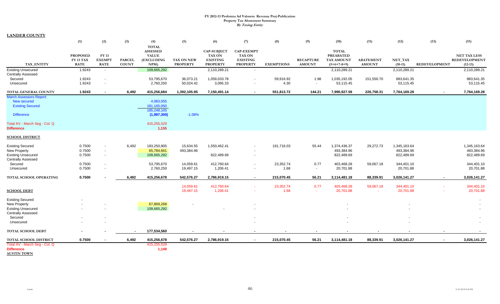|                                                                          | (1)                                                | (2)                                                  | (3)                           | (4)                                                                   | (5)                           | (6)                                                                       | (7)                                                                      | (8)               | (9)                               | (10)                                                            | (11)                              | (12)                    | (13)          | (15)                                                     |
|--------------------------------------------------------------------------|----------------------------------------------------|------------------------------------------------------|-------------------------------|-----------------------------------------------------------------------|-------------------------------|---------------------------------------------------------------------------|--------------------------------------------------------------------------|-------------------|-----------------------------------|-----------------------------------------------------------------|-----------------------------------|-------------------------|---------------|----------------------------------------------------------|
| TAX_ENTITY                                                               | <b>PROPOSED</b><br><b>FY 13 TAX</b><br><b>RATE</b> | <b>FY 13</b><br><b>EXEMPT</b><br><b>RATE</b>         | <b>PARCEL</b><br><b>COUNT</b> | <b>TOTAL</b><br><b>ASSESSED</b><br><b>VALUE</b><br>(EXCLUDING<br>NPM) | TAX ON NEW<br><b>PROPERTY</b> | <b>CAP-SUBJECT</b><br><b>TAX ON</b><br><b>EXISTING</b><br><b>PROPERTY</b> | <b>CAP-EXEMPT</b><br><b>TAX ON</b><br><b>EXISTING</b><br><b>PROPERTY</b> | <b>EXEMPTIONS</b> | <b>RECAPTURE</b><br><b>AMOUNT</b> | <b>TOTAL</b><br><b>PREABATED</b><br>TAX AMOUNT<br>$(5+6+7-8+9)$ | <b>ABATEMENT</b><br><b>AMOUNT</b> | NET_TAX<br>$(10-11)$    | REDEVELOPMENT | <b>NET TAX LESS</b><br><b>REDEVELOPMENT</b><br>$(12-13)$ |
| <b>Existing Unsecured</b>                                                | 1.9243                                             | $\sim$                                               |                               | 109,665,292                                                           |                               | 2,110,289.21                                                              | $\sim$                                                                   |                   |                                   | 2,110,289.21                                                    |                                   | 2,110,289.21            |               | 2,110,289.21                                             |
| <b>Centrally Assessed</b>                                                |                                                    |                                                      |                               |                                                                       |                               |                                                                           |                                                                          |                   |                                   |                                                                 |                                   |                         |               |                                                          |
| Secured                                                                  | 1.9243                                             | $\overline{\phantom{a}}$                             |                               | 53,795,670                                                            | 36,073.21                     | 1,059,033.78                                                              | $\overline{\phantom{a}}$                                                 | 59,916.92         | 1.98                              | 1,035,192.05                                                    | 151,550.70                        | 883,641.35              |               | 883,641.35                                               |
| Unsecured                                                                | 1.9243                                             | $\overline{\phantom{a}}$                             |                               | 2,760,250                                                             | 50,024.42                     | 3,095.33                                                                  | $\overline{\phantom{a}}$                                                 | 4.30              | $\overline{\phantom{a}}$          | 53,115.45                                                       |                                   | 53,115.45               |               | 53,115.45                                                |
| TOTAL GENERAL COUNTY                                                     | 1.9243                                             | $\sim$                                               | 6.492                         | 415,256,684                                                           | 1,392,105.95                  | 7,150,491.14                                                              | $\sim$                                                                   | 551,813.72        | 144.21                            | 7,990,927.59                                                    | 226,758.31                        | 7,764,169.28            |               | 7,764,169.28                                             |
| <b>March Assessors Report:</b><br>New secured<br><b>Existing Secured</b> |                                                    |                                                      |                               | 4,083,055<br>181.165.050<br>185,248,105                               |                               |                                                                           |                                                                          |                   |                                   |                                                                 |                                   |                         |               |                                                          |
| <b>Difference</b>                                                        |                                                    |                                                      |                               | (1,997,300)                                                           | $-1.08%$                      |                                                                           |                                                                          |                   |                                   |                                                                 |                                   |                         |               |                                                          |
| Total AV - March Seg - Col. Q<br><b>Difference</b>                       |                                                    |                                                      |                               | 415,255,529<br>1,155                                                  |                               |                                                                           |                                                                          |                   |                                   |                                                                 |                                   |                         |               |                                                          |
| <b>SCHOOL DISTRICT</b>                                                   |                                                    |                                                      |                               |                                                                       |                               |                                                                           |                                                                          |                   |                                   |                                                                 |                                   |                         |               |                                                          |
| <b>Existing Secured</b>                                                  | 0.7500                                             |                                                      | 6,492                         | 183,250,805                                                           | 15,634.55                     | 1,550,462.41                                                              |                                                                          | 191,716.03        | 55.44                             | 1,374,436.37                                                    | 29,272.73                         | 1,345,163.64            |               | 1,345,163.64                                             |
| New Property                                                             | 0.7500                                             | $\overline{\phantom{a}}$                             |                               | 65,784,661                                                            | 493,384.96                    |                                                                           |                                                                          |                   |                                   | 493,384.96                                                      |                                   | 493,384.96              |               | 493,384.96                                               |
| <b>Existing Unsecured</b>                                                | 0.7500                                             | $\sim$                                               |                               | 109,665,292                                                           |                               | 822,489.69                                                                | $\overline{\phantom{a}}$                                                 |                   |                                   | 822,489.69                                                      |                                   | 822,489.69              |               | 822,489.69                                               |
| <b>Centrally Assessed</b>                                                |                                                    |                                                      |                               |                                                                       |                               |                                                                           |                                                                          |                   |                                   |                                                                 |                                   |                         |               |                                                          |
| Secured<br>Unsecured                                                     | 0.7500<br>0.7500                                   | $\overline{\phantom{a}}$<br>$\overline{\phantom{a}}$ |                               | 53,795,670<br>2,760,250                                               | 14,059.61<br>19,497.15        | 412,760.64<br>1,206.41                                                    | $\overline{\phantom{a}}$<br>$\overline{\phantom{a}}$                     | 23,352.74<br>1.68 | 0.77<br>$\sim$                    | 403,468.28<br>20,701.88                                         | 59,067.18                         | 344,401.10<br>20,701.88 |               | 344,401.10<br>20,701.88                                  |
|                                                                          |                                                    |                                                      |                               |                                                                       |                               |                                                                           |                                                                          |                   |                                   |                                                                 |                                   |                         |               |                                                          |
| TOTAL SCHOOL OPERATING                                                   | 0.7500                                             |                                                      | 6,492                         | 415,256,678                                                           | 542,576.27                    | 2,786,919.15                                                              | $\sim$                                                                   | 215,070.45        | 56.21                             | 3,114,481.18                                                    | 88,339.91                         | 3,026,141.27            | $\sim$        | 3,026,141.27                                             |
|                                                                          |                                                    |                                                      |                               |                                                                       | 14,059.61                     | 412,760.64                                                                |                                                                          | 23,352.74         | 0.77                              | 403,468.28                                                      | 59,067.18                         | 344,401.10              |               | 344,401.10                                               |
| <b>SCHOOL DEBT</b>                                                       |                                                    |                                                      |                               |                                                                       | 19,497.15                     | 1,206.41                                                                  |                                                                          | 1.68              | $\sim$                            | 20,701.88                                                       |                                   | 20,701.88               |               | 20,701.88                                                |
| <b>Existing Secured</b>                                                  |                                                    |                                                      |                               |                                                                       |                               |                                                                           |                                                                          |                   |                                   |                                                                 |                                   |                         |               |                                                          |
| New Property                                                             |                                                    |                                                      |                               | 67,869,268                                                            |                               |                                                                           |                                                                          |                   |                                   |                                                                 |                                   |                         |               |                                                          |
| <b>Existing Unsecured</b>                                                |                                                    |                                                      |                               | 109,665,292                                                           |                               |                                                                           |                                                                          |                   |                                   |                                                                 |                                   |                         |               |                                                          |
| <b>Centrally Assessed</b>                                                |                                                    |                                                      |                               |                                                                       |                               |                                                                           |                                                                          |                   |                                   |                                                                 |                                   |                         |               |                                                          |
| Secured<br>Unsecured                                                     |                                                    |                                                      |                               |                                                                       |                               |                                                                           |                                                                          |                   |                                   |                                                                 |                                   |                         |               |                                                          |
|                                                                          |                                                    |                                                      |                               |                                                                       |                               |                                                                           |                                                                          |                   |                                   |                                                                 |                                   |                         |               |                                                          |
| <b>TOTAL SCHOOL DEBT</b>                                                 |                                                    |                                                      |                               | 177,534,560                                                           |                               |                                                                           |                                                                          |                   |                                   |                                                                 |                                   |                         |               |                                                          |
| TOTAL SCHOOL DISTRICT                                                    | 0.7500                                             |                                                      | 6,492                         | 415,256,678                                                           | 542,576.27                    | 2,786,919.15                                                              | $\sim$                                                                   | 215,070.45        | 56.21                             | 3,114,481.18                                                    | 88,339.91                         | 3,026,141.27            | $\sim$        | 3,026,141.27                                             |
| Total AV - March Seg - Col. Q<br><b>Difference</b>                       |                                                    |                                                      |                               | 415,255,529<br>1,149                                                  |                               |                                                                           |                                                                          |                   |                                   |                                                                 |                                   |                         |               |                                                          |

**AUSTIN TOWN**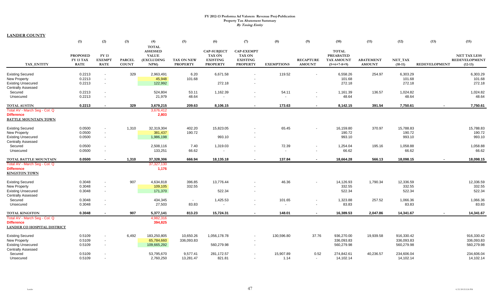**LANDER COUNTY**

|                                                        | (1)                      | (2)                          | (3)                           | (4)<br><b>TOTAL</b>    | (5)                           | (6)                                  | (7)                                | (8)               | (9)                                        | (10)                               | (11)                              | (12)                 | (13)                 | (15)                              |
|--------------------------------------------------------|--------------------------|------------------------------|-------------------------------|------------------------|-------------------------------|--------------------------------------|------------------------------------|-------------------|--------------------------------------------|------------------------------------|-----------------------------------|----------------------|----------------------|-----------------------------------|
|                                                        |                          |                              |                               | <b>ASSESSED</b>        |                               | <b>CAP-SUBJECT</b>                   | <b>CAP-EXEMPT</b>                  |                   |                                            | <b>TOTAL</b>                       |                                   |                      |                      |                                   |
|                                                        | <b>PROPOSED</b>          | <b>FY 13</b>                 |                               | <b>VALUE</b>           |                               | <b>TAX ON</b>                        | <b>TAX ON</b>                      |                   |                                            | <b>PREABATED</b>                   |                                   |                      |                      | <b>NET TAX LESS</b>               |
| <b>TAX ENTITY</b>                                      | FY 13 TAX<br><b>RATE</b> | <b>EXEMPT</b><br><b>RATE</b> | <b>PARCEL</b><br><b>COUNT</b> | (EXCLUDING<br>NPM)     | TAX ON NEW<br><b>PROPERTY</b> | <b>EXISTING</b><br><b>PROPERTY</b>   | <b>EXISTING</b><br><b>PROPERTY</b> | <b>EXEMPTIONS</b> | <b>RECAPTURE</b><br><b>AMOUNT</b>          | <b>TAX AMOUNT</b><br>$(5+6+7-8+9)$ | <b>ABATEMENT</b><br><b>AMOUNT</b> | NET_TAX<br>$(10-11)$ | <b>REDEVELOPMENT</b> | <b>REDEVELOPMENT</b><br>$(12-13)$ |
|                                                        |                          |                              |                               |                        |                               |                                      |                                    |                   |                                            |                                    |                                   |                      |                      |                                   |
| <b>Existing Secured</b>                                | 0.2213                   | $\sim$                       | 329                           | 2,963,491              | 6.20                          | 6,671.58                             |                                    | 119.52            | $\blacksquare$                             | 6,558.26                           | 254.97                            | 6,303.29             |                      | 6,303.29                          |
| <b>New Property</b>                                    | 0.2213                   | $\sim$                       |                               | 45,948                 | 101.68                        | 272.18                               |                                    |                   |                                            | 101.68                             |                                   | 101.68<br>272.18     |                      | 101.68<br>272.18                  |
| <b>Existing Unsecured</b><br><b>Centrally Assessed</b> | 0.2213                   | $\sim$                       |                               | 122,992                |                               |                                      |                                    |                   |                                            | 272.18                             |                                   |                      |                      |                                   |
| Secured                                                | 0.2213                   |                              |                               | 524,804                | 53.11                         | 1,162.39                             |                                    | 54.11             | $\overline{\phantom{a}}$                   | 1,161.39                           | 136.57                            | 1,024.82             |                      | 1,024.82                          |
| Unsecured                                              | 0.2213                   |                              |                               | 21,979                 | 48.64                         | $\blacksquare$                       |                                    |                   | $\overline{\phantom{a}}$                   | 48.64                              |                                   | 48.64                |                      | 48.64                             |
|                                                        |                          |                              |                               |                        |                               |                                      |                                    |                   |                                            |                                    |                                   |                      |                      |                                   |
| <b>TOTAL AUSTIN</b><br>Total AV - March Seg - Col. Q   | 0.2213                   |                              | 329                           | 3,679,215<br>3,676,412 | 209.63                        | 8,106.15                             |                                    | 173.63            | $\sim$                                     | 8,142.15                           | 391.54                            | 7,750.61             |                      | 7,750.61                          |
| <b>Difference</b>                                      |                          |                              |                               | 2,803                  |                               |                                      |                                    |                   |                                            |                                    |                                   |                      |                      |                                   |
| <b>BATTLE MOUNTAIN TOWN</b>                            |                          |                              |                               |                        |                               |                                      |                                    |                   |                                            |                                    |                                   |                      |                      |                                   |
|                                                        |                          |                              |                               |                        |                               |                                      |                                    |                   |                                            |                                    |                                   |                      |                      |                                   |
| <b>Existing Secured</b>                                | 0.0500                   |                              | 1,310                         | 32,319,304             | 402.20                        | 15,823.05                            |                                    | 65.45             |                                            | 16,159.80                          | 370.97                            | 15,788.83            |                      | 15,788.83                         |
| <b>New Property</b>                                    | 0.0500                   | $\sim$                       |                               | 381,437                | 190.72                        |                                      |                                    |                   |                                            | 190.72                             |                                   | 190.72               |                      | 190.72                            |
| <b>Existing Unsecured</b>                              | 0.0500                   | $\sim$                       |                               | 1,986,198              |                               | 993.10                               | $\overline{\phantom{a}}$           |                   |                                            | 993.10                             |                                   | 993.10               |                      | 993.10                            |
| <b>Centrally Assessed</b>                              |                          |                              |                               |                        |                               |                                      |                                    |                   |                                            |                                    |                                   |                      |                      |                                   |
| Secured<br>Unsecured                                   | 0.0500<br>0.0500         | $\sim$                       |                               | 2,508,116<br>133,251   | 7.40<br>66.62                 | 1,319.03<br>$\overline{\phantom{a}}$ |                                    | 72.39             | $\overline{\phantom{a}}$<br>$\overline{a}$ | 1,254.04<br>66.62                  | 195.16                            | 1,058.88<br>66.62    |                      | 1,058.88<br>66.62                 |
|                                                        |                          |                              |                               |                        |                               |                                      |                                    |                   |                                            |                                    |                                   |                      |                      |                                   |
| TOTAL BATTLE MOUNTAIN                                  | 0.0500                   |                              | 1,310                         | 37,328,306             | 666.94                        | 18,135.18                            | $\sim$                             | 137.84            | $\sim$                                     | 18,664.28                          | 566.13                            | 18,098.15            | $\sim$               | 18,098.15                         |
| Total AV - March Seg - Col. Q                          |                          |                              |                               | 37,327,130             |                               |                                      |                                    |                   |                                            |                                    |                                   |                      |                      |                                   |
| <b>Difference</b>                                      |                          |                              |                               | 1,176                  |                               |                                      |                                    |                   |                                            |                                    |                                   |                      |                      |                                   |
| <b>KINGSTON TOWN</b>                                   |                          |                              |                               |                        |                               |                                      |                                    |                   |                                            |                                    |                                   |                      |                      |                                   |
| <b>Existing Secured</b>                                | 0.3048                   |                              | 907                           | 4,634,818              | 396.85                        | 13,776.44                            |                                    | 46.36             |                                            | 14,126.93                          | 1,790.34                          | 12,336.59            |                      | 12,336.59                         |
| New Property                                           | 0.3048                   | $\sim$                       |                               | 109,105                | 332.55                        |                                      |                                    |                   |                                            | 332.55                             |                                   | 332.55               |                      | 332.55                            |
| <b>Existing Unsecured</b>                              | 0.3048                   | $\sim$                       |                               | 171,370                |                               | 522.34                               |                                    |                   |                                            | 522.34                             |                                   | 522.34               |                      | 522.34                            |
| <b>Centrally Assessed</b>                              |                          |                              |                               |                        |                               |                                      |                                    |                   |                                            |                                    |                                   |                      |                      |                                   |
| Secured                                                | 0.3048                   | $\sim$                       |                               | 434,345                | $\sim$                        | 1,425.53                             |                                    | 101.65            | $\overline{\phantom{a}}$                   | 1,323.88                           | 257.52                            | 1,066.36             |                      | 1,066.36                          |
| Unsecured                                              | 0.3048                   | $\sim$                       |                               | 27,503                 | 83.83                         | $\overline{\phantom{a}}$             |                                    | $\overline{a}$    | $\sim$                                     | 83.83                              |                                   | 83.83                |                      | 83.83                             |
| <b>TOTAL KINGSTON</b>                                  | 0.3048                   | $\blacksquare$               | 907                           | 5,377,141              | 813.23                        | 15,724.31                            | $\sim$                             | 148.01            | $\sim$                                     | 16,389.53                          | 2,047.86                          | 14,341.67            |                      | 14,341.67                         |
| Total AV - March Seg - Col. Q                          |                          |                              |                               | 4,982,316              |                               |                                      |                                    |                   |                                            |                                    |                                   |                      |                      |                                   |
| <b>Difference</b>                                      |                          |                              |                               | 394,825                |                               |                                      |                                    |                   |                                            |                                    |                                   |                      |                      |                                   |
| <b>LANDER CO HOSPITAL DISTRICT</b>                     |                          |                              |                               |                        |                               |                                      |                                    |                   |                                            |                                    |                                   |                      |                      |                                   |
| <b>Existing Secured</b>                                | 0.5109                   | $\sim$                       | 6,492                         | 183,250,805            | 10,650.26                     | 1,056,178.78                         |                                    | 130,596.80        | 37.76                                      | 936,270.00                         | 19,939.58                         | 916,330.42           |                      | 916,330.42                        |
| New Property                                           | 0.5109                   | $\sim$                       |                               | 65,784,660             | 336,093.83                    |                                      |                                    |                   |                                            | 336,093.83                         |                                   | 336,093.83           |                      | 336,093.83                        |
| <b>Existing Unsecured</b>                              | 0.5109                   | $\sim$                       |                               | 109,665,292            |                               | 560,279.98                           |                                    |                   |                                            | 560,279.98                         |                                   | 560,279.98           |                      | 560,279.98                        |
| <b>Centrally Assessed</b>                              |                          |                              |                               |                        |                               |                                      |                                    |                   |                                            |                                    |                                   |                      |                      |                                   |
| Secured                                                | 0.5109                   |                              |                               | 53,795,670             | 9,577.41                      | 281,172.57                           |                                    | 15,907.89         | 0.52                                       | 274,842.61                         | 40,236.57                         | 234,606.04           |                      | 234,606.04                        |
| Unsecured                                              | 0.5109                   |                              |                               | 2,760,250              | 13,281.47                     | 821.81                               |                                    | 1.14              | $\sim$                                     | 14,102.14                          |                                   | 14,102.14            |                      | 14,102.14                         |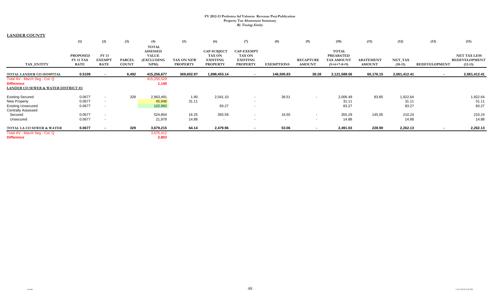| <b>LANDER COUNTY</b>                |                              |                               |               |                            |                 |                                  |                                  |                   |                          |                                  |                  |              |               |                                             |
|-------------------------------------|------------------------------|-------------------------------|---------------|----------------------------|-----------------|----------------------------------|----------------------------------|-------------------|--------------------------|----------------------------------|------------------|--------------|---------------|---------------------------------------------|
|                                     | (1)                          | (2)                           | (3)           | (4)                        | (5)             | (6)                              | (7)                              | (8)               | (9)                      | (10)                             | (11)             | (12)         | (13)          | (15)                                        |
|                                     |                              |                               |               | <b>TOTAL</b>               |                 |                                  |                                  |                   |                          |                                  |                  |              |               |                                             |
|                                     |                              |                               |               | <b>ASSESSED</b>            |                 | <b>CAP-SUBJECT</b>               | <b>CAP-EXEMPT</b>                |                   |                          | <b>TOTAL</b><br><b>PREABATED</b> |                  |              |               |                                             |
|                                     | <b>PROPOSED</b><br>FY 13 TAX | <b>FY 13</b><br><b>EXEMPT</b> | <b>PARCEL</b> | <b>VALUE</b><br>(EXCLUDING | TAX ON NEW      | <b>TAX ON</b><br><b>EXISTING</b> | <b>TAX ON</b><br><b>EXISTING</b> |                   | <b>RECAPTURE</b>         | <b>TAX AMOUNT</b>                | <b>ABATEMENT</b> | NET_TAX      |               | <b>NET TAX LESS</b><br><b>REDEVELOPMENT</b> |
| TAX_ENTITY                          | <b>RATE</b>                  | <b>RATE</b>                   | <b>COUNT</b>  | NPM                        | <b>PROPERTY</b> | <b>PROPERTY</b>                  | <b>PROPERTY</b>                  | <b>EXEMPTIONS</b> | <b>AMOUNT</b>            | $(5+6+7-8+9)$                    | <b>AMOUNT</b>    | $(10-11)$    | REDEVELOPMENT | $(12-13)$                                   |
| TOTAL LANDER CO HOSPITAL            | 0.5109                       |                               | 6,492         | 415,256,677                | 369,602.97      | 1,898,453.14                     |                                  | 146,505.83        | 38.28                    | 2,121,588.56                     | 60,176.15        | 2,061,412.41 |               | 2,061,412.41                                |
| Total AV - March Seg - Col. Q       |                              | $\overline{\phantom{a}}$      |               | 415,255,529                |                 |                                  | $\sim$                           |                   |                          |                                  |                  |              | $\sim$        |                                             |
| <b>Difference</b>                   |                              |                               |               | 1,148                      |                 |                                  |                                  |                   |                          |                                  |                  |              |               |                                             |
| LANDER CO SEWER & WATER DISTRICT #2 |                              |                               |               |                            |                 |                                  |                                  |                   |                          |                                  |                  |              |               |                                             |
| <b>Existing Secured</b>             | 0.0677                       | $\sim$                        | 329           | 2,963,491                  | 1.90            | 2,041.10                         | $\sim$                           | 36.51             | $\overline{\phantom{a}}$ | 2,006.49                         | 83.85            | 1,922.64     |               | 1,922.64                                    |
| <b>New Property</b>                 | 0.0677                       | $\sim$                        |               | 45,948                     | 31.11           |                                  | $\sim$                           |                   |                          | 31.11                            |                  | 31.11        |               | 31.11                                       |
| <b>Existing Unsecured</b>           | 0.0677                       | $\sim$                        |               | 122,992                    |                 | 83.27                            | $\sim$                           |                   |                          | 83.27                            |                  | 83.27        |               | 83.27                                       |
| <b>Centrally Assessed</b>           |                              |                               |               |                            |                 |                                  |                                  |                   |                          |                                  |                  |              |               |                                             |
| Secured                             | 0.0677                       | $\sim$                        |               | 524,804                    | 16.25           | 355.59                           | $\overline{\phantom{a}}$         | 16.55             | $\overline{\phantom{a}}$ | 355.29                           | 145.05           | 210.24       |               | 210.24                                      |
| Unsecured                           | 0.0677                       | $\sim$                        |               | 21,979                     | 14.88           | $\overline{\phantom{a}}$         | $\sim$                           | $\sim$            | $\overline{\phantom{a}}$ | 14.88                            |                  | 14.88        |               | 14.88                                       |
| TOTAL LA CO SEWER & WATER           | 0.0677                       | $\sim$                        | 329           | 3,679,215                  | 64.14           | 2,479.96                         | $\sim$                           | 53.06             | $\sim$                   | 2,491.03                         | 228.90           | 2,262.13     | $\sim$        | 2,262.13                                    |
| Total AV - March Seg - Col. Q       |                              |                               |               | 3,676,412                  |                 |                                  |                                  |                   |                          |                                  |                  |              |               |                                             |
| <b>Difference</b>                   |                              |                               |               | 2,803                      |                 |                                  |                                  |                   |                          |                                  |                  |              |               |                                             |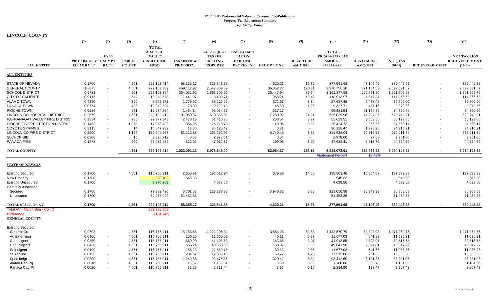|                                 | (1)                                      | (2)                        | (3)                           | (4)                                                                  | (5)                                  | (6)                                                                       | (7)                                                                      | (8)               | (9)                               | (10)                                                            | (11)                              | (12)                 | (13)                 | (15)                                                     |
|---------------------------------|------------------------------------------|----------------------------|-------------------------------|----------------------------------------------------------------------|--------------------------------------|---------------------------------------------------------------------------|--------------------------------------------------------------------------|-------------------|-----------------------------------|-----------------------------------------------------------------|-----------------------------------|----------------------|----------------------|----------------------------------------------------------|
| <b>TAX ENTITY</b>               | PROPOSED FY EXEMPT<br><b>13 TAX RATE</b> | <b>FY13</b><br><b>RATE</b> | <b>PARCEL</b><br><b>COUNT</b> | <b>TOTAL</b><br><b>ASSESSED</b><br><b>VALUE</b><br>(EXCLUDING<br>NPM | <b>TAX ON NEW</b><br><b>PROPERTY</b> | <b>CAP-SUBJECT</b><br><b>TAX ON</b><br><b>EXISTING</b><br><b>PROPERTY</b> | <b>CAP-EXEMPT</b><br><b>TAX ON</b><br><b>EXISTING</b><br><b>PROPERTY</b> | <b>EXEMPTIONS</b> | <b>RECAPTURE</b><br><b>AMOUNT</b> | <b>TOTAL</b><br>PREABATED TAX<br><b>AMOUNT</b><br>$(5+6+7-8+9)$ | <b>ABATEMENT</b><br><b>AMOUNT</b> | NET TAX<br>$(10-11)$ | <b>REDEVELOPMENT</b> | <b>NET TAX LESS</b><br><b>REDEVELOPMENT</b><br>$(12-13)$ |
| <b>ALL ENTITIES</b>             |                                          |                            |                               |                                                                      |                                      |                                                                           |                                                                          |                   |                                   |                                                                 |                                   |                      |                      |                                                          |
| <b>STATE OF NEVADA</b>          | 0.1700                                   |                            | 4,561                         | 222,102,414                                                          | 58,355.17                            | 323,841.38                                                                |                                                                          | 4,620.21          | 15.35                             | 377,591.68                                                      | 47,146.46                         | 330,445.22           |                      | 330,445.22                                               |
| <b>GENERAL COUNTY</b>           | 1.3375                                   | $\overline{\phantom{a}}$   | 4,561                         | 222,102,389                                                          | 459,117.97                           | 2,547,869.59                                                              |                                                                          | 36,352.27         | 120.91                            | 2,970,756.20                                                    | 371,164.63                        | 2,599,591.57         |                      | 2,599,591.57                                             |
| <b>SCHOOL DISTRICT</b>          | 0.9731                                   | $\overline{\phantom{a}}$   | 4,561                         | 222,102,384                                                          | 334,031.92                           | 1,853,705.66                                                              |                                                                          | 26,447.94         | 87.94                             | 2,161,377.58                                                    | 269,871.80                        | 1,891,505.78         |                      | 1,891,505.78                                             |
| <b>CITY OF CALIENTE</b>         | 0.9115                                   | $\blacksquare$             | 542                           | 13,042,578                                                           | 1,441.07                             | 118,409.71                                                                |                                                                          | 956.24            | 19.43                             | 118,913.97                                                      | 4,847.34                          | 114,066.63           |                      | 114,066.63                                               |
| <b>ALAMO TOWN</b>               | 0.4380                                   |                            | 390                           | 8,592,272                                                            | 1,779.92                             | 36,225.59                                                                 |                                                                          | 371.37            | 3.34                              | 37,637.48                                                       | 2,437.48                          | 35,200.00            |                      | 35,200.00                                                |
| PANACA TOWN                     | 0.0774                                   |                            | 483                           | 12,049,594                                                           | 173.09                               | 9,199.16                                                                  |                                                                          | 45.80             | 1.26                              | 9,327.71                                                        | 457.15                            | 8,870.56             |                      | 8,870.56                                                 |
| PIOCHE TOWN                     | 0.6286                                   |                            | 971                           | 15,274,824                                                           | 1,454.14                             | 95,064.57                                                                 |                                                                          | 537.17            | $\sim$                            | 95,981.54                                                       | 21,190.85                         | 74,790.69            |                      | 74,790.69                                                |
| LINCOLN CO HOSPITAL DISTRICT    | 0.2679                                   |                            | 4,561                         | 222,102,419                                                          | 91,960.87                            | 510,335.82                                                                |                                                                          | 7,280.92          | 24.21                             | 595,039.98                                                      | 74,297.07                         | 520,742.91           |                      | 520,742.91                                               |
| PAHRANAGAT VALLEY FIRE DISTRIC  | 0.2334                                   | $\blacksquare$             | 786                           | 22,977,948                                                           | 2,473.13                             | 51,410.95                                                                 |                                                                          | 253.54            | 8.97                              | 53,639.51                                                       | 3,509.66                          | 50,129.85            |                      | 50,129.85                                                |
| PIOCHE FIRE PROTECTION DISTRICT | 0.1463                                   | $\overline{\phantom{a}}$   | 1,073                         | 17,378,432                                                           | 354.96                               | 25,218.73                                                                 |                                                                          | 149.05            | 0.09                              | 25,424.73                                                       | 856.56                            | 24,568.17            |                      | 24,568.17                                                |
| <b>COYOTE SPRINGS</b>           | 0.9115                                   | $\blacksquare$             | 14                            | 10,547,282                                                           | 13.36                                | 96,125.42                                                                 |                                                                          | 0.31              | $\overline{\phantom{a}}$          | 96,138.47                                                       | 1,228.26                          | 94,910.21            |                      | 94,910.21                                                |
| LINCOLN CO FIRE DISTRICT        | 0.2500                                   | $\blacksquare$             | 1,156                         | 132,649,867                                                          | 81,112.88                            | 256,252.06                                                                |                                                                          | 5,740.45          | 3.56                              | 331,628.04                                                      | 59,616.65                         | 272,011.39           |                      | 272,011.39                                               |
| <b>SLCHCP GID</b>               | 0.0300                                   |                            | 16                            | 9,928,712                                                            | 0.63                                 | 2,978.01                                                                  |                                                                          | 0.04              | $\overline{a}$                    | 2,978.60                                                        | 27.60                             | 2,951.00             |                      | 2,951.00                                                 |
| PANACA FIRE                     | 0.1873                                   |                            | 990                           | 25,432,589                                                           | 822.02                               | 47,012.37                                                                 |                                                                          | 199.06            | 3.09                              |                                                                 | 3,313.72                          | 44,324.69            |                      | 44,324.69                                                |
|                                 |                                          |                            |                               |                                                                      |                                      |                                                                           |                                                                          |                   |                                   | 47,638.41                                                       |                                   |                      |                      |                                                          |
| <b>TOTAL COUNTY</b>             |                                          |                            | 4,561                         | 222,102,414                                                          | 1,033,091.13                         | 5,973,649.00                                                              | $\sim$                                                                   | 82,954.37         | 288.15                            | 6,924,073.91                                                    | 859,965.23                        | 6,064,108.68         |                      | 6,064,108.68                                             |
|                                 |                                          |                            |                               |                                                                      |                                      |                                                                           |                                                                          |                   |                                   | <b>Abatement Percent</b>                                        | 12.42%                            |                      |                      |                                                          |
| <b>STATE OF NEVADA</b>          |                                          |                            |                               |                                                                      |                                      |                                                                           |                                                                          |                   |                                   |                                                                 |                                   |                      |                      |                                                          |
|                                 |                                          |                            |                               |                                                                      |                                      |                                                                           |                                                                          |                   |                                   |                                                                 |                                   |                      |                      |                                                          |
| <b>Existing Secured</b>         | 0.1700                                   |                            | 4,561                         | 116,756,911                                                          | 2,655.91                             | 196,512.94                                                                |                                                                          | 679.89            | 14.50                             | 198,503.46                                                      | 10,904.07                         | 187,599.39           |                      | 187,599.39                                               |
| <b>New Property</b>             | 0.1700                                   |                            |                               | 320,782                                                              | 545.33                               |                                                                           |                                                                          |                   |                                   | 545.33                                                          |                                   | 545.33               |                      | 545.33                                                   |
| <b>Existing Unsecured</b>       | 0.1700                                   |                            |                               | 2,376,209                                                            |                                      | 4,039.56                                                                  |                                                                          |                   |                                   | 4,039.56                                                        |                                   | 4,039.56             |                      | 4,039.56                                                 |
| <b>Centrally Assessed</b>       |                                          |                            |                               |                                                                      |                                      |                                                                           |                                                                          |                   |                                   |                                                                 |                                   |                      |                      |                                                          |
| Secured                         | 0.1700                                   |                            |                               | 72,382,420                                                           | 3,701.57                             | 123,288.88                                                                |                                                                          | 3,940.32          | 0.85                              | 123,050.98                                                      | 36,242.39                         | 86,808.59            |                      | 86,808.59                                                |
| Unsecured                       | 0.1700                                   |                            |                               | 30,266,092                                                           | 51,452.36                            |                                                                           |                                                                          |                   |                                   | 51,452.36                                                       |                                   | 51,452.36            |                      | 51,452.36                                                |
| TOTAL STATE OF NV               | 0.1700                                   |                            | 4,561                         | 222,102,414                                                          | 58,355.17                            | 323,841.38                                                                |                                                                          | 4,620.21          | 15.35                             | 377,591.68                                                      | 47,146.46                         | 330,445.22           |                      | 330,445.22                                               |
| Total AV - March Seg - Col. Q   |                                          |                            |                               | 222,236,659                                                          |                                      |                                                                           |                                                                          |                   |                                   |                                                                 |                                   |                      |                      |                                                          |
| <b>Difference</b>               |                                          |                            |                               | (134, 245)                                                           |                                      |                                                                           |                                                                          |                   |                                   |                                                                 |                                   |                      |                      |                                                          |
| <b>GENERAL COUNTY</b>           |                                          |                            |                               |                                                                      |                                      |                                                                           |                                                                          |                   |                                   |                                                                 |                                   |                      |                      |                                                          |
| <b>Existing Secured</b>         |                                          |                            |                               |                                                                      |                                      |                                                                           |                                                                          |                   |                                   |                                                                 |                                   |                      |                      |                                                          |
| General Co.                     | 0.9708                                   |                            | 4,561                         | 116,756,911                                                          | 15,166.88                            | 1,122,205.34                                                              |                                                                          | 3,884.26          | 82.83                             | 1,133,570.79                                                    | 62,308.03                         | 1,071,262.76         |                      | 1,071,262.76                                             |
| Ag Extension                    | 0.0100                                   | $\overline{\phantom{a}}$   | 4,561                         | 116,756,911                                                          | 156.25                               | 11.560.02                                                                 |                                                                          | 40.11             | 0.87                              | 11.677.03                                                       | 641.82                            | 11.035.21            |                      | 11,035.21                                                |
| Co Indigent                     | 0.0359                                   | $\sim$                     | 4,561                         | 116,756,911                                                          | 560.90                               | 41,498.53                                                                 | $\sim$                                                                   | 143.65            | 3.07                              | 41,918.85                                                       | 2,303.07                          | 39,615.78            |                      | 39,615.78                                                |
| Cap Projects                    | 0.0420                                   | $\blacksquare$             | 4,561                         | 116,756,911                                                          | 656.24                               | 48,550.53                                                                 |                                                                          | 168.37            | 3.58                              | 49,041.98                                                       | 2,694.01                          | 46,347.97            |                      | 46,347.97                                                |
| St Indigent                     | 0.0100                                   | $\overline{\phantom{a}}$   | 4,561                         | 116,756,911                                                          | 156.23                               | 11,559.76                                                                 |                                                                          | 39.82             | 0.85                              | 11,677.02                                                       | 641.66                            | 11,035.36            |                      | 11,035.36                                                |
| St Acc Ind                      | 0.0150                                   | $\overline{\phantom{a}}$   | 4,561                         | 116,756,911                                                          | 234.37                               | 17,339.15                                                                 |                                                                          | 59.72             | 1.26                              | 17,515.06                                                       | 961.56                            | 16,553.50            |                      | 16,553.50                                                |
| Spec Indgt                      | 0.0800                                   |                            | 4,561                         | 116,756,911                                                          | 1,249.85                             | 92,476.35                                                                 |                                                                          | 320.42            | 6.82                              | 93,412.60                                                       | 5,131.55                          | 88,281.05            |                      | 88,281.05                                                |
| Alamo Cap Prj                   | 0.0010                                   |                            | 4,561                         | 116,756,911                                                          | 15.57                                | 1,156.01                                                                  |                                                                          | 3.60              | 0.08                              | 1,168.06                                                        | 63.70                             | 1,104.36             |                      | 1,104.36                                                 |
| Panaca Cap Pi                   | 0.0020                                   |                            | 4,561                         | 116,756,911                                                          | 31.27                                | 2,311.44                                                                  |                                                                          | 7.97              | 0.16                              | 2,334.90                                                        | 127.47                            | 2,207.43             |                      | 2,207.43                                                 |
|                                 |                                          |                            |                               |                                                                      |                                      |                                                                           |                                                                          |                   |                                   |                                                                 |                                   |                      |                      |                                                          |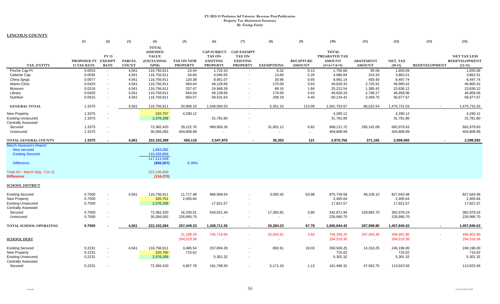**LINCOLN COUNTY**

|                                | (1)                | (2)                      | (3)           | (4)             | (5)               | (6)                | (7)                      | (8)               | (9)              | (10)          | (11)             | (12)         | (13)                 | (15)                 |
|--------------------------------|--------------------|--------------------------|---------------|-----------------|-------------------|--------------------|--------------------------|-------------------|------------------|---------------|------------------|--------------|----------------------|----------------------|
|                                |                    |                          |               | <b>TOTAL</b>    |                   |                    |                          |                   |                  |               |                  |              |                      |                      |
|                                |                    |                          |               | <b>ASSESSED</b> |                   | <b>CAP-SUBJECT</b> | <b>CAP-EXEMPT</b>        |                   |                  | <b>TOTAL</b>  |                  |              |                      |                      |
|                                |                    | <b>FY13</b>              |               | <b>VALUE</b>    |                   | TAX ON             | TAX ON                   |                   |                  | PREABATED TAX |                  |              |                      | <b>NET TAX LESS</b>  |
|                                | PROPOSED FY        | <b>EXEMPT</b>            | <b>PARCEL</b> | (EXCLUDING      | <b>TAX ON NEW</b> | <b>EXISTING</b>    | <b>EXISTING</b>          |                   | <b>RECAPTURE</b> | <b>AMOUNT</b> | <b>ABATEMENT</b> | NET TAX      |                      | <b>REDEVELOPMENT</b> |
| <b>TAX ENTITY</b>              | <b>13 TAX RATE</b> | <b>RATE</b>              | <b>COUNT</b>  | NPM)            | <b>PROPERTY</b>   | <b>PROPERTY</b>    | <b>PROPERTY</b>          | <b>EXEMPTIONS</b> | <b>AMOUNT</b>    | $(5+6+7-8+9)$ | <b>AMOUNT</b>    | $(10-11)$    | <b>REDEVELOPMENT</b> | $(12-13)$            |
| Pioche Cap Pr                  | 0.0015             | $\overline{\phantom{a}}$ | 4,561         | 116,756,911     | 23.44             | 1,733.43           |                          | 6.32              | 0.13             | 1,750.68      | 95.59            | 1,655.09     |                      | 1,655.09             |
| Caliente Cap                   | 0.0035             | $\overline{a}$           | 4,561         | 116,756,911     | 54.60             | 4,045.55           | $\sim$                   | 13.60             | 0.29             | 4,086.84      | 224.33           | 3,862.51     |                      | 3,862.51             |
| China Sprgs                    | 0.0077             |                          | 4,561         | 116,756,911     | 120.38            | 8,901.07           |                          | 30.96             | 0.65             | 8,991.14      | 493.40           | 8,497.74     |                      | 8,497.74             |
| Alamo Clinic                   | 0.0425             |                          | 4,561         | 116,756,911     | 664.04            | 49,128.66          |                          | 170.00            | 3.63             | 49,626.33     | 2,725.91         | 46,900.42    |                      | 46,900.42            |
| Museum                         | 0.0216             |                          | 4,561         | 116,756,911     | 337.47            | 24,968.39          |                          | 86.16             | 1.84             | 25,221.54     | 1,385.42         | 23,836.12    |                      | 23,836.12            |
| Library                        | 0.0425             | $\sim$                   | 4,561         | 116,756,911     | 664.04            | 49,128.66          | $\overline{\phantom{a}}$ | 170.00            | 3.63             | 49,626.33     | 2,768.27         | 46,858.06    |                      | 46,858.06            |
| Nutrition                      | 0.0515             | $\overline{a}$           | 4,561         | 116,756,911     | 804.57            | 59,531.64          |                          | 206.19            | 4.40             | 60,134.42     | 3,456.75         | 56,677.67    |                      | 56,677.67            |
| <b>GENERAL TOTAL</b>           | 1.3375             |                          | 4,561         | 116,756,911     | 20,896.10         | 1,546,094.53       | $\sim$                   | 5,351.15          | 114.09           | 1,561,753.57  | 86,022.54        | 1,475,731.03 |                      | 1,475,731.03         |
| <b>New Property</b>            | 1.3375             |                          |               | 320,757         | 4,290.12          |                    |                          |                   |                  | 4,290.12      |                  | 4,290.12     |                      | 4,290.12             |
| <b>Existing Unsecured</b>      | 1.3375             |                          |               | 2,376,209       |                   | 31,781.80          |                          |                   |                  | 31,781.80     |                  | 31,781.80    |                      | 31,781.80            |
| <b>Centrally Assessed</b>      |                    |                          |               |                 |                   |                    |                          |                   |                  |               |                  |              |                      |                      |
| Secured                        | 1.3375             | $\overline{\phantom{a}}$ |               | 72,382,420      | 29,122.76         | 969,993.26         |                          | 31,001.12         | 6.82             | 968,121.72    | 285,142.09       | 682,979.63   |                      | 682,979.63           |
| Unsecured                      | 1.3375             |                          |               | 30,266,092      | 404,808.99        |                    |                          |                   | $\sim$           | 404,808.99    |                  | 404,808.99   |                      | 404,808.99           |
| <b>TOTAL GENERAL COUNTY</b>    | 1.3375             |                          | 4.561         | 222,102,389     | 459,118           | 2,547,870          | $\overline{\phantom{a}}$ | 36,352            | 121              | 2,970,756     | 371,165          | 2,599,592    |                      | 2,599,592            |
| <b>March Assessors Report:</b> |                    |                          |               |                 |                   |                    |                          |                   |                  |               |                  |              |                      |                      |
| New secured                    |                    |                          |               | 1,883,082       |                   |                    |                          |                   |                  |               |                  |              |                      |                      |
| <b>Existing Secured</b>        |                    |                          |               | 115.328.856     |                   |                    |                          |                   |                  |               |                  |              |                      |                      |
|                                |                    |                          |               | 117,211,938     |                   |                    |                          |                   |                  |               |                  |              |                      |                      |
| <b>Difference</b>              |                    |                          |               | (455, 027)      | $-0.39%$          |                    |                          |                   |                  |               |                  |              |                      |                      |
| Total AV - March Seg - Col. Q  |                    |                          |               | 222,236,659     |                   |                    |                          |                   |                  |               |                  |              |                      |                      |
| <b>Difference</b>              |                    |                          |               | (134, 270)      |                   |                    |                          |                   |                  |               |                  |              |                      |                      |
|                                |                    |                          |               |                 |                   |                    |                          |                   |                  |               |                  |              |                      |                      |
| <u>SCHOOL DISTRICT</u>         |                    |                          |               |                 |                   |                    |                          |                   |                  |               |                  |              |                      |                      |
| <b>Existing Secured</b>        | 0.7500             |                          | 4,561         | 116,756,911     | 11,717.48         | 866,968.54         |                          | 3,000.42          | 63.98            | 875,749.58    | 48,106.10        | 827,643.48   |                      | 827,643.48           |
| <b>New Property</b>            | 0.7500             |                          |               | 320,751         | 2,405.64          |                    |                          |                   |                  | 2,405.64      |                  | 2,405.64     |                      | 2,405.64             |
| <b>Existing Unsecured</b>      | 0.7500             |                          |               | 2,376,209       |                   | 17,821.57          | $\overline{\phantom{a}}$ |                   |                  | 17,821.57     |                  | 17,821.57    |                      | 17,821.57            |
| <b>Centrally Assessed</b>      |                    |                          |               |                 |                   |                    |                          |                   |                  |               |                  |              |                      |                      |
| Secured                        | 0.7500             |                          |               | 72,382,420      | 16,330.51         | 543,921.44         |                          | 17,383.81         | 3.80             | 542,871.94    | 159,892.70       | 382,979.24   |                      | 382,979.24           |
| Unsecured                      | 0.7500             | $\sim$                   |               | 30,266,092      | 226,995.70        |                    |                          | $\blacksquare$    | $\sim$           | 226,995.70    |                  | 226,995.70   |                      | 226,995.70           |
| TOTAL SCHOOL OPERATING         | 0.7500             |                          | 4,561         | 222,102,384     | 257,449.33        | 1,428,711.55       | $\sim$                   | 20,384.23         | 67.78            | 1,665,844.43  | 207,998.80       | 1,457,845.63 |                      | 1,457,845.63         |
|                                |                    |                          |               |                 |                   |                    |                          |                   |                  |               |                  |              |                      |                      |
|                                |                    |                          |               |                 | 21,188.29         | 705,719.94         | $\sim$                   | 22,554.91         | 4.93             | 704,358.25    | 207,455.45       | 496,902.80   |                      | 496,902.80           |
| <b>SCHOOL DEBT</b>             |                    |                          |               |                 | 294,519.36        |                    |                          |                   | $\sim$           | 294,519.36    | $\sim$           | 294,519.36   |                      | 294,519.36           |
| <b>Existing Secured</b>        | 0.2231             |                          | 4,561         | 116,756,911     | 3,485.54          | 257,894.29         |                          | 892.61            | 19.03            | 260,506.25    | 14,310.25        | 246,196.00   |                      | 246,196.00           |
| <b>New Property</b>            | 0.2231             | $\overline{\phantom{a}}$ |               | 320,760         | 715.62            |                    |                          |                   |                  | 715.62        |                  | 715.62       |                      | 715.62               |
| <b>Existing Unsecured</b>      | 0.2231             |                          |               | 2,376,209       |                   | 5,301.32           |                          |                   |                  | 5,301.32      |                  | 5,301.32     |                      | 5,301.32             |
| <b>Centrally Assessed</b>      |                    |                          |               |                 |                   |                    |                          |                   |                  |               |                  |              |                      |                      |
| Secured                        | 0.2231             |                          |               | 72,382,420      | 4,857.78          | 161,798.50         |                          | 5,171.10          | 1.13             | 161,486.31    | 47,562.75        | 113,923.56   |                      | 113,923.56           |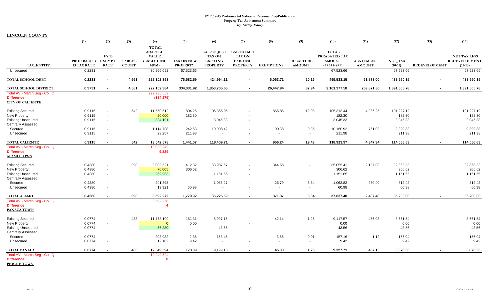**LINCOLN COUNTY**

|                                                        | (1)                | (2)                                | (3)           | (4)                                             | (5)                | (6)                                   | (7)                                | (8)                               | (9)                    | (10)                          | (11)             | (12)                | (13)                 | (15)                |
|--------------------------------------------------------|--------------------|------------------------------------|---------------|-------------------------------------------------|--------------------|---------------------------------------|------------------------------------|-----------------------------------|------------------------|-------------------------------|------------------|---------------------|----------------------|---------------------|
|                                                        |                    | <b>FY13</b>                        |               | <b>TOTAL</b><br><b>ASSESSED</b><br><b>VALUE</b> |                    | <b>CAP-SUBJECT</b><br><b>TAX ON</b>   | <b>CAP-EXEMPT</b><br><b>TAX ON</b> |                                   |                        | <b>TOTAL</b><br>PREABATED TAX |                  |                     |                      | <b>NET TAX LESS</b> |
|                                                        | PROPOSED FY EXEMPT |                                    | <b>PARCEL</b> | <b>(EXCLUDING</b>                               | <b>TAX ON NEW</b>  | <b>EXISTING</b>                       | <b>EXISTING</b>                    |                                   | <b>RECAPTURE</b>       | <b>AMOUNT</b>                 | <b>ABATEMENT</b> | NET_TAX             |                      | REDEVELOPMENT       |
| TAX_ENTITY                                             | <b>13 TAX RATE</b> | <b>RATE</b>                        | <b>COUNT</b>  | NPM                                             | <b>PROPERTY</b>    | <b>PROPERTY</b>                       | <b>PROPERTY</b>                    | <b>EXEMPTIONS</b>                 | <b>AMOUNT</b>          | $(5+6+7-8+9)$                 | <b>AMOUNT</b>    | $(10-11)$           | <b>REDEVELOPMENT</b> | $(12-13)$           |
| Unsecured                                              | 0.2231             | $\overline{\phantom{a}}$           |               | 30,266,092                                      | 67,523.66          | $\sim$                                | $\overline{\phantom{a}}$           |                                   | $\sim$                 | 67,523.66                     |                  | 67,523.66           |                      | 67,523.66           |
| TOTAL SCHOOL DEBT                                      | 0.2231             |                                    | 4,561         | 222,102,393                                     | 76,582.59          | 424,994.11                            | $\sim$                             | 6,063.71                          | 20.16                  | 495,533.15                    | 61,873.00        | 433,660.15          | $\sim$               | 433,660.15          |
| TOTAL SCHOOL DISTRICT                                  | 0.9731             | $\sim$                             | 4,561         | 222,102,384                                     | 334.031.92         | 1,853,705.66                          | $\sim$                             | 26,447.94                         | 87.94                  | 2,161,377.58                  | 269,871.80       | 1,891,505.78        | $\sim$               | 1,891,505.78        |
| Total AV - March Seg - Col. Q                          |                    |                                    |               | 222,236,659                                     |                    |                                       |                                    |                                   |                        |                               |                  |                     |                      |                     |
| <b>Difference</b><br><b>CITY OF CALIENTE</b>           |                    |                                    |               | (134, 275)                                      |                    |                                       |                                    |                                   |                        |                               |                  |                     |                      |                     |
| <b>Existing Secured</b>                                | 0.9115             |                                    | 542           | 11,550,512                                      | 804.26             | 105,355.96                            |                                    | 865.86                            | 19.08                  | 105,313.44                    | 4,086.25         | 101,227.19          |                      | 101,227.19          |
| New Property                                           | 0.9115             | $\overline{\phantom{a}}$           |               | 20,000                                          | 182.30             |                                       |                                    |                                   |                        | 182.30                        |                  | 182.30              |                      | 182.30              |
| <b>Existing Unsecured</b>                              | 0.9115             | $\overline{\phantom{a}}$           |               | 334,101                                         |                    | 3,045.33                              | $\blacksquare$                     |                                   |                        | 3,045.33                      |                  | 3,045.33            |                      | 3,045.33            |
| <b>Centrally Assessed</b>                              | 0.9115             |                                    |               |                                                 | 242.53             |                                       | $\blacksquare$                     |                                   |                        |                               |                  | 9,399.83            |                      |                     |
| Secured<br>Unsecured                                   | 0.9115             | $\overline{\phantom{a}}$           |               | 1,114,708<br>23,257                             | 211.98             | 10,008.42<br>$\overline{\phantom{a}}$ | $\overline{\phantom{a}}$           | 90.38<br>$\overline{\phantom{a}}$ | 0.35<br>$\blacksquare$ | 10,160.92<br>211.98           | 761.09           | 211.98              |                      | 9,399.83<br>211.98  |
|                                                        |                    |                                    |               |                                                 |                    |                                       |                                    |                                   |                        |                               |                  |                     |                      |                     |
| <b>TOTAL CALIENTE</b>                                  | 0.9115             | $\blacksquare$                     | 542           | 13,042,578                                      | 1,441.07           | 118,409.71                            | $\sim$                             | 956.24                            | 19.43                  | 118,913.97                    | 4,847.34         | 114,066.63          | $\sim$               | 114,066.63          |
| Total AV - March Seg - Col. Q<br><b>Difference</b>     |                    |                                    |               | 13,033,249<br>9,329                             |                    |                                       |                                    |                                   |                        |                               |                  |                     |                      |                     |
| <b>ALAMO TOWN</b>                                      |                    |                                    |               |                                                 |                    |                                       |                                    |                                   |                        |                               |                  |                     |                      |                     |
|                                                        | 0.4380             |                                    | 390           |                                                 |                    | 33,987.67                             |                                    |                                   |                        |                               |                  |                     |                      |                     |
| <b>Existing Secured</b><br><b>New Property</b>         | 0.4380             | $\overline{\phantom{a}}$<br>$\sim$ |               | 8,003,521<br>70,005                             | 1,412.32<br>306.62 |                                       |                                    | 344.58                            | $\overline{a}$         | 35,055.41<br>306.62           | 2,187.08         | 32,868.33<br>306.62 |                      | 32,868.33<br>306.62 |
| <b>Existing Unsecured</b>                              | 0.4380             | $\sim$                             |               | 262,933                                         |                    | 1,151.65                              | $\blacksquare$                     |                                   |                        | 1,151.65                      |                  | 1,151.65            |                      | 1,151.65            |
| <b>Centrally Assessed</b>                              |                    |                                    |               |                                                 |                    |                                       |                                    |                                   |                        |                               |                  |                     |                      |                     |
| Secured                                                | 0.4380             | $\blacksquare$                     |               | 241,893                                         | $\sim$             | 1,086.27                              | $\overline{\phantom{a}}$           | 26.79                             | 3.34                   | 1,062.82                      | 250.40           | 812.42              |                      | 812.42              |
| Unsecured                                              | 0.4380             | $\blacksquare$                     |               | 13,921                                          | 60.98              | $\blacksquare$                        | $\overline{\phantom{a}}$           |                                   | $\sim$                 | 60.98                         |                  | 60.98               |                      | 60.98               |
| <b>TOTAL ALAMO</b>                                     | 0.4380             | $\sim$                             | 390           | 8,592,272                                       | 1,779.92           | 36,225.59                             | $\sim$                             | 371.37                            | 3.34                   | 37,637.48                     | 2,437.48         | 35,200.00           | $\blacksquare$       | 35,200.00           |
| Total AV - March Seg - Col. Q                          |                    |                                    |               | 8,592,268                                       |                    |                                       |                                    |                                   |                        |                               |                  |                     |                      |                     |
| <b>Difference</b>                                      |                    |                                    |               | -4                                              |                    |                                       |                                    |                                   |                        |                               |                  |                     |                      |                     |
| PANACA TOWN                                            |                    |                                    |               |                                                 |                    |                                       |                                    |                                   |                        |                               |                  |                     |                      |                     |
| <b>Existing Secured</b>                                | 0.0774             | $\overline{\phantom{a}}$           | 483           | 11,778,100                                      | 161.31             | 8,997.15                              |                                    | 42.14                             | 1.25                   | 9,117.57                      | 456.03           | 8,661.54            |                      | 8,661.54            |
| New Property                                           | 0.0774             | $\blacksquare$                     |               | $\overline{0}$                                  | 0.00               |                                       |                                    |                                   |                        | 0.00                          |                  | 0.00                |                      | 0.00                |
| <b>Existing Unsecured</b><br><b>Centrally Assessed</b> | 0.0774             | $\overline{\phantom{a}}$           |               | 56,280                                          |                    | 43.56                                 | $\overline{\phantom{a}}$           |                                   |                        | 43.56                         |                  | 43.56               |                      | 43.56               |
| Secured                                                | 0.0774             | $\overline{\phantom{a}}$           |               | 203,032                                         | 2.36               | 158.45                                | $\blacksquare$                     | 3.66                              | 0.01                   | 157.16                        | 1.12             | 156.04              |                      | 156.04              |
| Unsecured                                              | 0.0774             | $\blacksquare$                     |               | 12,182                                          | 9.42               | $\overline{\phantom{a}}$              | $\blacksquare$                     | $\sim$                            | $\sim$                 | 9.42                          |                  | 9.42                |                      | 9.42                |
| <b>TOTAL PANACA</b>                                    | 0.0774             | $\sim$                             | 483           | 12,049,594                                      | 173.09             | 9.199.16                              | $\sim$                             | 45.80                             | 1.26                   | 9,327.71                      | 457.15           | 8,870.56            | $\blacksquare$       | 8,870.56            |
| Total AV - March Seg - Col. Q                          |                    |                                    |               | 12,049,594                                      |                    |                                       |                                    |                                   |                        |                               |                  |                     |                      |                     |
| <b>Difference</b>                                      |                    |                                    |               | $\mathbf{0}$                                    |                    |                                       |                                    |                                   |                        |                               |                  |                     |                      |                     |

**PIOCHE TOWN**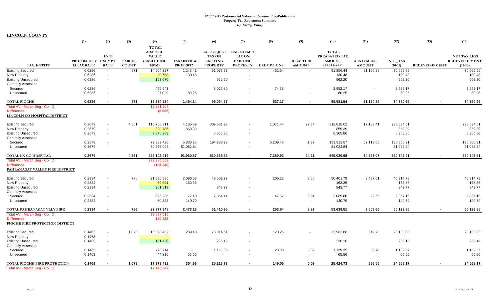**LINCOLN COUNTY**

|                                     | (1)                | (2)                      | (3)           | (4)               | (5)               | (6)                | (7)                      | (8)                      | (9)                      | (10)          | (11)             | (12)       | (13)                 | (15)                |
|-------------------------------------|--------------------|--------------------------|---------------|-------------------|-------------------|--------------------|--------------------------|--------------------------|--------------------------|---------------|------------------|------------|----------------------|---------------------|
|                                     |                    |                          |               | <b>TOTAL</b>      |                   |                    |                          |                          |                          |               |                  |            |                      |                     |
|                                     |                    |                          |               | <b>ASSESSED</b>   |                   | <b>CAP-SUBJECT</b> | <b>CAP-EXEMPT</b>        |                          |                          | <b>TOTAL</b>  |                  |            |                      |                     |
|                                     |                    | <b>FY 13</b>             |               | <b>VALUE</b>      |                   | <b>TAX ON</b>      | <b>TAX ON</b>            |                          |                          | PREABATED TAX |                  |            |                      | <b>NET TAX LESS</b> |
|                                     | PROPOSED FY EXEMPT |                          | <b>PARCEL</b> | <b>(EXCLUDING</b> | <b>TAX ON NEW</b> | <b>EXISTING</b>    | <b>EXISTING</b>          |                          | <b>RECAPTURE</b>         | <b>AMOUNT</b> | <b>ABATEMENT</b> | NET_TAX    |                      | REDEVELOPMENT       |
| <b>TAX ENTITY</b>                   | <b>13 TAX RATE</b> | <b>RATE</b>              | <b>COUNT</b>  | NPM)              | <b>PROPERTY</b>   | <b>PROPERTY</b>    | <b>PROPERTY</b>          | <b>EXEMPTIONS</b>        | <b>AMOUNT</b>            | $(5+6+7-8+9)$ | <b>AMOUNT</b>    | $(10-11)$  | <b>REDEVELOPMENT</b> | $(12-13)$           |
| <b>Existing Secured</b>             | 0.6286             |                          | 971           | 14,604,327        | 1,243.41          | 91,075.57          | $\overline{\phantom{a}}$ | 462.54                   | $\overline{\phantom{a}}$ | 91,856.44     | 21,190.85        | 70,665.59  |                      | 70,665.59           |
| <b>New Property</b>                 | 0.6286             | $\overline{\phantom{a}}$ |               | 20,758            | 130.48            |                    |                          |                          |                          | 130.48        |                  | 130.48     |                      | 130.48              |
| <b>Existing Unsecured</b>           | 0.6286             | $\overline{\phantom{a}}$ |               | 153,070           |                   | 962.20             | $\overline{\phantom{a}}$ |                          |                          | 962.20        |                  | 962.20     |                      | 962.20              |
| <b>Centrally Assessed</b>           |                    |                          |               |                   |                   |                    |                          |                          |                          |               |                  |            |                      |                     |
| Secured                             | 0.6286             |                          |               | 469,641           | $\sim$            | 3,026.80           |                          | 74.63                    |                          | 2,952.17      |                  | 2,952.17   |                      | 2,952.17            |
| Unsecured                           | 0.6286             | ÷                        |               | 27,029            | 80.25             |                    | $\overline{\phantom{a}}$ |                          | $\overline{\phantom{a}}$ | 80.25         |                  | 80.25      |                      | 80.25               |
| <b>TOTAL PIOCHE</b>                 | 0.6286             | $\overline{\phantom{a}}$ | 971           | 15,274,824        | 1,454.14          | 95,064.57          | $\sim$                   | 537.17                   | $\blacksquare$           | 95,981.54     | 21,190.85        | 74,790.69  | $\sim$               | 74,790.69           |
| Total AV - March Seg - Col. Q       |                    |                          |               | 15,281,509        |                   |                    |                          |                          |                          |               |                  |            |                      |                     |
| <b>Difference</b>                   |                    |                          |               | (6,685)           |                   |                    |                          |                          |                          |               |                  |            |                      |                     |
| LINCOLN CO HOSPITAL DISTRICT        |                    |                          |               |                   |                   |                    |                          |                          |                          |               |                  |            |                      |                     |
| <b>Existing Secured</b>             | 0.2679             | $\overline{a}$           | 4,561         | 116,756,911       | 4,185.39          | 309,681.23         |                          | 1,071.44                 | 22.84                    | 312,818.02    | 17,183.41        | 295,634.61 |                      | 295,634.61          |
| <b>New Property</b>                 | 0.2679             | ÷                        |               | 320,786           | 859.39            |                    |                          |                          |                          | 859.39        |                  | 859.39     |                      | 859.39              |
| <b>Existing Unsecured</b>           | 0.2679             | $\blacksquare$           |               | 2,376,209         |                   | 6,365.86           | $\overline{\phantom{a}}$ |                          |                          | 6,365.86      |                  | 6,365.86   |                      | 6,365.86            |
| <b>Centrally Assessed</b>           |                    |                          |               |                   |                   |                    |                          |                          |                          |               |                  |            |                      |                     |
| Secured                             | 0.2679             | $\overline{a}$           |               | 72,382,420        | 5.833.25          | 194,288.73         | $\overline{\phantom{a}}$ | 6,209.48                 | 1.37                     | 193.913.87    | 57.113.66        | 136.800.21 |                      | 136,800.21          |
| Unsecured                           | 0.2679             |                          |               | 30,266,092        | 81,082.84         |                    | $\overline{\phantom{a}}$ |                          | $\overline{a}$           | 81,082.84     |                  | 81,082.84  |                      | 81,082.84           |
| TOTAL LN CO HOSPITAL                | 0.2679             | $\sim$                   | 4,561         | 222,102,419       | 91,960.87         | 510,335.82         | $\sim$                   | 7,280.92                 | 24.21                    | 595,039.98    | 74,297.07        | 520,742.91 |                      | 520.742.91          |
| Total AV - March Seg - Col. Q       |                    |                          |               | 222,236,659       |                   |                    |                          |                          |                          |               |                  |            |                      |                     |
| <b>Difference</b>                   |                    |                          |               | (134, 240)        |                   |                    |                          |                          |                          |               |                  |            |                      |                     |
| PAHRANAGAT VALLEY FIRE DISTRICT     |                    |                          |               |                   |                   |                    |                          |                          |                          |               |                  |            |                      |                     |
| <b>Existing Secured</b>             | 0.2334             |                          | 786           | 21,590,885        | 2,096.58          | 48,502.77          |                          | 206.22                   | 8.66                     | 50,401.79     | 3,487.01         | 46,914.78  |                      | 46,914.78           |
| New Property                        | 0.2334             | $\blacksquare$           |               | 69,991            | 163.36            |                    |                          |                          |                          | 163.36        |                  | 163.36     |                      | 163.36              |
| <b>Existing Unsecured</b>           | 0.2334             | $\blacksquare$           |               | 361,513           |                   | 843.77             | $\blacksquare$           |                          |                          | 843.77        |                  | 843.77     |                      | 843.77              |
| <b>Centrally Assessed</b>           |                    |                          |               |                   |                   |                    |                          |                          |                          |               |                  |            |                      |                     |
| Secured                             | 0.2334             |                          |               | 895,236           | 72.40             | 2,064.41           | $\blacksquare$           | 47.32                    | 0.31                     | 2,089.80      | 22.65            | 2,067.15   |                      | 2,067.15            |
| Unsecured                           | 0.2334             |                          |               | 60,323            | 140.79            |                    | $\overline{\phantom{a}}$ | $\overline{\phantom{a}}$ | $\blacksquare$           | 140.79        |                  | 140.79     |                      | 140.79              |
| TOTAL PAHRANAGAT VLLY FIRE          | 0.2334             | $\blacksquare$           | 786           | 22,977,948        | 2,473.13          | 51,410.95          | $\sim$                   | 253.54                   | 8.97                     | 53,639.51     | 3,509.66         | 50,129.85  |                      | 50,129.85           |
| Total AV - March Seg - Col. Q       |                    |                          |               | 22,837,615        |                   |                    |                          |                          |                          |               |                  |            |                      |                     |
| <b>Difference</b>                   |                    |                          |               | 140,333           |                   |                    |                          |                          |                          |               |                  |            |                      |                     |
| PIOCHE FIRE PROTECTION DISTRICT     |                    |                          |               |                   |                   |                    |                          |                          |                          |               |                  |            |                      |                     |
| <b>Existing Secured</b>             | 0.1463             |                          | 1,073         | 16,393,482        | 289.40            | 23,814.51          |                          | 120.25                   |                          | 23,983.66     | 849.78           | 23,133.88  |                      | 23,133.88           |
| New Property                        | 0.1463             | $\overline{\phantom{a}}$ |               |                   |                   |                    |                          |                          |                          |               |                  |            |                      | $\sim$              |
| <b>Existing Unsecured</b>           | 0.1463             | $\blacksquare$           |               | 161,420           |                   | 236.16             | $\overline{\phantom{a}}$ |                          |                          | 236.16        |                  | 236.16     |                      | 236.16              |
| <b>Centrally Assessed</b>           |                    |                          |               |                   |                   |                    |                          |                          |                          |               |                  |            |                      |                     |
| Secured                             | 0.1463             | ÷                        |               | 778,714           | $\sim$            | 1,168.06           | $\overline{\phantom{a}}$ | 28.80                    | 0.09                     | 1,139.35      | 6.78             | 1,132.57   |                      | 1,132.57            |
| Unsecured                           | 0.1463             | $\overline{\phantom{a}}$ |               | 44,816            | 65.56             |                    | $\overline{\phantom{a}}$ |                          | $\overline{\phantom{a}}$ | 65.56         |                  | 65.56      |                      | 65.56               |
| <b>TOTAL PIOCHE FIRE PROTECTION</b> | 0.1463             |                          | 1,073         | 17,378,432        | 354.96            | 25,218.73          | $\sim$                   | 149.05                   | 0.09                     | 25,424.73     | 856.56           | 24,568.17  |                      | 24,568.17           |
| Total AV - March Seg - Col. Q       |                    |                          |               | 17.446.649        |                   |                    |                          |                          |                          |               |                  |            |                      |                     |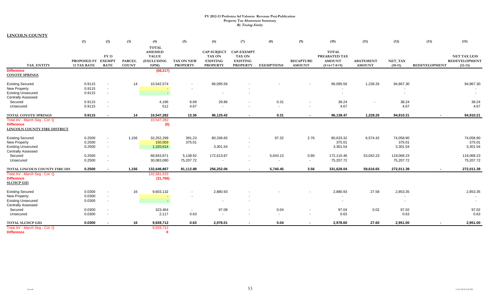**LINCOLN COUNTY**

|                                                                                                          | (1)                               | (2)                                                                    | (3)                           | (4)                                                           | (5)                                  | (6)                                                                       | (7)                                                                      | (8)                                  | (9)                               | (10)                                                            | (11)                              | (12)                                  | (13)                 | (15)                                                     |
|----------------------------------------------------------------------------------------------------------|-----------------------------------|------------------------------------------------------------------------|-------------------------------|---------------------------------------------------------------|--------------------------------------|---------------------------------------------------------------------------|--------------------------------------------------------------------------|--------------------------------------|-----------------------------------|-----------------------------------------------------------------|-----------------------------------|---------------------------------------|----------------------|----------------------------------------------------------|
| <b>TAX ENTITY</b>                                                                                        | PROPOSED FY<br><b>13 TAX RATE</b> | <b>FY 13</b><br><b>EXEMPT</b><br><b>RATE</b>                           | <b>PARCEL</b><br><b>COUNT</b> | <b>TOTAL</b><br>ASSESSED<br><b>VALUE</b><br>(EXCLUDING<br>NPM | <b>TAX ON NEW</b><br><b>PROPERTY</b> | <b>CAP-SUBJECT</b><br><b>TAX ON</b><br><b>EXISTING</b><br><b>PROPERTY</b> | <b>CAP-EXEMPT</b><br><b>TAX ON</b><br><b>EXISTING</b><br><b>PROPERTY</b> | <b>EXEMPTIONS</b>                    | <b>RECAPTURE</b><br><b>AMOUNT</b> | <b>TOTAL</b><br>PREABATED TAX<br><b>AMOUNT</b><br>$(5+6+7-8+9)$ | <b>ABATEMENT</b><br><b>AMOUNT</b> | NET_TAX<br>$(10-11)$                  | <b>REDEVELOPMENT</b> | <b>NET TAX LESS</b><br><b>REDEVELOPMENT</b><br>$(12-13)$ |
| <b>Difference</b><br><b>COYOTE SPRINGS</b>                                                               |                                   |                                                                        |                               | (68, 217)                                                     |                                      |                                                                           |                                                                          |                                      |                                   |                                                                 |                                   |                                       |                      |                                                          |
| <b>Existing Secured</b><br><b>New Property</b><br><b>Existing Unsecured</b><br><b>Centrally Assessed</b> | 0.9115<br>0.9115<br>0.9115        | $\overline{\phantom{a}}$<br>$\blacksquare$                             | 14                            | 10,542,574<br>$\sim$                                          |                                      | 96,095.56<br>$\sim$                                                       |                                                                          |                                      |                                   | 96,095.56                                                       | 1,228.26                          | 94,867.30<br>$\overline{\phantom{a}}$ |                      | 94,867.30<br>$\sim$                                      |
| Secured<br>Unsecured                                                                                     | 0.9115<br>0.9115                  | $\overline{\phantom{a}}$<br>$\overline{a}$                             |                               | 4,196<br>512                                                  | 8.69<br>4.67                         | 29.86                                                                     | $\blacksquare$                                                           | 0.31                                 | $\overline{\phantom{a}}$          | 38.24<br>4.67                                                   |                                   | 38.24<br>4.67                         |                      | 38.24<br>4.67                                            |
| TOTAL COYOTE SPRINGS                                                                                     | 0.9115                            | $\sim$                                                                 | 14                            | 10,547,282                                                    | 13.36                                | 96,125.42                                                                 | $\sim$                                                                   | 0.31                                 | $\blacksquare$                    | 96,138.47                                                       | 1,228.26                          | 94,910.21                             | $\sim$               | 94,910.21                                                |
| Total AV - March Seg - Col. Q<br><b>Difference</b><br>LINCOLN COUNTY FIRE DISTRICT                       |                                   |                                                                        |                               | 10,547,282<br>(0)                                             |                                      |                                                                           |                                                                          |                                      |                                   |                                                                 |                                   |                                       |                      |                                                          |
| <b>Existing Secured</b><br>New Property<br><b>Existing Unsecured</b><br><b>Centrally Assessed</b>        | 0.2500<br>0.2500<br>0.2500        | $\blacksquare$<br>$\blacksquare$                                       | 1,156                         | 32,252,299<br>150,003<br>1,320,614                            | 391.23<br>375.01                     | 80,336.65<br>3,301.54                                                     | $\overline{\phantom{a}}$<br>$\overline{\phantom{a}}$                     | 97.32                                | 2.76                              | 80,633.32<br>375.01<br>3,301.54                                 | 6,574.42                          | 74,058.90<br>375.01<br>3,301.54       |                      | 74,058.90<br>375.01<br>3,301.54                          |
| Secured<br>Unsecured                                                                                     | 0.2500<br>0.2500                  | $\overline{a}$<br>$\overline{\phantom{a}}$                             |                               | 68,843,871<br>30,083,080                                      | 5,138.92<br>75,207.72                | 172,613.87<br>$\overline{\phantom{a}}$                                    | $\overline{\phantom{a}}$<br>$\overline{\phantom{a}}$                     | 5,643.13<br>$\overline{\phantom{a}}$ | 0.80<br>$\sim$                    | 172,110.46<br>75,207.72                                         | 53,042.23                         | 119,068.23<br>75,207.72               |                      | 119,068.23<br>75,207.72                                  |
| TOTAL LINCOLN COUNTY FIRE DIS                                                                            | 0.2500                            | $\sim$                                                                 | 1,156                         | 132,649,867                                                   | 81,112.88                            | 256,252.06                                                                | $\sim$                                                                   | 5,740.45                             | 3.56                              | 331,628.04                                                      | 59,616.65                         | 272,011.39                            | $\sim$               | 272,011.39                                               |
| Total AV - March Seg - Col. Q<br><b>Difference</b><br><b>SLCHCP GID</b>                                  |                                   |                                                                        |                               | 132,681,633<br>(31,766)                                       |                                      |                                                                           |                                                                          |                                      |                                   |                                                                 |                                   |                                       |                      |                                                          |
| <b>Existing Secured</b><br>New Property<br><b>Existing Unsecured</b>                                     | 0.0300<br>0.0300<br>0.0300        | $\overline{\phantom{a}}$<br>$\blacksquare$<br>$\overline{\phantom{a}}$ | 16                            | 9,603,132<br>$\sim$                                           |                                      | 2,880.93                                                                  | $\overline{\phantom{0}}$                                                 |                                      |                                   | 2,880.93                                                        | 27.58                             | 2,853.35<br>$\overline{\phantom{a}}$  |                      | 2,853.35                                                 |
| <b>Centrally Assessed</b><br>Secured<br>Unsecured                                                        | 0.0300<br>0.0300                  | $\overline{\phantom{a}}$<br>$\overline{\phantom{a}}$                   |                               | 323,464<br>2,117                                              | $\sim$<br>0.63                       | 97.08<br>$\overline{\phantom{a}}$                                         | $\blacksquare$                                                           | 0.04<br>$\sim$                       |                                   | 97.04<br>0.63                                                   | 0.02                              | 97.02<br>0.63                         |                      | 97.02<br>0.63                                            |
| TOTAL SLCHCP GID                                                                                         | 0.0300                            | $\sim$                                                                 | 16                            | 9,928,712                                                     | 0.63                                 | 2,978.01                                                                  | $\blacksquare$                                                           | 0.04                                 | $\sim$                            | 2,978.60                                                        | 27.60                             | 2,951.00                              |                      | 2,951.00                                                 |
| Total AV - March Seg - Col. Q<br><b>Difference</b>                                                       |                                   |                                                                        |                               | 9,928,712<br>$\mathbf{0}$                                     |                                      |                                                                           |                                                                          |                                      |                                   |                                                                 |                                   |                                       |                      |                                                          |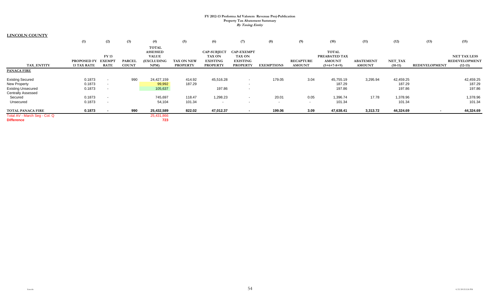**LINCOLN COUNTY**

|                               | (1)                | (2)                      | (3)           | (4)             | (5)               | (6)                | (7)                      | (8)               | (9)              | (10)          | (11)             | (12)      | (13)                 | (15)                 |
|-------------------------------|--------------------|--------------------------|---------------|-----------------|-------------------|--------------------|--------------------------|-------------------|------------------|---------------|------------------|-----------|----------------------|----------------------|
|                               |                    |                          |               | <b>TOTAL</b>    |                   |                    |                          |                   |                  |               |                  |           |                      |                      |
|                               |                    |                          |               | <b>ASSESSED</b> |                   | <b>CAP-SUBJECT</b> | <b>CAP-EXEMPT</b>        |                   |                  | <b>TOTAL</b>  |                  |           |                      |                      |
|                               |                    | FY 13                    |               | <b>VALUE</b>    |                   | <b>TAX ON</b>      | <b>TAX ON</b>            |                   |                  | PREABATED TAX |                  |           |                      | <b>NET TAX LESS</b>  |
|                               | <b>PROPOSED FY</b> | <b>EXEMPT</b>            | <b>PARCEL</b> | (EXCLUDING      | <b>TAX ON NEW</b> | <b>EXISTING</b>    | <b>EXISTING</b>          |                   | <b>RECAPTURE</b> | <b>AMOUNT</b> | <b>ABATEMENT</b> | NET_TAX   |                      | <b>REDEVELOPMENT</b> |
| TAX ENTITY                    | <b>13 TAX RATE</b> | <b>RATE</b>              | <b>COUNT</b>  | NPM             | <b>PROPERTY</b>   | <b>PROPERTY</b>    | <b>PROPERTY</b>          | <b>EXEMPTIONS</b> | <b>AMOUNT</b>    | $(5+6+7-8+9)$ | <b>AMOUNT</b>    | $(10-11)$ | <b>REDEVELOPMENT</b> | $(12-13)$            |
| <b>PANACA FIRE</b>            |                    |                          |               |                 |                   |                    |                          |                   |                  |               |                  |           |                      |                      |
| <b>Existing Secured</b>       | 0.1873             |                          | 990           | 24,427,159      | 414.92            | 45,516.28          | $\overline{\phantom{a}}$ | 179.05            | 3.04             | 45,755.19     | 3,295.94         | 42,459.25 |                      | 42,459.25            |
| <b>New Property</b>           | 0.1873             |                          |               | 99,992          | 187.29            |                    | $\overline{\phantom{0}}$ |                   |                  | 187.29        |                  | 187.29    |                      | 187.29               |
| <b>Existing Unsecured</b>     | 0.1873             | $\overline{\phantom{a}}$ |               | 105,637         |                   | 197.86             | $\overline{\phantom{0}}$ |                   |                  | 197.86        |                  | 197.86    |                      | 197.86               |
| <b>Centrally Assessed</b>     |                    |                          |               |                 |                   |                    |                          |                   |                  |               |                  |           |                      |                      |
| Secured                       | 0.1873             |                          |               | 745,697         | 118.47            | 1,298.23           |                          | 20.01             | 0.05             | 1,396.74      | 17.78            | 1,378.96  |                      | 1,378.96             |
| Unsecured                     | 0.1873             |                          |               | 54,104          | 101.34            | $\sim$             | $\overline{\phantom{0}}$ | $\sim$            | $\sim$           | 101.34        |                  | 101.34    |                      | 101.34               |
| <b>TOTAL PANACA FIRE</b>      | 0.1873             |                          | 990           | 25,432,589      | 822.02            | 47,012.37          |                          | 199.06            | 3.09             | 47,638.41     | 3,313.72         | 44,324.69 |                      | 44,324.69            |
| Total AV - March Seg - Col. Q |                    |                          |               | 25,431,866      |                   |                    |                          |                   |                  |               |                  |           |                      |                      |
| <b>Difference</b>             |                    |                          |               | 723             |                   |                    |                          |                   |                  |               |                  |           |                      |                      |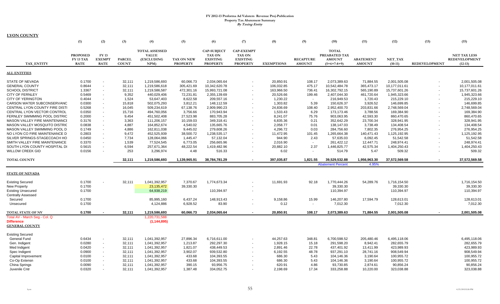| <b>LYON COUNTY</b>             |                 |                          |               |                                       |                   |                                     |                                  |                   |                  |                               |                  |               |                      |                      |
|--------------------------------|-----------------|--------------------------|---------------|---------------------------------------|-------------------|-------------------------------------|----------------------------------|-------------------|------------------|-------------------------------|------------------|---------------|----------------------|----------------------|
|                                | (1)             | (2)                      | (3)           | (4)                                   | (5)               | (6)                                 | (7)                              | (8)               | (9)              | (10)                          | (11)             | (12)          | (13)                 | (15)                 |
|                                |                 |                          |               |                                       |                   |                                     |                                  |                   |                  |                               |                  |               |                      |                      |
|                                | <b>PROPOSED</b> | <b>FY13</b>              |               | <b>TOTAL ASSESSED</b><br><b>VALUE</b> |                   | <b>CAP-SUBJECT</b><br><b>TAX ON</b> | <b>CAP-EXEMPT</b>                |                   |                  | <b>TOTAL</b><br>PREABATED TAX |                  |               |                      | <b>NET TAX LESS</b>  |
|                                | FY 13 TAX       | <b>EXEMPT</b>            | <b>PARCEL</b> | (EXCLUDING                            | <b>TAX ON NEW</b> | <b>EXISTING</b>                     | <b>TAX ON</b><br><b>EXISTING</b> |                   | <b>RECAPTURE</b> | <b>AMOUNT</b>                 | <b>ABATEMENT</b> | NET TAX       |                      | <b>REDEVELOPMENT</b> |
| TAX ENTITY                     | <b>RATE</b>     | <b>RATE</b>              | <b>COUNT</b>  | NPM                                   | <b>PROPERTY</b>   | <b>PROPERTY</b>                     | <b>PROPERTY</b>                  | <b>EXEMPTIONS</b> | <b>AMOUNT</b>    | $(5+6+7-8+9)$                 | <b>AMOUNT</b>    | $(10-11)$     | <b>REDEVELOPMENT</b> | $(12-13)$            |
|                                |                 |                          |               |                                       |                   |                                     |                                  |                   |                  |                               |                  |               |                      |                      |
| <b>ALL ENTITIES</b>            |                 |                          |               |                                       |                   |                                     |                                  |                   |                  |                               |                  |               |                      |                      |
| <b>STATE OF NEVADA</b>         | 0.1700          |                          | 32,111        | 1,219,586,693                         | 60,066.73         | 2,034,065.64                        |                                  | 20,850.91         | 108.17           | 2,073,389.63                  | 71,884.55        | 2,001,505.08  |                      | 2,001,505.08         |
| <b>GENERAL COUNTY</b>          | 0.8644          | $\mathbf{r}$             | 32,111        | 1,219,586,618                         | 305,421.69        | 10,342,620.78                       |                                  | 106,032.85        | 475.17           | 10,542,484.78                 | 365,473.17       | 10,177,011.61 |                      | 10,177,011.61        |
| <b>SCHOOL DISTRICT</b>         | 1.3367          | $\blacksquare$           | 32,111        | 1,219,586,587                         | 472,301.16        | 15,993,721.08                       |                                  | 163,966.50        | 736.41           | 16,302,792.15                 | 565,190.89       | 15,737,601.26 |                      | 15,737,601.26        |
| <b>CITY OF FERNLEY</b>         | 0.5469          | $\blacksquare$           | 9,352         | 440,029,406                           | 72,231.81         | 2,355,139.69                        |                                  | 20,526.66         | 199.46           | 2,407,044.30                  | 461,720.64       | 1,945,323.66  |                      | 1,945,323.66         |
| <b>CITY OF YERINGTON</b>       | 0.4044          |                          | 1,524         | 53,647,403                            | 8,622.58          | 209,557.16                          |                                  | 1,230.22          |                  | 216,949.53                    | 1,720.43         | 215,229.10    |                      | 215,229.10           |
| CARSON WATER SUBCONSERVANC     | 0.0300          |                          | 15,818        | 502,075,293                           | 3,812.21          | 148,112.59                          |                                  | 1,303.82          | 5.39             | 150,626.37                    | 3,926.52         | 146,699.85    |                      | 146,699.85           |
| CENTRAL LYON COUNTY FIRE DISTI | 0.5268          | $\overline{\phantom{a}}$ | 16,045        | 509,234,619                           | 67,138.76         | 2,909,990.23                        |                                  | 24,836.69         | 108.40           | 2,952,400.70                  | 203,831.66       | 2,748,569.04  |                      | 2,748,569.04         |
| CENTRAL LYON VECTOR CONTROL    | 0.0350          |                          | 15,716        | 494,760,056                           | 3,756.66          | 170,943.94                          |                                  | 1,533.43          | 6.29             | 173,173.46                    | 3,788.56         | 169,384.90    |                      | 169,384.90           |
| FERNLEY SWIMMING POOL DISTRIC  | 0.2000          |                          | 9,454         | 451,502,408                           | 27,523.98         | 883,705.28                          |                                  | 8,241.07          | 75.76            | 903,063.95                    | 42,593.30        | 860,470.65    |                      | 860,470.65           |
| MASON VALLEY FIRE MAINTENANCI  | 0.3176          |                          | 3,363         | 111,206,157                           | 10,159.03         | 349,318.41                          |                                  | 6,835.36          | 0.21             | 352,642.29                    | 23,700.34        | 328,941.95    |                      | 328,941.95           |
| MASON VALLEY MOSQUITO DISTRIC  | 0.0838          |                          | 4,887         | 164,852,674                           | 4,540.02          | 135,665.76                          |                                  | 2,058.77          | 0.01             | 138,147.03                    | 3,738.49         | 134,408.54    |                      | 134,408.54           |
| MASON VALLEY SWIMMING POOL D   | 0.1749          | $\blacksquare$           | 4,886         | 162,811,038                           | 9,445.02          | 279,608.26                          |                                  | 4,296.72          | 0.03             | 284,756.60                    | 7,802.35         | 276,954.25    |                      | 276,954.25           |
| NO LYON CO FIRE MAINTENANCE D  | 0.2803          |                          | 9,472         | 452,525,939                           | 38,500.72         | 1,238,535.17                        |                                  | 11,472.95         | 101.45           | 1,265,664.38                  | 140,471.43       | 1,125,192.95  |                      | 1,125,192.95         |
| SILVER SPRINGS-STAGECOACH HO   | 0.0450          | $\overline{\phantom{a}}$ | 7,734         | 128,064,066                           | 1,445.47          | 57,132.04                           |                                  | 944.90            | 2.43             | 57,635.03                     | 6,092.45         | 51,542.58     |                      | 51,542.58            |
| SMITH VALLEY FIRE MAINTENANCE  | 0.3370          | $\blacksquare$           | 1,539         | 77,524,545                            | 6,773.05          | 256,665.96                          |                                  | 2,016.90          | $\sim$           | 261,422.12                    | 12,447.71        | 248,974.41    |                      | 248,974.41           |
| SOUTH LYON COUNTY HOSPITAL DI  | 0.5615          |                          | 6,594         | 257,671,364                           | 48,222.54         | 1,419,482.96                        |                                  | 20,882.10         | 2.37             | 1,446,825.77                  | 42,575.34        | 1,404,250.43  |                      | 1,404,250.43         |
| <b>WILLOW CREEK GID</b>        | 0.0156          |                          | 253           | 3,296,974                             | 4.48              | 516.33                              |                                  | 6.02              |                  | 514.79                        | 5.47             | 509.32        |                      | 509.32               |
| <b>TOTAL COUNTY</b>            |                 |                          | 32,111        | 1,219,586,693                         | 1,139,965.91      | 38,784,781.29                       |                                  | 397,035.87        | 1,821.55         | 39,529,532.88                 | 1,956,963.30     | 37,572,569.58 |                      | 37,572,569.58        |
|                                |                 |                          |               |                                       |                   |                                     |                                  |                   |                  | <b>Abatement Percent</b>      | 4.95%            |               |                      |                      |
|                                |                 |                          |               |                                       |                   |                                     |                                  |                   |                  |                               |                  |               |                      |                      |
| <b>STATE OF NEVADA</b>         |                 |                          |               |                                       |                   |                                     |                                  |                   |                  |                               |                  |               |                      |                      |
| <b>Existing Secured</b>        | 0.1700          |                          | 32,111        | 1,041,392,957                         | 7,370.67          | 1,774,673.34                        |                                  | 11,691.93         | 92.18            | 1,770,444.26                  | 54,289.76        | 1,716,154.50  |                      | 1,716,154.50         |
| <b>New Property</b>            | 0.1700          |                          |               | 23,135,472                            | 39,330.30         |                                     |                                  |                   |                  | 39,330.30                     |                  | 39,330.30     |                      | 39,330.30            |
| <b>Existing Unsecured</b>      | 0.1700          |                          |               | 64,938,219                            |                   | 110,394.97                          |                                  |                   |                  | 110,394.97                    |                  | 110,394.97    |                      | 110,394.97           |
| <b>Centrally Assessed</b>      |                 |                          |               |                                       |                   |                                     |                                  |                   |                  |                               |                  |               |                      |                      |
| Secured                        | 0.1700          |                          |               | 85,995,160                            | 6,437.24          | 148,913.43                          |                                  | 9,158.86          | 15.99            | 146,207.80                    | 17,594.79        | 128,613.01    |                      | 128,613.01           |
| Unsecured                      | 0.1700          |                          |               | 4,124,886                             | 6,928.52          | 83.90                               |                                  | 0.12              | $\sim$           | 7,012.30                      |                  | 7,012.30      |                      | 7,012.30             |
|                                |                 |                          |               |                                       |                   |                                     |                                  |                   |                  |                               |                  |               |                      |                      |
| <b>TOTAL STATE OF NV</b>       | 0.1700          |                          | 32,111        | 1,219,586,693                         | 60,066.73         | 2,034,065.64                        |                                  | 20,850.91         | 108.17           | 2,073,389.63                  | 71,884.55        | 2,001,505.08  |                      | 2,001,505.08         |
| Total AV - March Seg - Col. Q  |                 |                          |               | 1,220,731,588                         |                   |                                     |                                  |                   |                  |                               |                  |               |                      |                      |
| <b>Difference</b>              |                 |                          |               | (1, 144, 895)                         |                   |                                     |                                  |                   |                  |                               |                  |               |                      |                      |
| <b>GENERAL COUNTY</b>          |                 |                          |               |                                       |                   |                                     |                                  |                   |                  |                               |                  |               |                      |                      |
| <b>Existing Secured</b>        |                 |                          |               |                                       |                   |                                     |                                  |                   |                  |                               |                  |               |                      |                      |
| General Fund                   | 0.6434          | $\overline{\phantom{a}}$ | 32,111        | 1,041,392,957                         | 27,896.34         | 6,716,611.00                        |                                  | 44,257.63         | 348.81           | 6,700,598.52                  | 205,480.46       | 6,495,118.06  |                      | 6,495,118.06         |
| Gen. Indigent                  | 0.0280          | $\sim$                   | 32,111        | 1,041,392,957                         | 1,213.87          | 292,297.30                          |                                  | 1,928.15          | 15.18            | 291,598.20                    | 8,942.41         | 282,655.79    |                      | 282,655.79           |
| Med Indigent                   | 0.0420          | $\sim$                   | 32,111        | 1,041,392,957                         | 1,821.07          | 438,449.53                          |                                  | 2,891.46          | 22.78            | 437,401.92                    | 13,411.99        | 423,989.93    |                      | 423,989.93           |
| Spec Indigent                  | 0.0900          | $\blacksquare$           | 32,111        | 1,041,392,957                         | 3,902.07          | 939,532.80                          |                                  | 6,192.55          | 48.78            | 937,291.10                    | 28,741.16        | 908,549.94    |                      | 908,549.94           |
| Capital Improvement            | 0.0100          | $\sim$                   | 32,111        | 1,041,392,957                         | 433.68            | 104,393.55                          |                                  | 686.30            | 5.43             | 104,146.36                    | 3,190.64         | 100,955.72    |                      | 100,955.72           |
| Co-Op Extensn                  | 0.0100          |                          | 32,111        | 1,041,392,957                         | 433.68            | 104,393.55                          |                                  | 686.30            | 5.43             | 104,146.36                    | 3,190.64         | 100,955.72    |                      | 100,955.72           |
| China Springs                  | 0.0090          |                          | 32,111        | 1,041,392,957                         | 390.15            | 93,956.75                           |                                  | 620.91            | 4.86             | 93,730.85                     | 2,874.61         | 90,856.24     |                      | 90,856.24            |
| Juvenile Cntr                  | 0.0320          |                          | 32,111        | 1,041,392,957                         | 1,387.48          | 334,052.75                          |                                  | 2,198.69          | 17.34            | 333,258.88                    | 10,220.00        | 323,038.88    |                      | 323,038.88           |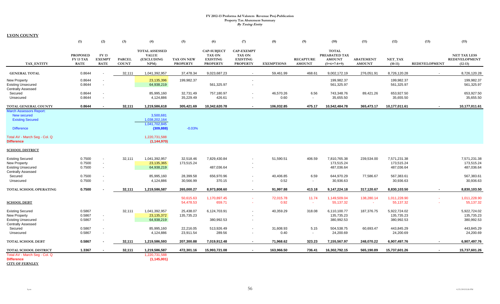|                                                                                                                                                            | (1)                                                | (2)                                          | (3)                           | (4)                                                                                         | (5)                                  | (6)                                                                       | (7)                                                                      | (8)               | (9)                               | (10)                                                            | (11)                              | (12)                                     | (13)                 | (15)                                                     |
|------------------------------------------------------------------------------------------------------------------------------------------------------------|----------------------------------------------------|----------------------------------------------|-------------------------------|---------------------------------------------------------------------------------------------|--------------------------------------|---------------------------------------------------------------------------|--------------------------------------------------------------------------|-------------------|-----------------------------------|-----------------------------------------------------------------|-----------------------------------|------------------------------------------|----------------------|----------------------------------------------------------|
| <b>TAX ENTITY</b>                                                                                                                                          | <b>PROPOSED</b><br><b>FY 13 TAX</b><br><b>RATE</b> | <b>FY 13</b><br><b>EXEMPT</b><br><b>RATE</b> | <b>PARCEL</b><br><b>COUNT</b> | <b>TOTAL ASSESSED</b><br><b>VALUE</b><br>(EXCLUDING<br>NPM                                  | <b>TAX ON NEW</b><br><b>PROPERTY</b> | <b>CAP-SUBJECT</b><br><b>TAX ON</b><br><b>EXISTING</b><br><b>PROPERTY</b> | <b>CAP-EXEMPT</b><br><b>TAX ON</b><br><b>EXISTING</b><br><b>PROPERTY</b> | <b>EXEMPTIONS</b> | <b>RECAPTURE</b><br><b>AMOUNT</b> | <b>TOTAL</b><br>PREABATED TAX<br><b>AMOUNT</b><br>$(5+6+7-8+9)$ | <b>ABATEMENT</b><br><b>AMOUNT</b> | NET_TAX<br>$(10-11)$                     | <b>REDEVELOPMENT</b> | <b>NET TAX LESS</b><br><b>REDEVELOPMENT</b><br>$(12-13)$ |
| <b>GENERAL TOTAL</b>                                                                                                                                       | 0.8644                                             | $\mathbf{r}$                                 | 32,111                        | 1,041,392,957                                                                               | 37,478.34                            | 9,023,687.23                                                              | $\sim$                                                                   | 59,461.99         | 468.61                            | 9,002,172.19                                                    | 276,051.91                        | 8,726,120.28                             | $\sim$               | 8,726,120.28                                             |
| <b>New Property</b><br><b>Existing Unsecured</b><br><b>Centrally Assessed</b>                                                                              | 0.8644<br>0.8644                                   | $\overline{\phantom{a}}$<br>$\blacksquare$   |                               | 23,135,396<br>64,938,219                                                                    | 199,982.37                           | 561,325.97                                                                | $\overline{\phantom{a}}$<br>$\sim$                                       |                   |                                   | 199,982.37<br>561,325.97                                        |                                   | 199,982.37<br>561,325.97                 |                      | 199,982.37<br>561,325.97                                 |
| Secured<br>Unsecured                                                                                                                                       | 0.8644<br>0.8644                                   | $\mathbf{r}$<br>$\sim$                       |                               | 85,995,160<br>4,124,886                                                                     | 32,731.49<br>35,229.49               | 757,180.97<br>426.61                                                      | $\sim$<br>$\sim$                                                         | 46,570.26<br>0.60 | 6.56<br>$\overline{\phantom{a}}$  | 743.348.76<br>35,655.50                                         | 89.421.26                         | 653,927.50<br>35,655.50                  |                      | 653,927.50<br>35,655.50                                  |
| TOTAL GENERAL COUNTY                                                                                                                                       | 0.8644                                             |                                              | 32,111                        | 1,219,586,618                                                                               | 305,421.69                           | 10,342,620.78                                                             | $\blacksquare$                                                           | 106,032.85        | 475.17                            | 10,542,484.78                                                   | 365,473.17                        | 10,177,011.61                            |                      | 10,177,011.61                                            |
| <b>March Assessors Report:</b><br><b>New secured</b><br><b>Existing Secured</b><br><b>Difference</b><br>Total AV - March Seg - Col. Q<br><b>Difference</b> |                                                    |                                              |                               | 3,500,681<br>1,038,202,164<br>1,041,702,845<br>(309, 888)<br>1,220,731,588<br>(1, 144, 970) | $-0.03%$                             |                                                                           |                                                                          |                   |                                   |                                                                 |                                   |                                          |                      |                                                          |
| <b>SCHOOL DISTRICT</b>                                                                                                                                     |                                                    |                                              |                               |                                                                                             |                                      |                                                                           |                                                                          |                   |                                   |                                                                 |                                   |                                          |                      |                                                          |
| <b>Existing Secured</b><br><b>New Property</b><br><b>Existing Unsecured</b><br>Centrally Assessed                                                          | 0.7500<br>0.7500<br>0.7500                         | $\sim$<br>$\blacksquare$<br>$\sim$           | 32,111                        | 1,041,392,957<br>23, 135, 365<br>64,938,219                                                 | 32,518.46<br>173,515.24              | 7,829,430.84<br>487,036.64                                                | $\sim$<br>$\sim$                                                         | 51,590.51         | 406.59                            | 7,810,765.38<br>173,515.24<br>487,036.64                        | 239,534.00                        | 7,571,231.38<br>173,515.24<br>487,036.64 |                      | 7,571,231.38<br>173,515.24<br>487,036.64                 |
| Secured<br>Unsecured                                                                                                                                       | 0.7500<br>0.7500                                   | $\blacksquare$                               |                               | 85,995,160<br>4,124,886                                                                     | 28,399.58<br>30,566.99               | 656,970.96<br>370.15                                                      | $\sim$<br>$\overline{\phantom{a}}$                                       | 40,406.85<br>0.52 | 6.59                              | 644,970.29<br>30,936.63                                         | 77,586.67                         | 567,383.61<br>30,936.63                  |                      | 567,383.61<br>30,936.63                                  |
| TOTAL SCHOOL OPERATING                                                                                                                                     | 0.7500                                             |                                              | 32,111                        | 1,219,586,587                                                                               | 265,000.27                           | 8,973,808.60                                                              | $\sim$                                                                   | 91,997.88         | 413.18                            | 9,147,224.18                                                    | 317,120.67                        | 8,830,103.50                             | $\blacksquare$       | 8,830,103.50                                             |
| <b>SCHOOL DEBT</b>                                                                                                                                         |                                                    |                                              |                               |                                                                                             | 50,615.63<br>54,478.53               | 1,170,897.45<br>659.71                                                    | $\sim$<br>$\sim$                                                         | 72,015.78<br>0.92 | 11.74<br><b>.</b>                 | 1,149,509.04<br>55,137.32                                       | 138,280.14<br>$\sim$              | 1,011,228.90<br>55,137.32                |                      | 1,011,228.90<br>55,137.32                                |
| <b>Existing Secured</b><br>New Property<br><b>Existing Unsecured</b><br><b>Centrally Assessed</b>                                                          | 0.5867<br>0.5867<br>0.5867                         | $\overline{\phantom{a}}$<br>$\sim$           | 32,111                        | 1,041,392,957<br>23, 135, 372<br>64,938,219                                                 | 25,438.07<br>135,735.23              | 6,124,703.91<br>380,992.53                                                | $\overline{\phantom{a}}$<br>$\sim$                                       | 40,359.29         | 318.08                            | 6,110,100.77<br>135,735.23<br>380,992.53                        | 187,376.75                        | 5,922,724.02<br>135,735.23<br>380,992.53 |                      | 5,922,724.02<br>135,735.23<br>380,992.53                 |
| Secured<br>Unsecured                                                                                                                                       | 0.5867<br>0.5867                                   | $\mathbf{r}$<br>$\sim$                       |                               | 85,995,160<br>4,124,886                                                                     | 22,216.05<br>23,911.54               | 513,926.49<br>289.56                                                      | $\sim$<br>$\overline{\phantom{a}}$                                       | 31,608.93<br>0.40 | 5.15<br>$\blacksquare$            | 504,538.75<br>24,200.69                                         | 60,693.47                         | 443,845.29<br>24,200.69                  |                      | 443,845.29<br>24,200.69                                  |
| TOTAL SCHOOL DEBT                                                                                                                                          | 0.5867                                             |                                              | 32,111                        | 1,219,586,593                                                                               | 207,300.88                           | 7,019,912.48                                                              | $\sim$                                                                   | 71,968.62         | 323.23                            | 7,155,567.97                                                    | 248,070.22                        | 6,907,497.76                             |                      | 6,907,497.76                                             |
| <b>TOTAL SCHOOL DISTRICT</b>                                                                                                                               | 1.3367                                             | $\blacksquare$                               | 32,111                        | 1,219,586,587                                                                               | 472,301.16                           | 15,993,721.08                                                             | $\sim$                                                                   | 163,966.50        | 736.41                            | 16,302,792.15                                                   | 565,190.89                        | 15,737,601.26                            | $\blacksquare$       | 15,737,601.26                                            |
| Total AV - March Seg - Col. Q<br><b>Difference</b><br><b>CITY OF FERNLEY</b>                                                                               |                                                    |                                              |                               | 1,220,731,588<br>(1, 145, 001)                                                              |                                      |                                                                           |                                                                          |                   |                                   |                                                                 |                                   |                                          |                      |                                                          |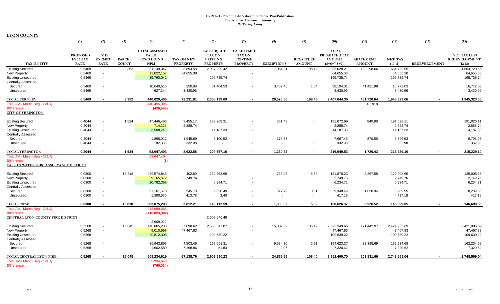|                                                | (1)                                                | (2)                                         | (3)                           | (4)                                                        | (5)                           | (6)                                                                       | (7)                                                                      | (8)                | (9)                               | (10)                                                            | (11)                              | (12)                   | (13)                 | (15)                                                     |
|------------------------------------------------|----------------------------------------------------|---------------------------------------------|-------------------------------|------------------------------------------------------------|-------------------------------|---------------------------------------------------------------------------|--------------------------------------------------------------------------|--------------------|-----------------------------------|-----------------------------------------------------------------|-----------------------------------|------------------------|----------------------|----------------------------------------------------------|
| <b>TAX ENTITY</b>                              | <b>PROPOSED</b><br><b>FY 13 TAX</b><br><b>RATE</b> | <b>FY13</b><br><b>EXEMPT</b><br><b>RATE</b> | <b>PARCEL</b><br><b>COUNT</b> | <b>TOTAL ASSESSED</b><br><b>VALUE</b><br>(EXCLUDING<br>NPM | TAX ON NEW<br><b>PROPERTY</b> | <b>CAP-SUBJECT</b><br><b>TAX ON</b><br><b>EXISTING</b><br><b>PROPERTY</b> | <b>CAP-EXEMPT</b><br><b>TAX ON</b><br><b>EXISTING</b><br><b>PROPERTY</b> | <b>EXEMPTIONS</b>  | <b>RECAPTURE</b><br><b>AMOUNT</b> | <b>TOTAL</b><br>PREABATED TAX<br><b>AMOUNT</b><br>$(5+6+7-8+9)$ | <b>ABATEMENT</b><br><b>AMOUNT</b> | NET_TAX<br>$(10-11)$   | <b>REDEVELOPMENT</b> | <b>NET TAX LESS</b><br><b>REDEVELOPMENT</b><br>$(12-13)$ |
| <b>Existing Secured</b>                        | 0.5469                                             | $\sim$                                      | 9,352                         | 381,149,347                                                | 3,894.58                      | 2,097,999.42                                                              | $\sim$                                                                   | 17,064.21          | 198.42                            | 2,085,028.21                                                    | 420,298.66                        | 1,664,729.55           |                      | 1,664,729.55                                             |
| New Property                                   | 0.5469                                             | $\sim$                                      |                               | 11,822,157                                                 | 64,655.38                     |                                                                           |                                                                          |                    |                                   | 64,655.38                                                       |                                   | 64,655.38              |                      | 64,655.38                                                |
| <b>Existing Unsecured</b>                      | 0.5469                                             | $\sim$                                      |                               | 35,790,042                                                 |                               | 195,735.74                                                                |                                                                          |                    |                                   | 195,735.74                                                      |                                   | 195,735.74             |                      | 195,735.74                                               |
| <b>Centrally Assessed</b>                      |                                                    |                                             |                               |                                                            |                               |                                                                           |                                                                          |                    |                                   |                                                                 |                                   |                        |                      |                                                          |
| Secured<br>Unsecured                           | 0.5469<br>0.5469                                   | $\sim$<br>$\sim$                            |                               | 10,640,516<br>627,344                                      | 250.89<br>3,430.96            | 61,404.53                                                                 |                                                                          | 3,462.45<br>$\sim$ | 1.04<br>$\sim$                    | 58,194.01<br>3,430.96                                           | 41,421.98                         | 16,772.03<br>3,430.96  |                      | 16,772.03<br>3,430.96                                    |
|                                                |                                                    |                                             |                               |                                                            |                               |                                                                           |                                                                          |                    |                                   |                                                                 |                                   |                        |                      |                                                          |
| <b>TOTAL FERNLEY</b>                           | 0.5469                                             | $\sim$                                      | 9.352                         | 440.029.406                                                | 72.231.81                     | 2.355.139.69                                                              | $\sim$                                                                   | 20.526.66          | 199.46                            | 2.407.044.30                                                    | 461.720.64                        | 1.945.323.66           | $\blacksquare$       | 1,945,323.66                                             |
| Total AV - March Seg - Col. Q                  |                                                    |                                             |                               | 440,455,995                                                |                               |                                                                           |                                                                          |                    |                                   |                                                                 | 0.1918                            |                        |                      |                                                          |
| <b>Difference</b>                              |                                                    |                                             |                               | (426, 589)                                                 |                               |                                                                           |                                                                          |                    |                                   |                                                                 |                                   |                        |                      |                                                          |
| <b>CITY OF YERINGTON</b>                       |                                                    |                                             |                               |                                                            |                               |                                                                           |                                                                          |                    |                                   |                                                                 |                                   |                        |                      |                                                          |
| <b>Existing Secured</b>                        | 0.4044                                             |                                             | 1,524                         | 47,446,483                                                 | 3,455.17                      | 189,269.31                                                                |                                                                          | 851.49             |                                   | 191,872.99                                                      | 849.88                            | 191,023.11             |                      | 191,023.11                                               |
| <b>New Property</b>                            | 0.4044                                             | $\sim$                                      |                               | 714,328                                                    | 2,888.74                      |                                                                           |                                                                          |                    |                                   | 2,888.74                                                        |                                   | 2,888.74               |                      | 2,888.74                                                 |
| <b>Existing Unsecured</b>                      | 0.4044                                             | $\sim$                                      |                               | 3,508,243                                                  |                               | 14,187.33                                                                 |                                                                          |                    |                                   | 14,187.33                                                       |                                   | 14,187.33              |                      | 14,187.33                                                |
| <b>Centrally Assessed</b>                      |                                                    |                                             |                               |                                                            |                               |                                                                           |                                                                          |                    |                                   |                                                                 |                                   |                        |                      |                                                          |
| Secured                                        | 0.4044                                             | $\overline{\phantom{a}}$                    |                               | 1,896,012                                                  | 1,945.69                      | 6,100.52                                                                  |                                                                          | 378.73             | $\overline{\phantom{a}}$          | 7,667.48                                                        | 870.55                            | 6,796.93               |                      | 6,796.93                                                 |
| Unsecured                                      | 0.4044                                             | $\sim$                                      |                               | 82,338                                                     | 332.98                        |                                                                           |                                                                          | $\sim$             | $\overline{\phantom{a}}$          | 332.98                                                          |                                   | 332.98                 |                      | 332.98                                                   |
| <b>TOTAL YERINGTON</b>                         | 0.4044                                             |                                             | 1,524                         | 53,647,403                                                 | 8.622.58                      | 209,557.16                                                                | $\sim$                                                                   | 1.230.22           | $\sim$                            | 216,949.53                                                      | 1.720.43                          | 215,229.10             |                      | 215,229.10                                               |
| Total AV - March Seg - Col. Q                  |                                                    |                                             |                               | 53,647,404                                                 |                               |                                                                           |                                                                          |                    |                                   |                                                                 |                                   |                        |                      |                                                          |
| <b>Difference</b>                              |                                                    |                                             |                               | (1)                                                        |                               |                                                                           |                                                                          |                    |                                   |                                                                 |                                   |                        |                      |                                                          |
| CARSON WATER SUBCONSERVANCY DISTRICT           |                                                    |                                             |                               |                                                            |                               |                                                                           |                                                                          |                    |                                   |                                                                 |                                   |                        |                      |                                                          |
|                                                |                                                    |                                             |                               |                                                            |                               |                                                                           |                                                                          |                    |                                   |                                                                 |                                   |                        |                      |                                                          |
| <b>Existing Secured</b><br><b>New Property</b> | 0.0300<br>0.0300                                   | $\sim$<br>$\sim$                            | 15,818                        | 439,574,845<br>9,165,872                                   | 402.89<br>2,749.76            | 132,253.99                                                                |                                                                          | 786.03             | 5.38                              | 131,876.23<br>2,749.76                                          | 2,867.58                          | 129,008.65<br>2,749.76 |                      | 129,008.65<br>2,749.76                                   |
| <b>Existing Unsecured</b>                      | 0.0300                                             | $\sim$                                      |                               | 20,782,368                                                 |                               | 6,234.71                                                                  |                                                                          |                    |                                   | 6,234.71                                                        |                                   | 6,234.71               |                      | 6,234.71                                                 |
| <b>Centrally Assessed</b>                      |                                                    |                                             |                               |                                                            |                               |                                                                           |                                                                          |                    |                                   |                                                                 |                                   |                        |                      |                                                          |
| Secured                                        | 0.0300                                             | $\sim$                                      |                               | 31,161,578                                                 | 245.78                        | 9,620.49                                                                  |                                                                          | 517.79             | 0.01                              | 9,348.49                                                        | 1,058.94                          | 8,289.55               |                      | 8,289.55                                                 |
| Unsecured                                      | 0.0300                                             |                                             |                               | 1,390,630                                                  | 413.78                        | 3.40                                                                      |                                                                          |                    | $\sim$                            | 417.18                                                          |                                   | 417.18                 |                      | 417.18                                                   |
|                                                |                                                    |                                             |                               |                                                            |                               |                                                                           |                                                                          |                    |                                   |                                                                 |                                   |                        |                      |                                                          |
| <b>TOTAL CWSD</b>                              | 0.0300                                             | $\overline{\phantom{a}}$                    | 15,818                        | 502,075,293                                                | 3.812.21                      | 148.112.59                                                                |                                                                          | 1.303.82           | 5.39                              | 150.626.37                                                      | 3.926.52                          | 146,699.85             |                      | 146,699.85                                               |
| Total AV - March Seg - Col. Q                  |                                                    |                                             |                               | 912,099,685                                                |                               |                                                                           |                                                                          |                    |                                   |                                                                 |                                   |                        |                      |                                                          |
| <b>Difference</b>                              |                                                    |                                             |                               | (410, 024, 392)                                            |                               |                                                                           |                                                                          |                    |                                   |                                                                 |                                   |                        |                      |                                                          |
| CENTRAL LYON COUNTY FIRE DISTRICT              |                                                    |                                             |                               |                                                            |                               | 2,608,546.49                                                              |                                                                          |                    |                                   |                                                                 |                                   |                        |                      |                                                          |
|                                                |                                                    |                                             |                               | 2,609,922                                                  |                               |                                                                           |                                                                          |                    |                                   |                                                                 |                                   |                        |                      |                                                          |
| <b>Existing Secured</b>                        | 0.5268                                             | $\overline{\phantom{a}}$                    | 16,045                        | 440,865,233                                                | 7,898.62                      | 2,600,647.87                                                              |                                                                          | 15,302.32          | 105.49                            | 2,593,349.66                                                    | 171,442.97                        | 2,421,906.69           |                      | 2,421,906.69                                             |
| <b>New Property</b>                            | 0.5268                                             | $\sim$                                      |                               | 9,010,598                                                  | 47,467.83                     |                                                                           |                                                                          |                    |                                   | 47,467.83                                                       |                                   | 47,467.83              |                      | 47,467.83                                                |
| <b>Existing Unsecured</b>                      | 0.5268                                             | $\sim$                                      |                               | 20,812,305                                                 |                               | 109,639.22                                                                |                                                                          |                    |                                   | 109,639.22                                                      |                                   | 109,639.22             |                      | 109,639.22                                               |
| <b>Centrally Assessed</b>                      |                                                    |                                             |                               |                                                            |                               |                                                                           |                                                                          |                    |                                   |                                                                 |                                   |                        |                      |                                                          |
| Secured                                        | 0.5268                                             | $\overline{\phantom{a}}$                    |                               | 36,943,895                                                 | 4,503.45                      | 199,651.31                                                                |                                                                          | 9,534.30           | 2.91                              | 194,623.37                                                      | 32,388.69                         | 162,234.68             |                      | 162,234.68                                               |
| Unsecured                                      | 0.5268                                             | $\overline{\phantom{a}}$                    |                               | 1,602,589                                                  | 7,268.86                      | 51.83                                                                     | $\sim$                                                                   | 0.07               | $\sim$                            | 7,320.62                                                        |                                   | 7,320.62               |                      | 7,320.62                                                 |
| TOTAL CENTRAL LYON FIRE                        | 0.5268                                             |                                             | 16,045                        | 509,234,619                                                | 67,138.76                     | 2,909,990.23                                                              |                                                                          | 24,836.69          | 108.40                            | 2,952,400.70                                                    | 203,831.66                        | 2,748,569.04           |                      | 2,748,569.04                                             |
| Total AV - March Seg - Col. Q                  |                                                    |                                             |                               | 509,994,643                                                |                               |                                                                           |                                                                          |                    |                                   |                                                                 |                                   |                        |                      |                                                          |
| <b>Difference</b>                              |                                                    |                                             |                               | (760, 024)                                                 |                               |                                                                           |                                                                          |                    |                                   |                                                                 |                                   |                        |                      |                                                          |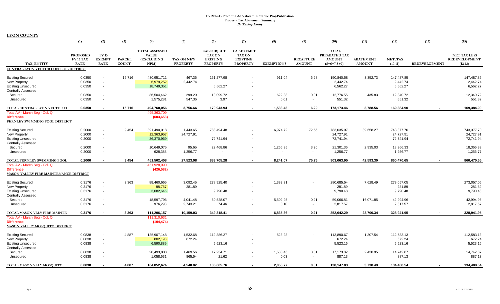|                                                                                                                                    | (1)                                                | (2)                                                        | (3)                           | (4)                                                         | (5)                           | (6)                                                                       | (7)                                                                      | (8)                | (9)                               | (10)                                                            | (11)                              | (12)                                 | (13)                 | (15)                                                     |
|------------------------------------------------------------------------------------------------------------------------------------|----------------------------------------------------|------------------------------------------------------------|-------------------------------|-------------------------------------------------------------|-------------------------------|---------------------------------------------------------------------------|--------------------------------------------------------------------------|--------------------|-----------------------------------|-----------------------------------------------------------------|-----------------------------------|--------------------------------------|----------------------|----------------------------------------------------------|
| <b>TAX ENTITY</b>                                                                                                                  | <b>PROPOSED</b><br><b>FY 13 TAX</b><br><b>RATE</b> | <b>FY 13</b><br><b>EXEMPT</b><br><b>RATE</b>               | <b>PARCEL</b><br><b>COUNT</b> | <b>TOTAL ASSESSED</b><br><b>VALUE</b><br>(EXCLUDING<br>NPM) | TAX ON NEW<br><b>PROPERTY</b> | <b>CAP-SUBJECT</b><br><b>TAX ON</b><br><b>EXISTING</b><br><b>PROPERTY</b> | <b>CAP-EXEMPT</b><br><b>TAX ON</b><br><b>EXISTING</b><br><b>PROPERTY</b> | <b>EXEMPTIONS</b>  | <b>RECAPTURE</b><br><b>AMOUNT</b> | <b>TOTAL</b><br>PREABATED TAX<br><b>AMOUNT</b><br>$(5+6+7-8+9)$ | <b>ABATEMENT</b><br><b>AMOUNT</b> | NET TAX<br>$(10-11)$                 | <b>REDEVELOPMENT</b> | <b>NET TAX LESS</b><br><b>REDEVELOPMENT</b><br>$(12-13)$ |
| CENTRAL LYON VECTOR CONTROL DISTRICT                                                                                               |                                                    |                                                            |                               |                                                             |                               |                                                                           |                                                                          |                    |                                   |                                                                 |                                   |                                      |                      |                                                          |
| <b>Existing Secured</b><br>New Property<br><b>Existing Unsecured</b>                                                               | 0.0350<br>0.0350<br>0.0350                         | $\mathbf{r}$<br>$\overline{\phantom{a}}$<br>$\blacksquare$ | 15,716                        | 430,951,711<br>6,979,252<br>18,749,351                      | 467.36<br>2,442.74            | 151,277.98<br>6,562.27                                                    |                                                                          | 911.04             | 6.28                              | 150,840.58<br>2,442.74<br>6,562.27                              | 3,352.73                          | 147,487.85<br>2,442.74<br>6,562.27   |                      | 147,487.85<br>2,442.74<br>6,562.27                       |
| <b>Centrally Assessed</b><br>Secured<br>Unsecured                                                                                  | 0.0350<br>0.0350                                   | $\blacksquare$                                             |                               | 36,504,462<br>1,575,281                                     | 299.20<br>547.36              | 13,099.72<br>3.97                                                         |                                                                          | 622.38<br>0.01     | 0.01<br>$\sim$                    | 12,776.55<br>551.32                                             | 435.83                            | 12,340.72<br>551.32                  |                      | 12,340.72<br>551.32                                      |
| TOTAL CENTRAL LYON VECTOR C(<br>Total AV - March Seg - Col. Q<br><b>Difference</b><br>FERNLEY SWIMMING POOL DISTRICT               | 0.0350                                             |                                                            | 15,716                        | 494,760,056<br>495,363,709<br>(603, 653)                    | 3,756.66                      | 170,943.94                                                                | $\blacksquare$                                                           | 1,533.43           | 6.29                              | 173,173.46                                                      | 3,788.56                          | 169,384.90                           |                      | 169,384.90                                               |
| <b>Existing Secured</b><br><b>New Property</b><br><b>Existing Unsecured</b><br><b>Centrally Assessed</b>                           | 0.2000<br>0.2000<br>0.2000                         | $\blacksquare$<br>$\blacksquare$                           | 9,454                         | 391,490,018<br>12,363,957<br>36,370,969                     | 1,443.65<br>24,727.91         | 788,494.48<br>72,741.94                                                   | $\sim$                                                                   | 6,974.72           | 72.56                             | 783,035.97<br>24,727.91<br>72,741.94                            | 39,658.27                         | 743,377.70<br>24,727.91<br>72,741.94 |                      | 743,377.70<br>24,727.91<br>72,741.94                     |
| Secured<br>Unsecured                                                                                                               | 0.2000<br>0.2000                                   | $\blacksquare$                                             |                               | 10,649,075<br>628,388                                       | 95.65<br>1,256.77             | 22,468.86                                                                 |                                                                          | 1,266.35<br>$\sim$ | 3.20<br>$\sim$                    | 21,301.36<br>1,256.77                                           | 2,935.03                          | 18,366.33<br>1,256.77                |                      | 18,366.33<br>1,256.77                                    |
| TOTAL FERNLEY SWIMMING POOL<br>Total AV - March Seg - Col. Q<br><b>Difference</b><br><b>MASON VALLEY FIRE MAINTENANCE DISTRICT</b> | 0.2000                                             | $\blacksquare$                                             | 9,454                         | 451,502,408<br>451,928,990<br>(426, 582)                    | 27,523.98                     | 883,705.28                                                                | $\blacksquare$                                                           | 8.241.07           | 75.76                             | 903,063.95                                                      | 42,593.30                         | 860,470.65                           |                      | 860,470.65                                               |
| <b>Existing Secured</b><br><b>New Property</b><br><b>Existing Unsecured</b><br><b>Centrally Assessed</b>                           | 0.3176<br>0.3176<br>0.3176                         | $\blacksquare$<br>$\blacksquare$<br>$\blacksquare$         | 3,363                         | 88,460,665<br>88,757<br>3,082,646                           | 3,092.45<br>281.89            | 278,925.40<br>9,790.48                                                    |                                                                          | 1,332.31           |                                   | 280,685.54<br>281.89<br>9,790.48                                | 7,628.49                          | 273,057.05<br>281.89<br>9,790.48     |                      | 273,057.05<br>281.89<br>9,790.48                         |
| Secured<br>Unsecured                                                                                                               | 0.3176<br>0.3176                                   | $\blacksquare$<br>$\blacksquare$                           |                               | 18,597,796<br>976,293                                       | 4,041.48<br>2,743.21          | 60,528.07<br>74.46                                                        | $\overline{\phantom{a}}$                                                 | 5,502.95<br>0.10   | 0.21<br>$\sim$                    | 59,066.81<br>2,817.57                                           | 16,071.85                         | 42,994.96<br>2,817.57                |                      | 42,994.96<br>2,817.57                                    |
| TOTAL MASON VLLY FIRE MAINTE<br>Total AV - March Seg - Col. Q<br><b>Difference</b><br><b>MASON VALLEY MOSQUITO DISTRICT</b>        | 0.3176                                             | $\blacksquare$                                             | 3,363                         | 111,206,157<br>111,310,631<br>(104, 474)                    | 10,159.03                     | 349,318.41                                                                | $\blacksquare$                                                           | 6,835.36           | 0.21                              | 352,642.29                                                      | 23,700.34                         | 328,941.95                           |                      | 328,941.95                                               |
| <b>Existing Secured</b><br><b>New Property</b><br><b>Existing Unsecured</b><br><b>Centrally Assessed</b>                           | 0.0838<br>0.0838<br>0.0838                         | $\overline{\phantom{a}}$<br>$\sim$<br>$\sim$               | 4,887                         | 135,907,148<br>802,198<br>6,590,889                         | 1,532.68<br>672.24            | 112,886.27<br>5,523.16                                                    | $\sim$                                                                   | 528.28             |                                   | 113,890.67<br>672.24<br>5,523.16                                | 1,307.54                          | 112,583.13<br>672.24<br>5,523.16     |                      | 112,583.13<br>672.24<br>5,523.16                         |
| Secured<br>Unsecured                                                                                                               | 0.0838<br>0.0838                                   |                                                            |                               | 20,493,808<br>1,058,631                                     | 1,469.56<br>865.54            | 17,234.71<br>21.62                                                        |                                                                          | 1,530.46<br>0.03   | 0.01<br>$\sim$                    | 17,173.82<br>887.13                                             | 2,430.95                          | 14,742.87<br>887.13                  |                      | 14,742.87<br>887.13                                      |
| TOTAL MASON VLLY MOSQUITO                                                                                                          | 0.0838                                             |                                                            | 4,887                         | 164,852,674                                                 | 4.540.02                      | 135,665.76                                                                | $\sim$                                                                   | 2,058.77           | 0.01                              | 138,147.03                                                      | 3,738.49                          | 134,408.54                           |                      | 134,408.54                                               |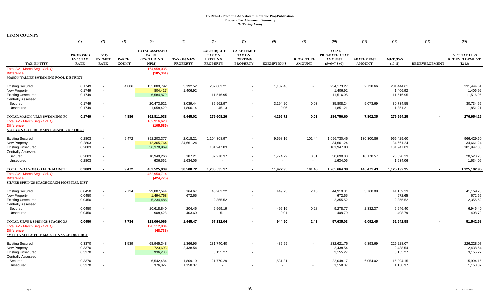|                                                                                                                               | (1)                                                | (2)                                                  | (3)                           | (4)                                                               | (5)                                  | (6)                                                                | (7)                                                                      | (8)                | (9)                               | (10)                                                            | (11)                              | (12)                                  | (13)                 | (15)                                                     |
|-------------------------------------------------------------------------------------------------------------------------------|----------------------------------------------------|------------------------------------------------------|-------------------------------|-------------------------------------------------------------------|--------------------------------------|--------------------------------------------------------------------|--------------------------------------------------------------------------|--------------------|-----------------------------------|-----------------------------------------------------------------|-----------------------------------|---------------------------------------|----------------------|----------------------------------------------------------|
| <b>TAX ENTITY</b>                                                                                                             | <b>PROPOSED</b><br><b>FY 13 TAX</b><br><b>RATE</b> | <b>FY13</b><br><b>EXEMPT</b><br><b>RATE</b>          | <b>PARCEL</b><br><b>COUNT</b> | <b>TOTAL ASSESSED</b><br><b>VALUE</b><br><b>(EXCLUDING</b><br>NPM | <b>TAX ON NEW</b><br><b>PROPERTY</b> | <b>CAP-SUBJECT</b><br>TAX ON<br><b>EXISTING</b><br><b>PROPERTY</b> | <b>CAP-EXEMPT</b><br><b>TAX ON</b><br><b>EXISTING</b><br><b>PROPERTY</b> | <b>EXEMPTIONS</b>  | <b>RECAPTURE</b><br><b>AMOUNT</b> | <b>TOTAL</b><br>PREABATED TAX<br><b>AMOUNT</b><br>$(5+6+7-8+9)$ | <b>ABATEMENT</b><br><b>AMOUNT</b> | NET TAX<br>$(10-11)$                  | <b>REDEVELOPMENT</b> | <b>NET TAX LESS</b><br><b>REDEVELOPMENT</b><br>$(12-13)$ |
| Total AV - March Seg - Col. Q<br><b>Difference</b><br>MASON VALLEY SWIMMING POOL DISTRICT                                     |                                                    |                                                      |                               | 164,958,035<br>(105, 361)                                         |                                      |                                                                    |                                                                          |                    |                                   |                                                                 |                                   |                                       |                      |                                                          |
| <b>Existing Secured</b><br>New Property<br><b>Existing Unsecured</b>                                                          | 0.1749<br>0.1749<br>0.1749                         | $\sim$<br>$\sim$<br>$\sim$                           | 4,886                         | 133,889,792<br>804,417<br>6,584,879                               | 3,192.52<br>1,406.92                 | 232,083.21<br>11,516.95                                            | $\overline{\phantom{a}}$                                                 | 1,102.46           | $\sim$                            | 234,173.27<br>1,406.92<br>11,516.95                             | 2,728.66                          | 231,444.61<br>1,406.92<br>11,516.95   |                      | 231,444.61<br>1,406.92<br>11,516.95                      |
| <b>Centrally Assessed</b><br>Secured<br>Unsecured                                                                             | 0.1749<br>0.1749                                   | $\overline{\phantom{a}}$<br>$\overline{\phantom{a}}$ |                               | 20,473,521<br>1,058,429                                           | 3,039.44<br>1,806.14                 | 35,962.97<br>45.13                                                 | $\sim$                                                                   | 3,194.20<br>0.06   | 0.03<br>$\sim$                    | 35,808.24<br>1,851.21                                           | 5,073.69                          | 30,734.55<br>1,851.21                 |                      | 30,734.55<br>1,851.21                                    |
| TOTAL MASON VLLY SWIMMING PC<br>Total AV - March Seg - Col. Q                                                                 | 0.1749                                             | $\sim$                                               | 4,886                         | 162,811,038<br>162,916,623                                        | 9,445.02                             | 279,608.26                                                         | $\blacksquare$                                                           | 4,296.72           | 0.03                              | 284,756.60                                                      | 7,802.35                          | 276,954.25                            | $\sim$               | 276,954.25                                               |
| <b>Difference</b><br>NO LYON CO FIRE MAINTENANCE DISTRICT                                                                     |                                                    |                                                      |                               | (105, 585)                                                        |                                      |                                                                    |                                                                          |                    |                                   |                                                                 |                                   |                                       |                      |                                                          |
| <b>Existing Secured</b><br><b>New Property</b><br><b>Existing Unsecured</b>                                                   | 0.2803<br>0.2803<br>0.2803                         | $\blacksquare$<br>$\sim$<br>$\blacksquare$           | 9,472                         | 392,203,377<br>12,365,764<br>36,370,969                           | 2,018.21<br>34,661.24                | 1,104,308.97<br>101,947.83                                         | $\sim$                                                                   | 9,698.16           | 101.44                            | 1,096,730.46<br>34,661.24<br>101,947.83                         | 130,300.86                        | 966,429.60<br>34,661.24<br>101,947.83 |                      | 966,429.60<br>34,661.24<br>101,947.83                    |
| <b>Centrally Assessed</b><br>Secured<br>Unsecured                                                                             | 0.2803<br>0.2803                                   | $\sim$<br>$\blacksquare$                             |                               | 10,949,266<br>636,562                                             | 187.21<br>1,634.06                   | 32,278.37                                                          | $\sim$                                                                   | 1,774.79           | 0.01<br>$\sim$                    | 30,690.80<br>1,634.06                                           | 10,170.57                         | 20,520.23<br>1,634.06                 |                      | 20,520.23<br>1,634.06                                    |
| TOTAL NO LYON CO FIRE MAINTE                                                                                                  | 0.2803                                             |                                                      | 9,472                         | 452,525,939                                                       | 38,500.72                            | 1,238,535.17                                                       | $\blacksquare$                                                           | 11,472.95          | 101.45                            | 1,265,664.38                                                    | 140,471.43                        | 1,125,192.95                          |                      | 1,125,192.95                                             |
| Total AV - March Seg - Col. Q<br><b>Difference</b><br>SILVER SPRINGS-STAGECOACH HOSPITAL DIST                                 |                                                    |                                                      |                               | 452,950,714<br>(424, 775)                                         |                                      |                                                                    |                                                                          |                    |                                   |                                                                 |                                   |                                       |                      |                                                          |
| <b>Existing Secured</b><br><b>New Property</b><br><b>Existing Unsecured</b>                                                   | 0.0450<br>0.0450<br>0.0450                         | $\blacksquare$<br>$\sim$<br>$\sim$                   | 7,734                         | 99,807,544<br>1,494,768<br>5,234,486                              | 164.67<br>672.65                     | 45,202.22<br>2,355.52                                              | $\blacksquare$                                                           | 449.73             | 2.15                              | 44,919.31<br>672.65<br>2,355.52                                 | 3,760.08                          | 41,159.23<br>672.65<br>2,355.52       |                      | 41,159.23<br>672.65<br>2,355.52                          |
| <b>Centrally Assessed</b><br>Secured<br>Unsecured                                                                             | 0.0450<br>0.0450                                   | $\sim$                                               |                               | 20,618,840<br>908,428                                             | 204.46<br>403.69                     | 9,569.19<br>5.11                                                   |                                                                          | 495.16<br>0.01     | 0.28<br>$\sim$                    | 9,278.77<br>408.79                                              | 2,332.37                          | 6,946.40<br>408.79                    |                      | 6,946.40<br>408.79                                       |
| TOTAL SILVER SPRINGS-STAGECOA<br>Total AV - March Seg - Col. Q<br><b>Difference</b><br>SMITH VALLEY FIRE MAINTENANCE DISTRICT | 0.0450                                             | $\blacksquare$                                       | 7,734                         | 128,064,066<br>128,112,804<br>(48, 738)                           | 1,445.47                             | 57,132.04                                                          | $\blacksquare$                                                           | 944.90             | 2.43                              | 57,635.03                                                       | 6,092.45                          | 51,542.58                             |                      | 51,542.58                                                |
| <b>Existing Secured</b><br>New Property<br><b>Existing Unsecured</b>                                                          | 0.3370<br>0.3370<br>0.3370                         | $\blacksquare$<br>$\sim$<br>$\sim$                   | 1,539                         | 68,945,348<br>723,603<br>936,283                                  | 1,366.95<br>2,438.54                 | 231,740.40<br>3,155.27                                             | $\overline{\phantom{a}}$                                                 | 485.59             |                                   | 232,621.76<br>2,438.54<br>3,155.27                              | 6,393.69                          | 226,228.07<br>2,438.54<br>3,155.27    |                      | 226,228.07<br>2,438.54<br>3,155.27                       |
| <b>Centrally Assessed</b><br>Secured<br>Unsecured                                                                             | 0.3370<br>0.3370                                   |                                                      |                               | 6,542,484<br>376.827                                              | 1,809.19<br>1.158.37                 | 21,770.29                                                          | $\sim$                                                                   | 1,531.31<br>$\sim$ |                                   | 22,048.17<br>1.158.37                                           | 6,054.02                          | 15,994.15<br>1.158.37                 |                      | 15,994.15<br>1,158.37                                    |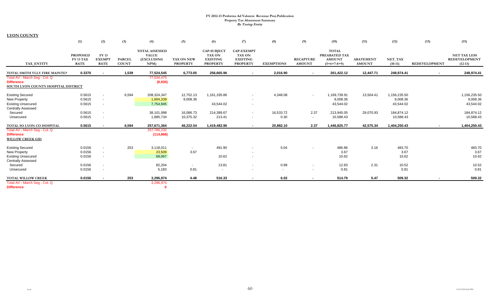|                                                                                                          | (1)                                         | (2)                                          | (3)                           | (4)                                                        | (5)                                  | (6)                                                                | (7)                                                                      | (8)               | (9)                                | (10)                                                            | (11)                              | (12)                                  | (13)                     | (15)                                                     |
|----------------------------------------------------------------------------------------------------------|---------------------------------------------|----------------------------------------------|-------------------------------|------------------------------------------------------------|--------------------------------------|--------------------------------------------------------------------|--------------------------------------------------------------------------|-------------------|------------------------------------|-----------------------------------------------------------------|-----------------------------------|---------------------------------------|--------------------------|----------------------------------------------------------|
| <b>TAX ENTITY</b>                                                                                        | <b>PROPOSED</b><br>FY 13 TAX<br><b>RATE</b> | <b>FY 13</b><br><b>EXEMPT</b><br><b>RATE</b> | <b>PARCEL</b><br><b>COUNT</b> | <b>TOTAL ASSESSED</b><br><b>VALUE</b><br>(EXCLUDING<br>NPM | <b>TAX ON NEW</b><br><b>PROPERTY</b> | <b>CAP-SUBJECT</b><br>TAX ON<br><b>EXISTING</b><br><b>PROPERTY</b> | <b>CAP-EXEMPT</b><br><b>TAX ON</b><br><b>EXISTING</b><br><b>PROPERTY</b> | <b>EXEMPTIONS</b> | <b>RECAPTURE</b><br><b>AMOUNT</b>  | <b>TOTAL</b><br>PREABATED TAX<br><b>AMOUNT</b><br>$(5+6+7-8+9)$ | <b>ABATEMENT</b><br><b>AMOUNT</b> | NET_TAX<br>$(10-11)$                  | <b>REDEVELOPMENT</b>     | <b>NET TAX LESS</b><br><b>REDEVELOPMENT</b><br>$(12-13)$ |
| TOTAL SMITH VLLY FIRE MAINTEN                                                                            | 0.3370                                      | $\sim$                                       | 1,539                         | 77,524,545                                                 | 6,773.05                             | 256,665.96                                                         |                                                                          | 2,016.90          | $\sim$                             | 261,422.12                                                      | 12,447.71                         | 248,974.41                            | $\blacksquare$           | 248,974.41                                               |
| Total AV - March Seg - Col. Q<br><b>Difference</b><br>SOUTH LYON COUNTY HOSPITAL DISTRICT                |                                             |                                              |                               | 77,534,475<br>(9,930)                                      |                                      |                                                                    |                                                                          |                   |                                    |                                                                 |                                   |                                       |                          |                                                          |
| <b>Existing Secured</b><br><b>New Property</b><br><b>Existing Unsecured</b>                              | 0.5615<br>0.5615<br>0.5615                  | $\sim$<br>$\sim$<br>$\sim$                   | 6,594                         | 208,324,347<br>1,604,339<br>7,754,945                      | 12,752.13<br>9,008.36                | 1,161,335.86<br>43,544.02                                          | $\sim$                                                                   | 4,348.08          | $\overline{\phantom{0}}$           | 1,169,739.91<br>9,008.36<br>43,544.02                           | 13,504.41                         | 1,156,235.50<br>9,008.36<br>43,544.02 |                          | 1,156,235.50<br>9,008.36<br>43,544.02                    |
| <b>Centrally Assessed</b><br>Secured<br>Unsecured                                                        | 0.5615<br>0.5615                            | $\sim$<br>$\sim$                             |                               | 38,101,998<br>1,885,734                                    | 16,086.73<br>10,375.32               | 214,389.67<br>213.41                                               | $\sim$<br>$\sim$                                                         | 16,533.72<br>0.30 | 2.37<br>$\sim$                     | 213,945.05<br>10,588.43                                         | 29,070.93                         | 184,874.12<br>10,588.43               |                          | 184,874.12<br>10,588.43                                  |
| TOTAL SO LYON CO HOSPITAL                                                                                | 0.5615                                      |                                              | 6,594                         | 257,671,364                                                | 48,222.54                            | 1,419,482.96                                                       | $\sim$                                                                   | 20,882.10         | 2.37                               | 1,446,825.77                                                    | 42,575.34                         | 1,404,250.43                          | $\sim$                   | 1,404,250.43                                             |
| Total AV - March Seg - Col. Q<br><b>Difference</b><br><b>WILLOW CREEK GID</b>                            |                                             |                                              |                               | 257,786,232<br>(114, 868)                                  |                                      |                                                                    |                                                                          |                   |                                    |                                                                 |                                   |                                       |                          |                                                          |
| <b>Existing Secured</b><br><b>New Property</b><br><b>Existing Unsecured</b><br><b>Centrally Assessed</b> | 0.0156<br>0.0156<br>0.0156                  | $\sim$<br>$\sim$<br>$\sim$                   | 253                           | 3,118,011<br>23,509<br>68,067                              | $\sim$<br>3.67                       | 491.90<br>10.62                                                    | $\sim$                                                                   | 5.04              |                                    | 486.86<br>3.67<br>10.62                                         | 3.16                              | 483.70<br>3.67<br>10.62               |                          | 483.70<br>3.67<br>10.62                                  |
| Secured<br>Unsecured                                                                                     | 0.0156<br>0.0156                            | $\sim$<br>$\sim$                             |                               | 82,204<br>5,183                                            | $\sim$<br>0.81                       | 13.81<br>$\sim$                                                    |                                                                          | 0.98<br>$\sim$    | $\overline{\phantom{a}}$<br>$\sim$ | 12.83<br>0.81                                                   | 2.31                              | 10.52<br>0.81                         |                          | 10.52<br>0.81                                            |
| <b>TOTAL WILLOW CREEK</b>                                                                                | 0.0156                                      | $\sim$                                       | 253                           | 3,296,974                                                  | 4.48                                 | 516.33                                                             |                                                                          | 6.02              | $\sim$                             | 514.79                                                          | 5.47                              | 509.32                                | $\overline{\phantom{a}}$ | 509.32                                                   |
| Total AV - March Seg - Col. Q<br><b>Difference</b>                                                       |                                             |                                              |                               | 3,296,974                                                  |                                      |                                                                    |                                                                          |                   |                                    |                                                                 |                                   |                                       |                          |                                                          |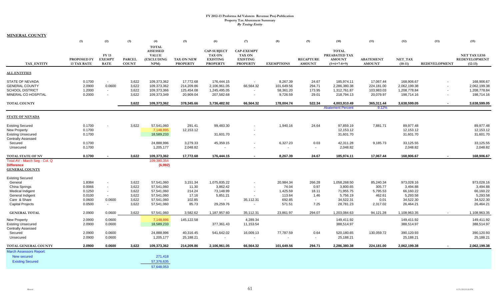| <u>MINERAL COUNTY</u>                                                                            |                                      |                                       |                                  |                                                                      |                                                    |                                                                           |                                                                          |                                                 |                                    |                                                                 |                                                    |                                                          |                      |                                                          |
|--------------------------------------------------------------------------------------------------|--------------------------------------|---------------------------------------|----------------------------------|----------------------------------------------------------------------|----------------------------------------------------|---------------------------------------------------------------------------|--------------------------------------------------------------------------|-------------------------------------------------|------------------------------------|-----------------------------------------------------------------|----------------------------------------------------|----------------------------------------------------------|----------------------|----------------------------------------------------------|
|                                                                                                  | (1)                                  | (2)                                   | (3)                              | (4)                                                                  | (5)                                                | (6)                                                                       | (7)                                                                      | (8)                                             | (9)                                | (10)                                                            | (11)                                               | (12)                                                     | (13)                 | (15)                                                     |
| TAX ENTITY                                                                                       | PROPOSED FY<br><b>13 TAX RATE</b>    | FY 13<br><b>EXEMPT</b><br><b>RATE</b> | <b>PARCEL</b><br><b>COUNT</b>    | <b>TOTAL</b><br><b>ASSESSED</b><br><b>VALUE</b><br>(EXCLUDING<br>NPM | TAX ON NEW<br><b>PROPERTY</b>                      | <b>CAP-SUBJECT</b><br><b>TAX ON</b><br><b>EXISTING</b><br><b>PROPERTY</b> | <b>CAP-EXEMPT</b><br><b>TAX ON</b><br><b>EXISTING</b><br><b>PROPERTY</b> | <b>EXEMPTIONS</b>                               | <b>RECAPTURE</b><br><b>AMOUNT</b>  | <b>TOTAL</b><br>PREABATED TAX<br><b>AMOUNT</b><br>$(5+6+7-8+9)$ | <b>ABATEMENT</b><br><b>AMOUNT</b>                  | NET TAX<br>$(10-11)$                                     | <b>REDEVELOPMENT</b> | <b>NET TAX LESS</b><br><b>REDEVELOPMENT</b><br>$(12-13)$ |
| <b>ALL ENTITIES</b>                                                                              |                                      |                                       |                                  |                                                                      |                                                    |                                                                           |                                                                          |                                                 |                                    |                                                                 |                                                    |                                                          |                      |                                                          |
| <b>STATE OF NEVADA</b><br><b>GENERAL COUNTY</b><br><b>SCHOOL DISTRICT</b><br>MINERAL CO HOSPITAL | 0.1700<br>2.0900<br>1.2000<br>0.2000 | $\sim$<br>0.0600<br>$\sim$<br>$\sim$  | 3,622<br>3,622<br>3,622<br>3,622 | 109,373,362<br>109,373,362<br>109,373,366<br>109,373,349             | 17,772.68<br>214,209.86<br>125,454.08<br>20,909.04 | 176,444.15<br>2,106,961.05<br>1,245,495.05<br>207,582.68                  | 66,564.32                                                                | 8,267.39<br>101,649.56<br>58,361.20<br>9,726.59 | 24.67<br>294.71<br>173.95<br>29.01 | 185,974.11<br>2,286,380.38<br>1,312,761.87<br>218,794.13        | 17,067.44<br>224,181.00<br>103,983.03<br>20,079.97 | 168,906.67<br>2,062,199.38<br>1,208,778.84<br>198,714.16 |                      | 168,906.67<br>2,062,199.38<br>1,208,778.84<br>198,714.16 |
| <b>TOTAL COUNTY</b>                                                                              |                                      |                                       | 3,622                            | 109,373,362                                                          | 378,345.66                                         | 3,736,482.92                                                              | 66,564.32                                                                | 178,004.74                                      | 522.34                             | 4,003,910.49                                                    | 365,311.44                                         | 3,638,599.05                                             |                      | 3,638,599.05                                             |
|                                                                                                  |                                      |                                       |                                  |                                                                      |                                                    |                                                                           |                                                                          |                                                 |                                    | <b>Abatement Percent</b>                                        | 9.12%                                              |                                                          |                      |                                                          |
| <b>STATE OF NEVADA</b>                                                                           |                                      |                                       |                                  |                                                                      |                                                    |                                                                           |                                                                          |                                                 |                                    |                                                                 |                                                    |                                                          |                      |                                                          |
| <b>Existing Secured</b><br>New Property<br><b>Existing Unsecured</b>                             | 0.1700<br>0.1700<br>0.1700           |                                       | 3,622                            | 57,541,060<br>7,148,895<br>18,589,233                                | 291.41<br>12,153.12                                | 99,483.30<br>31,601.70                                                    | $\overline{\phantom{a}}$                                                 | 1,940.16                                        | 24.64                              | 97,859.19<br>12,153.12<br>31,601.70                             | 7,881.71                                           | 89,977.48<br>12,153.12<br>31,601.70                      |                      | 89,977.48<br>12,153.12<br>31,601.70                      |
| <b>Centrally Assessed</b><br>Secured<br>Unsecured                                                | 0.1700<br>0.1700                     |                                       |                                  | 24,888,996<br>1,205,177                                              | 3,279.33<br>2,048.82                               | 45,359.15                                                                 |                                                                          | 6,327.23                                        | 0.03<br>$\sim$                     | 42,311.28<br>2,048.82                                           | 9,185.73                                           | 33,125.55<br>2,048.82                                    |                      | 33,125.55<br>2,048.82                                    |
| <b>TOTAL STATE OF NV</b>                                                                         | 0.1700                               |                                       | 3,622                            | 109,373,362                                                          | 17,772.68                                          | 176,444.15                                                                | $\sim$                                                                   | 8,267.39                                        | 24.67                              | 185,974.11                                                      | 17,067.44                                          | 168,906.67                                               |                      | 168,906.67                                               |
| Total AV - March Seg - Col. Q<br><b>Difference</b><br><b>GENERAL COUNTY</b>                      |                                      |                                       |                                  | 109,380,354<br>(6,992)                                               |                                                    |                                                                           |                                                                          |                                                 |                                    |                                                                 |                                                    |                                                          |                      |                                                          |
| <b>Existing Secured</b>                                                                          |                                      |                                       |                                  |                                                                      |                                                    |                                                                           |                                                                          |                                                 |                                    |                                                                 |                                                    |                                                          |                      |                                                          |
| General                                                                                          | 1.8384                               | $\overline{\phantom{a}}$              | 3,622                            | 57,541,060                                                           | 3,151.34                                           | 1,075,835.22                                                              |                                                                          | 20,984.34                                       | 266.28                             | 1,058,268.50                                                    | 85,240.34                                          | 973,028.16                                               |                      | 973,028.16                                               |
| China Springs                                                                                    | 0.0066                               | $\sim$                                | 3,622                            | 57,541,060                                                           | 11.30                                              | 3,862.42                                                                  |                                                                          | 74.04                                           | 0.97                               | 3,800.65                                                        | 305.77                                             | 3,494.88                                                 |                      | 3,494.88                                                 |
| <b>Medical Indigent</b>                                                                          | 0.1250                               | $\sim$                                | 3,622                            | 57,541,060                                                           | 214.24                                             | 73,148.99                                                                 |                                                                          | 1,425.59                                        | 18.11                              | 71,955.75                                                       | 5,795.53                                           | 66,160.22                                                |                      | 66,160.22                                                |
| General Indigent<br>Care & Share                                                                 | 0.0100                               | $\sim$<br>0.0600                      | 3,622<br>3,622                   | 57,541,060<br>57,541,060                                             | 17.16<br>102.85                                    | 5,851.21<br>$\sim$                                                        | $\sim$<br>35,112.31                                                      | 113.64<br>692.85                                | 1.46<br>$\sim$                     | 5,756.19<br>34,522.31                                           | 462.61<br>0.01                                     | 5,293.58<br>34,522.30                                    |                      | 5,293.58<br>34,522.30                                    |
| <b>Capital Projects</b>                                                                          | 0.0600<br>0.0500                     | $\sim$                                | 3,622                            | 57,541,060                                                           | 85.73                                              | 29,259.76                                                                 |                                                                          | 571.51                                          | 7.25                               | 28,781.23                                                       | 2,317.02                                           | 26,464.21                                                |                      | 26,464.21                                                |
|                                                                                                  |                                      |                                       |                                  |                                                                      |                                                    |                                                                           |                                                                          |                                                 |                                    |                                                                 |                                                    |                                                          |                      |                                                          |
| <b>GENERAL TOTAL</b>                                                                             | 2.0900                               | 0.0600                                | 3,622                            | 57,541,060                                                           | 3,582.62                                           | 1,187,957.60                                                              | 35,112.31                                                                | 23,861.97                                       | 294.07                             | 1,203,084.63                                                    | 94,121.28                                          | 1,108,963.35                                             |                      | 1,108,963.35                                             |
| New Property<br><b>Existing Unsecured</b><br><b>Centrally Assessed</b>                           | 2.0900<br>2.0900                     | 0.0600<br>0.0600                      |                                  | 7,148,896<br>18,589,233                                              | 145,122.58                                         | 377,361.43                                                                | 4,289.34<br>11,153.54                                                    |                                                 |                                    | 149,411.92<br>388,514.97                                        |                                                    | 149,411.92<br>388,514.97                                 |                      | 149,411.92<br>388,514.97                                 |
| Secured                                                                                          | 2.0900                               | 0.0600                                |                                  | 24,888,996                                                           | 40,316.45                                          | 541,642.02                                                                | 16,009.13                                                                | 77,787.59                                       | 0.64                               | 520,180.65                                                      | 130,059.72                                         | 390,120.93                                               |                      | 390,120.93                                               |
| Unsecured                                                                                        | 2.0900                               | 0.0600                                |                                  | 1,205,177                                                            | 25,188.21                                          |                                                                           |                                                                          |                                                 | $\sim$                             | 25,188.21                                                       |                                                    | 25,188.21                                                |                      | 25,188.21                                                |
| TOTAL GENERAL COUNTY                                                                             | 2.0900                               | 0.0600                                | 3,622                            | 109,373,362                                                          | 214,209.86                                         | 2,106,961.05                                                              | 66,564.32                                                                | 101,649.56                                      | 294.71                             | 2,286,380.38                                                    | 224,181.00                                         | 2,062,199.38                                             |                      | 2,062,199.38                                             |
| <b>March Assessors Report:</b>                                                                   |                                      |                                       |                                  |                                                                      |                                                    |                                                                           |                                                                          |                                                 |                                    |                                                                 |                                                    |                                                          |                      |                                                          |
| <b>New secured</b>                                                                               |                                      |                                       |                                  | 271,418                                                              |                                                    |                                                                           |                                                                          |                                                 |                                    |                                                                 |                                                    |                                                          |                      |                                                          |
| <b>Existing Secured</b>                                                                          |                                      |                                       |                                  | 57,376,635                                                           |                                                    |                                                                           |                                                                          |                                                 |                                    |                                                                 |                                                    |                                                          |                      |                                                          |
|                                                                                                  |                                      |                                       |                                  | 57.648.053                                                           |                                                    |                                                                           |                                                                          |                                                 |                                    |                                                                 |                                                    |                                                          |                      |                                                          |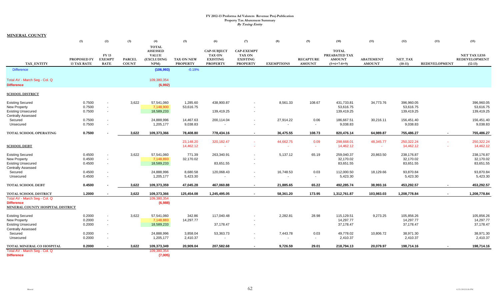|                                                    | (1)                               | (2)                                   | (3)                           | (4)                                                                  | (5)                           | (6)                                                                       | (7)                                                                      | (8)               | (9)                               | (10)                                                            | (11)                              | (12)                 | (13)                 | (15)                                                     |
|----------------------------------------------------|-----------------------------------|---------------------------------------|-------------------------------|----------------------------------------------------------------------|-------------------------------|---------------------------------------------------------------------------|--------------------------------------------------------------------------|-------------------|-----------------------------------|-----------------------------------------------------------------|-----------------------------------|----------------------|----------------------|----------------------------------------------------------|
| <b>TAX ENTITY</b>                                  | PROPOSED FY<br><b>13 TAX RATE</b> | FY 13<br><b>EXEMPT</b><br><b>RATE</b> | <b>PARCEL</b><br><b>COUNT</b> | <b>TOTAL</b><br><b>ASSESSED</b><br><b>VALUE</b><br>(EXCLUDING<br>NPM | TAX ON NEW<br><b>PROPERTY</b> | <b>CAP-SUBJECT</b><br><b>TAX ON</b><br><b>EXISTING</b><br><b>PROPERTY</b> | <b>CAP-EXEMPT</b><br><b>TAX ON</b><br><b>EXISTING</b><br><b>PROPERTY</b> | <b>EXEMPTIONS</b> | <b>RECAPTURE</b><br><b>AMOUNT</b> | <b>TOTAL</b><br>PREABATED TAX<br><b>AMOUNT</b><br>$(5+6+7-8+9)$ | <b>ABATEMENT</b><br><b>AMOUNT</b> | NET_TAX<br>$(10-11)$ | <b>REDEVELOPMENT</b> | <b>NET TAX LESS</b><br><b>REDEVELOPMENT</b><br>$(12-13)$ |
| <b>Difference</b>                                  |                                   |                                       |                               | (106, 993)                                                           | $-0.19%$                      |                                                                           |                                                                          |                   |                                   |                                                                 |                                   |                      |                      |                                                          |
| Total AV - March Seg - Col. Q<br><b>Difference</b> |                                   |                                       |                               | 109,380,354<br>(6,992)                                               |                               |                                                                           |                                                                          |                   |                                   |                                                                 |                                   |                      |                      |                                                          |
|                                                    |                                   |                                       |                               |                                                                      |                               |                                                                           |                                                                          |                   |                                   |                                                                 |                                   |                      |                      |                                                          |
| <b>SCHOOL DISTRICT</b>                             |                                   |                                       |                               |                                                                      |                               |                                                                           |                                                                          |                   |                                   |                                                                 |                                   |                      |                      |                                                          |
| <b>Existing Secured</b>                            | 0.7500                            |                                       | 3,622                         | 57,541,060                                                           | 1,285.60                      | 438,900.87                                                                | $\blacksquare$                                                           | 8,561.33          | 108.67                            | 431,733.81                                                      | 34,773.76                         | 396,960.05           |                      | 396,960.05                                               |
| New Property                                       | 0.7500                            | $\sim$                                |                               | 7,148,900                                                            | 53,616.75                     |                                                                           |                                                                          |                   |                                   | 53,616.75                                                       |                                   | 53,616.75            |                      | 53,616.75                                                |
| <b>Existing Unsecured</b>                          | 0.7500                            |                                       |                               | 18,589,233                                                           |                               | 139,419.25                                                                | $\overline{\phantom{a}}$                                                 |                   |                                   | 139,419.25                                                      |                                   | 139,419.25           |                      | 139,419.25                                               |
| <b>Centrally Assessed</b>                          |                                   |                                       |                               |                                                                      |                               |                                                                           |                                                                          |                   |                                   |                                                                 |                                   |                      |                      |                                                          |
| Secured                                            | 0.7500                            |                                       |                               | 24,888,996                                                           | 14,467.63                     | 200,114.04                                                                | $\blacksquare$                                                           | 27,914.22         | 0.06                              | 186,667.51                                                      | 30,216.11                         | 156,451.40           |                      | 156,451.40                                               |
| Unsecured                                          | 0.7500                            | $\blacksquare$                        |                               | 1,205,177                                                            | 9,038.83                      |                                                                           | $\mathbf{r}$                                                             | $\sim$            | $\sim$                            | 9,038.83                                                        |                                   | 9,038.83             |                      | 9,038.83                                                 |
| TOTAL SCHOOL OPERATING                             | 0.7500                            |                                       | 3,622                         | 109,373,366                                                          | 78,408.80                     | 778,434.16                                                                | $\sim$                                                                   | 36,475.55         | 108.73                            | 820,476.14                                                      | 64,989.87                         | 755,486.27           | $\sim$               | 755,486.27                                               |
|                                                    |                                   |                                       |                               |                                                                      | 23,148.20                     | 320, 182. 47                                                              | $\sim$                                                                   | 44,662.75         | 0.09                              | 298,668.01                                                      | 48,345.77                         | 250,322.24           |                      | 250,322.24                                               |
| <b>SCHOOL DEBT</b>                                 |                                   |                                       |                               |                                                                      | 14,462.12                     |                                                                           |                                                                          |                   | $\sim$                            | 14,462.12                                                       | $\sim$                            | 14,462.12            |                      | 14,462.12                                                |
| <b>Existing Secured</b>                            | 0.4500                            |                                       | 3,622                         | 57,541,060                                                           | 771.39                        | 263,340.91                                                                | $\overline{\phantom{a}}$                                                 | 5,137.12          | 65.19                             | 259,040.37                                                      | 20,863.50                         | 238,176.87           |                      | 238,176.87                                               |
| <b>New Property</b>                                | 0.4500                            | $\sim$                                |                               | 7,148,893                                                            | 32,170.02                     |                                                                           | $\overline{\phantom{a}}$                                                 |                   |                                   | 32,170.02                                                       |                                   | 32,170.02            |                      | 32,170.02                                                |
| <b>Existing Unsecured</b>                          | 0.4500                            | $\sim$                                |                               | 18,589,233                                                           |                               | 83,651.55                                                                 | $\sim$                                                                   |                   |                                   | 83,651.55                                                       |                                   | 83,651.55            |                      | 83,651.55                                                |
| <b>Centrally Assessed</b>                          |                                   |                                       |                               |                                                                      |                               |                                                                           |                                                                          |                   |                                   |                                                                 |                                   |                      |                      |                                                          |
| Secured                                            | 0.4500                            | $\overline{\phantom{a}}$              |                               | 24,888,996                                                           | 8,680.58                      | 120,068.43                                                                | $\overline{\phantom{a}}$                                                 | 16,748.53         | 0.03                              | 112,000.50                                                      | 18,129.66                         | 93,870.84            |                      | 93,870.84                                                |
| Unsecured                                          | 0.4500                            |                                       |                               | 1,205,177                                                            | 5,423.30                      |                                                                           | $\blacksquare$                                                           |                   | $\sim$                            | 5,423.30                                                        |                                   | 5,423.30             |                      | 5,423.30                                                 |
| TOTAL SCHOOL DEBT                                  | 0.4500                            |                                       | 3,622                         | 109,373,359                                                          | 47,045.28                     | 467,060.88                                                                | $\sim$                                                                   | 21,885.65         | 65.22                             | 492,285.74                                                      | 38,993.16                         | 453,292.57           | $\sim$               | 453,292.57                                               |
| TOTAL SCHOOL DISTRICT                              | 1.2000                            |                                       | 3,622                         | 109,373,366                                                          | 125,454.08                    | 1,245,495.05                                                              | $\sim$                                                                   | 58,361.20         | 173.95                            | 1,312,761.87                                                    | 103,983.03                        | 1,208,778.84         | $\sim$               | 1,208,778.84                                             |
| Total AV - March Seg - Col. Q                      |                                   |                                       |                               | 109,380,354                                                          |                               |                                                                           |                                                                          |                   |                                   |                                                                 |                                   |                      |                      |                                                          |
| <b>Difference</b>                                  |                                   |                                       |                               | (6,988)                                                              |                               |                                                                           |                                                                          |                   |                                   |                                                                 |                                   |                      |                      |                                                          |
| MINERAL COUNTY HOSPITAL DISTRICT                   |                                   |                                       |                               |                                                                      |                               |                                                                           |                                                                          |                   |                                   |                                                                 |                                   |                      |                      |                                                          |
| <b>Existing Secured</b>                            | 0.2000                            | $\sim$                                | 3,622                         | 57,541,060                                                           | 342.86                        | 117,040.48                                                                | $\overline{\phantom{a}}$                                                 | 2,282.81          | 28.98                             | 115,129.51                                                      | 9,273.25                          | 105,856.26           |                      | 105,856.26                                               |
| <b>New Property</b>                                | 0.2000                            |                                       |                               | 7,148,883                                                            | 14,297.77                     |                                                                           |                                                                          |                   |                                   | 14,297.77                                                       |                                   | 14,297.77            |                      | 14,297.77                                                |
| <b>Existing Unsecured</b>                          | 0.2000                            | $\sim$                                |                               | 18,589,233                                                           |                               | 37,178.47                                                                 | $\overline{\phantom{a}}$                                                 |                   |                                   | 37,178.47                                                       |                                   | 37,178.47            |                      | 37,178.47                                                |
| <b>Centrally Assessed</b>                          |                                   |                                       |                               |                                                                      |                               |                                                                           |                                                                          |                   |                                   |                                                                 |                                   |                      |                      |                                                          |
| Secured                                            | 0.2000                            | $\overline{\phantom{a}}$              |                               | 24,888,996                                                           | 3,858.04                      | 53,363.73                                                                 | $\blacksquare$                                                           | 7,443.78          | 0.03                              | 49,778.02                                                       | 10,806.72                         | 38,971.30            |                      | 38,971.30                                                |
| Unsecured                                          | 0.2000                            |                                       |                               | 1,205,177                                                            | 2,410.37                      | $\sim$                                                                    | $\blacksquare$                                                           | $\sim$            | $\sim$                            | 2,410.37                                                        |                                   | 2,410.37             |                      | 2,410.37                                                 |
| TOTAL MINERAL CO HOSPITAL                          | 0.2000                            |                                       | 3,622                         | 109,373,349                                                          | 20,909.04                     | 207,582.68                                                                |                                                                          | 9,726.59          | 29.01                             | 218,794.13                                                      | 20,079.97                         | 198,714.16           |                      | 198,714.16                                               |
| Total AV - March Seg - Col. Q                      |                                   |                                       |                               | 109,380,354                                                          |                               |                                                                           |                                                                          |                   |                                   |                                                                 |                                   |                      |                      |                                                          |
| <b>Difference</b>                                  |                                   |                                       |                               | (7,005)                                                              |                               |                                                                           |                                                                          |                   |                                   |                                                                 |                                   |                      |                      |                                                          |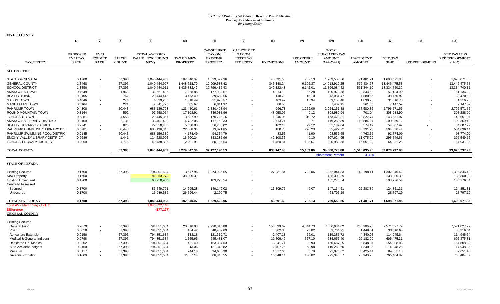| <b>NYE COUNTY</b>               |                                                    |                                       |                               |                                                   |                                      |                                                                    |                                                                          |                   |                                   |                                                                 |                                   |                      |                      |                                                          |
|---------------------------------|----------------------------------------------------|---------------------------------------|-------------------------------|---------------------------------------------------|--------------------------------------|--------------------------------------------------------------------|--------------------------------------------------------------------------|-------------------|-----------------------------------|-----------------------------------------------------------------|-----------------------------------|----------------------|----------------------|----------------------------------------------------------|
|                                 | (1)                                                | (2)                                   | (3)                           | (4)                                               | (5)                                  | (6)                                                                | (7)                                                                      | (8)               | (9)                               | (10)                                                            | (11)                              | (12)                 | (13)                 | (15)                                                     |
| TAX ENTITY                      | <b>PROPOSED</b><br><b>FY 13 TAX</b><br><b>RATE</b> | FY 13<br><b>EXEMPT</b><br><b>RATE</b> | <b>PARCEL</b><br><b>COUNT</b> | <b>TOTAL ASSESSED</b><br>VALUE (EXCLUDING<br>NPM) | <b>TAX ON NEW</b><br><b>PROPERTY</b> | CAP-SUBJECT<br><b>TAX ON</b><br><b>EXISTING</b><br><b>PROPERTY</b> | <b>CAP-EXEMPT</b><br><b>TAX ON</b><br><b>EXISTING</b><br><b>PROPERTY</b> | <b>EXEMPTIONS</b> | <b>RECAPTURE</b><br><b>AMOUNT</b> | <b>TOTAL</b><br>PREABATED TAX<br><b>AMOUNT</b><br>$(5+6+7-8+9)$ | <b>ABATEMENT</b><br><b>AMOUNT</b> | NET_TAX<br>$(10-11)$ | <b>REDEVELOPMENT</b> | <b>NET TAX LESS</b><br><b>REDEVELOPMENT</b><br>$(12-13)$ |
| <b>ALL ENTITIES</b>             |                                                    |                                       |                               |                                                   |                                      |                                                                    |                                                                          |                   |                                   |                                                                 |                                   |                      |                      |                                                          |
| STATE OF NEVADA                 | 0.1700                                             | $\sim$                                | 57,393                        | 1,040,444,963                                     | 182,840.07                           | 1,629,522.96                                                       |                                                                          | 43,591.60         | 782.13                            | 1,769,553.56                                                    | 71,481.71                         | 1,698,071.85         |                      | 1,698,071.85                                             |
| <b>GENERAL COUNTY</b>           | 1.3468                                             |                                       | 57,393                        | 1,040,444,927                                     | 1,448,523.70                         | 12,909,538.42                                                      |                                                                          | 345,348.24        | 6,196.37                          | 14,018,910.25                                                   | 572,434.67                        | 13,446,475.58        |                      | 13,446,475.58                                            |
| <b>SCHOOL DISTRICT</b>          | 1.3350                                             |                                       | 57,393                        | 1,040,444,911                                     | 1,435,832.47                         | 12,796,432.43                                                      |                                                                          | 342,322.48        | 6,142.01                          | 13,896,084.42                                                   | 561,344.10                        | 13,334,740.32        |                      | 13,334,740.32                                            |
| AMARGOSA TOWN                   | 0.4949                                             |                                       | 1,966                         | 36,561,435                                        | 7,258.86                             | 177,998.57                                                         |                                                                          | 4,314.13          | 36.28                             | 180,979.58                                                      | 29,844.68                         | 151,134.90           |                      | 151,134.90                                               |
| <b>BEATTY TOWN</b>              | 0.2105                                             |                                       | 762                           | 20,444,415                                        | 3,463.49                             | 39,690.66                                                          |                                                                          | 118.78            | 16.10                             | 43,051.47                                                       | 4,580.55                          | 38,470.92            |                      | 38,470.92                                                |
| <b>GABBS TOWN</b>               | 0.4846                                             |                                       | 244                           | 6,839,283                                         | 1,618.49                             | 31,928.57                                                          |                                                                          | 403.92            | 13.34                             | 33,156.48                                                       | 1,839.73                          | 31,316.75            |                      | 31,316.75                                                |
| <b>MANHATTAN TOWN</b>           | 0.3164                                             |                                       | 221                           | 2,341,723                                         | 685.67                               | 6,811.97                                                           |                                                                          | 88.50             |                                   | 7,409.15                                                        | 261.56                            | 7,147.59             |                      | 7,147.59                                                 |
| PAHRUMP TOWN                    | 0.4308                                             |                                       | 50,443                        | 688,136,703                                       | 123,480.61                           | 2,830,408.94                                                       |                                                                          | 996.73            | 1,259.06                          | 2,954,151.88                                                    | 157,580.32                        | 2,796,571.56         |                      | 2,796,571.56                                             |
| ROUND MOUNTAIN TOWN             | 0.3164                                             |                                       | 592                           | 97,658,074                                        | 17,108.91                            | 339,938.96                                                         |                                                                          | 48,058.05         | 0.12                              | 308,989.94                                                      | 701.04                            | 308,288.90           |                      | 308,288.90                                               |
| <b>TONOPAH TOWN</b>             | 0.5881                                             |                                       | 1,553                         | 29,445,357                                        | 3,687.99                             | 170,726.16                                                         |                                                                          | 1,246.06          | 310.72                            | 173,478.81                                                      | 29,827.74                         | 143,651.07           |                      | 143,651.07                                               |
| AMARGOSA LIBRARY DISTRICT       | 0.3100                                             |                                       | 2,131                         | 38,461,403                                        | 4,782.06                             | 117,162.33                                                         |                                                                          | 2,713.71          | 22.71                             | 119,253.39                                                      | 18,884.27                         | 100,369.12           |                      | 100,369.12                                               |
| <b>BEATTY LIBRARY DISTRICT</b>  | 0.2741                                             |                                       | 825                           | 22,310,400                                        | 5,030.03                             | 56,285.02                                                          |                                                                          | 162.13            | 29.12                             | 61,182.04                                                       | 6,574.12                          | 54,607.92            |                      | 54,607.92                                                |
| PAHRUMP COMMUNITY LIBRARY DIS   | 0.0781                                             |                                       | 50,443                        | 688,136,840                                       | 22,358.34                            | 513,021.85                                                         |                                                                          | 180.70            | 228.23                            | 535,427.72                                                      | 30,791.28                         | 504,636.44           |                      | 504,636.44                                               |
| PAHRUMP SWIMMING POOL DISTRIC   | 0.0145                                             |                                       | 50,443                        | 688,156,330                                       | 4,174.49                             | 94,354.79                                                          |                                                                          | 33.53             | 41.90                             | 98,537.65                                                       | 4,763.56                          | 93,774.09            |                      | 93,774.09                                                |
| SMOKY VALLEY LIBRARY DISTRICT   | 0.2686                                             |                                       | 1,441                         | 114,528,905                                       | 16,500.24                            | 333,232.96                                                         |                                                                          | 42,108.35         | 0.10                              | 307,624.95                                                      | 11,075.29                         | 296,549.66           |                      | 296,549.66                                               |
| <b>TONOPAH LIBRARY DISTRICT</b> | 0.2000                                             |                                       | 1,775                         | 40,438,396                                        | 2,201.91                             | 80,135.54                                                          |                                                                          | 1,460.54          | 105.67                            | 80,982.58                                                       | 16,051.33                         | 64,931.25            |                      | 64,931.25                                                |
| <b>TOTAL COUNTY</b>             |                                                    |                                       | 57,393                        | 1,040,444,963                                     | 3,279,547.34                         | 32,127,190.13                                                      |                                                                          | 833,147.45        | 15,183.86                         | 34,588,773.88                                                   | 1,518,035.95                      | 33,070,737.93        |                      | 33,070,737.93                                            |
|                                 |                                                    |                                       |                               |                                                   |                                      |                                                                    |                                                                          |                   |                                   | <b>Abatement Percen</b>                                         | 4.39%                             |                      |                      |                                                          |
| <b>STATE OF NEVADA</b>          |                                                    |                                       |                               |                                                   |                                      |                                                                    |                                                                          |                   |                                   |                                                                 |                                   |                      |                      |                                                          |
| <b>Existing Secured</b>         | 0.1700                                             |                                       | 57,393                        | 794,851,634                                       | 3,547.96                             | 1,374,996.65                                                       |                                                                          | 27,281.84         | 782.06                            | 1,352,044.83                                                    | 49,198.41                         | 1,302,846.42         |                      | 1,302,846.42                                             |
| <b>New Property</b>             | 0.1700                                             |                                       |                               | 81,353,170                                        | 138,300.39                           |                                                                    |                                                                          |                   |                                   | 138,300.39                                                      |                                   | 138,300.39           |                      | 138,300.39                                               |
| <b>Existing Unsecured</b>       | 0.1700                                             |                                       |                               | 60,750,906                                        |                                      | 103,276.54                                                         |                                                                          |                   |                                   | 103,276.54                                                      |                                   | 103,276.54           |                      | 103,276.54                                               |
| <b>Centrally Assessed</b>       |                                                    |                                       |                               |                                                   |                                      |                                                                    |                                                                          |                   |                                   |                                                                 |                                   |                      |                      |                                                          |
| Secured                         | 0.1700                                             |                                       |                               | 86,549,721                                        | 14,295.28                            | 149,149.02                                                         |                                                                          | 16,309.76         | 0.07                              | 147,134.61                                                      | 22,283.30                         | 124,851.31           |                      | 124,851.31                                               |
| Unsecured                       | 0.1700                                             |                                       |                               | 16,939,532                                        | 26,696.44                            | 2,100.75                                                           |                                                                          |                   | $\sim$                            | 28,797.19                                                       |                                   | 28,797.19            |                      | 28,797.19                                                |
| <b>TOTAL STATE OF NV</b>        | 0.1700                                             |                                       | 57,393                        | 1,040,444,963                                     | 182,840.07                           | 1,629,522.96                                                       |                                                                          | 43,591.60         | 782.13                            | 1,769,553.56                                                    | 71,481.71                         | 1,698,071.85         |                      | 1,698,071.85                                             |
| Total AV - March Seg - Col. Q   |                                                    |                                       |                               | 1,040,622,140                                     |                                      |                                                                    |                                                                          |                   |                                   |                                                                 |                                   |                      |                      |                                                          |
| <b>Difference</b>               |                                                    |                                       |                               | (177, 177)                                        |                                      |                                                                    |                                                                          |                   |                                   |                                                                 |                                   |                      |                      |                                                          |
| <b>GENERAL COUNTY</b>           |                                                    |                                       |                               |                                                   |                                      |                                                                    |                                                                          |                   |                                   |                                                                 |                                   |                      |                      |                                                          |
| <b>Existing Secured</b>         |                                                    |                                       |                               |                                                   |                                      |                                                                    |                                                                          |                   |                                   |                                                                 |                                   |                      |                      |                                                          |
| General Fund                    | 0.9879                                             |                                       | 57,393                        | 794,851,634                                       | 20,618.03                            | 7,990,310.88                                                       |                                                                          | 158,539.62        | 4,544.73                          | 7,856,934.02                                                    | 285,906.23                        | 7,571,027.79         |                      | 7,571,027.79                                             |
| Road                            | 0.0050                                             | $\overline{\phantom{a}}$              | 57,393                        | 794,851,634                                       | 104.42                               | 40,439.89                                                          |                                                                          | 802.38            | 23.02                             | 39,764.95                                                       | 1,448.31                          | 38,316.64            |                      | 38,316.64                                                |
| <b>Agriculture Extension</b>    | 0.0150                                             | $\sim$                                | 57,393                        | 794,851,634                                       | 313.18                               | 121,310.71                                                         |                                                                          | 2,407.18          | 69.01                             | 119,285.72                                                      | 4,340.08                          | 114,945.64           |                      | 114,945.64                                               |
| Medical & General Indigent      | 0.0798                                             |                                       | 57,393                        | 794,851,634                                       | 1,665.65                             | 645,431.07                                                         |                                                                          | 12,806.42         | 367.10                            | 634,657.40                                                      | 29,182.09                         | 605,475.31           |                      | 605,475.31                                               |
| Dedicated Co. Medical           | 0.0202                                             |                                       | 57,393                        | 794,851,634                                       | 421.40                               | 163,384.63                                                         |                                                                          | 3,241.71          | 92.93                             | 160,657.25                                                      | 5,848.37                          | 154,808.88           |                      | 154,808.88                                               |
| Auto Accident Indigent          | 0.0150                                             |                                       | 57,393                        | 794,851,634                                       | 313.05                               | 121,313.82                                                         |                                                                          | 2,407.25          | 68.98                             | 119,288.60                                                      | 4,340.35                          | 114,948.25           |                      | 114,948.25                                               |
| Museum                          | 0.0117                                             |                                       | 57,393                        | 794,851,634                                       | 244.18                               | 94,656.30                                                          |                                                                          | 1,877.65          | 53.79                             | 93,076.62                                                       | 3,425.44                          | 89,651.18            |                      | 89,651.18                                                |
| Juvenile Probation              | 0.1000                                             |                                       | 57.393                        | 794,851,634                                       | 2.087.14                             | 808,846.55                                                         |                                                                          | 16,048.14         | 460.02                            | 795,345.57                                                      | 28,940.75                         | 766,404.82           |                      | 766.404.82                                               |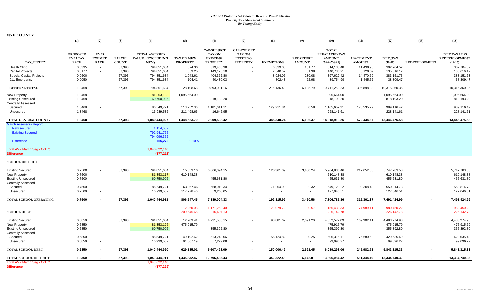|                                                                                               | (1)                                                | (2)                                          | (3)                           | (4)                                                | (5)                                  | (6)                                                                       | (7)                                                               | (8)               | (9)                               | (10)                                                            | (11)                              | (12)                 | (13)                 | (15)                                                     |
|-----------------------------------------------------------------------------------------------|----------------------------------------------------|----------------------------------------------|-------------------------------|----------------------------------------------------|--------------------------------------|---------------------------------------------------------------------------|-------------------------------------------------------------------|-------------------|-----------------------------------|-----------------------------------------------------------------|-----------------------------------|----------------------|----------------------|----------------------------------------------------------|
| TAX ENTITY                                                                                    | <b>PROPOSED</b><br><b>FY 13 TAX</b><br><b>RATE</b> | <b>FY 13</b><br><b>EXEMPT</b><br><b>RATE</b> | <b>PARCEL</b><br><b>COUNT</b> | <b>TOTAL ASSESSED</b><br>VALUE (EXCLUDING<br>NPM)  | <b>TAX ON NEW</b><br><b>PROPERTY</b> | <b>CAP-SUBJECT</b><br><b>TAX ON</b><br><b>EXISTING</b><br><b>PROPERTY</b> | <b>CAP-EXEMPT</b><br>TAX ON<br><b>EXISTING</b><br><b>PROPERTY</b> | <b>EXEMPTIONS</b> | <b>RECAPTURE</b><br><b>AMOUNT</b> | <b>TOTAL</b><br>PREABATED TAX<br><b>AMOUNT</b><br>$(5+6+7-8+9)$ | <b>ABATEMENT</b><br><b>AMOUNT</b> | NET TAX<br>$(10-11)$ | <b>REDEVELOPMENT</b> | <b>NET TAX LESS</b><br><b>REDEVELOPMENT</b><br>$(12-13)$ |
| <b>Health Clinc</b>                                                                           | 0.0395                                             | $\sim$                                       | 57,393                        | 794,851,634                                        | 824.36                               | 319,468.38                                                                |                                                                   | 6,339.03          | 181.77                            | 314,135.48                                                      | 11,430.96                         | 302,704.52           |                      | 302,704.52                                               |
| <b>Capital Projects</b>                                                                       | 0.0177                                             | $\sim$                                       | 57,393                        | 794,851,634                                        | 369.25                               | 143,126.10                                                                |                                                                   | 2,840.52          | 81.38                             | 140,736.21                                                      | 5,120.09                          | 135,616.12           |                      | 135,616.12                                               |
| <b>Special Capital Projects</b>                                                               | 0.0500                                             | $\sim$                                       | 57,393                        | 794,851,634                                        | 1,043.61                             | 404,372.80                                                                |                                                                   | 8,024.07          | 230.08                            | 397,622.42                                                      | 14,470.69                         | 383,151.73           |                      | 383,151.73                                               |
| 911 Emergency                                                                                 | 0.0050                                             |                                              | 57,393                        | 794,851,634                                        | 104.41                               | 40,430.03                                                                 |                                                                   | 802.43            | 22.98                             | 39,754.99                                                       | 1,445.52                          | 38,309.47            |                      | 38,309.47                                                |
| <b>GENERAL TOTAL</b>                                                                          | 1.3468                                             |                                              | 57,393                        | 794,851,634                                        | 28,108.68                            | 10.893.091.16                                                             |                                                                   | 216,136.40        | 6,195.79                          | 10,711,259.23                                                   | 395.898.88                        | 10,315,360.35        |                      | 10,315,360.35                                            |
| <b>New Property</b>                                                                           | 1.3468                                             |                                              |                               | 81,353,133                                         | 1,095,664.00                         |                                                                           |                                                                   |                   |                                   | 1,095,664.00                                                    |                                   | 1,095,664.00         |                      | 1,095,664.00                                             |
| <b>Existing Unsecured</b>                                                                     | 1.3468                                             |                                              |                               | 60,750,906                                         |                                      | 818,193.20                                                                |                                                                   |                   |                                   | 818,193.20                                                      |                                   | 818,193.20           |                      | 818,193.20                                               |
| <b>Centrally Assessed</b>                                                                     |                                                    |                                              |                               |                                                    |                                      |                                                                           |                                                                   |                   |                                   |                                                                 |                                   |                      |                      |                                                          |
| Secured                                                                                       | 1.3468                                             |                                              |                               | 86,549,721                                         | 113,252.36                           | 1,181,611.11                                                              |                                                                   | 129,211.84        | 0.58                              | 1,165,652.21                                                    | 176,535.79                        | 989,116.42           |                      | 989,116.42                                               |
| Unsecured                                                                                     | 1.3468                                             |                                              |                               | 16,939,532                                         | 211,498.66                           | 16,642.95                                                                 |                                                                   |                   | $\sim$                            | 228,141.61                                                      |                                   | 228,141.61           |                      | 228,141.61                                               |
| TOTAL GENERAL COUNTY                                                                          | 1.3468                                             |                                              | 57,393                        | 1,040,444,927                                      | 1,448,523.70                         | 12,909,538.42                                                             |                                                                   | 345,348.24        | 6,196.37                          | 14,018,910.25                                                   | 572,434.67                        | 13,446,475.58        |                      | 13,446,475.58                                            |
| <b>March Assessors Report:</b><br>New secured<br><b>Existing Secured</b><br><b>Difference</b> |                                                    |                                              |                               | 1,154,587<br>792,941,775<br>794,096,362<br>755,272 | 0.10%                                |                                                                           |                                                                   |                   |                                   |                                                                 |                                   |                      |                      |                                                          |
| Total AV - March Seg - Col. Q<br><b>Difference</b>                                            |                                                    |                                              |                               | 1,040,622,140<br>(177, 213)                        |                                      |                                                                           |                                                                   |                   |                                   |                                                                 |                                   |                      |                      |                                                          |
| <b>SCHOOL DISTRICT</b>                                                                        |                                                    |                                              |                               |                                                    |                                      |                                                                           |                                                                   |                   |                                   |                                                                 |                                   |                      |                      |                                                          |
| <b>Existing Secured</b>                                                                       | 0.7500                                             | $\sim$                                       | 57,393                        | 794,851,634                                        | 15,653.16                            | 6,066,094.15                                                              |                                                                   | 120,361.09        | 3,450.24                          | 5,964,836.46                                                    | 217,052.88                        | 5,747,783.58         |                      | 5,747,783.58                                             |
| New Property                                                                                  | 0.7500                                             | $\sim$                                       |                               | 81,353,117                                         | 610,148.38                           |                                                                           |                                                                   |                   |                                   | 610,148.38                                                      |                                   | 610,148.38           |                      | 610,148.38                                               |
| <b>Existing Unsecured</b>                                                                     | 0.7500                                             | $\sim$                                       |                               | 60,750,906                                         |                                      | 455,631.80                                                                |                                                                   |                   |                                   | 455,631.80                                                      |                                   | 455,631.80           |                      | 455,631.80                                               |
| <b>Centrally Assessed</b>                                                                     |                                                    |                                              |                               |                                                    |                                      |                                                                           |                                                                   |                   |                                   |                                                                 |                                   |                      |                      |                                                          |
| Secured                                                                                       | 0.7500                                             | $\sim$                                       |                               | 86,549,721                                         | 63,067.46                            | 658,010.34                                                                |                                                                   | 71,954.90         | 0.32                              | 649,123.22                                                      | 98,308.49                         | 550.814.73           |                      | 550,814.73                                               |
| Unsecured                                                                                     | 0.7500                                             | $\sim$                                       |                               | 16,939,532                                         | 117,778.46                           | 9,268.05                                                                  |                                                                   |                   | $\sim$                            | 127,046.51                                                      |                                   | 127,046.51           |                      | 127,046.51                                               |
| TOTAL SCHOOL OPERATING                                                                        | 0.7500                                             |                                              | 57,393                        | 1,040,444,911                                      | 806,647.45                           | 7,189,004.33                                                              |                                                                   | 192,315.99        | 3,450.56                          | 7,806,786.36                                                    | 315,361.37                        | 7,491,424.99         | $\blacksquare$       | 7,491,424.99                                             |
|                                                                                               |                                                    |                                              |                               |                                                    | 112,260.08                           | 1,171,258.40                                                              |                                                                   | 128,079.72        | 0.57                              | 1,155,439.33                                                    | 174,989.11                        | 980,450.22           |                      | 980,450.22                                               |
| <b>SCHOOL DEBT</b>                                                                            |                                                    |                                              |                               |                                                    | 209,645.65                           | 16,497.13                                                                 |                                                                   |                   | $\sim$                            | 226,142.78                                                      |                                   | 226,142.78           |                      | 226,142.78                                               |
| <b>Existing Secured</b>                                                                       | 0.5850                                             |                                              | 57,393                        | 794,851,634                                        | 12,209.41                            | 4,731,558.15                                                              |                                                                   | 93,881.67         | 2,691.20                          | 4,652,577.09                                                    | 169,302.11                        | 4,483,274.98         |                      | 4,483,274.98                                             |
| New Property                                                                                  | 0.5850                                             | $\sim$                                       |                               | 81,353,126                                         | 475,915.79                           |                                                                           |                                                                   |                   |                                   | 475,915.79                                                      |                                   | 475,915.79           |                      | 475,915.79                                               |
| <b>Existing Unsecured</b>                                                                     | 0.5850                                             | $\sim$                                       |                               | 60,750,906                                         |                                      | 355,392.80                                                                |                                                                   |                   |                                   | 355,392.80                                                      |                                   | 355,392.80           |                      | 355,392.80                                               |
| <b>Centrally Assessed</b><br>Secured                                                          | 0.5850                                             | $\overline{\phantom{a}}$                     |                               | 86,549,721                                         | 49,192.62                            | 513,248.06                                                                |                                                                   | 56,124.82         | 0.25                              | 506,316.11                                                      | 76,680.62                         | 429,635.49           |                      | 429,635.49                                               |
| Unsecured                                                                                     | 0.5850                                             |                                              |                               | 16,939,532                                         | 91,867.19                            | 7,229.08                                                                  |                                                                   | $\sim$            | $\sim$                            | 99,096.27                                                       |                                   | 99,096.27            |                      | 99,096.27                                                |
| <b>TOTAL SCHOOL DEBT</b>                                                                      | 0.5850                                             |                                              | 57,393                        | 1,040,444,920                                      | 629,185.01                           | 5,607,428.09                                                              |                                                                   | 150,006.49        | 2,691.45                          | 6,089,298.06                                                    | 245,982.73                        | 5,843,315.33         |                      | 5,843,315.33                                             |
| TOTAL SCHOOL DISTRICT                                                                         | 1.3350                                             |                                              | 57,393                        | 1,040,444,911                                      | 1,435,832.47                         | 12,796,432.43                                                             |                                                                   | 342,322.48        | 6,142.01                          | 13,896,084.42                                                   | 561,344.10                        | 13,334,740.32        |                      | 13,334,740.32                                            |
| Total AV - March Seg - Col. Q                                                                 |                                                    |                                              |                               | 1,040,622,140                                      |                                      |                                                                           |                                                                   |                   |                                   |                                                                 |                                   |                      |                      |                                                          |
| <b>Difference</b>                                                                             |                                                    |                                              |                               | (177, 229)                                         |                                      |                                                                           |                                                                   |                   |                                   |                                                                 |                                   |                      |                      |                                                          |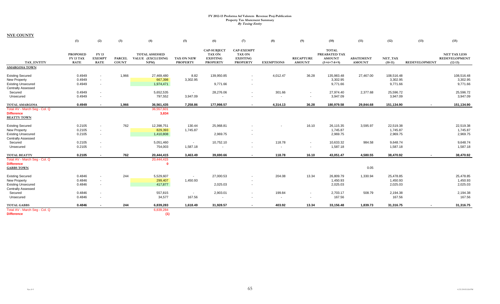|                                                                                                          | (1)                                         | (2)                                   | (3)                    | (4)                                              | (5)                                  | (6)                                                                       | (7)                                                                      | (8)                                | (9)                                                  | (10)                                                            | (11)                              | (12)                               | (13)                     | (15)                                                     |
|----------------------------------------------------------------------------------------------------------|---------------------------------------------|---------------------------------------|------------------------|--------------------------------------------------|--------------------------------------|---------------------------------------------------------------------------|--------------------------------------------------------------------------|------------------------------------|------------------------------------------------------|-----------------------------------------------------------------|-----------------------------------|------------------------------------|--------------------------|----------------------------------------------------------|
| TAX ENTITY                                                                                               | <b>PROPOSED</b><br>FY 13 TAX<br><b>RATE</b> | FY 13<br><b>EXEMPT</b><br><b>RATE</b> | <b>PARCEL</b><br>COUNT | <b>TOTAL ASSESSED</b><br>VALUE (EXCLUDING<br>NPM | <b>TAX ON NEW</b><br><b>PROPERTY</b> | <b>CAP-SUBJECT</b><br><b>TAX ON</b><br><b>EXISTING</b><br><b>PROPERTY</b> | <b>CAP-EXEMPT</b><br><b>TAX ON</b><br><b>EXISTING</b><br><b>PROPERTY</b> | <b>EXEMPTIONS</b>                  | <b>RECAPTURE</b><br><b>AMOUNT</b>                    | <b>TOTAL</b><br>PREABATED TAX<br><b>AMOUNT</b><br>$(5+6+7-8+9)$ | <b>ABATEMENT</b><br><b>AMOUNT</b> | NET_TAX<br>$(10-11)$               | <b>REDEVELOPMENT</b>     | <b>NET TAX LESS</b><br><b>REDEVELOPMENT</b><br>$(12-13)$ |
| <b>AMARGOSA TOWN</b>                                                                                     |                                             |                                       |                        |                                                  |                                      |                                                                           |                                                                          |                                    |                                                      |                                                                 |                                   |                                    |                          |                                                          |
| <b>Existing Secured</b><br><b>New Property</b><br><b>Existing Unsecured</b><br><b>Centrally Assessed</b> | 0.4949<br>0.4949<br>0.4949                  | $\sim$<br>$\sim$<br>$\sim$            | 1,966                  | 27,469,480<br>667,398<br>1,974,471               | 8.82<br>3,302.95                     | 139,950.85<br>9,771.66                                                    | $\sim$                                                                   | 4,012.47                           | 36.28                                                | 135,983.48<br>3,302.95<br>9,771.66                              | 27,467.00                         | 108,516.48<br>3,302.95<br>9,771.66 |                          | 108,516.48<br>3,302.95<br>9,771.66                       |
| Secured                                                                                                  | 0.4949                                      | $\sim$                                |                        | 5,652,535                                        | $\sim$                               | 28,276.06                                                                 |                                                                          | 301.66                             | $\sim$                                               | 27,974.40                                                       | 2,377.68                          | 25,596.72                          |                          | 25,596.72                                                |
| Unsecured                                                                                                | 0.4949                                      | $\overline{\phantom{a}}$              |                        | 797,552                                          | 3,947.09                             |                                                                           |                                                                          | $\overline{\phantom{a}}$           | $\sim$                                               | 3,947.09                                                        |                                   | 3,947.09                           |                          | 3,947.09                                                 |
| <b>TOTAL AMARGOSA</b>                                                                                    | 0.4949                                      |                                       | 1,966                  | 36,561,435                                       | 7,258.86                             | 177,998.57                                                                |                                                                          | 4,314.13                           | 36.28                                                | 180,979.58                                                      | 29,844.68                         | 151,134.90                         |                          | 151,134.90                                               |
| Total AV - March Seg - Col. Q<br><b>Difference</b><br><b>BEATTY TOWN</b>                                 |                                             |                                       |                        | 36,557,601<br>3,834                              |                                      |                                                                           |                                                                          |                                    |                                                      |                                                                 |                                   |                                    |                          |                                                          |
| <b>Existing Secured</b><br>New Property<br><b>Existing Unsecured</b><br><b>Centrally Assessed</b>        | 0.2105<br>0.2105<br>0.2105                  | $\sim$<br>$\sim$<br>$\sim$            | 762                    | 12,398,751<br>829,393<br>1,410,808               | 130.44<br>1,745.87                   | 25,968.81<br>2,969.75                                                     |                                                                          |                                    | 16.10                                                | 26,115.35<br>1,745.87<br>2,969.75                               | 3,595.97                          | 22,519.38<br>1,745.87<br>2,969.75  |                          | 22,519.38<br>1,745.87<br>2,969.75                        |
| Secured<br>Unsecured                                                                                     | 0.2105<br>0.2105                            | $\sim$                                |                        | 5,051,460<br>754,003                             | $\sim$<br>1,587.18                   | 10,752.10<br>$\blacksquare$                                               | $\sim$                                                                   | 118.78<br>$\overline{\phantom{a}}$ | $\sim$<br>$\blacksquare$                             | 10,633.32<br>1,587.18                                           | 984.58                            | 9,648.74<br>1,587.18               |                          | 9,648.74<br>1,587.18                                     |
| <b>TOTAL BEATTY</b>                                                                                      | 0.2105                                      |                                       | 762                    | 20,444,415                                       | 3,463.49                             | 39,690.66                                                                 | $\overline{\phantom{a}}$                                                 | 118.78                             | 16.10                                                | 43,051.47                                                       | 4,580.55                          | 38,470.92                          |                          | 38,470.92                                                |
| Total AV - March Seq - Col. Q<br><b>Difference</b><br><b>GABBS TOWN</b>                                  |                                             |                                       |                        | 20,444,415<br>$\Omega$                           |                                      |                                                                           |                                                                          |                                    |                                                      |                                                                 | 0.05                              |                                    |                          |                                                          |
| <b>Existing Secured</b><br>New Property<br><b>Existing Unsecured</b><br><b>Centrally Assessed</b>        | 0.4846<br>0.4846<br>0.4846                  | $\sim$<br>$\sim$<br>$\sim$            | 244                    | 5,529,607<br>299,407<br>417,877                  | 1,450.93                             | 27,000.53<br>2,025.03                                                     |                                                                          | 204.08                             | 13.34                                                | 26,809.79<br>1,450.93<br>2,025.03                               | 1,330.94                          | 25,478.85<br>1,450.93<br>2,025.03  |                          | 25,478.85<br>1,450.93<br>2,025.03                        |
| Secured<br>Unsecured                                                                                     | 0.4846<br>0.4846                            | $\sim$                                |                        | 557,815<br>34,577                                | $\sim$<br>167.56                     | 2,903.01<br>$\overline{\phantom{a}}$                                      |                                                                          | 199.84<br>$\overline{\phantom{a}}$ | $\overline{\phantom{a}}$<br>$\overline{\phantom{a}}$ | 2,703.17<br>167.56                                              | 508.79                            | 2,194.38<br>167.56                 |                          | 2,194.38<br>167.56                                       |
| <b>TOTAL GABBS</b>                                                                                       | 0.4846                                      |                                       | 244                    | 6,839,283                                        | 1,618.49                             | 31,928.57                                                                 | $\sim$                                                                   | 403.92                             | 13.34                                                | 33,156.48                                                       | 1,839.73                          | 31,316.75                          | $\overline{\phantom{a}}$ | 31,316.75                                                |
| Total AV - March Seq - Col. Q<br><b>Difference</b>                                                       |                                             |                                       |                        | 6,839,284<br>(1)                                 |                                      |                                                                           |                                                                          |                                    |                                                      |                                                                 |                                   |                                    |                          |                                                          |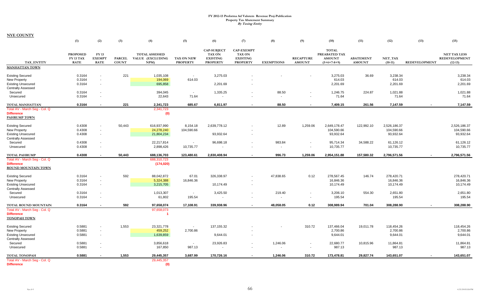|                                                                                                          | (1)                                                | (2)                                   | (3)                           | (4)                                              | (5)                                  | (6)                                                                       | (7)                                                                      | (8)                      | (9)                               | (10)                                                            | (11)                              | (12)                                    | (13)                 | (15)                                                     |
|----------------------------------------------------------------------------------------------------------|----------------------------------------------------|---------------------------------------|-------------------------------|--------------------------------------------------|--------------------------------------|---------------------------------------------------------------------------|--------------------------------------------------------------------------|--------------------------|-----------------------------------|-----------------------------------------------------------------|-----------------------------------|-----------------------------------------|----------------------|----------------------------------------------------------|
| <b>TAX ENTITY</b>                                                                                        | <b>PROPOSED</b><br><b>FY 13 TAX</b><br><b>RATE</b> | FY 13<br><b>EXEMPT</b><br><b>RATE</b> | <b>PARCEL</b><br><b>COUNT</b> | <b>TOTAL ASSESSED</b><br>VALUE (EXCLUDING<br>NPM | <b>TAX ON NEW</b><br><b>PROPERTY</b> | <b>CAP-SUBJECT</b><br><b>TAX ON</b><br><b>EXISTING</b><br><b>PROPERTY</b> | <b>CAP-EXEMPT</b><br><b>TAX ON</b><br><b>EXISTING</b><br><b>PROPERTY</b> | <b>EXEMPTIONS</b>        | <b>RECAPTURE</b><br><b>AMOUNT</b> | <b>TOTAL</b><br>PREABATED TAX<br><b>AMOUNT</b><br>$(5+6+7-8+9)$ | <b>ABATEMENT</b><br><b>AMOUNT</b> | NET TAX<br>$(10-11)$                    | <b>REDEVELOPMENT</b> | <b>NET TAX LESS</b><br><b>REDEVELOPMENT</b><br>$(12-13)$ |
| <b>MANHATTAN TOWN</b>                                                                                    |                                                    |                                       |                               |                                                  |                                      |                                                                           |                                                                          |                          |                                   |                                                                 |                                   |                                         |                      |                                                          |
| <b>Existing Secured</b><br><b>New Property</b><br><b>Existing Unsecured</b><br><b>Centrally Assessed</b> | 0.3164<br>0.3164<br>0.3164                         | $\sim$                                | 221                           | 1,035,108<br>194,069<br>695,858                  | $\sim$<br>614.03                     | 3,275.03<br>2,201.69                                                      |                                                                          |                          |                                   | 3,275.03<br>614.03<br>2,201.69                                  | 36.69                             | 3.238.34<br>614.03<br>2,201.69          |                      | 3,238.34<br>614.03<br>2,201.69                           |
| Secured<br>Unsecured                                                                                     | 0.3164<br>0.3164                                   |                                       |                               | 394,045<br>22,643                                | $\sim$<br>71.64                      | 1,335.25<br>$\overline{\phantom{a}}$                                      |                                                                          | 88.50                    | $\overline{\phantom{a}}$          | 1,246.75<br>71.64                                               | 224.87                            | 1,021.88<br>71.64                       |                      | 1,021.88<br>71.64                                        |
| TOTAL MANHATTAN                                                                                          | 0.3164                                             |                                       | 221                           | 2,341,723                                        | 685.67                               | 6,811.97                                                                  | $\overline{\phantom{a}}$                                                 | 88.50                    | $\overline{\phantom{a}}$          | 7,409.15                                                        | 261.56                            | 7,147.59                                | $\sim$               | 7,147.59                                                 |
| Total AV - March Seg - Col. Q<br><b>Difference</b><br><b>PAHRUMP TOWN</b>                                |                                                    |                                       |                               | 2,341,723<br>(0)                                 |                                      |                                                                           |                                                                          |                          |                                   |                                                                 |                                   |                                         |                      |                                                          |
| <b>Existing Secured</b><br>New Property<br><b>Existing Unsecured</b>                                     | 0.4308<br>0.4308<br>0.4308                         | $\sim$                                | 50,443                        | 616.937.990<br>24,278,240<br>21,804,234          | 8,154.18<br>104,590.66               | 2.639.778.12<br>93,932.64                                                 | $\overline{\phantom{a}}$                                                 | 12.89                    | 1,259.06                          | 2,649,178.47<br>104,590.66<br>93,932.64                         | 122.992.10                        | 2.526.186.37<br>104,590.66<br>93,932.64 |                      | 2,526,186.37<br>104,590.66<br>93,932.64                  |
| <b>Centrally Assessed</b><br>Secured                                                                     | 0.4308                                             |                                       |                               | 22,217,814                                       | $\sim$                               | 96,698.18                                                                 | $\sim$                                                                   | 983.84                   | $\overline{\phantom{a}}$          | 95,714.34                                                       | 34,588.22                         | 61,126.12                               |                      | 61,126.12                                                |
| Unsecured                                                                                                | 0.4308                                             |                                       |                               | 2,898,426                                        | 10,735.77                            | $\overline{\phantom{a}}$                                                  | $\sim$                                                                   | $\overline{\phantom{a}}$ | $\sim$                            | 10,735.77                                                       |                                   | 10,735.77                               |                      | 10,735.77                                                |
| <b>TOTAL PAHRUMP</b>                                                                                     | 0.4308                                             |                                       | 50,443                        | 688,136,703                                      | 123,480.61                           | 2,830,408.94                                                              |                                                                          | 996.73                   | 1,259.06                          | 2,954,151.88                                                    | 157,580.32                        | 2,796,571.56                            | $\blacksquare$       | 2,796,571.56                                             |
| Total AV - March Seg - Col. Q<br><b>Difference</b><br><b>ROUND MOUNTAIN TOWN</b>                         |                                                    |                                       |                               | 688,310,723<br>(174, 020)                        |                                      |                                                                           |                                                                          |                          |                                   |                                                                 |                                   |                                         |                      |                                                          |
| <b>Existing Secured</b><br>New Property<br><b>Existing Unsecured</b><br><b>Centrally Assessed</b>        | 0.3164<br>0.3164<br>0.3164                         | $\sim$                                | 592                           | 88,042,872<br>5,324,388<br>3,215,705             | 67.01<br>16,846.36                   | 326,338.97<br>10,174.49                                                   | $\sim$                                                                   | 47,838.65                | 0.12                              | 278,567.45<br>16,846.36<br>10,174.49                            | 146.74                            | 278,420.71<br>16,846.36<br>10,174.49    |                      | 278,420.71<br>16,846.36<br>10,174.49                     |
| Secured<br>Unsecured                                                                                     | 0.3164<br>0.3164                                   | $\sim$                                |                               | 1,013,307<br>61,802                              | $\sim$<br>195.54                     | 3,425.50                                                                  | $\sim$                                                                   | 219.40                   | $\overline{\phantom{a}}$          | 3,206.10<br>195.54                                              | 554.30                            | 2,651.80<br>195.54                      |                      | 2,651.80<br>195.54                                       |
| TOTAL ROUND MOUNTAIN<br>Total AV - March Seg - Col. Q<br><b>Difference</b><br><b>TONOPAH TOWN</b>        | 0.3164                                             |                                       | 592                           | 97,658,074<br>97,658,073<br>-1                   | 17,108.91                            | 339,938.96                                                                | $\overline{a}$                                                           | 48,058.05                | 0.12                              | 308,989.94                                                      | 701.04                            | 308,288.90                              |                      | 308,288.90                                               |
| <b>Existing Secured</b><br>New Property<br><b>Existing Unsecured</b><br><b>Centrally Assessed</b>        | 0.5881<br>0.5881<br>0.5881                         | $\sim$                                | 1,553                         | 23,321,778<br>459,252<br>1,639,859               | $\sim$<br>2,700.86                   | 137, 155.32<br>9,644.01                                                   |                                                                          |                          | 310.72                            | 137,466.04<br>2,700.86<br>9,644.01                              | 19.011.78                         | 118,454.26<br>2,700.86<br>9,644.01      |                      | 118,454.26<br>2,700.86<br>9,644.01                       |
| Secured<br>Unsecured                                                                                     | 0.5881<br>0.5881                                   |                                       |                               | 3,856,618<br>167,850                             | $\sim$<br>987.13                     | 23,926.83<br>$\sim$                                                       | $\sim$                                                                   | 1,246.06                 | $\sim$                            | 22,680.77<br>987.13                                             | 10,815.96                         | 11,864.81<br>987.13                     |                      | 11,864.81<br>987.13                                      |
| <b>TOTAL TONOPAH</b>                                                                                     | 0.5881                                             |                                       | 1,553                         | 29,445,357                                       | 3,687.99                             | 170,726.16                                                                |                                                                          | 1,246.06                 | 310.72                            | 173,478.81                                                      | 29,827.74                         | 143,651.07                              |                      | 143,651.07                                               |
| Total AV - March Seg - Col. Q<br><b>Difference</b>                                                       |                                                    |                                       |                               | 29,445,357<br>(0)                                |                                      |                                                                           |                                                                          |                          |                                   |                                                                 |                                   |                                         |                      |                                                          |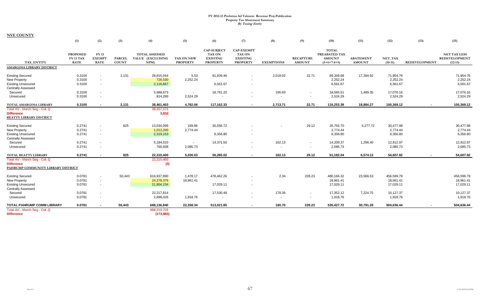|                                                                                                          | (1)                                         | (2)                                          | (3)                           | (4)                                              | (5)                                  | (6)                                                                       | (7)                                                                      | (8)                      | (9)                                | (10)                                                            | (11)                              | (12)                              | (13)                 | (15)                                                     |
|----------------------------------------------------------------------------------------------------------|---------------------------------------------|----------------------------------------------|-------------------------------|--------------------------------------------------|--------------------------------------|---------------------------------------------------------------------------|--------------------------------------------------------------------------|--------------------------|------------------------------------|-----------------------------------------------------------------|-----------------------------------|-----------------------------------|----------------------|----------------------------------------------------------|
| TAX ENTITY                                                                                               | <b>PROPOSED</b><br>FY 13 TAX<br><b>RATE</b> | <b>FY 13</b><br><b>EXEMPT</b><br><b>RATE</b> | <b>PARCEL</b><br><b>COUNT</b> | <b>TOTAL ASSESSED</b><br>VALUE (EXCLUDING<br>NPM | <b>TAX ON NEW</b><br><b>PROPERTY</b> | <b>CAP-SUBJECT</b><br><b>TAX ON</b><br><b>EXISTING</b><br><b>PROPERTY</b> | <b>CAP-EXEMPT</b><br><b>TAX ON</b><br><b>EXISTING</b><br><b>PROPERTY</b> | <b>EXEMPTIONS</b>        | <b>RECAPTURE</b><br><b>AMOUNT</b>  | <b>TOTAL</b><br>PREABATED TAX<br><b>AMOUNT</b><br>$(5+6+7-8+9)$ | <b>ABATEMENT</b><br><b>AMOUNT</b> | NET_TAX<br>$(10-11)$              | <b>REDEVELOPMENT</b> | <b>NET TAX LESS</b><br><b>REDEVELOPMENT</b><br>$(12-13)$ |
| <b>AMARGOSA LIBRARY DISTRICT</b>                                                                         |                                             |                                              |                               |                                                  |                                      |                                                                           |                                                                          |                          |                                    |                                                                 |                                   |                                   |                      |                                                          |
| <b>Existing Secured</b><br><b>New Property</b><br><b>Existing Unsecured</b><br><b>Centrally Assessed</b> | 0.3100<br>0.3100<br>0.3100                  | $\sim$<br>$\overline{\phantom{a}}$<br>$\sim$ | 2,131                         | 28,815,044<br>726,530<br>2,116,667               | 5.53<br>2,252.24                     | 91,839.46<br>6,561.67                                                     |                                                                          | 2,518.02                 | 22.71                              | 89,349.68<br>2,252.24<br>6,561.67                               | 17,394.92                         | 71,954.76<br>2,252.24<br>6,561.67 |                      | 71,954.76<br>2,252.24<br>6,561.67                        |
| Secured                                                                                                  | 0.3100                                      | $\sim$                                       |                               | 5,988,873                                        | $\sim$                               | 18,761.20                                                                 |                                                                          | 195.69                   | $\overline{\phantom{a}}$           | 18,565.51                                                       | 1,489.35                          | 17,076.16                         |                      | 17,076.16                                                |
| Unsecured                                                                                                | 0.3100                                      | $\overline{\phantom{a}}$                     |                               | 814,289                                          | 2,524.29                             | $\overline{\phantom{a}}$                                                  |                                                                          | $\overline{\phantom{a}}$ | $\sim$                             | 2,524.29                                                        |                                   | 2,524.29                          |                      | 2,524.29                                                 |
| TOTAL AMARGOSA LIBRARY                                                                                   | 0.3100                                      |                                              | 2,131                         | 38,461,403                                       | 4,782.06                             | 117,162.33                                                                | $\sim$                                                                   | 2,713.71                 | 22.71                              | 119,253.39                                                      | 18,884.27                         | 100,369.12                        |                      | 100,369.12                                               |
| Total AV - March Seg - Col. Q<br><b>Difference</b><br><b>BEATTY LIBRARY DISTRICT</b>                     |                                             |                                              |                               | 38,457,571<br>3,832                              |                                      |                                                                           |                                                                          |                          |                                    |                                                                 |                                   |                                   |                      |                                                          |
| <b>Existing Secured</b>                                                                                  | 0.2741                                      | $\sim$                                       | 825                           | 13,034,099                                       | 169.86                               | 35,556.72                                                                 |                                                                          |                          | 29.12                              | 35,755.70                                                       | 5.277.72                          | 30,477.98                         |                      | 30,477.98                                                |
| New Property                                                                                             | 0.2741                                      | $\sim$                                       |                               | 1,012,200                                        | 2,774.44                             |                                                                           |                                                                          |                          |                                    | 2,774.44                                                        |                                   | 2,774.44                          |                      | 2,774.44                                                 |
| <b>Existing Unsecured</b>                                                                                | 0.2741                                      | $\sim$                                       |                               | 2,319,153                                        |                                      | 6,356.80                                                                  |                                                                          |                          |                                    | 6,356.80                                                        |                                   | 6,356.80                          |                      | 6,356.80                                                 |
| <b>Centrally Assessed</b><br>Secured                                                                     | 0.2741                                      | $\sim$                                       |                               | 5,184,010                                        | ÷.                                   | 14,371.50                                                                 |                                                                          | 162.13                   | $\sim$                             | 14,209.37                                                       | 1,296.40                          | 12,912.97                         |                      | 12,912.97                                                |
| Unsecured                                                                                                | 0.2741                                      |                                              |                               | 760,938                                          | 2,085.73                             | $\sim$                                                                    |                                                                          | $\overline{\phantom{a}}$ | $\sim$                             | 2,085.73                                                        |                                   | 2,085.73                          |                      | 2,085.73                                                 |
| TOTAL BEATTY LIBRARY                                                                                     | 0.2741                                      |                                              | 825                           | 22,310,400                                       | 5.030.03                             | 56,285.02                                                                 |                                                                          | 162.13                   | 29.12                              | 61,182.04                                                       | 6,574.12                          | 54,607.92                         |                      | 54,607.92                                                |
| Total AV - March Seg - Col. Q<br><b>Difference</b><br>PAHRUMP COMMUNITY LIBRARY DISTRICT                 |                                             |                                              |                               | 22,310,403<br>(3)                                |                                      |                                                                           |                                                                          |                          |                                    |                                                                 |                                   |                                   |                      |                                                          |
| <b>Existing Secured</b>                                                                                  | 0.0781                                      | $\sim$                                       | 50,443                        | 616,937,990                                      | 1,478.17                             | 478,462.26                                                                |                                                                          | 2.34                     | 228.23                             | 480,166.32                                                      | 23,566.53                         | 456.599.79                        |                      | 456,599.79                                               |
| New Property                                                                                             | 0.0781                                      | $\overline{\phantom{a}}$                     |                               | 24,278,376                                       | 18,961.41                            |                                                                           |                                                                          |                          |                                    | 18,961.41                                                       |                                   | 18,961.41                         |                      | 18,961.41                                                |
| <b>Existing Unsecured</b>                                                                                | 0.0781                                      | $\sim$                                       |                               | 21,804,234                                       |                                      | 17,029.11                                                                 | $\sim$                                                                   |                          |                                    | 17,029.11                                                       |                                   | 17,029.11                         |                      | 17,029.11                                                |
| <b>Centrally Assessed</b>                                                                                |                                             |                                              |                               |                                                  |                                      |                                                                           |                                                                          |                          |                                    |                                                                 |                                   |                                   |                      |                                                          |
| Secured<br>Unsecured                                                                                     | 0.0781<br>0.0781                            | $\sim$<br>$\sim$                             |                               | 22,217,814<br>2,898,426                          | $\sim$<br>1.918.76                   | 17,530.48<br>$\overline{\phantom{a}}$                                     | <b>1999</b>                                                              | 178.36<br>$\sim$         | $\overline{\phantom{a}}$<br>$\sim$ | 17,352.12<br>1,918.76                                           | 7,224.75                          | 10,127.37<br>1,918.76             |                      | 10,127.37<br>1,918.76                                    |
| <b>TOTAL PAHRUMP COMM LIBRARY</b>                                                                        | 0.0781                                      |                                              | 50,443                        | 688,136,840                                      | 22,358.34                            | 513,021.85                                                                | $\sim$                                                                   | 180.70                   | 228.23                             | 535,427.72                                                      | 30,791.28                         | 504,636.44                        |                      | 504,636.44                                               |
| Total AV - March Seg - Col. Q<br><b>Difference</b>                                                       |                                             |                                              |                               | 688,310,723<br>(173, 883)                        |                                      |                                                                           |                                                                          |                          |                                    |                                                                 |                                   |                                   |                      |                                                          |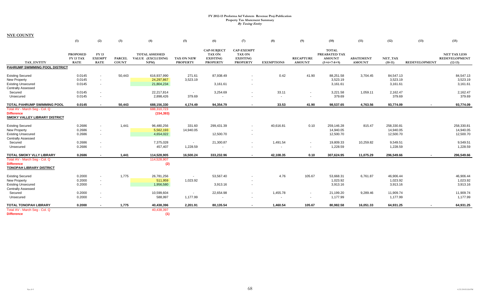|                                                                                                          | (1)                                         | (2)                                          | (3)                           | (4)                                              | (5)                                  | (6)                                                                       | (7)                                                                      | (8)                                  | (9)                                | (10)                                                            | (11)                              | (12)                                 | (13)                 | (15)                                                     |
|----------------------------------------------------------------------------------------------------------|---------------------------------------------|----------------------------------------------|-------------------------------|--------------------------------------------------|--------------------------------------|---------------------------------------------------------------------------|--------------------------------------------------------------------------|--------------------------------------|------------------------------------|-----------------------------------------------------------------|-----------------------------------|--------------------------------------|----------------------|----------------------------------------------------------|
| <b>TAX ENTITY</b>                                                                                        | <b>PROPOSED</b><br>FY 13 TAX<br><b>RATE</b> | FY 13<br><b>EXEMPT</b><br><b>RATE</b>        | <b>PARCEL</b><br><b>COUNT</b> | <b>TOTAL ASSESSED</b><br>VALUE (EXCLUDING<br>NPM | <b>TAX ON NEW</b><br><b>PROPERTY</b> | <b>CAP-SUBJECT</b><br><b>TAX ON</b><br><b>EXISTING</b><br><b>PROPERTY</b> | <b>CAP-EXEMPT</b><br><b>TAX ON</b><br><b>EXISTING</b><br><b>PROPERTY</b> | <b>EXEMPTIONS</b>                    | <b>RECAPTURE</b><br><b>AMOUNT</b>  | <b>TOTAL</b><br>PREABATED TAX<br><b>AMOUNT</b><br>$(5+6+7-8+9)$ | <b>ABATEMENT</b><br><b>AMOUNT</b> | NET_TAX<br>$(10-11)$                 | <b>REDEVELOPMENT</b> | <b>NET TAX LESS</b><br><b>REDEVELOPMENT</b><br>$(12-13)$ |
| PAHRUMP SWIMMING POOL DISTRICT                                                                           |                                             |                                              |                               |                                                  |                                      |                                                                           |                                                                          |                                      |                                    |                                                                 |                                   |                                      |                      |                                                          |
| <b>Existing Secured</b><br><b>New Property</b><br><b>Existing Unsecured</b><br><b>Centrally Assessed</b> | 0.0145<br>0.0145<br>0.0145                  | $\sim$<br>$\sim$<br>$\sim$                   | 50,443                        | 616,937,990<br>24,297,867<br>21,804,234          | 271.61<br>3,523.19                   | 87,938.49<br>3,161.61                                                     |                                                                          | 0.42                                 | 41.90                              | 88,251.58<br>3,523.19<br>3,161.61                               | 3.704.45                          | 84,547.13<br>3,523.19<br>3,161.61    |                      | 84,547.13<br>3,523.19<br>3,161.61                        |
| Secured<br>Unsecured                                                                                     | 0.0145<br>0.0145                            | $\sim$<br>$\sim$                             |                               | 22.217.814<br>2,898,426                          | $\sim$<br>379.69                     | 3,254.69                                                                  |                                                                          | 33.11<br>$\overline{\phantom{a}}$    | $\sim$<br>$\overline{\phantom{a}}$ | 3,221.58<br>379.69                                              | 1,059.11                          | 2,162.47<br>379.69                   |                      | 2,162.47<br>379.69                                       |
| TOTAL PAHRUMP SWIMMING POOL                                                                              | 0.0145                                      |                                              | 50,443                        | 688,156,330                                      | 4,174.49                             | 94,354.79                                                                 |                                                                          | 33.53                                | 41.90                              | 98,537.65                                                       | 4,763.56                          | 93,774.09                            |                      | 93,774.09                                                |
| Total AV - March Seg - Col. Q<br><b>Difference</b><br><b>SMOKY VALLEY LIBRARY DISTRICT</b>               |                                             |                                              |                               | 688,310,723<br>(154, 393)                        |                                      |                                                                           |                                                                          |                                      |                                    |                                                                 |                                   |                                      |                      |                                                          |
| <b>Existing Secured</b><br>New Property<br><b>Existing Unsecured</b><br><b>Centrally Assessed</b>        | 0.2686<br>0.2686<br>0.2686                  | $\sim$<br>$\sim$<br>$\overline{\phantom{a}}$ | 1,441                         | 96,480,256<br>5,562,193<br>4,654,022             | 331.60<br>14,940.05                  | 299,431.39<br>12,500.70                                                   |                                                                          | 40,616.81                            | 0.10                               | 259,146.28<br>14,940.05<br>12,500.70                            | 815.47                            | 258,330.81<br>14,940.05<br>12,500.70 |                      | 258,330.81<br>14,940.05<br>12,500.70                     |
| Secured<br>Unsecured                                                                                     | 0.2686<br>0.2686                            | $\sim$                                       |                               | 7,375,028<br>457,407                             | $\sim$<br>1,228.59                   | 21,300.87<br>$\overline{\phantom{a}}$                                     | $\sim$                                                                   | 1,491.54                             | $\sim$<br>$\sim$                   | 19,809.33<br>1,228.59                                           | 10,259.82                         | 9,549.51<br>1,228.59                 |                      | 9,549.51<br>1,228.59                                     |
| TOTAL SMOKY VLLY LIBRARY                                                                                 | 0.2686                                      |                                              | 1,441                         | 114,528,905                                      | 16,500.24                            | 333,232.96                                                                | $\blacksquare$                                                           | 42,108.35                            | 0.10                               | 307,624.95                                                      | 11,075.29                         | 296,549.66                           | $\blacksquare$       | 296,549.66                                               |
| Total AV - March Seq - Col. Q<br><b>Difference</b><br><b>TONOPAH LIBRARY DISTRICT</b>                    |                                             |                                              |                               | 114,528,907<br>(2)                               |                                      |                                                                           |                                                                          |                                      |                                    |                                                                 |                                   |                                      |                      |                                                          |
| <b>Existing Secured</b><br>New Property<br><b>Existing Unsecured</b>                                     | 0.2000<br>0.2000<br>0.2000                  | $\sim$<br>$\sim$<br>$\sim$                   | 1,775                         | 26,781,256<br>511,959<br>1,956,580               | 1,023.92                             | 53,567.40<br>3,913.16                                                     |                                                                          | 4.76                                 | 105.67                             | 53,668.31<br>1,023.92<br>3,913.16                               | 6,761.87                          | 46,906.44<br>1,023.92<br>3,913.16    |                      | 46,906.44<br>1,023.92<br>3,913.16                        |
| <b>Centrally Assessed</b><br>Secured<br>Unsecured                                                        | 0.2000<br>0.2000                            |                                              |                               | 10,599,604<br>588,997                            | $\sim$<br>1,177.99                   | 22,654.98<br>$\overline{\phantom{a}}$                                     |                                                                          | 1,455.78<br>$\overline{\phantom{a}}$ | $\overline{\phantom{a}}$<br>$\sim$ | 21,199.20<br>1,177.99                                           | 9,289.46                          | 11,909.74<br>1,177.99                |                      | 11,909.74<br>1,177.99                                    |
| <b>TOTAL TONOPAH LIBRARY</b>                                                                             | 0.2000                                      |                                              | 1,775                         | 40,438,396                                       | 2,201.91                             | 80,135.54                                                                 | $\overline{\phantom{a}}$                                                 | 1,460.54                             | 105.67                             | 80,982.58                                                       | 16,051.33                         | 64,931.25                            | $\blacksquare$       | 64,931.25                                                |
| Total AV - March Seg - Col. Q<br><b>Difference</b>                                                       |                                             |                                              |                               | 40,438,397<br>(1)                                |                                      |                                                                           |                                                                          |                                      |                                    |                                                                 |                                   |                                      |                      |                                                          |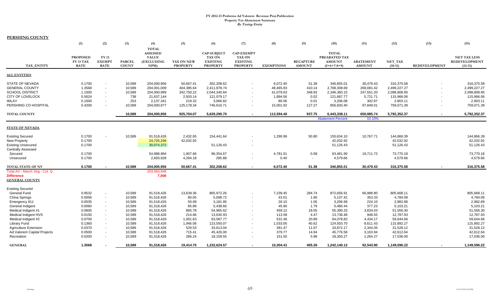**PERSHING COUNTY**

|                               | (1)                                         | (2)                                         | (3)                           | (4)                                                                   | (5)                                  | (6)                                                                       | (7)                                                                      | (8)               | (9)                               | (10)                                                            | (11)                              | (12)                 | (13)                     | (15)                                                     |
|-------------------------------|---------------------------------------------|---------------------------------------------|-------------------------------|-----------------------------------------------------------------------|--------------------------------------|---------------------------------------------------------------------------|--------------------------------------------------------------------------|-------------------|-----------------------------------|-----------------------------------------------------------------|-----------------------------------|----------------------|--------------------------|----------------------------------------------------------|
| TAX ENTITY                    | <b>PROPOSED</b><br>FY 13 TAX<br><b>RATE</b> | <b>FY13</b><br><b>EXEMPT</b><br><b>RATE</b> | <b>PARCEL</b><br><b>COUNT</b> | <b>TOTAL</b><br><b>ASSESSED</b><br><b>VALUE</b><br>(EXCLUDING<br>NPM) | <b>TAX ON NEW</b><br><b>PROPERTY</b> | <b>CAP-SUBJECT</b><br><b>TAX ON</b><br><b>EXISTING</b><br><b>PROPERTY</b> | <b>CAP-EXEMPT</b><br><b>TAX ON</b><br><b>EXISTING</b><br><b>PROPERTY</b> | <b>EXEMPTIONS</b> | <b>RECAPTURE</b><br><b>AMOUNT</b> | <b>TOTAL</b><br>PREABATED TAX<br><b>AMOUNT</b><br>$(5+6+7-8+9)$ | <b>ABATEMENT</b><br><b>AMOUNT</b> | NET TAX<br>$(10-11)$ | REDEVELOPMENT            | <b>NET TAX LESS</b><br><b>REDEVELOPMENT</b><br>$(12-13)$ |
| <b>ALL ENTITIES</b>           |                                             |                                             |                               |                                                                       |                                      |                                                                           |                                                                          |                   |                                   |                                                                 |                                   |                      |                          |                                                          |
| <b>STATE OF NEVADA</b>        | 0.1700                                      | $\sim$                                      | 10,589                        | 204,000,956                                                           | 50,667.41                            | 302,208.62                                                                |                                                                          | 6,072.40          | 51.38                             | 346,855.01                                                      | 30,479.43                         | 316,375.58           |                          | 316,375.58                                               |
| <b>GENERAL COUNTY</b>         | 1.3568                                      | $\sim$                                      | 10,589                        | 204,001,009                                                           | 404,385.64                           | 2,411,978.74                                                              |                                                                          | 48,465.83         | 410.14                            | 2,768,308.69                                                    | 269,081.42                        | 2,499,227.27         | $\blacksquare$           | 2,499,227.27                                             |
| <b>SCHOOL DISTRICT</b>        | 1.1500                                      | $\sim$                                      | 10,589                        | 204,000,999                                                           | 342,750.22                           | 2,044,340.64                                                              |                                                                          | 41,079.63         | 348.93                            | 2,346,360.15                                                    | 247,551.20                        | 2,098,808.95         |                          | 2,098,808.95                                             |
| <b>CITY OF LOVELOCK</b>       | 0.5624                                      | $\sim$                                      | 738                           | 21,637,144                                                            | 2,503.14                             | 121,079.17                                                                |                                                                          | 1,894.56          | 0.02                              | 121,687.77                                                      | 5,721.71                          | 115,966.06           | ٠                        | 115,966.06                                               |
| IMLAY                         | 0.1500                                      | $\sim$                                      | 253                           | 2,137,341                                                             | 219.32                               | 3,066.82                                                                  |                                                                          | 80.06             | 0.01                              | 3,206.08                                                        | 302.97                            | 2,903.11             |                          | 2,903.11                                                 |
| PERSHING CO HOSPITAL          | 0.4200                                      |                                             | 10,589                        | 204,000,977                                                           | 125,178.34                           | 746,616.71                                                                |                                                                          | 15,001.92         | 127.27                            | 856,920.40                                                      | 97,849.01                         | 759,071.39           |                          | 759.071.39                                               |
| <b>TOTAL COUNTY</b>           |                                             |                                             | 10,589                        | 204,000,956                                                           | 925,704.07                           | 5,629,290.70                                                              | $\mathbf{r}$                                                             | 112,594.40        | 937.75                            | 6,443,338.11                                                    | 650,985.74                        | 5,792,352.37         | $\overline{\phantom{a}}$ | 5,792,352.37                                             |
|                               |                                             |                                             |                               |                                                                       |                                      |                                                                           |                                                                          |                   |                                   | <b>Abatement Percent</b>                                        | 10.10%                            |                      |                          |                                                          |
| <b>STATE OF NEVADA</b>        |                                             |                                             |                               |                                                                       |                                      |                                                                           |                                                                          |                   |                                   |                                                                 |                                   |                      |                          |                                                          |
|                               |                                             |                                             |                               |                                                                       |                                      |                                                                           |                                                                          |                   |                                   |                                                                 |                                   |                      |                          |                                                          |
| Existing Secured              | 0.1700                                      | $\sim$                                      | 10,589                        | 91,518,426                                                            | 2,432.65                             | 154,441.64                                                                |                                                                          | 1,290.99          | 50.80                             | 155,634.10                                                      | 10,767.71                         | 144,866.39           |                          | 144,866.39                                               |
| <b>New Property</b>           | 0.1700                                      |                                             |                               | 24,725,246                                                            | 42,032.92                            |                                                                           |                                                                          |                   |                                   | 42,032.92                                                       |                                   | 42,032.92            |                          | 42,032.92                                                |
| <b>Existing Unsecured</b>     | 0.1700                                      |                                             |                               | 30,074,372                                                            |                                      | 51,126.43                                                                 |                                                                          |                   |                                   | 51,126.43                                                       |                                   | 51,126.43            |                          | 51,126.43                                                |
| <b>Centrally Assessed</b>     |                                             |                                             |                               |                                                                       |                                      |                                                                           |                                                                          |                   |                                   |                                                                 |                                   |                      |                          |                                                          |
| Secured                       | 0.1700                                      |                                             |                               | 54,988,984                                                            | 1,907.66                             | 96,354.67                                                                 |                                                                          | 4,781.01          | 0.58                              | 93,481.90                                                       | 19,711.72                         | 73,770.18            |                          | 73,770.18                                                |
| Unsecured                     | 0.1700                                      |                                             |                               | 2,693,928                                                             | 4,294.18                             | 285.88                                                                    |                                                                          | 0.40              | $\sim$                            | 4,579.66                                                        |                                   | 4,579.66             |                          | 4,579.66                                                 |
| <b>TOTAL STATE OF NV</b>      | 0.1700                                      |                                             | 10,589                        | 204,000,956                                                           | 50,667.41                            | 302,208.62                                                                |                                                                          | 6,072.40          | 51.38                             | 346,855.01                                                      | 30,479.43                         | 316,375.58           |                          | 316,375.58                                               |
| Total AV - March Seg - Col. Q |                                             |                                             |                               | 203,993,948                                                           |                                      |                                                                           |                                                                          |                   |                                   |                                                                 |                                   |                      |                          |                                                          |
| <b>Difference</b>             |                                             |                                             |                               | 7,008                                                                 |                                      |                                                                           |                                                                          |                   |                                   |                                                                 |                                   |                      |                          |                                                          |
| <b>GENERAL COUNTY</b>         |                                             |                                             |                               |                                                                       |                                      |                                                                           |                                                                          |                   |                                   |                                                                 |                                   |                      |                          |                                                          |
| <b>Existing Secured</b>       |                                             |                                             |                               |                                                                       |                                      |                                                                           |                                                                          |                   |                                   |                                                                 |                                   |                      |                          |                                                          |
| <b>General Fund</b>           | 0.9532                                      | $\sim$                                      | 10,589                        | 91,518,426                                                            | 13,639.36                            | 865,972.26                                                                |                                                                          | 7,239.45          | 284.74                            | 872,656.91                                                      | 66,988.80                         | 805,668.11           |                          | 805,668.11                                               |
| China Springs                 |                                             | $\sim$                                      | 10,589                        | 91,518,426                                                            |                                      | 5,098.72                                                                  |                                                                          |                   | 1.66                              | 5,137.42                                                        | 353.33                            | 4,784.09             |                          |                                                          |
|                               | 0.0056<br>0.0035                            | $\sim$                                      | 10,589                        |                                                                       | 80.05                                |                                                                           |                                                                          | 43.01<br>26.10    | 1.05                              | 3,206.99                                                        | 224.10                            | 2,982.89             |                          | 4,784.09<br>2,982.89                                     |
| Emergency 911                 |                                             |                                             |                               | 91,518,426                                                            | 50.09                                | 3,181.95                                                                  |                                                                          |                   |                                   |                                                                 |                                   |                      |                          |                                                          |
| General Indigent              | 0.0060                                      | $\sim$                                      | 10,589                        | 91,518,426                                                            | 85.89                                | 5,438.66                                                                  |                                                                          | 45.90             | 1.79                              | 5,480.44                                                        | 377.23                            | 5,103.21             |                          | 5,103.21                                                 |
| Medical Indigent #1           | 0.0605                                      | $\sim$                                      | 10,589                        | 91,518,426                                                            | 865.78                               | 54,965.62                                                                 |                                                                          | 459.12            | 18.05                             | 55,390.33                                                       | 3,834.03                          | 51,556.30            |                          | 51,556.30                                                |
| Medical Indigent HVS          | 0.0150                                      | $\sim$                                      | 10,589                        | 91,518,426                                                            | 214.66                               | 13,630.93                                                                 |                                                                          | 113.58            | 4.47                              | 13,736.48                                                       | 948.55                            | 12,787.93            |                          | 12,787.93                                                |
| Medical Indigent #2           | 0.0700                                      | $\sim$                                      | 10,589                        | 91,518,426                                                            | 1,001.63                             | 63.587.77                                                                 |                                                                          | 531.46            | 20.89                             | 64,078.83                                                       | 4,434.17                          | 59,644.66            |                          | 59,644.66                                                |
| <b>Library Fund</b>           | 0.1360                                      | $\sim$                                      | 10,589                        | 91,518,426                                                            | 1,946.06                             | 123,550.07                                                                |                                                                          | 1,033.05          | 40.62                             | 124,503.70                                                      | 8,611.43                          | 115,892.27           |                          | 115,892.27                                               |
| <b>Agriculture Extension</b>  | 0.0370                                      | $\sim$                                      | 10,589                        | 91,518,426                                                            | 529.53                               | 33,613.04                                                                 |                                                                          | 281.47            | 11.07                             | 33,872.17                                                       | 2,344.05                          | 31,528.12            |                          | 31,528.12                                                |
| Ad Valorem Capital Projects   | 0.0500                                      | $\sim$                                      | 10,589                        | 91,518,426                                                            | 715.41                               | 45,426.00                                                                 |                                                                          | 379.77            | 14.94                             | 45,776.58                                                       | 3,163.94                          | 42,612.64            |                          | 42,612.64                                                |
| Recreation                    | 0.0200                                      | $\sim$                                      | 10,589                        | 91,518,426                                                            | 286.24                               | 18,159.55                                                                 |                                                                          | 151.50            | 5.98                              | 18,300.27                                                       | 1,264.27                          | 17,036.00            |                          | 17,036.00                                                |
| <b>GENERAL</b>                | 1.3568                                      |                                             | 10,589                        | 91,518,426                                                            | 19.414.70                            | 1.232.624.57                                                              |                                                                          | 10,304.41         | 405.26                            | 1,242,140.12                                                    | 92.543.90                         | 1,149,596.22         | $\blacksquare$           | 1,149,596.22                                             |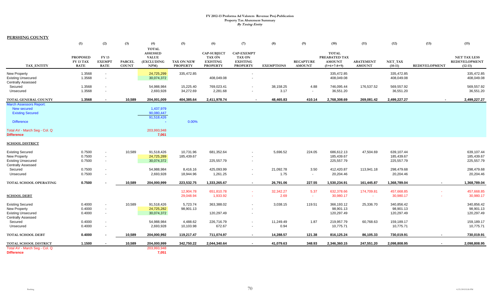**PERSHING COUNTY**

|                                                                                               | (1)                                         | (2)                                          | (3)                           | (4)                                                                  | (5)                           | (6)                                                                       | (7)                                                               | (8)               | (9)                               | (10)                                                            | (11)                              | (12)                     | (13)                 | (15)                                                     |
|-----------------------------------------------------------------------------------------------|---------------------------------------------|----------------------------------------------|-------------------------------|----------------------------------------------------------------------|-------------------------------|---------------------------------------------------------------------------|-------------------------------------------------------------------|-------------------|-----------------------------------|-----------------------------------------------------------------|-----------------------------------|--------------------------|----------------------|----------------------------------------------------------|
| TAX ENTITY                                                                                    | <b>PROPOSED</b><br>FY 13 TAX<br><b>RATE</b> | <b>FY 13</b><br><b>EXEMPT</b><br><b>RATE</b> | <b>PARCEL</b><br><b>COUNT</b> | <b>TOTAL</b><br><b>ASSESSED</b><br><b>VALUE</b><br>(EXCLUDING<br>NPM | TAX ON NEW<br><b>PROPERTY</b> | <b>CAP-SUBJECT</b><br><b>TAX ON</b><br><b>EXISTING</b><br><b>PROPERTY</b> | <b>CAP-EXEMPT</b><br>TAX ON<br><b>EXISTING</b><br><b>PROPERTY</b> | <b>EXEMPTIONS</b> | <b>RECAPTURE</b><br><b>AMOUNT</b> | <b>TOTAL</b><br>PREABATED TAX<br><b>AMOUNT</b><br>$(5+6+7-8+9)$ | <b>ABATEMENT</b><br><b>AMOUNT</b> | NET_TAX<br>$(10-11)$     | <b>REDEVELOPMENT</b> | <b>NET TAX LESS</b><br><b>REDEVELOPMENT</b><br>$(12-13)$ |
| <b>New Property</b>                                                                           | 1.3568                                      | $\sim$                                       |                               | 24,725,299                                                           | 335,472.85                    |                                                                           | $\blacksquare$                                                    |                   |                                   | 335,472.85                                                      |                                   | 335,472.85               |                      | 335,472.85                                               |
| <b>Existing Unsecured</b><br>Centrally Assessed                                               | 1.3568                                      | $\overline{\phantom{a}}$                     |                               | 30,074,372                                                           |                               | 408,049.08                                                                |                                                                   |                   |                                   | 408,049.08                                                      |                                   | 408,049.08               |                      | 408,049.08                                               |
| Secured<br>Unsecured                                                                          | 1.3568<br>1.3568                            | $\sim$<br>$\sim$                             |                               | 54,988,984<br>2,693,928                                              | 15,225.40<br>34,272.69        | 769,023.41<br>2,281.68                                                    | $\overline{\phantom{a}}$<br>$\overline{\phantom{a}}$              | 38,158.25<br>3.17 | 4.88<br>$\sim$                    | 746,095.44<br>36,551.20                                         | 176,537.52                        | 569,557.92<br>36,551.20  |                      | 569,557.92<br>36,551.20                                  |
|                                                                                               |                                             |                                              |                               |                                                                      |                               |                                                                           |                                                                   |                   |                                   |                                                                 |                                   |                          |                      |                                                          |
| TOTAL GENERAL COUNTY                                                                          | 1.3568                                      | $\overline{\phantom{a}}$                     | 10,589                        | 204,001,009                                                          | 404,385.64                    | 2,411,978.74                                                              | $\blacksquare$                                                    | 48,465.83         | 410.14                            | 2,768,308.69                                                    | 269,081.42                        | 2,499,227.27             | $\mathbf{r}$         | 2,499,227.27                                             |
| <b>March Assessors Report:</b><br>New secured<br><b>Existing Secured</b><br><b>Difference</b> |                                             |                                              |                               | 1,437,979<br>90,080,447<br>91,518,426                                | 0.00%                         |                                                                           |                                                                   |                   |                                   |                                                                 |                                   |                          |                      |                                                          |
| Total AV - March Seg - Col. Q<br><b>Difference</b>                                            |                                             |                                              |                               | 203,993,948<br>7,061                                                 |                               |                                                                           |                                                                   |                   |                                   |                                                                 |                                   |                          |                      |                                                          |
| <b>SCHOOL DISTRICT</b>                                                                        |                                             |                                              |                               |                                                                      |                               |                                                                           |                                                                   |                   |                                   |                                                                 |                                   |                          |                      |                                                          |
| <b>Existing Secured</b>                                                                       | 0.7500                                      | $\sim$                                       | 10,589                        | 91,518,426                                                           | 10,731.96                     | 681,352.64                                                                |                                                                   | 5,696.52          | 224.05                            | 686,612.13                                                      | 47,504.69                         | 639,107.44               |                      | 639,107.44                                               |
| <b>New Property</b><br><b>Existing Unsecured</b>                                              | 0.7500<br>0.7500                            | $\sim$<br>$\sim$                             |                               | 24,725,289<br>30,074,372                                             | 185,439.67                    | 225,557.79                                                                | $\overline{\phantom{a}}$                                          |                   |                                   | 185,439.67<br>225,557.79                                        |                                   | 185,439.67<br>225,557.79 |                      | 185,439.67<br>225,557.79                                 |
| Centrally Assessed<br>Secured                                                                 | 0.7500                                      | $\sim$                                       |                               | 54,988,984                                                           | 8,416.16                      | 425,093.99                                                                | $\blacksquare$                                                    | 21,092.78         | 3.50                              | 412,420.87                                                      | 113,941.18                        | 298,479.68               |                      | 298,479.68                                               |
| Unsecured                                                                                     | 0.7500                                      | $\sim$                                       |                               | 2,693,928                                                            | 18,944.96                     | 1,261.25                                                                  | $\sim$                                                            | 1.75              | $\sim$                            | 20,204.46                                                       |                                   | 20,204.46                |                      | 20,204.46                                                |
| TOTAL SCHOOL OPERATING                                                                        | 0.7500                                      |                                              | 10,589                        | 204,000,999                                                          | 223,532.75                    | 1,333,265.67                                                              | $\sim$                                                            | 26,791.06         | 227.55                            | 1,530,234.91                                                    | 161,445.87                        | 1,368,789.04             |                      | 1,368,789.04                                             |
|                                                                                               |                                             |                                              |                               |                                                                      | 12,904.78                     | 651,810.78                                                                | $\sim$                                                            | 32.342.27         | 5.37                              | 632,378.66                                                      | 174,709.81                        | 457,668.85               |                      | 457,668.85                                               |
| <b>SCHOOL DEBT</b>                                                                            |                                             |                                              |                               |                                                                      | 29,048.94                     | 1,933.92                                                                  | $\sim$                                                            | 2.69              | $\sim$                            | 30,980.17                                                       | contract.                         | 30,980.17                |                      | 30,980.17                                                |
| <b>Existing Secured</b>                                                                       | 0.4000                                      | $\sim$                                       | 10,589                        | 91,518,426                                                           | 5,723.74                      | 363,388.02                                                                | $\blacksquare$                                                    | 3,038.15          | 119.51                            | 366,193.12                                                      | 25,336.70                         | 340,856.42               |                      | 340,856.42                                               |
| <b>New Property</b>                                                                           | 0.4000                                      | $\sim$                                       |                               | 24,725,282                                                           | 98,901.13                     |                                                                           |                                                                   |                   |                                   | 98,901.13                                                       |                                   | 98,901.13                |                      | 98,901.13                                                |
| <b>Existing Unsecured</b><br><b>Centrally Assessed</b>                                        | 0.4000                                      | $\sim$                                       |                               | 30,074,372                                                           |                               | 120,297.49                                                                | $\sim$                                                            |                   |                                   | 120,297.49                                                      |                                   | 120,297.49               |                      | 120,297.49                                               |
| Secured                                                                                       | 0.4000                                      | $\overline{\phantom{a}}$                     |                               | 54,988,984                                                           | 4,488.62                      | 226,716.79                                                                | $\blacksquare$                                                    | 11,249.49         | 1.87                              | 219,957.79                                                      | 60,768.63                         | 159,189.17               |                      | 159,189.17                                               |
| Unsecured                                                                                     | 0.4000                                      |                                              |                               | 2,693,928                                                            | 10,103.98                     | 672.67                                                                    | $\overline{\phantom{a}}$                                          | 0.94              |                                   | 10,775.71                                                       |                                   | 10,775.71                |                      | 10,775.71                                                |
| <b>TOTAL SCHOOL DEBT</b>                                                                      | 0.4000                                      |                                              | 10,589                        | 204,000,992                                                          | 119,217.47                    | 711,074.97                                                                | $\sim$                                                            | 14,288.57         | 121.38                            | 816,125.24                                                      | 86,105.33                         | 730,019.91               |                      | 730,019.91                                               |
| TOTAL SCHOOL DISTRICT                                                                         | 1.1500                                      |                                              | 10,589                        | 204,000,999                                                          | 342,750.22                    | 2,044,340.64                                                              | $\sim$                                                            | 41,079.63         | 348.93                            | 2,346,360.15                                                    | 247,551.20                        | 2,098,808.95             |                      | 2,098,808.95                                             |
| Total AV - March Seg - Col. Q                                                                 |                                             |                                              |                               | 203,993,948                                                          |                               |                                                                           |                                                                   |                   |                                   |                                                                 |                                   |                          |                      |                                                          |
| <b>Difference</b>                                                                             |                                             |                                              |                               | 7,051                                                                |                               |                                                                           |                                                                   |                   |                                   |                                                                 |                                   |                          |                      |                                                          |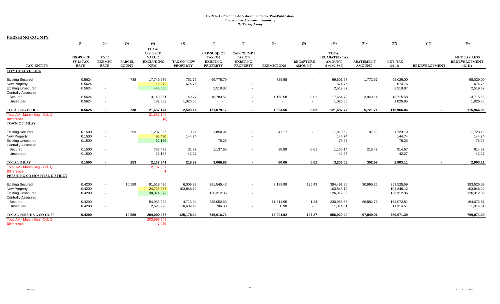**PERSHING COUNTY**

|                                                                                                           | (1)                                         | (2)                                   | (3)                           | (4)                                                                  | (5)                           | (6)                                                                | (7)                                                                      | (8)                | (9)                               | (10)                                                            | (11)                              | (12)                                   | (13)                     | (15)                                                     |
|-----------------------------------------------------------------------------------------------------------|---------------------------------------------|---------------------------------------|-------------------------------|----------------------------------------------------------------------|-------------------------------|--------------------------------------------------------------------|--------------------------------------------------------------------------|--------------------|-----------------------------------|-----------------------------------------------------------------|-----------------------------------|----------------------------------------|--------------------------|----------------------------------------------------------|
| <b>TAX ENTITY</b>                                                                                         | <b>PROPOSED</b><br>FY 13 TAX<br><b>RATE</b> | FY 13<br><b>EXEMPT</b><br><b>RATE</b> | <b>PARCEL</b><br><b>COUNT</b> | <b>TOTAL</b><br><b>ASSESSED</b><br><b>VALUE</b><br>(EXCLUDING<br>NPM | TAX ON NEW<br><b>PROPERTY</b> | <b>CAP-SUBJECT</b><br>TAX ON<br><b>EXISTING</b><br><b>PROPERTY</b> | <b>CAP-EXEMPT</b><br><b>TAX ON</b><br><b>EXISTING</b><br><b>PROPERTY</b> | <b>EXEMPTIONS</b>  | <b>RECAPTURE</b><br><b>AMOUNT</b> | <b>TOTAL</b><br>PREABATED TAX<br><b>AMOUNT</b><br>$(5+6+7-8+9)$ | <b>ABATEMENT</b><br><b>AMOUNT</b> | NET_TAX<br>$(10-11)$                   | <b>REDEVELOPMENT</b>     | <b>NET TAX LESS</b><br><b>REDEVELOPMENT</b><br>$(12-13)$ |
| <b>CITY OF LOVELOCK</b>                                                                                   |                                             |                                       |                               |                                                                      |                               |                                                                    |                                                                          |                    |                                   |                                                                 |                                   |                                        |                          |                                                          |
| <b>Existing Secured</b><br><b>New Property</b><br><b>Existing Unsecured</b><br><b>Centrally Assessed</b>  | 0.5624<br>0.5624<br>0.5624                  | $\sim$<br>$\sim$<br>$\sim$            | 738                           | 17,745,576<br>119,979<br>448,056                                     | 751.76<br>674.76              | 99,775.79<br>2,519.87                                              |                                                                          | 725.98             |                                   | 99,801.57<br>674.76<br>2,519.87                                 | 1,772.57                          | 98,029.00<br>674.76<br>2,519.87        |                          | 98,029.00<br>674.76<br>2,519.87                          |
| Secured<br>Unsecured                                                                                      | 0.5624<br>0.5624                            | $\sim$<br>$\sim$                      |                               | 3,140,951<br>182,582                                                 | 49.77<br>1,026.85             | 18,783.51                                                          |                                                                          | 1,168.58<br>$\sim$ | 0.02<br>$\sim$                    | 17,664.72<br>1,026.85                                           | 3,949.14                          | 13,715.58<br>1,026.85                  |                          | 13,715.58<br>1,026.85                                    |
| <b>TOTAL LOVELOCK</b>                                                                                     | 0.5624                                      | $\sim$                                | 738                           | 21,637,144                                                           | 2,503.14                      | 121,079.17                                                         | $\sim$                                                                   | 1.894.56           | 0.02                              | 121,687.77                                                      | 5,721.71                          | 115,966.06                             | $\overline{\phantom{a}}$ | 115,966.06                                               |
| Total AV - March Seg - Col. Q<br><b>Difference</b><br><b>TOWN OF IMLAY</b>                                |                                             |                                       |                               | 21,637,144<br>(0)                                                    |                               |                                                                    |                                                                          |                    |                                   |                                                                 |                                   |                                        |                          |                                                          |
| <b>Existing Secured</b><br><b>New Property</b><br><b>Existing Unsecured</b><br><b>Centrally Assessed</b>  | 0.1500<br>0.1500<br>0.1500                  | $\sim$<br>$\sim$<br>$\sim$            | 253                           | 1,207,095<br>96,490<br>52,165                                        | 0.94<br>144.74                | 1,850.92<br>78.25                                                  | $\overline{\phantom{a}}$                                                 | 41.17              |                                   | 1,810.69<br>144.74<br>78.25                                     | 87.50                             | 1,723.19<br>144.74<br>78.25            |                          | 1,723.19<br>144.74<br>78.25                              |
| Secured<br>Unsecured                                                                                      | 0.1500<br>0.1500                            | $\sim$<br>$\sim$                      |                               | 753,423<br>28,168                                                    | 31.37<br>42.27                | 1,137.65<br>$\sim$                                                 | $\blacksquare$                                                           | 38.89<br>$\sim$    | 0.01<br>$\sim$                    | 1,130.14<br>42.27                                               | 215.47                            | 914.67<br>42.27                        |                          | 914.67<br>42.27                                          |
| <b>TOTAL IMLAY</b><br>Total AV - March Seg - Col. Q<br><b>Difference</b><br>PERSHING CO HOSPITAL DISTRICT | 0.1500                                      |                                       | 253                           | 2,137,341<br>2,137,337<br>4                                          | 219.32                        | 3,066.82                                                           |                                                                          | 80.06              | 0.01                              | 3,206.08                                                        | 302.97                            | 2,903.11                               |                          | 2,903.11                                                 |
| <b>Existing Secured</b><br>New Property<br><b>Existing Unsecured</b><br><b>Centrally Assessed</b>         | 0.4200<br>0.4200<br>0.4200                  | $\sim$<br>$\sim$<br>$\sim$            | 10,589                        | 91,518,426<br>24,725,267<br>30,074,372                               | 6,009.99<br>103,846.12        | 381,545.42<br>126,312.36                                           | $\overline{\phantom{a}}$                                                 | 3,188.99           | 125.43                            | 384,491.85<br>103,846.12<br>126,312.36                          | 30,966.26                         | 353,525.59<br>103,846.12<br>126,312.36 |                          | 353,525.59<br>103,846.12<br>126,312.36                   |
| Secured<br>Unsecured                                                                                      | 0.4200<br>0.4200                            | $\sim$<br>$\sim$                      |                               | 54,988,984<br>2,693,928                                              | 4,713.04<br>10,609.19         | 238,052.63<br>706.30                                               | $\sim$                                                                   | 11,811.95<br>0.98  | 1.84<br>$\sim$                    | 230,955.56<br>11,314.51                                         | 66,882.75                         | 164,072.81<br>11,314.51                |                          | 164,072.81<br>11,314.51                                  |
| <b>TOTAL PERSHING CO HOSP</b><br>Total AV - March Seg - Col. Q<br><b>Difference</b>                       | 0.4200                                      |                                       | 10,589                        | 204,000,977<br>203,993,948<br>7,029                                  | 125,178.34                    | 746,616.71                                                         | $\sim$                                                                   | 15,001.92          | 127.27                            | 856,920.40                                                      | 97,849.01                         | 759,071.39                             |                          | 759,071.39                                               |
|                                                                                                           |                                             |                                       |                               |                                                                      |                               |                                                                    |                                                                          |                    |                                   |                                                                 |                                   |                                        |                          |                                                          |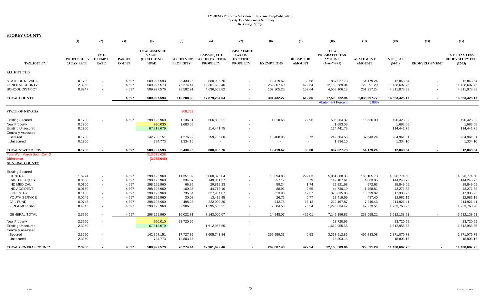**STOREY COUNTY**

|                                                                               | (1)                               | (2)                                          | (3)                           | (4)                                                         | (5)                                | (6)                                                                 | (7)                                                                      | (8)                                   | (9)                               | (10)                                                            | (11)                                  | (12)                                        | (13)                 | (15)                                                     |
|-------------------------------------------------------------------------------|-----------------------------------|----------------------------------------------|-------------------------------|-------------------------------------------------------------|------------------------------------|---------------------------------------------------------------------|--------------------------------------------------------------------------|---------------------------------------|-----------------------------------|-----------------------------------------------------------------|---------------------------------------|---------------------------------------------|----------------------|----------------------------------------------------------|
| TAX ENTITY                                                                    | PROPOSED FY<br><b>13 TAX RATE</b> | <b>FY 13</b><br><b>EXEMPT</b><br><b>RATE</b> | <b>PARCEL</b><br><b>COUNT</b> | <b>TOTAL ASSESSED</b><br><b>VALUE</b><br>(EXCLUDING<br>NPM) | <b>PROPERTY</b>                    | <b>CAP-SUBJECT</b><br>TAX ON NEW TAX ON EXISTING<br><b>PROPERTY</b> | <b>CAP-EXEMPT</b><br><b>TAX ON</b><br><b>EXISTING</b><br><b>PROPERTY</b> | <b>EXEMPTIONS</b>                     | <b>RECAPTURE</b><br><b>AMOUNT</b> | <b>TOTAL</b><br>PREABATED TAX<br><b>AMOUNT</b><br>$(5+6+7-8+9)$ | <b>ABATEMENT</b><br><b>AMOUNT</b>     | NET_TAX<br>$(10-11)$                        | <b>REDEVELOPMENT</b> | <b>NET TAX LESS</b><br><b>REDEVELOPMENT</b><br>$(12-13)$ |
| <b>ALL ENTITIES</b>                                                           |                                   |                                              |                               |                                                             |                                    |                                                                     |                                                                          |                                       |                                   |                                                                 |                                       |                                             |                      |                                                          |
| <b>STATE OF NEVADA</b><br><b>GENERAL COUNTY</b><br><b>SCHOOL DISTRICT</b>     | 0.1700<br>2.3960<br>0.8947        | $\sim$                                       | 4,697<br>4,697<br>4,697       | 509,997,593<br>509,997,573<br>509,997,576                   | 5,430.95<br>76,274.44<br>28,582.91 | 880,985.76<br>12,361,699.46<br>4,636,568.82                         | $\sim$<br>$\sim$                                                         | 19,419.62<br>269,807.40<br>102,205.25 | 30.68<br>422.54<br>159.64         | 867,027.78<br>12,168,589.04<br>4,563,106.13                     | 54,179.24<br>729,891.29<br>251,227.24 | 812,848.54<br>11,438,697.75<br>4,311,878.89 |                      | 812,848.54<br>11,438,697.75<br>4,311,878.89              |
| <b>TOTAL COUNTY</b>                                                           |                                   |                                              | 4,697                         | 509,997,593                                                 | 110,288.30                         | 17,879,254.04                                                       | $\sim$                                                                   | 391,432.27                            | 612.86                            | 17,598,722.94<br><b>Abatement Percent</b>                       | 1,035,297.77<br>5.88%                 | 16,563,425.17                               |                      | 16,563,425.17                                            |
| <b>STATE OF NEVADA</b>                                                        |                                   |                                              |                               |                                                             | 668,712                            |                                                                     |                                                                          |                                       |                                   |                                                                 |                                       |                                             |                      |                                                          |
| <b>Existing Secured</b><br><b>New Property</b><br><b>Existing Unsecured</b>   | 0.1700<br>0.1700<br>0.1700        |                                              | 4,697                         | 298,195,960<br>990,030<br>67,318,679                        | 1,136.81<br>1,683.05               | 506,808.21<br>114,441.75                                            | $\sim$                                                                   | 1,010.66                              | 29.96                             | 506,964.32<br>1,683.05<br>114,441.75                            | 16,536.00                             | 490,428.32<br>1,683.05<br>114,441.75        |                      | 490,428.32<br>1,683.05<br>114,441.75                     |
| <b>Centrally Assessed</b><br>Secured<br>Unsecured                             | 0.1700<br>0.1700                  |                                              |                               | 142,708,151<br>784,773                                      | 1,276.99<br>1,334.10               | 259,735.80                                                          | $\sim$                                                                   | 18,408.96                             | 0.72<br>$\overline{\phantom{a}}$  | 242,604.55<br>1,334.10                                          | 37,643.24                             | 204,961.31<br>1,334.10                      |                      | 204,961.31<br>1,334.10                                   |
| <b>TOTAL STATE OF NV</b>                                                      | 0.1700                            |                                              | 4,697                         | 509,997,593                                                 | 5,430.95                           | 880,985.76                                                          | $\sim$                                                                   | 19,419.62                             | 30.68                             | 867,027.78                                                      | 54,179.24                             | 812,848.54                                  |                      | 812,848.54                                               |
| Total AV - March Seg - Col. Q<br><b>Difference</b><br><b>GENERAL COUNTY</b>   |                                   |                                              |                               | 513,075,638<br>(3,078,045)                                  |                                    |                                                                     |                                                                          |                                       |                                   |                                                                 |                                       |                                             |                      |                                                          |
| <b>Existing Secured</b><br>GENERAL                                            | 1.6974                            | $\sim$                                       | 4,697                         | 298,195,960                                                 | 11,351.09                          | 5,060,325.04                                                        |                                                                          | 10,094.83                             | 299.03                            | 5,061,880.33                                                    | 165,105.73                            | 4,896,774.60                                |                      | 4,896,774.60                                             |
| <b>CAPITAL AQUIS</b><br><b>IND MEDICAL</b>                                    | 0.0500<br>0.0100                  |                                              | 4,697<br>4,697                | 298,195,960<br>298,195,960                                  | 334.37<br>66.85                    | 149,061.57<br>29,812.33                                             |                                                                          | 297.12<br>59.24                       | 8.79<br>1.74                      | 149,107.61<br>29,821.68                                         | 4,863.85<br>972.63                    | 144,243.76<br>28,849.05                     |                      | 144,243.76<br>28,849.05                                  |
| <b>IND ACCIDENT</b><br><b>FORESTRY</b><br>YOUTH SERVICE                       | 0.0150<br>0.1100<br>0.0045        |                                              | 4,697<br>4,697<br>4,697       | 298,195,960<br>298,195,960<br>298,195,960                   | 100.35<br>735.54<br>30.08          | 44,716.10<br>327,934.07<br>13,415.45                                |                                                                          | 88.91<br>653.90<br>26.71              | 2.65<br>19.37<br>0.77             | 44,730.19<br>328,035.08<br>13,419.59                            | 1,458.81<br>10,699.82<br>437.40       | 43,271.38<br>317,335.26<br>12,982.19        |                      | 43,271.38<br>317,335.26<br>12,982.19                     |
| <b>JAIL FUND</b><br><b>FIRE/EMER SRV</b>                                      | 0.0745<br>0.4346                  |                                              | 4,697<br>4,697                | 298,195,960<br>298,195,960                                  | 498.23<br>2,906.30                 | 222,099.30<br>1,295,636.21                                          | $\sim$                                                                   | 442.78<br>2,584.58                    | 13.12<br>76.54                    | 222,167.87<br>1,296,034.47                                      | 7,246.46<br>42,273.51                 | 214,921.41<br>1,253,760.96                  |                      | 214,921.41<br>1,253,760.96                               |
| <b>GENERAL TOTAL</b>                                                          | 2.3960                            |                                              | 4,697                         | 298,195,960                                                 | 16,022.81                          | 7,143,000.07                                                        | $\sim$                                                                   | 14,248.07                             | 422.01                            | 7,145,196.82                                                    | 233,058.21                            | 6,912,138.61                                |                      | 6,912,138.61                                             |
| <b>New Property</b><br><b>Existing Unsecured</b><br><b>Centrally Assessed</b> | 2.3960<br>2.3960                  |                                              |                               | 990,010<br>67,318,679                                       | 23,720.65                          | 1,612,955.55                                                        | $\sim$                                                                   |                                       |                                   | 23,720.65<br>1,612,955.55                                       |                                       | 23,720.65<br>1,612,955.55                   |                      | 23,720.65<br>1,612,955.55                                |
| Secured<br>Unsecured                                                          | 2.3960<br>2.3960                  |                                              |                               | 142,708,151<br>784,773                                      | 17,727.82<br>18,803.16             | 3,605,743.84<br>$\sim$                                              |                                                                          | 255,559.33<br>$\sim$                  | 0.53<br>$\sim$                    | 3,367,912.86<br>18,803.16                                       | 496,833.08                            | 2,871,079.78<br>18,803.16                   |                      | 2,871,079.78<br>18,803.16                                |
| TOTAL GENERAL COUNTY                                                          | 2.3960                            |                                              | 4,697                         | 509,997,573                                                 | 76,274.44                          | 12,361,699.46                                                       |                                                                          | 269,807.40                            | 422.54                            | 12,168,589.04                                                   | 729.891.29                            | 11,438,697.75                               |                      | 11,438,697.75                                            |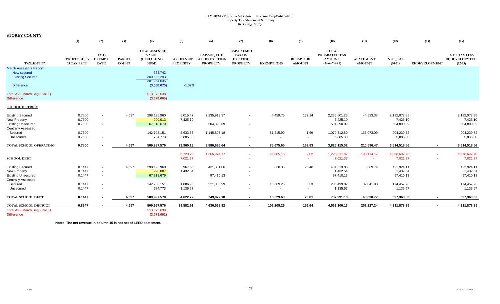**STOREY COUNTY**

|                                                    | (1)                               | (2)                                          | (3)                           | (4)                                                        | (5)             | (6)                                                                 | (7)                                                                      | (8)               | (9)                               | (10)                                                            | (11)                              | (12)                 | (13)                 | (15)                                                     |
|----------------------------------------------------|-----------------------------------|----------------------------------------------|-------------------------------|------------------------------------------------------------|-----------------|---------------------------------------------------------------------|--------------------------------------------------------------------------|-------------------|-----------------------------------|-----------------------------------------------------------------|-----------------------------------|----------------------|----------------------|----------------------------------------------------------|
| TAX_ENTITY                                         | PROPOSED FY<br><b>13 TAX RATE</b> | <b>FY 13</b><br><b>EXEMPT</b><br><b>RATE</b> | <b>PARCEL</b><br><b>COUNT</b> | <b>TOTAL ASSESSED</b><br><b>VALUE</b><br>(EXCLUDING<br>NPM | <b>PROPERTY</b> | <b>CAP-SUBJECT</b><br>TAX ON NEW TAX ON EXISTING<br><b>PROPERTY</b> | <b>CAP-EXEMPT</b><br><b>TAX ON</b><br><b>EXISTING</b><br><b>PROPERTY</b> | <b>EXEMPTIONS</b> | <b>RECAPTURE</b><br><b>AMOUNT</b> | <b>TOTAL</b><br>PREABATED TAX<br><b>AMOUNT</b><br>$(5+6+7-8+9)$ | <b>ABATEMENT</b><br><b>AMOUNT</b> | NET_TAX<br>$(10-11)$ | <b>REDEVELOPMENT</b> | <b>NET TAX LESS</b><br><b>REDEVELOPMENT</b><br>$(12-13)$ |
| <b>March Assessors Report:</b>                     |                                   |                                              |                               |                                                            |                 |                                                                     |                                                                          |                   |                                   |                                                                 |                                   |                      |                      |                                                          |
| New secured                                        |                                   |                                              |                               | 658,742                                                    |                 |                                                                     |                                                                          |                   |                                   |                                                                 |                                   |                      |                      |                                                          |
| <b>Existing Secured</b>                            |                                   |                                              |                               | 300,605,293<br>301,264,035                                 |                 |                                                                     |                                                                          |                   |                                   |                                                                 |                                   |                      |                      |                                                          |
| <b>Difference</b>                                  |                                   |                                              |                               | (3,068,075)                                                | $-1.02%$        |                                                                     |                                                                          |                   |                                   |                                                                 |                                   |                      |                      |                                                          |
| Total AV - March Seg - Col. Q                      |                                   |                                              |                               | 513,075,638                                                |                 |                                                                     |                                                                          |                   |                                   |                                                                 |                                   |                      |                      |                                                          |
| <b>Difference</b>                                  |                                   |                                              |                               | (3,078,065)                                                |                 |                                                                     |                                                                          |                   |                                   |                                                                 |                                   |                      |                      |                                                          |
| <b>SCHOOL DISTRICT</b>                             |                                   |                                              |                               |                                                            |                 |                                                                     |                                                                          |                   |                                   |                                                                 |                                   |                      |                      |                                                          |
| <b>Existing Secured</b>                            | 0.7500                            | $\sim$                                       | 4,697                         | 298,195,960                                                | 5,015.47        | 2,235,913.37                                                        |                                                                          | 4,459.75          | 132.14                            | 2,236,601.23                                                    | 44,523.38                         | 2,192,077.85         |                      | 2,192,077.85                                             |
| <b>New Property</b>                                | 0.7500                            | $\sim$                                       |                               | 990,013                                                    | 7,425.10        |                                                                     |                                                                          |                   |                                   | 7,425.10                                                        |                                   | 7,425.10             |                      | 7,425.10                                                 |
| <b>Existing Unsecured</b>                          | 0.7500                            | $\sim$                                       |                               | 67,318,679                                                 |                 | 504,890.09                                                          |                                                                          |                   |                                   | 504,890.09                                                      |                                   | 504,890.09           |                      | 504,890.09                                               |
| <b>Centrally Assessed</b>                          |                                   |                                              |                               |                                                            |                 |                                                                     |                                                                          |                   |                                   |                                                                 |                                   |                      |                      |                                                          |
| Secured                                            | 0.7500                            | $\sim$                                       |                               | 142,708,151                                                | 5,633.83        | 1,145,893.18                                                        | $\sim$                                                                   | 81,215.90         | 1.69                              | 1,070,312.80                                                    | 166,073.09                        | 904,239.72           |                      | 904,239.72                                               |
| Unsecured                                          | 0.7500                            | $\sim$                                       |                               | 784,773                                                    | 5,885.80        |                                                                     |                                                                          | $\sim$            | $\sim$                            | 5,885.80                                                        |                                   | 5,885.80             |                      | 5,885.80                                                 |
| TOTAL SCHOOL OPERATING                             | 0.7500                            |                                              | 4,697                         | 509,997,576                                                | 23,960.19       | 3,886,696.64                                                        | $\sim$                                                                   | 85,675.65         | 133.83                            | 3,825,115.02                                                    | 210,596.47                        | 3,614,518.56         | $\sim$               | 3,614,518.56                                             |
|                                                    |                                   |                                              |                               |                                                            | 6,720.78        | 1,366,974.17                                                        |                                                                          | 96,885.15         | 2.02                              | 1,276,811.82                                                    | 198,114.12                        | 1,078,697.70         |                      | 1,078,697.70                                             |
| <b>SCHOOL DEBT</b>                                 |                                   |                                              |                               |                                                            | 7,021.37        |                                                                     |                                                                          | $\sim$            | ×.                                | 7,021.37                                                        | $\sim$                            | 7,021.37             |                      | 7,021.37                                                 |
|                                                    |                                   |                                              |                               |                                                            |                 |                                                                     |                                                                          |                   |                                   |                                                                 |                                   |                      |                      |                                                          |
| <b>Existing Secured</b>                            | 0.1447                            | $\sim$                                       | 4,697                         | 298,195,960                                                | 967.66          | 431,381.06                                                          | $\overline{\phantom{a}}$                                                 | 860.35            | 25.48                             | 431,513.85                                                      | 8,589.74                          | 422,924.11           |                      | 422,924.11                                               |
| New Property                                       | 0.1447                            | $\overline{\phantom{a}}$                     |                               | 990,007                                                    | 1,432.54        |                                                                     |                                                                          |                   |                                   | 1,432.54                                                        |                                   | 1,432.54             |                      | 1,432.54                                                 |
| <b>Existing Unsecured</b>                          | 0.1447                            | $\sim$                                       |                               | 67,318,679                                                 |                 | 97,410.13                                                           |                                                                          |                   |                                   | 97,410.13                                                       |                                   | 97,410.13            |                      | 97,410.13                                                |
| <b>Centrally Assessed</b>                          |                                   |                                              |                               |                                                            |                 |                                                                     |                                                                          |                   |                                   |                                                                 |                                   |                      |                      |                                                          |
| Secured                                            | 0.1447                            | $\overline{\phantom{a}}$                     |                               | 142,708,151                                                | 1,086.95        | 221,080.99                                                          | $\sim$                                                                   | 15,669.25         | 0.33                              | 206,499.02                                                      | 32,041.03                         | 174,457.98           |                      | 174,457.98                                               |
| Unsecured                                          | 0.1447                            | $\sim$                                       |                               | 784,773                                                    | 1,135.57        |                                                                     |                                                                          | $\sim$            | $\sim$                            | 1,135.57                                                        |                                   | 1,135.57             |                      | 1,135.57                                                 |
| <b>TOTAL SCHOOL DEBT</b>                           | 0.1447                            |                                              | 4,697                         | 509,997,570                                                | 4,622.72        | 749,872.18                                                          | $\sim$                                                                   | 16,529.60         | 25.81                             | 737,991.10                                                      | 40,630.77                         | 697,360.33           | $\sim$               | 697,360.33                                               |
| TOTAL SCHOOL DISTRICT                              | 0.8947                            | $\blacksquare$                               | 4,697                         | 509,997,576                                                | 28,582.91       | 4,636,568.82                                                        | $\sim$                                                                   | 102,205.25        | 159.64                            | 4,563,106.13                                                    | 251,227.24                        | 4,311,878.89         | $\blacksquare$       | 4,311,878.89                                             |
| Total AV - March Seg - Col. Q<br><b>Difference</b> |                                   |                                              |                               | 513,075,638<br>(3,078,062)                                 |                 |                                                                     |                                                                          |                   |                                   |                                                                 |                                   |                      |                      |                                                          |

**Note: The net revenue in column 15 is not net of LEED abatement.**

73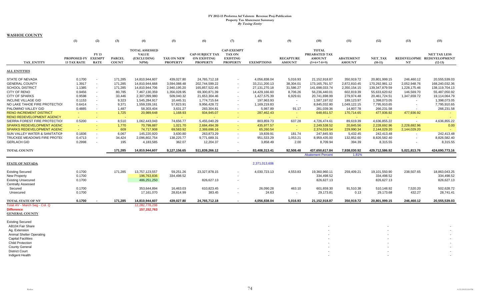**WASHOE COUNTY**

|                                                  | (1)                                      | (2)                        | (3)                           | (4)                                                        | (5)                           | (6)                                                             | (7)                                                                      | (8)               | (9)                               | (10)                                                            | (11)                              | (12)                 | (13)                     | (15)                                                          |
|--------------------------------------------------|------------------------------------------|----------------------------|-------------------------------|------------------------------------------------------------|-------------------------------|-----------------------------------------------------------------|--------------------------------------------------------------------------|-------------------|-----------------------------------|-----------------------------------------------------------------|-----------------------------------|----------------------|--------------------------|---------------------------------------------------------------|
| <b>TAX ENTITY</b>                                | PROPOSED FY EXEMPT<br><b>13 TAX RATE</b> | <b>FY13</b><br><b>RATE</b> | <b>PARCEL</b><br><b>COUNT</b> | <b>TOTAL ASSESSED</b><br><b>VALUE</b><br>(EXCLUDING<br>NPM | TAX ON NEW<br><b>PROPERTY</b> | <b>CAP-SUBJECT TAX</b><br><b>ON EXISTING</b><br><b>PROPERTY</b> | <b>CAP-EXEMPT</b><br><b>TAX ON</b><br><b>EXISTING</b><br><b>PROPERTY</b> | <b>EXEMPTIONS</b> | <b>RECAPTURE</b><br><b>AMOUNT</b> | <b>TOTAL</b><br>PREABATED TAX<br><b>AMOUNT</b><br>$(5+6+7-8+9)$ | <b>ABATEMENT</b><br><b>AMOUNT</b> | NET_TAX<br>$(10-11)$ | NT                       | <b>NET TAX LESS</b><br>REDEVELOPME REDEVELOPMENT<br>$(12-13)$ |
| <b>ALL ENTITIES</b>                              |                                          |                            |                               |                                                            |                               |                                                                 |                                                                          |                   |                                   |                                                                 |                                   |                      |                          |                                                               |
| STATE OF NEVADA                                  | 0.1700                                   | $\overline{\phantom{a}}$   | 171,285                       | 14,810,944,607                                             | 439,027.80                    | 24,765,712.18                                                   | $\overline{\phantom{a}}$                                                 | 4,056,838.04      | 5,016.93                          | 21,152,918.87                                                   | 350,919.72                        | 20,801,999.15        | 246,460.12               | 20,555,539.03                                                 |
| <b>GENERAL COUNTY</b>                            | 1.3917                                   | $\sim$                     | 171,285                       | 14,810,944,668                                             | 3,594,088.48                  | 202,744,599.22                                                  | $\overline{\phantom{a}}$                                                 | 33,211,200.13     | 38,304.01                         | 173, 165, 791.57                                                | 2,872,810.45                      | 170,292,981.12       | 2,052,948.76             | 168.240.032.36                                                |
| <b>SCHOOL DISTRICT</b>                           | 1.1385                                   | $\sim$                     | 171,285                       | 14,810,944,706                                             | 2,940,195.20                  | 165,857,522.45                                                  |                                                                          | 27, 131, 270. 18  | 31,586.27                         | 141,698,033.74                                                  | 2,350,154.15                      | 139,347,879.59       | 1,228,175.46             | 138,119,704.13                                                |
| CITY OF RENO                                     | 0.9456                                   | $\sim$                     | 80,785                        | 7,467,130,359                                              | 1,356,028.95                  | 69,300,871.39                                                   | $\overline{\phantom{a}}$                                                 | 14,429,166.60     | 8,706.26                          | 56,236,440.01                                                   | 602,819.39                        | 55,633,620.62        | 146,569.70               | 55,487,050.92                                                 |
| <b>CITY OF SPARKS</b>                            | 0.9598                                   | $\overline{\phantom{a}}$   | 33,446                        | 2,307,099,980                                              | 509,040.32                    | 21,653,304.46                                                   | $\sim$                                                                   | 1,427,575.39      | 6,929.61                          | 20,741,698.99                                                   | 279,974.48                        | 20,461,724.51        | 1,347,659.72             | 19,114,064.79                                                 |
| <b>INCLINE VILLAGE GID</b>                       | 0.1153                                   | $\sim$                     | 9,323                         | 1,545,284,917                                              | 10,445.31                     | 1,774,715.64                                                    | $\overline{\phantom{a}}$                                                 | 197,963.93        | $\sim$                            | 1,587,197.02                                                    | 189,123.97                        | 1,398,073.05         |                          | 1,398,073.05                                                  |
| NO LAKE TAHOE FIRE PROTECTION                    | 0.6414                                   | $\sim$                     | 9,371                         | 1,559,339,161                                              | 57,823.91                     | 9,956,428.72                                                    | $\sim$                                                                   | 1,169,219.83      | $\sim$                            | 8,845,032.80                                                    | 1,049,122.15                      | 7,795,910.65         | $\sim$                   | 7,795,910.65                                                  |
| PALOMINO VALLEY GID                              | 0.4885                                   | $\sim$                     | 1.487                         | 58,303,404                                                 | 3,631.27                      | 283,304.81                                                      | $\sim$                                                                   | 5,987.89          | 91.17                             | 281,039.36                                                      | 14,807.78                         | 266,231.58           |                          | 266,231.58                                                    |
| <b>RENO INCREMENT DISTRICT</b>                   | $\sim$                                   |                            | 1,725                         | 20,989,648                                                 | 1,168.93                      | 934,945.07                                                      | $\sim$                                                                   | 287,462.43        | $\sim$                            | 648,651.57                                                      | 170,714.65                        | 477,936.92           | 477,936.92               |                                                               |
| <b>RENO REDEVELOPMENT AGENCY</b>                 | a.                                       |                            |                               |                                                            |                               |                                                                 |                                                                          |                   |                                   | п.                                                              |                                   |                      |                          |                                                               |
| SIERRA FOREST FIRE PROTECTION                    | 0.5200                                   | $\sim$                     | 8,510                         | 1,062,443,043                                              | 74,656.77                     | 5,455,040.29                                                    | $\sim$                                                                   | 803,859.73        | 637.28                            | 4,726,474.61                                                    | 89,619.39                         | 4,636,855.22         | $\sim$                   | 4,636,855.22                                                  |
| SPARKS REDEVELOPMENT AGENC                       | $\sim$                                   |                            | 1,770                         | 70,799,887                                                 | 1,021.70                      | 2,684,494.39                                                    | $\sim$                                                                   | 435,977.57        | $\blacksquare$                    | 2,249,538.52                                                    | 20,845.56                         | 2,228,692.96         | 2,228,692.96             | 0.00                                                          |
| <b>SPARKS REDEVELOPMENT AGENC</b>                | a.                                       | $\sim$                     | 609                           | 74,717,908                                                 | 69,583.92                     | 2,369,696.16                                                    | $\sim$                                                                   | 65,260.54         | $\sim$                            | 2,374,019.54                                                    | 229,990.34                        | 2,144,029.20         | 2,144,029.20             |                                                               |
| SUN VALLEY WATER & SANITATION                    | 0.1836                                   | $\sim$                     | 6,067                         | 145,220,920                                                | 3,630.80                      | 263,873.29                                                      | $\sim$                                                                   | 19,839.91         | 181.74                            | 247,845.93                                                      | 5,432.45                          | 242,413.48           | $\sim$                   | 242,413.48                                                    |
| <b>TRUCKEE MEADOWS FIRE PROTE(</b>               | 0.4713                                   | $\sim$                     | 34,424                        | 2,096,802,754                                              | 138,225.77                    | 9,771,689.31                                                    | $\overline{\phantom{a}}$                                                 | 951,533.29        | 1,053.21                          | 8,959,435.00                                                    | 132,852.60                        | 8.826.582.40         | $\overline{\phantom{a}}$ | 8,826,582.40                                                  |
| <b>GERLACH GID</b>                               | 0.2998                                   | $\sim$                     | 195                           | 4,183,585                                                  | 362.07                        | 12,204.37                                                       | $\overline{\phantom{a}}$                                                 | 3,858.49          | 2.00                              | 8,709.94                                                        | 394.39                            | 8,315.55             | $\sim$                   | 8,315.55                                                      |
| <b>TOTAL COUNTY</b>                              |                                          |                            | 171,285                       | 14,810,944,607                                             | 9,127,156.65                  | 511,839,266.12                                                  | $\overline{\phantom{a}}$                                                 | 83,408,313.41     | 92,508.48                         | 437,650,617.84                                                  | 7,938,030.92                      | 429,712,586.92       | 5,021,813.76             | 424,690,773.16                                                |
|                                                  |                                          |                            |                               |                                                            |                               |                                                                 |                                                                          |                   |                                   | <b>Abatement Percent</b>                                        | 1.81%                             |                      |                          |                                                               |
| <b>STATE OF NEVADA</b>                           |                                          |                            |                               |                                                            |                               |                                                                 |                                                                          | 2,371,013,606     |                                   |                                                                 |                                   |                      |                          |                                                               |
| <b>Existing Secured</b>                          | 0.1700                                   |                            | 171,285                       | 13,757,123,557                                             | 59,251.26                     | 23,327,878.15                                                   | $\overline{\phantom{a}}$                                                 | 4,030,723.13      | 4,553.83                          | 19,360,960.11                                                   | 259,409.21                        | 19,101,550.90        | 238,507.65               | 18,863,043.25                                                 |
| <b>New Property</b>                              | 0.1700                                   |                            |                               | 196,763,836                                                | 334,498.52                    |                                                                 |                                                                          |                   |                                   | 334,498.52                                                      |                                   | 334,498.52           |                          | 334,498.52                                                    |
| <b>Existing Unsecured</b>                        | 0.1700                                   |                            |                               | 486,251,250                                                |                               | 826,627.13                                                      | $\overline{\phantom{a}}$                                                 |                   |                                   | 826,627.13                                                      |                                   | 826,627.13           |                          | 826,627.13                                                    |
| <b>Centrally Assessed</b>                        |                                          |                            |                               |                                                            |                               |                                                                 |                                                                          |                   |                                   |                                                                 |                                   |                      |                          |                                                               |
| Secured                                          | 0.1700                                   |                            |                               | 353,644,894                                                | 16,463.03                     | 610,823.45                                                      | $\blacksquare$                                                           | 26,090.28         | 463.10                            | 601,659.30                                                      | 91,510.38                         | 510,148.92           | 7,520.20                 | 502,628.72                                                    |
| Unsecured                                        | 0.1700                                   |                            |                               | 17,161,070                                                 | 28,814.99                     | 383.45                                                          | $\overline{\phantom{a}}$                                                 | 24.63             | $\sim$                            | 29,173.81                                                       | 0.13                              | 29,173.68            | 432.27                   | 28,741.41                                                     |
|                                                  |                                          |                            |                               |                                                            |                               |                                                                 |                                                                          |                   |                                   |                                                                 |                                   |                      |                          |                                                               |
| <b>TOTAL STATE OF NV</b>                         |                                          |                            |                               |                                                            |                               |                                                                 | $\sim$                                                                   | 4,056,838.04      | 5,016.93                          | 21,152,918.87                                                   | 350,919.72                        | 20,801,999.15        | 246,460.12               | 20,555,539.03                                                 |
|                                                  | 0.1700                                   |                            | 171,285                       | 14,810,944,607                                             | 439,027.80                    | 24,765,712.18                                                   |                                                                          |                   |                                   |                                                                 |                                   |                      |                          |                                                               |
| Total AV - March Seg - Col. Q                    |                                          |                            |                               | 12,282,778,238                                             |                               |                                                                 |                                                                          |                   |                                   |                                                                 |                                   |                      |                          |                                                               |
| <b>Difference</b>                                |                                          |                            |                               | 157, 152, 763                                              |                               |                                                                 |                                                                          |                   |                                   |                                                                 |                                   |                      |                          |                                                               |
| <b>GENERAL COUNTY</b>                            |                                          |                            |                               |                                                            |                               |                                                                 |                                                                          |                   |                                   |                                                                 |                                   |                      |                          |                                                               |
|                                                  |                                          |                            |                               |                                                            |                               |                                                                 |                                                                          |                   |                                   |                                                                 |                                   |                      |                          |                                                               |
| <b>Existing Secured</b>                          |                                          |                            |                               |                                                            |                               |                                                                 |                                                                          |                   |                                   |                                                                 |                                   |                      |                          |                                                               |
| AB104 Fair Share                                 |                                          |                            |                               |                                                            |                               |                                                                 |                                                                          |                   |                                   |                                                                 |                                   |                      |                          |                                                               |
| Ag. Extension                                    |                                          |                            |                               |                                                            |                               |                                                                 |                                                                          |                   |                                   |                                                                 |                                   |                      |                          |                                                               |
| <b>Animal Shelter Operating</b>                  |                                          |                            |                               |                                                            |                               |                                                                 |                                                                          |                   |                                   |                                                                 |                                   |                      |                          |                                                               |
| <b>Capital Facilities</b>                        |                                          |                            |                               |                                                            |                               |                                                                 |                                                                          |                   |                                   |                                                                 |                                   |                      |                          |                                                               |
| <b>Child Protection</b><br><b>County General</b> |                                          |                            |                               |                                                            |                               |                                                                 |                                                                          |                   |                                   |                                                                 |                                   |                      |                          |                                                               |

Indigent Health - - -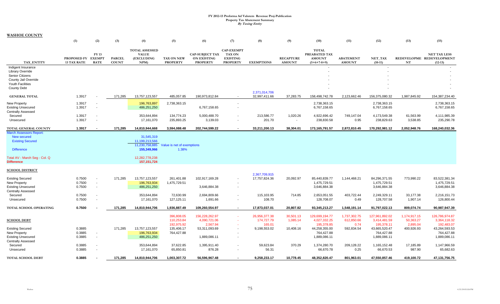|                                                                                                   | (1)                                      | (2)                        | (3)                           | (4)                                                           | (5)                                    | (6)                                                             | (7)                                                                      | (8)                            | (9)                               | (10)                                                            | (11)                              | (12)                                                      | (13)                      | (15)                                                          |
|---------------------------------------------------------------------------------------------------|------------------------------------------|----------------------------|-------------------------------|---------------------------------------------------------------|----------------------------------------|-----------------------------------------------------------------|--------------------------------------------------------------------------|--------------------------------|-----------------------------------|-----------------------------------------------------------------|-----------------------------------|-----------------------------------------------------------|---------------------------|---------------------------------------------------------------|
| TAX_ENTITY                                                                                        | PROPOSED FY EXEMPT<br><b>13 TAX RATE</b> | <b>FY13</b><br><b>RATE</b> | <b>PARCEL</b><br><b>COUNT</b> | <b>TOTAL ASSESSED</b><br><b>VALUE</b><br>(EXCLUDING<br>NPM)   | TAX ON NEW<br><b>PROPERTY</b>          | <b>CAP-SUBJECT TAX</b><br><b>ON EXISTING</b><br><b>PROPERTY</b> | <b>CAP-EXEMPT</b><br><b>TAX ON</b><br><b>EXISTING</b><br><b>PROPERTY</b> | <b>EXEMPTIONS</b>              | <b>RECAPTURE</b><br><b>AMOUNT</b> | <b>TOTAL</b><br>PREABATED TAX<br><b>AMOUNT</b><br>$(5+6+7-8+9)$ | <b>ABATEMENT</b><br><b>AMOUNT</b> | NET TAX<br>$(10-11)$                                      | NT                        | <b>NET TAX LESS</b><br>REDEVELOPME REDEVELOPMENT<br>$(12-13)$ |
| Indigent Insurance<br><b>Library Override</b><br><b>Senior Citizens</b><br>County Jail Override   |                                          |                            |                               |                                                               |                                        |                                                                 |                                                                          |                                |                                   |                                                                 |                                   |                                                           |                           |                                                               |
| <b>Youth Facilities</b><br><b>County Debt</b>                                                     |                                          |                            |                               |                                                               |                                        |                                                                 |                                                                          |                                |                                   |                                                                 |                                   |                                                           |                           |                                                               |
| <b>GENERAL TOTAL</b>                                                                              | 1.3917                                   |                            | 171,285                       | 13,757,123,557                                                | 485,057.85                             | 190.973.812.84                                                  | $\sim$                                                                   | 2,371,014,706<br>32,997,411.66 | 37,283.75                         | 158.498.742.78                                                  | 2.123.662.46                      | 156,375,080.32                                            | 1.987.845.92              | 154.387.234.40                                                |
| New Property<br><b>Existing Unsecured</b><br><b>Centrally Assessed</b>                            | 1.3917<br>1.3917                         |                            |                               | 196,763,897<br>486,251,250                                    | 2,738,363.15                           | 6,767,158.65                                                    | $\overline{\phantom{a}}$<br>$\overline{\phantom{a}}$                     |                                |                                   | 2,738,363.15<br>6,767,158.65                                    |                                   | 2,738,363.15<br>6,767,158.65                              |                           | 2,738,363.15<br>6,767,158.65                                  |
| Secured<br>Unsecured                                                                              | 1.3917<br>1.3917                         |                            |                               | 353,644,894<br>17,161,070                                     | 134,774.23<br>235,893.25               | 5,000,488.70<br>3,139.03                                        | $\overline{\phantom{a}}$<br>$\sim$                                       | 213,586.77<br>201.70           | 1,020.26<br>$\sim$                | 4,922,696.42<br>238,830.58                                      | 749,147.04<br>0.95                | 4,173,549.38<br>238,829.63                                | 61,563.99<br>3,538.85     | 4,111,985.39<br>235,290.78                                    |
| TOTAL GENERAL COUNTY                                                                              | 1.3917                                   |                            | 171,285                       | 14,810,944,668                                                | 3,594,088.48                           | 202,744,599.22                                                  |                                                                          | 33,211,200.13                  | 38,304.01                         | 173,165,791.57                                                  | 2,872,810.45                      | 170,292,981.12                                            | 2,052,948.76              | 168,240,032.36                                                |
| <b>March Assessors Report:</b><br>New secured<br><b>Existing Secured</b><br><b>Difference</b>     |                                          |                            |                               | 31,545,319<br>11,199,213,566<br>11,230,758,885<br>155,349,966 | Value is net of exemptions<br>1.38%    |                                                                 |                                                                          |                                |                                   |                                                                 |                                   |                                                           |                           |                                                               |
| Total AV - March Seg - Col. Q<br><b>Difference</b>                                                |                                          |                            |                               | 12,282,778,238<br>157, 151, 724                               |                                        |                                                                 |                                                                          |                                |                                   |                                                                 |                                   |                                                           |                           |                                                               |
| <b>SCHOOL DISTRICT</b>                                                                            |                                          |                            |                               |                                                               |                                        |                                                                 |                                                                          | 2,367,709,915                  |                                   |                                                                 |                                   |                                                           |                           |                                                               |
| <b>Existing Secured</b><br>New Property<br><b>Existing Unsecured</b><br><b>Centrally Assessed</b> | 0.7500<br>0.7500<br>0.7500               | $\sim$                     | 171,285                       | 13,757,123,557<br>196,763,934<br>486,251,250                  | 261,401.88<br>1,475,729.51             | 102,917,169.28<br>3,646,884.38                                  | $\overline{\phantom{a}}$<br>$\overline{\phantom{a}}$                     | 17,757,824.36                  | 20,092.97                         | 85,440,839.77<br>1,475,729.51<br>3,646,884.38                   | 1,144,468.21                      | 84,296,371.55<br>1,475,729.51<br>3,646,884.38             | 773,990.22                | 83,522,381.34<br>1,475,729.51<br>3,646,884.38                 |
| Secured<br>Unsecured                                                                              | 0.7500<br>0.7500                         |                            |                               | 353,644,894<br>17,161,070                                     | 72,630.99<br>127,125.11                | 2,694,809.66<br>1,691.66                                        | $\sim$                                                                   | 115,103.95<br>108.70           | 714.85                            | 2,653,051.55<br>128,708.07                                      | 403,722.44<br>0.49                | 2,249,329.11<br>128,707.58                                | 33,177.38<br>1,907.14     | 2,216,151.73<br>126,800.44                                    |
| TOTAL SCHOOL OPERATING                                                                            | 0.7500                                   |                            | 171.285                       | 14,810,944,706                                                | 1,936,887.49                           | 109,260,554.97                                                  |                                                                          | 17,873,037.01                  | 20,807.82                         | 93,345,213.27                                                   | 1,548,191.14                      | 91,797,022.13                                             | 809,074.74                | 90,987,947.39                                                 |
| <b>SCHOOL DEBT</b>                                                                                |                                          |                            |                               |                                                               | 396,808.05<br>110,253.84               | 156,228,262.97<br>4,090,721.06                                  | $\sim$<br>$\sim$                                                         | 26,956,377.38<br>174,727.79    | 30,501.13<br>1,085.14             | 129,699,194.77<br>4,027,332.25                                  | 1,737,302.75<br>612,850.66        | 127,961,892.02<br>3,414,481.59                            | 1,174,917.15<br>50,363.27 | 126,786,974.87<br>3,364,118.32                                |
| <b>Existing Secured</b><br>New Property<br><b>Existing Unsecured</b>                              | 0.3885<br>0.3885<br>0.3885               |                            | 171,285                       | 13,757,123,557<br>196,763,934<br>486,251,250                  | 192,975.92<br>135,406.17<br>764,427.88 | 2,567.94<br>53,311,093.69<br>1,889,086.11                       | $\sim$<br>$\sim$<br>$\overline{\phantom{a}}$                             | 165.01<br>9,198,553.02         | a.<br>10,408.16                   | 195,378.85<br>44,258,355.00<br>764,427.88<br>1,889,086.11       | 0.74<br>592,834.54                | 195,378.11<br>43,665,520.47<br>764,427.88<br>1,889,086.11 | 2,895.04<br>400,926.93    | 192,483.07<br>43,264,593.53<br>764,427.88<br>1,889,086.11     |
| <b>Centrally Assessed</b><br>Secured                                                              | 0.3885                                   |                            |                               | 353,644,894                                                   | 37,622.85                              | 1,395,911.40                                                    |                                                                          | 59,623.84                      | 370.29                            | 1,374,280.70                                                    | 209,128.22                        | 1,165,152.48                                              | 17,185.89                 | 1,147,966.59                                                  |
| Unsecured<br><b>TOTAL SCHOOL DEBT</b>                                                             | 0.3885<br>0.3885                         |                            | 171,285                       | 17,161,070<br>14,810,944,706                                  | 65,850.81<br>1,003,307.72              | 876.28<br>56,596,967.48                                         | $\overline{\phantom{a}}$                                                 | 56.31<br>9.258,233.17          | $\sim$<br>10,778.45               | 66,670.78<br>48.352.820.47                                      | 0.25<br>801,963.01                | 66,670.53<br>47,550,857.46                                | 987.90<br>419,100.72      | 65,682.63<br>47, 131, 756. 75                                 |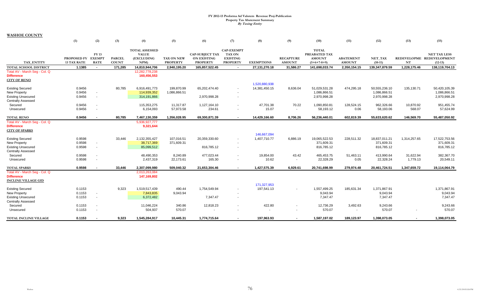|                                                                                                   | (1)                                      | (2)                        | (3)                           | (4)                                                        | (5)                                  | (6)                                                             | (7)                                                                      | (8)                                | (9)                                                  | (10)                                                            | (11)                              | (12)                                          | (13)                  | (15)                                                          |
|---------------------------------------------------------------------------------------------------|------------------------------------------|----------------------------|-------------------------------|------------------------------------------------------------|--------------------------------------|-----------------------------------------------------------------|--------------------------------------------------------------------------|------------------------------------|------------------------------------------------------|-----------------------------------------------------------------|-----------------------------------|-----------------------------------------------|-----------------------|---------------------------------------------------------------|
| <b>TAX ENTITY</b>                                                                                 | PROPOSED FY EXEMPT<br><b>13 TAX RATE</b> | <b>FY13</b><br><b>RATE</b> | <b>PARCEL</b><br><b>COUNT</b> | <b>TOTAL ASSESSED</b><br><b>VALUE</b><br>(EXCLUDING<br>NPM | <b>TAX ON NEW</b><br><b>PROPERTY</b> | <b>CAP-SUBJECT TAX</b><br><b>ON EXISTING</b><br><b>PROPERTY</b> | <b>CAP-EXEMPT</b><br><b>TAX ON</b><br><b>EXISTING</b><br><b>PROPERTY</b> | <b>EXEMPTIONS</b>                  | <b>RECAPTURE</b><br><b>AMOUNT</b>                    | <b>TOTAL</b><br>PREABATED TAX<br><b>AMOUNT</b><br>$(5+6+7-8+9)$ | <b>ABATEMENT</b><br><b>AMOUNT</b> | NET TAX<br>$(10-11)$                          | NT                    | <b>NET TAX LESS</b><br>REDEVELOPME REDEVELOPMENT<br>$(12-13)$ |
| <b>TOTAL SCHOOL DISTRICT</b>                                                                      | 1.1385                                   | $\sim$                     | 171,285                       | 14,810,944,706                                             | 2,940,195.20                         | 165,857,522.45                                                  | $\overline{\phantom{a}}$                                                 | 27,131,270.18                      | 31,586.27                                            | 141,698,033.74                                                  | 2,350,154.15                      | 139,347,879.59                                | 1,228,175.46          | 138,119,704.13                                                |
| Total AV - March Seg - Col. Q<br><b>Difference</b><br><b>CITY OF RENO</b>                         |                                          |                            |                               | 12,282,778,238<br>160,456,553                              |                                      |                                                                 |                                                                          |                                    |                                                      |                                                                 |                                   |                                               |                       |                                                               |
| <b>Existing Secured</b><br><b>New Property</b><br><b>Existing Unsecured</b>                       | 0.9456<br>0.9456<br>0.9456               | $\sim$                     | 80,785                        | 6,916,491,773<br>114,939,352<br>314,191,866                | 199,870.99<br>1,086,866.51           | 65,202,474.40<br>2,970,998.28                                   | $\overline{\phantom{a}}$<br>$\sim$<br>$\overline{\phantom{a}}$           | 1,520,880,938<br>14,381,450.15     | 8,636.04                                             | 51,029,531.28<br>1,086,866.51<br>2,970,998.28                   | 474,295.18                        | 50,555,236.10<br>1,086,866.51<br>2,970,998.28 | 135,130.71            | 50,420,105.39<br>1,086,866.51<br>2,970,998.28                 |
| <b>Centrally Assessed</b><br>Secured<br>Unsecured                                                 | 0.9456<br>0.9456                         |                            |                               | 115,353,275<br>6,154,093                                   | 11,317.87<br>57,973.58               | 1,127,164.10<br>234.61                                          | $\overline{\phantom{a}}$                                                 | 47,701.38<br>15.07                 | 70.22<br>$\overline{\phantom{a}}$                    | 1,090,850.81<br>58,193.12                                       | 128,524.15<br>0.06                | 962,326.66<br>58,193.06                       | 10,870.92<br>568.07   | 951,455.74<br>57,624.99                                       |
| <b>TOTAL RENO</b>                                                                                 | 0.9456                                   |                            | 80,785                        | 7,467,130,359                                              | 1,356,028.95                         | 69,300,871.39                                                   | $\blacksquare$                                                           | 14,429,166.60                      | 8,706.26                                             | 56,236,440.01                                                   | 602,819.39                        | 55,633,620.62                                 | 146,569.70            | 55,487,050.92                                                 |
| Total AV - March Seq - Col. Q<br><b>Difference</b><br><b>CITY OF SPARKS</b>                       |                                          |                            |                               | 5,936,927,777<br>9,321,644                                 |                                      |                                                                 |                                                                          |                                    |                                                      |                                                                 |                                   |                                               |                       |                                                               |
| <b>Existing Secured</b><br>New Property<br><b>Existing Unsecured</b>                              | 0.9598<br>0.9598<br>0.9598               |                            | 33,446                        | 2,132,355,427<br>38,717,369<br>85,099,512                  | 107,016.51<br>371,609.31             | 20,359,330.60<br>816,785.12                                     | $\overline{\phantom{a}}$<br>$\overline{\phantom{a}}$                     | 146.667.094<br>1,407,710.77        | 6,886.19                                             | 19,065,522.53<br>371,609.31<br>816,785.12                       | 228,511.32                        | 18,837,011.21<br>371,609.31<br>816,785.12     | 1,314,257.65          | 17,522,753.56<br>371,609.31<br>816,785.12                     |
| <b>Centrally Assessed</b><br>Secured<br>Unsecured                                                 | 0.9598<br>0.9598                         |                            |                               | 48,490,353<br>2,437,319                                    | 8,240.89<br>22,173.61                | 477,023.44<br>165.30                                            | $\overline{\phantom{a}}$<br>$\sim$                                       | 19,854.00<br>10.62                 | 43.42<br>$\sim$                                      | 465,453.75<br>22,328.29                                         | 51,463.11<br>0.05                 | 413,990.64<br>22,328.24                       | 31,622.94<br>1,779.13 | 382,367.70<br>20,549.11                                       |
| <b>TOTAL SPARKS</b>                                                                               | 0.9598                                   |                            | 33.446                        | 2,307,099,980                                              | 509,040.32                           | 21,653,304.46                                                   | $\blacksquare$                                                           | 1,427,575.39                       | 6.929.61                                             | 20,741,698.99                                                   | 279,974.48                        | 20,461,724.51                                 | 1,347,659.72          | 19,114,064.79                                                 |
| Total AV - March Seq - Col. Q<br><b>Difference</b><br><b>INCLINE VILLAGE GID</b>                  |                                          |                            |                               | 2,013,263,084<br>147,169,802                               |                                      |                                                                 |                                                                          |                                    |                                                      |                                                                 |                                   |                                               |                       |                                                               |
| <b>Existing Secured</b><br>New Property<br><b>Existing Unsecured</b><br><b>Centrally Assessed</b> | 0.1153<br>0.1153<br>0.1153               | $\sim$<br>$\sim$           | 9,323                         | 1,519,517,439<br>7,843,835<br>6,372,482                    | 490.44<br>9,043.94                   | 1,754,549.94<br>7,347.47                                        | $\sim$<br>$\sim$<br>$\overline{\phantom{a}}$                             | 171,327,953<br>197,541.13          |                                                      | 1,557,499.25<br>9,043.94<br>7,347.47                            | 185,631.34                        | 1,371,867.91<br>9,043.94<br>7,347.47          |                       | 1,371,867.91<br>9,043.94<br>7,347.47                          |
| Secured<br>Unsecured                                                                              | 0.1153<br>0.1153                         |                            |                               | 11,046,224<br>504,937                                      | 340.86<br>570.07                     | 12,818.23                                                       | $\overline{\phantom{a}}$                                                 | 422.80<br>$\overline{\phantom{a}}$ | $\overline{\phantom{a}}$<br>$\overline{\phantom{a}}$ | 12,736.29<br>570.07                                             | 3,492.63<br>$\sim$                | 9,243.66<br>570.07                            |                       | 9,243.66<br>570.07                                            |
| TOTAL INCLINE VILLAGE                                                                             | 0.1153                                   |                            | 9.323                         | 1,545,284,917                                              | 10.445.31                            | 1.774.715.64                                                    | $\blacksquare$                                                           | 197,963.93                         | $\sim$                                               | 1,587,197.02                                                    | 189,123.97                        | 1,398,073.05                                  | $\sim$                | 1,398,073.05                                                  |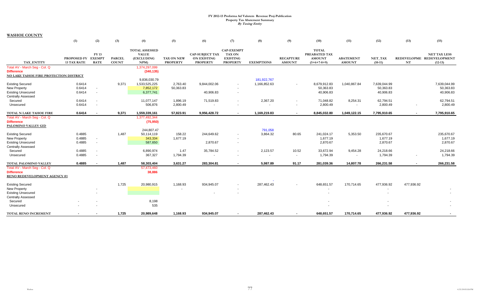|                                                                                           | (1)                                      | (2)                        | (3)                           | (4)                                                        | (5)                           | (6)                                                             | (7)                                                                      | (8)               | (9)                               | (10)                                                            | (11)                              | (12)                 | (13)           | (15)                                                          |
|-------------------------------------------------------------------------------------------|------------------------------------------|----------------------------|-------------------------------|------------------------------------------------------------|-------------------------------|-----------------------------------------------------------------|--------------------------------------------------------------------------|-------------------|-----------------------------------|-----------------------------------------------------------------|-----------------------------------|----------------------|----------------|---------------------------------------------------------------|
| <b>TAX ENTITY</b>                                                                         | PROPOSED FY EXEMPT<br><b>13 TAX RATE</b> | <b>FY13</b><br><b>RATE</b> | <b>PARCEL</b><br><b>COUNT</b> | <b>TOTAL ASSESSED</b><br><b>VALUE</b><br>(EXCLUDING<br>NPM | TAX ON NEW<br><b>PROPERTY</b> | <b>CAP-SUBJECT TAX</b><br><b>ON EXISTING</b><br><b>PROPERTY</b> | <b>CAP-EXEMPT</b><br><b>TAX ON</b><br><b>EXISTING</b><br><b>PROPERTY</b> | <b>EXEMPTIONS</b> | <b>RECAPTURE</b><br><b>AMOUNT</b> | <b>TOTAL</b><br>PREABATED TAX<br><b>AMOUNT</b><br>$(5+6+7-8+9)$ | <b>ABATEMENT</b><br><b>AMOUNT</b> | NET TAX<br>$(10-11)$ | NT             | <b>NET TAX LESS</b><br>REDEVELOPME REDEVELOPMENT<br>$(12-13)$ |
| Total AV - March Seq - Col. Q                                                             |                                          |                            |                               | 1,374,297,099                                              |                               |                                                                 |                                                                          |                   |                                   |                                                                 |                                   |                      |                |                                                               |
| <b>Difference</b>                                                                         |                                          |                            |                               | (340, 135)                                                 |                               |                                                                 |                                                                          |                   |                                   |                                                                 |                                   |                      |                |                                                               |
| NO LAKE TAHOE FIRE PROTECTION DISTRICT                                                    |                                          |                            |                               |                                                            |                               |                                                                 |                                                                          |                   |                                   |                                                                 |                                   |                      |                |                                                               |
|                                                                                           |                                          |                            |                               | 9,836,030.79                                               |                               |                                                                 |                                                                          | 181,922,767       |                                   |                                                                 |                                   |                      |                |                                                               |
| <b>Existing Secured</b>                                                                   | 0.6414                                   |                            | 9,371                         | 1,533,525,225                                              | 2,763.40                      | 9,844,002.06                                                    | $\overline{\phantom{a}}$                                                 | 1,166,852.63      | $\sim$                            | 8,679,912.83                                                    | 1,040,867.84                      | 7,639,044.99         |                | 7,639,044.99                                                  |
| <b>New Property</b>                                                                       | 0.6414                                   | $\overline{\phantom{a}}$   |                               | 7,852,172                                                  | 50,363.83                     |                                                                 |                                                                          |                   |                                   | 50,363.83                                                       |                                   | 50,363.83            |                | 50,363.83                                                     |
| <b>Existing Unsecured</b><br><b>Centrally Assessed</b>                                    | 0.6414                                   | $\sim$                     |                               | 6,377,741                                                  |                               | 40,906.83                                                       | $\sim$                                                                   |                   |                                   | 40,906.83                                                       |                                   | 40,906.83            |                | 40,906.83                                                     |
| Secured                                                                                   | 0.6414                                   | $\overline{\phantom{a}}$   |                               | 11,077,147                                                 | 1,896.19                      | 71,519.83                                                       |                                                                          | 2,367.20          | $\sim$                            | 71,048.82                                                       | 8,254.31                          | 62,794.51            |                | 62,794.51                                                     |
| Unsecured                                                                                 | 0.6414                                   | $\overline{\phantom{a}}$   |                               | 506,876                                                    | 2,800.49                      | $\sim$                                                          |                                                                          |                   | $\sim$                            | 2,800.49                                                        | $\sim$                            | 2,800.49             | $\sim$         | 2,800.49                                                      |
| TOTAL N LAKE TAHOE FIRE                                                                   | 0.6414                                   |                            | 9,371                         | 1,559,339,161                                              | 57,823.91                     | 9,956,428.72                                                    | $\overline{\phantom{a}}$                                                 | 1,169,219.83      | $\sim$                            | 8,845,032.80                                                    | 1,049,122.15                      | 7,795,910.65         | $\sim$         | 7,795,910.65                                                  |
| Total AV - March Seg - Col. Q                                                             |                                          |                            |                               | 1,377,492,344                                              |                               |                                                                 |                                                                          |                   |                                   |                                                                 |                                   |                      |                |                                                               |
| <b>Difference</b>                                                                         |                                          |                            |                               | (75, 950)                                                  |                               |                                                                 |                                                                          |                   |                                   |                                                                 |                                   |                      |                |                                                               |
| PALOMINO VALLEY GID                                                                       |                                          |                            |                               |                                                            |                               |                                                                 |                                                                          |                   |                                   |                                                                 |                                   |                      |                |                                                               |
|                                                                                           |                                          |                            |                               | 244,807.47                                                 |                               |                                                                 |                                                                          | 791,058           |                                   |                                                                 |                                   |                      |                |                                                               |
| <b>Existing Secured</b>                                                                   | 0.4885                                   |                            | 1,487                         | 50,114,119                                                 | 158.22                        | 244,649.62                                                      | $\sim$                                                                   | 3,864.32          | 80.65                             | 241,024.17                                                      | 5,353.50                          | 235,670.67           |                | 235,670.67                                                    |
| <b>New Property</b>                                                                       | 0.4885                                   | ٠                          |                               | 343,334                                                    | 1,677.19                      |                                                                 |                                                                          |                   |                                   | 1,677.19                                                        |                                   | 1,677.19             |                | 1,677.19                                                      |
| <b>Existing Unsecured</b>                                                                 | 0.4885                                   | $\sim$                     |                               | 587,650                                                    |                               | 2,870.67                                                        | $\overline{\phantom{a}}$                                                 |                   |                                   | 2,870.67                                                        |                                   | 2,870.67             |                | 2,870.67                                                      |
| <b>Centrally Assessed</b>                                                                 |                                          |                            |                               |                                                            |                               |                                                                 |                                                                          |                   |                                   |                                                                 |                                   |                      |                |                                                               |
| Secured                                                                                   | 0.4885                                   | ٠                          |                               | 6,890,974                                                  | 1.47                          | 35,784.52                                                       |                                                                          | 2,123.57          | 10.52                             | 33,672.94                                                       | 9,454.28                          | 24,218.66            |                | 24,218.66                                                     |
| Unsecured                                                                                 | 0.4885                                   | $\sim$                     |                               | 367,327                                                    | 1,794.39                      |                                                                 |                                                                          |                   | $\sim$                            | 1,794.39                                                        | $\sim$                            | 1,794.39             | ٠              | 1,794.39                                                      |
| <b>TOTAL PALOMINO VALLEY</b>                                                              | 0.4885                                   |                            | 1,487                         | 58,303,404                                                 | 3,631.27                      | 283,304.81                                                      |                                                                          | 5,987.89          | 91.17                             | 281,039.36                                                      | 14,807.78                         | 266,231.58           | $\blacksquare$ | 266,231.58                                                    |
| Total AV - March Seg - Col. Q<br><b>Difference</b><br><b>RENO REDEVELOPMENT AGENCY #1</b> |                                          |                            |                               | 57,473,460<br>38,886                                       |                               |                                                                 |                                                                          |                   |                                   |                                                                 |                                   |                      |                |                                                               |
| <b>Existing Secured</b>                                                                   |                                          |                            | 1,725                         | 20,980,915                                                 | 1,168.93                      | 934,945.07                                                      | $\sim$                                                                   | 287,462.43        |                                   | 648,651.57                                                      | 170,714.65                        | 477,936.92           | 477,936.92     |                                                               |
| <b>New Property</b>                                                                       |                                          |                            |                               |                                                            | $\overline{\phantom{a}}$      |                                                                 |                                                                          |                   |                                   |                                                                 |                                   | $\sim$               |                |                                                               |
| <b>Existing Unsecured</b>                                                                 |                                          |                            |                               |                                                            |                               |                                                                 |                                                                          |                   |                                   |                                                                 |                                   |                      |                |                                                               |
| <b>Centrally Assessed</b>                                                                 |                                          |                            |                               |                                                            |                               |                                                                 |                                                                          |                   |                                   |                                                                 |                                   |                      |                |                                                               |
| Secured                                                                                   |                                          |                            |                               | 8,198                                                      |                               |                                                                 |                                                                          |                   |                                   |                                                                 |                                   |                      |                |                                                               |
| Unsecured                                                                                 |                                          |                            |                               | 535                                                        |                               |                                                                 |                                                                          |                   |                                   |                                                                 |                                   |                      |                |                                                               |
| <b>TOTAL RENO INCREMENT</b>                                                               |                                          |                            | 1,725                         | 20,989,648                                                 | 1,168.93                      | 934,945.07                                                      |                                                                          | 287,462.43        | $\overline{\phantom{a}}$          | 648,651.57                                                      | 170,714.65                        | 477,936.92           | 477,936.92     |                                                               |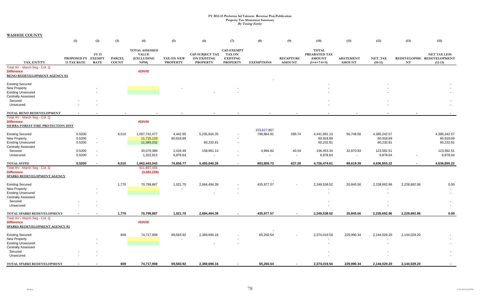|                                                                                    | (1)                                      | (2)                      | (3)                           | (4)                                                        | (5)                           | (6)                                                             | (7)                                                                      | (8)               | (9)                               | (10)                                                            | (11)                              | (12)                 | (13)         | (15)                                                          |
|------------------------------------------------------------------------------------|------------------------------------------|--------------------------|-------------------------------|------------------------------------------------------------|-------------------------------|-----------------------------------------------------------------|--------------------------------------------------------------------------|-------------------|-----------------------------------|-----------------------------------------------------------------|-----------------------------------|----------------------|--------------|---------------------------------------------------------------|
| TAX ENTITY                                                                         | PROPOSED FY EXEMPT<br><b>13 TAX RATE</b> | FY 13<br><b>RATE</b>     | <b>PARCEL</b><br><b>COUNT</b> | <b>TOTAL ASSESSED</b><br><b>VALUE</b><br>(EXCLUDING<br>NPM | TAX ON NEW<br><b>PROPERTY</b> | <b>CAP-SUBJECT TAX</b><br><b>ON EXISTING</b><br><b>PROPERTY</b> | <b>CAP-EXEMPT</b><br><b>TAX ON</b><br><b>EXISTING</b><br><b>PROPERTY</b> | <b>EXEMPTIONS</b> | <b>RECAPTURE</b><br><b>AMOUNT</b> | <b>TOTAL</b><br>PREABATED TAX<br><b>AMOUNT</b><br>$(5+6+7-8+9)$ | <b>ABATEMENT</b><br><b>AMOUNT</b> | NET_TAX<br>$(10-11)$ | $\bf NT$     | <b>NET TAX LESS</b><br>REDEVELOPME REDEVELOPMENT<br>$(12-13)$ |
| Total AV - March Seg - Col. Q<br><b>Difference</b><br>RENO REDEVELOPMENT AGENCY #2 |                                          |                          |                               | #DIV/0!                                                    |                               |                                                                 |                                                                          |                   |                                   |                                                                 |                                   |                      |              |                                                               |
| <b>Existing Secured</b>                                                            |                                          |                          |                               |                                                            |                               |                                                                 |                                                                          |                   |                                   |                                                                 |                                   |                      |              |                                                               |
| New Property                                                                       |                                          |                          |                               |                                                            |                               |                                                                 |                                                                          |                   |                                   |                                                                 |                                   |                      |              |                                                               |
| <b>Existing Unsecured</b>                                                          |                                          |                          |                               |                                                            |                               |                                                                 |                                                                          |                   |                                   |                                                                 |                                   |                      |              |                                                               |
| <b>Centrally Assessed</b>                                                          |                                          |                          |                               |                                                            |                               |                                                                 |                                                                          |                   |                                   |                                                                 |                                   |                      |              |                                                               |
| Secured                                                                            |                                          |                          |                               |                                                            |                               |                                                                 |                                                                          |                   |                                   |                                                                 |                                   |                      |              |                                                               |
| Unsecured                                                                          |                                          |                          |                               |                                                            |                               |                                                                 |                                                                          |                   |                                   |                                                                 |                                   |                      |              |                                                               |
|                                                                                    |                                          |                          |                               |                                                            |                               |                                                                 |                                                                          |                   |                                   |                                                                 |                                   |                      |              |                                                               |
| TOTAL RENO REDEVELOPMENT                                                           |                                          |                          |                               |                                                            |                               |                                                                 |                                                                          |                   |                                   |                                                                 |                                   |                      |              |                                                               |
| Total AV - March Seg - Col. Q                                                      |                                          |                          |                               |                                                            |                               |                                                                 |                                                                          |                   |                                   |                                                                 |                                   |                      |              |                                                               |
| <b>Difference</b>                                                                  |                                          |                          |                               | #DIV/0!                                                    |                               |                                                                 |                                                                          |                   |                                   |                                                                 |                                   |                      |              |                                                               |
| <b>SIERRA FOREST FIRE PROTECTION DIST</b>                                          |                                          |                          |                               |                                                            |                               |                                                                 |                                                                          |                   |                                   |                                                                 |                                   |                      |              |                                                               |
|                                                                                    |                                          |                          |                               |                                                            |                               |                                                                 |                                                                          | 153,627,867       |                                   |                                                                 |                                   |                      |              |                                                               |
| <b>Existing Secured</b>                                                            | 0.5200                                   |                          | 8,510                         | 1,007,742,477                                              | 4,442.95                      | 5,235,816.35                                                    |                                                                          | 798,864.91        | 596.74                            | 4,441,991.13                                                    | 56,748.56                         | 4,385,242.57         |              | 4,385,242.57                                                  |
| New Property                                                                       | 0.5200                                   | $\blacksquare$           |                               | 11,715,133                                                 | 60,918.69                     |                                                                 |                                                                          |                   |                                   | 60,918.69                                                       |                                   | 60,918.69            |              | 60,918.69                                                     |
| <b>Existing Unsecured</b>                                                          | 0.5200                                   | $\overline{\phantom{a}}$ |                               | 11,583,232                                                 |                               | 60,232.81                                                       | $\overline{\phantom{a}}$                                                 |                   |                                   | 60,232.81                                                       |                                   | 60,232.81            |              | 60,232.81                                                     |
| <b>Centrally Assessed</b>                                                          |                                          |                          |                               |                                                            |                               |                                                                 |                                                                          |                   |                                   |                                                                 |                                   |                      |              |                                                               |
| Secured                                                                            | 0.5200                                   | $\overline{\phantom{a}}$ |                               | 30,079,388                                                 | 2,416.49                      | 158,991.13                                                      | $\overline{\phantom{a}}$                                                 | 4,994.82          | 40.54                             | 156,453.34                                                      | 32,870.83                         | 123,582.51           |              | 123,582.51                                                    |
| Unsecured                                                                          | 0.5200                                   | $\blacksquare$           |                               | 1,322,813                                                  | 6,878.64                      |                                                                 |                                                                          | $\blacksquare$    | $\blacksquare$                    | 6,878.64                                                        | $\blacksquare$                    | 6,878.64             |              | 6,878.64                                                      |
| <b>TOTAL SFFPD</b>                                                                 | 0.5200                                   |                          | 8,510                         | 1,062,443,043                                              | 74,656.77                     | 5,455,040.29                                                    |                                                                          | 803,859.73        | 637.28                            | 4,726,474.61                                                    | 89,619.39                         | 4,636,855.22         |              | 4,636,855.22                                                  |
| Total AV - March Seg - Col. Q                                                      |                                          |                          |                               | 911,897,404                                                |                               |                                                                 |                                                                          |                   |                                   |                                                                 |                                   |                      |              |                                                               |
| <b>Difference</b>                                                                  |                                          |                          |                               | (3,082,228)                                                |                               |                                                                 |                                                                          |                   |                                   |                                                                 |                                   |                      |              |                                                               |
| SPARKS REDEVELOPMENT AGENCY                                                        |                                          |                          |                               |                                                            |                               |                                                                 |                                                                          |                   |                                   |                                                                 |                                   |                      |              |                                                               |
| <b>Existing Secured</b>                                                            |                                          |                          | 1,770                         | 70,799,887                                                 | 1,021.70                      | 2,684,494.39                                                    |                                                                          | 435,977.57        |                                   | 2,249,538.52                                                    | 20,845.56                         | 2,228,692.96         | 2,228,692.96 | 0.00                                                          |
| <b>New Property</b>                                                                |                                          |                          |                               |                                                            |                               |                                                                 |                                                                          |                   |                                   | $\overline{\phantom{a}}$                                        |                                   |                      |              |                                                               |
| <b>Existing Unsecured</b>                                                          |                                          |                          |                               |                                                            |                               |                                                                 |                                                                          |                   |                                   | $\overline{\phantom{a}}$                                        |                                   |                      |              |                                                               |
| <b>Centrally Assessed</b>                                                          |                                          |                          |                               |                                                            |                               |                                                                 |                                                                          |                   |                                   |                                                                 |                                   |                      |              |                                                               |
| Secured                                                                            |                                          |                          |                               |                                                            |                               |                                                                 |                                                                          |                   |                                   |                                                                 |                                   |                      |              |                                                               |
| Unsecured                                                                          |                                          |                          |                               |                                                            |                               |                                                                 |                                                                          |                   |                                   |                                                                 |                                   |                      |              |                                                               |
| TOTAL SPARKS REDEVELOPMENT                                                         |                                          |                          | 1,770                         | 70,799,887                                                 | 1,021.70                      | 2,684,494.39                                                    | $\blacksquare$                                                           | 435,977.57        | $\blacksquare$                    | 2,249,538.52                                                    | 20,845.56                         | 2,228,692.96         | 2,228,692.96 | 0.00                                                          |
| Total AV - March Seg - Col. Q                                                      |                                          |                          |                               |                                                            |                               |                                                                 |                                                                          |                   |                                   |                                                                 |                                   |                      |              |                                                               |
| <b>Difference</b>                                                                  |                                          |                          |                               | #DIV/0!                                                    |                               |                                                                 |                                                                          |                   |                                   |                                                                 |                                   |                      |              |                                                               |
| <b>SPARKS REDEVELOPMENT AGENCY #2</b>                                              |                                          |                          |                               |                                                            |                               |                                                                 |                                                                          |                   |                                   |                                                                 |                                   |                      |              |                                                               |
|                                                                                    |                                          |                          |                               |                                                            |                               |                                                                 |                                                                          |                   |                                   |                                                                 |                                   |                      |              |                                                               |
| <b>Existing Secured</b>                                                            |                                          |                          | 609                           | 74,717,908                                                 | 69,583.92                     | 2,369,696.16                                                    |                                                                          | 65,260.54         |                                   | 2,374,019.54                                                    | 229,990.34                        | 2,144,029.20         | 2,144,029.20 |                                                               |
| <b>New Property</b>                                                                |                                          |                          |                               |                                                            |                               |                                                                 |                                                                          |                   |                                   |                                                                 |                                   |                      |              |                                                               |
| <b>Existing Unsecured</b>                                                          |                                          |                          |                               |                                                            |                               |                                                                 |                                                                          |                   |                                   |                                                                 |                                   |                      |              |                                                               |
| <b>Centrally Assessed</b>                                                          |                                          |                          |                               |                                                            |                               |                                                                 |                                                                          |                   |                                   |                                                                 |                                   |                      |              |                                                               |
| Secured                                                                            |                                          |                          |                               |                                                            |                               |                                                                 |                                                                          |                   |                                   |                                                                 |                                   |                      |              |                                                               |
| Unsecured                                                                          |                                          |                          |                               |                                                            |                               |                                                                 |                                                                          |                   |                                   |                                                                 |                                   |                      |              |                                                               |
| TOTAL SPARKS REDEVELOPMENT                                                         |                                          |                          | 609                           | 74,717,908                                                 | 69,583.92                     | 2,369,696.16                                                    |                                                                          | 65,260.54         |                                   | 2.374.019.54                                                    | 229.990.34                        | 2,144,029.20         | 2.144.029.20 |                                                               |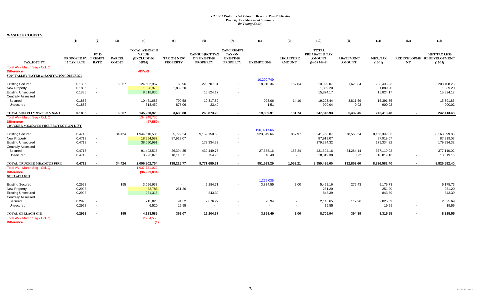|                                        | (1)                                      | (2)                        | (3)                           | (4)                                                               | (5)                                  | (6)                                                             | (7)                                                                      | (8)               | (9)                               | (10)                                                            | (11)                              | (12)                 | (13)                     | (15)                                                          |
|----------------------------------------|------------------------------------------|----------------------------|-------------------------------|-------------------------------------------------------------------|--------------------------------------|-----------------------------------------------------------------|--------------------------------------------------------------------------|-------------------|-----------------------------------|-----------------------------------------------------------------|-----------------------------------|----------------------|--------------------------|---------------------------------------------------------------|
| TAX ENTITY                             | PROPOSED FY EXEMPT<br><b>13 TAX RATE</b> | <b>FY13</b><br><b>RATE</b> | <b>PARCEL</b><br><b>COUNT</b> | <b>TOTAL ASSESSED</b><br><b>VALUE</b><br><b>(EXCLUDING</b><br>NPM | <b>TAX ON NEW</b><br><b>PROPERTY</b> | <b>CAP-SUBJECT TAX</b><br><b>ON EXISTING</b><br><b>PROPERTY</b> | <b>CAP-EXEMPT</b><br><b>TAX ON</b><br><b>EXISTING</b><br><b>PROPERTY</b> | <b>EXEMPTIONS</b> | <b>RECAPTURE</b><br><b>AMOUNT</b> | <b>TOTAL</b><br>PREABATED TAX<br><b>AMOUNT</b><br>$(5+6+7-8+9)$ | <b>ABATEMENT</b><br><b>AMOUNT</b> | NET_TAX<br>$(10-11)$ | $\mathbf{NT}$            | <b>NET TAX LESS</b><br>REDEVELOPME REDEVELOPMENT<br>$(12-13)$ |
| Total AV - March Seq - Col. Q          |                                          |                            |                               |                                                                   |                                      |                                                                 |                                                                          |                   |                                   |                                                                 |                                   |                      |                          |                                                               |
| <b>Difference</b>                      |                                          |                            |                               | #DIV/0!                                                           |                                      |                                                                 |                                                                          |                   |                                   |                                                                 |                                   |                      |                          |                                                               |
| SUN VALLEY WATER & SANITATION DISTRICT |                                          |                            |                               |                                                                   |                                      |                                                                 |                                                                          |                   |                                   |                                                                 |                                   |                      |                          |                                                               |
|                                        |                                          |                            |                               |                                                                   |                                      |                                                                 |                                                                          | 10,299,749        |                                   |                                                                 |                                   |                      |                          |                                                               |
| <b>Existing Secured</b>                | 0.1836                                   |                            | 6,067                         | 124,602,967                                                       | 63.96                                | 228,707.81                                                      | $\sim$                                                                   | 18,910.34         | 167.64                            | 210,029.07                                                      | 1,620.84                          | 208,408.23           |                          | 208,408.23                                                    |
| New Property                           | 0.1836                                   |                            |                               | 1,028,978                                                         | 1,889.20                             |                                                                 |                                                                          |                   |                                   | 1,889.20                                                        |                                   | 1,889.20             |                          | 1,889.20                                                      |
| <b>Existing Unsecured</b>              | 0.1836                                   | $\sim$                     |                               | 8,618,830                                                         |                                      | 15,824.17                                                       | $\sim$                                                                   |                   |                                   | 15,824.17                                                       |                                   | 15,824.17            |                          | 15,824.17                                                     |
| <b>Centrally Assessed</b>              |                                          |                            |                               |                                                                   |                                      |                                                                 |                                                                          | 928.06            |                                   |                                                                 |                                   |                      |                          |                                                               |
| Secured                                | 0.1836<br>0.1836                         |                            |                               | 10,451,686<br>518,459                                             | 799.58<br>878.06                     | 19,317.82<br>23.49                                              | $\overline{\phantom{a}}$                                                 | 1.51              | 14.10                             | 19,203.44<br>900.04                                             | 3,811.59<br>0.02                  | 15,391.85<br>900.02  |                          | 15,391.85<br>900.02                                           |
| Unsecured                              |                                          |                            |                               |                                                                   |                                      |                                                                 | $\overline{\phantom{a}}$                                                 |                   | $\sim$                            |                                                                 |                                   |                      | $\overline{\phantom{a}}$ |                                                               |
| TOTAL SUN VLLY WATER & SANI            | 0.1836                                   |                            | 6,067                         | 145,220,920                                                       | 3,630.80                             | 263,873.29                                                      | $\blacksquare$                                                           | 19,839.91         | 181.74                            | 247,845.93                                                      | 5,432.45                          | 242,413.48           | $\blacksquare$           | 242,413.48                                                    |
| Total AV - March Seg - Col. Q          |                                          |                            |                               | 134,948,730                                                       |                                      |                                                                 |                                                                          |                   |                                   |                                                                 |                                   |                      |                          |                                                               |
| <b>Difference</b>                      |                                          |                            |                               | (27, 559)                                                         |                                      |                                                                 |                                                                          |                   |                                   |                                                                 |                                   |                      |                          |                                                               |
| TRUCKEE MEADOWS FIRE PROTECTION DIST   |                                          |                            |                               |                                                                   |                                      |                                                                 |                                                                          |                   |                                   |                                                                 |                                   |                      |                          |                                                               |
|                                        |                                          |                            |                               |                                                                   |                                      |                                                                 |                                                                          | 196,021,566       |                                   |                                                                 |                                   |                      |                          |                                                               |
| <b>Existing Secured</b>                | 0.4713                                   |                            | 34,424                        | 1,944,610,586                                                     | 5,799.24                             | 9,159,150.50                                                    | $\sim$                                                                   | 923,849.64        | 867.97                            | 8,241,968.07                                                    | 78,568.24                         | 8,163,399.83         |                          | 8,163,399.83                                                  |
| New Property                           | 0.4713                                   |                            |                               | 18,654,587                                                        | 87,919.07                            |                                                                 | $\overline{\phantom{a}}$                                                 |                   |                                   | 87,919.07                                                       |                                   | 87,919.07            |                          | 87,919.07                                                     |
| <b>Existing Unsecured</b>              | 0.4713                                   | $\sim$                     |                               | 38,050,991                                                        |                                      | 179,334.32                                                      | $\overline{\phantom{a}}$                                                 |                   |                                   | 179,334.32                                                      |                                   | 179,334.32           |                          | 179,334.32                                                    |
| <b>Centrally Assessed</b>              |                                          |                            |                               |                                                                   |                                      |                                                                 |                                                                          |                   |                                   |                                                                 |                                   |                      |                          |                                                               |
| Secured                                | 0.4713                                   |                            |                               | 91,493,515                                                        | 26,394.35                            | 432,449.73                                                      | $\overline{\phantom{a}}$                                                 | 27,635.16         | 185.24                            | 431,394.16                                                      | 54,284.14                         | 377,110.02           |                          | 377,110.02                                                    |
| Unsecured                              | 0.4713                                   |                            |                               | 3,993,076                                                         | 18,113.11                            | 754.76                                                          |                                                                          | 48.49             | $\overline{\phantom{a}}$          | 18,819.38                                                       | 0.22                              | 18,819.16            |                          | 18,819.16                                                     |
| TOTAL TRUCKEE MEADOWS FIRE             | 0.4713                                   |                            | 34.424                        | 2,096,802,754                                                     | 138,225.77                           | 9,771,689.31                                                    | $\blacksquare$                                                           | 951,533.29        | 1,053.21                          | 8,959,435.00                                                    | 132,852.60                        | 8,826,582.40         | $\sim$                   | 8,826,582.40                                                  |
| Total AV - March Seg - Col. Q          |                                          |                            |                               | 1,937,781,022                                                     |                                      |                                                                 |                                                                          |                   |                                   |                                                                 |                                   |                      |                          |                                                               |
| <b>Difference</b>                      |                                          |                            |                               | (36,999,834)                                                      |                                      |                                                                 |                                                                          |                   |                                   |                                                                 |                                   |                      |                          |                                                               |
| <b>GERLACH GID</b>                     |                                          |                            |                               |                                                                   |                                      |                                                                 |                                                                          |                   |                                   |                                                                 |                                   |                      |                          |                                                               |
|                                        |                                          |                            |                               |                                                                   |                                      |                                                                 |                                                                          | 1,279,036         |                                   |                                                                 |                                   |                      |                          |                                                               |
| <b>Existing Secured</b>                | 0.2998                                   |                            | 195                           | 3,096,933                                                         | $\sim$                               | 9,284.71                                                        | $\overline{\phantom{a}}$                                                 | 3,834.55          | 2.00                              | 5,452.16                                                        | 276.43                            | 5,175.73             |                          | 5,175.73                                                      |
| New Property                           | 0.2998                                   |                            |                               | 83,788                                                            | 251.20                               |                                                                 |                                                                          |                   |                                   | 251.20                                                          |                                   | 251.20               |                          | 251.20                                                        |
| <b>Existing Unsecured</b>              | 0.2998                                   | $\sim$                     |                               | 281,316                                                           |                                      | 843.39                                                          | $\overline{\phantom{a}}$                                                 |                   |                                   | 843.39                                                          |                                   | 843.39               |                          | 843.39                                                        |
| <b>Centrally Assessed</b>              |                                          |                            |                               |                                                                   |                                      |                                                                 |                                                                          |                   |                                   |                                                                 |                                   |                      |                          |                                                               |
| Secured                                | 0.2998                                   |                            |                               | 715,028                                                           | 91.32                                | 2,076.27                                                        | $\overline{\phantom{a}}$                                                 | 23.94             |                                   | 2,143.65                                                        | 117.96                            | 2,025.69             |                          | 2,025.69                                                      |
| Unsecured                              | 0.2998                                   |                            |                               | 6,520                                                             | 19.55                                |                                                                 |                                                                          |                   |                                   | 19.55                                                           | $\sim$                            | 19.55                |                          | 19.55                                                         |
| TOTAL GERLACH GID                      | 0.2998                                   |                            | 195                           | 4,183,585                                                         | 362.07                               | 12,204.37                                                       | $\overline{\phantom{a}}$                                                 | 3,858.49          | 2.00                              | 8,709.94                                                        | 394.39                            | 8,315.55             | $\sim$                   | 8,315.55                                                      |
| Total AV - March Seg - Col. Q          |                                          |                            |                               | 2,904,550                                                         |                                      |                                                                 |                                                                          |                   |                                   |                                                                 |                                   |                      |                          |                                                               |
| <b>Difference</b>                      |                                          |                            |                               | (1)                                                               |                                      |                                                                 |                                                                          |                   |                                   |                                                                 |                                   |                      |                          |                                                               |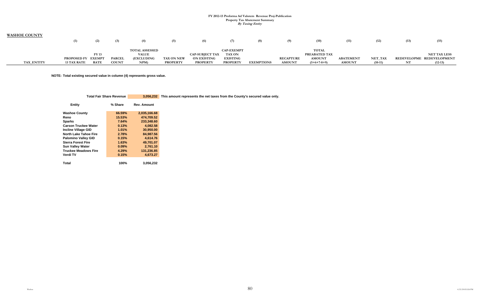| <b>WASHOE COUNTY</b> |                    |               |              |                       |                   |                        |                   |                   |                  |               |                  |                |      |                           |
|----------------------|--------------------|---------------|--------------|-----------------------|-------------------|------------------------|-------------------|-------------------|------------------|---------------|------------------|----------------|------|---------------------------|
|                      |                    |               | (3)          | (4)                   | (5)               | (6)                    | (7)               | (8)               | (9).             | (10)          | (11)             | (12)           | (13) | (15)                      |
|                      |                    |               |              | <b>TOTAL ASSESSED</b> |                   |                        | <b>CAP-EXEMPT</b> |                   |                  | <b>TOTAL</b>  |                  |                |      |                           |
|                      |                    | <b>FY13</b>   |              | <b>VALUE</b>          |                   | <b>CAP-SUBJECT TAX</b> | <b>TAX ON</b>     |                   |                  | PREABATED TAX |                  |                |      | <b>NET TAX LESS</b>       |
|                      | <b>PROPOSED FY</b> | <b>EXEMPT</b> | <b>PARCE</b> | <b>(EXCLUDING</b>     | <b>TAX ON NEW</b> | <b>ON EXISTING</b>     | <b>EXISTING</b>   |                   | <b>RECAPTURE</b> | <b>AMOUNT</b> | <b>ABATEMENT</b> | <b>NET_TAX</b> |      | REDEVELOPME REDEVELOPMENT |
| <b>TAX ENTITY</b>    | <b>13 TAX RATE</b> | <b>RATE</b>   | <b>COUNT</b> | NPM)                  | <b>PROPERTY</b>   | <b>PROPERTY</b>        | <b>PROPERTY</b>   | <b>EXEMPTIONS</b> | <b>AMOUNT</b>    | $(5+6+7-8+9)$ | <b>AMOUNT</b>    | $(10-11)$      | NT   | $(12-13)$                 |

**NOTE: Total existing secured value in column (4) represents gross value.** 

| Total Fair Share Revenue |  | 3,056,232 This amount represents the net taxes from the County's secured value only. |
|--------------------------|--|--------------------------------------------------------------------------------------|
|--------------------------|--|--------------------------------------------------------------------------------------|

| Entity                       | % Share | <b>Rev. Amount</b> |
|------------------------------|---------|--------------------|
| <b>Washoe County</b>         | 66.59%  | 2.035.166.68       |
| Reno                         | 15.53%  | 474.709.52         |
| <b>Sparks</b>                | 7.64%   | 233.348.60         |
| <b>Carson Truckee Water</b>  | 0.13%   | 4.082.58           |
| <b>Incline Village GID</b>   | 1.01%   | 30,950.00          |
| <b>North Lake Tahoe Fire</b> | 2.78%   | 84.987.56          |
| <b>Palomino Valley GID</b>   | 0.15%   | 4.614.76           |
| <b>Sierra Forest Fire</b>    | 1.63%   | 49.701.07          |
| <b>Sun Valley Water</b>      | 0.09%   | 2.761.10           |
| <b>Truckee Meadows Fire</b>  | 4.29%   | 131.236.85         |
| Verdi TV                     | 0.15%   | 4,673.27           |
| Total                        | 100%    | 3,056,232          |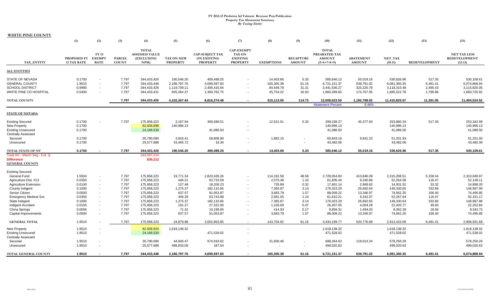**WHITE PINE COUNTY**

|                                            | (1)                               | (2)                                         | (3)                           | (4)                                                        | (5)                           | (6)                                                             | (7)                                                                      | (8)                | (9)                               | (10)                                                                   | (11)                              | (12)                    | (13)                 | (15)                                                     |
|--------------------------------------------|-----------------------------------|---------------------------------------------|-------------------------------|------------------------------------------------------------|-------------------------------|-----------------------------------------------------------------|--------------------------------------------------------------------------|--------------------|-----------------------------------|------------------------------------------------------------------------|-----------------------------------|-------------------------|----------------------|----------------------------------------------------------|
| TAX ENTITY                                 | PROPOSED FY<br><b>13 TAX RATE</b> | <b>FY13</b><br><b>EXEMPT</b><br><b>RATE</b> | <b>PARCEL</b><br><b>COUNT</b> | <b>TOTAL</b><br><b>ASSESSED VALUE</b><br>(EXCLUDING<br>NPM | TAX ON NEW<br><b>PROPERTY</b> | <b>CAP-SUBJECT TAX</b><br><b>ON EXISTING</b><br><b>PROPERTY</b> | <b>CAP-EXEMPT</b><br><b>TAX ON</b><br><b>EXISTING</b><br><b>PROPERTY</b> | <b>EXEMPTIONS</b>  | <b>RECAPTURE</b><br><b>AMOUNT</b> | <b>TOTAL</b><br><b>PREABATED TAX</b><br><b>AMOUNT</b><br>$(5+6+7-8+9)$ | <b>ABATEMENT</b><br><b>AMOUNT</b> | NET_TAX<br>$(10-11)$    | <b>REDEVELOPMENT</b> | <b>NET TAX LESS</b><br><b>REDEVELOPMENT</b><br>$(12-13)$ |
| <b>ALL ENTITIES</b>                        |                                   |                                             |                               |                                                            |                               |                                                                 |                                                                          |                    |                                   |                                                                        |                                   |                         |                      |                                                          |
| <b>STATE OF NEVADA</b>                     | 0.1700                            | $\blacksquare$                              | 7,797                         | 344,433,426                                                | 190,546.20                    | 409,498.25                                                      |                                                                          | 14,403.66          | 5.33                              | 585,646.12                                                             | 55,019.16                         | 530,626.96              | 517.35               | 530,109.61                                               |
| <b>GENERAL COUNTY</b>                      | 1.9510                            | $\blacksquare$                              | 7,797                         | 344,433,448                                                | 2,186,797.76                  | 4,699,597.83                                                    | $\sim$                                                                   | 165,305.38         | 61.16                             | 6,721,151.37                                                           | 639,791.02                        | 6,081,360.35            | 6,491.41             | 6,074,868.94                                             |
| <b>SCHOOL DISTRICT</b>                     | 0.9990                            | $\mathcal{L}_{\mathcal{A}}$                 | 7,797                         | 344,433,426                                                | 1,119,739.11                  | 2,406,415.64                                                    |                                                                          | 84,649.79          | 31.31                             | 3,441,536.27                                                           | 323,220.79                        | 3,118,315.48            | 2,495.43             | 3,115,820.05                                             |
| WHITE PINE CO HOSPITAL                     | 0.5400                            | $\blacksquare$                              | 7,797                         | 344,433,431                                                | 605,264.37                    | 1,300,762.75                                                    |                                                                          | 45,754.22          | 16.93                             | 1,860,289.83                                                           | 174,767.05                        | 1,685,522.78            | 1,796.86             | 1,683,725.92                                             |
| <b>TOTAL COUNTY</b>                        |                                   |                                             | 7,797                         | 344,433,426                                                | 4,102,347.44                  | 8,816,274.48                                                    |                                                                          | 310,113.05         | 114.73                            | 12,608,623.59                                                          | 1,192,798.02                      | 11,415,825.57           | 11,301.05            | 11,404,524.52                                            |
|                                            |                                   |                                             |                               |                                                            |                               |                                                                 |                                                                          |                    |                                   | <b>Abatement Percent</b>                                               | 9.46%                             |                         |                      |                                                          |
| <b>STATE OF NEVADA</b>                     |                                   |                                             |                               |                                                            |                               |                                                                 |                                                                          |                    |                                   |                                                                        |                                   |                         |                      |                                                          |
| <b>Existing Secured</b>                    | 0.1700                            |                                             | 7,797                         | 175,958,223                                                | 2,167.94                      | 309,586.51                                                      |                                                                          | 12,521.51          | 5.33                              | 299,238.27                                                             | 45,377.93                         | 253,860.34              | 517.35               | 253,342.99                                               |
| New Property                               | 0.1700                            |                                             |                               | 82,938,898                                                 | 140,996.13                    |                                                                 |                                                                          |                    |                                   | 140,996.13                                                             |                                   | 140,996.13              |                      | 140,996.13                                               |
| <b>Existing Unsecured</b>                  | 0.1700                            |                                             |                               | 24,168,530                                                 |                               | 41,086.50                                                       |                                                                          |                    |                                   | 41,086.50                                                              |                                   | 41,086.50               |                      | 41,086.50                                                |
| <b>Centrally Assessed</b>                  |                                   |                                             |                               |                                                            |                               |                                                                 |                                                                          |                    |                                   |                                                                        |                                   |                         |                      |                                                          |
| Secured                                    | 0.1700                            |                                             |                               | 35,790,090                                                 | 3,916.41                      | 58,808.90                                                       |                                                                          | 1,882.15           | $\overline{\phantom{a}}$          | 60,843.16                                                              | 9,641.23                          | 51,201.93               |                      | 51,201.93                                                |
| Unsecured                                  | 0.1700                            |                                             |                               | 25,577,686                                                 | 43,465.72                     | 16.34                                                           |                                                                          |                    | $\overline{\phantom{a}}$          | 43,482.06                                                              |                                   | 43,482.06               |                      | 43,482.06                                                |
| <b>TOTAL STATE OF NV</b>                   | 0.1700                            |                                             | 7,797                         | 344,433,426                                                | 190,546.20                    | 409,498.25                                                      |                                                                          | 14,403.66          | 5.33                              | 585,646.12                                                             | 55,019.16                         | 530,626.96              | 517.35               | 530,109.61                                               |
| Total AV - March Seg - Col. Q              |                                   |                                             |                               | 343,597,214                                                |                               |                                                                 |                                                                          |                    |                                   |                                                                        |                                   |                         |                      |                                                          |
| <b>Difference</b><br><b>GENERAL COUNTY</b> |                                   |                                             |                               | 836,212                                                    |                               |                                                                 |                                                                          |                    |                                   |                                                                        |                                   |                         |                      |                                                          |
| <b>Existing Secured</b>                    |                                   |                                             |                               |                                                            |                               |                                                                 |                                                                          |                    |                                   |                                                                        |                                   |                         |                      |                                                          |
| General Fund                               | 1.5504                            | $\overline{\phantom{a}}$                    | 7,797                         | 175,958,223                                                | 19,771.34                     | 2,823,426.26                                                    |                                                                          | 114,191.58         | 48.58                             | 2,729,054.60                                                           | 413,846.09                        | 2,315,208.51            | 5,158.54             | 2,310,049.97                                             |
| Agriculture Dist. #13                      | 0.0350                            | $\blacksquare$                              | 7,797                         | 175,958,223                                                | 446.21                        | 63,733.59                                                       | $\sim$                                                                   | 2,575.46           | 1.10                              | 61,605.44                                                              | 9,340.86                          | 52,264.58               | 116.47               | 52,148.11                                                |
| Agriculture Extension                      | 0.0100                            | $\blacksquare$                              | 7,797                         | 175,958,223                                                | 127.48                        | 18,209.23                                                       |                                                                          | 735.89             | 0.32                              | 17,601.14                                                              | 2,669.62                          | 14,931.52               | 33.32                | 14,898.20                                                |
| County Indigent                            | 0.1000                            | $\overline{\phantom{a}}$                    | 7,797                         | 175,958,223                                                | 1,275.37                      | 182,110.65                                                      |                                                                          | 7,365.87           | 3.14                              | 176,023.29                                                             | 26,692.64                         | 149,330.65              | 332.66               | 148,997.99                                               |
| Senior Citizen                             | 0.0500                            | $\blacksquare$                              | 7,797                         | 175,958,223                                                | 637.57                        | 91,053.87                                                       |                                                                          | 3,683.79           | 1.57                              | 88,009.22                                                              | 13,346.97                         | 74,662.25               | 166.40               | 74,495.85                                                |
| <b>Emergency Medical Svc</b>               | 0.0350                            | $\blacksquare$                              | 7,797                         | 175,958,223                                                | 446.28                        | 63,743.88                                                       |                                                                          | 2,581.05           | 1.10                              | 61,610.21                                                              | 9,342.57                          | 52,267.64               | 116.47               | 52,151.17                                                |
| State Indigent                             | 0.1000<br>0.0150                  | $\mathbf{r}$<br>$\sim$                      | 7,797<br>7,797                | 175,958,223<br>175,958,223                                 | 1,275.37                      | 182,110.65                                                      |                                                                          | 7,365.87           | 3.14                              | 176,023.29                                                             | 26,692.65                         | 149,330.64<br>22,402.77 | 332.66               | 148,997.98<br>22,352.84                                  |
| Indigent Accident                          | 0.0056                            | $\blacksquare$                              | 7,797                         | 175,958,223                                                | 191.27<br>71.42               | 27,322.00<br>10,199.65                                          | $\sim$                                                                   | 1,106.69<br>414.93 | 0.47<br>0.17                      | 26,407.05<br>9,856.31                                                  | 4,004.28<br>1,494.03              | 8,362.28                | 49.93<br>18.56       | 8,343.72                                                 |
| China Springs<br>Capital Improvements      | 0.0500                            | $\sim$                                      | 7,797                         | 175,958,223                                                | 637.57                        | 91,053.87                                                       |                                                                          | 3,683.79           | 1.57                              | 88,009.22                                                              | 13,346.97                         | 74,662.25               | 166.40               | 74,495.85                                                |
| <b>GENERAL TOTAL</b>                       | 1.9510                            |                                             | 7,797                         | 175,958,223                                                | 24,879.88                     | 3,552,963.65                                                    | $\sim$                                                                   | 143,704.92         | 61.16                             | 3.434.199.77                                                           | 520,776.68                        | 2,913,423.09            | 6,491.41             | 2,906,931.68                                             |
| <b>New Property</b>                        | 1.9510                            |                                             |                               | 82,938,920                                                 | 1,618,138.32                  |                                                                 |                                                                          |                    |                                   | 1,618,138.32                                                           |                                   | 1,618,138.32            |                      | 1,618,138.32                                             |
| <b>Existing Unsecured</b>                  | 1.9510                            | $\blacksquare$                              |                               | 24,168,530                                                 |                               | 471,528.02                                                      |                                                                          |                    |                                   | 471,528.02                                                             |                                   | 471,528.02              |                      | 471,528.02                                               |
| <b>Centrally Assessed</b>                  |                                   |                                             |                               |                                                            |                               |                                                                 |                                                                          |                    |                                   |                                                                        |                                   |                         |                      |                                                          |
| Secured                                    | 1.9510                            | $\blacksquare$                              |                               | 35,790,090                                                 | 44,946.47                     | 674,918.62                                                      |                                                                          | 21,600.46          | $\blacksquare$                    | 698,264.63                                                             | 119,014.34                        | 579,250.29              |                      | 579,250.29                                               |
| Unsecured                                  | 1.9510                            | $\blacksquare$                              |                               | 25,577,686                                                 | 498,833.09                    | 187.54                                                          |                                                                          |                    | $\overline{\phantom{a}}$          | 499,020.63                                                             |                                   | 499,020.63              |                      | 499,020.63                                               |
| TOTAL GENERAL COUNTY                       | 1.9510                            |                                             | 7,797                         | 344,433,448                                                | 2,186,797.76                  | 4,699,597.83                                                    |                                                                          | 165,305.38         | 61.16                             | 6,721,151.37                                                           | 639,791.02                        | 6,081,360.35            | 6,491.41             | 6,074,868.94                                             |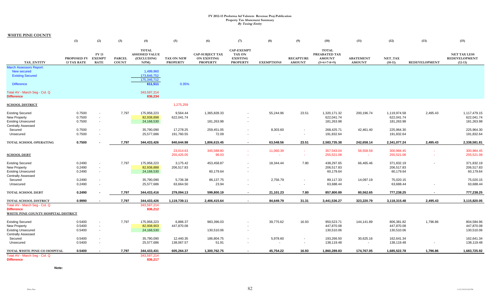**WHITE PINE COUNTY**

|                                                                                                      | (1)                               | (2)                                          | (3)                           | (4)                                                        | (5)                           | (6)                                                             | (7)                                                                      | (8)                 | (9)                                                  | (10)                                                            | (11)                              | (12)                                     | (13)                 | (15)                                                     |
|------------------------------------------------------------------------------------------------------|-----------------------------------|----------------------------------------------|-------------------------------|------------------------------------------------------------|-------------------------------|-----------------------------------------------------------------|--------------------------------------------------------------------------|---------------------|------------------------------------------------------|-----------------------------------------------------------------|-----------------------------------|------------------------------------------|----------------------|----------------------------------------------------------|
| TAX_ENTITY                                                                                           | PROPOSED FY<br><b>13 TAX RATE</b> | <b>FY13</b><br><b>EXEMPT</b><br><b>RATE</b>  | <b>PARCEL</b><br><b>COUNT</b> | <b>TOTAL</b><br><b>ASSESSED VALUE</b><br>(EXCLUDING<br>NPM | TAX ON NEW<br><b>PROPERTY</b> | <b>CAP-SUBJECT TAX</b><br><b>ON EXISTING</b><br><b>PROPERTY</b> | <b>CAP-EXEMPT</b><br><b>TAX ON</b><br><b>EXISTING</b><br><b>PROPERTY</b> | <b>EXEMPTIONS</b>   | <b>RECAPTURE</b><br><b>AMOUNT</b>                    | <b>TOTAL</b><br>PREABATED TAX<br><b>AMOUNT</b><br>$(5+6+7-8+9)$ | <b>ABATEMENT</b><br><b>AMOUNT</b> | NET_TAX<br>$(10-11)$                     | <b>REDEVELOPMENT</b> | <b>NET TAX LESS</b><br><b>REDEVELOPMENT</b><br>$(12-13)$ |
| <b>March Assessors Report:</b><br><b>New secured</b><br><b>Existing Secured</b><br><b>Difference</b> |                                   |                                              |                               | 1,499,960<br>173,846,752<br>175,346,712<br>611,511         | 0.35%                         |                                                                 |                                                                          |                     |                                                      |                                                                 |                                   |                                          |                      |                                                          |
| Total AV - March Seg - Col. Q<br><b>Difference</b>                                                   |                                   |                                              |                               | 343,597,214<br>836,234                                     |                               |                                                                 |                                                                          |                     |                                                      |                                                                 |                                   |                                          |                      |                                                          |
| <b>SCHOOL DISTRICT</b>                                                                               |                                   |                                              |                               |                                                            | 1,275,259                     |                                                                 |                                                                          |                     |                                                      |                                                                 |                                   |                                          |                      |                                                          |
| <b>Existing Secured</b><br>New Property<br><b>Existing Unsecured</b><br><b>Centrally Assessed</b>    | 0.7500<br>0.7500<br>0.7500        | $\sim$<br>$\sim$<br>$\sim$                   | 7,797                         | 175,958,223<br>82,938,898<br>24,168,530                    | 9,564.44<br>622,041.74        | 1,365,828.33<br>181,263.98                                      | $\sim$                                                                   | 55,244.96           | 23.51                                                | 1,320,171.32<br>622,041.74<br>181,263.98                        | 200,196.74                        | 1,119,974.58<br>622,041.74<br>181,263.98 | 2,495.43             | 1,117,479.15<br>622,041.74<br>181,263.98                 |
| Secured<br>Unsecured                                                                                 | 0.7500<br>0.7500                  | $\sim$<br>$\overline{\phantom{a}}$           |                               | 35,790,090<br>25,577,686                                   | 17,278.25<br>191,760.55       | 259,451.05<br>72.09                                             |                                                                          | 8,303.60            | $\blacksquare$<br>۰                                  | 268,425.71<br>191,832.64                                        | 42,461.40                         | 225,964.30<br>191,832.64                 |                      | 225,964.30<br>191,832.64                                 |
| TOTAL SCHOOL OPERATING                                                                               | 0.7500                            |                                              | 7,797                         | 344,433,426                                                | 840,644.98                    | 1,806,615.45                                                    | $\blacksquare$                                                           | 63,548.56           | 23.51                                                | 2,583,735.38                                                    | 242,658.14                        | 2,341,077.24                             | 2,495.43             | 2,338,581.81                                             |
| <b>SCHOOL DEBT</b>                                                                                   |                                   |                                              |                               |                                                            | 23,014.63<br>255,425.05       | 345,588.80<br>96.03                                             |                                                                          | 11,060.39<br>$\sim$ | $\sim$<br>$\sim$                                     | 357,543.04<br>255,521.08                                        | 56,558.59<br><b>Security</b>      | 300,984.45<br>255,521.08                 |                      | 300,984.45<br>255,521.08                                 |
| <b>Existing Secured</b><br>New Property<br><b>Existing Unsecured</b>                                 | 0.2490<br>0.2490<br>0.2490        | $\sim$<br>$\overline{\phantom{a}}$<br>$\sim$ | 7,797                         | 175,958,223<br>82,938,888<br>24,168,530                    | 3,175.42<br>206,517.83        | 453,458.87<br>60,179.64                                         |                                                                          | 18,344.44           | 7.80                                                 | 438,297.65<br>206,517.83<br>60,179.64                           | 66,465.46                         | 371,832.19<br>206,517.83<br>60,179.64    |                      | 371,832.19<br>206,517.83<br>60,179.64                    |
| <b>Centrally Assessed</b><br>Secured<br>Unsecured                                                    | 0.2490<br>0.2490                  | $\sim$<br>$\overline{\phantom{a}}$           |                               | 35,790,090<br>25,577,686                                   | 5,736.38<br>63,664.50         | 86,137.75<br>23.94                                              |                                                                          | 2,756.79            | $\overline{\phantom{a}}$<br>$\overline{\phantom{a}}$ | 89,117.33<br>63,688.44                                          | 14,097.19<br>$\sim$               | 75,020.15<br>63,688.44                   |                      | 75,020.15<br>63,688.44                                   |
| TOTAL SCHOOL DEBT                                                                                    | 0.2490                            |                                              | 7,797                         | 344,433,416                                                | 279,094.13                    | 599,800.19                                                      | $\overline{\phantom{a}}$                                                 | 21,101.23           | 7.80                                                 | 857,800.89                                                      | 80,562.65                         | 777,238.25                               |                      | 777,238.25                                               |
| TOTAL SCHOOL DISTRICT<br>Total AV - March Seg - Col. Q                                               | 0.9990                            |                                              | 7,797                         | 344,433,426<br>343,597,214                                 | 1,119,739.11                  | 2,406,415.64                                                    | $\overline{\phantom{a}}$                                                 | 84,649.79           | 31.31                                                | 3,441,536.27                                                    | 323,220.79                        | 3,118,315.48                             | 2,495.43             | 3,115,820.05                                             |
| <b>Difference</b><br>WHITE PINE COUNTY HOSPITAL DISTRICT                                             |                                   |                                              |                               | 836,212                                                    |                               |                                                                 |                                                                          |                     |                                                      |                                                                 |                                   |                                          |                      |                                                          |
| <b>Existing Secured</b><br>New Property<br><b>Existing Unsecured</b>                                 | 0.5400<br>0.5400<br>0.5400        | $\sim$<br>$\sim$<br>$\sim$                   | 7,797                         | 175,958,223<br>82,938,903<br>24,168,530                    | 6,886.37<br>447,870.08        | 983,396.03<br>130,510.06                                        |                                                                          | 39,775.62           | 16.93                                                | 950,523.71<br>447,870.08<br>130,510.06                          | 144,141.89                        | 806,381.82<br>447,870.08<br>130,510.06   | 1,796.86             | 804,584.96<br>447,870.08<br>130,510.06                   |
| <b>Centrally Assessed</b><br>Secured<br>Unsecured                                                    | 0.5400<br>0.5400                  | $\overline{\phantom{a}}$<br>$\sim$           |                               | 35,790,090<br>25,577,686                                   | 12,440.35<br>138,067.57       | 186,804.75<br>51.91                                             | $\sim$                                                                   | 5,978.60<br>$\sim$  | $\sim$                                               | 193,266.50<br>138,119.48                                        | 30,625.16<br>$\sim$               | 162,641.34<br>138,119.48                 |                      | 162,641.34<br>138,119.48                                 |
| TOTAL WHITE PINE CO HOSPITAL<br>Total AV - March Seg - Col. Q<br><b>Difference</b>                   | 0.5400                            |                                              | 7,797                         | 344,433,431<br>343,597,214<br>836,217                      | 605,264.37                    | 1,300,762.75                                                    |                                                                          | 45,754.22           | 16.93                                                | 1,860,289.83                                                    | 174,767.05                        | 1,685,522.78                             | 1,796.86             | 1,683,725.92                                             |

**Note:**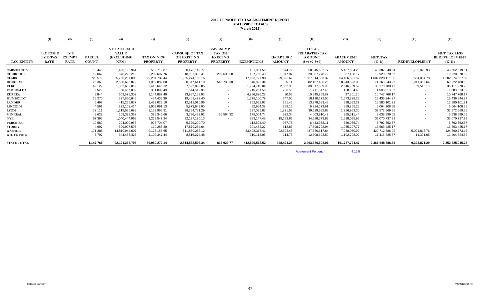#### **2012-13 PROPERTY TAX ABATEMENT REPORT STATEWIDE TOTALS (March 2012)**

|                    | (1)                                                | (2)                                   | (3)                           | (4)                                                      | (5)                           | (6)                                                             | (7)                                                                      | (8)               | (9)                               | (10)                                                            | (11)                              | (12)                        | (13)                 | (15)                                                     |
|--------------------|----------------------------------------------------|---------------------------------------|-------------------------------|----------------------------------------------------------|-------------------------------|-----------------------------------------------------------------|--------------------------------------------------------------------------|-------------------|-----------------------------------|-----------------------------------------------------------------|-----------------------------------|-----------------------------|----------------------|----------------------------------------------------------|
| TAX_ENTITY         | <b>PROPOSED</b><br><b>FY 13 TAX</b><br><b>RATE</b> | FY 13<br><b>EXEMPT</b><br><b>RATE</b> | <b>PARCEL</b><br><b>COUNT</b> | <b>NET ASSESSED</b><br><b>VALUE</b><br>(EXCLUDING<br>NPM | TAX ON NEW<br><b>PROPERTY</b> | <b>CAP-SUBJECT TAX</b><br><b>ON EXISTING</b><br><b>PROPERTY</b> | <b>CAP-EXEMPT</b><br><b>TAX ON</b><br><b>EXISTING</b><br><b>PROPERTY</b> | <b>EXEMPTIONS</b> | <b>RECAPTURE</b><br><b>AMOUNT</b> | <b>TOTAL</b><br>PREABATED TAX<br><b>AMOUNT</b><br>$(5+6+7-8+9)$ | <b>ABATEMENT</b><br><b>AMOUNT</b> | <b>NET_TAX</b><br>$(10-11)$ | <b>REDEVELOPMENT</b> | <b>NET TAX LESS</b><br><b>REDEVELOPMENT</b><br>$(12-13)$ |
| <b>CARSON CITY</b> |                                                    |                                       | 18,445                        | 1,425,196,961                                            | 552,719.87                    | 50,473,149.77                                                   |                                                                          | 181,061.59        | 874.72                            | 50,845,682.77                                                   | 5,457,834.23                      | 45,387,848.54               | 1,735,828.93         | 43,652,019.61                                            |
| <b>CHURCHILL</b>   |                                                    |                                       | 12,062                        | 676,220,213                                              | 2,209,697.76                  | 18,081,358.41                                                   | 202,635.08                                                               | 187,760.43        | 1,847.97                          | 20,307,778.79                                                   | 387,408.17                        | 19,920,370.62               |                      | 19,920,370.62                                            |
| <b>CLARK</b>       |                                                    |                                       | 728,579                       | 65,766,257,086                                           | 29, 204, 732. 44              | 1,955,274,103.16                                                |                                                                          | 317,993,727.90    | 829,395.62                        | 1,667,314,503.32                                                | 64,486,391.52                     | 1,602,828,111.80            | 554,054.78           | 1,602,274,057.02                                         |
| <b>DOUGLAS</b>     |                                                    |                                       | 26,368                        | 2,680,695,829                                            | 1,059,882.00                  | 80,847,611.10                                                   | 546,730.38                                                               | 346,822.34        | 35.11                             | 82,107,436.25                                                   | 10,943,593.03                     | 71,163,843.22               | 1,941,362.64         | 69,222,480.58                                            |
| ELKO               |                                                    |                                       | 42,122                        | 1,302,662,012                                            | 2,416,645.12                  | 37,622,892.85                                                   | $\sim$                                                                   | 1,224,710.04      | 2,862.00                          | 38,817,689.93                                                   | 2,646,909.52                      | 36,170,780.41               | 59,510.13            | 36, 111, 270. 28                                         |
| <b>ESMERALDA</b>   |                                                    |                                       | 2,529                         | 56,667,002                                               | 381,809.49                    | 1,544,512.96                                                    | $\overline{\phantom{a}}$                                                 | 215,261.56        | 786.56                            | 1,711,847.45                                                    | 128,334.43                        | 1,583,513.02                |                      | 1,583,513.02                                             |
| <b>EUREKA</b>      |                                                    |                                       | 3,844                         | 609,575,302                                              | 1,144,882.49                  | 13,987,183.03                                                   | $\sim$                                                                   | 4,286,826.28      | 30.63                             | 10,845,269.87                                                   | 97,501.70                         | 10,747,768.17               |                      | 10,747,768.17                                            |
| <b>HUMBOLDT</b>    |                                                    |                                       | 15,270                        | 727,850,646                                              | 484,433.39                    | 19,403,492.40                                                   | $\sim$                                                                   | 1,778,100.79      | 347.50                            | 18,110,172.50                                                   | 1,673,828.23                      | 16,436,344.27               |                      | 16,436,344.27                                            |
| <b>LANDER</b>      |                                                    |                                       | 6,492                         | 415,256,637                                              | 2,429,023.10                  | 12,512,010.96                                                   | ۰.                                                                       | 962,652.03        | 251.45                            | 13,978,633.48                                                   | 398,532.27                        | 13,580,101.21               |                      | 13,580,101.21                                            |
| <b>LINCOLN</b>     |                                                    |                                       | 4,561                         | 222,102,414                                              | 1,033,091.13                  | 5,973,649.00                                                    | $\overline{\phantom{0}}$                                                 | 82,954.37         | 288.15                            | 6,924,073.91                                                    | 859,965.23                        | 6,064,108.68                |                      | 6,064,108.68                                             |
| <b>LYON</b>        |                                                    |                                       | 32,111                        | 1,219,586,693                                            | 1,139,965.91                  | 38,784,781.29                                                   |                                                                          | 397,035.87        | 1,821.55                          | 39,529,532.88                                                   | 1,956,963.30                      | 37,572,569.58               |                      | 37,572,569.58                                            |
| <b>MINERAL</b>     |                                                    |                                       | 3,622                         | 109,373,362                                              | 378,345.66                    | 3,736,482.92                                                    | 66,564.32                                                                | 178,004.74        | 522.34                            | 4,003,910.49                                                    | 365,311.44                        | 3,638,599.05                |                      | 3,638,599.05                                             |
| <b>NYE</b>         |                                                    |                                       | 57,393                        | 1,040,444,963                                            | 3,279,547.34                  | 32,127,190.13                                                   | $\overline{\phantom{a}}$                                                 | 833,147.45        | 15,183.86                         | 34,588,773.88                                                   | 1,518,035.95                      | 33,070,737.93               |                      | 33,070,737.93                                            |
| <b>PERSHING</b>    |                                                    |                                       | 10,589                        | 204,000,956                                              | 925,704.07                    | 5,629,290.70                                                    | $\overline{\phantom{0}}$                                                 | 112,594.40        | 937.75                            | 6,443,338.11                                                    | 650,985.74                        | 5,792,352.37                |                      | 5,792,352.37                                             |
| <b>STOREY</b>      |                                                    |                                       | 4,697                         | 509,997,593                                              | 110,288.30                    | 17,879,254.04                                                   | ۰                                                                        | 391,432.27        | 612.86                            | 17,598,722.94                                                   | 1,035,297.77                      | 16,563,425.17               |                      | 16,563,425.17                                            |
| WASHOE             |                                                    |                                       | 171,285                       | 14,810,944,607                                           | 9,127,156.65                  | 511,839,266.12                                                  | $\overline{\phantom{a}}$                                                 | 83,408,313.41     | 92,508.48                         | 437,650,617.84                                                  | 7,938,030.92                      | 429,712,586.92              | 5,021,813.76         | 424,690,773.16                                           |
| <b>WHITE PINE</b>  |                                                    |                                       | 7,797                         | 344,433,426                                              | 4,102,347.44                  | 8,816,274.48                                                    | $\sim$                                                                   | 310,113.05        | 114.73                            | 12,608,623.59                                                   | 1,192,798.02                      | 11,415,825.57               | 11,301.05            | 11,404,524.52                                            |
| <b>STATE TOTAL</b> |                                                    |                                       | 1,147,766                     | 92,121,265,705                                           | 59,980,272.14                 | 2,814,532,503.34                                                | 815,929.77                                                               | 412,890,518.52    | 948,421.28                        | 2,463,386,608.01                                                | 101,737,721.47                    | 2,361,648,886.54            | 9,323,871.29         | 2,352,325,015.25                                         |
|                    |                                                    |                                       |                               |                                                          |                               |                                                                 |                                                                          |                   |                                   |                                                                 |                                   |                             |                      |                                                          |

Abatement Percent $4.13%$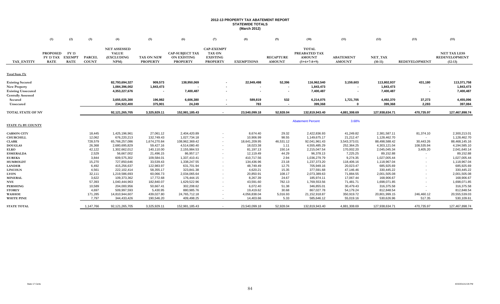# **2012-13 PROPERTY TAX ABATEMENT REPORT STATEWIDE TOTALS (March 2012)**

|                                                                                                          | (1)                                                | (2)                                          | (3)                           | (4)                                                      | (5)                           | (6)                                                             | (7)                                                                      | (8)                          | (9)                                | (10)                                                            | (11)                              | (12)                                  | (13)                      | (15)                                                     |
|----------------------------------------------------------------------------------------------------------|----------------------------------------------------|----------------------------------------------|-------------------------------|----------------------------------------------------------|-------------------------------|-----------------------------------------------------------------|--------------------------------------------------------------------------|------------------------------|------------------------------------|-----------------------------------------------------------------|-----------------------------------|---------------------------------------|---------------------------|----------------------------------------------------------|
| <b>TAX ENTITY</b>                                                                                        | <b>PROPOSED</b><br><b>FY 13 TAX</b><br><b>RATE</b> | <b>FY 13</b><br><b>EXEMPT</b><br><b>RATE</b> | <b>PARCEL</b><br><b>COUNT</b> | <b>NET ASSESSED</b><br><b>VALUE</b><br>(EXCLUDING<br>NPM | TAX ON NEW<br><b>PROPERTY</b> | <b>CAP-SUBJECT TAX</b><br><b>ON EXISTING</b><br><b>PROPERTY</b> | <b>CAP-EXEMPT</b><br><b>TAX ON</b><br><b>EXISTING</b><br><b>PROPERTY</b> | <b>EXEMPTIONS</b>            | <b>RECAPTURE</b><br><b>AMOUNT</b>  | <b>TOTAL</b><br>PREABATED TAX<br><b>AMOUNT</b><br>$(5+6+7-8+9)$ | <b>ABATEMENT</b><br><b>AMOUNT</b> | NET_TAX<br>$(10-11)$                  | <b>REDEVELOPMENT</b>      | <b>NET TAX LESS</b><br><b>REDEVELOPMENT</b><br>$(12-13)$ |
| Total State 17¢                                                                                          |                                                    |                                              |                               |                                                          |                               |                                                                 |                                                                          |                              |                                    |                                                                 |                                   |                                       |                           |                                                          |
| <b>Existing Secured</b><br><b>New Property</b><br><b>Existing Unsecured</b><br><b>Centrally Assessed</b> |                                                    |                                              |                               | 82,793,694,327<br>1,084,396,002<br>4,353,227,676         | 909,573<br>1,843,473          | 138,950,069<br>7,400,487                                        |                                                                          | 22,949,498<br>$\blacksquare$ | 52,396<br>$\overline{\phantom{a}}$ | 116,962,540<br>1,843,473<br>7,400,487                           | 3,159,603                         | 113,802,937<br>1,843,473<br>7,400,487 | 431,180<br>$\blacksquare$ | 113,371,758<br>1,843,473<br>7,400,487                    |
| Secured<br>Unsecured                                                                                     |                                                    |                                              |                               | 3,655,025,300<br>234,922,400                             | 196,982<br>375,901            | 6,606,380<br>24,249                                             |                                                                          | 589,819<br>783               | 532<br>$\blacksquare$              | 6,214,075<br>399,368                                            | 1,721,705                         | 4,492,370<br>399,368                  | 37,273<br>2,283           | 4,455,096<br>397,084                                     |
| TOTAL STATE OF NV                                                                                        |                                                    |                                              |                               | 92,121,265,705                                           | 3,325,929.11                  | 152,981,185.43                                                  | $\sim$                                                                   | 23,540,099.18                | 52,928.04                          | 132,819,943.40                                                  | 4,881,308.69                      | 127,938,634.71                        | 470,735.97                | 127,467,898.74                                           |
| STATE 17¢ BY COUNTY                                                                                      |                                                    |                                              |                               |                                                          |                               |                                                                 |                                                                          |                              |                                    | <b>Abatement Percent</b>                                        | 3.68%                             |                                       |                           |                                                          |
| <b>CARSON CITY</b>                                                                                       |                                                    |                                              | 18,445<br>12,062              | 1,425,196,961                                            | 27,061.12<br>132,749.43       | 2,404,420.89                                                    |                                                                          | 8,674.40                     | 29.32<br>98.55                     | 2,422,836.93                                                    | 41,249.82                         | 2,381,587.11                          | 81,374.10                 | 2,300,213.01                                             |
| <b>CHURCHILL</b><br><b>CLARK</b>                                                                         |                                                    |                                              | 728,579                       | 676,220,213<br>65,766,257,086                            | 1,674,270.84                  | 1,027,734.18<br>108,962,369.42                                  | $\sim$<br>$\sim$                                                         | 10,906.99<br>18,641,209.95   | 46,531.12                          | 1,149,675.17<br>92,041,961.43                                   | 21,212.47<br>3,543,373.01         | 1,128,462.70<br>88,498,588.42         | $\sim$<br>30,443.26       | 1,128,462.70<br>88,468,145.16                            |
| <b>DOUGLAS</b><br><b>ELKO</b>                                                                            |                                                    |                                              | 26,368<br>42,122              | 2,680,695,829<br>1,302,662,012                           | 59,427.16<br>140,110.00       | 4,514,080.40<br>2,155,984.53                                    | $\sim$<br>$\sim$                                                         | 18,023.38<br>81,197.13       | 1.11<br>150.14                     | 4,555,485.29<br>2,215,047.54                                    | 252,364.25<br>170,002.20          | 4,303,121.04<br>2,045,045.34          | 108,535.94<br>3,405.20    | 4,194,585.10<br>2,041,640.14                             |
| <b>ESMERALDA</b><br><b>EUREKA</b>                                                                        |                                                    |                                              | 2,529<br>3,844                | 56,667,002<br>609,575,302                                | 21,496.15<br>109,584.01       | 86,957.17<br>1,337,410.41                                       | $\sim$<br>$\overline{\phantom{a}}$                                       | 12,119.49<br>410,717.56      | 44.29<br>2.94                      | 96,378.13<br>1,036,279.79                                       | 7,225.25<br>9,274.35              | 89,152.88<br>1,027,005.44             | $\overline{\phantom{a}}$  | 89,152.88<br>1,027,005.44                                |
| <b>HUMBOLDT</b><br><b>LANDER</b>                                                                         |                                                    |                                              | 15,270<br>6,492               | 727,850,646<br>415,256,637                               | 33,539.43<br>122,983.97       | 1,338,247.55<br>631,701.94                                      | $\sim$<br>$\sim$                                                         | 134,436.96<br>48,749.49      | 23.18<br>12.75                     | 1,237,373.20<br>705,949.16                                      | 118,406.16<br>20,023.47           | 1,118,967.04<br>685,925.69            |                           | 1,118,967.04<br>685,925.69                               |
| <b>LINCOLN</b><br><b>LYON</b>                                                                            |                                                    |                                              | 4,561<br>32,111               | 222,102,414<br>1,219,586,693                             | 58,355.17<br>60,066.73        | 323,841.38<br>2,034,065.64                                      | $\sim$<br>$\overline{\phantom{a}}$                                       | 4,620.21<br>20,850.91        | 15.35<br>108.17                    | 377,591.68<br>2,073,389.63                                      | 47,146.46<br>71,884.55            | 330,445.22<br>2,001,505.08            |                           | 330,445.22<br>2,001,505.08                               |
| <b>MINERAL</b>                                                                                           |                                                    |                                              | 3,622                         | 109,373,362                                              | 17,772.68                     | 176,444.15                                                      | $\sim$                                                                   | 8,267.39                     | 24.67                              | 185,974.11                                                      | 17,067.44                         | 168,906.67                            |                           | 168,906.67                                               |
| <b>NYE</b><br>PERSHING                                                                                   |                                                    |                                              | 57,393<br>10,589              | 1,040,444,963<br>204,000,956                             | 182,840.07<br>50,667.41       | 1,629,522.96<br>302,208.62                                      | $\overline{\phantom{a}}$<br>$\sim$                                       | 43,591.60<br>6,072.40        | 782.13<br>51.38                    | 1,769,553.56<br>346,855.01                                      | 71,481.71<br>30,479.43            | 1,698,071.85<br>316,375.58            |                           | 1,698,071.85<br>316,375.58                               |
| <b>STOREY</b><br>WASHOE                                                                                  |                                                    |                                              | 4,697<br>171,285              | 509,997,593<br>14,810,944,607                            | 5,430.95<br>439,027.80        | 880,985.76<br>24,765,712.18                                     | $\sim$<br>$\sim$                                                         | 19,419.62<br>4,056,838.04    | 30.68<br>5,016.93                  | 867,027.78<br>21,152,918.87                                     | 54,179.24<br>350,919.72           | 812,848.54<br>20,801,999.15           | 246,460.12                | 812,848.54<br>20,555,539.03                              |
| <b>WHITE PINE</b>                                                                                        |                                                    |                                              | 7,797                         | 344,433,426                                              | 190,546.20                    | 409,498.25                                                      | $\sim$                                                                   | 14,403.66                    | 5.33                               | 585,646.12                                                      | 55,019.16                         | 530,626.96                            | 517.35                    | 530,109.61                                               |
| <b>STATE TOTAL</b>                                                                                       |                                                    |                                              | 1,147,766                     | 92, 121, 265, 705                                        | 3,325,929.11                  | 152,981,185.43                                                  | $\sim$                                                                   | 23,540,099.18                | 52,928.04                          | 132,819,943.40                                                  | 4,881,308.69                      | 127,938,634.71                        | 470,735.97                | 127,467,898.74                                           |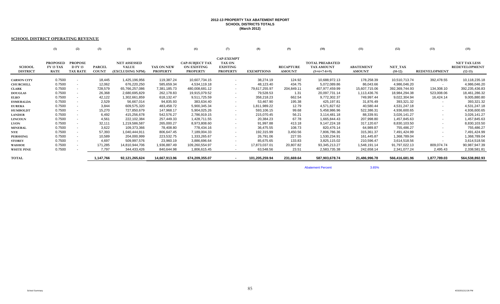#### **2012-13 PROPERTY TAX ABATEMENT REPORT SCHOOL DISTRICTS TOTALS (March 2012)**

#### **SCHOOL DISTRICT OPERATING REVENUE**

| <b>PROPOSED</b><br><b>PROPOSE</b><br>FY 13 TAX |                                 |         |                                                                               |                                                                    |                        |                   |                   |                  |                        |                  |                |                      |                      |
|------------------------------------------------|---------------------------------|---------|-------------------------------------------------------------------------------|--------------------------------------------------------------------|------------------------|-------------------|-------------------|------------------|------------------------|------------------|----------------|----------------------|----------------------|
|                                                |                                 |         |                                                                               |                                                                    |                        |                   |                   |                  |                        |                  |                |                      |                      |
|                                                |                                 |         |                                                                               |                                                                    |                        | <b>CAP-EXEMPT</b> |                   |                  |                        |                  |                |                      |                      |
|                                                |                                 |         | <b>NET ASSESSED</b>                                                           |                                                                    | <b>CAP-SUBJECT TAX</b> | <b>TAX ON</b>     |                   |                  | <b>TOTAL PREABATED</b> |                  |                |                      | <b>NET TAX LESS</b>  |
|                                                | <b>D FY 13</b><br><b>PARCEL</b> |         | <b>VALUE</b>                                                                  | <b>TAX ON NEW</b>                                                  | <b>ON EXISTING</b>     | <b>EXISTING</b>   |                   | <b>RECAPTURE</b> | <b>TAX AMOUNT</b>      | <b>ABATEMENT</b> | NET TAX        |                      | <b>REDEVELOPMENT</b> |
| <b>RATE</b>                                    | <b>TAX RATE</b><br><b>COUNT</b> |         | (EXCLUDING NPM)                                                               | <b>PROPERTY</b>                                                    | <b>PROPERTY</b>        | <b>PROPERTY</b>   | <b>EXEMPTIONS</b> | <b>AMOUNT</b>    | $(5+6+7-8+9)$          | <b>AMOUNT</b>    | $(10-12)$      | <b>REDEVELOPMENT</b> | $(12-13)$            |
|                                                |                                 |         |                                                                               |                                                                    |                        |                   |                   |                  |                        |                  |                |                      |                      |
| 0.7500                                         | $\overline{\phantom{a}}$        | 18,445  | 1,425,196,956                                                                 | 119,387.24                                                         | 10,607,734.15          | $\sim$            | 38,274.19         | 124.92           | 10,688,972.13          | 178,258.39       | 10,510,713.74  | 392,478.55           | 10,118,235.18        |
| 0.7500                                         | $\sim$                          | 12,062  | 676,220,250                                                                   | 585,659.34                                                         | 4,534,119.18           | $\sim$            | 48,123.40         | 434.75           | 5,072,089.86           | 86,043.66        | 4,986,046.20   | $\sim$               | 4,986,046.20         |
| 0.7500                                         | $\sim$                          | 728,579 | 65,766,257,086                                                                | 7,381,185.73                                                       | 480,008,681.12         | $\sim$            | 79,617,255.97     | 204,849.11       | 407,977,459.99         | 15,607,715.06    | 392,369,744.93 | 134,308.10           | 392,235,436.83       |
| 0.7500                                         | $\overline{\phantom{a}}$        | 26,368  | 2,680,695,829                                                                 | 262,178.83                                                         | 19,915,079.52          | $\sim$            | 79,528.53         | 1.31             | 20,097,731.14          | 1,113,436.76     | 18,984,294.38  | 523,008.06           | 18,461,286.32        |
| 0.7500                                         | $\sim$                          | 42,122  | 1,302,661,859                                                                 | 618,132.47                                                         | 9,511,725.59           | $\sim$            | 358,218.23        | 662.54           | 9,772,302.37           | 749,997.44       | 9,022,304.94   | 16,424.14            | 9,005,880.80         |
| 0.7500                                         | $\sim$                          | 2,529   | 56,667,014                                                                    | 94,835.93                                                          | 383,634.40             | $\sim$            | 53,467.90         | 195.38           | 425,197.81             | 31,876.49        | 393,321.32     |                      | 393,321.32           |
| 0.7500                                         | $\sim$                          | 3,844   | 609,575,320                                                                   | 483,458.72                                                         | 5,900,345.34           | $\sim$            | 1,811,989.22      | 12.79            | 4,571,827.62           | 40,580.44        | 4,531,247.18   |                      | 4,531,247.18         |
| 0.7500                                         | $\overline{\phantom{a}}$        | 15,270  | 727,850,679                                                                   | 147,968.17                                                         | 5,904,025.26           | $\sim$            | 593,106.15        | 99.68            | 5,458,986.96           | 522,386.31       | 4,936,600.65   |                      | 4,936,600.65         |
| 0.7500                                         |                                 | 6,492   | 415,256,678                                                                   | 542,576.27                                                         | 2,786,919.15           | $\sim$            | 215,070.45        | 56.21            | 3,114,481.18           | 88,339.91        | 3,026,141.27   |                      | 3,026,141.27         |
| 0.7500                                         | $\sim$                          | 4,561   | 222,102,384                                                                   | 257,449.33                                                         | 1,428,711.55           | $\sim$            | 20,384.23         | 67.78            | 1,665,844.43           | 207,998.80       | 1,457,845.63   |                      | 1,457,845.63         |
| 0.7500                                         | $\sim$                          |         |                                                                               | 265,000.27                                                         | 8,973,808.60           | $\sim$            | 91,997.88         | 413.18           | 9,147,224.18           | 317,120.67       | 8,830,103.50   |                      | 8,830,103.50         |
| 0.7500                                         | $\overline{\phantom{a}}$        |         | 109,373,366                                                                   | 78,408.80                                                          | 778,434.16             | $\sim$            | 36,475.55         | 108.73           | 820,476.14             | 64,989.87        | 755,486.27     |                      | 755,486.27           |
| 0.7500                                         | $\sim$                          |         |                                                                               | 806,647.45                                                         | 7,189,004.33           | $\sim$            | 192,315.99        | 3,450.56         | 7,806,786.36           | 315,361.37       | 7,491,424.99   |                      | 7,491,424.99         |
| 0.7500                                         | $\sim$                          |         | 204,000,999                                                                   | 223,532.75                                                         | 1,333,265.67           | $\sim$            | 26,791.06         | 227.55           | 1,530,234.91           | 161,445.87       | 1,368,789.04   |                      | 1,368,789.04         |
| 0.7500                                         | $\sim$                          |         | 509,997,576                                                                   | 23,960.19                                                          | 3,886,696.64           | $\sim$            | 85,675.65         | 133.83           | 3,825,115.02           | 210,596.47       | 3,614,518.56   |                      | 3,614,518.56         |
| 0.7500                                         |                                 |         |                                                                               | 1,936,887.49                                                       | 109,260,554.97         | $\sim$            | 17,873,037.01     | 20,807.82        | 93,345,213.27          | 1,548,191.14     | 91,797,022.13  | 809,074.74           | 90,987,947.39        |
| 0.7500                                         |                                 |         | 344,433,426                                                                   | 840,644.98                                                         | 1,806,615.45           |                   | 63,548.56         | 23.51            | 2,583,735.38           | 242,658.14       | 2,341,077.24   | 2,495.43             | 2,338,581.81         |
|                                                |                                 |         |                                                                               | 14,667,913.96                                                      | 674,209,355.07         | $\sim$            | 101,205,259.94    | 231,669.64       | 587,903,678.74         | 21,486,996.78    |                | 1,877,789.03         | 564,538,892.93       |
|                                                |                                 |         | 32,111<br>3,622<br>57,393<br>10,589<br>4,697<br>171,285<br>7,797<br>1,147,766 | 1,219,586,587<br>1,040,444,911<br>14,810,944,706<br>92,121,265,624 |                        |                   |                   |                  |                        |                  |                |                      | 566,416,681.96       |

Abatement Percent

3.65%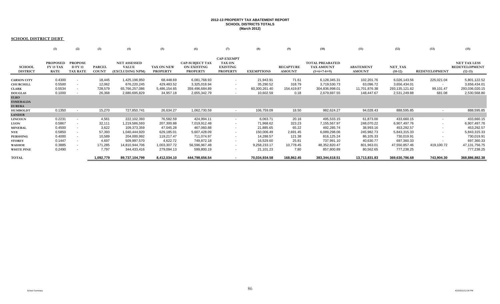#### **2012-13 PROPERTY TAX ABATEMENT REPORT SCHOOL DISTRICTS TOTALS (March 2012)**

#### **SCHOOL DISTRICT DEBT**

|                                                                          | (1)                                                | (2)                                                 | (3)                                   | (4)                                                             | (5)                                                  | (6)                                                             | (7)                                                                      | (8)                                                  | (9)                                   | (10)                                                           | (11)                                                   | (12)                                                           | (13)                                        | (15)                                                           |
|--------------------------------------------------------------------------|----------------------------------------------------|-----------------------------------------------------|---------------------------------------|-----------------------------------------------------------------|------------------------------------------------------|-----------------------------------------------------------------|--------------------------------------------------------------------------|------------------------------------------------------|---------------------------------------|----------------------------------------------------------------|--------------------------------------------------------|----------------------------------------------------------------|---------------------------------------------|----------------------------------------------------------------|
| <b>SCHOOL</b><br><b>DISTRICT</b>                                         | <b>PROPOSED</b><br><b>FY 13 TAX</b><br><b>RATE</b> | <b>PROPOSE</b><br><b>D FY 13</b><br><b>TAX RATE</b> | <b>PARCEL</b><br><b>COUNT</b>         | <b>NET ASSESSED</b><br><b>VALUE</b><br>(EXCLUDING NPM)          | TAX ON NEW<br><b>PROPERTY</b>                        | <b>CAP-SUBJECT TAX</b><br><b>ON EXISTING</b><br><b>PROPERTY</b> | <b>CAP-EXEMPT</b><br><b>TAX ON</b><br><b>EXISTING</b><br><b>PROPERTY</b> | <b>EXEMPTIONS</b>                                    | <b>RECAPTURE</b><br><b>AMOUNT</b>     | <b>TOTAL PREABATED</b><br>TAX AMOUNT<br>$(5+6+7-8+9)$          | <b>ABATEMENT</b><br><b>AMOUNT</b>                      | NET_TAX<br>$(10-12)$                                           | <b>REDEVELOPMENT</b>                        | <b>NET TAX LESS</b><br><b>REDEVELOPMENT</b><br>$(12-13)$       |
| <b>CARSON CITY</b><br><b>CHURCHILL</b><br><b>CLARK</b><br><b>DOUGLAS</b> | 0.4300<br>0.5500<br>0.5534<br>0.1000               | $\sim$<br>$\sim$<br>$\sim$                          | 18,445<br>12,062<br>728,579<br>26,368 | 1,425,196,950<br>676,220,245<br>65,766,257,086<br>2,680,695,829 | 68,448.69<br>429,483.52<br>5,486,154.65<br>34,957.18 | 6,081,768.93<br>3,325,018.94<br>359,496,684.89<br>2,655,342.79  | $\sim$<br>$\sim$<br>$\sim$                                               | 21,943.91<br>35,290.52<br>60,300,261.40<br>10,602.59 | 71.61<br>318.79<br>154,419.87<br>0.18 | 6,128,345.31<br>3,719,530.73<br>304,836,998.01<br>2,679,697.55 | 102,201.76<br>63,096.72<br>11,701,876.38<br>148,447.67 | 6,026,143.56<br>3,656,434.01<br>293,135,121.62<br>2,531,249.88 | 225,021.04<br>$\sim$<br>99,101.47<br>681.08 | 5,801,122.52<br>3,656,434.01<br>293,036,020.15<br>2,530,568.80 |
| <b>ELKO</b><br><b>ESMERALDA</b><br><b>EUREKA</b><br><b>HUMBOLDT</b>      | 0.1350                                             | $\sim$                                              | 15,270                                | 727,850,741                                                     | 26,634.27                                            | 1,062,730.59                                                    |                                                                          | 106,759.09                                           | 18.50                                 | 982,624.27                                                     | 94,028.43                                              | 888,595.85                                                     |                                             | 888,595.85                                                     |
| <b>LANDER</b>                                                            |                                                    |                                                     |                                       |                                                                 |                                                      |                                                                 |                                                                          |                                                      |                                       |                                                                |                                                        |                                                                |                                             |                                                                |
| <b>LINCOLN</b><br><b>LYON</b>                                            | 0.2231<br>0.5867                                   | $\overline{\phantom{a}}$<br>$\sim$                  | 4,561<br>32,111                       | 222,102,393<br>1,219,586,593                                    | 76,582.59<br>207,300.88                              | 424,994.11<br>7,019,912.48                                      | $\sim$<br>$\sim$                                                         | 6,063.71<br>71,968.62                                | 20.16<br>323.23                       | 495,533.15<br>7,155,567.97                                     | 61,873.00<br>248,070.22                                | 433,660.15<br>6,907,497.76                                     |                                             | 433,660.15<br>6,907,497.76                                     |
| <b>MINERAL</b><br><b>NYE</b>                                             | 0.4500<br>0.5850                                   | $\sim$<br>$\overline{\phantom{a}}$                  | 3,622<br>57,393                       | 109,373,359<br>1,040,444,920                                    | 47,045.28<br>629,185.01                              | 467,060.88<br>5,607,428.09                                      | $\overline{\phantom{a}}$<br>$\sim$                                       | 21,885.65<br>150,006.49                              | 65.22<br>2,691.45                     | 492,285.74<br>6,089,298.06                                     | 38,993.16<br>245,982.73                                | 453,292.57<br>5,843,315.33                                     |                                             | 453,292.57<br>5,843,315.33                                     |
| <b>PERSHING</b><br><b>STOREY</b>                                         | 0.4000<br>0.1447                                   | $\sim$<br>$\sim$                                    | 10,589<br>4,697                       | 204,000,992<br>509,997,570                                      | 119,217.47<br>4,622.72                               | 711,074.97<br>749,872.18                                        | $\sim$<br>$\sim$                                                         | 14,288.57<br>16,529.60                               | 121.38<br>25.81                       | 816,125.24<br>737,991.10                                       | 86,105.33<br>40,630.77                                 | 730,019.91<br>697,360.33                                       |                                             | 730,019.91<br>697,360.33                                       |
| WASHOE<br><b>WHITE PINE</b>                                              | 0.3885<br>0.2490                                   | $\sim$<br>$\sim$                                    | 171,285<br>7,797                      | 14,810,944,706<br>344,433,416                                   | 1,003,307.72<br>279,094.13                           | 56,596,967.48<br>599,800.19                                     | $\sim$<br>$\sim$                                                         | 9,258,233.17<br>21,101.23                            | 10,778.45<br>7.80                     | 48,352,820.47<br>857,800.89                                    | 801,963.01<br>80,562.65                                | 47,550,857.46<br>777,238.25                                    | 419,100.72<br>$\overline{\phantom{a}}$      | 47, 131, 756. 75<br>777,238.25                                 |
| <b>TOTAL</b>                                                             |                                                    |                                                     | 1,092,779                             | 89,737,104,799                                                  | 8,412,034.10                                         | 444,798,656.54                                                  | $\sim$                                                                   | 70,034,934.58                                        | 168,862.45                            | 383,344,618.51                                                 | 13,713,831.83                                          | 369,630,786.68                                                 | 743,904.30                                  | 368,886,882.38                                                 |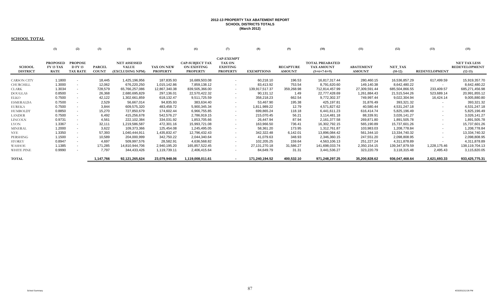# **2012-13 PROPERTY TAX ABATEMENT REPORT SCHOOL DISTRICTS TOTALS (March 2012)**

#### **SCHOOL TOTAL**

|                    | (1)              | (2)                      | (3)           | (4)                 | (5)             | (6)                    |                   | (8)               | (9)              | (10)                   | (11)             | (12)           | (13)                 | (15)                 |
|--------------------|------------------|--------------------------|---------------|---------------------|-----------------|------------------------|-------------------|-------------------|------------------|------------------------|------------------|----------------|----------------------|----------------------|
|                    |                  |                          |               |                     |                 |                        |                   |                   |                  |                        |                  |                |                      |                      |
|                    |                  |                          |               |                     |                 |                        | <b>CAP-EXEMPT</b> |                   |                  |                        |                  |                |                      |                      |
|                    | <b>PROPOSED</b>  | <b>PROPOSE</b>           |               | <b>NET ASSESSED</b> |                 | <b>CAP-SUBJECT TAX</b> | <b>TAX ON</b>     |                   |                  | <b>TOTAL PREABATED</b> |                  |                |                      | <b>NET TAX LESS</b>  |
| <b>SCHOOL</b>      | <b>FY 13 TAX</b> | <b>D FY 13</b>           | <b>PARCEL</b> | <b>VALUE</b>        | TAX ON NEW      | <b>ON EXISTING</b>     | <b>EXISTING</b>   |                   | <b>RECAPTURE</b> | <b>TAX AMOUNT</b>      | <b>ABATEMENT</b> | NET_TAX        |                      | <b>REDEVELOPMENT</b> |
| <b>DISTRICT</b>    | <b>RATE</b>      | <b>TAX RATE</b>          | <b>COUNT</b>  | (EXCLUDING NPM)     | <b>PROPERTY</b> | <b>PROPERTY</b>        | <b>PROPERTY</b>   | <b>EXEMPTIONS</b> | <b>AMOUNT</b>    | $(5+6+7-8+9)$          | <b>AMOUNT</b>    | $(10-12)$      | <b>REDEVELOPMENT</b> | $(12-13)$            |
|                    |                  |                          |               |                     |                 |                        |                   |                   |                  |                        |                  |                |                      |                      |
| <b>CARSON CITY</b> | 1.1800           |                          | 18,445        | 1,425,196,956       | 187,835.93      | 16,689,503.08          | $\sim$            | 60,218.10         | 196.53           | 16,817,317.44          | 280,460.15       | 16,536,857.29  | 617,499.59           | 15,919,357.70        |
| CHURCHILL          | 1.3000           | $\sim$                   | 12,062        | 676,220,250         | 1,015,142.86    | 7,859,138.12           | $\sim$            | 83,413.92         | 753.54           | 8,791,620.60           | 149,140.38       | 8,642,480.22   | $\sim$               | 8,642,480.22         |
| CLARK              | 1.3034           |                          | 728,579       | 65,766,257,086      | 12,867,340.38   | 839,505,366.00         | $\sim$            | 139,917,517.37    | 359,268.98       | 712,814,457.99         | 27,309,591.44    | 685,504,866.55 | 233,409.57           | 685,271,456.98       |
| DOUGLAS            | 0.8500           | $\sim$                   | 26,368        | 2,680,695,829       | 297,136.01      | 22,570,422.32          | $\sim$            | 90,131.12         | 1.49             | 22,777,428.69          | 1,261,884.43     | 21,515,544.26  | 523,689.14           | 20,991,855.12        |
| ELKO               | 0.7500           |                          | 42,122        | 1,302,661,859       | 618,132.47      | 9,511,725.59           | $\sim$            | 358,218.23        | 662.54           | 9,772,302.37           | 749,997.44       | 9,022,304.94   | 16,424.14            | 9,005,880.80         |
| <b>ESMERALDA</b>   | 0.7500           |                          | 2,529         | 56,667,014          | 94,835.93       | 383,634.40             | $\sim$            | 53,467.90         | 195.38           | 425,197.81             | 31,876.49        | 393,321.32     | $\sim$               | 393,321.32           |
| <b>EUREKA</b>      | 0.7500           | $\sim$                   | 3.844         | 609,575,320         | 483,458.72      | 5,900,345.34           | $\sim$            | 1,811,989.22      | 12.79            | 4,571,827.62           | 40,580.44        | 4,531,247.18   | $\sim$               | 4,531,247.18         |
| HUMBOLDT           | 0.8850           |                          | 15,270        | 727,850,679         | 174,602.44      | 6,966,755.85           | $\sim$            | 699,865.24        | 118.18           | 6,441,611.23           | 616,414.74       | 5,825,196.49   | $\sim$               | 5,825,196.49         |
| <b>LANDER</b>      | 0.7500           | $\sim$                   | 6,492         | 415,256,678         | 542,576.27      | 2,786,919.15           | $\sim$            | 215,070.45        | 56.21            | 3,114,481.18           | 88,339.91        | 3,026,141.27   | $\sim$               | 3,026,141.27         |
| LINCOLN            | 0.9731           | $\sim$                   | 4,561         | 222,102,384         | 334,031.92      | 1,853,705.66           | $\sim$            | 26,447.94         | 87.94            | 2,161,377.58           | 269,871.80       | 1,891,505.78   | $\sim$               | 1,891,505.78         |
| LYON               | 1.3367           | $\sim$                   | 32,111        | 1,219,586,587       | 472,301.16      | 15,993,721.08          | $\sim$            | 163,966.50        | 736.41           | 16,302,792.15          | 565,190.89       | 15,737,601.26  |                      | 15,737,601.26        |
| MINERAL            | 1.2000           | $\overline{\phantom{a}}$ | 3,622         | 109,373,366         | 125,454.08      | 1,245,495.05           | $\sim$            | 58,361.20         | 173.95           | 1,312,761.87           | 103,983.03       | 1,208,778.84   | $\sim$               | 1,208,778.84         |
| <b>NYE</b>         | 1.3350           |                          | 57,393        | 1,040,444,911       | 1,435,832.47    | 12,796,432.43          | $\sim$            | 342,322.48        | 6,142.01         | 13,896,084.42          | 561,344.10       | 13,334,740.32  |                      | 13,334,740.32        |
| PERSHING           | 1.1500           | $\sim$                   | 10,589        | 204,000,999         | 342,750.22      | 2,044,340.64           | $\sim$            | 41,079.63         | 348.93           | 2,346,360.15           | 247,551.20       | 2,098,808.95   |                      | 2,098,808.95         |
| STOREY             | 0.8947           | $\overline{\phantom{a}}$ | 4,697         | 509,997,576         | 28,582.91       | 4,636,568.82           | $\sim$            | 102,205.25        | 159.64           | 4,563,106.13           | 251,227.24       | 4,311,878.89   |                      | 4,311,878.89         |
| WASHOE             | 1.1385           | $\sim$                   | 171,285       | 14,810,944,706      | 2,940,195.20    | 165,857,522.45         | $\sim$            | 27, 131, 270. 18  | 31,586.27        | 141,698,033.74         | 2,350,154.15     | 139,347,879.59 | 1,228,175.46         | 138,119,704.13       |
| WHITE PINE         | 0.9990           | $\sim$                   | 7,797         | 344,433,426         | 1,119,739.11    | 2,406,415.64           | $\sim$            | 84,649.79         | 31.31            | 3,441,536.27           | 323,220.79       | 3,118,315.48   | 2,495.43             | 3,115,820.05         |
| <b>TOTAL</b>       |                  |                          | 1,147,766     | 92,121,265,624      | 23,079,948.06   | 1,119,008,011.61       | $\sim$            | 171,240,194.52    | 400,532.10       | 971,248,297.25         | 35,200,828.62    | 936,047,468.64 | 2,621,693.33         | 933,425,775.31       |